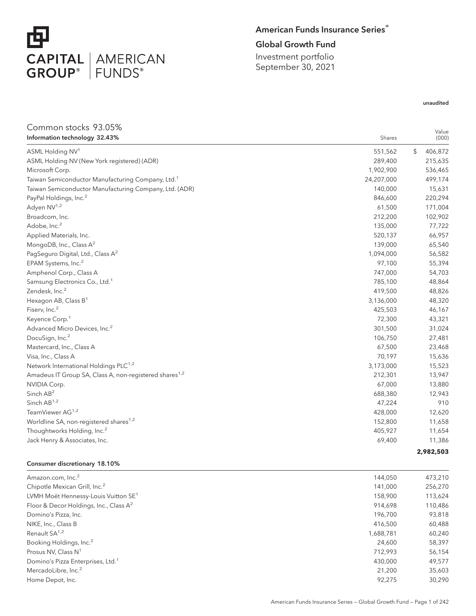

## American Funds Insurance Series®

## Global Growth Fund

Investment portfolio September 30, 2021

## unaudited

| Common stocks 93.05%                                               |            |                |
|--------------------------------------------------------------------|------------|----------------|
| Information technology 32.43%                                      | Shares     | Value<br>(000) |
| ASML Holding NV <sup>1</sup>                                       | 551,562    | \$<br>406,872  |
| ASML Holding NV (New York registered) (ADR)                        | 289,400    | 215,635        |
| Microsoft Corp.                                                    | 1,902,900  | 536,465        |
| Taiwan Semiconductor Manufacturing Company, Ltd. <sup>1</sup>      | 24,207,000 | 499,174        |
| Taiwan Semiconductor Manufacturing Company, Ltd. (ADR)             | 140,000    | 15,631         |
| PayPal Holdings, Inc. <sup>2</sup>                                 | 846,600    | 220,294        |
| Adyen NV <sup>1,2</sup>                                            | 61,500     | 171,004        |
| Broadcom, Inc.                                                     | 212,200    | 102,902        |
| Adobe, Inc. <sup>2</sup>                                           | 135,000    | 77,722         |
| Applied Materials, Inc.                                            | 520,137    | 66,957         |
| MongoDB, Inc., Class A <sup>2</sup>                                | 139,000    | 65,540         |
| PagSeguro Digital, Ltd., Class A <sup>2</sup>                      | 1,094,000  | 56,582         |
| EPAM Systems, Inc. <sup>2</sup>                                    | 97,100     | 55,394         |
| Amphenol Corp., Class A                                            | 747,000    | 54,703         |
| Samsung Electronics Co., Ltd. <sup>1</sup>                         | 785,100    | 48,864         |
| Zendesk, Inc. <sup>2</sup>                                         | 419,500    | 48,826         |
| Hexagon AB, Class B <sup>1</sup>                                   | 3,136,000  | 48,320         |
| Fiserv, Inc. <sup>2</sup>                                          | 425,503    | 46,167         |
| Keyence Corp. <sup>1</sup>                                         | 72,300     | 43,321         |
| Advanced Micro Devices, Inc. <sup>2</sup>                          | 301,500    | 31,024         |
| DocuSign, Inc. <sup>2</sup>                                        | 106,750    | 27,481         |
| Mastercard, Inc., Class A                                          | 67,500     | 23,468         |
| Visa, Inc., Class A                                                | 70,197     | 15,636         |
| Network International Holdings PLC <sup>1,2</sup>                  | 3,173,000  | 15,523         |
| Amadeus IT Group SA, Class A, non-registered shares <sup>1,2</sup> | 212,301    | 13,947         |
| NVIDIA Corp.                                                       | 67,000     | 13,880         |
| Sinch AB <sup>2</sup>                                              | 688,380    | 12,943         |
| Sinch AB <sup>1,2</sup>                                            | 47,224     | 910            |
| TeamViewer AG <sup>1,2</sup>                                       | 428,000    | 12,620         |
| Worldline SA, non-registered shares <sup>1,2</sup>                 | 152,800    | 11,658         |
| Thoughtworks Holding, Inc. <sup>2</sup>                            | 405,927    | 11,654         |
| Jack Henry & Associates, Inc.                                      | 69,400     | 11,386         |
|                                                                    |            | 2,982,503      |

#### Consumer discretionary 18.10%

| Amazon.com, Inc. <sup>2</sup>                      | 144.050   | 473,210 |
|----------------------------------------------------|-----------|---------|
| Chipotle Mexican Grill, Inc. <sup>2</sup>          | 141.000   | 256,270 |
| LVMH Moët Hennessy-Louis Vuitton SE <sup>1</sup>   | 158,900   | 113,624 |
| Floor & Decor Holdings, Inc., Class A <sup>2</sup> | 914.698   | 110,486 |
| Domino's Pizza, Inc.                               | 196,700   | 93,818  |
| NIKE, Inc., Class B                                | 416,500   | 60,488  |
| Renault SA <sup>1,2</sup>                          | 1,688,781 | 60,240  |
| Booking Holdings, Inc. <sup>2</sup>                | 24.600    | 58,397  |
| Prosus NV, Class N <sup>1</sup>                    | 712.993   | 56,154  |
| Domino's Pizza Enterprises, Ltd. <sup>1</sup>      | 430.000   | 49.577  |
| MercadoLibre, Inc. <sup>2</sup>                    | 21,200    | 35,603  |
| Home Depot, Inc.                                   | 92.275    | 30.290  |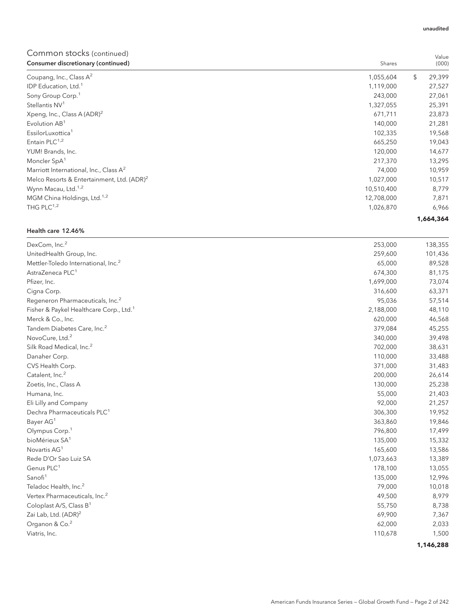## Common stocks (continued)

| oonninon stocks (continued)<br>Consumer discretionary (continued) | Shares     | Value<br>(000) |
|-------------------------------------------------------------------|------------|----------------|
| Coupang, Inc., Class $A^2$                                        | 1,055,604  | \$<br>29,399   |
| IDP Education, Ltd. <sup>1</sup>                                  | 1,119,000  | 27,527         |
| Sony Group Corp. <sup>1</sup>                                     | 243,000    | 27,061         |
| Stellantis NV <sup>1</sup>                                        | 1,327,055  | 25,391         |
| Xpeng, Inc., Class A $(ADR)^2$                                    | 671,711    | 23,873         |
| Evolution AB <sup>1</sup>                                         | 140,000    | 21,281         |
| EssilorLuxottica <sup>1</sup>                                     | 102,335    | 19,568         |
| Entain PLC <sup>1,2</sup>                                         | 665,250    | 19,043         |
| YUM! Brands, Inc.                                                 | 120,000    | 14,677         |
| Moncler SpA <sup>1</sup>                                          | 217,370    | 13,295         |
| Marriott International, Inc., Class $A^2$                         | 74,000     | 10,959         |
| Melco Resorts & Entertainment, Ltd. (ADR) <sup>2</sup>            | 1,027,000  | 10,517         |
| Wynn Macau, Ltd. <sup>1,2</sup>                                   | 10,510,400 | 8,779          |
| MGM China Holdings, Ltd. <sup>1,2</sup>                           | 12,708,000 | 7,871          |
| THG PLC $1,2$                                                     | 1,026,870  | 6,966          |
|                                                                   |            | 1,664,364      |

#### Health care 12.46%

| DexCom, Inc. <sup>2</sup>                           | 253,000   | 138,355   |
|-----------------------------------------------------|-----------|-----------|
| UnitedHealth Group, Inc.                            | 259,600   | 101,436   |
| Mettler-Toledo International, Inc. <sup>2</sup>     | 65,000    | 89,528    |
| AstraZeneca PLC <sup>1</sup>                        | 674,300   | 81,175    |
| Pfizer, Inc.                                        | 1,699,000 | 73,074    |
| Cigna Corp.                                         | 316,600   | 63,371    |
| Regeneron Pharmaceuticals, Inc. <sup>2</sup>        | 95,036    | 57,514    |
| Fisher & Paykel Healthcare Corp., Ltd. <sup>1</sup> | 2,188,000 | 48,110    |
| Merck & Co., Inc.                                   | 620,000   | 46,568    |
| Tandem Diabetes Care, Inc. <sup>2</sup>             | 379,084   | 45,255    |
| NovoCure, Ltd. <sup>2</sup>                         | 340,000   | 39,498    |
| Silk Road Medical, Inc. <sup>2</sup>                | 702,000   | 38,631    |
| Danaher Corp.                                       | 110,000   | 33,488    |
| CVS Health Corp.                                    | 371,000   | 31,483    |
| Catalent, Inc. <sup>2</sup>                         | 200,000   | 26,614    |
| Zoetis, Inc., Class A                               | 130,000   | 25,238    |
| Humana, Inc.                                        | 55,000    | 21,403    |
| Eli Lilly and Company                               | 92,000    | 21,257    |
| Dechra Pharmaceuticals PLC <sup>1</sup>             | 306,300   | 19,952    |
| Bayer AG <sup>1</sup>                               | 363,860   | 19,846    |
| Olympus Corp. <sup>1</sup>                          | 796,800   | 17,499    |
| bioMérieux SA <sup>1</sup>                          | 135,000   | 15,332    |
| Novartis AG <sup>1</sup>                            | 165,600   | 13,586    |
| Rede D'Or Sao Luiz SA                               | 1,073,663 | 13,389    |
| Genus PLC <sup>1</sup>                              | 178,100   | 13,055    |
| Sanofi <sup>1</sup>                                 | 135,000   | 12,996    |
| Teladoc Health, Inc. <sup>2</sup>                   | 79,000    | 10,018    |
| Vertex Pharmaceuticals, Inc. <sup>2</sup>           | 49,500    | 8,979     |
| Coloplast A/S, Class $B^1$                          | 55,750    | 8,738     |
| Zai Lab, Ltd. (ADR) <sup>2</sup>                    | 69,900    | 7,367     |
| Organon & Co. <sup>2</sup>                          | 62,000    | 2,033     |
| Viatris, Inc.                                       | 110,678   | 1,500     |
|                                                     |           | 1,146,288 |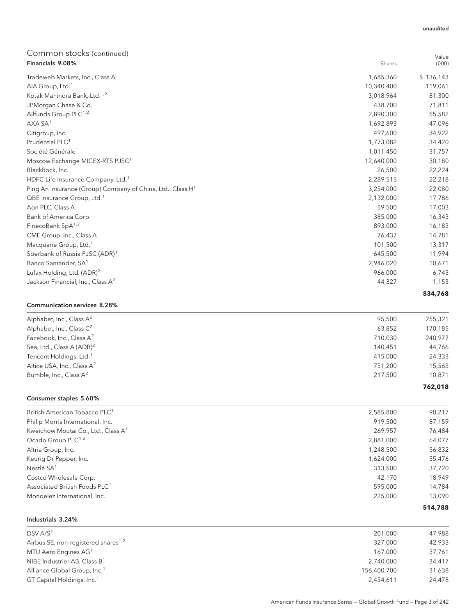| DSV A/S <sup>1</sup>                                                   | 201,000    | 47,988    |
|------------------------------------------------------------------------|------------|-----------|
| Industrials 3.24%                                                      |            |           |
|                                                                        |            | 514,788   |
| Mondelez International, Inc.                                           | 225,000    | 13,090    |
|                                                                        | 595,000    | 14,784    |
| Costco Wholesale Corp.<br>Associated British Foods PLC <sup>1</sup>    | 42,170     | 18,949    |
| Nestlé SA <sup>1</sup>                                                 | 313,500    | 37,720    |
| Keurig Dr Pepper, Inc.                                                 | 1,624,000  | 55,476    |
| Altria Group, Inc.                                                     | 1,248,500  | 56,832    |
|                                                                        | 2,881,000  |           |
| Ocado Group PLC <sup>1,2</sup>                                         |            | 64,077    |
| Kweichow Moutai Co., Ltd., Class A <sup>1</sup>                        | 269,957    | 76,484    |
| Philip Morris International, Inc.                                      | 919,500    | 87,159    |
| British American Tobacco PLC <sup>1</sup>                              | 2,585,800  | 90,217    |
| Consumer staples 5.60%                                                 |            | 762,018   |
| Bumble, Inc., Class A <sup>2</sup>                                     | 217,500    | 10,871    |
| Altice USA, Inc., Class A <sup>2</sup>                                 | 751,200    | 15,565    |
| Tencent Holdings, Ltd. <sup>1</sup>                                    | 415,000    | 24,333    |
| Sea, Ltd., Class A (ADR) <sup>2</sup>                                  | 140,451    | 44,766    |
| Facebook, Inc., Class A <sup>2</sup>                                   | 710,030    | 240,977   |
| Alphabet, Inc., Class C <sup>2</sup>                                   | 63,852     | 170,185   |
| Alphabet, Inc., Class A <sup>2</sup>                                   | 95,500     | 255,321   |
| <b>Communication services 8.28%</b>                                    |            |           |
|                                                                        |            | 834,768   |
| Jackson Financial, Inc., Class A <sup>2</sup>                          | 44,327     | 1,153     |
| Lufax Holding, Ltd. (ADR) <sup>2</sup>                                 | 966,000    | 6,743     |
| Banco Santander, SA <sup>1</sup>                                       | 2,946,020  | 10,671    |
| Sberbank of Russia PJSC (ADR) <sup>1</sup>                             | 645,500    | 11,994    |
| Macquarie Group, Ltd. <sup>1</sup>                                     | 101,500    | 13,317    |
| CME Group, Inc., Class A                                               | 76,437     | 14,781    |
| FinecoBank SpA <sup>1,2</sup>                                          | 893,000    | 16,183    |
| Bank of America Corp.                                                  | 385,000    | 16,343    |
| Aon PLC, Class A                                                       | 59,500     | 17,003    |
| QBE Insurance Group, Ltd. <sup>1</sup>                                 | 2,132,000  | 17,786    |
| Ping An Insurance (Group) Company of China, Ltd., Class H <sup>1</sup> | 3,254,000  | 22,080    |
| HDFC Life Insurance Company, Ltd. <sup>1</sup>                         | 2,289,515  | 22,218    |
| BlackRock, Inc.                                                        | 26,500     | 22,224    |
| Moscow Exchange MICEX-RTS PJSC <sup>1</sup>                            | 12,640,000 | 30,180    |
| Société Générale <sup>1</sup>                                          | 1,011,450  | 31,757    |
| Prudential PLC <sup>1</sup>                                            | 1,773,082  | 34,420    |
| Citigroup, Inc.                                                        | 497,600    | 34,922    |
| AXA SA <sup>1</sup>                                                    | 1,692,893  | 47,096    |
| Allfunds Group PLC <sup>1,2</sup>                                      | 2,890,300  | 55,582    |
| JPMorgan Chase & Co.                                                   | 438,700    | 71,811    |
| Kotak Mahindra Bank, Ltd. <sup>1,2</sup>                               | 3,018,964  | 81,300    |
| AIA Group, Ltd. <sup>1</sup>                                           | 10,340,400 | 119,061   |
| Tradeweb Markets, Inc., Class A                                        | 1,685,360  | \$136,143 |
| Financials 9.08%                                                       | Shares     | (000)     |
| Common Stocks (continued)                                              |            | Value     |

| DJV AIJ                                         | ZU I.UUU    | 41,700 |
|-------------------------------------------------|-------------|--------|
| Airbus SE, non-registered shares <sup>1,2</sup> | 327,000     | 42,933 |
| MTU Aero Engines AG <sup>1</sup>                | 167.000     | 37.761 |
| NIBE Industrier AB, Class $B^1$                 | 2.740.000   | 34,417 |
| Alliance Global Group, Inc. <sup>1</sup>        | 156,400,700 | 31,638 |
| GT Capital Holdings, Inc. <sup>1</sup>          | 2,454,611   | 24,478 |
|                                                 |             |        |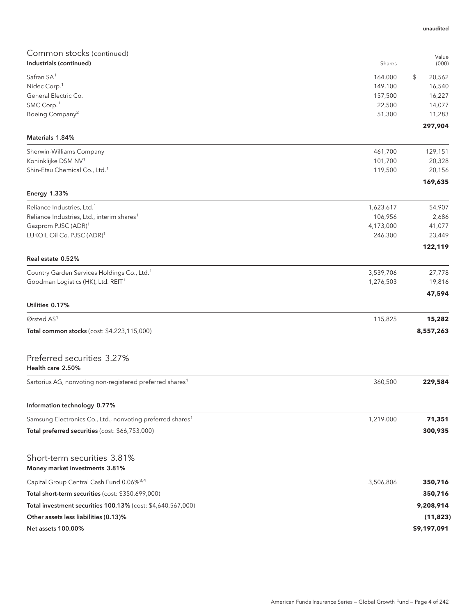## Common stocks (continued) **Industrials (continued)** Shares **Shares** Shares **Shares** Shares **Shares** Shares **Shares** Shares **Shares** Shares **Shares** Shares **Shares** Shares **Shares** Shares **Shares** Shares **Shares Shares Shares Shares Shares** Value (000) Safran SA1 164,000 \$ 20,562 Nidec Corp.<sup>1</sup> 149,100 16,540 General Electric Co. 2027 16,227 SMC Corp.<sup>1</sup> 22,500 14,077  $\frac{1}{2}$ Boeing Company<sup>2</sup> 51,300  $\frac{1}{2}$  51,300  $\frac{1}{2}$  51,300  $\frac{1}{2}$  51,300  $\frac{1}{2}$ **297,904** Materials 1.84% Sherwin-Williams Company 461,700 129,151 Koninklijke DSM NV<sup>1</sup> 20,328 Shin-Etsu Chemical Co., Ltd.<sup>1</sup> 20,156 **169,635** Energy 1.33%  $Reliance$  Industries, Ltd.<sup>1</sup>  $54.907$   $54.907$ Reliance Industries, Ltd., interim shares<sup>1</sup> 106,956 2,686 2,686 2,686 2,686 2,686 2,686 2,686 2,686 2,686 2,686 Gazprom PJSC  $(ADR)^1$  41,077 LUKOIL Oil Co. PJSC (ADR)<sup>1</sup> 246,300 23,449 **122,119** Real estate 0.52% Country Garden Services Holdings Co., Ltd.<sup>1</sup> 3,539,706 27,778 Goodman Logistics (HK), Ltd. REIT<sup>1</sup> and the control of the control of the control of the control of the control of the control of the control of the control of the control of the control of the control of the control of t **47,594** Utilities 0.17% Ørsted AS<sup>1</sup> 115,825 **15,282** Total common stocks (cost: \$4,223,115,000) **8,557,263** Preferred securities 3.27% Health care 2.50% Sartorius AG, nonvoting non-registered preferred shares<sup>1</sup> 360,500 **229,584** 360,500 **229,584** Information technology 0.77% Samsung Electronics Co., Ltd., nonvoting preferred shares<sup>1</sup> 1,219,000 1,219,000 **71,351** Total preferred securities (cost: \$66,753,000) **300,935** Short-term securities 3.81% Money market investments 3.81% Capital Group Central Cash Fund 0.06%3,4 3,506,806 **350,716** Total short-term securities (cost: \$350,699,000) **350,716** Total investment securities 100.13% (cost: \$4,640,567,000) **9,208,914** Other assets less liabilities (0.13)% **(11,823)** Net assets 100.00% **\$9,197,091**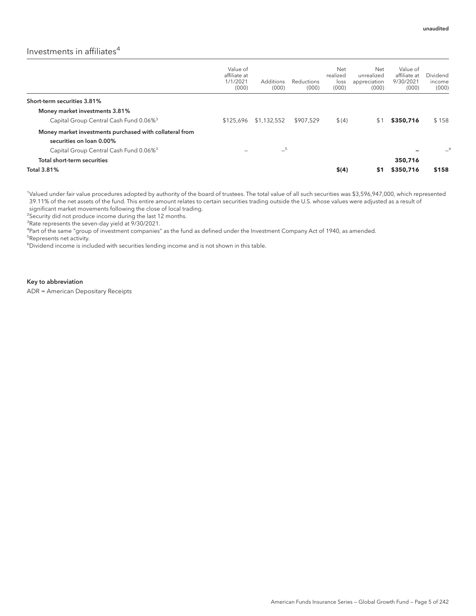## Investments in affiliates $4$

|                                                                                     | Value of<br>affiliate at<br>1/1/2021<br>(000) | <b>Additions</b><br>(000) | Reductions<br>(000) | Net<br>realized<br>loss<br>(000) | Net<br>unrealized<br>appreciation<br>(000) | Value of<br>affiliate at<br>9/30/2021<br>(000) | Dividend<br>income<br>(000) |
|-------------------------------------------------------------------------------------|-----------------------------------------------|---------------------------|---------------------|----------------------------------|--------------------------------------------|------------------------------------------------|-----------------------------|
| Short-term securities 3.81%                                                         |                                               |                           |                     |                                  |                                            |                                                |                             |
| Money market investments 3.81%                                                      |                                               |                           |                     |                                  |                                            |                                                |                             |
| Capital Group Central Cash Fund 0.06% <sup>3</sup>                                  | \$125,696                                     | \$1,132,552               | \$907.529           | \$(4)                            | \$1                                        | \$350,716                                      | \$158                       |
| Money market investments purchased with collateral from<br>securities on loan 0.00% |                                               |                           |                     |                                  |                                            |                                                |                             |
| Capital Group Central Cash Fund 0.06% <sup>3</sup>                                  |                                               | $-5$                      |                     |                                  |                                            |                                                | _6                          |
| Total short-term securities                                                         |                                               |                           |                     |                                  |                                            | 350.716                                        |                             |
| <b>Total 3.81%</b>                                                                  |                                               |                           |                     | \$(4)                            | \$1                                        | \$350,716                                      | \$158                       |

1 Valued under fair value procedures adopted by authority of the board of trustees. The total value of all such securities was \$3,596,947,000, which represented 39.11% of the net assets of the fund. This entire amount relates to certain securities trading outside the U.S. whose values were adjusted as a result of significant market movements following the close of local trading.

<sup>2</sup>Security did not produce income during the last 12 months.

<sup>3</sup>Rate represents the seven-day yield at 9/30/2021.

4 Part of the same "group of investment companies" as the fund as defined under the Investment Company Act of 1940, as amended.

5 Represents net activity.

<sup>6</sup>Dividend income is included with securities lending income and is not shown in this table.

#### Key to abbreviation

ADR = American Depositary Receipts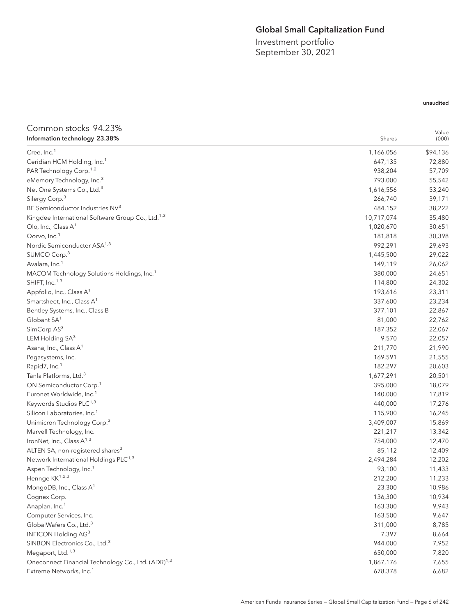## Global Small Capitalization Fund

Investment portfolio September 30, 2021

## unaudited

| Common stocks 94.23%                                           |            | Value    |
|----------------------------------------------------------------|------------|----------|
| Information technology 23.38%                                  | Shares     | (000)    |
| Cree, Inc. <sup>1</sup>                                        | 1,166,056  | \$94,136 |
| Ceridian HCM Holding, Inc. <sup>1</sup>                        | 647,135    | 72,880   |
| PAR Technology Corp. <sup>1,2</sup>                            | 938,204    | 57,709   |
| eMemory Technology, Inc. <sup>3</sup>                          | 793,000    | 55,542   |
| Net One Systems Co., Ltd. <sup>3</sup>                         | 1,616,556  | 53,240   |
| Silergy Corp. <sup>3</sup>                                     | 266,740    | 39,171   |
| BE Semiconductor Industries NV3                                | 484,152    | 38,222   |
| Kingdee International Software Group Co., Ltd. <sup>1,3</sup>  | 10,717,074 | 35,480   |
| Olo, Inc., Class $A^1$                                         | 1,020,670  | 30,651   |
| Qorvo, Inc. <sup>1</sup>                                       | 181,818    | 30,398   |
| Nordic Semiconductor ASA <sup>1,3</sup>                        | 992,291    | 29,693   |
| SUMCO Corp. <sup>3</sup>                                       | 1,445,500  | 29,022   |
| Avalara, Inc. <sup>1</sup>                                     | 149,119    | 26,062   |
| MACOM Technology Solutions Holdings, Inc. <sup>1</sup>         | 380,000    | 24,651   |
| SHIFT, Inc. <sup>1,3</sup>                                     | 114,800    | 24,302   |
| Appfolio, Inc., Class A <sup>1</sup>                           | 193,616    | 23,311   |
| Smartsheet, Inc., Class A <sup>1</sup>                         | 337,600    | 23,234   |
| Bentley Systems, Inc., Class B                                 | 377,101    | 22,867   |
| Globant SA <sup>1</sup>                                        | 81,000     | 22,762   |
| SimCorp AS <sup>3</sup>                                        | 187,352    | 22,067   |
| LEM Holding SA <sup>3</sup>                                    | 9,570      | 22,057   |
| Asana, Inc., Class A <sup>1</sup>                              | 211,770    | 21,990   |
| Pegasystems, Inc.                                              | 169,591    | 21,555   |
| Rapid7, Inc. <sup>1</sup>                                      | 182,297    | 20,603   |
| Tanla Platforms, Ltd. <sup>3</sup>                             | 1,677,291  | 20,501   |
| ON Semiconductor Corp. <sup>1</sup>                            | 395,000    | 18,079   |
| Euronet Worldwide, Inc. <sup>1</sup>                           | 140,000    | 17,819   |
| Keywords Studios PLC <sup>1,3</sup>                            | 440,000    | 17,276   |
| Silicon Laboratories, Inc. <sup>1</sup>                        | 115,900    | 16,245   |
| Unimicron Technology Corp. <sup>3</sup>                        | 3,409,007  | 15,869   |
| Marvell Technology, Inc.                                       | 221,217    | 13,342   |
| IronNet, Inc., Class A <sup>1,3</sup>                          | 754,000    | 12,470   |
| ALTEN SA, non-registered shares <sup>3</sup>                   | 85,112     | 12,409   |
| Network International Holdings PLC <sup>1,3</sup>              | 2,494,284  | 12,202   |
| Aspen Technology, Inc. <sup>1</sup>                            | 93,100     | 11,433   |
| Hennge KK <sup>1,2,3</sup>                                     | 212,200    | 11,233   |
| MongoDB, Inc., Class A <sup>1</sup>                            | 23,300     | 10,986   |
| Cognex Corp.                                                   | 136,300    | 10,934   |
| Anaplan, Inc. <sup>1</sup>                                     | 163,300    | 9,943    |
| Computer Services, Inc.                                        | 163,500    | 9,647    |
| GlobalWafers Co., Ltd. <sup>3</sup>                            | 311,000    | 8,785    |
| INFICON Holding AG3                                            | 7,397      | 8,664    |
| SINBON Electronics Co., Ltd. <sup>3</sup>                      | 944,000    | 7,952    |
| Megaport, Ltd. <sup>1,3</sup>                                  | 650,000    | 7,820    |
| Oneconnect Financial Technology Co., Ltd. (ADR) <sup>1,2</sup> | 1,867,176  | 7,655    |
| Extreme Networks, Inc. <sup>1</sup>                            | 678,378    | 6,682    |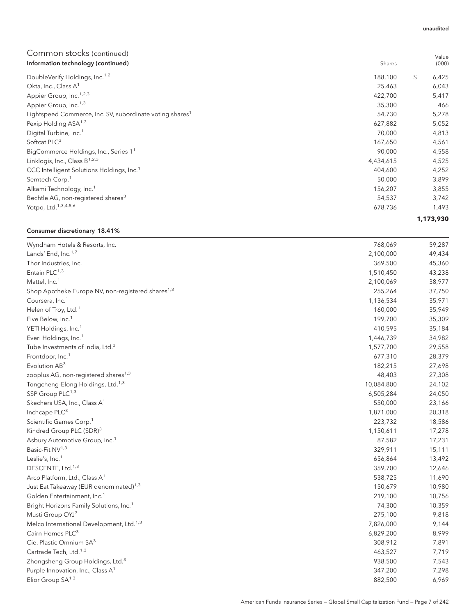| Information technology (continued)                                   | Shares    | (000)       |
|----------------------------------------------------------------------|-----------|-------------|
| DoubleVerify Holdings, Inc. <sup>1,2</sup>                           | 188,100   | \$<br>6,425 |
| Okta, Inc., Class A <sup>1</sup>                                     | 25,463    | 6,043       |
| Appier Group, Inc. <sup>1,2,3</sup>                                  | 422,700   | 5,417       |
| Appier Group, Inc. <sup>1,3</sup>                                    | 35,300    | 466         |
| Lightspeed Commerce, Inc. SV, subordinate voting shares <sup>1</sup> | 54,730    | 5,278       |
| Pexip Holding ASA <sup>1,3</sup>                                     | 627,882   | 5,052       |
| Digital Turbine, Inc. <sup>1</sup>                                   | 70,000    | 4,813       |
| Softcat PLC <sup>3</sup>                                             | 167,650   | 4,561       |
| BigCommerce Holdings, Inc., Series 1 <sup>1</sup>                    | 90,000    | 4,558       |
| Linklogis, Inc., Class B <sup>1,2,3</sup>                            | 4,434,615 | 4,525       |
| CCC Intelligent Solutions Holdings, Inc. <sup>1</sup>                | 404,600   | 4,252       |
| Semtech Corp. <sup>1</sup>                                           | 50,000    | 3,899       |
| Alkami Technology, Inc. <sup>1</sup>                                 | 156,207   | 3,855       |
| Bechtle AG, non-registered shares <sup>3</sup>                       | 54,537    | 3,742       |
| Yotpo, Ltd. <sup>1,3,4,5,6</sup>                                     | 678,736   | 1,493       |
|                                                                      |           | 1,173,930   |

## Consumer discretionary 18.41%

| Wyndham Hotels & Resorts, Inc.                                | 768,069    | 59,287 |
|---------------------------------------------------------------|------------|--------|
| Lands' End, Inc. <sup>1,7</sup>                               | 2,100,000  | 49,434 |
| Thor Industries, Inc.                                         | 369,500    | 45,360 |
| Entain PLC <sup>1,3</sup>                                     | 1,510,450  | 43,238 |
| Mattel, Inc. <sup>1</sup>                                     | 2,100,069  | 38,977 |
| Shop Apotheke Europe NV, non-registered shares <sup>1,3</sup> | 255,264    | 37,750 |
| Coursera, Inc. <sup>1</sup>                                   | 1,136,534  | 35,971 |
| Helen of Troy, Ltd. <sup>1</sup>                              | 160,000    | 35,949 |
| Five Below, Inc. <sup>1</sup>                                 | 199,700    | 35,309 |
| YETI Holdings, Inc. <sup>1</sup>                              | 410,595    | 35,184 |
| Everi Holdings, Inc. <sup>1</sup>                             | 1,446,739  | 34,982 |
| Tube Investments of India, Ltd. <sup>3</sup>                  | 1,577,700  | 29,558 |
| Frontdoor, Inc. <sup>1</sup>                                  | 677,310    | 28,379 |
| Evolution AB <sup>3</sup>                                     | 182,215    | 27,698 |
| zooplus AG, non-registered shares <sup>1,3</sup>              | 48,403     | 27,308 |
| Tongcheng-Elong Holdings, Ltd. <sup>1,3</sup>                 | 10,084,800 | 24,102 |
| SSP Group PLC <sup>1,3</sup>                                  | 6,505,284  | 24,050 |
| Skechers USA, Inc., Class A <sup>1</sup>                      | 550,000    | 23,166 |
| Inchcape PLC <sup>3</sup>                                     | 1,871,000  | 20,318 |
| Scientific Games Corp. <sup>1</sup>                           | 223,732    | 18,586 |
| Kindred Group PLC (SDR) <sup>3</sup>                          | 1,150,611  | 17,278 |
| Asbury Automotive Group, Inc. <sup>1</sup>                    | 87,582     | 17,231 |
| Basic-Fit NV <sup>1,3</sup>                                   | 329,911    | 15,111 |
| Leslie's, Inc. <sup>1</sup>                                   | 656,864    | 13,492 |
| DESCENTE, Ltd. <sup>1,3</sup>                                 | 359,700    | 12,646 |
| Arco Platform, Ltd., Class A <sup>1</sup>                     | 538,725    | 11,690 |
| Just Eat Takeaway (EUR denominated) <sup>1,3</sup>            | 150,679    | 10,980 |
| Golden Entertainment, Inc. <sup>1</sup>                       | 219,100    | 10,756 |
| Bright Horizons Family Solutions, Inc. <sup>1</sup>           | 74,300     | 10,359 |
| Musti Group OYJ <sup>3</sup>                                  | 275,100    | 9,818  |
| Melco International Development, Ltd. <sup>1,3</sup>          | 7,826,000  | 9,144  |
| Cairn Homes PLC <sup>3</sup>                                  | 6,829,200  | 8,999  |
| Cie. Plastic Omnium SA <sup>3</sup>                           | 308,912    | 7,891  |
| Cartrade Tech, Ltd. <sup>1,3</sup>                            | 463,527    | 7,719  |
| Zhongsheng Group Holdings, Ltd. <sup>3</sup>                  | 938,500    | 7,543  |
| Purple Innovation, Inc., Class A <sup>1</sup>                 | 347,200    | 7,298  |
| Elior Group $SA^{1,3}$                                        | 882,500    | 6,969  |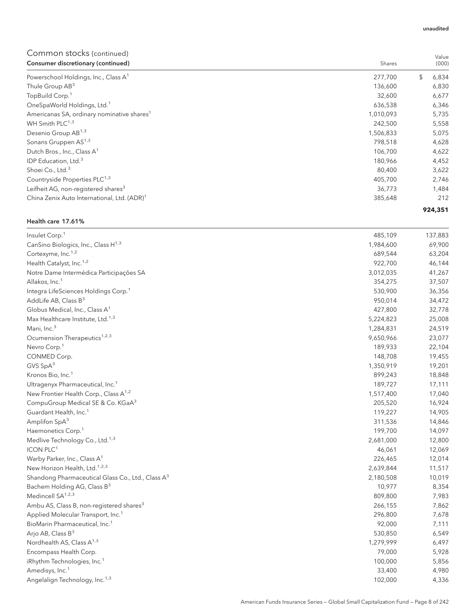| Consumer discretionary (continued)                      | Shares    | (000)       |
|---------------------------------------------------------|-----------|-------------|
| Powerschool Holdings, Inc., Class A <sup>1</sup>        | 277,700   | \$<br>6,834 |
| Thule Group AB <sup>3</sup>                             | 136,600   | 6,830       |
| TopBuild Corp. <sup>1</sup>                             | 32,600    | 6,677       |
| OneSpaWorld Holdings, Ltd. <sup>1</sup>                 | 636,538   | 6,346       |
| Americanas SA, ordinary nominative shares <sup>1</sup>  | 1,010,093 | 5,735       |
| WH Smith PLC <sup>1,3</sup>                             | 242,500   | 5,558       |
| Desenio Group AB <sup>1,3</sup>                         | 1,506,833 | 5,075       |
| Sonans Gruppen AS <sup>1,3</sup>                        | 798,518   | 4,628       |
| Dutch Bros., Inc., Class A <sup>1</sup>                 | 106,700   | 4,622       |
| IDP Education, Ltd. <sup>3</sup>                        | 180,966   | 4,452       |
| Shoei Co., Ltd. <sup>3</sup>                            | 80,400    | 3,622       |
| Countryside Properties PLC <sup>1,3</sup>               | 405,700   | 2,746       |
| Leifheit AG, non-registered shares <sup>3</sup>         | 36,773    | 1,484       |
| China Zenix Auto International, Ltd. (ADR) <sup>1</sup> | 385,648   | 212         |
|                                                         |           | 924,351     |

#### Health care 17.61%

| Insulet Corp. <sup>1</sup>                                    | 485,109   | 137,883 |
|---------------------------------------------------------------|-----------|---------|
| CanSino Biologics, Inc., Class H <sup>1,3</sup>               | 1,984,600 | 69,900  |
| Cortexyme, Inc. <sup>1,2</sup>                                | 689,544   | 63,204  |
| Health Catalyst, Inc. <sup>1,2</sup>                          | 922,700   | 46,144  |
| Notre Dame Intermédica Participações SA                       | 3,012,035 | 41,267  |
| Allakos, Inc. <sup>1</sup>                                    | 354,275   | 37,507  |
| Integra LifeSciences Holdings Corp. <sup>1</sup>              | 530,900   | 36,356  |
| AddLife AB, Class $B^3$                                       | 950,014   | 34,472  |
| Globus Medical, Inc., Class A <sup>1</sup>                    | 427,800   | 32,778  |
| Max Healthcare Institute, Ltd. <sup>1,3</sup>                 | 5,224,823 | 25,008  |
| Mani, Inc. <sup>3</sup>                                       | 1,284,831 | 24,519  |
| Ocumension Therapeutics <sup>1,2,3</sup>                      | 9,650,966 | 23,077  |
| Nevro Corp. <sup>1</sup>                                      | 189,933   | 22,104  |
| CONMED Corp.                                                  | 148,708   | 19,455  |
| GVS $SpA3$                                                    | 1,350,919 | 19,201  |
| Kronos Bio, Inc. <sup>1</sup>                                 | 899,243   | 18,848  |
| Ultragenyx Pharmaceutical, Inc. <sup>1</sup>                  | 189,727   | 17,111  |
| New Frontier Health Corp., Class A <sup>1,2</sup>             | 1,517,400 | 17,040  |
| CompuGroup Medical SE & Co. KGaA <sup>3</sup>                 | 205,520   | 16,924  |
| Guardant Health, Inc. <sup>1</sup>                            | 119,227   | 14,905  |
| Amplifon SpA <sup>3</sup>                                     | 311,536   | 14,846  |
| Haemonetics Corp. <sup>1</sup>                                | 199,700   | 14,097  |
| Medlive Technology Co., Ltd. <sup>1,3</sup>                   | 2,681,000 | 12,800  |
| <b>ICON PLC<sup>1</sup></b>                                   | 46,061    | 12,069  |
| Warby Parker, Inc., Class A <sup>1</sup>                      | 226,465   | 12,014  |
| New Horizon Health, Ltd. <sup>1,2,3</sup>                     | 2,639,844 | 11,517  |
| Shandong Pharmaceutical Glass Co., Ltd., Class A <sup>3</sup> | 2,180,508 | 10,019  |
| Bachem Holding AG, Class B <sup>3</sup>                       | 10,977    | 8,354   |
| Medincell SA <sup>1,2,3</sup>                                 | 809,800   | 7,983   |
| Ambu AS, Class B, non-registered shares <sup>3</sup>          | 266,155   | 7,862   |
| Applied Molecular Transport, Inc. <sup>1</sup>                | 296,800   | 7,678   |
| BioMarin Pharmaceutical, Inc. <sup>1</sup>                    | 92,000    | 7,111   |
| Arjo AB, Class B <sup>3</sup>                                 | 530,850   | 6,549   |
| Nordhealth AS, Class A <sup>1,3</sup>                         | 1,279,999 | 6,497   |
| Encompass Health Corp.                                        | 79,000    | 5,928   |
| iRhythm Technologies, Inc. <sup>1</sup>                       | 100,000   | 5,856   |
| Amedisys, Inc. <sup>1</sup>                                   | 33,400    | 4,980   |
| Angelalign Technology, Inc. <sup>1,3</sup>                    | 102,000   | 4,336   |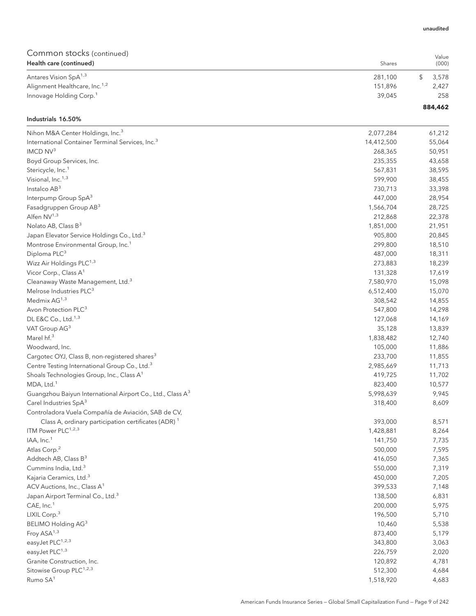| Health care (continued)                   | Shares  | (000)   |
|-------------------------------------------|---------|---------|
| Antares Vision SpA <sup>1,3</sup>         | 281.100 | 3.578   |
| Alignment Healthcare, Inc. <sup>1,2</sup> | 151.896 | 2,427   |
| Innovage Holding Corp. <sup>1</sup>       | 39.045  | 258     |
|                                           |         | 884,462 |

#### Industrials 16.50%

| Nihon M&A Center Holdings, Inc. <sup>3</sup>                           | 2,077,284  | 61,212 |
|------------------------------------------------------------------------|------------|--------|
| International Container Terminal Services, Inc. <sup>3</sup>           | 14,412,500 | 55,064 |
| IMCD NV <sup>3</sup>                                                   | 268,365    | 50,951 |
| Boyd Group Services, Inc.                                              | 235,355    | 43,658 |
| Stericycle, Inc. <sup>1</sup>                                          | 567,831    | 38,595 |
| Visional, Inc. <sup>1,3</sup>                                          | 599,900    | 38,455 |
| Instalco AB <sup>3</sup>                                               | 730,713    | 33,398 |
| Interpump Group SpA <sup>3</sup>                                       | 447,000    | 28,954 |
| Fasadgruppen Group AB <sup>3</sup>                                     | 1,566,704  | 28,725 |
| Alfen NV <sup>1,3</sup>                                                | 212,868    | 22,378 |
| Nolato AB, Class B <sup>3</sup>                                        | 1,851,000  | 21,951 |
| Japan Elevator Service Holdings Co., Ltd. <sup>3</sup>                 | 905,800    | 20,845 |
| Montrose Environmental Group, Inc. <sup>1</sup>                        | 299,800    | 18,510 |
| Diploma PLC <sup>3</sup>                                               | 487,000    | 18,311 |
| Wizz Air Holdings PLC <sup>1,3</sup>                                   | 273,883    | 18,239 |
| Vicor Corp., Class A <sup>1</sup>                                      | 131,328    | 17,619 |
| Cleanaway Waste Management, Ltd. <sup>3</sup>                          | 7,580,970  | 15,098 |
| Melrose Industries PLC <sup>3</sup>                                    | 6,512,400  | 15,070 |
| Medmix AG <sup>1,3</sup>                                               | 308,542    | 14,855 |
| Avon Protection PLC <sup>3</sup>                                       | 547,800    | 14,298 |
| DL E&C Co., Ltd. <sup>1,3</sup>                                        | 127,068    | 14,169 |
| VAT Group AG <sup>3</sup>                                              | 35,128     | 13,839 |
| Marel hf. <sup>3</sup>                                                 | 1,838,482  | 12,740 |
| Woodward, Inc.                                                         | 105,000    | 11,886 |
| Cargotec OYJ, Class B, non-registered shares <sup>3</sup>              | 233,700    | 11,855 |
| Centre Testing International Group Co., Ltd. <sup>3</sup>              | 2,985,669  | 11,713 |
| Shoals Technologies Group, Inc., Class A <sup>1</sup>                  | 419,725    | 11,702 |
| MDA, Ltd. <sup>1</sup>                                                 | 823,400    | 10,577 |
| Guangzhou Baiyun International Airport Co., Ltd., Class A <sup>3</sup> | 5,998,639  | 9,945  |
| Carel Industries SpA <sup>3</sup>                                      | 318,400    | 8,609  |
| Controladora Vuela Compañía de Aviación, SAB de CV,                    |            |        |
| Class A, ordinary participation certificates (ADR) 1                   | 393,000    | 8,571  |
| ITM Power PLC <sup>1,2,3</sup>                                         | 1,428,881  | 8,264  |
| IAA, Inc. <sup>1</sup>                                                 | 141,750    | 7,735  |
| Atlas Corp. <sup>2</sup>                                               | 500,000    | 7,595  |
| Addtech AB, Class B <sup>3</sup>                                       | 416,050    | 7,365  |
| Cummins India, Ltd. <sup>3</sup>                                       | 550,000    | 7,319  |
| Kajaria Ceramics, Ltd. <sup>3</sup>                                    | 450,000    | 7,205  |
| ACV Auctions, Inc., Class A <sup>1</sup>                               | 399,533    | 7,148  |
| Japan Airport Terminal Co., Ltd. <sup>3</sup>                          | 138,500    | 6,831  |
| CAE, Inc. <sup>1</sup>                                                 | 200,000    | 5,975  |
| LIXIL Corp. <sup>3</sup>                                               | 196,500    | 5,710  |
| BELIMO Holding AG3                                                     | 10,460     | 5,538  |
| Froy $ASA^{1,3}$                                                       | 873,400    | 5,179  |
| easyJet PLC <sup>1,2,3</sup>                                           | 343,800    | 3,063  |
| easyJet PLC <sup>1,3</sup>                                             | 226,759    | 2,020  |
| Granite Construction, Inc.                                             | 120,892    | 4,781  |
| Sitowise Group PLC <sup>1,2,3</sup>                                    | 512,300    | 4,684  |
| Rumo SA <sup>1</sup>                                                   | 1,518,920  | 4,683  |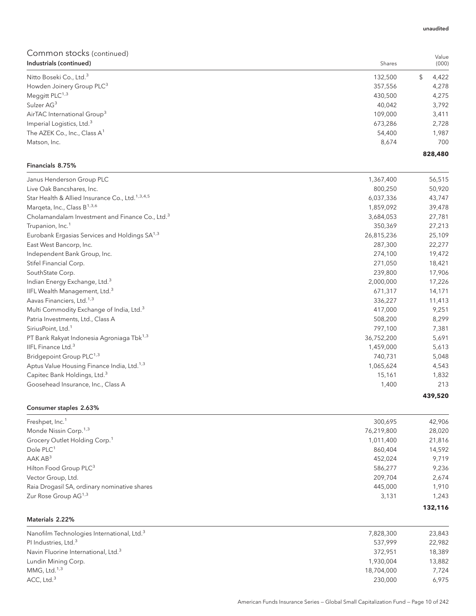## Common stocks (continued) **Industrials (continued)** Shares **Shares** Shares **Shares** Shares **Shares** Shares **Shares** Shares **Shares** Shares **Shares** Shares **Shares** Shares **Shares Shares Shares Shares Shares Shares Shares Shares Shar** Nitto Boseki Co., Ltd.<sup>3</sup> 4,422 Howden Joinery Group PLC<sup>3</sup> 278 4,278 Meggitt PLC<sup>1,3</sup>  $4.275$ Sulzer AG $^3$   $3,792$ AirTAC International Group<sup>3</sup> 2,411 2,410 3,411 2,410 3,411 2,52 3,411 2,53 3,411 2,53 4,411 2,53 4,411 2,53 4,411 2,53 4,411 2,53 4,411 2,53 4,411 2,53 4,411 2,53 4,411 2,53 4,411 2,53 4,411 2,53 4,411 2,53 4,411 2,53 4,4 Imperial Logistics, Ltd.<sup>3</sup> 2,728 The AZEK Co., Inc., Class A<sup>1</sup>  $54,400$   $1,987$ Matson, Inc. 8,674 700 Financials 8.75% Janus Henderson Group PLC 66,515 Live Oak Bancshares, Inc. 6. 2002 12:34 and 2002 12:34 and 2002 12:34 and 2002 12:34 and 2002 12:34 and 2002 12:34 and 2003 12:34 and 2003 12:34 and 2003 12:34 and 2003 12:34 and 2003 12:34 and 2003 12:34 and 2003 12:34 an Star Health & Allied Insurance Co., Ltd.<sup>1,3,4,5</sup> 6,037,336  $\,$  43,747  $\,$  6,037,336  $\,$  43,747  $\,$

| Star Health & Allied Insurance Co., Ltd. 1,3,4,5            | 6,037,336  | 43,747  |
|-------------------------------------------------------------|------------|---------|
| Marqeta, Inc., Class B <sup>1,3,6</sup>                     | 1,859,092  | 39,478  |
| Cholamandalam Investment and Finance Co., Ltd. <sup>3</sup> | 3,684,053  | 27,781  |
| Trupanion, Inc. <sup>1</sup>                                | 350,369    | 27,213  |
| Eurobank Ergasias Services and Holdings SA <sup>1,3</sup>   | 26,815,236 | 25,109  |
| East West Bancorp, Inc.                                     | 287,300    | 22,277  |
| Independent Bank Group, Inc.                                | 274,100    | 19,472  |
| Stifel Financial Corp.                                      | 271,050    | 18,421  |
| SouthState Corp.                                            | 239,800    | 17,906  |
| Indian Energy Exchange, Ltd. <sup>3</sup>                   | 2,000,000  | 17,226  |
| IIFL Wealth Management, Ltd. <sup>3</sup>                   | 671,317    | 14,171  |
| Aavas Financiers, Ltd. <sup>1,3</sup>                       | 336,227    | 11,413  |
| Multi Commodity Exchange of India, Ltd. <sup>3</sup>        | 417,000    | 9,251   |
| Patria Investments, Ltd., Class A                           | 508,200    | 8,299   |
| SiriusPoint, Ltd. <sup>1</sup>                              | 797,100    | 7,381   |
| PT Bank Rakyat Indonesia Agroniaga Tbk <sup>1,3</sup>       | 36,752,200 | 5,691   |
| IIFL Finance Ltd. <sup>3</sup>                              | 1,459,000  | 5,613   |
| Bridgepoint Group PLC <sup>1,3</sup>                        | 740,731    | 5,048   |
| Aptus Value Housing Finance India, Ltd. <sup>1,3</sup>      | 1,065,624  | 4,543   |
| Capitec Bank Holdings, Ltd. <sup>3</sup>                    | 15,161     | 1,832   |
| Goosehead Insurance, Inc., Class A                          | 1,400      | 213     |
|                                                             |            | 439,520 |

### Consumer staples 2.63%

| Freshpet, Inc. <sup>1</sup>                  | 300.695    | 42,906  |
|----------------------------------------------|------------|---------|
| Monde Nissin Corp. <sup>1,3</sup>            | 76,219,800 | 28,020  |
| Grocery Outlet Holding Corp. <sup>1</sup>    | 1,011,400  | 21,816  |
| Dole PLC <sup>1</sup>                        | 860,404    | 14,592  |
| AAKAB <sup>3</sup>                           | 452,024    | 9.719   |
| Hilton Food Group PLC <sup>3</sup>           | 586,277    | 9,236   |
| Vector Group, Ltd.                           | 209.704    | 2,674   |
| Raia Drogasil SA, ordinary nominative shares | 445,000    | 1.910   |
| Zur Rose Group AG <sup>1,3</sup>             | 3,131      | 1.243   |
|                                              |            | 132,116 |

| Materials 2.22% |  |
|-----------------|--|
|                 |  |

| Nanofilm Technologies International, Ltd. <sup>3</sup><br>7,828,300 |           | 23,843 |
|---------------------------------------------------------------------|-----------|--------|
| PI Industries, Ltd. <sup>3</sup>                                    | 537.999   | 22,982 |
| Navin Fluorine International, Ltd. <sup>3</sup>                     | 372.951   | 18,389 |
| Lundin Mining Corp.                                                 | 1.930.004 | 13,882 |
| MMG, Ltd. $1,3$<br>18,704,000                                       |           | 7.724  |
| ACC, Ltd. <sup>3</sup>                                              | 230,000   | 6.975  |

Value (000)

**828,480**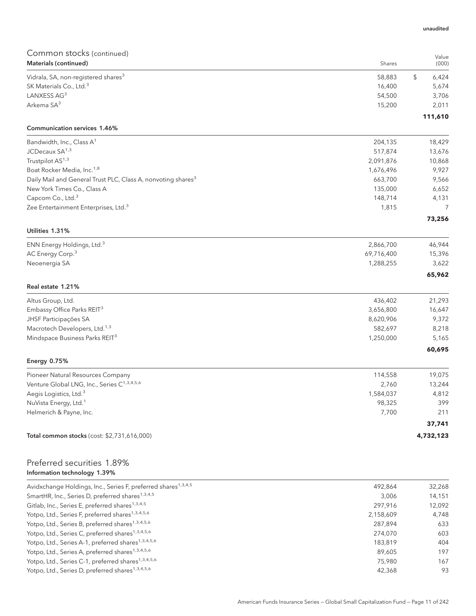| Common stocks (continued)                                                |                    |                 |
|--------------------------------------------------------------------------|--------------------|-----------------|
| Materials (continued)                                                    | Shares             | Value<br>(000)  |
| Vidrala, SA, non-registered shares <sup>3</sup>                          | 58,883             | \$<br>6,424     |
| SK Materials Co., Ltd. <sup>3</sup>                                      | 16,400             | 5,674           |
| LANXESS AG3                                                              | 54,500             | 3,706           |
| Arkema SA <sup>3</sup>                                                   | 15,200             | 2,011           |
| <b>Communication services 1.46%</b>                                      |                    | 111,610         |
| Bandwidth, Inc., Class A <sup>1</sup>                                    | 204,135            | 18,429          |
| JCDecaux SA <sup>1,3</sup>                                               | 517,874            | 13,676          |
| Trustpilot AS <sup>1,3</sup>                                             | 2,091,876          | 10,868          |
| Boat Rocker Media, Inc. <sup>1,8</sup>                                   | 1,676,496          | 9,927           |
| Daily Mail and General Trust PLC, Class A, nonvoting shares <sup>3</sup> | 663,700            | 9,566           |
| New York Times Co., Class A                                              | 135,000            | 6,652           |
| Capcom Co., Ltd. <sup>3</sup>                                            | 148,714            | 4,131           |
| Zee Entertainment Enterprises, Ltd. <sup>3</sup>                         | 1,815              | 7               |
|                                                                          |                    | 73,256          |
| Utilities 1.31%                                                          |                    |                 |
| ENN Energy Holdings, Ltd. <sup>3</sup>                                   | 2,866,700          | 46,944          |
| AC Energy Corp. <sup>3</sup>                                             | 69,716,400         | 15,396          |
| Neoenergia SA                                                            | 1,288,255          | 3,622           |
|                                                                          |                    | 65,962          |
| Real estate 1.21%                                                        |                    |                 |
| Altus Group, Ltd.                                                        | 436,402            | 21,293          |
| Embassy Office Parks REIT <sup>3</sup>                                   | 3,656,800          | 16,647          |
| JHSF Participações SA                                                    | 8,620,906          | 9,372           |
| Macrotech Developers, Ltd. <sup>1,3</sup>                                | 582,697            | 8,218           |
| Mindspace Business Parks REIT <sup>3</sup>                               | 1,250,000          | 5,165           |
| <b>Energy 0.75%</b>                                                      |                    | 60,695          |
| Pioneer Natural Resources Company                                        |                    |                 |
| Venture Global LNG, Inc., Series C <sup>1,3,4,5,6</sup>                  | 114,558            | 19,075          |
| Aegis Logistics, Ltd. <sup>3</sup>                                       | 2,760<br>1,584,037 | 13,244<br>4,812 |
| NuVista Energy, Ltd. <sup>1</sup>                                        | 98,325             | 399             |
| Helmerich & Payne, Inc.                                                  | 7,700              | 211             |
|                                                                          |                    | 37,741          |
| Total common stocks (cost: \$2,731,616,000)                              |                    | 4,732,123       |
|                                                                          |                    |                 |
| Preferred securities 1.89%<br>Information technology 1.39%               |                    |                 |

| Avidxchange Holdings, Inc., Series F, preferred shares <sup>1,3,4,5</sup> | 492.864   | 32,268 |
|---------------------------------------------------------------------------|-----------|--------|
| SmartHR, Inc., Series D, preferred shares <sup>1,3,4,5</sup>              | 3.006     | 14,151 |
| Gitlab, Inc., Series E, preferred shares <sup>1,3,4,5</sup>               | 297.916   | 12,092 |
| Yotpo, Ltd., Series F, preferred shares <sup>1,3,4,5,6</sup>              | 2,158,609 | 4.748  |
| Yotpo, Ltd., Series B, preferred shares <sup>1,3,4,5,6</sup>              | 287.894   | 633    |
| Yotpo, Ltd., Series C, preferred shares <sup>1,3,4,5,6</sup>              | 274.070   | 603    |
| Yotpo, Ltd., Series A-1, preferred shares <sup>1,3,4,5,6</sup>            | 183.819   | 404    |
| Yotpo, Ltd., Series A, preferred shares <sup>1,3,4,5,6</sup>              | 89.605    | 197    |
| Yotpo, Ltd., Series C-1, preferred shares <sup>1,3,4,5,6</sup>            | 75,980    | 167    |
| Yotpo, Ltd., Series D, preferred shares <sup>1,3,4,5,6</sup>              | 42,368    | 93     |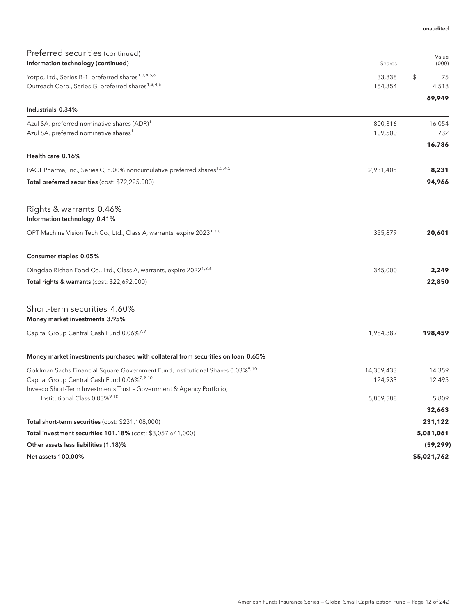| Preferred securities (continued)                                                           |            | Value       |
|--------------------------------------------------------------------------------------------|------------|-------------|
| Information technology (continued)                                                         | Shares     | (000)       |
| Yotpo, Ltd., Series B-1, preferred shares <sup>1,3,4,5,6</sup>                             | 33,838     | \$<br>75    |
| Outreach Corp., Series G, preferred shares <sup>1,3,4,5</sup>                              | 154,354    | 4,518       |
| Industrials 0.34%                                                                          |            | 69,949      |
| Azul SA, preferred nominative shares (ADR) <sup>1</sup>                                    | 800,316    | 16,054      |
| Azul SA, preferred nominative shares <sup>1</sup>                                          | 109,500    | 732         |
|                                                                                            |            | 16,786      |
| Health care 0.16%                                                                          |            |             |
| PACT Pharma, Inc., Series C, 8.00% noncumulative preferred shares <sup>1,3,4,5</sup>       | 2,931,405  | 8,231       |
| Total preferred securities (cost: \$72,225,000)                                            |            | 94,966      |
| Rights & warrants 0.46%<br>Information technology 0.41%                                    |            |             |
| OPT Machine Vision Tech Co., Ltd., Class A, warrants, expire 2023 <sup>1,3,6</sup>         | 355,879    | 20,601      |
| Consumer staples 0.05%                                                                     |            |             |
| Qingdao Richen Food Co., Ltd., Class A, warrants, expire 2022 <sup>1,3,6</sup>             | 345,000    | 2,249       |
| Total rights & warrants (cost: \$22,692,000)                                               |            | 22,850      |
| Short-term securities 4.60%<br>Money market investments 3.95%                              |            |             |
| Capital Group Central Cash Fund 0.06%7,9                                                   | 1,984,389  | 198,459     |
| Money market investments purchased with collateral from securities on loan 0.65%           |            |             |
| Goldman Sachs Financial Square Government Fund, Institutional Shares 0.03% <sup>9,10</sup> | 14,359,433 | 14,359      |
| Capital Group Central Cash Fund 0.06% <sup>7,9,10</sup>                                    | 124,933    | 12,495      |
| Invesco Short-Term Investments Trust - Government & Agency Portfolio,                      |            |             |
| Institutional Class 0.03% <sup>9,10</sup>                                                  | 5,809,588  | 5,809       |
|                                                                                            |            | 32,663      |
| Total short-term securities (cost: \$231,108,000)                                          |            | 231,122     |
| Total investment securities 101.18% (cost: \$3,057,641,000)                                |            | 5,081,061   |
| Other assets less liabilities (1.18)%                                                      |            | (59, 299)   |
| Net assets 100.00%                                                                         |            | \$5,021,762 |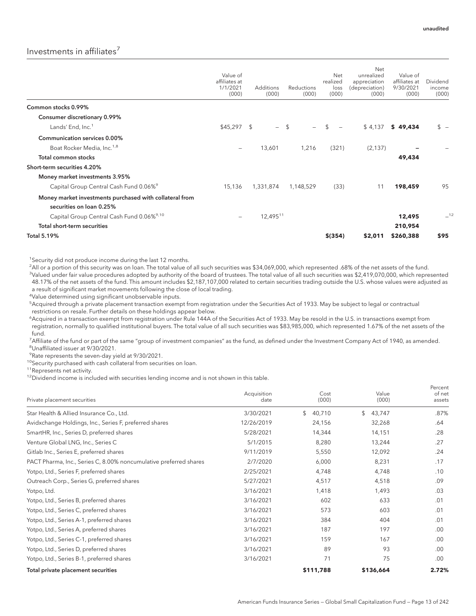## Investments in affiliates<sup>7</sup>

|                                                                                     | Value of<br>affiliates at<br>1/1/2021<br>(000) | <b>Additions</b><br>(000) | Reductions<br>(000) | Net<br>realized<br>loss<br>(000)           | Net<br>unrealized<br>appreciation<br>(depreciation)<br>(000) | Value of<br>affiliates at<br>9/30/2021<br>(000) | Dividend<br>income<br>(000) |
|-------------------------------------------------------------------------------------|------------------------------------------------|---------------------------|---------------------|--------------------------------------------|--------------------------------------------------------------|-------------------------------------------------|-----------------------------|
| Common stocks 0.99%                                                                 |                                                |                           |                     |                                            |                                                              |                                                 |                             |
| Consumer discretionary 0.99%                                                        |                                                |                           |                     |                                            |                                                              |                                                 |                             |
| Lands' End, Inc. <sup>1</sup>                                                       | \$45,297                                       | \$<br>$\equiv$            | $^{\circ}$          | $\mathfrak{L}$<br>$\overline{\phantom{0}}$ | \$4,137                                                      | \$49,434                                        | $s -$                       |
| <b>Communication services 0.00%</b>                                                 |                                                |                           |                     |                                            |                                                              |                                                 |                             |
| Boat Rocker Media, Inc. <sup>1,8</sup>                                              | $\overline{\phantom{a}}$                       | 13,601                    | 1,216               | (321)                                      | (2, 137)                                                     |                                                 |                             |
| Total common stocks                                                                 |                                                |                           |                     |                                            |                                                              | 49,434                                          |                             |
| Short-term securities 4.20%                                                         |                                                |                           |                     |                                            |                                                              |                                                 |                             |
| Money market investments 3.95%                                                      |                                                |                           |                     |                                            |                                                              |                                                 |                             |
| Capital Group Central Cash Fund 0.06% <sup>9</sup>                                  | 15,136                                         | 1,331,874                 | 1,148,529           | (33)                                       | 11                                                           | 198,459                                         | 95                          |
| Money market investments purchased with collateral from<br>securities on loan 0.25% |                                                |                           |                     |                                            |                                                              |                                                 |                             |
| Capital Group Central Cash Fund 0.06% <sup>9,10</sup>                               | $\overline{\phantom{a}}$                       | 12,49511                  |                     |                                            |                                                              | 12,495                                          | $-12$                       |
| <b>Total short-term securities</b>                                                  |                                                |                           |                     |                                            |                                                              | 210,954                                         |                             |
| <b>Total 5.19%</b>                                                                  |                                                |                           |                     | $$$ (354)                                  | \$2,011                                                      | \$260,388                                       | \$95                        |

<sup>1</sup>Security did not produce income during the last 12 months.

2 All or a portion of this security was on loan. The total value of all such securities was \$34,069,000, which represented .68% of the net assets of the fund. <sup>3</sup>Valued under fair value procedures adopted by authority of the board of trustees. The total value of all such securities was \$2,419,070,000, which represented 48.17% of the net assets of the fund. This amount includes \$2,187,107,000 related to certain securities trading outside the U.S. whose values were adjusted as a result of significant market movements following the close of local trading.

4 Value determined using significant unobservable inputs.

5 Acquired through a private placement transaction exempt from registration under the Securities Act of 1933. May be subject to legal or contractual restrictions on resale. Further details on these holdings appear below.

6 Acquired in a transaction exempt from registration under Rule 144A of the Securities Act of 1933. May be resold in the U.S. in transactions exempt from registration, normally to qualified institutional buyers. The total value of all such securities was \$83,985,000, which represented 1.67% of the net assets of the fund.

7 Affiliate of the fund or part of the same "group of investment companies" as the fund, as defined under the Investment Company Act of 1940, as amended. 8 Unaffiliated issuer at 9/30/2021.

<sup>9</sup> Rate represents the seven-day yield at 9/30/2021.

<sup>10</sup>Security purchased with cash collateral from securities on loan.

11Represents net activity.

<sup>12</sup>Dividend income is included with securities lending income and is not shown in this table.

| Private placement securities                                      | Acquisition<br>date | Cost<br>(000) | Value<br>(000) | Percent<br>of net<br>assets |
|-------------------------------------------------------------------|---------------------|---------------|----------------|-----------------------------|
| Star Health & Allied Insurance Co., Ltd.                          | 3/30/2021           | \$<br>40,710  | \$<br>43,747   | .87%                        |
| Avidxchange Holdings, Inc., Series F, preferred shares            | 12/26/2019          | 24,156        | 32,268         | .64                         |
| SmartHR, Inc., Series D, preferred shares                         | 5/28/2021           | 14,344        | 14,151         | .28                         |
| Venture Global LNG, Inc., Series C                                | 5/1/2015            | 8,280         | 13,244         | .27                         |
| Gitlab Inc., Series E, preferred shares                           | 9/11/2019           | 5,550         | 12,092         | .24                         |
| PACT Pharma, Inc., Series C, 8.00% noncumulative preferred shares | 2/7/2020            | 6,000         | 8,231          | .17                         |
| Yotpo, Ltd., Series F, preferred shares                           | 2/25/2021           | 4,748         | 4,748          | .10                         |
| Outreach Corp., Series G, preferred shares                        | 5/27/2021           | 4,517         | 4,518          | .09                         |
| Yotpo, Ltd.                                                       | 3/16/2021           | 1,418         | 1,493          | .03                         |
| Yotpo, Ltd., Series B, preferred shares                           | 3/16/2021           | 602           | 633            | .01                         |
| Yotpo, Ltd., Series C, preferred shares                           | 3/16/2021           | 573           | 603            | .01                         |
| Yotpo, Ltd., Series A-1, preferred shares                         | 3/16/2021           | 384           | 404            | .01                         |
| Yotpo, Ltd., Series A, preferred shares                           | 3/16/2021           | 187           | 197            | .00.                        |
| Yotpo, Ltd., Series C-1, preferred shares                         | 3/16/2021           | 159           | 167            | .00                         |
| Yotpo, Ltd., Series D, preferred shares                           | 3/16/2021           | 89            | 93             | .00                         |
| Yotpo, Ltd., Series B-1, preferred shares                         | 3/16/2021           | 71            | 75             | .00.                        |
| Total private placement securities                                |                     | \$111,788     | \$136,664      | 2.72%                       |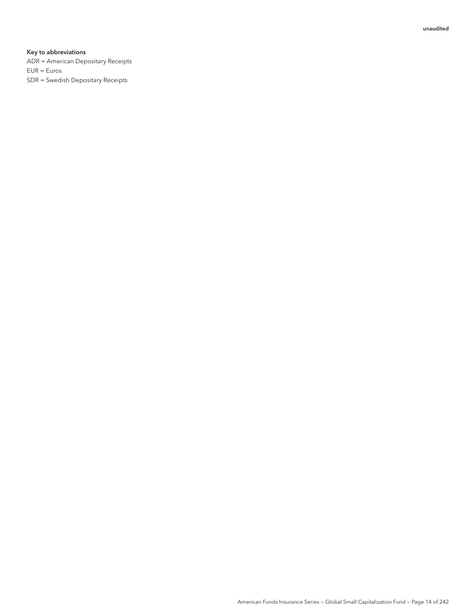#### Key to abbreviations

ADR = American Depositary Receipts EUR = Euros SDR = Swedish Depositary Receipts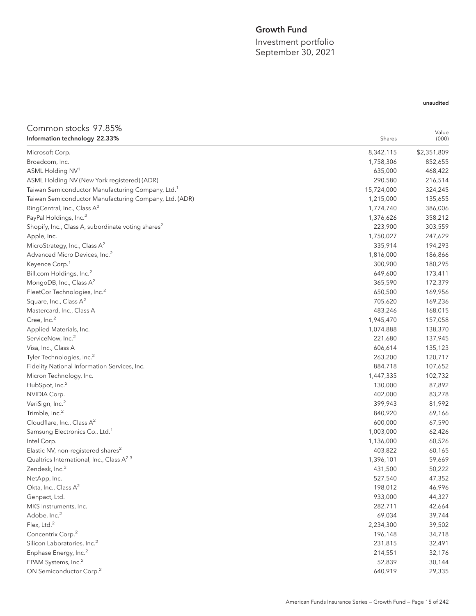## Growth Fund

Investment portfolio September 30, 2021

## Common stocks 97.85%

| Information technology 22.33%                                  | Shares     | (000)       |
|----------------------------------------------------------------|------------|-------------|
| Microsoft Corp.                                                | 8,342,115  | \$2,351,809 |
| Broadcom, Inc.                                                 | 1,758,306  | 852,655     |
| ASML Holding NV <sup>1</sup>                                   | 635,000    | 468,422     |
| ASML Holding NV (New York registered) (ADR)                    | 290,580    | 216,514     |
| Taiwan Semiconductor Manufacturing Company, Ltd. <sup>1</sup>  | 15,724,000 | 324,245     |
| Taiwan Semiconductor Manufacturing Company, Ltd. (ADR)         | 1,215,000  | 135,655     |
| RingCentral, Inc., Class A <sup>2</sup>                        | 1,774,740  | 386,006     |
| PayPal Holdings, Inc. <sup>2</sup>                             | 1,376,626  | 358,212     |
| Shopify, Inc., Class A, subordinate voting shares <sup>2</sup> | 223,900    | 303,559     |
| Apple, Inc.                                                    | 1,750,027  | 247,629     |
| MicroStrategy, Inc., Class A <sup>2</sup>                      | 335,914    | 194,293     |
| Advanced Micro Devices, Inc. <sup>2</sup>                      | 1,816,000  | 186,866     |
| Keyence Corp. <sup>1</sup>                                     | 300,900    | 180,295     |
| Bill.com Holdings, Inc. <sup>2</sup>                           | 649,600    | 173,411     |
| MongoDB, Inc., Class A <sup>2</sup>                            | 365,590    | 172,379     |
| FleetCor Technologies, Inc. <sup>2</sup>                       | 650,500    | 169,956     |
| Square, Inc., Class A <sup>2</sup>                             | 705,620    | 169,236     |
| Mastercard, Inc., Class A                                      | 483,246    | 168,015     |
| Cree, Inc. <sup>2</sup>                                        | 1,945,470  | 157,058     |
| Applied Materials, Inc.                                        | 1,074,888  | 138,370     |
| ServiceNow, Inc. <sup>2</sup>                                  | 221,680    | 137,945     |
| Visa, Inc., Class A                                            | 606,614    | 135,123     |
| Tyler Technologies, Inc. <sup>2</sup>                          | 263,200    | 120,717     |
| Fidelity National Information Services, Inc.                   | 884,718    | 107,652     |
| Micron Technology, Inc.                                        | 1,447,335  | 102,732     |
| HubSpot, Inc. <sup>2</sup>                                     | 130,000    | 87,892      |
| NVIDIA Corp.                                                   | 402,000    | 83,278      |
| VeriSign, Inc. <sup>2</sup>                                    | 399,943    | 81,992      |
| Trimble, Inc. <sup>2</sup>                                     | 840,920    | 69,166      |
| Cloudflare, Inc., Class A <sup>2</sup>                         | 600,000    | 67,590      |
| Samsung Electronics Co., Ltd. <sup>1</sup>                     | 1,003,000  | 62,426      |
| Intel Corp.                                                    | 1,136,000  | 60,526      |
| Elastic NV, non-registered shares <sup>2</sup>                 | 403,822    | 60,165      |
| Qualtrics International, Inc., Class A <sup>2,3</sup>          | 1,396,101  | 59,669      |
| Zendesk, Inc. <sup>2</sup>                                     | 431,500    | 50,222      |
| NetApp, Inc.                                                   | 527,540    | 47,352      |
| Okta, Inc., Class A <sup>2</sup>                               | 198,012    | 46,996      |
| Genpact, Ltd.                                                  | 933,000    | 44,327      |
| MKS Instruments, Inc.                                          | 282,711    | 42,664      |
| Adobe, Inc. <sup>2</sup>                                       | 69,034     | 39,744      |
| Flex, Ltd. <sup>2</sup>                                        | 2,234,300  | 39,502      |
| Concentrix Corp. <sup>2</sup>                                  | 196,148    | 34,718      |
| Silicon Laboratories, Inc. <sup>2</sup>                        | 231,815    | 32,491      |
| Enphase Energy, Inc. <sup>2</sup>                              | 214,551    | 32,176      |
| EPAM Systems, Inc. <sup>2</sup>                                | 52,839     | 30,144      |
| ON Semiconductor Corp. <sup>2</sup>                            | 640,919    | 29,335      |

## unaudited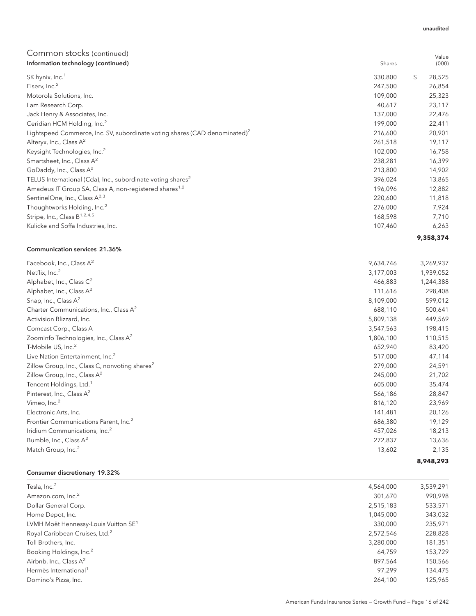Value

## Common stocks (continued)

| Information technology (continued)                                                     | Shares  | (000)        |
|----------------------------------------------------------------------------------------|---------|--------------|
| SK hynix, Inc. <sup>1</sup>                                                            | 330,800 | \$<br>28,525 |
| Fiserv, Inc. <sup>2</sup>                                                              | 247,500 | 26,854       |
| Motorola Solutions, Inc.                                                               | 109,000 | 25,323       |
| Lam Research Corp.                                                                     | 40,617  | 23,117       |
| Jack Henry & Associates, Inc.                                                          | 137,000 | 22,476       |
| Ceridian HCM Holding, Inc. <sup>2</sup>                                                | 199,000 | 22,411       |
| Lightspeed Commerce, Inc. SV, subordinate voting shares (CAD denominated) <sup>2</sup> | 216,600 | 20,901       |
| Alteryx, Inc., Class $A^2$                                                             | 261,518 | 19,117       |
| Keysight Technologies, Inc. <sup>2</sup>                                               | 102,000 | 16,758       |
| Smartsheet, Inc., Class A <sup>2</sup>                                                 | 238,281 | 16,399       |
| GoDaddy, Inc., Class A <sup>2</sup>                                                    | 213,800 | 14,902       |
| TELUS International (Cda), Inc., subordinate voting shares <sup>2</sup>                | 396,024 | 13,865       |
| Amadeus IT Group SA, Class A, non-registered shares <sup>1,2</sup>                     | 196,096 | 12,882       |
| SentinelOne, Inc., Class A <sup>2,3</sup>                                              | 220,600 | 11,818       |
| Thoughtworks Holding, Inc. <sup>2</sup>                                                | 276,000 | 7,924        |
| Stripe, Inc., Class B <sup>1,2,4,5</sup>                                               | 168,598 | 7,710        |
| Kulicke and Soffa Industries, Inc.                                                     | 107,460 | 6,263        |
|                                                                                        |         | 9,358,374    |

#### Communication services 21.36%

| Facebook, Inc., Class A <sup>2</sup>                       | 9,634,746 | 3,269,937 |
|------------------------------------------------------------|-----------|-----------|
| Netflix, Inc. <sup>2</sup>                                 | 3,177,003 | 1,939,052 |
| Alphabet, Inc., Class C <sup>2</sup>                       | 466,883   | 1,244,388 |
| Alphabet, Inc., Class A <sup>2</sup>                       | 111,616   | 298,408   |
| Snap, Inc., Class A <sup>2</sup>                           | 8,109,000 | 599,012   |
| Charter Communications, Inc., Class A <sup>2</sup>         | 688,110   | 500,641   |
| Activision Blizzard, Inc.                                  | 5,809,138 | 449,569   |
| Comcast Corp., Class A                                     | 3,547,563 | 198,415   |
| ZoomInfo Technologies, Inc., Class A <sup>2</sup>          | 1,806,100 | 110,515   |
| T-Mobile US, Inc. <sup>2</sup>                             | 652,940   | 83,420    |
| Live Nation Entertainment, Inc. <sup>2</sup>               | 517,000   | 47,114    |
| Zillow Group, Inc., Class C, nonvoting shares <sup>2</sup> | 279,000   | 24,591    |
| Zillow Group, Inc., Class $A^2$                            | 245,000   | 21,702    |
| Tencent Holdings, Ltd. <sup>1</sup>                        | 605,000   | 35,474    |
| Pinterest, Inc., Class A <sup>2</sup>                      | 566,186   | 28,847    |
| Vimeo, Inc. <sup>2</sup>                                   | 816,120   | 23,969    |
| Electronic Arts, Inc.                                      | 141,481   | 20,126    |
| Frontier Communications Parent, Inc. <sup>2</sup>          | 686,380   | 19,129    |
| Iridium Communications, Inc. <sup>2</sup>                  | 457,026   | 18,213    |
| Bumble, Inc., Class A <sup>2</sup>                         | 272,837   | 13,636    |
| Match Group, Inc. <sup>2</sup>                             | 13,602    | 2,135     |
|                                                            |           | 8,948,293 |

## Consumer discretionary 19.32%

| Tesla, Inc. <sup>2</sup>                         | 4,564,000 | 3,539,291 |
|--------------------------------------------------|-----------|-----------|
| Amazon.com, Inc. <sup>2</sup>                    | 301,670   | 990,998   |
| Dollar General Corp.                             | 2,515,183 | 533,571   |
| Home Depot, Inc.                                 | 1,045,000 | 343,032   |
| LVMH Moët Hennessy-Louis Vuitton SE <sup>1</sup> | 330,000   | 235,971   |
| Royal Caribbean Cruises, Ltd. <sup>2</sup>       | 2,572,546 | 228,828   |
| Toll Brothers, Inc.                              | 3,280,000 | 181,351   |
| Booking Holdings, Inc. <sup>2</sup>              | 64,759    | 153,729   |
| Airbnb, Inc., Class $A^2$                        | 897,564   | 150,566   |
| Hermès International <sup>1</sup>                | 97.299    | 134,475   |
| Domino's Pizza, Inc.                             | 264.100   | 125,965   |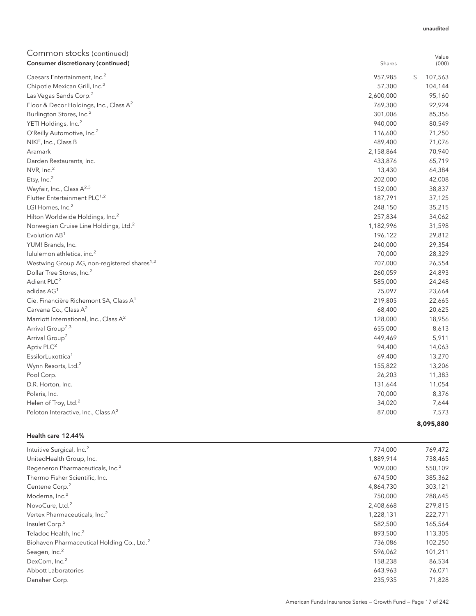Value

## Common stocks (continued)

| Consumer discretionary (continued)                      | Shares    | (000)         |
|---------------------------------------------------------|-----------|---------------|
| Caesars Entertainment, Inc. <sup>2</sup>                | 957,985   | \$<br>107,563 |
| Chipotle Mexican Grill, Inc. <sup>2</sup>               | 57,300    | 104,144       |
| Las Vegas Sands Corp. <sup>2</sup>                      | 2,600,000 | 95,160        |
| Floor & Decor Holdings, Inc., Class A <sup>2</sup>      | 769,300   | 92,924        |
| Burlington Stores, Inc. <sup>2</sup>                    | 301,006   | 85,356        |
| YETI Holdings, Inc. <sup>2</sup>                        | 940,000   | 80,549        |
| O'Reilly Automotive, Inc. <sup>2</sup>                  | 116,600   | 71,250        |
| NIKE, Inc., Class B                                     | 489,400   | 71,076        |
| Aramark                                                 | 2,158,864 | 70,940        |
| Darden Restaurants, Inc.                                | 433,876   | 65,719        |
| NVR, Inc. <sup>2</sup>                                  | 13,430    | 64,384        |
| Etsy, Inc. <sup>2</sup>                                 | 202,000   | 42,008        |
| Wayfair, Inc., Class A <sup>2,3</sup>                   | 152,000   | 38,837        |
| Flutter Entertainment PLC <sup>1,2</sup>                | 187,791   | 37,125        |
| LGI Homes, Inc. <sup>2</sup>                            | 248,150   | 35,215        |
| Hilton Worldwide Holdings, Inc. <sup>2</sup>            | 257,834   | 34,062        |
| Norwegian Cruise Line Holdings, Ltd. <sup>2</sup>       | 1,182,996 | 31,598        |
| Evolution AB <sup>1</sup>                               | 196,122   | 29,812        |
| YUM! Brands, Inc.                                       | 240,000   | 29,354        |
| lululemon athletica, inc. <sup>2</sup>                  | 70,000    | 28,329        |
| Westwing Group AG, non-registered shares <sup>1,2</sup> | 707,000   | 26,554        |
| Dollar Tree Stores, Inc. <sup>2</sup>                   | 260,059   | 24,893        |
| Adient PLC <sup>2</sup>                                 | 585,000   | 24,248        |
| adidas AG <sup>1</sup>                                  | 75,097    | 23,664        |
| Cie. Financière Richemont SA, Class A <sup>1</sup>      | 219,805   | 22,665        |
| Carvana Co., Class A <sup>2</sup>                       | 68,400    | 20,625        |
| Marriott International, Inc., Class A <sup>2</sup>      | 128,000   | 18,956        |
| Arrival Group <sup>2,3</sup>                            | 655,000   | 8,613         |
| Arrival Group <sup>2</sup>                              | 449,469   | 5,911         |
| Aptiv PLC <sup>2</sup>                                  | 94,400    | 14,063        |
| EssilorLuxottica <sup>1</sup>                           | 69,400    | 13,270        |
| Wynn Resorts, Ltd. <sup>2</sup>                         | 155,822   | 13,206        |
| Pool Corp.                                              | 26,203    | 11,383        |
| D.R. Horton, Inc.                                       | 131,644   | 11,054        |
| Polaris, Inc.                                           | 70,000    | 8,376         |
| Helen of Troy, Ltd. <sup>2</sup>                        | 34,020    | 7,644         |
| Peloton Interactive, Inc., Class A <sup>2</sup>         | 87,000    | 7,573         |
|                                                         |           | 8,095,880     |

#### Health care 12.44%

| Intuitive Surgical, Inc. <sup>2</sup>                  | 774,000   | 769,472 |
|--------------------------------------------------------|-----------|---------|
| UnitedHealth Group, Inc.                               | 1.889.914 | 738,465 |
| Regeneron Pharmaceuticals, Inc. <sup>2</sup>           | 909.000   | 550,109 |
| Thermo Fisher Scientific, Inc.                         | 674,500   | 385,362 |
| Centene Corp. <sup>2</sup>                             | 4,864,730 | 303,121 |
| Moderna, Inc. <sup>2</sup>                             | 750,000   | 288,645 |
| NovoCure, Ltd. <sup>2</sup>                            | 2,408,668 | 279,815 |
| Vertex Pharmaceuticals, Inc. <sup>2</sup>              | 1,228,131 | 222,771 |
| Insulet Corp. <sup>2</sup>                             | 582,500   | 165,564 |
| Teladoc Health, Inc. <sup>2</sup>                      | 893,500   | 113,305 |
| Biohaven Pharmaceutical Holding Co., Ltd. <sup>2</sup> | 736,086   | 102,250 |
| Seagen, Inc. <sup>2</sup>                              | 596,062   | 101,211 |
| DexCom, Inc. <sup>2</sup>                              | 158,238   | 86,534  |
| Abbott Laboratories                                    | 643,963   | 76,071  |
| Danaher Corp.                                          | 235,935   | 71,828  |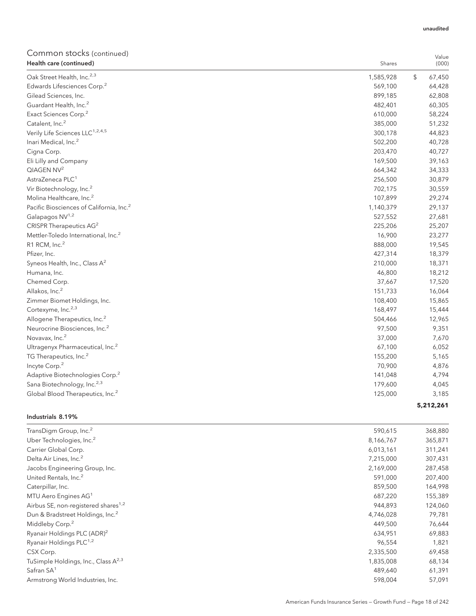## Common stocks (continued)

| Health care (continued)                              | Shares    | Value<br>(000) |
|------------------------------------------------------|-----------|----------------|
| Oak Street Health, Inc. <sup>2,3</sup>               | 1,585,928 | \$<br>67,450   |
| Edwards Lifesciences Corp. <sup>2</sup>              | 569,100   | 64,428         |
| Gilead Sciences, Inc.                                | 899,185   | 62,808         |
| Guardant Health, Inc. <sup>2</sup>                   | 482,401   | 60,305         |
| Exact Sciences Corp. <sup>2</sup>                    | 610,000   | 58,224         |
| Catalent, Inc. <sup>2</sup>                          | 385,000   | 51,232         |
| Verily Life Sciences LLC <sup>1,2,4,5</sup>          | 300,178   | 44,823         |
| Inari Medical, Inc. <sup>2</sup>                     | 502,200   | 40,728         |
| Cigna Corp.                                          | 203,470   | 40,727         |
| Eli Lilly and Company                                | 169,500   | 39,163         |
| QIAGEN NV <sup>2</sup>                               | 664,342   | 34,333         |
| AstraZeneca PLC <sup>1</sup>                         | 256,500   | 30,879         |
| Vir Biotechnology, Inc. <sup>2</sup>                 | 702,175   | 30,559         |
| Molina Healthcare, Inc. <sup>2</sup>                 | 107,899   | 29,274         |
| Pacific Biosciences of California, Inc. <sup>2</sup> | 1,140,379 | 29,137         |
| Galapagos NV <sup>1,2</sup>                          | 527,552   | 27,681         |
| CRISPR Therapeutics AG <sup>2</sup>                  | 225,206   | 25,207         |
| Mettler-Toledo International, Inc. <sup>2</sup>      | 16,900    | 23,277         |
| R1 RCM, Inc. <sup>2</sup>                            | 888,000   | 19,545         |
| Pfizer, Inc.                                         | 427,314   | 18,379         |
| Syneos Health, Inc., Class A <sup>2</sup>            | 210,000   | 18,371         |
| Humana, Inc.                                         | 46,800    | 18,212         |
| Chemed Corp.                                         | 37,667    | 17,520         |
| Allakos, Inc. <sup>2</sup>                           | 151,733   | 16,064         |
| Zimmer Biomet Holdings, Inc.                         | 108,400   | 15,865         |
| Cortexyme, Inc. <sup>2,3</sup>                       | 168,497   | 15,444         |
| Allogene Therapeutics, Inc. <sup>2</sup>             | 504,466   | 12,965         |
| Neurocrine Biosciences, Inc. <sup>2</sup>            | 97,500    | 9,351          |
| Novavax, Inc. <sup>2</sup>                           | 37,000    | 7,670          |
| Ultragenyx Pharmaceutical, Inc. <sup>2</sup>         | 67,100    | 6,052          |
| TG Therapeutics, Inc. <sup>2</sup>                   | 155,200   | 5,165          |
| Incyte Corp. <sup>2</sup>                            | 70,900    | 4,876          |
| Adaptive Biotechnologies Corp. <sup>2</sup>          | 141,048   | 4,794          |
| Sana Biotechnology, Inc. <sup>2,3</sup>              | 179,600   | 4,045          |
| Global Blood Therapeutics, Inc. <sup>2</sup>         | 125,000   | 3,185          |
|                                                      |           | 5,212,261      |

#### Industrials 8.19%

| TransDigm Group, Inc. <sup>2</sup>              | 590,615   | 368,880 |
|-------------------------------------------------|-----------|---------|
| Uber Technologies, Inc. <sup>2</sup>            | 8,166,767 | 365,871 |
| Carrier Global Corp.                            | 6,013,161 | 311,241 |
| Delta Air Lines, Inc. <sup>2</sup>              | 7,215,000 | 307,431 |
| Jacobs Engineering Group, Inc.                  | 2,169,000 | 287,458 |
| United Rentals, Inc. <sup>2</sup>               | 591,000   | 207,400 |
| Caterpillar, Inc.                               | 859,500   | 164,998 |
| MTU Aero Engines AG <sup>1</sup>                | 687,220   | 155,389 |
| Airbus SE, non-registered shares <sup>1,2</sup> | 944,893   | 124,060 |
| Dun & Bradstreet Holdings, Inc. <sup>2</sup>    | 4,746,028 | 79,781  |
| Middleby Corp. <sup>2</sup>                     | 449,500   | 76,644  |
| Ryanair Holdings PLC (ADR) <sup>2</sup>         | 634,951   | 69,883  |
| Ryanair Holdings PLC <sup>1,2</sup>             | 96,554    | 1,821   |
| CSX Corp.                                       | 2,335,500 | 69,458  |
| TuSimple Holdings, Inc., Class A <sup>2,3</sup> | 1,835,008 | 68,134  |
| Safran SA <sup>1</sup>                          | 489,640   | 61,391  |
| Armstrong World Industries, Inc.                | 598,004   | 57,091  |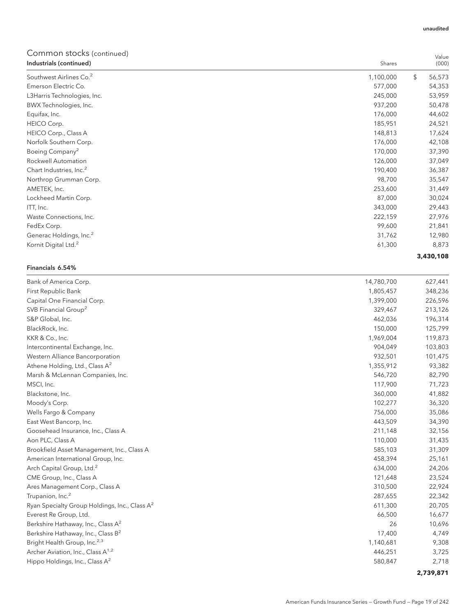## Common stocks (continued)

| oommon stocks (commeta)<br>Industrials (continued) | Shares    | Value<br>(000) |
|----------------------------------------------------|-----------|----------------|
| Southwest Airlines Co. <sup>2</sup>                | 1,100,000 | \$<br>56,573   |
| Emerson Electric Co.                               | 577,000   | 54,353         |
| L3Harris Technologies, Inc.                        | 245,000   | 53,959         |
| BWX Technologies, Inc.                             | 937,200   | 50,478         |
| Equifax, Inc.                                      | 176,000   | 44,602         |
| HEICO Corp.                                        | 185,951   | 24,521         |
| HEICO Corp., Class A                               | 148,813   | 17,624         |
| Norfolk Southern Corp.                             | 176,000   | 42,108         |
| Boeing Company <sup>2</sup>                        | 170,000   | 37,390         |
| Rockwell Automation                                | 126,000   | 37,049         |
| Chart Industries, Inc. <sup>2</sup>                | 190,400   | 36,387         |
| Northrop Grumman Corp.                             | 98,700    | 35,547         |
| AMETEK, Inc.                                       | 253,600   | 31,449         |
| Lockheed Martin Corp.                              | 87,000    | 30,024         |
| ITT, Inc.                                          | 343,000   | 29,443         |
| Waste Connections, Inc.                            | 222,159   | 27,976         |
| FedEx Corp.                                        | 99,600    | 21,841         |
| Generac Holdings, Inc. <sup>2</sup>                | 31,762    | 12,980         |
| Kornit Digital Ltd. <sup>2</sup>                   | 61,300    | 8,873          |
|                                                    |           | 3,430,108      |

### Financials 6.54%

| Bank of America Corp.                                     | 14,780,700 | 627,441   |
|-----------------------------------------------------------|------------|-----------|
| First Republic Bank                                       | 1,805,457  | 348,236   |
| Capital One Financial Corp.                               | 1,399,000  | 226,596   |
| SVB Financial Group <sup>2</sup>                          | 329,467    | 213,126   |
| S&P Global, Inc.                                          | 462,036    | 196,314   |
| BlackRock, Inc.                                           | 150,000    | 125,799   |
| KKR & Co., Inc.                                           | 1,969,004  | 119,873   |
| Intercontinental Exchange, Inc.                           | 904,049    | 103,803   |
| Western Alliance Bancorporation                           | 932,501    | 101,475   |
| Athene Holding, Ltd., Class A <sup>2</sup>                | 1,355,912  | 93,382    |
| Marsh & McLennan Companies, Inc.                          | 546,720    | 82,790    |
| MSCI, Inc.                                                | 117,900    | 71,723    |
| Blackstone, Inc.                                          | 360,000    | 41,882    |
| Moody's Corp.                                             | 102,277    | 36,320    |
| Wells Fargo & Company                                     | 756,000    | 35,086    |
| East West Bancorp, Inc.                                   | 443,509    | 34,390    |
| Goosehead Insurance, Inc., Class A                        | 211,148    | 32,156    |
| Aon PLC, Class A                                          | 110,000    | 31,435    |
| Brookfield Asset Management, Inc., Class A                | 585,103    | 31,309    |
| American International Group, Inc.                        | 458,394    | 25,161    |
| Arch Capital Group, Ltd. <sup>2</sup>                     | 634,000    | 24,206    |
| CME Group, Inc., Class A                                  | 121,648    | 23,524    |
| Ares Management Corp., Class A                            | 310,500    | 22,924    |
| Trupanion, Inc. <sup>2</sup>                              | 287,655    | 22,342    |
| Ryan Specialty Group Holdings, Inc., Class A <sup>2</sup> | 611,300    | 20,705    |
| Everest Re Group, Ltd.                                    | 66,500     | 16,677    |
| Berkshire Hathaway, Inc., Class A <sup>2</sup>            | 26         | 10,696    |
| Berkshire Hathaway, Inc., Class B <sup>2</sup>            | 17,400     | 4,749     |
| Bright Health Group, Inc. <sup>2,3</sup>                  | 1,140,681  | 9,308     |
| Archer Aviation, Inc., Class A <sup>1,2</sup>             | 446,251    | 3,725     |
| Hippo Holdings, Inc., Class A <sup>2</sup>                | 580,847    | 2,718     |
|                                                           |            | 2.720.074 |

**2,739,871**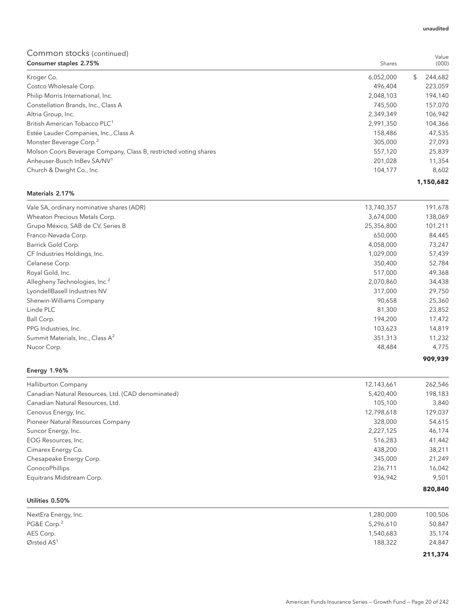| Consumer staples 2.75%                                           | Shares    | (000)         |
|------------------------------------------------------------------|-----------|---------------|
| Kroger Co.                                                       | 6,052,000 | \$<br>244.682 |
| Costco Wholesale Corp.                                           | 496.404   | 223,059       |
| Philip Morris International, Inc.                                | 2,048,103 | 194,140       |
| Constellation Brands, Inc., Class A                              | 745.500   | 157,070       |
| Altria Group, Inc.                                               | 2,349,349 | 106,942       |
| British American Tobacco PLC <sup>1</sup>                        | 2,991,350 | 104,366       |
| Estée Lauder Companies, Inc., Class A                            | 158,486   | 47,535        |
| Monster Beverage Corp. <sup>2</sup>                              | 305,000   | 27,093        |
| Molson Coors Beverage Company, Class B, restricted voting shares | 557,120   | 25,839        |
| Anheuser-Busch InBey SA/NV <sup>1</sup>                          | 201.028   | 11,354        |
| Church & Dwight Co., Inc.                                        | 104,177   | 8,602         |
|                                                                  |           | 1,150,682     |

#### Materials 2.17%

| Vale SA, ordinary nominative shares (ADR)    | 13,740,357 | 191,678 |
|----------------------------------------------|------------|---------|
| Wheaton Precious Metals Corp.                | 3,674,000  | 138,069 |
| Grupo México, SAB de CV, Series B            | 25,356,800 | 101,211 |
| Franco-Nevada Corp.                          | 650,000    | 84,445  |
| Barrick Gold Corp.                           | 4,058,000  | 73,247  |
| CF Industries Holdings, Inc.                 | 1,029,000  | 57,439  |
| Celanese Corp.                               | 350,400    | 52,784  |
| Royal Gold, Inc.                             | 517,000    | 49,368  |
| Allegheny Technologies, Inc. <sup>2</sup>    | 2,070,860  | 34,438  |
| LyondellBasell Industries NV                 | 317,000    | 29,750  |
| Sherwin-Williams Company                     | 90,658     | 25,360  |
| Linde PLC                                    | 81,300     | 23,852  |
| Ball Corp.                                   | 194,200    | 17,472  |
| PPG Industries, Inc.                         | 103,623    | 14,819  |
| Summit Materials, Inc., Class A <sup>2</sup> | 351,313    | 11,232  |
| Nucor Corp.                                  | 48,484     | 4,775   |
|                                              |            | 909,939 |

## Energy 1.96%

| 38,211<br>21.249<br>16,042<br>9,501 |
|-------------------------------------|
|                                     |
|                                     |
|                                     |
|                                     |
| 41,442                              |
| 46,174                              |
| 54,615                              |
| 129,037                             |
| 3,840                               |
| 198,183                             |
| 262,546                             |
|                                     |

## Utilities 0.50%

| NextEra Energy, Inc.    | 1,280,000 | 100,506 |
|-------------------------|-----------|---------|
| PG&E Corp. <sup>2</sup> | 5,296,610 | 50,847  |
| AES Corp.               | 1,540,683 | 35,174  |
| Ørsted $AS1$            | 188,322   | 24,847  |
|                         |           | 211,374 |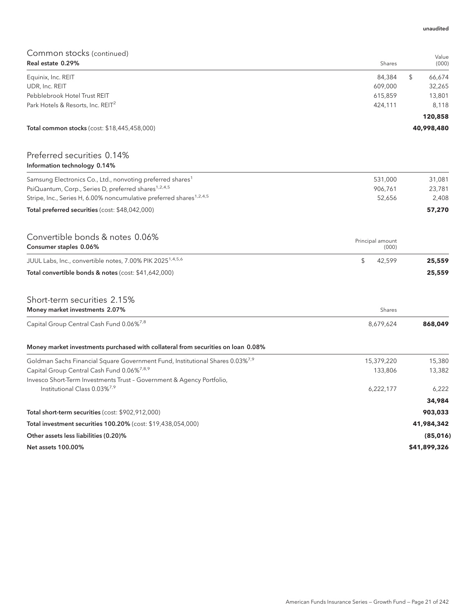| COMMON SLOCKS (continued)<br>Real estate 0.29%                                            | Shares           | Value<br>(000) |
|-------------------------------------------------------------------------------------------|------------------|----------------|
| Equinix, Inc. REIT                                                                        | 84,384           | \$<br>66,674   |
| UDR, Inc. REIT                                                                            | 609,000          | 32,265         |
| Pebblebrook Hotel Trust REIT                                                              | 615,859          | 13,801         |
| Park Hotels & Resorts, Inc. REIT <sup>2</sup>                                             | 424,111          | 8,118          |
|                                                                                           |                  | 120,858        |
| <b>Total common stocks</b> (cost: \$18,445,458,000)                                       |                  | 40,998,480     |
| Preferred securities 0.14%<br>Information technology 0.14%                                |                  |                |
| Samsung Electronics Co., Ltd., nonvoting preferred shares <sup>1</sup>                    | 531,000          | 31,081         |
| PsiQuantum, Corp., Series D, preferred shares <sup>1,2,4,5</sup>                          | 906,761          | 23,781         |
| Stripe, Inc., Series H, 6.00% noncumulative preferred shares <sup>1,2,4,5</sup>           | 52,656           | 2,408          |
| Total preferred securities (cost: \$48,042,000)                                           |                  | 57,270         |
| Convertible bonds & notes 0.06%                                                           | Principal amount |                |
| Consumer staples 0.06%                                                                    | (000)            |                |
| JUUL Labs, Inc., convertible notes, 7.00% PIK 2025 <sup>1,4,5,6</sup>                     | \$<br>42,599     | 25,559         |
| Total convertible bonds & notes (cost: \$41,642,000)                                      |                  | 25,559         |
| Short-term securities 2.15%                                                               |                  |                |
| Money market investments 2.07%                                                            | Shares           |                |
| Capital Group Central Cash Fund 0.06%7,8                                                  | 8,679,624        | 868,049        |
| Money market investments purchased with collateral from securities on loan 0.08%          |                  |                |
| Goldman Sachs Financial Square Government Fund, Institutional Shares 0.03% <sup>7,9</sup> | 15,379,220       | 15,380         |
| Capital Group Central Cash Fund 0.06% <sup>7,8,9</sup>                                    | 133,806          | 13,382         |
| Invesco Short-Term Investments Trust - Government & Agency Portfolio,                     |                  |                |
| Institutional Class 0.03% <sup>7,9</sup>                                                  | 6,222,177        | 6,222          |
|                                                                                           |                  | 34,984         |
| Total short-term securities (cost: \$902,912,000)                                         |                  | 903,033        |
| Total investment securities 100.20% (cost: \$19,438,054,000)                              |                  | 41,984,342     |
| Other assets less liabilities (0.20)%                                                     |                  | (85,016)       |
| <b>Net assets 100.00%</b>                                                                 |                  | \$41,899,326   |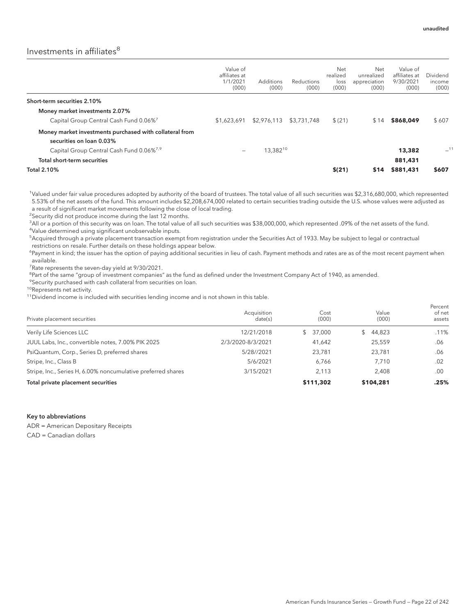Percent

## Investments in affiliates<sup>8</sup>

|                                                                                     | Value of<br>affiliates at<br>1/1/2021<br>(000) | Additions<br>(000) | <b>Reductions</b><br>(000) | Net<br>realized<br>loss<br>(000) | Net<br>unrealized<br>appreciation<br>(000) | Value of<br>affiliates at<br>9/30/2021<br>(000) | Dividend<br>income<br>(000) |
|-------------------------------------------------------------------------------------|------------------------------------------------|--------------------|----------------------------|----------------------------------|--------------------------------------------|-------------------------------------------------|-----------------------------|
| Short-term securities 2.10%                                                         |                                                |                    |                            |                                  |                                            |                                                 |                             |
| Money market investments 2.07%                                                      |                                                |                    |                            |                                  |                                            |                                                 |                             |
| Capital Group Central Cash Fund 0.06% <sup>7</sup>                                  | \$1,623,691                                    | \$2,976,113        | \$3,731,748                | \$(21)                           | \$14                                       | \$868,049                                       | \$607                       |
| Money market investments purchased with collateral from<br>securities on loan 0.03% |                                                |                    |                            |                                  |                                            |                                                 |                             |
| Capital Group Central Cash Fund 0.06% <sup>7,9</sup>                                | -                                              | 13,38210           |                            |                                  |                                            | 13,382                                          | $-11$                       |
| Total short-term securities                                                         |                                                |                    |                            |                                  |                                            | 881,431                                         |                             |
| <b>Total 2.10%</b>                                                                  |                                                |                    |                            | \$(21)                           | \$14                                       | \$881,431                                       | \$607                       |

1 Valued under fair value procedures adopted by authority of the board of trustees. The total value of all such securities was \$2,316,680,000, which represented 5.53% of the net assets of the fund. This amount includes \$2,208,674,000 related to certain securities trading outside the U.S. whose values were adjusted as a result of significant market movements following the close of local trading.

<sup>2</sup>Security did not produce income during the last 12 months.

3 All or a portion of this security was on loan. The total value of all such securities was \$38,000,000, which represented .09% of the net assets of the fund. 4 Value determined using significant unobservable inputs.

5 Acquired through a private placement transaction exempt from registration under the Securities Act of 1933. May be subject to legal or contractual restrictions on resale. Further details on these holdings appear below.

<sup>6</sup>Payment in kind; the issuer has the option of paying additional securities in lieu of cash. Payment methods and rates are as of the most recent payment when available.

<sup>7</sup> Rate represents the seven-day yield at 9/30/2021.

<sup>8</sup>Part of the same "group of investment companies" as the fund as defined under the Investment Company Act of 1940, as amended.

<sup>9</sup>Security purchased with cash collateral from securities on loan.

10Represents net activity.

<sup>11</sup>Dividend income is included with securities lending income and is not shown in this table.

| Private placement securities                                 | Acquisition<br>date(s) | Cost<br>(000)           | Value<br>(000) | <b>ICICCIIL</b><br>of net<br>assets |
|--------------------------------------------------------------|------------------------|-------------------------|----------------|-------------------------------------|
| Verily Life Sciences LLC                                     | 12/21/2018             | 37,000<br>$\mathcal{L}$ | 44,823         | .11%                                |
| JUUL Labs, Inc., convertible notes, 7.00% PIK 2025           | 2/3/2020-8/3/2021      | 41,642                  | 25,559         | .06                                 |
| PsiQuantum, Corp., Series D, preferred shares                | 5/28//2021             | 23,781                  | 23,781         | .06                                 |
| Stripe, Inc., Class B                                        | 5/6/2021               | 6.766                   | 7.710          | .02                                 |
| Stripe, Inc., Series H, 6.00% noncumulative preferred shares | 3/15/2021              | 2.113                   | 2.408          | .00                                 |
| Total private placement securities                           |                        | \$111,302               | \$104,281      | .25%                                |

#### Key to abbreviations

ADR = American Depositary Receipts

CAD = Canadian dollars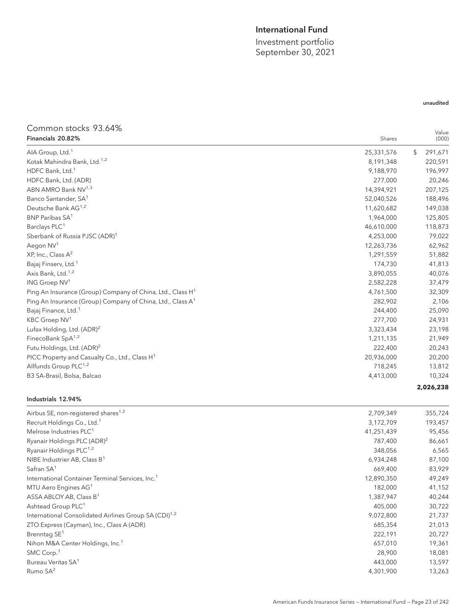## International Fund

Investment portfolio September 30, 2021

## Common stocks 93.64% Financials 20.82% Shares

| Financials 20.82%                                                      | Shares     | Value<br>(000) |
|------------------------------------------------------------------------|------------|----------------|
| AIA Group, Ltd. <sup>1</sup>                                           | 25,331,576 | 291,671<br>\$  |
| Kotak Mahindra Bank, Ltd. <sup>1,2</sup>                               | 8,191,348  | 220,591        |
| HDFC Bank, Ltd. <sup>1</sup>                                           | 9,188,970  | 196,997        |
| HDFC Bank, Ltd. (ADR)                                                  | 277,000    | 20,246         |
| ABN AMRO Bank NV <sup>1,3</sup>                                        | 14,394,921 | 207,125        |
| Banco Santander, SA <sup>1</sup>                                       | 52,040,526 | 188,496        |
| Deutsche Bank AG <sup>1,2</sup>                                        | 11,620,682 | 149,038        |
| BNP Paribas SA <sup>1</sup>                                            | 1,964,000  | 125,805        |
| Barclays PLC <sup>1</sup>                                              | 46,610,000 | 118,873        |
| Sberbank of Russia PJSC (ADR) <sup>1</sup>                             | 4,253,000  | 79,022         |
| Aegon NV <sup>1</sup>                                                  | 12,263,736 | 62,962         |
| XP, Inc., Class A <sup>2</sup>                                         | 1,291,559  | 51,882         |
| Bajaj Finserv, Ltd. <sup>1</sup>                                       | 174,730    | 41,813         |
| Axis Bank, Ltd. <sup>1,2</sup>                                         | 3,890,055  | 40,076         |
| ING Groep NV <sup>1</sup>                                              | 2,582,228  | 37,479         |
| Ping An Insurance (Group) Company of China, Ltd., Class H <sup>1</sup> | 4,761,500  | 32,309         |
| Ping An Insurance (Group) Company of China, Ltd., Class A <sup>1</sup> | 282,902    | 2,106          |
| Bajaj Finance, Ltd. <sup>1</sup>                                       | 244,400    | 25,090         |
| KBC Groep NV <sup>1</sup>                                              | 277,700    | 24,931         |
| Lufax Holding, Ltd. (ADR) <sup>2</sup>                                 | 3,323,434  | 23,198         |
| FinecoBank SpA <sup>1,2</sup>                                          | 1,211,135  | 21,949         |
| Futu Holdings, Ltd. (ADR) <sup>2</sup>                                 | 222,400    | 20,243         |
| PICC Property and Casualty Co., Ltd., Class H <sup>1</sup>             | 20,936,000 | 20,200         |
| Allfunds Group PLC <sup>1,2</sup>                                      | 718,245    | 13,812         |
| B3 SA-Brasil, Bolsa, Balcao                                            | 4,413,000  | 10,324         |

## Industrials 12.94%

| Airbus SE, non-registered shares <sup>1,2</sup>                   | 2,709,349  | 355,724 |
|-------------------------------------------------------------------|------------|---------|
| Recruit Holdings Co., Ltd. <sup>1</sup>                           | 3,172,709  | 193,457 |
| Melrose Industries PLC <sup>1</sup>                               | 41,251,439 | 95,456  |
| Ryanair Holdings PLC (ADR) <sup>2</sup>                           | 787,400    | 86,661  |
| Ryanair Holdings PLC <sup>1,2</sup>                               | 348,056    | 6,565   |
| NIBE Industrier AB, Class B <sup>1</sup>                          | 6,934,248  | 87,100  |
| Safran SA <sup>1</sup>                                            | 669,400    | 83,929  |
| International Container Terminal Services, Inc. <sup>1</sup>      | 12,890,350 | 49,249  |
| MTU Aero Engines AG <sup>1</sup>                                  | 182,000    | 41,152  |
| ASSA ABLOY AB, Class B <sup>1</sup>                               | 1,387,947  | 40,244  |
| Ashtead Group PLC <sup>1</sup>                                    | 405,000    | 30,722  |
| International Consolidated Airlines Group SA (CDI) <sup>1,2</sup> | 9,072,800  | 21,737  |
| ZTO Express (Cayman), Inc., Class A (ADR)                         | 685,354    | 21,013  |
| Brenntag SE <sup>1</sup>                                          | 222,191    | 20,727  |
| Nihon M&A Center Holdings, Inc. <sup>1</sup>                      | 657,010    | 19,361  |
| SMC Corp. <sup>1</sup>                                            | 28,900     | 18,081  |
| Bureau Veritas SA <sup>1</sup>                                    | 443,000    | 13,597  |
| Rumo $SA2$                                                        | 4,301,900  | 13,263  |

## unaudited

**2,026,238**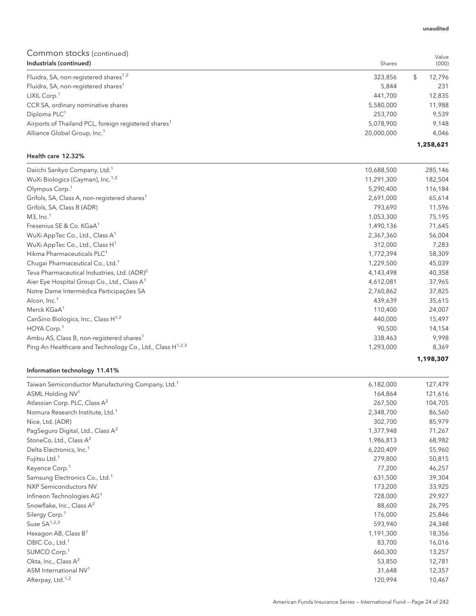| Industrials (continued)                                          | Shares     |    | (000)     |
|------------------------------------------------------------------|------------|----|-----------|
| Fluidra, SA, non-registered shares <sup>1,2</sup>                | 323,856    | £. | 12,796    |
| Fluidra, SA, non-registered shares <sup>1</sup>                  | 5.844      |    | 231       |
| LIXIL Corp. <sup>1</sup>                                         | 441.700    |    | 12,835    |
| CCR SA, ordinary nominative shares                               | 5,580,000  |    | 11,988    |
| Diploma PLC <sup>1</sup>                                         | 253,700    |    | 9,539     |
| Airports of Thailand PCL, foreign registered shares <sup>1</sup> | 5,078,900  |    | 9.148     |
| Alliance Global Group, Inc. <sup>1</sup>                         | 20,000,000 |    | 4,046     |
|                                                                  |            |    | 1,258,621 |

### Health care 12.32%

| Daiichi Sankyo Company, Ltd. <sup>1</sup>                      | 10,688,500 | 285,146   |
|----------------------------------------------------------------|------------|-----------|
| WuXi Biologics (Cayman), Inc. <sup>1,2</sup>                   | 11,291,300 | 182,504   |
| Olympus Corp. <sup>1</sup>                                     | 5,290,400  | 116,184   |
| Grifols, SA, Class A, non-registered shares <sup>1</sup>       | 2,691,000  | 65,614    |
| Grifols, SA, Class B (ADR)                                     | 793,690    | 11,596    |
| $M3$ , Inc. <sup>1</sup>                                       | 1,053,300  | 75,195    |
| Fresenius SE & Co. KGaA <sup>1</sup>                           | 1,490,136  | 71,645    |
| WuXi AppTec Co., Ltd., Class A <sup>1</sup>                    | 2,367,360  | 56,004    |
| WuXi AppTec Co., Ltd., Class $H1$                              | 312,000    | 7,283     |
| Hikma Pharmaceuticals PLC <sup>1</sup>                         | 1,772,394  | 58,309    |
| Chugai Pharmaceutical Co., Ltd. <sup>1</sup>                   | 1,229,500  | 45,039    |
| Teva Pharmaceutical Industries, Ltd. (ADR) <sup>2</sup>        | 4,143,498  | 40,358    |
| Aier Eye Hospital Group Co., Ltd., Class A <sup>1</sup>        | 4,612,081  | 37,965    |
| Notre Dame Intermédica Participações SA                        | 2,760,862  | 37,825    |
| Alcon, Inc. <sup>1</sup>                                       | 439,639    | 35,615    |
| Merck KGaA <sup>1</sup>                                        | 110,400    | 24,007    |
| CanSino Biologics, Inc., Class H <sup>1,2</sup>                | 440,000    | 15,497    |
| HOYA Corp. <sup>1</sup>                                        | 90,500     | 14,154    |
| Ambu AS, Class B, non-registered shares <sup>1</sup>           | 338,463    | 9,998     |
| Ping An Healthcare and Technology Co., Ltd., Class $H^{1,2,3}$ | 1,293,000  | 8,369     |
|                                                                |            | 1,198,307 |

## Information technology 11.41%

| Taiwan Semiconductor Manufacturing Company, Ltd. <sup>1</sup> | 6,182,000 | 127,479 |
|---------------------------------------------------------------|-----------|---------|
| ASML Holding NV <sup>1</sup>                                  | 164,864   | 121,616 |
| Atlassian Corp. PLC, Class A <sup>2</sup>                     | 267,500   | 104,705 |
| Nomura Research Institute, Ltd. <sup>1</sup>                  | 2,348,700 | 86,560  |
| Nice, Ltd. (ADR)                                              | 302,700   | 85,979  |
| PagSeguro Digital, Ltd., Class A <sup>2</sup>                 | 1,377,948 | 71,267  |
| StoneCo, Ltd., Class A <sup>2</sup>                           | 1,986,813 | 68,982  |
| Delta Electronics, Inc. <sup>1</sup>                          | 6,220,409 | 55,960  |
| Fujitsu Ltd. <sup>1</sup>                                     | 279,800   | 50,815  |
| Keyence Corp. <sup>1</sup>                                    | 77,200    | 46,257  |
| Samsung Electronics Co., Ltd. <sup>1</sup>                    | 631,500   | 39,304  |
| <b>NXP Semiconductors NV</b>                                  | 173,200   | 33,925  |
| Infineon Technologies AG <sup>1</sup>                         | 728,000   | 29,927  |
| Snowflake, Inc., Class $A^2$                                  | 88,600    | 26,795  |
| Silergy Corp. <sup>1</sup>                                    | 176,000   | 25,846  |
| Suse $SA^{1,2,3}$                                             | 593,940   | 24,348  |
| Hexagon AB, Class $B^1$                                       | 1,191,300 | 18,356  |
| OBIC Co., Ltd. <sup>1</sup>                                   | 83,700    | 16,016  |
| SUMCO Corp. <sup>1</sup>                                      | 660,300   | 13,257  |
| Okta, Inc., Class $A^2$                                       | 53,850    | 12,781  |
| ASM International NV <sup>1</sup>                             | 31,648    | 12,357  |
| Afterpay, Ltd. <sup>1,2</sup>                                 | 120,994   | 10,467  |

#### unaudited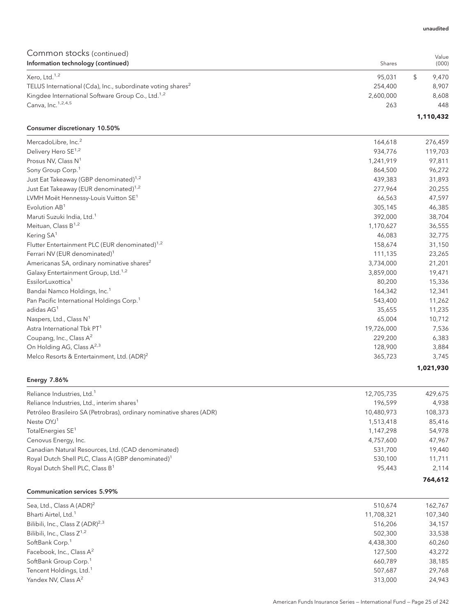| Common stocks (continued)<br>Information technology (continued)         | Shares    |   | Value<br>(000) |
|-------------------------------------------------------------------------|-----------|---|----------------|
|                                                                         |           |   |                |
| Xero, Ltd. <sup>1,2</sup>                                               | 95.031    | S | 9.470          |
| TELUS International (Cda), Inc., subordinate voting shares <sup>2</sup> | 254,400   |   | 8.907          |
| Kingdee International Software Group Co., Ltd. <sup>1,2</sup>           | 2,600,000 |   | 8,608          |
| Canva, Inc. 1,2,4,5                                                     | 263       |   | 448            |
|                                                                         |           |   | 1,110,432      |

## Consumer discretionary 10.50%

| MercadoLibre, Inc. <sup>2</sup>                            | 164,618    | 276,459   |
|------------------------------------------------------------|------------|-----------|
| Delivery Hero SE <sup>1,2</sup>                            | 934,776    | 119,703   |
| Prosus NV, Class N <sup>1</sup>                            | 1,241,919  | 97,811    |
| Sony Group Corp. <sup>1</sup>                              | 864,500    | 96,272    |
| Just Eat Takeaway (GBP denominated) <sup>1,2</sup>         | 439,383    | 31,893    |
| Just Eat Takeaway (EUR denominated) <sup>1,2</sup>         | 277,964    | 20,255    |
| LVMH Moët Hennessy-Louis Vuitton SE <sup>1</sup>           | 66,563     | 47,597    |
| Evolution AB <sup>1</sup>                                  | 305,145    | 46,385    |
| Maruti Suzuki India, Ltd. <sup>1</sup>                     | 392,000    | 38,704    |
| Meituan, Class $B^{1,2}$                                   | 1,170,627  | 36,555    |
| Kering SA <sup>1</sup>                                     | 46,083     | 32,775    |
| Flutter Entertainment PLC (EUR denominated) <sup>1,2</sup> | 158,674    | 31,150    |
| Ferrari NV (EUR denominated) <sup>1</sup>                  | 111,135    | 23,265    |
| Americanas SA, ordinary nominative shares <sup>2</sup>     | 3,734,000  | 21,201    |
| Galaxy Entertainment Group, Ltd. <sup>1,2</sup>            | 3,859,000  | 19,471    |
| EssilorLuxottica <sup>1</sup>                              | 80,200     | 15,336    |
| Bandai Namco Holdings, Inc. <sup>1</sup>                   | 164,342    | 12,341    |
| Pan Pacific International Holdings Corp. <sup>1</sup>      | 543,400    | 11,262    |
| adidas AG <sup>1</sup>                                     | 35,655     | 11,235    |
| Naspers, Ltd., Class N <sup>1</sup>                        | 65,004     | 10,712    |
| Astra International Tbk PT <sup>1</sup>                    | 19,726,000 | 7,536     |
| Coupang, Inc., Class A <sup>2</sup>                        | 229.200    | 6,383     |
| On Holding AG, Class A <sup>2,3</sup>                      | 128,900    | 3,884     |
| Melco Resorts & Entertainment, Ltd. (ADR) <sup>2</sup>     | 365,723    | 3,745     |
|                                                            |            | 1,021,930 |

## Energy 7.86%

| Reliance Industries, Ltd. <sup>1</sup>                               | 12,705,735 | 429,675 |
|----------------------------------------------------------------------|------------|---------|
| Reliance Industries, Ltd., interim shares <sup>1</sup>               | 196.599    | 4,938   |
| Petróleo Brasileiro SA (Petrobras), ordinary nominative shares (ADR) | 10,480,973 | 108,373 |
| Neste $OYJ1$                                                         | 1,513,418  | 85,416  |
| TotalEnergies SE <sup>1</sup>                                        | 1,147,298  | 54,978  |
| Cenovus Energy, Inc.                                                 | 4,757,600  | 47.967  |
| Canadian Natural Resources, Ltd. (CAD denominated)                   | 531.700    | 19,440  |
| Royal Dutch Shell PLC, Class A (GBP denominated) <sup>1</sup>        | 530,100    | 11.711  |
| Royal Dutch Shell PLC, Class B <sup>1</sup>                          | 95,443     | 2.114   |
|                                                                      |            | 764.612 |

#### Communication services 5.99%

| Sea, Ltd., Class A (ADR) <sup>2</sup>        | 510.674    | 162,767 |
|----------------------------------------------|------------|---------|
| Bharti Airtel, Ltd. <sup>1</sup>             | 11,708,321 | 107,340 |
| Bilibili, Inc., Class Z (ADR) <sup>2,3</sup> | 516,206    | 34,157  |
| Bilibili, Inc., Class $Z^{1,2}$              | 502,300    | 33,538  |
| SoftBank Corp. <sup>1</sup>                  | 4,438,300  | 60,260  |
| Facebook, Inc., Class A <sup>2</sup>         | 127,500    | 43,272  |
| SoftBank Group Corp. <sup>1</sup>            | 660,789    | 38,185  |
| Tencent Holdings, Ltd. <sup>1</sup>          | 507.687    | 29,768  |
| Yandex NV, Class A <sup>2</sup>              | 313,000    | 24.943  |

#### unaudited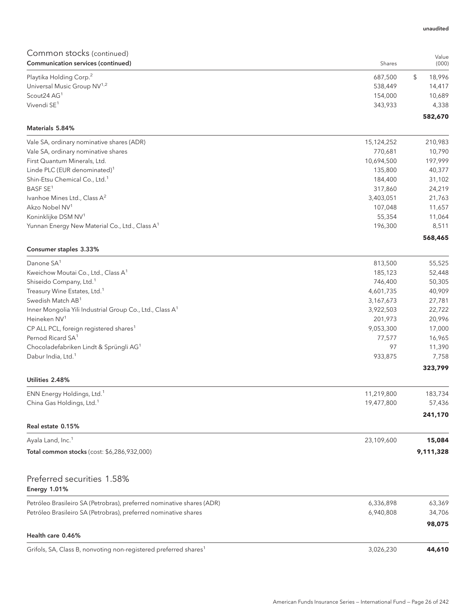| Common stocks (continued)                                             |            | Value        |
|-----------------------------------------------------------------------|------------|--------------|
| Communication services (continued)                                    | Shares     | (000)        |
| Playtika Holding Corp. <sup>2</sup>                                   | 687,500    | \$<br>18,996 |
| Universal Music Group NV <sup>1,2</sup>                               | 538,449    | 14,417       |
| Scout24 AG1                                                           | 154,000    | 10,689       |
| Vivendi SE <sup>1</sup>                                               | 343,933    | 4,338        |
| Materials 5.84%                                                       |            | 582,670      |
| Vale SA, ordinary nominative shares (ADR)                             | 15,124,252 | 210,983      |
| Vale SA, ordinary nominative shares                                   | 770,681    | 10,790       |
| First Quantum Minerals, Ltd.                                          | 10,694,500 | 197,999      |
| Linde PLC (EUR denominated) <sup>1</sup>                              | 135,800    | 40,377       |
| Shin-Etsu Chemical Co., Ltd. <sup>1</sup>                             | 184,400    | 31,102       |
| BASF SE <sup>1</sup>                                                  | 317,860    | 24,219       |
| Ivanhoe Mines Ltd., Class A <sup>2</sup>                              | 3,403,051  | 21,763       |
| Akzo Nobel NV <sup>1</sup>                                            | 107,048    | 11,657       |
| Koninklijke DSM NV <sup>1</sup>                                       | 55,354     | 11,064       |
| Yunnan Energy New Material Co., Ltd., Class A <sup>1</sup>            | 196,300    | 8,511        |
|                                                                       |            | 568,465      |
| Consumer staples 3.33%                                                |            |              |
| Danone SA <sup>1</sup>                                                | 813,500    | 55,525       |
| Kweichow Moutai Co., Ltd., Class A <sup>1</sup>                       | 185,123    | 52,448       |
| Shiseido Company, Ltd. <sup>1</sup>                                   | 746,400    | 50,305       |
| Treasury Wine Estates, Ltd. <sup>1</sup>                              | 4,601,735  | 40,909       |
| Swedish Match AB <sup>1</sup>                                         | 3,167,673  | 27,781       |
| Inner Mongolia Yili Industrial Group Co., Ltd., Class A <sup>1</sup>  | 3,922,503  | 22,722       |
| Heineken NV <sup>1</sup>                                              | 201,973    | 20,996       |
| CP ALL PCL, foreign registered shares <sup>1</sup>                    | 9,053,300  | 17,000       |
| Pernod Ricard SA <sup>1</sup>                                         | 77,577     | 16,965       |
| Chocoladefabriken Lindt & Sprüngli AG <sup>1</sup>                    | 97         | 11,390       |
| Dabur India, Ltd. <sup>1</sup>                                        | 933,875    | 7,758        |
| Utilities 2.48%                                                       |            | 323,799      |
|                                                                       |            |              |
| ENN Energy Holdings, Ltd. <sup>1</sup>                                | 11,219,800 | 183,734      |
| China Gas Holdings, Ltd. <sup>1</sup>                                 | 19,477,800 | 57,436       |
|                                                                       |            | 241,170      |
| Real estate 0.15%                                                     |            |              |
| Ayala Land, Inc. <sup>1</sup>                                         | 23,109,600 | 15,084       |
| Total common stocks (cost: \$6,286,932,000)                           |            | 9,111,328    |
| Preferred securities 1.58%                                            |            |              |
| <b>Energy 1.01%</b>                                                   |            |              |
| Petróleo Brasileiro SA (Petrobras), preferred nominative shares (ADR) | 6,336,898  | 63,369       |
| Petróleo Brasileiro SA (Petrobras), preferred nominative shares       | 6,940,808  | 34,706       |
|                                                                       |            | 98,075       |
| Health care 0.46%                                                     |            |              |

Grifols, SA, Class B, nonvoting non-registered preferred shares<sup>1</sup> 3,026,230 **44,610** 

#### unaudited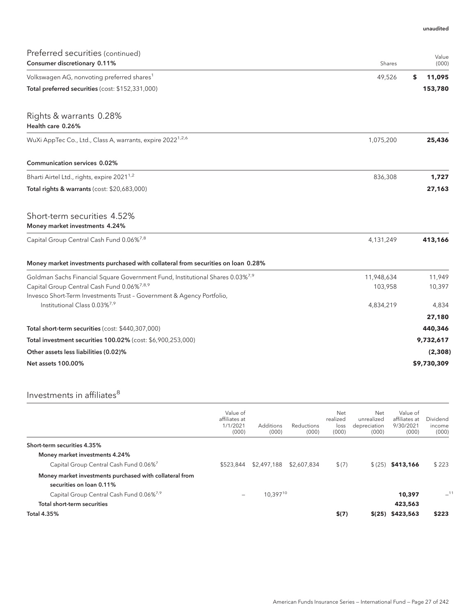| Preferred securities (continued)                                                                                  |            | Value        |
|-------------------------------------------------------------------------------------------------------------------|------------|--------------|
| Consumer discretionary 0.11%                                                                                      | Shares     | (000)        |
| Volkswagen AG, nonvoting preferred shares <sup>1</sup>                                                            | 49,526     | 11,095<br>\$ |
| Total preferred securities (cost: \$152,331,000)                                                                  |            | 153,780      |
| Rights & warrants 0.28%<br>Health care 0.26%                                                                      |            |              |
| WuXi AppTec Co., Ltd., Class A, warrants, expire 2022 <sup>1,2,6</sup>                                            | 1,075,200  | 25,436       |
| <b>Communication services 0.02%</b>                                                                               |            |              |
| Bharti Airtel Ltd., rights, expire 2021 <sup>1,2</sup>                                                            | 836,308    | 1,727        |
| Total rights & warrants (cost: \$20,683,000)                                                                      |            | 27,163       |
| Short-term securities 4.52%<br>Money market investments 4.24%                                                     |            |              |
| Capital Group Central Cash Fund 0.06%7,8                                                                          | 4,131,249  | 413,166      |
| Money market investments purchased with collateral from securities on loan 0.28%                                  |            |              |
| Goldman Sachs Financial Square Government Fund, Institutional Shares 0.03% <sup>7,9</sup>                         | 11,948,634 | 11,949       |
| Capital Group Central Cash Fund 0.06% <sup>7,8,9</sup>                                                            | 103,958    | 10,397       |
| Invesco Short-Term Investments Trust - Government & Agency Portfolio,<br>Institutional Class 0.03% <sup>7,9</sup> | 4,834,219  | 4,834        |
|                                                                                                                   |            | 27,180       |
| Total short-term securities (cost: \$440,307,000)                                                                 |            | 440,346      |
| Total investment securities 100.02% (cost: \$6,900,253,000)                                                       |            | 9,732,617    |
| Other assets less liabilities (0.02)%                                                                             |            | (2,308)      |
| <b>Net assets 100.00%</b>                                                                                         |            | \$9,730,309  |

## Investments in affiliates $^8$

|                                                                                     | Value of<br>affiliates at<br>1/1/2021<br>(000) | <b>Additions</b><br>(000) | <b>Reductions</b><br>(000) | Net<br>realized<br>loss<br>(000) | Net<br>unrealized<br>depreciation<br>(000) | Value of<br>affiliates at<br>9/30/2021<br>(000) | Dividend<br>income<br>(000) |
|-------------------------------------------------------------------------------------|------------------------------------------------|---------------------------|----------------------------|----------------------------------|--------------------------------------------|-------------------------------------------------|-----------------------------|
| Short-term securities 4.35%                                                         |                                                |                           |                            |                                  |                                            |                                                 |                             |
| Money market investments 4.24%                                                      |                                                |                           |                            |                                  |                                            |                                                 |                             |
| Capital Group Central Cash Fund 0.06% <sup>7</sup>                                  | \$523,844                                      | \$2,497,188               | \$2,607,834                | \$(7)                            |                                            | $$ (25)$ \$413,166                              | \$223                       |
| Money market investments purchased with collateral from<br>securities on loan 0.11% |                                                |                           |                            |                                  |                                            |                                                 |                             |
| Capital Group Central Cash Fund 0.06% <sup>7,9</sup>                                | -                                              | 10,39710                  |                            |                                  |                                            | 10,397                                          | $-11$                       |
| Total short-term securities                                                         |                                                |                           |                            |                                  |                                            | 423,563                                         |                             |
| Total 4.35%                                                                         |                                                |                           |                            | \$(7)                            |                                            | $$(25)$ \$423,563                               | \$223                       |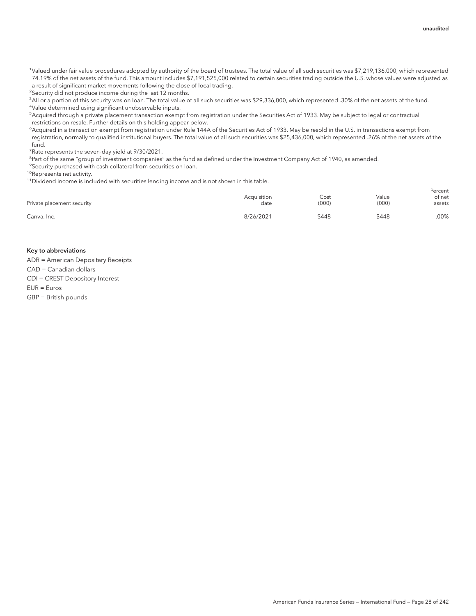<sup>1</sup>Valued under fair value procedures adopted by authority of the board of trustees. The total value of all such securities was \$7,219,136,000, which represented 74.19% of the net assets of the fund. This amount includes \$7,191,525,000 related to certain securities trading outside the U.S. whose values were adjusted as a result of significant market movements following the close of local trading.

<sup>2</sup>Security did not produce income during the last 12 months.

3 All or a portion of this security was on loan. The total value of all such securities was \$29,336,000, which represented .30% of the net assets of the fund. 4 Value determined using significant unobservable inputs.

5 Acquired through a private placement transaction exempt from registration under the Securities Act of 1933. May be subject to legal or contractual restrictions on resale. Further details on this holding appear below.

6 Acquired in a transaction exempt from registration under Rule 144A of the Securities Act of 1933. May be resold in the U.S. in transactions exempt from registration, normally to qualified institutional buyers. The total value of all such securities was \$25,436,000, which represented .26% of the net assets of the fund.

<sup>7</sup> Rate represents the seven-day yield at 9/30/2021.

<sup>8</sup>Part of the same "group of investment companies" as the fund as defined under the Investment Company Act of 1940, as amended.

<sup>9</sup>Security purchased with cash collateral from securities on loan.

10Represents net activity.

11Dividend income is included with securities lending income and is not shown in this table.

| Private placement security | Acquisition<br>date | Cost<br>(000) | Value<br>(000) | Percent<br>of net<br>assets |
|----------------------------|---------------------|---------------|----------------|-----------------------------|
| Canva, Inc.                | 8/26/2021           | \$448         | \$448          | .00%                        |

#### Key to abbreviations

ADR = American Depositary Receipts CAD = Canadian dollars

CDI = CREST Depository Interest

EUR = Euros

GBP = British pounds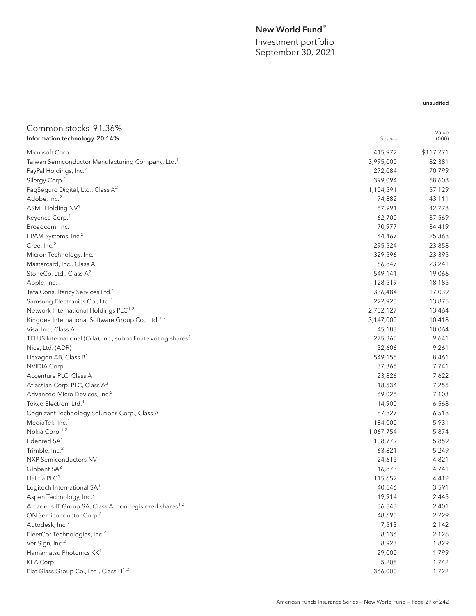## New World Fund®

Investment portfolio September 30, 2021

## unaudited

| Common stocks 91.36%                                                    |           | Value     |
|-------------------------------------------------------------------------|-----------|-----------|
| Information technology 20.14%                                           | Shares    | (000)     |
| Microsoft Corp.                                                         | 415,972   | \$117,271 |
| Taiwan Semiconductor Manufacturing Company, Ltd. <sup>1</sup>           | 3,995,000 | 82,381    |
| PayPal Holdings, Inc. <sup>2</sup>                                      | 272,084   | 70,799    |
| Silergy Corp. <sup>1</sup>                                              | 399,094   | 58,608    |
| PagSeguro Digital, Ltd., Class A <sup>2</sup>                           | 1,104,591 | 57,129    |
| Adobe, Inc. <sup>2</sup>                                                | 74,882    | 43,111    |
| ASML Holding NV <sup>1</sup>                                            | 57,991    | 42,778    |
| Keyence Corp. <sup>1</sup>                                              | 62,700    | 37,569    |
| Broadcom, Inc.                                                          | 70,977    | 34,419    |
| EPAM Systems, Inc. <sup>2</sup>                                         | 44,467    | 25,368    |
| Cree, Inc. <sup>2</sup>                                                 | 295,524   | 23,858    |
| Micron Technology, Inc.                                                 | 329,596   | 23,395    |
| Mastercard, Inc., Class A                                               | 66,847    | 23,241    |
| StoneCo, Ltd., Class A <sup>2</sup>                                     | 549,141   | 19,066    |
| Apple, Inc.                                                             | 128,519   | 18,185    |
| Tata Consultancy Services Ltd. <sup>1</sup>                             | 336,484   | 17,039    |
| Samsung Electronics Co., Ltd. <sup>1</sup>                              | 222,925   | 13,875    |
| Network International Holdings PLC <sup>1,2</sup>                       | 2,752,127 | 13,464    |
| Kingdee International Software Group Co., Ltd. <sup>1,2</sup>           | 3,147,000 | 10,418    |
| Visa, Inc., Class A                                                     | 45,183    | 10,064    |
| TELUS International (Cda), Inc., subordinate voting shares <sup>2</sup> | 275,365   | 9,641     |
| Nice, Ltd. (ADR)                                                        | 32,606    | 9,261     |
| Hexagon AB, Class B <sup>1</sup>                                        | 549,155   | 8,461     |
| NVIDIA Corp.                                                            | 37,365    | 7,741     |
| Accenture PLC, Class A                                                  | 23,826    | 7,622     |
| Atlassian Corp. PLC, Class A <sup>2</sup>                               | 18,534    | 7,255     |
| Advanced Micro Devices, Inc. <sup>2</sup>                               | 69,025    | 7,103     |
| Tokyo Electron, Ltd. <sup>1</sup>                                       | 14,900    | 6,568     |
| Cognizant Technology Solutions Corp., Class A                           | 87,827    | 6,518     |
| MediaTek, Inc. <sup>1</sup>                                             | 184,000   | 5,931     |
| Nokia Corp. <sup>1,2</sup>                                              | 1,067,754 | 5,874     |
| Edenred SA <sup>1</sup>                                                 | 108,779   | 5,859     |
| Trimble, Inc. <sup>2</sup>                                              | 63,821    | 5,249     |
| NXP Semiconductors NV                                                   | 24,615    | 4,821     |
| Globant SA <sup>2</sup>                                                 | 16,873    | 4,741     |
| Halma PLC <sup>1</sup>                                                  | 115,652   | 4,412     |
| Logitech International SA <sup>1</sup>                                  | 40,546    | 3,591     |
| Aspen Technology, Inc. <sup>2</sup>                                     | 19,914    | 2,445     |
| Amadeus IT Group SA, Class A, non-registered shares <sup>1,2</sup>      | 36,543    | 2,401     |
| ON Semiconductor Corp. <sup>2</sup>                                     | 48,695    | 2,229     |
| Autodesk, Inc. <sup>2</sup>                                             | 7,513     | 2,142     |
| FleetCor Technologies, Inc. <sup>2</sup>                                | 8,136     | 2,126     |
| VeriSign, Inc. <sup>2</sup>                                             | 8,923     | 1,829     |
| Hamamatsu Photonics KK <sup>1</sup>                                     | 29,000    | 1,799     |
| KLA Corp.                                                               | 5,208     | 1,742     |
| Flat Glass Group Co., Ltd., Class H <sup>1,2</sup>                      | 366,000   | 1,722     |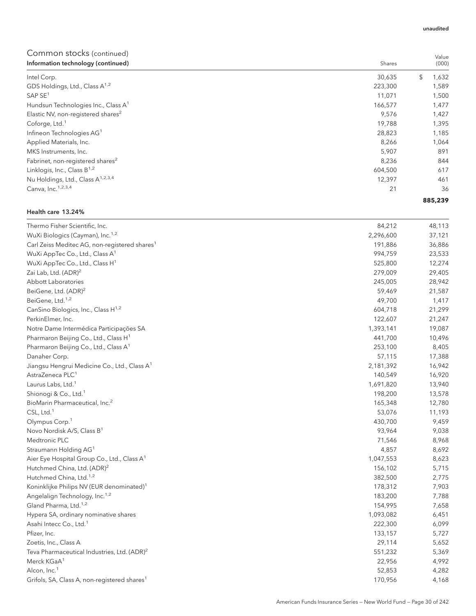| <u>oommon stocks teommudu</u><br>Information technology (continued) | Shares  | Value<br>(000) |
|---------------------------------------------------------------------|---------|----------------|
| Intel Corp.                                                         | 30,635  | \$<br>1,632    |
| GDS Holdings, Ltd., Class A <sup>1,2</sup>                          | 223,300 | 1,589          |
| SAP SE <sup>1</sup>                                                 | 11,071  | 1,500          |
| Hundsun Technologies Inc., Class A <sup>1</sup>                     | 166,577 | 1,477          |
| Elastic NV, non-registered shares <sup>2</sup>                      | 9,576   | 1,427          |
| Coforge, Ltd. <sup>1</sup>                                          | 19,788  | 1,395          |
| Infineon Technologies AG <sup>1</sup>                               | 28,823  | 1,185          |
| Applied Materials, Inc.                                             | 8,266   | 1,064          |
| MKS Instruments, Inc.                                               | 5,907   | 891            |
| Fabrinet, non-registered shares <sup>2</sup>                        | 8,236   | 844            |
| Linklogis, Inc., Class $B^{1,2}$                                    | 604,500 | 617            |
| Nu Holdings, Ltd., Class A <sup>1,2,3,4</sup>                       | 12,397  | 461            |
| Canva, Inc. <sup>1,2,3,4</sup>                                      | 21      | 36             |
|                                                                     |         | 885,239        |

#### Health care 13.24%

| Thermo Fisher Scientific, Inc.                            | 84,212    | 48,113 |
|-----------------------------------------------------------|-----------|--------|
| WuXi Biologics (Cayman), Inc. <sup>1,2</sup>              | 2,296,600 | 37,121 |
| Carl Zeiss Meditec AG, non-registered shares <sup>1</sup> | 191,886   | 36,886 |
| WuXi AppTec Co., Ltd., Class A <sup>1</sup>               | 994,759   | 23,533 |
| WuXi AppTec Co., Ltd., Class H <sup>1</sup>               | 525,800   | 12,274 |
| Zai Lab, Ltd. (ADR) <sup>2</sup>                          | 279,009   | 29,405 |
| Abbott Laboratories                                       | 245,005   | 28,942 |
| BeiGene, Ltd. (ADR) <sup>2</sup>                          | 59,469    | 21,587 |
| BeiGene, Ltd. <sup>1,2</sup>                              | 49,700    | 1,417  |
| CanSino Biologics, Inc., Class H <sup>1,2</sup>           | 604,718   | 21,299 |
| PerkinElmer, Inc.                                         | 122,607   | 21,247 |
| Notre Dame Intermédica Participações SA                   | 1,393,141 | 19,087 |
| Pharmaron Beijing Co., Ltd., Class H <sup>1</sup>         | 441,700   | 10,496 |
| Pharmaron Beijing Co., Ltd., Class A <sup>1</sup>         | 253,100   | 8,405  |
| Danaher Corp.                                             | 57,115    | 17,388 |
| Jiangsu Hengrui Medicine Co., Ltd., Class A <sup>1</sup>  | 2,181,392 | 16,942 |
| AstraZeneca PLC <sup>1</sup>                              | 140,549   | 16,920 |
| Laurus Labs, Ltd. <sup>1</sup>                            | 1,691,820 | 13,940 |
| Shionogi & Co., Ltd. <sup>1</sup>                         | 198,200   | 13,578 |
| BioMarin Pharmaceutical, Inc. <sup>2</sup>                | 165,348   | 12,780 |
| CSL, Ltd. <sup>1</sup>                                    | 53,076    | 11,193 |
| Olympus Corp. <sup>1</sup>                                | 430,700   | 9,459  |
| Novo Nordisk A/S, Class B <sup>1</sup>                    | 93,964    | 9,038  |
| Medtronic PLC                                             | 71,546    | 8,968  |
| Straumann Holding AG <sup>1</sup>                         | 4,857     | 8,692  |
| Aier Eye Hospital Group Co., Ltd., Class A <sup>1</sup>   | 1,047,553 | 8,623  |
| Hutchmed China, Ltd. (ADR) <sup>2</sup>                   | 156,102   | 5,715  |
| Hutchmed China, Ltd. <sup>1,2</sup>                       | 382,500   | 2,775  |
| Koninklijke Philips NV (EUR denominated) <sup>1</sup>     | 178,312   | 7,903  |
| Angelalign Technology, Inc. <sup>1,2</sup>                | 183,200   | 7,788  |
| Gland Pharma, Ltd. <sup>1,2</sup>                         | 154,995   | 7,658  |
| Hypera SA, ordinary nominative shares                     | 1,093,082 | 6,451  |
| Asahi Intecc Co., Ltd. <sup>1</sup>                       | 222,300   | 6,099  |
| Pfizer, Inc.                                              | 133,157   | 5,727  |
| Zoetis, Inc., Class A                                     | 29,114    | 5,652  |
| Teva Pharmaceutical Industries, Ltd. (ADR) <sup>2</sup>   | 551,232   | 5,369  |
| Merck KGaA <sup>1</sup>                                   | 22,956    | 4,992  |
| Alcon, Inc. <sup>1</sup>                                  | 52,853    | 4,282  |
| Grifols, SA, Class A, non-registered shares <sup>1</sup>  | 170,956   | 4,168  |

#### unaudited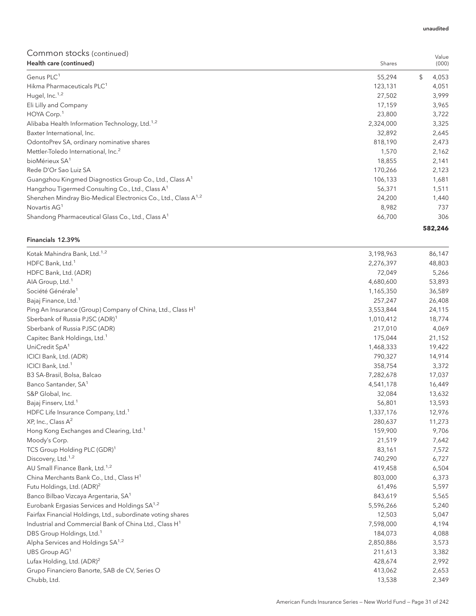| Health care (continued)                                                    | Shares    | (000)       |
|----------------------------------------------------------------------------|-----------|-------------|
| Genus PLC <sup>1</sup>                                                     | 55,294    | \$<br>4,053 |
| Hikma Pharmaceuticals PLC <sup>1</sup>                                     | 123,131   | 4,051       |
| Hugel, Inc. <sup>1,2</sup>                                                 | 27,502    | 3,999       |
| Eli Lilly and Company                                                      | 17,159    | 3,965       |
| HOYA Corp. <sup>1</sup>                                                    | 23,800    | 3,722       |
| Alibaba Health Information Technology, Ltd. <sup>1,2</sup>                 | 2,324,000 | 3,325       |
| Baxter International, Inc.                                                 | 32,892    | 2,645       |
| OdontoPrev SA, ordinary nominative shares                                  | 818,190   | 2,473       |
| Mettler-Toledo International, Inc. <sup>2</sup>                            | 1,570     | 2,162       |
| bioMérieux SA <sup>1</sup>                                                 | 18,855    | 2,141       |
| Rede D'Or Sao Luiz SA                                                      | 170,266   | 2,123       |
| Guangzhou Kingmed Diagnostics Group Co., Ltd., Class A <sup>1</sup>        | 106,133   | 1,681       |
| Hangzhou Tigermed Consulting Co., Ltd., Class A <sup>1</sup>               | 56,371    | 1,511       |
| Shenzhen Mindray Bio-Medical Electronics Co., Ltd., Class A <sup>1,2</sup> | 24,200    | 1,440       |
| Novartis AG <sup>1</sup>                                                   | 8,982     | 737         |
| Shandong Pharmaceutical Glass Co., Ltd., Class A <sup>1</sup>              | 66,700    | 306         |
|                                                                            |           | 582,246     |

## Financials 12.39%

| Kotak Mahindra Bank, Ltd. <sup>1,2</sup>                               | 3,198,963 | 86,147 |
|------------------------------------------------------------------------|-----------|--------|
| HDFC Bank, Ltd. <sup>1</sup>                                           | 2,276,397 | 48,803 |
| HDFC Bank, Ltd. (ADR)                                                  | 72,049    | 5,266  |
| AIA Group, Ltd. <sup>1</sup>                                           | 4,680,600 | 53,893 |
| Société Générale <sup>1</sup>                                          | 1,165,350 | 36,589 |
| Bajaj Finance, Ltd. <sup>1</sup>                                       | 257,247   | 26,408 |
| Ping An Insurance (Group) Company of China, Ltd., Class H <sup>1</sup> | 3,553,844 | 24,115 |
| Sberbank of Russia PJSC (ADR) <sup>1</sup>                             | 1,010,412 | 18,774 |
| Sberbank of Russia PJSC (ADR)                                          | 217,010   | 4,069  |
| Capitec Bank Holdings, Ltd. <sup>1</sup>                               | 175,044   | 21,152 |
| UniCredit SpA <sup>1</sup>                                             | 1,468,333 | 19,422 |
| ICICI Bank, Ltd. (ADR)                                                 | 790,327   | 14,914 |
| ICICI Bank, Ltd. <sup>1</sup>                                          | 358,754   | 3,372  |
| B3 SA-Brasil, Bolsa, Balcao                                            | 7,282,678 | 17,037 |
| Banco Santander, SA <sup>1</sup>                                       | 4,541,178 | 16,449 |
| S&P Global, Inc.                                                       | 32,084    | 13,632 |
| Bajaj Finserv, Ltd. <sup>1</sup>                                       | 56,801    | 13,593 |
| HDFC Life Insurance Company, Ltd. <sup>1</sup>                         | 1,337,176 | 12,976 |
| XP, Inc., Class A <sup>2</sup>                                         | 280,637   | 11,273 |
| Hong Kong Exchanges and Clearing, Ltd. <sup>1</sup>                    | 159,900   | 9,706  |
| Moody's Corp.                                                          | 21,519    | 7,642  |
| TCS Group Holding PLC (GDR) <sup>1</sup>                               | 83,161    | 7,572  |
| Discovery, Ltd. <sup>1,2</sup>                                         | 740,290   | 6,727  |
| AU Small Finance Bank, Ltd. <sup>1,2</sup>                             | 419,458   | 6,504  |
| China Merchants Bank Co., Ltd., Class H <sup>1</sup>                   | 803,000   | 6,373  |
| Futu Holdings, Ltd. (ADR) <sup>2</sup>                                 | 61,496    | 5,597  |
| Banco Bilbao Vizcaya Argentaria, SA <sup>1</sup>                       | 843,619   | 5,565  |
| Eurobank Ergasias Services and Holdings SA <sup>1,2</sup>              | 5,596,266 | 5,240  |
| Fairfax Financial Holdings, Ltd., subordinate voting shares            | 12,503    | 5,047  |
| Industrial and Commercial Bank of China Ltd., Class H <sup>1</sup>     | 7,598,000 | 4,194  |
| DBS Group Holdings, Ltd. <sup>1</sup>                                  | 184,073   | 4,088  |
| Alpha Services and Holdings SA <sup>1,2</sup>                          | 2,850,886 | 3,573  |
| UBS Group AG <sup>1</sup>                                              | 211,613   | 3,382  |
| Lufax Holding, Ltd. (ADR) <sup>2</sup>                                 | 428,674   | 2,992  |
| Grupo Financiero Banorte, SAB de CV, Series O                          | 413,062   | 2,653  |
| Chubb, Ltd.                                                            | 13,538    | 2,349  |

unaudited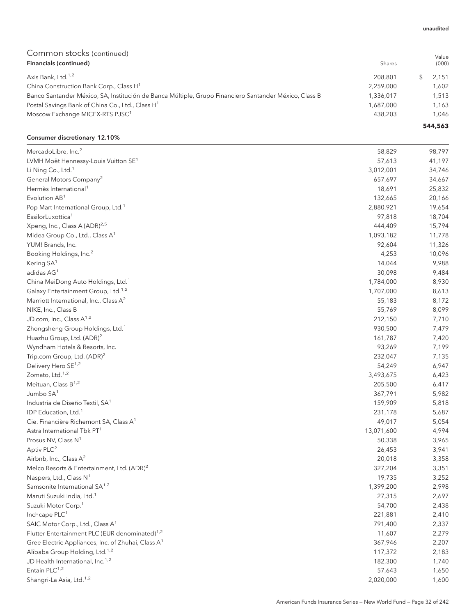Value

## Common stocks (continued)

| Financials (continued)                                                                                | Shares    | (000)   |
|-------------------------------------------------------------------------------------------------------|-----------|---------|
| Axis Bank, Ltd. <sup>1,2</sup>                                                                        | 208.801   | 2.151   |
| China Construction Bank Corp., Class H <sup>1</sup>                                                   | 2.259.000 | 1.602   |
| Banco Santander México, SA, Institución de Banca Múltiple, Grupo Financiero Santander México, Class B | 1,336,017 | 1.513   |
| Postal Savings Bank of China Co., Ltd., Class H <sup>1</sup>                                          | 1,687,000 | 1.163   |
| Moscow Exchange MICEX-RTS PJSC <sup>1</sup>                                                           | 438,203   | 1.046   |
|                                                                                                       |           | 544,563 |

### Consumer discretionary 12.10%

| MercadoLibre, Inc. <sup>2</sup>                                | 58,829     | 98,797 |
|----------------------------------------------------------------|------------|--------|
| LVMH Moët Hennessy-Louis Vuitton SE <sup>1</sup>               | 57,613     | 41,197 |
| Li Ning Co., Ltd. <sup>1</sup>                                 | 3,012,001  | 34,746 |
| General Motors Company <sup>2</sup>                            | 657,697    | 34,667 |
| Hermès International <sup>1</sup>                              | 18,691     | 25,832 |
| Evolution AB <sup>1</sup>                                      | 132,665    | 20,166 |
| Pop Mart International Group, Ltd. <sup>1</sup>                | 2,880,921  | 19,654 |
| EssilorLuxottica <sup>1</sup>                                  | 97,818     | 18,704 |
| Xpeng, Inc., Class A (ADR) <sup>2,5</sup>                      | 444,409    | 15,794 |
| Midea Group Co., Ltd., Class A <sup>1</sup>                    | 1,093,182  | 11,778 |
| YUM! Brands, Inc.                                              | 92,604     | 11,326 |
| Booking Holdings, Inc. <sup>2</sup>                            | 4,253      | 10,096 |
| Kering SA <sup>1</sup>                                         | 14,044     | 9,988  |
| adidas AG <sup>1</sup>                                         | 30,098     | 9,484  |
| China MeiDong Auto Holdings, Ltd. <sup>1</sup>                 | 1,784,000  | 8,930  |
| Galaxy Entertainment Group, Ltd. <sup>1,2</sup>                | 1,707,000  | 8,613  |
| Marriott International, Inc., Class A <sup>2</sup>             | 55,183     | 8,172  |
| NIKE, Inc., Class B                                            | 55,769     | 8,099  |
| JD.com, Inc., Class A <sup>1,2</sup>                           | 212,150    | 7,710  |
| Zhongsheng Group Holdings, Ltd. <sup>1</sup>                   | 930,500    | 7,479  |
| Huazhu Group, Ltd. (ADR) <sup>2</sup>                          | 161,787    | 7,420  |
| Wyndham Hotels & Resorts, Inc.                                 | 93,269     | 7,199  |
| Trip.com Group, Ltd. (ADR) <sup>2</sup>                        | 232,047    | 7,135  |
| Delivery Hero SE <sup>1,2</sup>                                | 54,249     | 6,947  |
| Zomato, Ltd. <sup>1,2</sup>                                    | 3,493,675  | 6,423  |
| Meituan, Class B <sup>1,2</sup>                                | 205,500    | 6,417  |
| Jumbo SA <sup>1</sup>                                          | 367,791    | 5,982  |
| Industria de Diseño Textil, SA <sup>1</sup>                    | 159,909    | 5,818  |
| IDP Education, Ltd. <sup>1</sup>                               | 231,178    | 5,687  |
| Cie. Financière Richemont SA, Class A <sup>1</sup>             | 49,017     | 5,054  |
| Astra International Tbk PT1                                    | 13,071,600 | 4,994  |
| Prosus NV, Class N <sup>1</sup>                                | 50,338     | 3,965  |
| Aptiv PLC <sup>2</sup>                                         | 26,453     | 3,941  |
| Airbnb, Inc., Class A <sup>2</sup>                             | 20,018     | 3,358  |
| Melco Resorts & Entertainment, Ltd. (ADR) <sup>2</sup>         | 327,204    | 3,351  |
| Naspers, Ltd., Class N <sup>1</sup>                            | 19,735     | 3,252  |
| Samsonite International SA <sup>1,2</sup>                      | 1,399,200  | 2,998  |
| Maruti Suzuki India, Ltd. <sup>1</sup>                         | 27,315     | 2,697  |
| Suzuki Motor Corp. <sup>1</sup>                                | 54,700     | 2,438  |
| Inchcape PLC <sup>1</sup>                                      | 221,881    | 2,410  |
| SAIC Motor Corp., Ltd., Class A <sup>1</sup>                   | 791,400    | 2,337  |
| Flutter Entertainment PLC (EUR denominated) <sup>1,2</sup>     | 11,607     | 2,279  |
| Gree Electric Appliances, Inc. of Zhuhai, Class A <sup>1</sup> | 367,946    | 2,207  |
| Alibaba Group Holding, Ltd. <sup>1,2</sup>                     | 117,372    | 2,183  |
| JD Health International, Inc. <sup>1,2</sup>                   | 182,300    | 1,740  |
| Entain PLC <sup>1,2</sup>                                      | 57,643     | 1,650  |
| Shangri-La Asia, Ltd. <sup>1,2</sup>                           | 2,020,000  | 1,600  |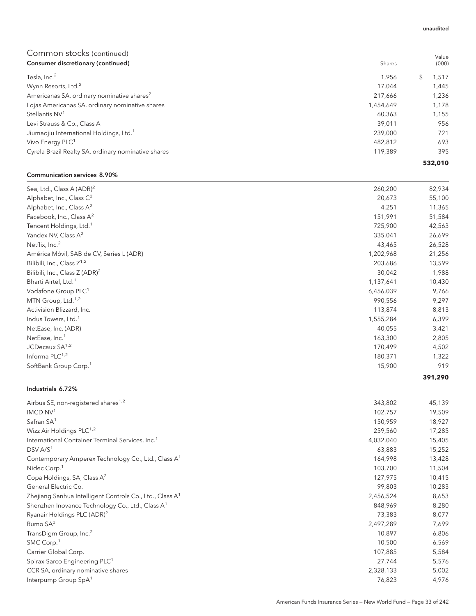| COMMITMON SLOCKS (CONTINUED)                           |           | Value   |
|--------------------------------------------------------|-----------|---------|
| Consumer discretionary (continued)                     | Shares    | (000)   |
| Tesla, Inc. <sup>2</sup>                               | 1,956     | 1,517   |
| Wynn Resorts, Ltd. <sup>2</sup>                        | 17.044    | 1,445   |
| Americanas SA, ordinary nominative shares <sup>2</sup> | 217,666   | 1,236   |
| Lojas Americanas SA, ordinary nominative shares        | 1,454,649 | 1,178   |
| Stellantis NV <sup>1</sup>                             | 60,363    | 1,155   |
| Levi Strauss & Co., Class A                            | 39.011    | 956     |
| Jiumaojiu International Holdings, Ltd. <sup>1</sup>    | 239,000   | 721     |
| Vivo Energy PLC <sup>1</sup>                           | 482.812   | 693     |
| Cyrela Brazil Realty SA, ordinary nominative shares    | 119.389   | 395     |
|                                                        |           | 532,010 |

#### Communication services 8.90%

| Sea, Ltd., Class A (ADR) <sup>2</sup><br>260,200      | 82,934  |
|-------------------------------------------------------|---------|
| Alphabet, Inc., Class $C^2$<br>20,673                 | 55,100  |
| Alphabet, Inc., Class $A^2$<br>4,251                  | 11,365  |
| Facebook, Inc., Class A <sup>2</sup><br>151,991       | 51,584  |
| Tencent Holdings, Ltd. <sup>1</sup><br>725,900        | 42,563  |
| Yandex NV, Class A <sup>2</sup><br>335,041            | 26,699  |
| Netflix, Inc. <sup>2</sup><br>43,465                  | 26,528  |
| 1,202,968<br>América Móvil, SAB de CV, Series L (ADR) | 21,256  |
| Bilibili, Inc., Class Z <sup>1,2</sup><br>203,686     | 13,599  |
| Bilibili, Inc., Class Z (ADR) <sup>2</sup><br>30,042  | 1,988   |
| Bharti Airtel, Ltd. <sup>1</sup><br>1,137,641         | 10,430  |
| Vodafone Group PLC <sup>1</sup><br>6,456,039          | 9,766   |
| MTN Group, Ltd. <sup>1,2</sup><br>990,556             | 9,297   |
| Activision Blizzard, Inc.<br>113,874                  | 8,813   |
| Indus Towers, Ltd. <sup>1</sup><br>1,555,284          | 6,399   |
| 40,055<br>NetEase, Inc. (ADR)                         | 3,421   |
| NetEase, Inc. <sup>1</sup><br>163,300                 | 2,805   |
| JCDecaux $SA^{1,2}$<br>170,499                        | 4,502   |
| Informa $PLC^{1,2}$<br>180,371                        | 1,322   |
| SoftBank Group Corp. <sup>1</sup><br>15,900           | 919     |
|                                                       | 391,290 |

#### Industrials 6.72%

| Airbus SE, non-registered shares <sup>1,2</sup>                      | 343,802   | 45,139 |
|----------------------------------------------------------------------|-----------|--------|
| IMCD NV <sup>1</sup>                                                 | 102,757   | 19,509 |
| Safran SA <sup>1</sup>                                               | 150,959   | 18,927 |
| Wizz Air Holdings PLC <sup>1,2</sup>                                 | 259,560   | 17,285 |
| International Container Terminal Services, Inc. <sup>1</sup>         | 4,032,040 | 15,405 |
| DSV A/S <sup>1</sup>                                                 | 63,883    | 15,252 |
| Contemporary Amperex Technology Co., Ltd., Class A <sup>1</sup>      | 164,998   | 13,428 |
| Nidec Corp. <sup>1</sup>                                             | 103,700   | 11,504 |
| Copa Holdings, SA, Class A <sup>2</sup>                              | 127,975   | 10,415 |
| General Electric Co.                                                 | 99,803    | 10,283 |
| Zhejiang Sanhua Intelligent Controls Co., Ltd., Class A <sup>1</sup> | 2,456,524 | 8,653  |
| Shenzhen Inovance Technology Co., Ltd., Class A <sup>1</sup>         | 848,969   | 8,280  |
| Ryanair Holdings PLC (ADR) <sup>2</sup>                              | 73,383    | 8,077  |
| Rumo SA <sup>2</sup>                                                 | 2,497,289 | 7,699  |
| TransDigm Group, Inc. <sup>2</sup>                                   | 10,897    | 6,806  |
| SMC Corp. <sup>1</sup>                                               | 10,500    | 6,569  |
| Carrier Global Corp.                                                 | 107,885   | 5,584  |
| Spirax-Sarco Engineering PLC <sup>1</sup>                            | 27,744    | 5,576  |
| CCR SA, ordinary nominative shares                                   | 2,328,133 | 5,002  |
| Interpump Group SpA <sup>1</sup>                                     | 76,823    | 4,976  |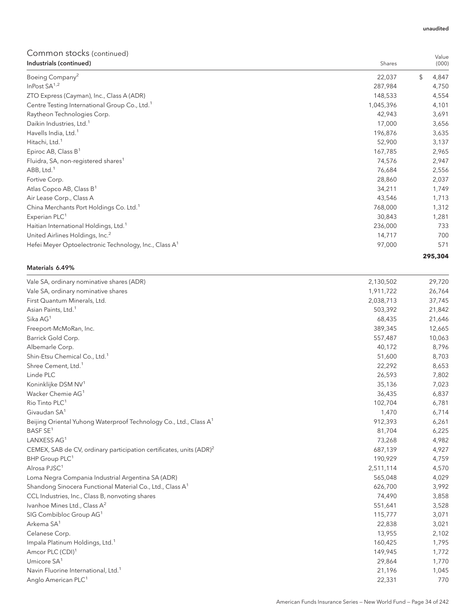| Industrials (continued)                                           | Shares    | (000)       |
|-------------------------------------------------------------------|-----------|-------------|
| Boeing Company <sup>2</sup>                                       | 22,037    | \$<br>4,847 |
| InPost $SA^{1,2}$                                                 | 287,984   | 4,750       |
| ZTO Express (Cayman), Inc., Class A (ADR)                         | 148,533   | 4,554       |
| Centre Testing International Group Co., Ltd. <sup>1</sup>         | 1,045,396 | 4,101       |
| Raytheon Technologies Corp.                                       | 42,943    | 3,691       |
| Daikin Industries, Ltd. <sup>1</sup>                              | 17,000    | 3,656       |
| Havells India, Ltd. <sup>1</sup>                                  | 196,876   | 3,635       |
| Hitachi, Ltd. <sup>1</sup>                                        | 52,900    | 3,137       |
| Epiroc AB, Class $B^1$                                            | 167,785   | 2,965       |
| Fluidra, SA, non-registered shares <sup>1</sup>                   | 74,576    | 2,947       |
| ABB, Ltd. <sup>1</sup>                                            | 76,684    | 2,556       |
| Fortive Corp.                                                     | 28,860    | 2,037       |
| Atlas Copco AB, Class B <sup>1</sup>                              | 34,211    | 1,749       |
| Air Lease Corp., Class A                                          | 43,546    | 1,713       |
| China Merchants Port Holdings Co. Ltd. <sup>1</sup>               | 768,000   | 1,312       |
| Experian PLC <sup>1</sup>                                         | 30,843    | 1,281       |
| Haitian International Holdings, Ltd. <sup>1</sup>                 | 236,000   | 733         |
| United Airlines Holdings, Inc. <sup>2</sup>                       | 14,717    | 700         |
| Hefei Meyer Optoelectronic Technology, Inc., Class A <sup>1</sup> | 97,000    | 571         |
|                                                                   |           | 295,304     |

### Materials 6.49%

| 2,130,502<br>Vale SA, ordinary nominative shares (ADR)                                     | 29,720 |
|--------------------------------------------------------------------------------------------|--------|
| Vale SA, ordinary nominative shares<br>1,911,722                                           | 26,764 |
| 2,038,713<br>First Quantum Minerals, Ltd.                                                  | 37,745 |
| Asian Paints, Ltd. <sup>1</sup><br>503,392                                                 | 21,842 |
| Sika AG <sup>1</sup><br>68,435                                                             | 21,646 |
| 389,345<br>Freeport-McMoRan, Inc.                                                          | 12,665 |
| 557,487<br>Barrick Gold Corp.                                                              | 10,063 |
| 40,172<br>Albemarle Corp.                                                                  | 8,796  |
| Shin-Etsu Chemical Co., Ltd. <sup>1</sup><br>51,600                                        | 8,703  |
| Shree Cement, Ltd. <sup>1</sup><br>22,292                                                  | 8,653  |
| Linde PLC<br>26,593                                                                        | 7,802  |
| Koninklijke DSM NV <sup>1</sup><br>35,136                                                  | 7,023  |
| Wacker Chemie AG <sup>1</sup><br>36,435                                                    | 6,837  |
| Rio Tinto PLC <sup>1</sup><br>102,704                                                      | 6,781  |
| Givaudan SA <sup>1</sup><br>1,470                                                          | 6,714  |
| 912,393<br>Beijing Oriental Yuhong Waterproof Technology Co., Ltd., Class A <sup>1</sup>   | 6,261  |
| BASF SE <sup>1</sup><br>81,704                                                             | 6,225  |
| LANXESS AG <sup>1</sup><br>73,268                                                          | 4,982  |
| CEMEX, SAB de CV, ordinary participation certificates, units (ADR) <sup>2</sup><br>687,139 | 4,927  |
| BHP Group PLC <sup>1</sup><br>190,929                                                      | 4,759  |
| Alrosa PJSC <sup>1</sup><br>2,511,114                                                      | 4,570  |
| Loma Negra Compania Industrial Argentina SA (ADR)<br>565,048                               | 4,029  |
| Shandong Sinocera Functional Material Co., Ltd., Class A <sup>1</sup><br>626,700           | 3,992  |
| 74,490<br>CCL Industries, Inc., Class B, nonvoting shares                                  | 3,858  |
| Ivanhoe Mines Ltd., Class A <sup>2</sup><br>551,641                                        | 3,528  |
| SIG Combibloc Group AG <sup>1</sup><br>115,777                                             | 3,071  |
| Arkema SA <sup>1</sup><br>22,838                                                           | 3,021  |
| Celanese Corp.<br>13,955                                                                   | 2,102  |
| Impala Platinum Holdings, Ltd. <sup>1</sup><br>160,425                                     | 1,795  |
| Amcor PLC (CDI) <sup>1</sup><br>149,945                                                    | 1,772  |
| Umicore $SA1$<br>29,864                                                                    | 1,770  |
| Navin Fluorine International, Ltd. <sup>1</sup><br>21,196                                  | 1,045  |
| Anglo American PLC <sup>1</sup><br>22,331                                                  | 770    |

#### unaudited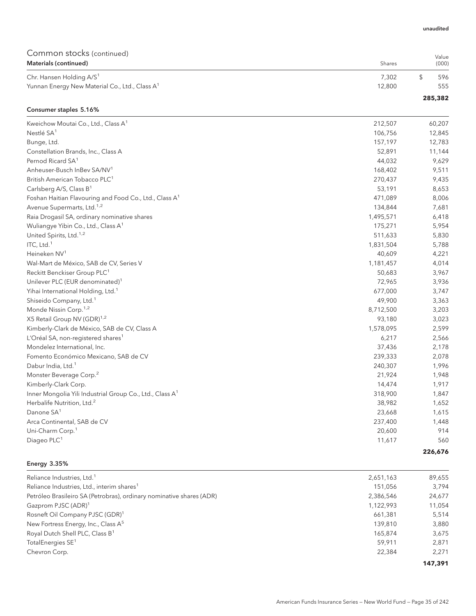## Common stocks (continued)  **Shares**

| Materials (continued)                                      | Shares | (000)   |
|------------------------------------------------------------|--------|---------|
| Chr. Hansen Holding A/S <sup>1</sup>                       | 7.302  | 596     |
| Yunnan Energy New Material Co., Ltd., Class A <sup>1</sup> | 12.800 | 555     |
|                                                            |        | 285,382 |

## Consumer staples 5.16% Kweichow Moutai Co., Ltd., Class A<sup>1</sup> 212,507 60,207 Nestlé SA $^1$  106,756  $^1$  12,845 Bunge, Ltd. 157,197 12,783 Constellation Brands, Inc., Class A 52,891 11,144 Pernod Ricard SA<sup>1</sup> 44,032 9,629 Anheuser-Busch InBev SA/NV<sup>1</sup> 2008 168,402 9,511 British American Tobacco PLC<sup>1</sup> 270,435 9,435 Carlsberg A/S, Class B<sup>1</sup> 6,653 Foshan Haitian Flavouring and Food Co., Ltd., Class A<sup>1</sup> 471,089 471,089 8,006 Avenue Supermarts, Ltd.<sup>1,2</sup> 134,844 7,681 7,681 7,681 7,681 7,681 7,681 7,681 7,681 7,681 7,681 7,681 7,681 7,681 Raia Drogasil SA, ordinary nominative shares 1,495,571 6,418 Wuliangye Yibin Co., Ltd., Class A<sup>1</sup> 175,271 5,954 United Spirits, Ltd.<sup>1,2</sup> 5,830 5,830 5,830 5,830 5,830 5,830 5,830 5,830 5,830 5,830 5,830 5,830 5,830 5,830 5,830 5,830 5,830 5,830 5,830 5,830 5,830 5,830 5,830 5,830 5,830 5,830 5,830 5,830 5,830 5,830 5,830 5,830 5,8 ITC, Ltd.<sup>1</sup> 2,788  $\sim$  5,788  $\sim$  5,788  $\sim$  5,788  $\sim$  5,788  $\sim$  5,788  $\sim$  5,788  $\sim$  5,788  $\sim$  5,788  $\sim$  5,788  $\sim$  5,788  $\sim$  5,788  $\sim$  5,788  $\sim$  5,788  $\sim$  5,788  $\sim$  5,788  $\sim$  5,788  $\sim$  5,788  $\sim$  5,788  $\sim$ Heineken NV<sup>1</sup> and the set of the set of the set of the set of the set of the set of the set of the set of the set of the set of the set of the set of the set of the set of the set of the set of the set of the set of the Wal-Mart de México, SAB de CV, Series V 1,181,457 1,181,457 1,181,457 1,181,457 1,181,457 1,181,457 1,181,457 1,181,457 1,181,457 1,181,457 1,181,457 1,181,457 1,181,457 1,181,457 1,181,457 1,181,457 1,181,457 1,181,457 1, Reckitt Benckiser Group PLC<sup>1</sup> 50,683 3,967 Unilever PLC (EUR denominated)<sup>1</sup> 3,936 Yihai International Holding, Ltd.<sup>1</sup> 677,000 3,747 Shiseido Company, Ltd.<sup>1</sup> 2,363 Monde Nissin Corp.<sup>1,2</sup> 8,712,500 3,203 X5 Retail Group NV (GDR)<sup>1,2</sup> 83,023 Kimberly-Clark de México, SAB de CV, Class A 1,578,095 2,599 L'Oréal SA, non-registered shares<sup>1</sup> 6,217 2,566 Mondelez International, Inc. 37,436 2,178 Fomento Económico Mexicano, SAB de CV 239,333 2,078 Dabur India, Ltd.<sup>1</sup> 240,307 1,996 Monster Beverage Corp.<sup>2</sup> 21,948 221,924 21,948 Kimberly-Clark Corp. 14,474 1,917 Inner Mongolia Yili Industrial Group Co., Ltd., Class A<sup>1</sup> 318,900 318,900 1,847 Herbalife Nutrition, Ltd.<sup>2</sup> 38,982 1,652  $\lambda$ Danone SA $^1$  23,668  $^1$  1,615 Arca Continental, SAB de CV and the CV 237,400 237,400 237,400 237,400 237,400 237,400 237,400 237,400 237,400 Uni-Charm Corp.<sup>1</sup> 20,600 914 Diageo PLC $^1$  560  $^1$  560  $^1$  560  $^1$  560  $^1$  560  $^1$  571  $^1$  571  $^1$  571  $^1$  571  $^1$  571  $^1$  571  $^1$  571  $^1$  571  $^1$  571  $^1$  571  $^1$  571  $^1$  571  $^1$  571  $^1$  571  $^1$  571  $^1$  571  $^1$  571  $^1$  571  $^1$

#### Energy 3.35%

| Reliance Industries, Ltd. <sup>1</sup>                               | 2,651,163 | 89,655  |
|----------------------------------------------------------------------|-----------|---------|
| Reliance Industries, Ltd., interim shares <sup>1</sup>               | 151.056   | 3.794   |
| Petróleo Brasileiro SA (Petrobras), ordinary nominative shares (ADR) | 2,386,546 | 24,677  |
| Gazprom PJSC (ADR) <sup>1</sup>                                      | 1,122,993 | 11,054  |
| Rosneft Oil Company PJSC (GDR) <sup>1</sup>                          | 661.381   | 5,514   |
| New Fortress Energy, Inc., Class A <sup>5</sup>                      | 139,810   | 3.880   |
| Royal Dutch Shell PLC, Class B <sup>1</sup>                          | 165.874   | 3.675   |
| TotalEnergies SE <sup>1</sup>                                        | 59.911    | 2.871   |
| Chevron Corp.                                                        | 22.384    | 2.271   |
|                                                                      |           | 147.391 |

unaudited

Value

**226,676**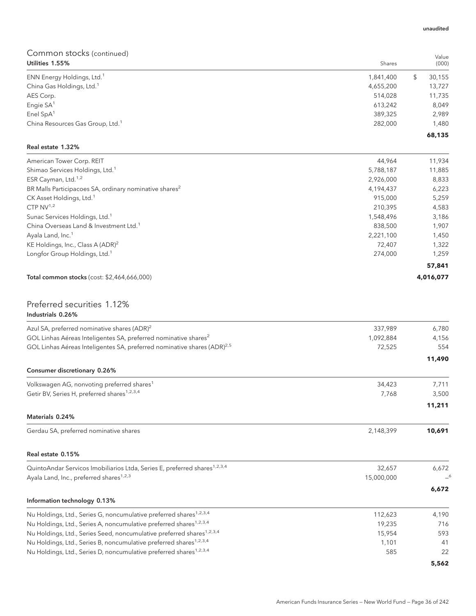| Utilities 1.55%                              | Shares    | (000)  |
|----------------------------------------------|-----------|--------|
| ENN Energy Holdings, Ltd. <sup>1</sup>       | 1,841,400 | 30,155 |
| China Gas Holdings, Ltd. <sup>1</sup>        | 4,655,200 | 13,727 |
| AES Corp.                                    | 514,028   | 11,735 |
| Engie SA <sup>1</sup>                        | 613,242   | 8.049  |
| Enel $SpA1$                                  | 389,325   | 2,989  |
| China Resources Gas Group, Ltd. <sup>1</sup> | 282,000   | 1,480  |
|                                              |           | 68,135 |

## Real estate 1.32%

| American Tower Corp. REIT                                          | 44,964    | 11,934    |
|--------------------------------------------------------------------|-----------|-----------|
| Shimao Services Holdings, Ltd. <sup>1</sup>                        | 5,788,187 | 11,885    |
| ESR Cayman, Ltd. <sup>1,2</sup>                                    | 2,926,000 | 8,833     |
| BR Malls Participacoes SA, ordinary nominative shares <sup>2</sup> | 4,194,437 | 6,223     |
| CK Asset Holdings, Ltd. <sup>1</sup>                               | 915,000   | 5,259     |
| CTP $NV^{1,2}$                                                     | 210.395   | 4,583     |
| Sunac Services Holdings, Ltd. <sup>1</sup>                         | 1,548,496 | 3,186     |
| China Overseas Land & Investment Ltd. <sup>1</sup>                 | 838,500   | 1.907     |
| Ayala Land, Inc. <sup>1</sup>                                      | 2,221,100 | 1,450     |
| KE Holdings, Inc., Class A $(ADR)^2$                               | 72.407    | 1,322     |
| Longfor Group Holdings, Ltd. <sup>1</sup>                          | 274,000   | 1,259     |
|                                                                    |           | 57,841    |
| <b>Total common stocks</b> (cost: \$2,464,666,000)                 |           | 4,016,077 |
|                                                                    |           |           |

## Preferred securities 1.12% Industrials 0.26%

| Azul SA, preferred nominative shares (ADR) <sup>2</sup>                               | 337.989    | 6,780  |
|---------------------------------------------------------------------------------------|------------|--------|
| GOL Linhas Aéreas Inteligentes SA, preferred nominative shares <sup>2</sup>           | 1,092,884  | 4,156  |
| GOL Linhas Aéreas Inteligentes SA, preferred nominative shares (ADR) <sup>2,5</sup>   | 72,525     | 554    |
|                                                                                       |            | 11,490 |
| Consumer discretionary 0.26%                                                          |            |        |
| Volkswagen AG, nonvoting preferred shares <sup>1</sup>                                | 34,423     | 7.711  |
| Getir BV, Series H, preferred shares <sup>1,2,3,4</sup>                               | 7,768      | 3,500  |
|                                                                                       |            | 11,211 |
| Materials 0.24%                                                                       |            |        |
| Gerdau SA, preferred nominative shares                                                | 2,148,399  | 10,691 |
| Real estate 0.15%                                                                     |            |        |
| QuintoAndar Servicos Imobiliarios Ltda, Series E, preferred shares <sup>1,2,3,4</sup> | 32,657     | 6,672  |
| Ayala Land, Inc., preferred shares <sup>1,2,3</sup>                                   | 15,000,000 | $-6$   |
|                                                                                       |            | 6,672  |
| Information technology 0.13%                                                          |            |        |
| Nu Holdings, Ltd., Series G, noncumulative preferred shares <sup>1,2,3,4</sup>        | 112,623    | 4,190  |
| Nu Holdings, Ltd., Series A, noncumulative preferred shares <sup>1,2,3,4</sup>        | 19,235     | 716    |
| Nu Holdings, Ltd., Series Seed, noncumulative preferred shares <sup>1,2,3,4</sup>     | 15,954     | 593    |
| Nu Holdings, Ltd., Series B, noncumulative preferred shares <sup>1,2,3,4</sup>        | 1,101      | 41     |
| Nu Holdings, Ltd., Series D, noncumulative preferred shares <sup>1,2,3,4</sup>        | 585        | 22     |
|                                                                                       |            | 5,562  |

#### unaudited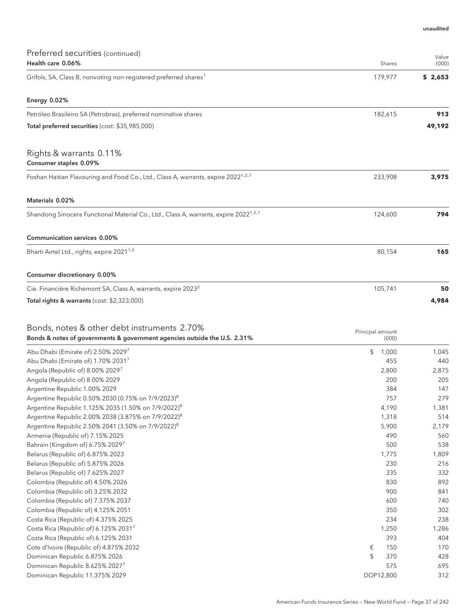| Preferred securities (continued)<br>Health care 0.06%                                                                    | Shares                    | Value<br>(000) |
|--------------------------------------------------------------------------------------------------------------------------|---------------------------|----------------|
| Grifols, SA, Class B, nonvoting non-registered preferred shares <sup>1</sup>                                             | 179,977                   | \$2,653        |
| Energy 0.02%                                                                                                             |                           |                |
| Petróleo Brasileiro SA (Petrobras), preferred nominative shares                                                          | 182,615                   | 913            |
| Total preferred securities (cost: \$35,985,000)                                                                          |                           | 49,192         |
| Rights & warrants 0.11%<br>Consumer staples 0.09%                                                                        |                           |                |
| Foshan Haitian Flavouring and Food Co., Ltd., Class A, warrants, expire 2022 <sup>1,2,7</sup>                            | 233,908                   | 3,975          |
| Materials 0.02%                                                                                                          |                           |                |
| Shandong Sinocera Functional Material Co., Ltd., Class A, warrants, expire 2022 <sup>1,2,7</sup>                         | 124,600                   | 794            |
| Communication services 0.00%                                                                                             |                           |                |
| Bharti Airtel Ltd., rights, expire 2021 <sup>1,2</sup>                                                                   | 80,154                    | 165            |
| Consumer discretionary 0.00%                                                                                             |                           |                |
| Cie. Financière Richemont SA, Class A, warrants, expire 2023 <sup>2</sup>                                                | 105,741                   | 50             |
| Total rights & warrants (cost: \$2,323,000)                                                                              |                           | 4,984          |
| Bonds, notes & other debt instruments 2.70%<br>Bonds & notes of governments & government agencies outside the U.S. 2.31% | Principal amount<br>(000) |                |
| Abu Dhabi (Emirate of) 2.50% 20297                                                                                       | \$<br>1,000               | 1,045          |
| Abu Dhabi (Emirate of) 1.70% 20317                                                                                       | 455                       | 440            |
| Angola (Republic of) 8.00% 20297                                                                                         | 2,800                     | 2,875          |
| Angola (Republic of) 8.00% 2029                                                                                          | 200                       | 205            |
| Argentine Republic 1.00% 2029                                                                                            | 384                       | 147            |
| Argentine Republic 0.50% 2030 (0.75% on 7/9/2023) <sup>8</sup>                                                           | 757                       | 279            |
| Argentine Republic 1.125% 2035 (1.50% on 7/9/2022) <sup>8</sup>                                                          | 4,190                     | 1,381          |
| Argentine Republic 2.00% 2038 (3.875% on 7/9/2022) <sup>8</sup>                                                          | 1,318                     | 514            |
| Argentine Republic 2.50% 2041 (3.50% on 7/9/2022) <sup>8</sup>                                                           | 5,900                     | 2,179          |
| Armenia (Republic of) 7.15% 2025                                                                                         | 490                       | 560            |
| Bahrain (Kingdom of) 6.75% 2029 <sup>7</sup>                                                                             | 500                       | 538            |
| Belarus (Republic of) 6.875% 2023                                                                                        | 1,775                     | 1,809          |
| Belarus (Republic of) 5.875% 2026                                                                                        | 230                       | 216            |
| Belarus (Republic of) 7.625% 2027                                                                                        | 335                       | 332            |
| Colombia (Republic of) 4.50% 2026                                                                                        | 830                       | 892            |
| Colombia (Republic of) 3.25% 2032                                                                                        | 900                       | 841            |
| Colombia (Republic of) 7.375% 2037                                                                                       | 600                       | 740            |
| Colombia (Republic of) 4.125% 2051                                                                                       | 350                       | 302            |
| Costa Rica (Republic of) 4.375% 2025<br>Costa Rica (Republic of) 6.125% 20317                                            | 234<br>1,250              | 238<br>1,286   |
| Costa Rica (Republic of) 6.125% 2031                                                                                     | 393                       | 404            |
| Cote d'Ivoire (Republic of) 4.875% 2032                                                                                  | 150<br>€                  | 170            |
| Dominican Republic 6.875% 2026                                                                                           | \$<br>370                 | 428            |
| Dominican Republic 8.625% 2027 <sup>7</sup>                                                                              | 575                       | 695            |
| Dominican Republic 11.375% 2029                                                                                          | DOP12,800                 | 312            |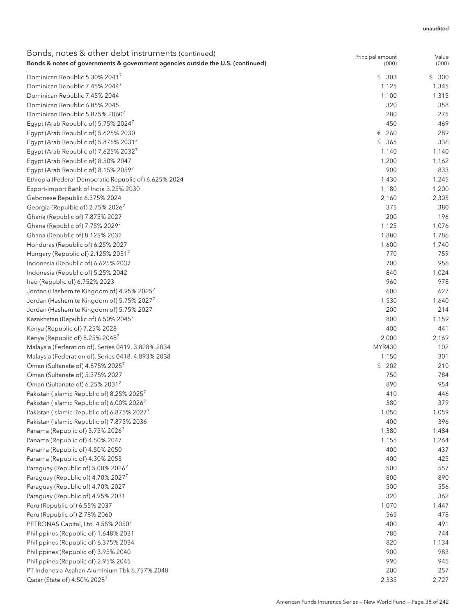| Bonds, notes & other debt instruments (continued)                               | Principal amount | Value     |
|---------------------------------------------------------------------------------|------------------|-----------|
| Bonds & notes of governments & government agencies outside the U.S. (continued) | (000)            | (000)     |
| Dominican Republic 5.30% 2041 <sup>7</sup>                                      | \$303            | \$<br>300 |
| Dominican Republic 7.45% 20447                                                  | 1,125            | 1,345     |
| Dominican Republic 7.45% 2044                                                   | 1,100            | 1,315     |
| Dominican Republic 6.85% 2045                                                   | 320              | 358       |
| Dominican Republic 5.875% 2060 <sup>7</sup>                                     | 280              | 275       |
| Egypt (Arab Republic of) 5.75% 20247                                            | 450              | 469       |
| Egypt (Arab Republic of) 5.625% 2030                                            | € 260            | 289       |
| Egypt (Arab Republic of) 5.875% 20317                                           | \$365            | 336       |
| Egypt (Arab Republic of) 7.625% 20327                                           | 1,140            | 1,140     |
| Egypt (Arab Republic of) 8.50% 2047                                             | 1,200            | 1,162     |
| Egypt (Arab Republic of) 8.15% 2059 <sup>7</sup>                                | 900              | 833       |
| Ethiopia (Federal Democratic Republic of) 6.625% 2024                           | 1,430            | 1,245     |
| Export-Import Bank of India 3.25% 2030                                          | 1,180            | 1,200     |
| Gabonese Republic 6.375% 2024                                                   | 2,160            | 2,305     |
| Georgia (Repulbic of) 2.75% 2026 <sup>7</sup>                                   | 375              | 380       |
| Ghana (Republic of) 7.875% 2027                                                 | 200              | 196       |
| Ghana (Republic of) 7.75% 2029 <sup>7</sup>                                     | 1,125            | 1,076     |
| Ghana (Republic of) 8.125% 2032                                                 | 1,880            | 1,786     |
| Honduras (Republic of) 6.25% 2027                                               | 1,600            | 1,740     |
| Hungary (Republic of) 2.125% 20317                                              | 770              | 759       |
| Indonesia (Republic of) 6.625% 2037                                             | 700              | 956       |
| Indonesia (Republic of) 5.25% 2042                                              | 840              | 1,024     |
| Iraq (Republic of) 6.752% 2023                                                  | 960              | 978       |
| Jordan (Hashemite Kingdom of) 4.95% 20257                                       | 600              | 627       |
| Jordan (Hashemite Kingdom of) 5.75% 2027 <sup>7</sup>                           | 1,530            | 1,640     |
| Jordan (Hashemite Kingdom of) 5.75% 2027                                        | 200              | 214       |
| Kazakhstan (Republic of) 6.50% 2045 <sup>7</sup>                                | 800              | 1,159     |
| Kenya (Republic of) 7.25% 2028                                                  | 400              | 441       |
| Kenya (Republic of) 8.25% 2048 <sup>7</sup>                                     | 2,000            | 2,169     |
| Malaysia (Federation of), Series 0419, 3.828% 2034                              | MYR430           | 102       |
| Malaysia (Federation of), Series 0418, 4.893% 2038                              | 1,150            | 301       |
| Oman (Sultanate of) 4.875% 2025 <sup>7</sup>                                    | \$202            | 210       |
| Oman (Sultanate of) 5.375% 2027                                                 | 750              | 784       |
| Oman (Sultanate of) 6.25% 2031 <sup>7</sup>                                     | 890              | 954       |
| Pakistan (Islamic Republic of) 8.25% 2025 <sup>7</sup>                          | 410              | 446       |
| Pakistan (Islamic Republic of) 6.00% 2026 <sup>7</sup>                          | 380              | 379       |
| Pakistan (Islamic Republic of) 6.875% 20277                                     | 1,050            | 1,059     |
| Pakistan (Islamic Republic of) 7.875% 2036                                      | 400              | 396       |
| Panama (Republic of) 3.75% 2026 <sup>7</sup>                                    | 1,380            | 1,484     |
| Panama (Republic of) 4.50% 2047                                                 | 1,155            | 1,264     |
| Panama (Republic of) 4.50% 2050                                                 | 400              | 437       |
| Panama (Republic of) 4.30% 2053                                                 | 400              | 425       |
| Paraguay (Republic of) 5.00% 2026 <sup>7</sup>                                  | 500              | 557       |
| Paraguay (Republic of) 4.70% 20277                                              | 800              | 890       |
| Paraguay (Republic of) 4.70% 2027                                               | 500              | 556       |
| Paraguay (Republic of) 4.95% 2031                                               | 320              | 362       |
| Peru (Republic of) 6.55% 2037                                                   | 1,070            | 1,447     |
| Peru (Republic of) 2.78% 2060                                                   | 565              | 478       |
| PETRONAS Capital, Ltd. 4.55% 20507                                              | 400              | 491       |
| Philippines (Republic of) 1.648% 2031                                           | 780              | 744       |
| Philippines (Republic of) 6.375% 2034                                           | 820              | 1,134     |
| Philippines (Republic of) 3.95% 2040                                            | 900              | 983       |
| Philippines (Republic of) 2.95% 2045                                            | 990              | 945       |
| PT Indonesia Asahan Aluminium Tbk 6.757% 2048                                   | 200              | 257       |
| Qatar (State of) 4.50% 2028 <sup>7</sup>                                        | 2,335            | 2,727     |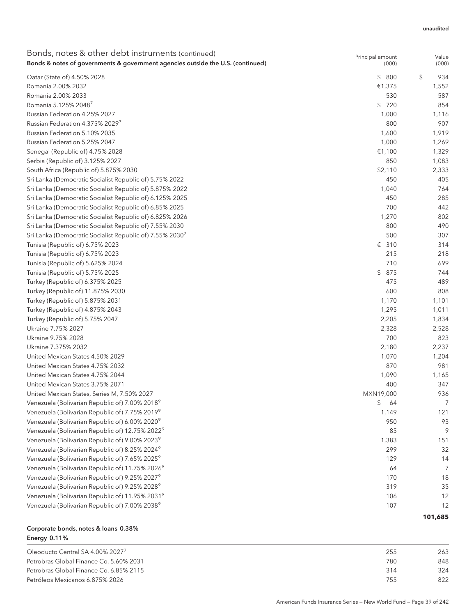| Bonds, notes & other debt instruments (continued)                               | Principal amount | Value     |
|---------------------------------------------------------------------------------|------------------|-----------|
| Bonds & notes of governments & government agencies outside the U.S. (continued) | (000)            | (000)     |
| Qatar (State of) 4.50% 2028                                                     | \$800            | \$<br>934 |
| Romania 2.00% 2032                                                              | €1,375           | 1,552     |
| Romania 2.00% 2033                                                              | 530              | 587       |
| Romania 5.125% 2048 <sup>7</sup>                                                | \$720            | 854       |
| Russian Federation 4.25% 2027                                                   | 1,000            | 1,116     |
| Russian Federation 4.375% 20297                                                 | 800              | 907       |
| Russian Federation 5.10% 2035                                                   | 1,600            | 1,919     |
| Russian Federation 5.25% 2047                                                   | 1,000            | 1,269     |
| Senegal (Republic of) 4.75% 2028                                                | €1,100           | 1,329     |
| Serbia (Republic of) 3.125% 2027                                                | 850              | 1,083     |
| South Africa (Republic of) 5.875% 2030                                          | \$2,110          | 2,333     |
| Sri Lanka (Democratic Socialist Republic of) 5.75% 2022                         | 450              | 405       |
| Sri Lanka (Democratic Socialist Republic of) 5.875% 2022                        | 1,040            | 764       |
| Sri Lanka (Democratic Socialist Republic of) 6.125% 2025                        | 450              | 285       |
| Sri Lanka (Democratic Socialist Republic of) 6.85% 2025                         | 700              | 442       |
| Sri Lanka (Democratic Socialist Republic of) 6.825% 2026                        | 1,270            | 802       |
| Sri Lanka (Democratic Socialist Republic of) 7.55% 2030                         | 800              | 490       |
| Sri Lanka (Democratic Socialist Republic of) 7.55% 2030 <sup>7</sup>            | 500              | 307       |
| Tunisia (Republic of) 6.75% 2023                                                | € 310            | 314       |
| Tunisia (Republic of) 6.75% 2023                                                | 215              | 218       |
| Tunisia (Republic of) 5.625% 2024                                               | 710              | 699       |
| Tunisia (Republic of) 5.75% 2025                                                | \$<br>875        | 744       |
| Turkey (Republic of) 6.375% 2025                                                | 475              | 489       |
| Turkey (Republic of) 11.875% 2030                                               | 600              | 808       |
| Turkey (Republic of) 5.875% 2031                                                | 1,170            | 1,101     |
| Turkey (Republic of) 4.875% 2043                                                | 1,295            | 1,011     |
| Turkey (Republic of) 5.75% 2047                                                 | 2,205            | 1,834     |
| Ukraine 7.75% 2027                                                              | 2,328            | 2,528     |
| Ukraine 9.75% 2028                                                              | 700              | 823       |
| Ukraine 7.375% 2032                                                             | 2,180            | 2,237     |
| United Mexican States 4.50% 2029                                                | 1,070            | 1,204     |
| United Mexican States 4.75% 2032                                                | 870              | 981       |
| United Mexican States 4.75% 2044                                                | 1,090            | 1,165     |
| United Mexican States 3.75% 2071                                                | 400              | 347       |
| United Mexican States, Series M, 7.50% 2027                                     | MXN19,000        | 936       |
| Venezuela (Bolivarian Republic of) 7.00% 20189                                  | \$<br>64         | 7         |
| Venezuela (Bolivarian Republic of) 7.75% 20199                                  | 1,149            | 121       |
| Venezuela (Bolivarian Republic of) 6.00% 2020 <sup>9</sup>                      | 950              | 93        |
| Venezuela (Bolivarian Republic of) 12.75% 2022 <sup>9</sup>                     | 85               | 9         |
| Venezuela (Bolivarian Republic of) 9.00% 2023 <sup>9</sup>                      | 1,383            | 151       |
| Venezuela (Bolivarian Republic of) 8.25% 2024 <sup>9</sup>                      | 299              | 32        |
| Venezuela (Bolivarian Republic of) 7.65% 2025 <sup>9</sup>                      | 129              | 14        |
| Venezuela (Bolivarian Republic of) 11.75% 2026 <sup>9</sup>                     | 64               | 7         |
| Venezuela (Bolivarian Republic of) 9.25% 20279                                  | 170              | 18        |
| Venezuela (Bolivarian Republic of) 9.25% 2028 <sup>9</sup>                      | 319              | 35        |
| Venezuela (Bolivarian Republic of) 11.95% 2031 <sup>9</sup>                     | 106              | 12        |
| Venezuela (Bolivarian Republic of) 7.00% 20389                                  | 107              | 12        |
|                                                                                 |                  |           |
|                                                                                 |                  | 101,685   |

# Corporate bonds, notes & loans 0.38% Energy 0.11%

| Oleoducto Central SA 4.00% 2027 <sup>7</sup> | 255 | 263 |
|----------------------------------------------|-----|-----|
| Petrobras Global Finance Co. 5.60% 2031      | 780 | 848 |
| Petrobras Global Finance Co. 6.85% 2115      | 314 | 324 |
| Petróleos Mexicanos 6.875% 2026              | 755 | 822 |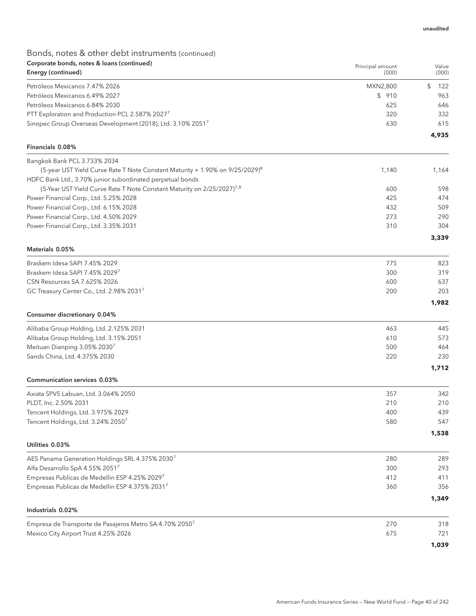# Bonds, notes & other debt instruments (continued) Corporate bonds, notes & loans (continued)

| Corporate bonds, notes & Ioans (continued)<br>Energy (continued)                         | Principal amount<br>(000) | Value<br>(000) |
|------------------------------------------------------------------------------------------|---------------------------|----------------|
| Petróleos Mexicanos 7.47% 2026                                                           | MXN2,800                  | \$<br>122      |
| Petróleos Mexicanos 6.49% 2027                                                           | \$910                     | 963            |
| Petróleos Mexicanos 6.84% 2030                                                           | 625                       | 646            |
| PTT Exploration and Production PCL 2.587% 2027 <sup>7</sup>                              | 320                       | 332            |
| Sinopec Group Overseas Development (2018), Ltd. 3.10% 20517                              | 630                       | 615            |
| Financials 0.08%                                                                         |                           | 4,935          |
| Bangkok Bank PCL 3.733% 2034                                                             |                           |                |
| (5-year UST Yield Curve Rate T Note Constant Maturity + 1.90% on 9/25/2029) <sup>8</sup> | 1,140                     | 1,164          |
| HDFC Bank Ltd., 3.70% junior subordinated perpetual bonds                                |                           |                |
| (5-Year UST Yield Curve Rate T Note Constant Maturity on 2/25/2027) <sup>7,8</sup>       | 600                       | 598            |
| Power Financial Corp., Ltd. 5.25% 2028                                                   | 425                       | 474            |
| Power Financial Corp., Ltd. 6.15% 2028                                                   | 432                       | 509            |
| Power Financial Corp., Ltd. 4.50% 2029                                                   | 273                       | 290            |
| Power Financial Corp., Ltd. 3.35% 2031                                                   | 310                       | 304            |
|                                                                                          |                           | 3,339          |
| Materials 0.05%                                                                          |                           |                |
| Braskem Idesa SAPI 7.45% 2029                                                            | 775                       | 823            |
| Braskem Idesa SAPI 7.45% 20297                                                           | 300                       | 319            |
| CSN Resources SA 7.625% 2026                                                             | 600                       | 637            |
| GC Treasury Center Co., Ltd. 2.98% 20317                                                 | 200                       | 203            |
|                                                                                          |                           | 1,982          |
| Consumer discretionary 0.04%                                                             |                           |                |
| Alibaba Group Holding, Ltd. 2.125% 2031                                                  | 463                       | 445            |
| Alibaba Group Holding, Ltd. 3.15% 2051                                                   | 610                       | 573            |
| Meituan Dianping 3.05% 20307                                                             | 500                       | 464            |
| Sands China, Ltd. 4.375% 2030                                                            | 220                       | 230            |
|                                                                                          |                           | 1,712          |
| <b>Communication services 0.03%</b>                                                      |                           |                |
| Axiata SPV5 Labuan, Ltd. 3.064% 2050                                                     | 357                       | 342            |
| PLDT, Inc. 2.50% 2031                                                                    | 210                       | 210            |
| Tencent Holdings, Ltd. 3.975% 2029                                                       | 400                       | 439            |
| Tencent Holdings, Ltd. 3.24% 20507                                                       | 580                       | 547            |
|                                                                                          |                           | 1,538          |
| Utilities 0.03%                                                                          |                           |                |
| AES Panama Generation Holdings SRL 4.375% 20307                                          | 280                       | 289            |
| Alfa Desarrollo SpA 4.55% 20517                                                          | 300                       | 293            |
| Empresas Publicas de Medellin ESP 4.25% 20297                                            | 412                       | 411            |
| Empresas Publicas de Medellin ESP 4.375% 20317                                           | 360                       | 356            |
|                                                                                          |                           | 1,349          |
| Industrials 0.02%                                                                        |                           |                |
| Empresa de Transporte de Pasajeros Metro SA 4.70% 20507                                  | 270                       | 318            |
| Mexico City Airport Trust 4.25% 2026                                                     | 675                       | 721            |
|                                                                                          |                           | 1,039          |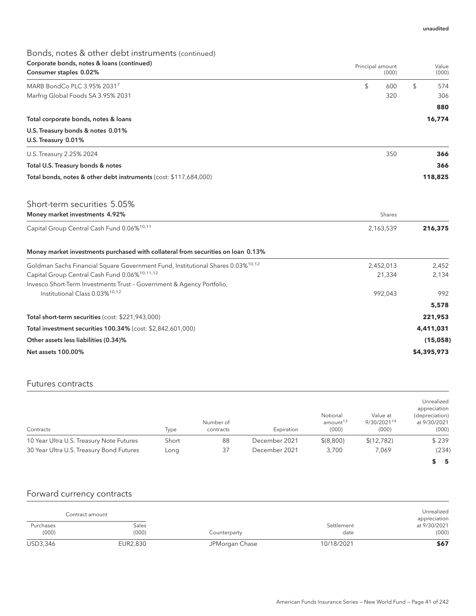# Bonds, notes & other debt instruments (continued) Corporate bonds, notes & loans (continued) Consumer staples 0.02% Principal amount (000) Value (000) MARB BondCo PLC 3.95% 2031<sup>7</sup>  $\sim$  574 Marfrig Global Foods SA 3.95% 2031 320 306 **880** Total corporate bonds, notes & loans **16,774** U.S. Treasury bonds & notes 0.01% U.S. Treasury 0.01% U.S. Treasury 2.25% 2024 350 **366** Total U.S. Treasury bonds & notes **366** Total bonds, notes & other debt instruments (cost: \$117,684,000) **118,825** Short-term securities 5.05% **Money market investments 4.92% Shares American control of the Channel Shares Shares Shares Shares** Capital Group Central Cash Fund 0.06%10,11 2,163,539 **216,375** Money market investments purchased with collateral from securities on loan 0.13% Goldman Sachs Financial Square Government Fund, Institutional Shares 0.03%<sup>10,12</sup> 2,452,000 2,452,013 2,452 Capital Group Central Cash Fund 0.06%<sup>10,11,12</sup> 21,334 21,334 2,134 Invesco Short-Term Investments Trust – Government & Agency Portfolio, Institutional Class 0.03%10,12 992,043 992 **5,578** Total short-term securities (cost: \$221,943,000) **221,953** Total investment securities 100.34% (cost: \$2,842,601,000) **4,411,031** Other assets less liabilities (0.34)% **(15,058)** Net assets 100.00% **\$4,395,973**

### Futures contracts

| Contracts                                | Type  | Number of<br>contracts | Expiration    | Notional<br>amount <sup>13</sup><br>(000) | Value at<br>9/30/202114<br>(000) | Unrealized<br>appreciation<br>(depreciation)<br>at 9/30/2021<br>(000) |
|------------------------------------------|-------|------------------------|---------------|-------------------------------------------|----------------------------------|-----------------------------------------------------------------------|
| 10 Year Ultra U.S. Treasury Note Futures | Short | 88                     | December 2021 | \$(8,800)                                 | \$(12, 782)                      | \$239                                                                 |
| 30 Year Ultra U.S. Treasury Bond Futures | Long  | 37                     | December 2021 | 3.700                                     | 7.069                            | (234)                                                                 |
|                                          |       |                        |               |                                           |                                  | \$5                                                                   |

### Forward currency contracts

|                    | Contract amount |                |                    | Unrealized<br>appreciation |
|--------------------|-----------------|----------------|--------------------|----------------------------|
| Purchases<br>(000) | Sales<br>(000)  | Counterparty   | Settlement<br>date | at 9/30/2021<br>(000)      |
| USD3,346           | EUR2,830        | JPMorgan Chase | 10/18/2021         | \$67                       |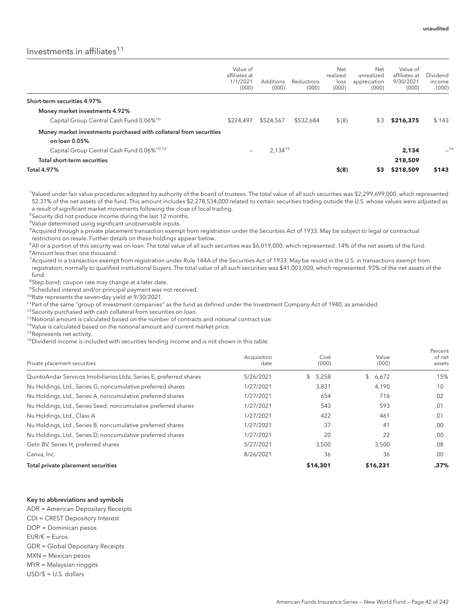# Investments in affiliates $11$

|                                                                    | Value of<br>affiliates at<br>1/1/2021<br>(000) | Additions<br>(000) | Reductions<br>(000) | Net<br>realized<br>loss<br>(000) | Net<br>unrealized<br>appreciation<br>(000) | Value of<br>affiliates at<br>9/30/2021<br>(000) | Dividend<br>income<br>(000) |
|--------------------------------------------------------------------|------------------------------------------------|--------------------|---------------------|----------------------------------|--------------------------------------------|-------------------------------------------------|-----------------------------|
| Short-term securities 4.97%                                        |                                                |                    |                     |                                  |                                            |                                                 |                             |
| Money market investments 4.92%                                     |                                                |                    |                     |                                  |                                            |                                                 |                             |
| Capital Group Central Cash Fund 0.06% <sup>10</sup>                | \$224,497                                      | \$524,567          | \$532,684           | \$(8)                            | \$3                                        | \$216,375                                       | \$143                       |
| Money market investments purchased with collateral from securities |                                                |                    |                     |                                  |                                            |                                                 |                             |
| on loan 0.05%                                                      |                                                |                    |                     |                                  |                                            |                                                 |                             |
| Capital Group Central Cash Fund 0.06% <sup>10,12</sup>             | -                                              | 2,13415            |                     |                                  |                                            | 2,134                                           | $-16$                       |
| Total short-term securities                                        |                                                |                    |                     |                                  |                                            | 218,509                                         |                             |
| <b>Total 4.97%</b>                                                 |                                                |                    |                     | \$(8)                            | \$3                                        | \$218,509                                       | \$143                       |

1 Valued under fair value procedures adopted by authority of the board of trustees. The total value of all such securities was \$2,299,699,000, which represented 52.31% of the net assets of the fund. This amount includes \$2,278,534,000 related to certain securities trading outside the U.S. whose values were adjusted as a result of significant market movements following the close of local trading.

<sup>2</sup>Security did not produce income during the last 12 months.

<sup>3</sup>Value determined using significant unobservable inputs.

4 Acquired through a private placement transaction exempt from registration under the Securities Act of 1933. May be subject to legal or contractual restrictions on resale. Further details on these holdings appear below.

5 All or a portion of this security was on loan. The total value of all such securities was \$6,019,000, which represented .14% of the net assets of the fund. 6 Amount less than one thousand.

<sup>7</sup> Acquired in a transaction exempt from registration under Rule 144A of the Securities Act of 1933. May be resold in the U.S. in transactions exempt from registration, normally to qualified institutional buyers. The total value of all such securities was \$41,003,000, which represented .93% of the net assets of the fund.

<sup>8</sup>Step bond; coupon rate may change at a later date.

9 Scheduled interest and/or principal payment was not received.

10Rate represents the seven-day yield at 9/30/2021.

<sup>11</sup>Part of the same "group of investment companies" as the fund as defined under the Investment Company Act of 1940, as amended.

<sup>12</sup>Security purchased with cash collateral from securities on loan.

<sup>13</sup>Notional amount is calculated based on the number of contracts and notional contract size.

<sup>14</sup>Value is calculated based on the notional amount and current market price.

<sup>15</sup>Represents net activity.

<sup>16</sup>Dividend income is included with securities lending income and is not shown in this table.

| Private placement securities                                        | Acquisition<br>date | Cost<br>(000) | Value<br>(000) | Percent<br>of net<br>assets |
|---------------------------------------------------------------------|---------------------|---------------|----------------|-----------------------------|
| Quinto Andar Servicos Imobiliarios Ltda, Series E, preferred shares | 5/26/2021           | \$5,258       | \$6,672        | .15%                        |
| Nu Holdings, Ltd., Series G, noncumulative preferred shares         | 1/27/2021           | 3,831         | 4,190          | .10                         |
| Nu Holdings, Ltd., Series A, noncumulative preferred shares         | 1/27/2021           | 654           | 716            | .02                         |
| Nu Holdings, Ltd., Series Seed, noncumulative preferred shares      | 1/27/2021           | 543           | 593            | .01                         |
| Nu Holdings, Ltd., Class A                                          | 1/27/2021           | 422           | 461            | .01                         |
| Nu Holdings, Ltd., Series B, noncumulative preferred shares         | 1/27/2021           | 37            | 41             | .00                         |
| Nu Holdings, Ltd., Series D, noncumulative preferred shares         | 1/27/2021           | 20            | 22             | .00.                        |
| Getir BV, Series H, preferred shares                                | 5/27/2021           | 3,500         | 3,500          | .08                         |
| Canva, Inc.                                                         | 8/26/2021           | 36            | 36             | .00                         |
| Total private placement securities                                  |                     | \$14,301      | \$16,231       | .37%                        |

#### Key to abbreviations and symbols

ADR = American Depositary Receipts CDI = CREST Depository Interest DOP = Dominican pesos EUR/€ = Euros GDR = Global Depositary Receipts MXN = Mexican pesos MYR = Malaysian ringgits USD/\$ = U.S. dollars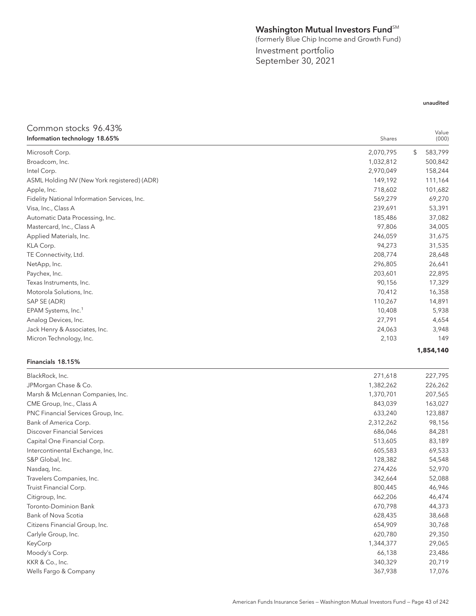# Washington Mutual Investors Fund<sup>SM</sup>

(formerly Blue Chip Income and Growth Fund)

Investment portfolio September 30, 2021

### unaudited

### Common stocks 96.43% **Information technology 18.65%** Shares Shares and the United States of the United States Shares Shares Shares Shares Shares and the United States of the United States of the United States of the United States of the United Value (000) Microsoft Corp. 2,070,795 \$ 583,799 Broadcom, Inc. 500,842 500,842 500,842 Intel Corp. 2,970,049 158,244 ASML Holding NV (New York registered) (ADR) 11,164 Apple, Inc. 718,602 101,682 Fidelity National Information Services, Inc. 569,279 69,270 Visa, Inc., Class A 239,691 53,391 Automatic Data Processing, Inc. 2008. The second second second second second second second second second second second second second second second second second second second second second second second second second secon Mastercard, Inc., Class A 97,806 34,005 Applied Materials, Inc. 246,059 31,675 KLA Corp. 94,273 31,535 TE Connectivity, Ltd. 28,648 NetApp, Inc. 296,805 26,641 Paychex, Inc. 203,601 22,895 Texas Instruments, Inc. 2007 17,329 Motorola Solutions, Inc. 2008. 2012. 2013. 2014. 2015. 2016. 2017. 2018. 2019. 2014. 2015. 2016. 2016. 2017. 201 SAP SE (ADR) 110,267 14,891 EPAM Systems, Inc.<sup>1</sup> 5,938 5,938 Analog Devices, Inc. 27,791 2,654 Jack Henry & Associates, Inc. 24,063 3,948 Micron Technology, Inc. 2,103 2,103 2,103 2,103 2,103 2,103 2,103 2,103 2,103 2,103 2,103 2,103 2,103 2,103 2,103 2,103 2,103 2,103 2,103 2,103 2,103 2,103 2,103 2,103 2,103 2,103 2,103 2,103 2,103 2,103 2,103 2,103 2,103 **1,854,140** Financials 18.15%

| BlackRock, Inc.                    | 271,618   | 227,795 |
|------------------------------------|-----------|---------|
| JPMorgan Chase & Co.               | 1,382,262 | 226,262 |
| Marsh & McLennan Companies, Inc.   | 1,370,701 | 207,565 |
| CME Group, Inc., Class A           | 843,039   | 163,027 |
| PNC Financial Services Group, Inc. | 633,240   | 123,887 |
| Bank of America Corp.              | 2,312,262 | 98,156  |
| Discover Financial Services        | 686,046   | 84,281  |
| Capital One Financial Corp.        | 513,605   | 83,189  |
| Intercontinental Exchange, Inc.    | 605,583   | 69,533  |
| S&P Global, Inc.                   | 128,382   | 54,548  |
| Nasdaq, Inc.                       | 274,426   | 52,970  |
| Travelers Companies, Inc.          | 342,664   | 52,088  |
| Truist Financial Corp.             | 800,445   | 46,946  |
| Citigroup, Inc.                    | 662,206   | 46,474  |
| Toronto-Dominion Bank              | 670,798   | 44,373  |
| Bank of Nova Scotia                | 628,435   | 38,668  |
| Citizens Financial Group, Inc.     | 654,909   | 30,768  |
| Carlyle Group, Inc.                | 620,780   | 29,350  |
| KeyCorp                            | 1,344,377 | 29,065  |
| Moody's Corp.                      | 66,138    | 23,486  |
| KKR & Co., Inc.                    | 340,329   | 20,719  |
| Wells Fargo & Company              | 367,938   | 17,076  |
|                                    |           |         |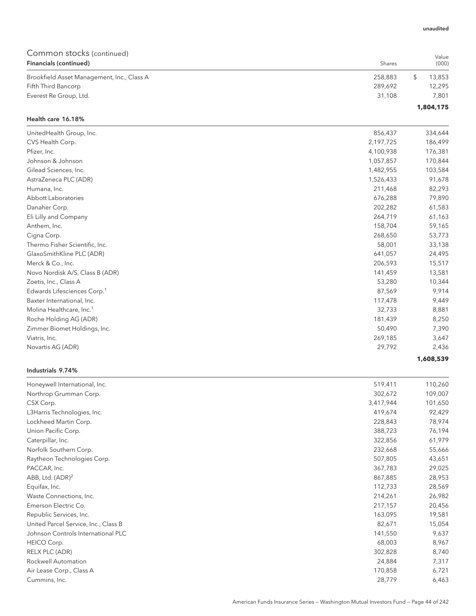| Common stocks (continued)                  |         | Value     |
|--------------------------------------------|---------|-----------|
| Financials (continued)                     | Shares  | (000)     |
| Brookfield Asset Management, Inc., Class A | 258,883 | 13.853    |
| Fifth Third Bancorp                        | 289.692 | 12.295    |
| Everest Re Group, Ltd.                     | 31.108  | 7.801     |
|                                            |         | 1,804,175 |

#### Health care 16.18%

| UnitedHealth Group, Inc.                | 856,437   | 334,644   |
|-----------------------------------------|-----------|-----------|
| CVS Health Corp.                        | 2,197,725 | 186,499   |
| Pfizer, Inc.                            | 4,100,938 | 176,381   |
| Johnson & Johnson                       | 1,057,857 | 170,844   |
| Gilead Sciences, Inc.                   | 1,482,955 | 103,584   |
| AstraZeneca PLC (ADR)                   | 1,526,433 | 91,678    |
| Humana, Inc.                            | 211,468   | 82,293    |
| Abbott Laboratories                     | 676,288   | 79,890    |
| Danaher Corp.                           | 202,282   | 61,583    |
| Eli Lilly and Company                   | 264,719   | 61,163    |
| Anthem, Inc.                            | 158,704   | 59,165    |
| Cigna Corp.                             | 268,650   | 53,773    |
| Thermo Fisher Scientific, Inc.          | 58,001    | 33,138    |
| GlaxoSmithKline PLC (ADR)               | 641,057   | 24,495    |
| Merck & Co., Inc.                       | 206,593   | 15,517    |
| Novo Nordisk A/S, Class B (ADR)         | 141,459   | 13,581    |
| Zoetis, Inc., Class A                   | 53,280    | 10,344    |
| Edwards Lifesciences Corp. <sup>1</sup> | 87,569    | 9,914     |
| Baxter International, Inc.              | 117,478   | 9,449     |
| Molina Healthcare, Inc. <sup>1</sup>    | 32,733    | 8,881     |
| Roche Holding AG (ADR)                  | 181,439   | 8,250     |
| Zimmer Biomet Holdings, Inc.            | 50,490    | 7,390     |
| Viatris, Inc.                           | 269,185   | 3,647     |
| Novartis AG (ADR)                       | 29,792    | 2,436     |
|                                         |           | 1,608,539 |

#### Industrials 9.74%

| Honeywell International, Inc.        | 519,411   | 110,260 |
|--------------------------------------|-----------|---------|
| Northrop Grumman Corp.               | 302,672   | 109,007 |
| CSX Corp.                            | 3,417,944 | 101,650 |
| L3Harris Technologies, Inc.          | 419,674   | 92,429  |
| Lockheed Martin Corp.                | 228,843   | 78,974  |
| Union Pacific Corp.                  | 388,723   | 76,194  |
| Caterpillar, Inc.                    | 322,856   | 61,979  |
| Norfolk Southern Corp.               | 232,668   | 55,666  |
| Raytheon Technologies Corp.          | 507,805   | 43,651  |
| PACCAR, Inc.                         | 367,783   | 29,025  |
| ABB, Ltd. $(ADR)^2$                  | 867,885   | 28,953  |
| Equifax, Inc.                        | 112,733   | 28,569  |
| Waste Connections, Inc.              | 214,261   | 26,982  |
| Emerson Electric Co.                 | 217,157   | 20,456  |
| Republic Services, Inc.              | 163,095   | 19,581  |
| United Parcel Service, Inc., Class B | 82,671    | 15,054  |
| Johnson Controls International PLC   | 141,550   | 9,637   |
| HEICO Corp.                          | 68,003    | 8,967   |
| RELX PLC (ADR)                       | 302,828   | 8,740   |
| Rockwell Automation                  | 24,884    | 7,317   |
| Air Lease Corp., Class A             | 170,858   | 6,721   |
| Cummins, Inc.                        | 28,779    | 6,463   |

#### unaudited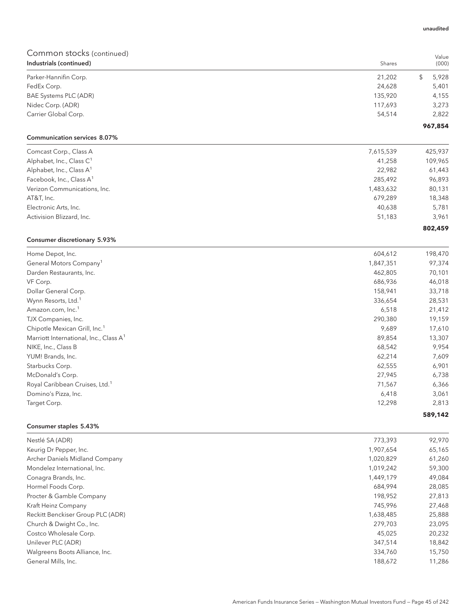| Industrials (continued) | Shares  | (000)   |
|-------------------------|---------|---------|
| Parker-Hannifin Corp.   | 21,202  | 5,928   |
| FedEx Corp.             | 24,628  | 5,401   |
| BAE Systems PLC (ADR)   | 135,920 | 4,155   |
| Nidec Corp. (ADR)       | 117.693 | 3,273   |
| Carrier Global Corp.    | 54.514  | 2,822   |
|                         |         | 967,854 |

# Communication services 8.07%

| Comcast Corp., Class A               | 7,615,539 | 425,937 |
|--------------------------------------|-----------|---------|
| Alphabet, Inc., Class C <sup>1</sup> | 41,258    | 109,965 |
| Alphabet, Inc., Class $A^1$          | 22,982    | 61,443  |
| Facebook, Inc., Class A <sup>1</sup> | 285,492   | 96,893  |
| Verizon Communications, Inc.         | 1,483,632 | 80,131  |
| AT&T, Inc.                           | 679.289   | 18,348  |
| Electronic Arts, Inc.                | 40,638    | 5,781   |
| Activision Blizzard, Inc.            | 51,183    | 3,961   |
|                                      |           | 802,459 |

# Consumer discretionary 5.93%

| Home Depot, Inc.                                   | 604,612   | 198,470 |
|----------------------------------------------------|-----------|---------|
| General Motors Company <sup>1</sup>                | 1,847,351 | 97,374  |
| Darden Restaurants, Inc.                           | 462,805   | 70,101  |
| VF Corp.                                           | 686,936   | 46,018  |
| Dollar General Corp.                               | 158,941   | 33,718  |
| Wynn Resorts, Ltd. <sup>1</sup>                    | 336,654   | 28,531  |
| Amazon.com, Inc. <sup>1</sup>                      | 6,518     | 21,412  |
| TJX Companies, Inc.                                | 290,380   | 19,159  |
| Chipotle Mexican Grill, Inc. <sup>1</sup>          | 9,689     | 17,610  |
| Marriott International, Inc., Class A <sup>1</sup> | 89,854    | 13,307  |
| NIKE, Inc., Class B                                | 68,542    | 9,954   |
| YUM! Brands, Inc.                                  | 62,214    | 7,609   |
| Starbucks Corp.                                    | 62,555    | 6,901   |
| McDonald's Corp.                                   | 27,945    | 6,738   |
| Royal Caribbean Cruises, Ltd. <sup>1</sup>         | 71,567    | 6,366   |
| Domino's Pizza, Inc.                               | 6,418     | 3,061   |
| Target Corp.                                       | 12,298    | 2,813   |
|                                                    |           | 589,142 |

#### Consumer staples 5.43%

| Nestlé SA (ADR)                   | 773,393   | 92,970 |
|-----------------------------------|-----------|--------|
| Keurig Dr Pepper, Inc.            | 1,907,654 | 65,165 |
| Archer Daniels Midland Company    | 1,020,829 | 61,260 |
| Mondelez International, Inc.      | 1,019,242 | 59,300 |
| Conagra Brands, Inc.              | 1,449,179 | 49,084 |
| Hormel Foods Corp.                | 684.994   | 28,085 |
| Procter & Gamble Company          | 198,952   | 27,813 |
| Kraft Heinz Company               | 745.996   | 27,468 |
| Reckitt Benckiser Group PLC (ADR) | 1,638,485 | 25,888 |
| Church & Dwight Co., Inc.         | 279,703   | 23,095 |
| Costco Wholesale Corp.            | 45.025    | 20,232 |
| Unilever PLC (ADR)                | 347,514   | 18,842 |
| Walgreens Boots Alliance, Inc.    | 334,760   | 15,750 |
| General Mills, Inc.               | 188,672   | 11,286 |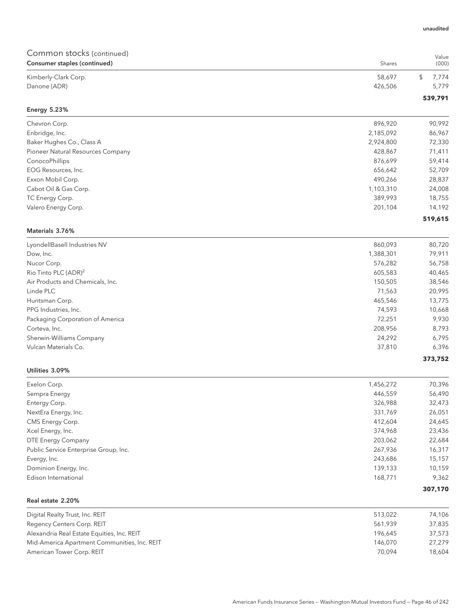| Common stocks (continued)<br>Consumer staples (continued) | Shares               | Value<br>(000)   |
|-----------------------------------------------------------|----------------------|------------------|
| Kimberly-Clark Corp.                                      | 58,697               | \$<br>7,774      |
| Danone (ADR)                                              | 426,506              | 5,779            |
|                                                           |                      | 539,791          |
| <b>Energy 5.23%</b>                                       |                      |                  |
| Chevron Corp.                                             | 896,920              | 90,992           |
| Enbridge, Inc.                                            | 2,185,092            | 86,967           |
| Baker Hughes Co., Class A                                 | 2,924,800            | 72,330           |
| Pioneer Natural Resources Company                         | 428,867              | 71,411           |
| ConocoPhillips                                            | 876,699              | 59,414           |
| EOG Resources, Inc.                                       | 656,642              | 52,709           |
| Exxon Mobil Corp.                                         | 490,266              | 28,837           |
| Cabot Oil & Gas Corp.                                     | 1,103,310            | 24,008           |
| TC Energy Corp.                                           | 389,993              | 18,755           |
| Valero Energy Corp.                                       | 201,104              | 14,192           |
|                                                           |                      | 519,615          |
| Materials 3.76%                                           |                      |                  |
| LyondellBasell Industries NV                              | 860,093              | 80,720           |
| Dow, Inc.                                                 | 1,388,301            | 79,911           |
| Nucor Corp.                                               | 576,282              | 56,758           |
| Rio Tinto PLC (ADR) <sup>2</sup>                          | 605,583              | 40,465           |
| Air Products and Chemicals, Inc.                          | 150,505              | 38,546           |
| Linde PLC                                                 | 71,563               | 20,995           |
| Huntsman Corp.                                            | 465,546              | 13,775           |
| PPG Industries, Inc.                                      | 74,593               | 10,668           |
| Packaging Corporation of America                          | 72,251               | 9,930            |
| Corteva, Inc.                                             | 208,956              | 8,793            |
| Sherwin-Williams Company                                  | 24,292               | 6,795            |
| Vulcan Materials Co.                                      | 37,810               | 6,396            |
| Utilities 3.09%                                           |                      | 373,752          |
| Exelon Corp.                                              |                      |                  |
|                                                           | 1,456,272<br>446,559 | 70,396<br>56,490 |
| Sempra Energy<br>Entergy Corp.                            | 326,988              | 32,473           |
| NextEra Energy, Inc.                                      | 331,769              | 26,051           |
| CMS Energy Corp.                                          | 412,604              | 24,645           |
| Xcel Energy, Inc.                                         | 374,968              | 23,436           |
| DTE Energy Company                                        | 203,062              | 22,684           |
| Public Service Enterprise Group, Inc.                     | 267,936              | 16,317           |
| Evergy, Inc.                                              | 243,686              | 15,157           |
| Dominion Energy, Inc.                                     | 139,133              | 10,159           |
| Edison International                                      | 168,771              | 9,362            |
|                                                           |                      | 307,170          |
| Real estate 2.20%                                         |                      |                  |
| Digital Realty Trust, Inc. REIT                           | 513,022              | 74,106           |
| Regency Centers Corp. REIT                                | 561,939              | 37,835           |
| Alexandria Real Estate Equities, Inc. REIT                | 196,645              | 37,573           |
| Mid-America Apartment Communities, Inc. REIT              | 146,070              | 27,279           |
| American Tower Corp. REIT                                 | 70,094               | 18,604           |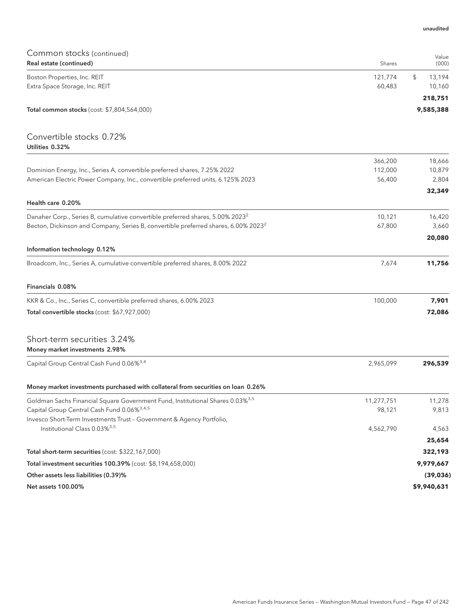| Common stocks (continued)                                                                      |            |                          |
|------------------------------------------------------------------------------------------------|------------|--------------------------|
| Real estate (continued)                                                                        | Shares     | Value<br>(000)           |
| Boston Properties, Inc. REIT                                                                   | 121,774    | \$<br>13,194             |
| Extra Space Storage, Inc. REIT                                                                 | 60,483     | 10,160                   |
|                                                                                                |            | 218,751                  |
| Total common stocks (cost: \$7,804,564,000)                                                    |            | 9,585,388                |
| Convertible stocks 0.72%                                                                       |            |                          |
| Utilities 0.32%                                                                                |            |                          |
|                                                                                                | 366,200    | 18,666                   |
| Dominion Energy, Inc., Series A, convertible preferred shares, 7.25% 2022                      | 112,000    | 10,879                   |
| American Electric Power Company, Inc., convertible preferred units, 6.125% 2023                | 56,400     | 2,804<br>32,349          |
| Health care 0.20%                                                                              |            |                          |
| Danaher Corp., Series B, cumulative convertible preferred shares, 5.00% 2023 <sup>2</sup>      | 10,121     | 16,420                   |
| Becton, Dickinson and Company, Series B, convertible preferred shares, 6.00% 2023 <sup>2</sup> | 67,800     | 3,660                    |
|                                                                                                |            | 20,080                   |
| Information technology 0.12%                                                                   |            |                          |
| Broadcom, Inc., Series A, cumulative convertible preferred shares, 8.00% 2022                  | 7,674      | 11,756                   |
| Financials 0.08%                                                                               |            |                          |
| KKR & Co., Inc., Series C, convertible preferred shares, 6.00% 2023                            | 100,000    | 7,901                    |
| Total convertible stocks (cost: \$67,927,000)                                                  |            | 72,086                   |
| Short-term securities 3.24%<br>Money market investments 2.98%                                  |            |                          |
| Capital Group Central Cash Fund 0.06% <sup>3,4</sup>                                           | 2,965,099  | 296,539                  |
| Money market investments purchased with collateral from securities on loan 0.26%               |            |                          |
| Goldman Sachs Financial Square Government Fund, Institutional Shares 0.03% <sup>3,5</sup>      | 11,277,751 | 11,278                   |
| Capital Group Central Cash Fund 0.06% <sup>3,4,5</sup>                                         | 98,121     | 9,813                    |
| Invesco Short-Term Investments Trust - Government & Agency Portfolio,                          |            |                          |
| Institutional Class 0.03% <sup>3,5</sup>                                                       | 4,562,790  | 4,563                    |
|                                                                                                |            | 25,654                   |
| Total short-term securities (cost: \$322,167,000)                                              |            | 322,193                  |
| Total investment securities 100.39% (cost: \$8,194,658,000)                                    |            | 9,979,667                |
| Other assets less liabilities (0.39)%<br>Net assets 100.00%                                    |            | (39, 036)<br>\$9,940,631 |
|                                                                                                |            |                          |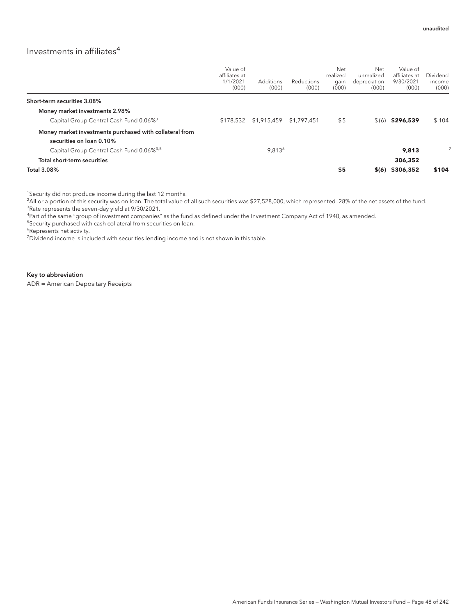# Investments in affiliates $4$

|                                                                                     | Value of<br>affiliates at<br>1/1/2021<br>(000) | Additions<br>(000)      | <b>Reductions</b><br>(000) | Net<br>realized<br>gain<br>(000) | Net<br>unrealized<br>depreciation<br>(000) | Value of<br>affiliates at<br>9/30/2021<br>(000) | Dividend<br>income<br>(000) |
|-------------------------------------------------------------------------------------|------------------------------------------------|-------------------------|----------------------------|----------------------------------|--------------------------------------------|-------------------------------------------------|-----------------------------|
| Short-term securities 3.08%                                                         |                                                |                         |                            |                                  |                                            |                                                 |                             |
| Money market investments 2.98%                                                      |                                                |                         |                            |                                  |                                            |                                                 |                             |
| Capital Group Central Cash Fund 0.06% <sup>3</sup>                                  | \$178,532                                      | \$1,915,459 \$1,797,451 |                            | \$5                              | $\Im(6)$                                   | \$296,539                                       | \$104                       |
| Money market investments purchased with collateral from<br>securities on loan 0.10% |                                                |                         |                            |                                  |                                            |                                                 |                             |
| Capital Group Central Cash Fund 0.06% <sup>3,5</sup>                                | -                                              | 9,813 <sup>6</sup>      |                            |                                  |                                            | 9.813                                           | $-7$                        |
| Total short-term securities                                                         |                                                |                         |                            |                                  |                                            | 306,352                                         |                             |
| <b>Total 3.08%</b>                                                                  |                                                |                         |                            | \$5                              | \$(6)                                      | \$306,352                                       | \$104                       |

<sup>1</sup>Security did not produce income during the last 12 months.

2 All or a portion of this security was on loan. The total value of all such securities was \$27,528,000, which represented .28% of the net assets of the fund. <sup>3</sup>Rate represents the seven-day yield at 9/30/2021.

4 Part of the same "group of investment companies" as the fund as defined under the Investment Company Act of 1940, as amended.

5 Security purchased with cash collateral from securities on loan.

6 Represents net activity.

<sup>7</sup>Dividend income is included with securities lending income and is not shown in this table.

#### Key to abbreviation

ADR = American Depositary Receipts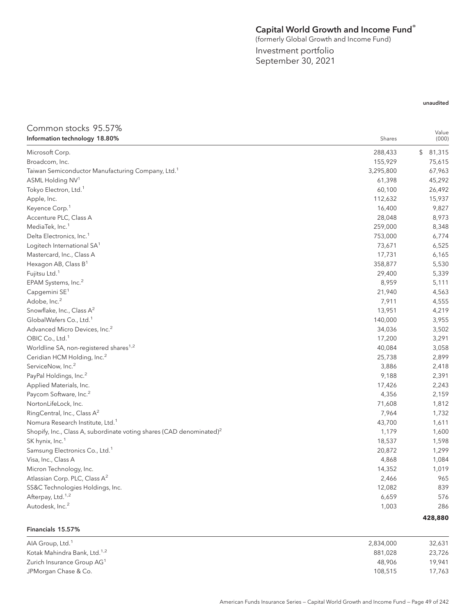# Capital World Growth and Income Fund®

(formerly Global Growth and Income Fund)

Investment portfolio September 30, 2021

## unaudited

## Common stocks 95.57% **Information technology 18.80%** Shares **Shares** Shares **Shares** Shares **Shares** Shares **Shares** Shares **Shares** Shares **Shares** Shares **Shares** Shares **Shares** Shares **Shares** Shares **Shares** Shares **Shares** Shares **Shares** Value (000) Microsoft Corp. 288,433 \$ 81,315 Broadcom, Inc. 155,929 75,615 Taiwan Semiconductor Manufacturing Company, Ltd.<sup>1</sup> 3,295,800 67,963  $\text{ASML Holding NV}^1$  and  $\text{A5,292}$  and  $\text{A5,292}$  and  $\text{A5,292}$  and  $\text{A5,292}$  and  $\text{A5,292}$  and  $\text{A5,292}$  and  $\text{A5,292}$  and  $\text{A5,292}$  and  $\text{A5,292}$  and  $\text{A5,292}$  and  $\text{A5,292}$  and  $\text{A5,292}$  and Tokyo Electron, Ltd.<sup>1</sup> 26,492 Apple, Inc. 112,632 15,937  $\mu$  Keyence Corp. $\frac{1}{2}$  . The corp of the corp of the corp of the corp of the corp of the corp of the corp of the corp of the corp of the corp of the corp of the corp of the corp of the corp of the corp of the corp of Accenture PLC, Class A 28,048 8,973 MediaTek, Inc. $^1$  259,000 8,348 Delta Electronics, Inc.<sup>1</sup> 6,774 Logitech International SA<sup>1</sup> 73,671 6,525 Mastercard, Inc., Class A 17,731 6,165 Hexagon AB, Class B<sup>1</sup> 358,877 5,530 Fujitsu Ltd.<sup>1</sup> 29,400 5,339 5,339 5,339 5,339 5,339 5,339 5,339 5,339 5,339 5,339 5,339 5,339 5,539 5,539 5,539 5,539 5,539 5,539 5,539 5,539 5,539 5,539 5,539 5,539 5,539 5,539 5,539 5,539 5,539 5,539 5,539 5,539 5,539 EPAM Systems, Inc.<sup>2</sup> 8,959 5,111  $C$ apgemini SE $^1$  21,940  $4$ ,563 Adobe, Inc. $^2$  , and the set of the set of the set of the set of the set of the set of the set of the set of the set of the set of the set of the set of the set of the set of the set of the set of the set of the set of t Snowflake, Inc., Class  $A^2$  219 GlobalWafers Co., Ltd.<sup>1</sup> 2,955 Advanced Micro Devices, Inc.<sup>2</sup> 34,036 3,502 OBIC Co., Ltd.<sup>1</sup> 200 3,291 Worldline SA, non-registered shares<sup>1,2</sup> and the set of the set of the set of the set of the set of the set of the set of the set of the set of the set of the set of the set of the set of the set of the set of the set of t Ceridian HCM Holding, Inc.<sup>2</sup> 25,738 2,899 ServiceNow, Inc.<sup>2</sup> 2,418 PayPal Holdings, Inc.<sup>2</sup> 2,391 Applied Materials, Inc. 2,243 Paycom Software, Inc.<sup>2</sup> 2,159 NortonLifeLock, Inc. 2012. 2013. 2014. 2014. 2015. 2016. 2017. 2018. 2019. 2014. 2016. 2017. 2018. 2017. 2018. 2017. 2018. 2017. 2018. 2017. 2018. 2017. 2018. 2017. 2018. 2017. 2018. 2017. 2018. 2017. 2018. 2017. 2018. 201  $\mathsf{RingCentral}$ , Inc., Class  $\mathsf{A}^2$  and  $\mathsf{A}^2$  and  $\mathsf{A}^2$  are  $\mathsf{A}^2$  and  $\mathsf{A}^2$  and  $\mathsf{A}^2$  and  $\mathsf{A}^2$  and  $\mathsf{A}^2$  and  $\mathsf{A}^2$  and  $\mathsf{A}^2$  and  $\mathsf{A}^2$  and  $\mathsf{A}^2$  and  $\mathsf{A}^2$  and  $\math$ Nomura Research Institute, Ltd.<sup>1</sup> and the second second second second second second second second second second second second second second second second second second second second second second second second second seco Shopify, Inc., Class A, subordinate voting shares (CAD denominated)<sup>2</sup> 1,179 1,600 SK hynix, Inc.<sup>1</sup> 18,537 1,598 Samsung Electronics Co., Ltd.<sup>1</sup> 2098 1,299 1,299 1,299 1,299 1,299 1,299 1,299 1,299 1,299 1,299 1,299 1,299 1,299 Visa, Inc., Class A 4,068 1,084 Micron Technology, Inc. 14,352 1,019 Atlassian Corp. PLC, Class A<sup>2</sup> 2,466 265 2,466 2,466 2,466 2,466 2,466 2,466 2,466 2,466 2,466 2,466 2,466 2,46 SS&C Technologies Holdings, Inc. 12,082 839 Afterpay, Ltd.<sup>1,2</sup> 576 576 Autodesk, Inc. $^2$  286  $^2$  286  $^2$  286  $^2$  286  $^2$  286  $^2$  286  $^2$  286  $^2$  286  $^2$  286  $^2$  286  $^2$  286  $^2$  286  $^2$  286  $^2$  286  $^2$  286  $^2$  286  $^2$  286  $^2$  286  $^2$  286  $^2$  286  $^2$  286  $^2$  286  $^2$  286 **428,880**

| 2,834,000 | 32,631 |
|-----------|--------|
| 881.028   | 23,726 |
| 48.906    | 19.941 |
| 108.515   | 17,763 |
|           |        |

Financials 15.57%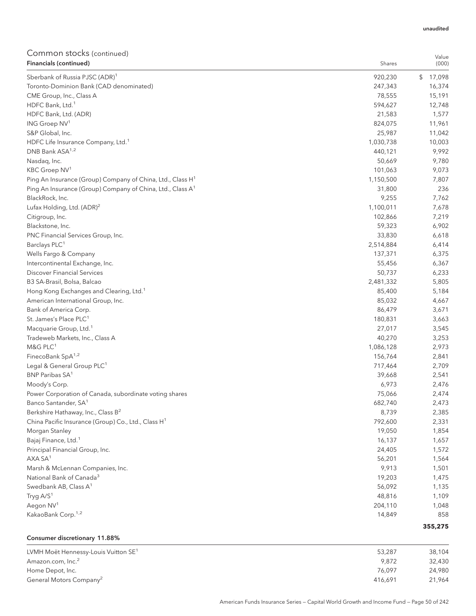| COMMITMON SLOCKS (COMMITMED)<br>Financials (continued)                 | Shares               | Value<br>(000) |
|------------------------------------------------------------------------|----------------------|----------------|
| Sberbank of Russia PJSC (ADR) <sup>1</sup>                             | 920,230              | \$17,098       |
| Toronto-Dominion Bank (CAD denominated)                                | 247,343              | 16,374         |
| CME Group, Inc., Class A                                               | 78,555               | 15,191         |
| HDFC Bank, Ltd. <sup>1</sup>                                           | 594,627              | 12,748         |
| HDFC Bank, Ltd. (ADR)                                                  | 21,583               | 1,577          |
| ING Groep NV <sup>1</sup>                                              | 824,075              | 11,961         |
| S&P Global, Inc.                                                       | 25,987               | 11,042         |
| HDFC Life Insurance Company, Ltd. <sup>1</sup>                         | 1,030,738            | 10,003         |
| DNB Bank ASA <sup>1,2</sup>                                            | 440,121              | 9,992          |
| Nasdaq, Inc.                                                           | 50,669               | 9,780          |
| KBC Groep NV <sup>1</sup>                                              | 101,063              | 9,073          |
| Ping An Insurance (Group) Company of China, Ltd., Class H <sup>1</sup> | 1,150,500            | 7,807          |
| Ping An Insurance (Group) Company of China, Ltd., Class A <sup>1</sup> | 31,800               | 236            |
| BlackRock, Inc.                                                        | 9,255                | 7,762          |
| Lufax Holding, Ltd. (ADR) <sup>2</sup>                                 | 1,100,011            | 7,678          |
| Citigroup, Inc.                                                        | 102,866              | 7,219          |
| Blackstone, Inc.                                                       | 59,323               | 6,902          |
| PNC Financial Services Group, Inc.                                     | 33,830               | 6,618          |
| Barclays PLC <sup>1</sup>                                              |                      |                |
| Wells Fargo & Company                                                  | 2,514,884<br>137,371 | 6,414<br>6,375 |
|                                                                        |                      |                |
| Intercontinental Exchange, Inc.                                        | 55,456               | 6,367          |
| <b>Discover Financial Services</b>                                     | 50,737               | 6,233          |
| B3 SA-Brasil, Bolsa, Balcao                                            | 2,481,332            | 5,805          |
| Hong Kong Exchanges and Clearing, Ltd. <sup>1</sup>                    | 85,400               | 5,184          |
| American International Group, Inc.                                     | 85,032               | 4,667          |
| Bank of America Corp.                                                  | 86,479               | 3,671          |
| St. James's Place PLC <sup>1</sup>                                     | 180,831              | 3,663          |
| Macquarie Group, Ltd. <sup>1</sup>                                     | 27,017               | 3,545          |
| Tradeweb Markets, Inc., Class A                                        | 40,270               | 3,253          |
| M&G PLC <sup>1</sup>                                                   | 1,086,128            | 2,973          |
| FinecoBank SpA <sup>1,2</sup>                                          | 156,764              | 2,841          |
| Legal & General Group PLC <sup>1</sup>                                 | 717,464              | 2,709          |
| BNP Paribas SA <sup>1</sup>                                            | 39,668               | 2,541          |
| Moody's Corp.                                                          | 6,973                | 2,476          |
| Power Corporation of Canada, subordinate voting shares                 | 75,066               | 2,474          |
| Banco Santander, SA <sup>1</sup>                                       | 682,740              | 2,473          |
| Berkshire Hathaway, Inc., Class B <sup>2</sup>                         | 8,739                | 2,385          |
| China Pacific Insurance (Group) Co., Ltd., Class H <sup>1</sup>        | 792,600              | 2,331          |
| Morgan Stanley                                                         | 19,050               | 1,854          |
| Bajaj Finance, Ltd. <sup>1</sup>                                       | 16,137               | 1,657          |
| Principal Financial Group, Inc.                                        | 24,405               | 1,572          |
| AXA SA <sup>1</sup>                                                    | 56,201               | 1,564          |
| Marsh & McLennan Companies, Inc.                                       | 9,913                | 1,501          |
| National Bank of Canada <sup>3</sup>                                   | 19,203               | 1,475          |
| Swedbank AB, Class A <sup>1</sup>                                      | 56,092               | 1,135          |
| Tryg A/S <sup>1</sup>                                                  | 48,816               | 1,109          |
| Aegon NV <sup>1</sup>                                                  | 204,110              | 1,048          |
| KakaoBank Corp. <sup>1,2</sup>                                         | 14,849               | 858            |
|                                                                        |                      | 355,275        |
|                                                                        |                      |                |
| Consumer discretionary 11.88%                                          |                      |                |

| LVMH Moët Hennessy-Louis Vuitton SE <sup>1</sup> | 53,287  | 38,104 |
|--------------------------------------------------|---------|--------|
| Amazon.com, Inc. <sup>2</sup>                    | 9.872   | 32,430 |
| Home Depot, Inc.                                 | 76.097  | 24,980 |
| General Motors Company <sup>2</sup>              | 416.691 | 21.964 |

#### unaudited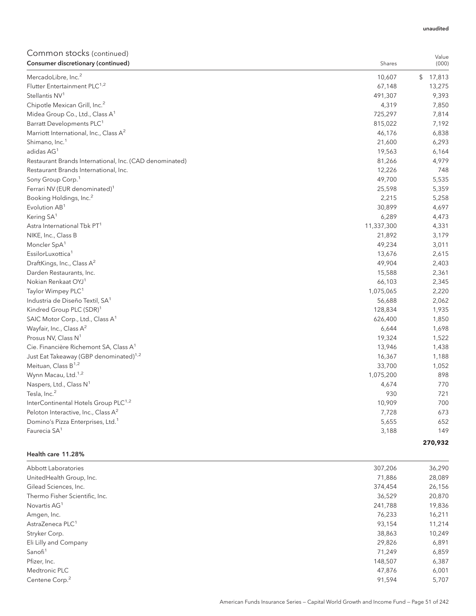#### unaudited

# Common stocks (continued)

| COMMITMON SLOCKS (COMMITMED)<br>Consumer discretionary (continued) | Shares     | Value<br>(000) |
|--------------------------------------------------------------------|------------|----------------|
| MercadoLibre, Inc. <sup>2</sup>                                    | 10,607     | \$17,813       |
| Flutter Entertainment PLC <sup>1,2</sup>                           | 67,148     | 13,275         |
| Stellantis NV <sup>1</sup>                                         | 491,307    | 9,393          |
| Chipotle Mexican Grill, Inc. <sup>2</sup>                          | 4,319      | 7,850          |
| Midea Group Co., Ltd., Class A <sup>1</sup>                        | 725,297    | 7,814          |
| Barratt Developments PLC <sup>1</sup>                              | 815,022    | 7,192          |
| Marriott International, Inc., Class A <sup>2</sup>                 | 46,176     | 6,838          |
| Shimano, Inc. <sup>1</sup>                                         | 21,600     | 6,293          |
| adidas AG <sup>1</sup>                                             | 19,563     | 6,164          |
| Restaurant Brands International, Inc. (CAD denominated)            | 81,266     | 4,979          |
| Restaurant Brands International, Inc.                              | 12,226     | 748            |
| Sony Group Corp. <sup>1</sup>                                      | 49,700     | 5,535          |
| Ferrari NV (EUR denominated) <sup>1</sup>                          | 25,598     | 5,359          |
| Booking Holdings, Inc. <sup>2</sup>                                | 2,215      | 5,258          |
| Evolution AB <sup>1</sup>                                          | 30,899     | 4,697          |
| Kering SA <sup>1</sup>                                             | 6,289      | 4,473          |
| Astra International Tbk PT <sup>1</sup>                            | 11,337,300 | 4,331          |
| NIKE, Inc., Class B                                                | 21,892     | 3,179          |
| Moncler SpA <sup>1</sup>                                           | 49,234     | 3,011          |
| EssilorLuxottica <sup>1</sup>                                      | 13,676     | 2,615          |
| DraftKings, Inc., Class A <sup>2</sup>                             | 49,904     | 2,403          |
| Darden Restaurants, Inc.                                           | 15,588     | 2,361          |
| Nokian Renkaat OYJ <sup>1</sup>                                    | 66,103     | 2,345          |
| Taylor Wimpey PLC <sup>1</sup>                                     | 1,075,065  | 2,220          |
| Industria de Diseño Textil, SA <sup>1</sup>                        | 56,688     | 2,062          |
| Kindred Group PLC (SDR) <sup>1</sup>                               | 128,834    | 1,935          |
| SAIC Motor Corp., Ltd., Class A <sup>1</sup>                       | 626,400    | 1,850          |
| Wayfair, Inc., Class A <sup>2</sup>                                | 6,644      | 1,698          |
| Prosus NV, Class N <sup>1</sup>                                    | 19,324     | 1,522          |
| Cie. Financière Richemont SA, Class A <sup>1</sup>                 | 13,946     | 1,438          |
| Just Eat Takeaway (GBP denominated) <sup>1,2</sup>                 | 16,367     | 1,188          |
| Meituan, Class B <sup>1,2</sup>                                    | 33,700     | 1,052          |
| Wynn Macau, Ltd. <sup>1,2</sup>                                    | 1,075,200  | 898            |
| Naspers, Ltd., Class N <sup>1</sup>                                | 4,674      | 770            |
| Tesla, Inc. <sup>2</sup>                                           | 930        | 721            |
| InterContinental Hotels Group PLC <sup>1,2</sup>                   | 10,909     | 700            |
| Peloton Interactive, Inc., Class A <sup>2</sup>                    | 7,728      | 673            |
| Domino's Pizza Enterprises, Ltd. <sup>1</sup>                      | 5,655      | 652            |
| Faurecia SA <sup>1</sup>                                           | 3,188      | 149            |
|                                                                    |            | 270,932        |

### Health care 11.28%

| Abbott Laboratories            | 307,206 | 36,290 |
|--------------------------------|---------|--------|
| UnitedHealth Group, Inc.       | 71,886  | 28,089 |
| Gilead Sciences, Inc.          | 374,454 | 26,156 |
| Thermo Fisher Scientific, Inc. | 36,529  | 20,870 |
| Novartis AG <sup>1</sup>       | 241,788 | 19,836 |
| Amgen, Inc.                    | 76,233  | 16,211 |
| AstraZeneca PLC <sup>1</sup>   | 93.154  | 11,214 |
| Stryker Corp.                  | 38,863  | 10,249 |
| Eli Lilly and Company          | 29,826  | 6,891  |
| Sanofi <sup>1</sup>            | 71,249  | 6,859  |
| Pfizer, Inc.                   | 148,507 | 6,387  |
| Medtronic PLC                  | 47,876  | 6,001  |
| Centene Corp. <sup>2</sup>     | 91,594  | 5,707  |
|                                |         |        |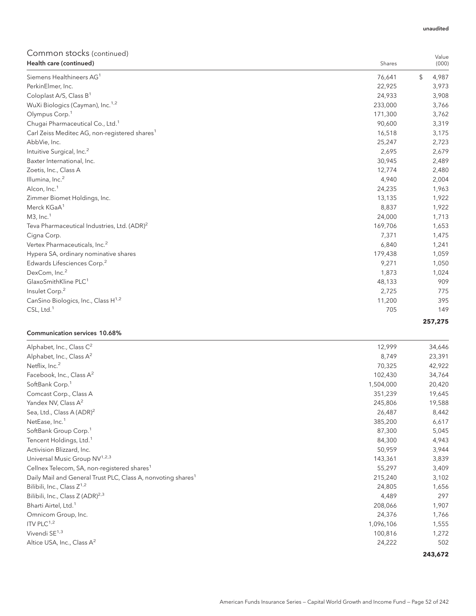| Common stocks (continued)                                 |         | Value       |
|-----------------------------------------------------------|---------|-------------|
| Health care (continued)                                   | Shares  | (000)       |
| Siemens Healthineers AG <sup>1</sup>                      | 76,641  | \$<br>4,987 |
| PerkinElmer, Inc.                                         | 22,925  | 3,973       |
| Coloplast A/S, Class B <sup>1</sup>                       | 24,933  | 3,908       |
| WuXi Biologics (Cayman), Inc. <sup>1,2</sup>              | 233,000 | 3,766       |
| Olympus Corp. <sup>1</sup>                                | 171,300 | 3,762       |
| Chugai Pharmaceutical Co., Ltd. <sup>1</sup>              | 90,600  | 3,319       |
| Carl Zeiss Meditec AG, non-registered shares <sup>1</sup> | 16,518  | 3,175       |
| AbbVie, Inc.                                              | 25,247  | 2,723       |
| Intuitive Surgical, Inc. <sup>2</sup>                     | 2,695   | 2,679       |
| Baxter International, Inc.                                | 30,945  | 2,489       |
| Zoetis, Inc., Class A                                     | 12,774  | 2,480       |
| Illumina, Inc. <sup>2</sup>                               | 4,940   | 2,004       |
| Alcon, Inc. <sup>1</sup>                                  | 24,235  | 1,963       |
| Zimmer Biomet Holdings, Inc.                              | 13,135  | 1,922       |
| Merck KGaA <sup>1</sup>                                   | 8,837   | 1,922       |
| $M3$ , Inc. <sup>1</sup>                                  | 24,000  | 1,713       |
| Teva Pharmaceutical Industries, Ltd. (ADR) <sup>2</sup>   | 169,706 | 1,653       |
| Cigna Corp.                                               | 7,371   | 1,475       |
| Vertex Pharmaceuticals, Inc. <sup>2</sup>                 | 6,840   | 1,241       |
| Hypera SA, ordinary nominative shares                     | 179,438 | 1,059       |
| Edwards Lifesciences Corp. <sup>2</sup>                   | 9,271   | 1,050       |
| DexCom, Inc. <sup>2</sup>                                 | 1,873   | 1,024       |
| GlaxoSmithKline PLC <sup>1</sup>                          | 48,133  | 909         |
| Insulet Corp. <sup>2</sup>                                | 2,725   | 775         |
| CanSino Biologics, Inc., Class H <sup>1,2</sup>           | 11,200  | 395         |
| $CSL$ , Ltd. <sup>1</sup>                                 | 705     | 149         |
|                                                           |         | 257,275     |

### Communication services 10.68%

| Alphabet, Inc., Class C <sup>2</sup>                                     | 12,999    | 34,646  |
|--------------------------------------------------------------------------|-----------|---------|
| Alphabet, Inc., Class $A^2$                                              | 8,749     | 23,391  |
| Netflix, Inc. <sup>2</sup>                                               | 70,325    | 42,922  |
| Facebook, Inc., Class A <sup>2</sup>                                     | 102,430   | 34,764  |
|                                                                          |           |         |
| SoftBank Corp. <sup>1</sup>                                              | 1,504,000 | 20,420  |
| Comcast Corp., Class A                                                   | 351,239   | 19,645  |
| Yandex NV, Class A <sup>2</sup>                                          | 245,806   | 19,588  |
| Sea, Ltd., Class A (ADR) <sup>2</sup>                                    | 26,487    | 8,442   |
| NetEase, Inc. <sup>1</sup>                                               | 385,200   | 6,617   |
| SoftBank Group Corp. <sup>1</sup>                                        | 87,300    | 5,045   |
| Tencent Holdings, Ltd. <sup>1</sup>                                      | 84,300    | 4,943   |
| Activision Blizzard, Inc.                                                | 50,959    | 3,944   |
| Universal Music Group NV <sup>1,2,3</sup>                                | 143,361   | 3,839   |
| Cellnex Telecom, SA, non-registered shares <sup>1</sup>                  | 55,297    | 3,409   |
| Daily Mail and General Trust PLC, Class A, nonvoting shares <sup>1</sup> | 215,240   | 3,102   |
| Bilibili, Inc., Class $Z^{1,2}$                                          | 24,805    | 1,656   |
| Bilibili, Inc., Class Z (ADR) <sup>2,3</sup>                             | 4,489     | 297     |
| Bharti Airtel, Ltd. <sup>1</sup>                                         | 208,066   | 1,907   |
| Omnicom Group, Inc.                                                      | 24,376    | 1,766   |
| ITV PLC $1,2$                                                            | 1,096,106 | 1,555   |
| Vivendi SE <sup>1,3</sup>                                                | 100,816   | 1,272   |
| Altice USA, Inc., Class A <sup>2</sup>                                   | 24,222    | 502     |
|                                                                          |           | 243,672 |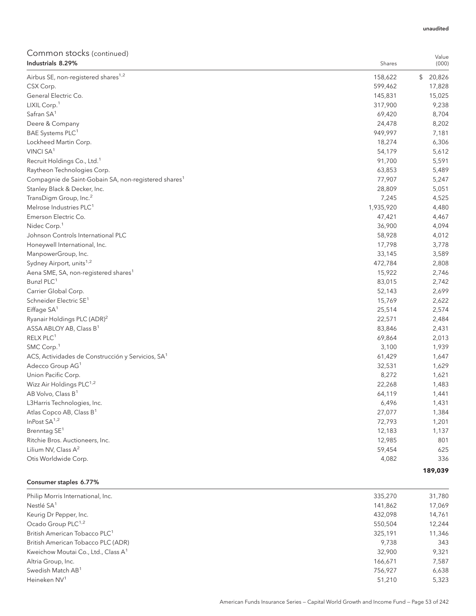#### unaudited

Value

# Common stocks (continued)<br>Industrials 8 29%

| Industrials 8.29%                                                | Shares    | (000)        |
|------------------------------------------------------------------|-----------|--------------|
| Airbus SE, non-registered shares <sup>1,2</sup>                  | 158,622   | 20,826<br>\$ |
| CSX Corp.                                                        | 599,462   | 17,828       |
| General Electric Co.                                             | 145,831   | 15,025       |
| LIXIL Corp. <sup>1</sup>                                         | 317,900   | 9,238        |
| Safran SA <sup>1</sup>                                           | 69,420    | 8,704        |
| Deere & Company                                                  | 24,478    | 8,202        |
| BAE Systems PLC <sup>1</sup>                                     | 949,997   | 7,181        |
| Lockheed Martin Corp.                                            | 18,274    | 6,306        |
| VINCI SA <sup>1</sup>                                            | 54,179    | 5,612        |
| Recruit Holdings Co., Ltd. <sup>1</sup>                          | 91,700    | 5,591        |
| Raytheon Technologies Corp.                                      | 63,853    | 5,489        |
| Compagnie de Saint-Gobain SA, non-registered shares <sup>1</sup> | 77,907    | 5,247        |
| Stanley Black & Decker, Inc.                                     | 28,809    | 5,051        |
| TransDigm Group, Inc. <sup>2</sup>                               | 7,245     | 4,525        |
| Melrose Industries PLC <sup>1</sup>                              | 1,935,920 | 4,480        |
| Emerson Electric Co.                                             | 47,421    | 4,467        |
| Nidec Corp. <sup>1</sup>                                         | 36,900    | 4,094        |
| Johnson Controls International PLC                               | 58,928    | 4,012        |
| Honeywell International, Inc.                                    | 17,798    | 3,778        |
| ManpowerGroup, Inc.                                              | 33,145    | 3,589        |
| Sydney Airport, units <sup>1,2</sup>                             | 472,784   | 2,808        |
| Aena SME, SA, non-registered shares <sup>1</sup>                 | 15,922    | 2,746        |
| Bunzl PLC <sup>1</sup>                                           | 83,015    | 2,742        |
| Carrier Global Corp.                                             | 52,143    | 2,699        |
| Schneider Electric SE <sup>1</sup>                               | 15,769    | 2,622        |
| Eiffage $SA1$                                                    | 25,514    | 2,574        |
| Ryanair Holdings PLC (ADR) <sup>2</sup>                          | 22,571    | 2,484        |
| ASSA ABLOY AB, Class B <sup>1</sup>                              | 83,846    | 2,431        |
| RELX PLC <sup>1</sup>                                            | 69,864    | 2,013        |
| SMC Corp. <sup>1</sup>                                           | 3,100     | 1,939        |
| ACS, Actividades de Construcción y Servicios, SA <sup>1</sup>    | 61,429    | 1,647        |
| Adecco Group AG <sup>1</sup>                                     | 32,531    | 1,629        |
| Union Pacific Corp.                                              | 8,272     | 1,621        |
| Wizz Air Holdings PLC <sup>1,2</sup>                             | 22,268    | 1,483        |
| AB Volvo, Class B <sup>1</sup>                                   | 64,119    | 1,441        |
| L3Harris Technologies, Inc.                                      | 6,496     | 1,431        |
| Atlas Copco AB, Class B <sup>1</sup>                             | 27,077    | 1,384        |
| InPost SA <sup>1,2</sup>                                         | 72,793    | 1,201        |
| Brenntag SE <sup>1</sup>                                         | 12,183    | 1,137        |
| Ritchie Bros. Auctioneers, Inc.                                  | 12,985    | 801          |
| Lilium NV, Class A <sup>2</sup>                                  | 59,454    | 625          |
| Otis Worldwide Corp.                                             | 4,082     | 336          |
|                                                                  |           | 189,039      |

#### Consumer staples 6.77%

| Philip Morris International, Inc.               | 335,270 | 31,780 |
|-------------------------------------------------|---------|--------|
| Nestlé SA <sup>1</sup>                          | 141,862 | 17,069 |
| Keurig Dr Pepper, Inc.                          | 432.098 | 14,761 |
| Ocado Group PLC <sup>1,2</sup>                  | 550.504 | 12,244 |
| British American Tobacco PLC <sup>1</sup>       | 325.191 | 11,346 |
| British American Tobacco PLC (ADR)              | 9.738   | 343    |
| Kweichow Moutai Co., Ltd., Class A <sup>1</sup> | 32,900  | 9,321  |
| Altria Group, Inc.                              | 166,671 | 7,587  |
| Swedish Match AB <sup>1</sup>                   | 756,927 | 6,638  |
| Heineken NV <sup>1</sup>                        | 51,210  | 5,323  |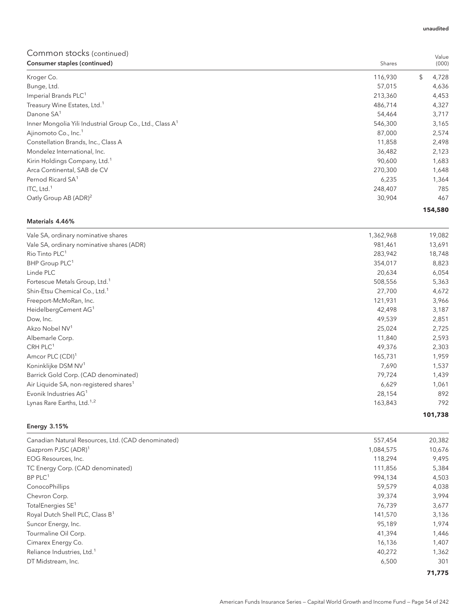| Consumer staples (continued)                                         | Shares  | (000)       |
|----------------------------------------------------------------------|---------|-------------|
| Kroger Co.                                                           | 116,930 | \$<br>4,728 |
| Bunge, Ltd.                                                          | 57,015  | 4,636       |
| Imperial Brands PLC <sup>1</sup>                                     | 213,360 | 4,453       |
| Treasury Wine Estates, Ltd. <sup>1</sup>                             | 486,714 | 4,327       |
| Danone SA <sup>1</sup>                                               | 54,464  | 3,717       |
| Inner Mongolia Yili Industrial Group Co., Ltd., Class A <sup>1</sup> | 546,300 | 3,165       |
| Ajinomoto Co., Inc. <sup>1</sup>                                     | 87,000  | 2,574       |
| Constellation Brands, Inc., Class A                                  | 11,858  | 2,498       |
| Mondelez International, Inc.                                         | 36,482  | 2,123       |
| Kirin Holdings Company, Ltd. <sup>1</sup>                            | 90,600  | 1,683       |
| Arca Continental, SAB de CV                                          | 270,300 | 1,648       |
| Pernod Ricard SA <sup>1</sup>                                        | 6,235   | 1,364       |
| ITC, Ltd. $1$                                                        | 248,407 | 785         |
| Oatly Group AB (ADR) <sup>2</sup>                                    | 30,904  | 467         |
|                                                                      |         | 154,580     |

### Materials 4.46%

| Vale SA, ordinary nominative shares                | 1,362,968 | 19,082  |
|----------------------------------------------------|-----------|---------|
| Vale SA, ordinary nominative shares (ADR)          | 981,461   | 13,691  |
| Rio Tinto PLC <sup>1</sup>                         | 283,942   | 18,748  |
| BHP Group PLC <sup>1</sup>                         | 354,017   | 8,823   |
| Linde PLC                                          | 20,634    | 6,054   |
| Fortescue Metals Group, Ltd. <sup>1</sup>          | 508,556   | 5,363   |
| Shin-Etsu Chemical Co., Ltd. <sup>1</sup>          | 27,700    | 4,672   |
| Freeport-McMoRan, Inc.                             | 121,931   | 3,966   |
| HeidelbergCement AG <sup>1</sup>                   | 42,498    | 3,187   |
| Dow, Inc.                                          | 49,539    | 2,851   |
| Akzo Nobel NV <sup>1</sup>                         | 25,024    | 2,725   |
| Albemarle Corp.                                    | 11,840    | 2,593   |
| $CRH$ PLC <sup>1</sup>                             | 49,376    | 2,303   |
| Amcor PLC (CDI) <sup>1</sup>                       | 165,731   | 1,959   |
| Koninklijke DSM NV <sup>1</sup>                    | 7,690     | 1,537   |
| Barrick Gold Corp. (CAD denominated)               | 79,724    | 1,439   |
| Air Liquide SA, non-registered shares <sup>1</sup> | 6,629     | 1,061   |
| Evonik Industries AG <sup>1</sup>                  | 28,154    | 892     |
| Lynas Rare Earths, Ltd. <sup>1,2</sup>             | 163,843   | 792     |
|                                                    |           | 101,738 |

### Energy 3.15%

| Canadian Natural Resources, Ltd. (CAD denominated) | 557,454   | 20,382 |
|----------------------------------------------------|-----------|--------|
| Gazprom PJSC (ADR) <sup>1</sup>                    | 1,084,575 | 10,676 |
| EOG Resources, Inc.                                | 118,294   | 9,495  |
| TC Energy Corp. (CAD denominated)                  | 111,856   | 5,384  |
| $BP$ PLC <sup>1</sup>                              | 994.134   | 4,503  |
| ConocoPhillips                                     | 59,579    | 4,038  |
| Chevron Corp.                                      | 39,374    | 3,994  |
| TotalEnergies SE <sup>1</sup>                      | 76,739    | 3,677  |
| Royal Dutch Shell PLC, Class B <sup>1</sup>        | 141,570   | 3,136  |
| Suncor Energy, Inc.                                | 95.189    | 1,974  |
| Tourmaline Oil Corp.                               | 41,394    | 1,446  |
| Cimarex Energy Co.                                 | 16,136    | 1,407  |
| Reliance Industries, Ltd. <sup>1</sup>             | 40,272    | 1,362  |
| DT Midstream, Inc.                                 | 6,500     | 301    |
|                                                    |           | 71,775 |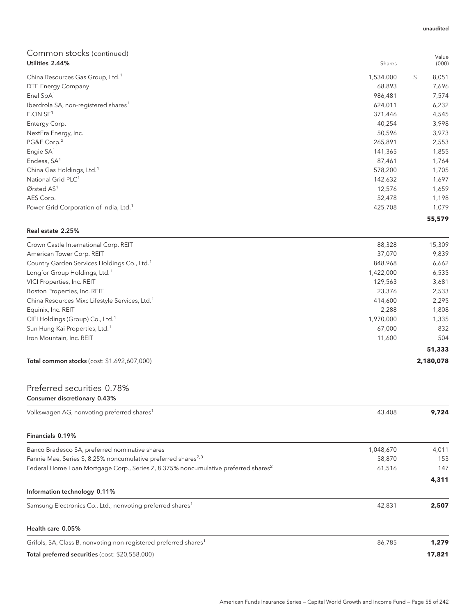| Utilities 2.44%                                    | Shares    | (000)       |
|----------------------------------------------------|-----------|-------------|
| China Resources Gas Group, Ltd. <sup>1</sup>       | 1,534,000 | \$<br>8,051 |
| DTE Energy Company                                 | 68,893    | 7,696       |
| Enel $SpA1$                                        | 986,481   | 7,574       |
| Iberdrola SA, non-registered shares <sup>1</sup>   | 624,011   | 6,232       |
| E.ONSE <sup>1</sup>                                | 371,446   | 4,545       |
| Entergy Corp.                                      | 40,254    | 3,998       |
| NextEra Energy, Inc.                               | 50,596    | 3,973       |
| PG&E Corp. <sup>2</sup>                            | 265,891   | 2,553       |
| Engie SA <sup>1</sup>                              | 141,365   | 1,855       |
| Endesa, SA <sup>1</sup>                            | 87,461    | 1,764       |
| China Gas Holdings, Ltd. <sup>1</sup>              | 578,200   | 1,705       |
| National Grid PLC <sup>1</sup>                     | 142,632   | 1,697       |
| Ørsted $AS1$                                       | 12,576    | 1,659       |
| AES Corp.                                          | 52,478    | 1,198       |
| Power Grid Corporation of India, Ltd. <sup>1</sup> | 425,708   | 1,079       |
|                                                    |           | 55,579      |

## Real estate 2.25%

| Crown Castle International Corp. REIT                      | 88,328    | 15,309    |
|------------------------------------------------------------|-----------|-----------|
| American Tower Corp. REIT                                  | 37.070    | 9,839     |
| Country Garden Services Holdings Co., Ltd. <sup>1</sup>    | 848.968   | 6,662     |
| Longfor Group Holdings, Ltd. <sup>1</sup>                  | 1,422,000 | 6,535     |
| VICI Properties, Inc. REIT                                 | 129.563   | 3,681     |
| Boston Properties, Inc. REIT                               | 23,376    | 2,533     |
| China Resources Mixc Lifestyle Services, Ltd. <sup>1</sup> | 414,600   | 2,295     |
| Equinix, Inc. REIT                                         | 2.288     | 1,808     |
| CIFI Holdings (Group) Co., Ltd. <sup>1</sup>               | 1,970,000 | 1,335     |
| Sun Hung Kai Properties, Ltd. <sup>1</sup>                 | 67.000    | 832       |
| Iron Mountain, Inc. REIT                                   | 11.600    | 504       |
|                                                            |           | 51,333    |
| Total common stocks (cost: \$1,692,607,000)                |           | 2,180,078 |

# Preferred securities 0.78% Consumer discretionary 0.43%

| Volkswagen AG, nonvoting preferred shares <sup>1</sup>                                         | 43,408    | 9,724  |
|------------------------------------------------------------------------------------------------|-----------|--------|
| Financials 0.19%                                                                               |           |        |
| Banco Bradesco SA, preferred nominative shares                                                 | 1,048,670 | 4,011  |
| Fannie Mae, Series S, 8.25% noncumulative preferred shares <sup>2,3</sup>                      | 58,870    | 153    |
| Federal Home Loan Mortgage Corp., Series Z, 8.375% noncumulative preferred shares <sup>2</sup> | 61,516    | 147    |
|                                                                                                |           | 4,311  |
| Information technology 0.11%                                                                   |           |        |
| Samsung Electronics Co., Ltd., nonvoting preferred shares <sup>1</sup>                         | 42,831    | 2,507  |
| Health care 0.05%                                                                              |           |        |
| Grifols, SA, Class B, nonvoting non-registered preferred shares <sup>1</sup>                   | 86,785    | 1,279  |
| Total preferred securities (cost: \$20,558,000)                                                |           | 17,821 |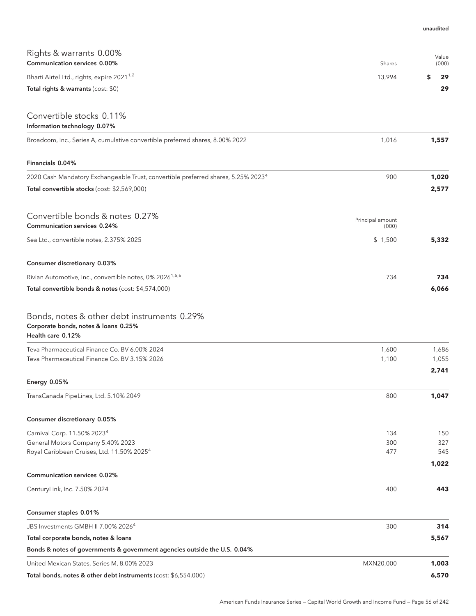| Rights & warrants 0.00%<br>Communication services 0.00%                                                  | Shares                    | Value<br>(000) |
|----------------------------------------------------------------------------------------------------------|---------------------------|----------------|
| Bharti Airtel Ltd., rights, expire 2021 <sup>1,2</sup>                                                   | 13,994                    | \$<br>29       |
| Total rights & warrants (cost: \$0)                                                                      |                           | 29             |
| Convertible stocks 0.11%<br>Information technology 0.07%                                                 |                           |                |
| Broadcom, Inc., Series A, cumulative convertible preferred shares, 8.00% 2022                            | 1,016                     | 1,557          |
| Financials 0.04%                                                                                         |                           |                |
| 2020 Cash Mandatory Exchangeable Trust, convertible preferred shares, 5.25% 2023 <sup>4</sup>            | 900                       | 1,020          |
| Total convertible stocks (cost: \$2,569,000)                                                             |                           | 2,577          |
| Convertible bonds & notes 0.27%<br>Communication services 0.24%                                          | Principal amount<br>(000) |                |
| Sea Ltd., convertible notes, 2.375% 2025                                                                 | \$1,500                   | 5,332          |
| Consumer discretionary 0.03%                                                                             |                           |                |
| Rivian Automotive, Inc., convertible notes, 0% 2026 <sup>1,5,6</sup>                                     | 734                       | 734            |
| Total convertible bonds & notes (cost: \$4,574,000)                                                      |                           | 6,066          |
| Bonds, notes & other debt instruments 0.29%<br>Corporate bonds, notes & loans 0.25%<br>Health care 0.12% |                           |                |
| Teva Pharmaceutical Finance Co. BV 6.00% 2024                                                            | 1,600                     | 1,686          |
| Teva Pharmaceutical Finance Co. BV 3.15% 2026                                                            | 1,100                     | 1,055          |
| <b>Energy 0.05%</b>                                                                                      |                           | 2,741          |
| TransCanada PipeLines, Ltd. 5.10% 2049                                                                   | 800                       | 1,047          |
| Consumer discretionary 0.05%                                                                             |                           |                |
| Carnival Corp. 11.50% 2023 <sup>4</sup>                                                                  | 134                       | 150            |
| General Motors Company 5.40% 2023                                                                        | 300                       | 327            |
| Royal Caribbean Cruises, Ltd. 11.50% 2025 <sup>4</sup>                                                   | 477                       | 545<br>1,022   |
| <b>Communication services 0.02%</b>                                                                      |                           |                |
| CenturyLink, Inc. 7.50% 2024                                                                             | 400                       | 443            |
| Consumer staples 0.01%                                                                                   |                           |                |
| JBS Investments GMBH II 7.00% 2026 <sup>4</sup>                                                          | 300                       | 314            |
| Total corporate bonds, notes & loans                                                                     |                           | 5,567          |
| Bonds & notes of governments & government agencies outside the U.S. 0.04%                                |                           |                |
| United Mexican States, Series M, 8.00% 2023                                                              | MXN20,000                 | 1,003          |
| Total bonds, notes & other debt instruments (cost: \$6,554,000)                                          |                           | 6,570          |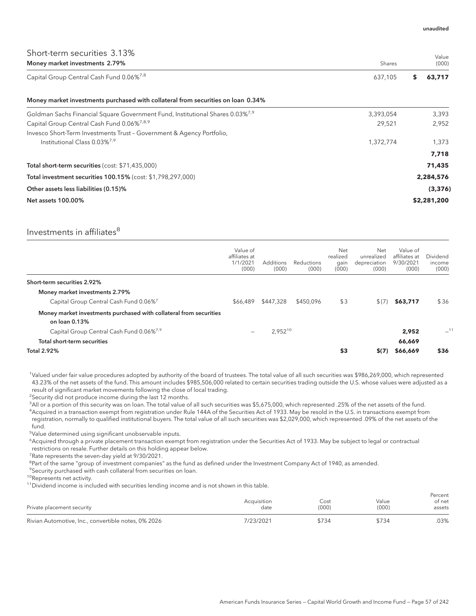| Short-term securities 3.13%<br>Money market investments 2.79%                             | Shares    | Value<br>(000) |
|-------------------------------------------------------------------------------------------|-----------|----------------|
| Capital Group Central Cash Fund 0.06% <sup>7,8</sup>                                      | 637,105   | 63,717<br>S    |
| Money market investments purchased with collateral from securities on loan 0.34%          |           |                |
| Goldman Sachs Financial Square Government Fund, Institutional Shares 0.03% <sup>7,9</sup> | 3,393,054 | 3,393          |
| Capital Group Central Cash Fund 0.06% <sup>7,8,9</sup>                                    | 29,521    | 2,952          |
| Invesco Short-Term Investments Trust - Government & Agency Portfolio,                     |           |                |
| Institutional Class 0.03% <sup>7,9</sup>                                                  | 1,372,774 | 1,373          |
|                                                                                           |           | 7,718          |
| Total short-term securities (cost: \$71,435,000)                                          |           | 71,435         |
| Total investment securities 100.15% (cost: \$1,798,297,000)                               |           | 2,284,576      |
| Other assets less liabilities (0.15)%                                                     |           | (3, 376)       |
| <b>Net assets 100.00%</b>                                                                 |           | \$2,281,200    |

# Investments in affiliates<sup>8</sup>

|                                                                                     | Value of<br>affiliates at<br>1/1/2021<br>(000) | <b>Additions</b><br>(000) | Reductions<br>(000) | Net<br>realized<br>gain<br>(000) | Net<br>unrealized<br>depreciation<br>(000) | Value of<br>affiliates at<br>9/30/2021<br>(000) | Dividend<br>income<br>(000) |
|-------------------------------------------------------------------------------------|------------------------------------------------|---------------------------|---------------------|----------------------------------|--------------------------------------------|-------------------------------------------------|-----------------------------|
| Short-term securities 2.92%                                                         |                                                |                           |                     |                                  |                                            |                                                 |                             |
| Money market investments 2.79%                                                      |                                                |                           |                     |                                  |                                            |                                                 |                             |
| Capital Group Central Cash Fund 0.06% <sup>7</sup>                                  | \$66,489                                       | \$447,328                 | \$450,096           | \$3                              | \$(7)                                      | \$63,717                                        | \$36                        |
| Money market investments purchased with collateral from securities<br>on loan 0.13% |                                                |                           |                     |                                  |                                            |                                                 |                             |
| Capital Group Central Cash Fund 0.06% <sup>7,9</sup>                                | $\overline{\phantom{m}}$                       | 2,95210                   |                     |                                  |                                            | 2,952                                           | $-11$                       |
| Total short-term securities                                                         |                                                |                           |                     |                                  |                                            | 66,669                                          |                             |
| <b>Total 2.92%</b>                                                                  |                                                |                           |                     | \$3                              | S(7)                                       | \$66,669                                        | \$36                        |

<sup>1</sup>Valued under fair value procedures adopted by authority of the board of trustees. The total value of all such securities was \$986,269,000, which represented 43.23% of the net assets of the fund. This amount includes \$985,506,000 related to certain securities trading outside the U.S. whose values were adjusted as a result of significant market movements following the close of local trading.

<sup>2</sup>Security did not produce income during the last 12 months.

3 All or a portion of this security was on loan. The total value of all such securities was \$5,675,000, which represented .25% of the net assets of the fund. 4 Acquired in a transaction exempt from registration under Rule 144A of the Securities Act of 1933. May be resold in the U.S. in transactions exempt from registration, normally to qualified institutional buyers. The total value of all such securities was \$2,029,000, which represented .09% of the net assets of the fund.

5 Value determined using significant unobservable inputs.

6 Acquired through a private placement transaction exempt from registration under the Securities Act of 1933. May be subject to legal or contractual restrictions on resale. Further details on this holding appear below.

<sup>7</sup> Rate represents the seven-day yield at 9/30/2021.

<sup>8</sup>Part of the same "group of investment companies" as the fund as defined under the Investment Company Act of 1940, as amended.

<sup>9</sup>Security purchased with cash collateral from securities on loan.

10Represents net activity.

<sup>11</sup>Dividend income is included with securities lending income and is not shown in this table.

| Private placement security                          | Acquisition<br>date | Cost<br>(000) | Value<br>(000) | Percent<br>of net<br>assets |
|-----------------------------------------------------|---------------------|---------------|----------------|-----------------------------|
| Rivian Automotive, Inc., convertible notes, 0% 2026 | 7/23/2021           | \$734         | \$734          | 03%                         |

unaudited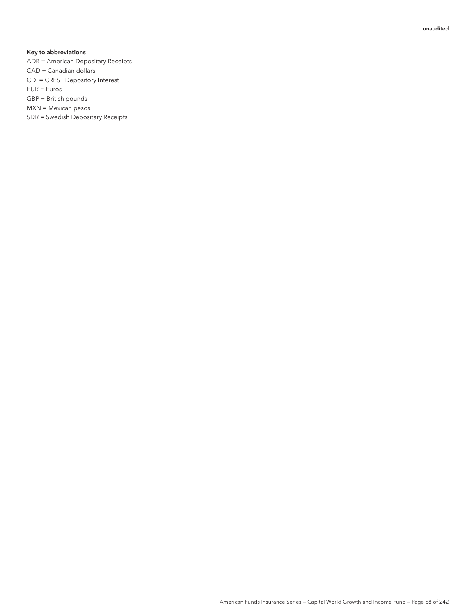### Key to abbreviations

- ADR = American Depositary Receipts
- CAD = Canadian dollars
- CDI = CREST Depository Interest
- EUR = Euros
- GBP = British pounds
- MXN = Mexican pesos
- SDR = Swedish Depositary Receipts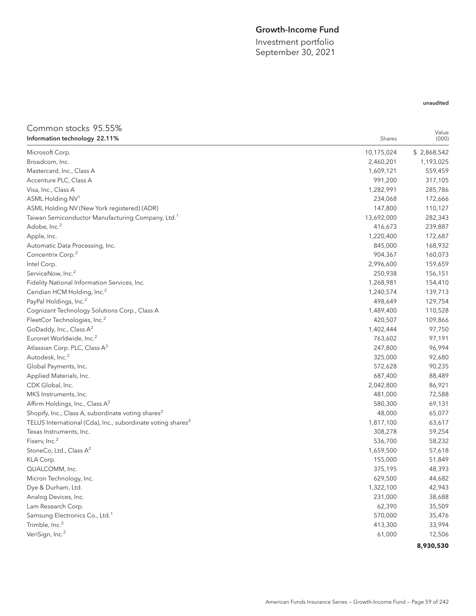# Growth-Income Fund

Investment portfolio September 30, 2021

# unaudited

## Common stocks 95.55% Information technology 22.11% Shares and the United States of the Shares Shares Shares Shares Shares Shares Shares Shares and Shares Shares Shares Shares and Shares Shares Shares Shares and Shares Shares and Shares and Sha Value (000) Microsoft Corp. 10,175,024 \$ 2,868,542 Broadcom, Inc. 2,460,201 1,193,025 Mastercard, Inc., Class A 1,609,121 559,459 Accenture PLC, Class A 317,105 Visa, Inc., Class A 1,282,991 285,786 ASML Holding NV<sup>1</sup> 234,068 172,666 172,666 ASML Holding NV (New York registered) (ADR) 110,127 Taiwan Semiconductor Manufacturing Company, Ltd.<sup>1</sup> 13,692,000 282,343  $\rm Ado$ be, Inc. $^2$  239,887  $^2$  239,887  $^2$  239,887  $^2$  239,887  $^2$  239,887  $^2$  239,887  $^2$  239,887  $^2$  239,887  $^2$  239,887  $^2$  239,887  $^2$  239,887  $^2$  39,887  $^2$  39,887  $^2$  39,887  $^2$  39,887  $^2$  39,887  $^2$ Apple, Inc. 1,220,400 172,687 Automatic Data Processing, Inc. 845,000 168,932 Concentrix Corp.<sup>2</sup> 804,367 160,073 Intel Corp. 2,996,600 159,659 ServiceNow, Inc.<sup>2</sup> 250,938 156,151 Fidelity National Information Services, Inc. 1,268,981 154,410 Ceridian HCM Holding, Inc.<sup>2</sup> 139,713 PayPal Holdings, Inc.<sup>2</sup>  $\sim$  129,754 Cognizant Technology Solutions Corp., Class A 1,489,400 110,528 FleetCor Technologies, Inc.<sup>2</sup> 420,507 109,866 GoDaddy, Inc., Class A<sup>2</sup> 1,402,444 97,750 Euronet Worldwide, Inc.<sup>2</sup> 763,602 97,191 Atlassian Corp. PLC, Class A<sup>2</sup> 247,800 96,994  $\rm \lambda$ utodesk, Inc. $^{2}$  325,000  $^{92,680}$ Global Payments, Inc. 572,628 90,235 Applied Materials, Inc. 687,400 88,489 CDK Global, Inc. 2,042,800 86,921 MKS Instruments, Inc. 2012 12:588 Affirm Holdings, Inc., Class  $A^2$  69,131 Shopify, Inc., Class A, subordinate voting shares<sup>2</sup> and the substitution of the state of the state of the state of the state of the state of the state of the state of the state of the state of the state of the state of th TELUS International (Cda), Inc., subordinate voting shares<sup>2</sup> 1,817,100 63,617 Texas Instruments, Inc. 308,278 59,254 Fiserv, Inc.<sup>2</sup> 536,700 58,232  $\frac{1}{57,618}$  StoneCo, Ltd., Class A<sup>2</sup> 57,618 KLA Corp. 155,000 51,849 QUALCOMM, Inc. 375,195 48,393 Micron Technology, Inc. 629,500 to the control of the control of the control of the control of the control of the control of the control of the control of the control of the control of the control of the control of the con Dye & Durham, Ltd. 1,322,100 42,943 Analog Devices, Inc. 231,000 38,688 Lam Research Corp. 62,390 35,509 Samsung Electronics Co., Ltd.<sup>1</sup> 25,476 Trimble, Inc.<sup>2</sup> 413,300 33,994  $\lambda$  VeriSign, Inc. $^2$  61,000  $\lambda$  12,506  $\lambda$ **8,930,530**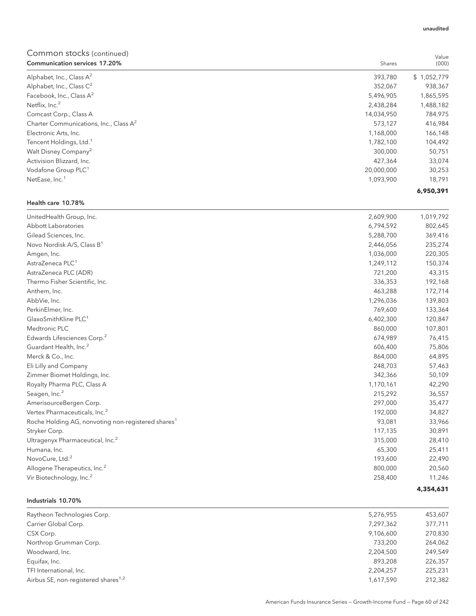| <b>Communication services 17.20%</b>               | Shares     | (000)       |
|----------------------------------------------------|------------|-------------|
| Alphabet, Inc., Class $A^2$                        | 393,780    | \$1,052,779 |
| Alphabet, Inc., Class C <sup>2</sup>               | 352,067    | 938,367     |
| Facebook, Inc., Class $A^2$                        | 5,496,905  | 1,865,595   |
| Netflix, Inc. <sup>2</sup>                         | 2,438,284  | 1,488,182   |
| Comcast Corp., Class A                             | 14,034,950 | 784,975     |
| Charter Communications, Inc., Class A <sup>2</sup> | 573,127    | 416,984     |
| Electronic Arts, Inc.                              | 1,168,000  | 166,148     |
| Tencent Holdings, Ltd. <sup>1</sup>                | 1,782,100  | 104,492     |
| Walt Disney Company <sup>2</sup>                   | 300,000    | 50,751      |
| Activision Blizzard, Inc.                          | 427,364    | 33,074      |
| Vodafone Group PLC <sup>1</sup>                    | 20,000,000 | 30,253      |
| NetEase, Inc. <sup>1</sup>                         | 1,093,900  | 18,791      |
|                                                    |            | 6.950.391   |

# Health care 10.78%

| UnitedHealth Group, Inc.                                       | 2,609,900 | 1,019,792 |
|----------------------------------------------------------------|-----------|-----------|
| Abbott Laboratories                                            | 6,794,592 | 802,645   |
| Gilead Sciences, Inc.                                          | 5,288,700 | 369,416   |
| Novo Nordisk A/S, Class B <sup>1</sup>                         | 2,446,056 | 235,274   |
| Amgen, Inc.                                                    | 1,036,000 | 220,305   |
| AstraZeneca PLC <sup>1</sup>                                   | 1,249,112 | 150,374   |
| AstraZeneca PLC (ADR)                                          | 721,200   | 43,315    |
| Thermo Fisher Scientific, Inc.                                 | 336,353   | 192,168   |
| Anthem, Inc.                                                   | 463,288   | 172,714   |
| AbbVie, Inc.                                                   | 1,296,036 | 139,803   |
| PerkinElmer, Inc.                                              | 769,600   | 133,364   |
| GlaxoSmithKline PLC <sup>1</sup>                               | 6,402,300 | 120,847   |
| Medtronic PLC                                                  | 860,000   | 107,801   |
| Edwards Lifesciences Corp. <sup>2</sup>                        | 674,989   | 76,415    |
| Guardant Health, Inc. <sup>2</sup>                             | 606,400   | 75,806    |
| Merck & Co., Inc.                                              | 864,000   | 64,895    |
| Eli Lilly and Company                                          | 248,703   | 57,463    |
| Zimmer Biomet Holdings, Inc.                                   | 342,366   | 50,109    |
| Royalty Pharma PLC, Class A                                    | 1,170,161 | 42,290    |
| Seagen, Inc. <sup>2</sup>                                      | 215,292   | 36,557    |
| AmerisourceBergen Corp.                                        | 297,000   | 35,477    |
| Vertex Pharmaceuticals, Inc. <sup>2</sup>                      | 192,000   | 34,827    |
| Roche Holding AG, nonvoting non-registered shares <sup>1</sup> | 93,081    | 33,966    |
| Stryker Corp.                                                  | 117,135   | 30,891    |
| Ultragenyx Pharmaceutical, Inc. <sup>2</sup>                   | 315,000   | 28,410    |
| Humana, Inc.                                                   | 65,300    | 25,411    |
| NovoCure, Ltd. <sup>2</sup>                                    | 193,600   | 22,490    |
| Allogene Therapeutics, Inc. <sup>2</sup>                       | 800,000   | 20,560    |
| Vir Biotechnology, Inc. <sup>2</sup>                           | 258,400   | 11,246    |
|                                                                |           | 4,354,631 |

# Industrials 10.70%

| Raytheon Technologies Corp.                     | 5,276,955 | 453,607 |
|-------------------------------------------------|-----------|---------|
| Carrier Global Corp.                            | 7,297,362 | 377,711 |
| CSX Corp.                                       | 9,106,600 | 270,830 |
| Northrop Grumman Corp.                          | 733.200   | 264,062 |
| Woodward, Inc.                                  | 2,204,500 | 249.549 |
| Equifax, Inc.                                   | 893.208   | 226,357 |
| TFI International, Inc.                         | 2,204,257 | 225,231 |
| Airbus SE, non-registered shares <sup>1,2</sup> | 1,617,590 | 212,382 |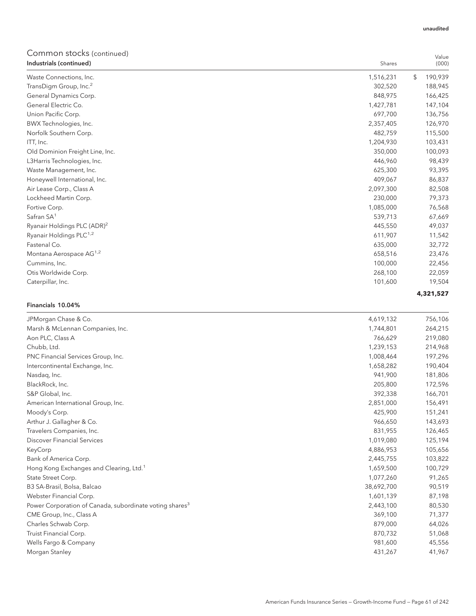| COMMON SLOCKS (continued)<br>Industrials (continued) | Shares     | Value<br>(000) |
|------------------------------------------------------|------------|----------------|
| Waste Connections, Inc.                              | 1,516,231  | \$<br>190,939  |
| TransDigm Group, Inc. <sup>2</sup>                   | 302,520    | 188,945        |
| General Dynamics Corp.                               | 848,975    | 166,425        |
| General Electric Co.                                 | 1,427,781  | 147,104        |
| Union Pacific Corp.                                  | 697,700    | 136,756        |
| BWX Technologies, Inc.                               | 2,357,405  | 126,970        |
| Norfolk Southern Corp.                               | 482,759    | 115,500        |
| ITT, Inc.                                            | 1,204,930  | 103,431        |
| Old Dominion Freight Line, Inc.                      | 350,000    | 100,093        |
| L3Harris Technologies, Inc.                          | 446,960    | 98,439         |
| Waste Management, Inc.                               | 625,300    | 93,395         |
| Honeywell International, Inc.                        | 409,067    | 86,837         |
| Air Lease Corp., Class A                             | 2,097,300  | 82,508         |
| Lockheed Martin Corp.                                | 230,000    | 79,373         |
| Fortive Corp.                                        | 1,085,000  | 76,568         |
| Safran SA <sup>1</sup>                               | 539,713    | 67,669         |
| Ryanair Holdings PLC (ADR) <sup>2</sup>              | 445,550    | 49,037         |
| Ryanair Holdings PLC <sup>1,2</sup>                  | 611,907    | 11,542         |
| Fastenal Co.                                         | 635,000    | 32,772         |
| Montana Aerospace AG <sup>1,2</sup>                  | 658,516    | 23,476         |
| Cummins, Inc.                                        | 100,000    | 22,456         |
| Otis Worldwide Corp.                                 | 268,100    | 22,059         |
| Caterpillar, Inc.                                    | 101,600    | 19,504         |
|                                                      |            | 4,321,527      |
| Financials 10.04%                                    |            |                |
| JPMorgan Chase & Co.                                 | 4,619,132  | 756,106        |
| Marsh & McLennan Companies, Inc.                     | 1,744,801  | 264,215        |
| Aon PLC, Class A                                     | 766,629    | 219,080        |
| Chubb, Ltd.                                          | 1,239,153  | 214,968        |
| PNC Financial Services Group, Inc.                   | 1,008,464  | 197,296        |
| Intercontinental Exchange, Inc.                      | 1,658,282  | 190,404        |
| Nasdaq, Inc.                                         | 941,900    | 181,806        |
| BlackRock, Inc.                                      | 205,800    | 172,596        |
| S&P Global, Inc.                                     | 392,338    | 166,701        |
| American International Group, Inc.                   | 2,851,000  | 156,491        |
| Moody's Corp.                                        | 425,900    | 151,241        |
| Arthur J. Gallagher & Co.                            | 966,650    | 143,693        |
| Travelers Companies, Inc.                            | 831,955    | 126,465        |
| <b>Discover Financial Services</b>                   | 1,019,080  | 125,194        |
| KeyCorp                                              | 4,886,953  | 105,656        |
| Bank of America Corp.                                | 2,445,755  | 103,822        |
| Hong Kong Exchanges and Clearing, Ltd. <sup>1</sup>  | 1,659,500  | 100,729        |
| State Street Corp.                                   | 1,077,260  | 91,265         |
| B3 SA-Brasil, Bolsa, Balcao                          | 38,692,700 | 90,519         |
| Webster Financial Corp.                              | 1,601,139  | 87,198         |

Power Corporation of Canada, subordinate voting shares<sup>3</sup> 2,443,100 80,530 80,530 CME Group, Inc., Class A 369,100 71,377 Charles Schwab Corp. 64,026 Truist Financial Corp. 870,732 51,068 Wells Fargo & Company 45,556 Morgan Stanley 431,267 41,967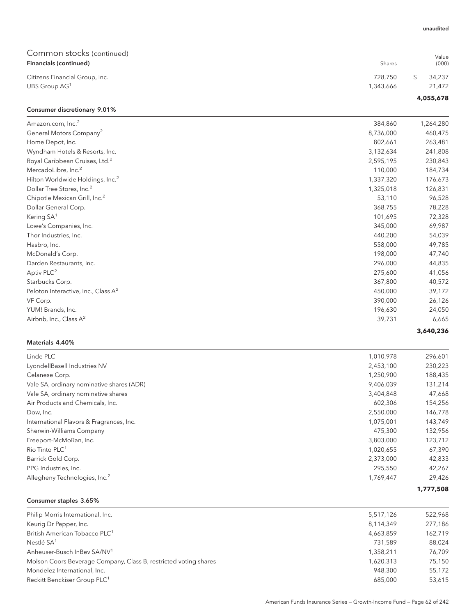| Common stocks (continued)<br>Financials (continued) | Shares    | Value<br>(000) |
|-----------------------------------------------------|-----------|----------------|
| Citizens Financial Group, Inc.                      | 728,750   | \$<br>34,237   |
| UBS Group AG <sup>1</sup>                           | 1,343,666 | 21,472         |
|                                                     |           | 4,055,678      |
| Consumer discretionary 9.01%                        |           |                |
| Amazon.com, Inc. <sup>2</sup>                       | 384,860   | 1,264,280      |
| General Motors Company <sup>2</sup>                 | 8,736,000 | 460,475        |
| Home Depot, Inc.                                    | 802,661   | 263,481        |
| Wyndham Hotels & Resorts, Inc.                      | 3,132,634 | 241,808        |
| Royal Caribbean Cruises, Ltd. <sup>2</sup>          | 2,595,195 | 230,843        |
| MercadoLibre, Inc. <sup>2</sup>                     | 110,000   | 184,734        |
| Hilton Worldwide Holdings, Inc. <sup>2</sup>        | 1,337,320 | 176,673        |
| Dollar Tree Stores, Inc. <sup>2</sup>               | 1,325,018 | 126,831        |
| Chipotle Mexican Grill, Inc. <sup>2</sup>           | 53,110    | 96,528         |
| Dollar General Corp.                                | 368,755   | 78,228         |
| Kering SA <sup>1</sup>                              | 101,695   | 72,328         |
| Lowe's Companies, Inc.                              | 345,000   | 69,987         |
| Thor Industries, Inc.                               | 440,200   | 54,039         |
| Hasbro, Inc.                                        | 558,000   | 49,785         |
| McDonald's Corp.                                    | 198,000   | 47,740         |
| Darden Restaurants, Inc.                            | 296,000   | 44,835         |
| Aptiv PLC <sup>2</sup>                              | 275,600   | 41,056         |
| Starbucks Corp.                                     | 367,800   | 40,572         |
| Peloton Interactive, Inc., Class A <sup>2</sup>     | 450,000   | 39,172         |
| VF Corp.                                            | 390,000   | 26,126         |
| YUM! Brands, Inc.                                   | 196,630   | 24,050         |
| Airbnb, Inc., Class A <sup>2</sup>                  | 39,731    | 6,665          |
|                                                     |           | 3,640,236      |
| Materials 4.40%                                     |           |                |
| Linde PLC                                           | 1,010,978 | 296,601        |
| LyondellBasell Industries NV                        | 2,453,100 | 230,223        |
| Celanese Corp.                                      | 1,250,900 | 188,435        |
| Vale SA, ordinary nominative shares (ADR)           | 9,406,039 | 131,214        |
| Vale SA, ordinary nominative shares                 | 3,404,848 | 47,668         |
| Air Products and Chemicals, Inc.                    | 602,306   | 154,256        |
| Dow, Inc.                                           | 2,550,000 | 146,778        |
| International Flavors & Fragrances, Inc.            | 1,075,001 | 143,749        |
| Sherwin-Williams Company                            | 475,300   | 132,956        |
| Freeport-McMoRan, Inc.                              | 3,803,000 | 123,712        |
| Rio Tinto PLC <sup>1</sup>                          | 1,020,655 | 67,390         |
| Barrick Gold Corp.                                  | 2,373,000 | 42,833         |
| PPG Industries, Inc.                                | 295,550   | 42,267         |
| Allegheny Technologies, Inc. <sup>2</sup>           | 1,769,447 | 29,426         |
|                                                     |           | 1,777,508      |
| Consumer staples 3.65%                              |           |                |

| Philip Morris International, Inc.                                | 5,517,126 | 522,968 |
|------------------------------------------------------------------|-----------|---------|
| Keurig Dr Pepper, Inc.                                           | 8,114,349 | 277,186 |
| British American Tobacco PLC <sup>1</sup>                        | 4,663,859 | 162,719 |
| Nestlé SA <sup>1</sup>                                           | 731.589   | 88.024  |
| Anheuser-Busch InBey SA/NV <sup>1</sup>                          | 1.358.211 | 76,709  |
| Molson Coors Beverage Company, Class B, restricted voting shares | 1.620.313 | 75,150  |
| Mondelez International, Inc.                                     | 948,300   | 55,172  |
| Reckitt Benckiser Group PLC <sup>1</sup>                         | 685,000   | 53,615  |
|                                                                  |           |         |

unaudited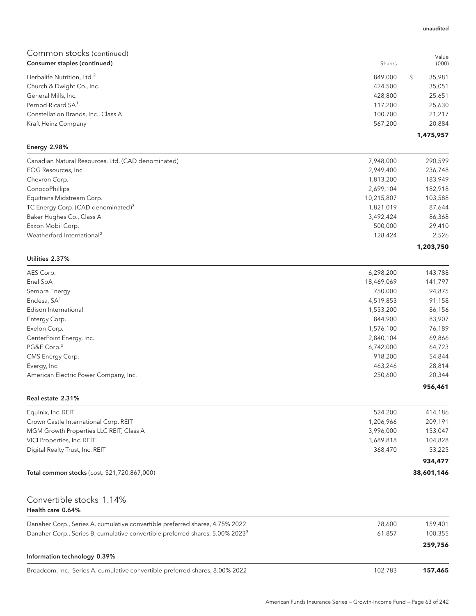| Consumer staples (continued)           | Shares  | (000)       |
|----------------------------------------|---------|-------------|
| Herbalife Nutrition, Ltd. <sup>2</sup> | 849,000 | 35,981<br>Ъ |
| Church & Dwight Co., Inc.              | 424,500 | 35,051      |
| General Mills, Inc.                    | 428,800 | 25,651      |
| Pernod Ricard SA <sup>1</sup>          | 117,200 | 25,630      |
| Constellation Brands, Inc., Class A    | 100.700 | 21,217      |
| Kraft Heinz Company                    | 567.200 | 20,884      |
|                                        |         | 1,475,957   |

# Energy 2.98%

| Canadian Natural Resources, Ltd. (CAD denominated) | 7,948,000  | 290,599   |
|----------------------------------------------------|------------|-----------|
| EOG Resources, Inc.                                | 2,949,400  | 236,748   |
| Chevron Corp.                                      | 1,813,200  | 183,949   |
| ConocoPhillips                                     | 2,699,104  | 182,918   |
| Equitrans Midstream Corp.                          | 10,215,807 | 103,588   |
| TC Energy Corp. (CAD denominated) <sup>3</sup>     | 1,821,019  | 87,644    |
| Baker Hughes Co., Class A                          | 3,492,424  | 86,368    |
| Exxon Mobil Corp.                                  | 500,000    | 29.410    |
| Weatherford International <sup>2</sup>             | 128,424    | 2.526     |
|                                                    |            | 1,203,750 |

### Utilities 2.37%

| AES Corp.                             | 6,298,200  | 143,788 |
|---------------------------------------|------------|---------|
| Enel $SpA1$                           | 18,469,069 | 141,797 |
| Sempra Energy                         | 750,000    | 94,875  |
| Endesa, SA <sup>1</sup>               | 4,519,853  | 91,158  |
| Edison International                  | 1,553,200  | 86,156  |
| Entergy Corp.                         | 844.900    | 83,907  |
| Exelon Corp.                          | 1,576,100  | 76,189  |
| CenterPoint Energy, Inc.              | 2,840,104  | 69,866  |
| PG&E Corp. <sup>2</sup>               | 6,742,000  | 64,723  |
| CMS Energy Corp.                      | 918,200    | 54,844  |
| Evergy, Inc.                          | 463,246    | 28,814  |
| American Electric Power Company, Inc. | 250,600    | 20,344  |
|                                       |            | 956,461 |

### Real estate 2.31%

|           | 38,601,146 |
|-----------|------------|
|           | 934,477    |
| 368,470   | 53,225     |
| 3,689,818 | 104,828    |
| 3.996.000 | 153,047    |
| 1.206.966 | 209,191    |
| 524.200   | 414,186    |
|           |            |

# Convertible stocks 1.14% Health care 0.64%

| Danaher Corp., Series A, cumulative convertible preferred shares, 4.75% 2022              | 78.600  | 159,401 |
|-------------------------------------------------------------------------------------------|---------|---------|
| Danaher Corp., Series B, cumulative convertible preferred shares, 5.00% 2023 <sup>3</sup> | 61.857  | 100.355 |
|                                                                                           |         | 259.756 |
| Information technology 0.39%                                                              |         |         |
| Broadcom, Inc., Series A, cumulative convertible preferred shares, 8.00% 2022             | 102.783 | 157,465 |

#### unaudited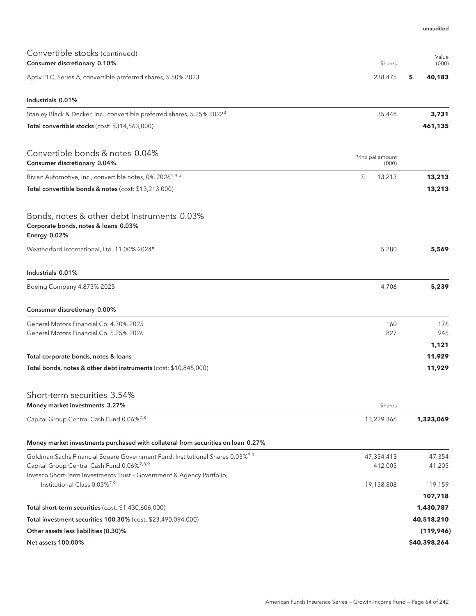| Convertible stocks (continued)<br>Consumer discretionary 0.10%                                                    | Shares                    | Value<br>(000) |
|-------------------------------------------------------------------------------------------------------------------|---------------------------|----------------|
| Aptiv PLC, Series A, convertible preferred shares, 5.50% 2023                                                     | 238,475                   | \$<br>40,183   |
| Industrials 0.01%                                                                                                 |                           |                |
| Stanley Black & Decker, Inc., convertible preferred shares, 5.25% 2022 <sup>3</sup>                               | 35,448                    | 3,731          |
| Total convertible stocks (cost: \$314,563,000)                                                                    |                           | 461,135        |
| Convertible bonds & notes 0.04%<br>Consumer discretionary 0.04%                                                   | Principal amount<br>(000) |                |
| Rivian Automotive, Inc., convertible notes, 0% 2026 <sup>1,4,5</sup>                                              | \$<br>13,213              | 13,213         |
| Total convertible bonds & notes (cost: \$13,213,000)                                                              |                           | 13,213         |
| Bonds, notes & other debt instruments 0.03%<br>Corporate bonds, notes & loans 0.03%<br>Energy 0.02%               |                           |                |
| Weatherford International, Ltd. 11.00% 2024 <sup>6</sup>                                                          | 5,280                     | 5,569          |
| Industrials 0.01%                                                                                                 |                           |                |
| Boeing Company 4.875% 2025                                                                                        | 4,706                     | 5,239          |
| Consumer discretionary 0.00%                                                                                      |                           |                |
| General Motors Financial Co. 4.30% 2025                                                                           | 160                       | 176            |
| General Motors Financial Co. 5.25% 2026                                                                           | 827                       | 945            |
|                                                                                                                   |                           | 1,121          |
| Total corporate bonds, notes & loans                                                                              |                           | 11,929         |
| Total bonds, notes & other debt instruments (cost: \$10,845,000)                                                  |                           | 11,929         |
| Short-term securities 3.54%                                                                                       |                           |                |
| Money market investments 3.27%                                                                                    | Shares                    |                |
| Capital Group Central Cash Fund 0.06%7,8                                                                          | 13,229,366                | 1,323,069      |
| Money market investments purchased with collateral from securities on loan 0.27%                                  |                           |                |
| Goldman Sachs Financial Square Government Fund, Institutional Shares 0.03% <sup>7,9</sup>                         | 47,354,413                | 47,354         |
| Capital Group Central Cash Fund 0.06% <sup>7,8,9</sup>                                                            | 412,005                   | 41,205         |
| Invesco Short-Term Investments Trust - Government & Agency Portfolio,<br>Institutional Class 0.03% <sup>7,9</sup> | 19,158,808                | 19,159         |
|                                                                                                                   |                           | 107,718        |
| Total short-term securities (cost: \$1,430,606,000)                                                               |                           | 1,430,787      |
| Total investment securities 100.30% (cost: \$23,490,094,000)                                                      |                           | 40,518,210     |
| Other assets less liabilities (0.30)%                                                                             |                           | (119, 946)     |
| Net assets 100.00%                                                                                                |                           | \$40,398,264   |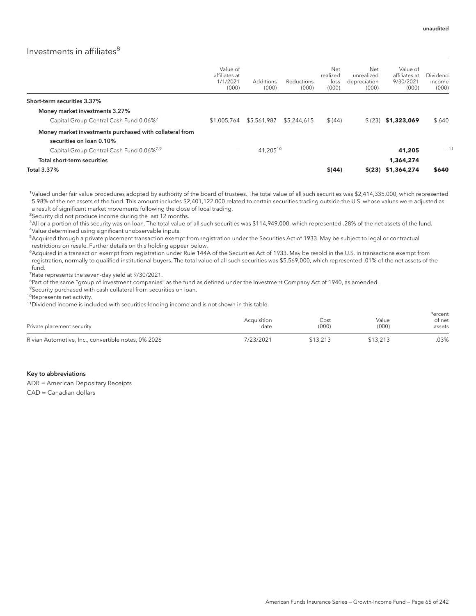# Investments in affiliates<sup>8</sup>

|                                                                                     | Value of<br>affiliates at<br>1/1/2021<br>(000) | <b>Additions</b><br>(000) | Reductions<br>(000) | Net<br>realized<br>loss<br>(000) | Net<br>unrealized<br>depreciation<br>(000) | Value of<br>affiliates at<br>9/30/2021<br>(000) | Dividend<br>income<br>(000) |
|-------------------------------------------------------------------------------------|------------------------------------------------|---------------------------|---------------------|----------------------------------|--------------------------------------------|-------------------------------------------------|-----------------------------|
| Short-term securities 3.37%                                                         |                                                |                           |                     |                                  |                                            |                                                 |                             |
| Money market investments 3.27%                                                      |                                                |                           |                     |                                  |                                            |                                                 |                             |
| Capital Group Central Cash Fund 0.06% <sup>7</sup>                                  | \$1,005,764                                    | \$5,561,987               | \$5,244,615         | \$(44)                           | \$(23)                                     | \$1,323,069                                     | \$640                       |
| Money market investments purchased with collateral from<br>securities on loan 0.10% |                                                |                           |                     |                                  |                                            |                                                 |                             |
| Capital Group Central Cash Fund 0.06% <sup>7,9</sup>                                |                                                | 41,20510                  |                     |                                  |                                            | 41,205                                          | $-11$                       |
| Total short-term securities                                                         |                                                |                           |                     |                                  |                                            | 1,364,274                                       |                             |
| Total 3.37%                                                                         |                                                |                           |                     | \$(44)                           |                                            | $$(23)$ \$1,364,274                             | \$640                       |

1 Valued under fair value procedures adopted by authority of the board of trustees. The total value of all such securities was \$2,414,335,000, which represented 5.98% of the net assets of the fund. This amount includes \$2,401,122,000 related to certain securities trading outside the U.S. whose values were adjusted as a result of significant market movements following the close of local trading.

<sup>2</sup>Security did not produce income during the last 12 months.

<sup>3</sup>All or a portion of this security was on loan. The total value of all such securities was \$114,949,000, which represented .28% of the net assets of the fund. 4 Value determined using significant unobservable inputs.

5 Acquired through a private placement transaction exempt from registration under the Securities Act of 1933. May be subject to legal or contractual restrictions on resale. Further details on this holding appear below.

6 Acquired in a transaction exempt from registration under Rule 144A of the Securities Act of 1933. May be resold in the U.S. in transactions exempt from registration, normally to qualified institutional buyers. The total value of all such securities was \$5,569,000, which represented .01% of the net assets of the fund.

<sup>7</sup> Rate represents the seven-day yield at 9/30/2021.

<sup>8</sup>Part of the same "group of investment companies" as the fund as defined under the Investment Company Act of 1940, as amended.

<sup>9</sup> Security purchased with cash collateral from securities on loan.

10Represents net activity.

<sup>11</sup>Dividend income is included with securities lending income and is not shown in this table.

| Private placement security                          | Acquisition<br>date | Cost<br>(000) | Value<br>(000) | Percent<br>of net<br>assets |
|-----------------------------------------------------|---------------------|---------------|----------------|-----------------------------|
| Rivian Automotive, Inc., convertible notes, 0% 2026 | 7/23/2021           | \$13,213      | \$13,213       | 03%                         |

#### Key to abbreviations

ADR = American Depositary Receipts

CAD = Canadian dollars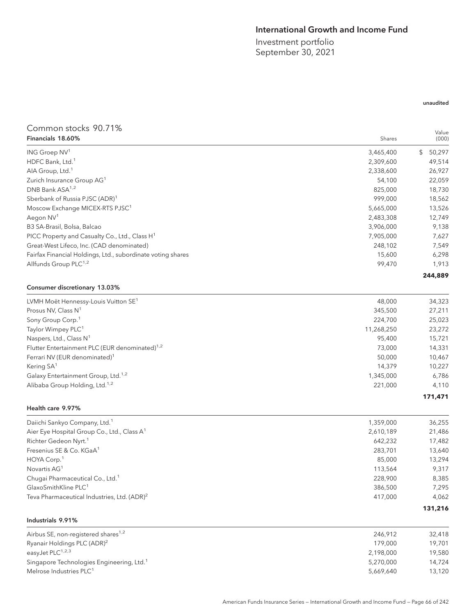# International Growth and Income Fund

Investment portfolio September 30, 2021

# Common stocks 90.71% Financials 18.60% Shares

| Financials 18.60%                                           | Shares     | Value<br>(000) |
|-------------------------------------------------------------|------------|----------------|
| ING Groep NV <sup>1</sup>                                   | 3,465,400  | 50,297<br>\$   |
| HDFC Bank, Ltd. <sup>1</sup>                                | 2,309,600  | 49,514         |
| AIA Group, Ltd. <sup>1</sup>                                | 2,338,600  | 26,927         |
| Zurich Insurance Group AG <sup>1</sup>                      | 54,100     | 22,059         |
| DNB Bank ASA <sup>1,2</sup>                                 | 825,000    | 18,730         |
| Sberbank of Russia PJSC (ADR) <sup>1</sup>                  | 999.000    | 18,562         |
| Moscow Exchange MICEX-RTS PJSC <sup>1</sup>                 | 5,665,000  | 13,526         |
| Aegon NV <sup>1</sup>                                       | 2,483,308  | 12,749         |
| B3 SA-Brasil, Bolsa, Balcao                                 | 3,906,000  | 9,138          |
| PICC Property and Casualty Co., Ltd., Class H <sup>1</sup>  | 7,905,000  | 7,627          |
| Great-West Lifeco, Inc. (CAD denominated)                   | 248,102    | 7,549          |
|                                                             | 15,600     |                |
| Fairfax Financial Holdings, Ltd., subordinate voting shares | 99,470     | 6,298          |
| Allfunds Group PLC <sup>1,2</sup>                           |            | 1,913          |
|                                                             |            | 244,889        |
| Consumer discretionary 13.03%                               |            |                |
| LVMH Moët Hennessy-Louis Vuitton SE <sup>1</sup>            | 48,000     | 34,323         |
| Prosus NV, Class N <sup>1</sup>                             | 345,500    | 27,211         |
| Sony Group Corp. <sup>1</sup>                               | 224,700    | 25,023         |
| Taylor Wimpey PLC <sup>1</sup>                              | 11,268,250 | 23,272         |
| Naspers, Ltd., Class $N^1$                                  | 95,400     | 15,721         |
| Flutter Entertainment PLC (EUR denominated) <sup>1,2</sup>  | 73,000     | 14,331         |
| Ferrari NV (EUR denominated) <sup>1</sup>                   | 50,000     | 10,467         |
| Kering SA <sup>1</sup>                                      | 14,379     | 10,227         |
| Galaxy Entertainment Group, Ltd. <sup>1,2</sup>             | 1,345,000  | 6,786          |
| Alibaba Group Holding, Ltd. <sup>1,2</sup>                  | 221,000    | 4,110          |

#### Health care 9.97%

| Daiichi Sankyo Company, Ltd. <sup>1</sup>               | 1,359,000 | 36,255  |
|---------------------------------------------------------|-----------|---------|
| Aier Eye Hospital Group Co., Ltd., Class A <sup>1</sup> | 2,610,189 | 21,486  |
| Richter Gedeon Nyrt. <sup>1</sup>                       | 642.232   | 17,482  |
| Fresenius SE & Co. KGaA <sup>1</sup>                    | 283.701   | 13,640  |
| HOYA Corp. <sup>1</sup>                                 | 85,000    | 13,294  |
| Novartis AG <sup>1</sup>                                | 113.564   | 9,317   |
| Chugai Pharmaceutical Co., Ltd. <sup>1</sup>            | 228,900   | 8,385   |
| GlaxoSmithKline PLC <sup>1</sup>                        | 386,500   | 7,295   |
| Teva Pharmaceutical Industries, Ltd. (ADR) <sup>2</sup> | 417.000   | 4,062   |
|                                                         |           | 131,216 |

| Industrials 9.91% |  |
|-------------------|--|
|-------------------|--|

| 246.912   | 32,418 |
|-----------|--------|
| 179.000   | 19.701 |
| 2,198,000 | 19.580 |
| 5.270.000 | 14.724 |
| 5.669.640 | 13,120 |
|           |        |

## unaudited

**171,471**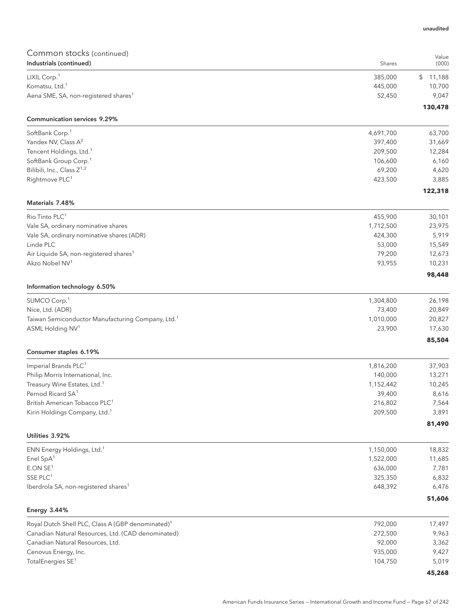| COMMITMON SLOCKS (COMMITMED)<br>Industrials (continued)                    | Shares            | Value<br>(000)  |
|----------------------------------------------------------------------------|-------------------|-----------------|
| LIXIL Corp. <sup>1</sup>                                                   | 385,000           | \$11,188        |
| Komatsu, Ltd. <sup>1</sup>                                                 | 445,000           | 10,700          |
| Aena SME, SA, non-registered shares <sup>1</sup>                           | 52,450            | 9,047           |
|                                                                            |                   | 130,478         |
| <b>Communication services 9.29%</b>                                        |                   |                 |
| SoftBank Corp. <sup>1</sup>                                                | 4,691,700         | 63,700          |
| Yandex NV, Class A <sup>2</sup>                                            | 397,400           | 31,669          |
| Tencent Holdings, Ltd. <sup>1</sup><br>SoftBank Group Corp. <sup>1</sup>   | 209,500           | 12,284          |
| Bilibili, Inc., Class Z <sup>1,2</sup>                                     | 106,600<br>69,200 | 6,160           |
| Rightmove PLC <sup>1</sup>                                                 | 423,500           | 4,620<br>3,885  |
|                                                                            |                   | 122,318         |
| Materials 7.48%                                                            |                   |                 |
| Rio Tinto PLC <sup>1</sup>                                                 | 455,900           | 30,101          |
| Vale SA, ordinary nominative shares                                        | 1,712,500         | 23,975          |
| Vale SA, ordinary nominative shares (ADR)                                  | 424,300           | 5,919           |
| Linde PLC                                                                  | 53,000            | 15,549          |
| Air Liquide SA, non-registered shares <sup>1</sup>                         | 79,200            | 12,673          |
| Akzo Nobel NV <sup>1</sup>                                                 | 93,955            | 10,231          |
| Information technology 6.50%                                               |                   | 98,448          |
| SUMCO Corp. <sup>1</sup>                                                   | 1,304,800         | 26,198          |
| Nice, Ltd. (ADR)                                                           | 73,400            | 20,849          |
| Taiwan Semiconductor Manufacturing Company, Ltd. <sup>1</sup>              | 1,010,000         | 20,827          |
| ASML Holding NV <sup>1</sup>                                               | 23,900            | 17,630          |
|                                                                            |                   | 85,504          |
| Consumer staples 6.19%                                                     |                   |                 |
| Imperial Brands PLC <sup>1</sup>                                           | 1,816,200         | 37,903          |
| Philip Morris International, Inc.                                          | 140,000           | 13,271          |
| Treasury Wine Estates, Ltd. <sup>1</sup>                                   | 1,152,442         | 10,245          |
| Pernod Ricard SA <sup>1</sup><br>British American Tobacco PLC <sup>1</sup> | 39,400            | 8,616           |
| Kirin Holdings Company, Ltd. <sup>1</sup>                                  | 216,802           | 7,564           |
|                                                                            | 209,500           | 3,891<br>81,490 |
| Utilities 3.92%                                                            |                   |                 |
| ENN Energy Holdings, Ltd. <sup>1</sup>                                     | 1,150,000         | 18,832          |
| Enel SpA <sup>1</sup>                                                      | 1,522,000         | 11,685          |
| E.ONSE <sup>1</sup>                                                        | 636,000           | 7,781           |
| SSE PLC <sup>1</sup>                                                       | 325,350           | 6,832           |
| Iberdrola SA, non-registered shares <sup>1</sup>                           | 648,392           | 6,476           |
|                                                                            |                   | 51,606          |
| <b>Energy 3.44%</b>                                                        |                   |                 |
| Royal Dutch Shell PLC, Class A (GBP denominated) <sup>1</sup>              | 792,000           | 17,497          |
| Canadian Natural Resources, Ltd. (CAD denominated)                         | 272,500           | 9,963           |
| Canadian Natural Resources, Ltd.                                           | 92,000            | 3,362           |
| Cenovus Energy, Inc.                                                       | 935,000           | 9,427           |
| TotalEnergies SE <sup>1</sup>                                              | 104,750           | 5,019           |

unaudited

**45,268**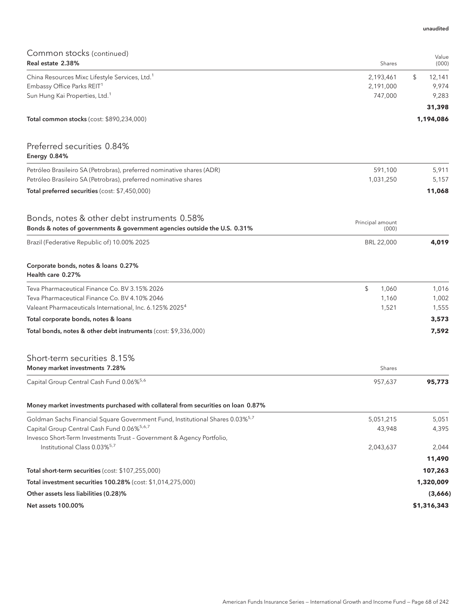| Common stocks (continued)<br>Real estate 2.38%                                            | Shares           | Value<br>(000) |
|-------------------------------------------------------------------------------------------|------------------|----------------|
| China Resources Mixc Lifestyle Services, Ltd. <sup>1</sup>                                | 2,193,461        | \$<br>12,141   |
| Embassy Office Parks REIT <sup>1</sup>                                                    | 2,191,000        | 9,974          |
| Sun Hung Kai Properties, Ltd. <sup>1</sup>                                                | 747,000          | 9,283          |
|                                                                                           |                  | 31,398         |
| Total common stocks (cost: \$890,234,000)                                                 |                  | 1,194,086      |
| Preferred securities 0.84%<br>Energy 0.84%                                                |                  |                |
| Petróleo Brasileiro SA (Petrobras), preferred nominative shares (ADR)                     | 591,100          | 5,911          |
| Petróleo Brasileiro SA (Petrobras), preferred nominative shares                           | 1,031,250        | 5,157          |
| Total preferred securities (cost: \$7,450,000)                                            |                  | 11,068         |
| Bonds, notes & other debt instruments 0.58%                                               | Principal amount |                |
| Bonds & notes of governments & government agencies outside the U.S. 0.31%                 | (000)            |                |
| Brazil (Federative Republic of) 10.00% 2025                                               | BRL 22,000       | 4,019          |
| Corporate bonds, notes & loans 0.27%<br>Health care 0.27%                                 |                  |                |
| Teva Pharmaceutical Finance Co. BV 3.15% 2026                                             | \$<br>1,060      | 1,016          |
| Teva Pharmaceutical Finance Co. BV 4.10% 2046                                             | 1,160            | 1,002          |
| Valeant Pharmaceuticals International, Inc. 6.125% 2025 <sup>4</sup>                      | 1,521            | 1,555          |
| Total corporate bonds, notes & loans                                                      |                  | 3,573          |
| Total bonds, notes & other debt instruments (cost: \$9,336,000)                           |                  | 7,592          |
| Short-term securities 8.15%<br>Money market investments 7.28%                             | Shares           |                |
| Capital Group Central Cash Fund 0.06% <sup>5,6</sup>                                      | 957,637          | 95,773         |
| Money market investments purchased with collateral from securities on loan 0.87%          |                  |                |
| Goldman Sachs Financial Square Government Fund, Institutional Shares 0.03% <sup>5,7</sup> | 5,051,215        | 5,051          |
| Capital Group Central Cash Fund 0.06%5,6,7                                                | 43,948           | 4,395          |
| Invesco Short-Term Investments Trust - Government & Agency Portfolio,                     |                  |                |
| Institutional Class 0.03% <sup>5,7</sup>                                                  | 2,043,637        | 2,044          |
|                                                                                           |                  | 11,490         |
| Total short-term securities (cost: \$107,255,000)                                         |                  | 107,263        |
| Total investment securities 100.28% (cost: \$1,014,275,000)                               |                  | 1,320,009      |
| Other assets less liabilities (0.28)%                                                     |                  | (3,666)        |
| Net assets 100.00%                                                                        |                  | \$1,316,343    |

unaudited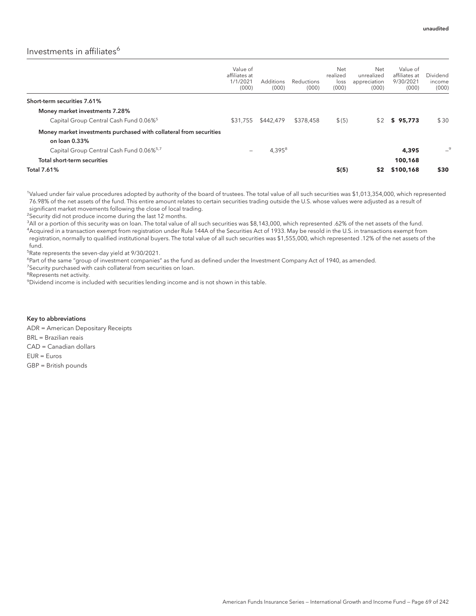# Investments in affiliates<sup>6</sup>

|                                                                                     | Value of<br>affiliates at<br>1/1/2021<br>(000) | Additions<br>(000) | Reductions<br>(000) | Net<br>realized<br>loss<br>(000) | Net<br>unrealized<br>appreciation<br>(000) | Value of<br>affiliates at<br>9/30/2021<br>(000) | Dividend<br>income<br>(000) |
|-------------------------------------------------------------------------------------|------------------------------------------------|--------------------|---------------------|----------------------------------|--------------------------------------------|-------------------------------------------------|-----------------------------|
| Short-term securities 7.61%                                                         |                                                |                    |                     |                                  |                                            |                                                 |                             |
| Money market investments 7.28%                                                      |                                                |                    |                     |                                  |                                            |                                                 |                             |
| Capital Group Central Cash Fund 0.06% <sup>5</sup>                                  | \$31,755                                       | \$442,479          | \$378,458           | \$(5)                            | \$2                                        | \$95.773                                        | \$30                        |
| Money market investments purchased with collateral from securities<br>on loan 0.33% |                                                |                    |                     |                                  |                                            |                                                 |                             |
| Capital Group Central Cash Fund 0.06% <sup>5,7</sup>                                | -                                              | $4,395^{8}$        |                     |                                  |                                            | 4,395                                           | -9                          |
| Total short-term securities                                                         |                                                |                    |                     |                                  |                                            | 100.168                                         |                             |
| Total 7.61%                                                                         |                                                |                    |                     | \$(5)                            | \$2                                        | \$100,168                                       | \$30                        |

1 Valued under fair value procedures adopted by authority of the board of trustees. The total value of all such securities was \$1,013,354,000, which represented 76.98% of the net assets of the fund. This entire amount relates to certain securities trading outside the U.S. whose values were adjusted as a result of significant market movements following the close of local trading.

<sup>2</sup>Security did not produce income during the last 12 months.

 $^3$ All or a portion of this security was on loan. The total value of all such securities was \$8,143,000, which represented .62% of the net assets of the fund. 4 Acquired in a transaction exempt from registration under Rule 144A of the Securities Act of 1933. May be resold in the U.S. in transactions exempt from registration, normally to qualified institutional buyers. The total value of all such securities was \$1,555,000, which represented .12% of the net assets of the fund.

5 Rate represents the seven-day yield at 9/30/2021.

<sup>6</sup>Part of the same "group of investment companies" as the fund as defined under the Investment Company Act of 1940, as amended.

<sup>7</sup>Security purchased with cash collateral from securities on loan.

<sup>8</sup>Represents net activity.

<sup>9</sup>Dividend income is included with securities lending income and is not shown in this table.

Key to abbreviations ADR = American Depositary Receipts BRL = Brazilian reais CAD = Canadian dollars EUR = Euros GBP = British pounds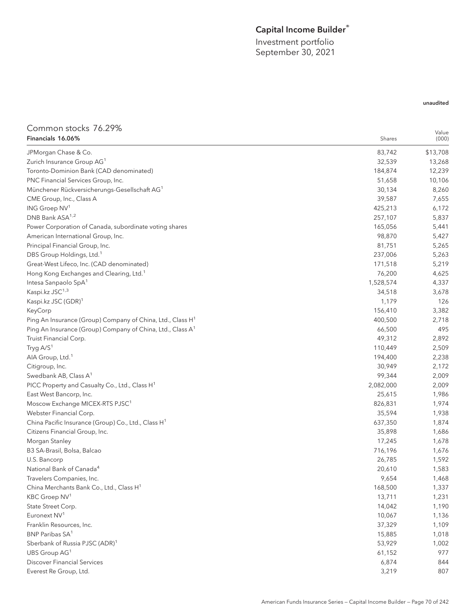# Capital Income Builder®

Value

unaudited

Investment portfolio September 30, 2021

# Common stocks 76.29%

| Financials 16.06%                                                      | Shares    | (000)    |
|------------------------------------------------------------------------|-----------|----------|
| JPMorgan Chase & Co.                                                   | 83,742    | \$13,708 |
| Zurich Insurance Group AG <sup>1</sup>                                 | 32,539    | 13,268   |
| Toronto-Dominion Bank (CAD denominated)                                | 184,874   | 12,239   |
| PNC Financial Services Group, Inc.                                     | 51,658    | 10,106   |
| Münchener Rückversicherungs-Gesellschaft AG <sup>1</sup>               | 30,134    | 8,260    |
| CME Group, Inc., Class A                                               | 39,587    | 7,655    |
| ING Groep NV <sup>1</sup>                                              | 425,213   | 6,172    |
| DNB Bank ASA <sup>1,2</sup>                                            | 257,107   | 5,837    |
| Power Corporation of Canada, subordinate voting shares                 | 165,056   | 5,441    |
| American International Group, Inc.                                     | 98,870    | 5,427    |
| Principal Financial Group, Inc.                                        | 81,751    | 5,265    |
| DBS Group Holdings, Ltd. <sup>1</sup>                                  | 237,006   | 5,263    |
| Great-West Lifeco, Inc. (CAD denominated)                              | 171,518   | 5,219    |
| Hong Kong Exchanges and Clearing, Ltd. <sup>1</sup>                    | 76,200    | 4,625    |
| Intesa Sanpaolo SpA <sup>1</sup>                                       | 1,528,574 | 4,337    |
| Kaspi.kz JSC <sup>1,3</sup>                                            | 34,518    | 3,678    |
| Kaspi.kz JSC (GDR) <sup>1</sup>                                        | 1,179     | 126      |
| KeyCorp                                                                | 156,410   | 3,382    |
| Ping An Insurance (Group) Company of China, Ltd., Class H <sup>1</sup> | 400,500   | 2,718    |
| Ping An Insurance (Group) Company of China, Ltd., Class A <sup>1</sup> | 66,500    | 495      |
| Truist Financial Corp.                                                 | 49,312    | 2,892    |
| Tryg A/S <sup>1</sup>                                                  | 110,449   | 2,509    |
| AIA Group, Ltd. <sup>1</sup>                                           | 194,400   | 2,238    |
| Citigroup, Inc.                                                        | 30,949    | 2,172    |
| Swedbank AB, Class A <sup>1</sup>                                      | 99,344    | 2,009    |
| PICC Property and Casualty Co., Ltd., Class H <sup>1</sup>             | 2,082,000 | 2,009    |
| East West Bancorp, Inc.                                                | 25,615    | 1,986    |
| Moscow Exchange MICEX-RTS PJSC <sup>1</sup>                            | 826,831   | 1,974    |
| Webster Financial Corp.                                                | 35,594    | 1,938    |
| China Pacific Insurance (Group) Co., Ltd., Class H <sup>1</sup>        | 637,350   | 1,874    |
| Citizens Financial Group, Inc.                                         | 35,898    | 1,686    |
| Morgan Stanley                                                         | 17,245    | 1,678    |
| B3 SA-Brasil, Bolsa, Balcao                                            | 716,196   | 1,676    |
| U.S. Bancorp                                                           | 26,785    | 1,592    |
| National Bank of Canada <sup>4</sup>                                   | 20,610    | 1,583    |
| Travelers Companies, Inc.                                              | 9,654     | 1,468    |
| China Merchants Bank Co., Ltd., Class H <sup>1</sup>                   | 168,500   | 1,337    |
| KBC Groep NV <sup>1</sup>                                              | 13,711    | 1,231    |
| State Street Corp.                                                     | 14,042    | 1,190    |
| Euronext NV <sup>1</sup>                                               | 10,067    | 1,136    |
| Franklin Resources, Inc.                                               | 37,329    | 1,109    |
| BNP Paribas SA <sup>1</sup>                                            | 15,885    | 1,018    |
| Sberbank of Russia PJSC (ADR) <sup>1</sup>                             | 53,929    | 1,002    |
| UBS Group AG <sup>1</sup>                                              | 61,152    | 977      |
| <b>Discover Financial Services</b>                                     | 6,874     | 844      |
| Everest Re Group, Ltd.                                                 | 3,219     | 807      |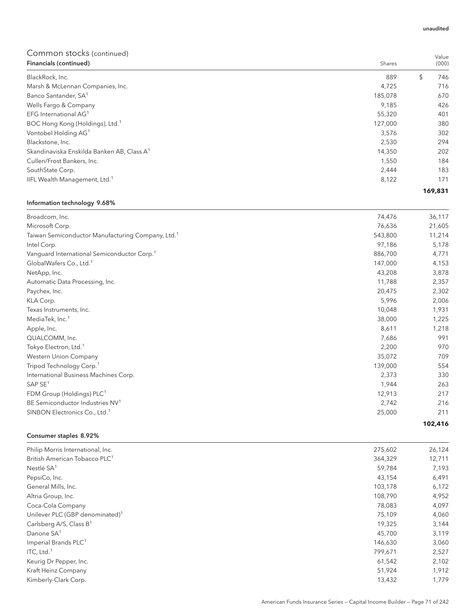| Financials (continued)                                 | Shares  | (000)     |
|--------------------------------------------------------|---------|-----------|
| BlackRock, Inc.                                        | 889     | \$<br>746 |
| Marsh & McLennan Companies, Inc.                       | 4,725   | 716       |
| Banco Santander, SA <sup>1</sup>                       | 185,078 | 670       |
| Wells Fargo & Company                                  | 9,185   | 426       |
| EFG International AG <sup>1</sup>                      | 55,320  | 401       |
| BOC Hong Kong (Holdings), Ltd. <sup>1</sup>            | 127,000 | 380       |
| Vontobel Holding AG <sup>1</sup>                       | 3,576   | 302       |
| Blackstone, Inc.                                       | 2,530   | 294       |
| Skandinaviska Enskilda Banken AB, Class A <sup>1</sup> | 14,350  | 202       |
| Cullen/Frost Bankers, Inc.                             | 1,550   | 184       |
| SouthState Corp.                                       | 2,444   | 183       |
| IIFL Wealth Management, Ltd. <sup>1</sup>              | 8,122   | 171       |
|                                                        |         | 169,831   |

## Information technology 9.68%

| Broadcom, Inc.                                                | 74,476  | 36,117  |
|---------------------------------------------------------------|---------|---------|
| Microsoft Corp.                                               | 76,636  | 21,605  |
| Taiwan Semiconductor Manufacturing Company, Ltd. <sup>1</sup> | 543,800 | 11,214  |
| Intel Corp.                                                   | 97,186  | 5,178   |
| Vanguard International Semiconductor Corp. <sup>1</sup>       | 886,700 | 4,771   |
| GlobalWafers Co., Ltd. <sup>1</sup>                           | 147,000 | 4,153   |
| NetApp, Inc.                                                  | 43,208  | 3,878   |
| Automatic Data Processing, Inc.                               | 11,788  | 2,357   |
| Paychex, Inc.                                                 | 20,475  | 2,302   |
| KLA Corp.                                                     | 5,996   | 2,006   |
| Texas Instruments, Inc.                                       | 10,048  | 1,931   |
| MediaTek, Inc. <sup>1</sup>                                   | 38,000  | 1,225   |
| Apple, Inc.                                                   | 8,611   | 1,218   |
| QUALCOMM, Inc.                                                | 7,686   | 991     |
| Tokyo Electron, Ltd. <sup>1</sup>                             | 2,200   | 970     |
| Western Union Company                                         | 35,072  | 709     |
| Tripod Technology Corp. <sup>1</sup>                          | 139,000 | 554     |
| International Business Machines Corp.                         | 2,373   | 330     |
| SAP SE <sup>1</sup>                                           | 1,944   | 263     |
| FDM Group (Holdings) PLC <sup>1</sup>                         | 12,913  | 217     |
| BE Semiconductor Industries NV <sup>1</sup>                   | 2,742   | 216     |
| SINBON Electronics Co., Ltd. <sup>1</sup>                     | 25,000  | 211     |
|                                                               |         | 102,416 |

# Consumer staples 8.92%

| Philip Morris International, Inc.           | 275,602 | 26,124 |
|---------------------------------------------|---------|--------|
| British American Tobacco PLC <sup>1</sup>   | 364,329 | 12,711 |
| Nestlé SA <sup>1</sup>                      | 59,784  | 7,193  |
| PepsiCo, Inc.                               | 43,154  | 6,491  |
| General Mills, Inc.                         | 103,178 | 6,172  |
| Altria Group, Inc.                          | 108,790 | 4,952  |
| Coca-Cola Company                           | 78,083  | 4,097  |
| Unilever PLC (GBP denominated) <sup>1</sup> | 75,109  | 4,060  |
| Carlsberg A/S, Class B <sup>1</sup>         | 19,325  | 3,144  |
| Danone SA <sup>1</sup>                      | 45,700  | 3,119  |
| Imperial Brands PLC <sup>1</sup>            | 146,630 | 3,060  |
| ITC, Ltd. $1$                               | 799,671 | 2,527  |
| Keurig Dr Pepper, Inc.                      | 61,542  | 2,102  |
| Kraft Heinz Company                         | 51,924  | 1,912  |
| Kimberly-Clark Corp.                        | 13,432  | 1,779  |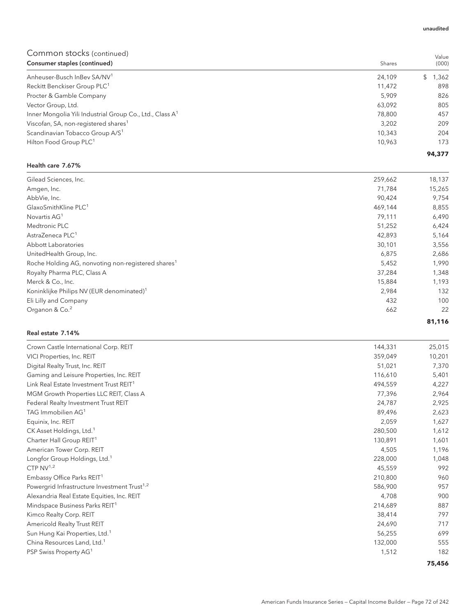| Consumer staples (continued)                                         | Shares | (000)       |
|----------------------------------------------------------------------|--------|-------------|
| Anheuser-Busch InBey SA/NV <sup>1</sup>                              | 24,109 | 1,362<br>S. |
| Reckitt Benckiser Group PLC <sup>1</sup>                             | 11,472 | 898         |
| Procter & Gamble Company                                             | 5.909  | 826         |
| Vector Group, Ltd.                                                   | 63,092 | 805         |
| Inner Mongolia Yili Industrial Group Co., Ltd., Class A <sup>1</sup> | 78,800 | 457         |
| Viscofan, SA, non-registered shares <sup>1</sup>                     | 3,202  | 209         |
| Scandinavian Tobacco Group A/S <sup>1</sup>                          | 10,343 | 204         |
| Hilton Food Group PLC <sup>1</sup>                                   | 10,963 | 173         |
|                                                                      |        | 94,377      |

#### Health care 7.67%

| Gilead Sciences, Inc.                                          | 259,662 | 18,137 |
|----------------------------------------------------------------|---------|--------|
| Amgen, Inc.                                                    | 71,784  | 15,265 |
| AbbVie, Inc.                                                   | 90,424  | 9,754  |
| GlaxoSmithKline PLC <sup>1</sup>                               | 469,144 | 8,855  |
| Novartis AG <sup>1</sup>                                       | 79,111  | 6,490  |
| Medtronic PLC                                                  | 51,252  | 6,424  |
| AstraZeneca PLC <sup>1</sup>                                   | 42,893  | 5,164  |
| Abbott Laboratories                                            | 30,101  | 3,556  |
| UnitedHealth Group, Inc.                                       | 6,875   | 2,686  |
| Roche Holding AG, nonvoting non-registered shares <sup>1</sup> | 5,452   | 1,990  |
| Royalty Pharma PLC, Class A                                    | 37,284  | 1,348  |
| Merck & Co., Inc.                                              | 15,884  | 1,193  |
| Koninklijke Philips NV (EUR denominated) <sup>1</sup>          | 2,984   | 132    |
| Eli Lilly and Company                                          | 432     | 100    |
| Organon & Co. <sup>2</sup>                                     | 662     | 22     |
|                                                                |         | 81,116 |

### Real estate 7.14%

|         | 75,456 |
|---------|--------|
| 1,512   | 182    |
| 132,000 | 555    |
| 56,255  | 699    |
| 24,690  | 717    |
| 38,414  | 797    |
| 214,689 | 887    |
| 4,708   | 900    |
| 586,900 | 957    |
| 210,800 | 960    |
| 45,559  | 992    |
| 228,000 | 1,048  |
| 4,505   | 1,196  |
| 130,891 | 1,601  |
| 280,500 | 1,612  |
| 2,059   | 1,627  |
| 89,496  | 2,623  |
| 24,787  | 2,925  |
| 77,396  | 2,964  |
| 494,559 | 4,227  |
| 116,610 | 5,401  |
| 51,021  | 7,370  |
| 359,049 | 10,201 |
| 144,331 | 25,015 |
|         |        |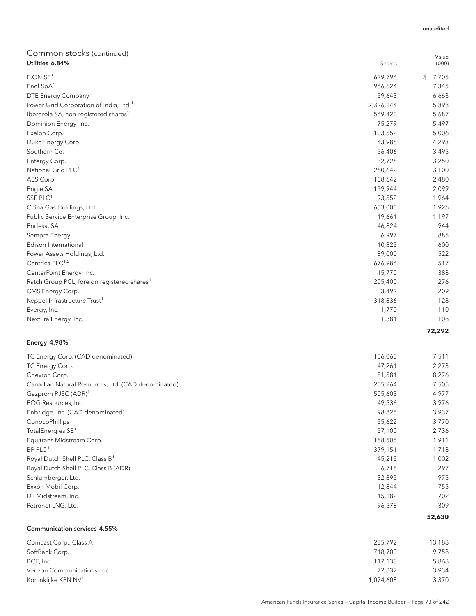| Utilities 6.84%                                         | Shares    | (000)       |
|---------------------------------------------------------|-----------|-------------|
| E.ON SE <sup>1</sup>                                    | 629,796   | \$<br>7,705 |
| Enel SpA <sup>1</sup>                                   | 956,624   | 7,345       |
| DTE Energy Company                                      | 59,643    | 6,663       |
| Power Grid Corporation of India, Ltd. <sup>1</sup>      | 2,326,144 | 5,898       |
| Iberdrola SA, non-registered shares <sup>1</sup>        | 569,420   | 5,687       |
| Dominion Energy, Inc.                                   | 75,279    | 5,497       |
| Exelon Corp.                                            | 103,552   | 5,006       |
| Duke Energy Corp.                                       | 43,986    | 4,293       |
| Southern Co.                                            | 56,406    | 3,495       |
| Entergy Corp.                                           | 32,726    | 3,250       |
| National Grid PLC <sup>1</sup>                          | 260,642   | 3,100       |
| AES Corp.                                               | 108,642   | 2,480       |
| Engie SA <sup>1</sup>                                   | 159,944   | 2,099       |
| SSE PLC <sup>1</sup>                                    | 93,552    | 1,964       |
| China Gas Holdings, Ltd. <sup>1</sup>                   | 653,000   | 1,926       |
| Public Service Enterprise Group, Inc.                   | 19,661    | 1,197       |
| Endesa, SA <sup>1</sup>                                 | 46,824    | 944         |
| Sempra Energy                                           | 6,997     | 885         |
| Edison International                                    | 10,825    | 600         |
| Power Assets Holdings, Ltd. <sup>1</sup>                | 89,000    | 522         |
| Centrica PLC <sup>1,2</sup>                             | 676,986   | 517         |
| CenterPoint Energy, Inc.                                | 15,770    | 388         |
| Ratch Group PCL, foreign registered shares <sup>1</sup> | 205,400   | 276         |
| CMS Energy Corp.                                        | 3,492     | 209         |
| Keppel Infrastructure Trust <sup>1</sup>                | 318,836   | 128         |
| Evergy, Inc.                                            | 1,770     | 110         |
| NextEra Energy, Inc.                                    | 1,381     | 108         |
|                                                         |           | 72,292      |

## Energy 4.98%

| TC Energy Corp. (CAD denominated)                  | 156,060 | 7,511  |
|----------------------------------------------------|---------|--------|
| TC Energy Corp.                                    | 47,261  | 2,273  |
| Chevron Corp.                                      | 81,581  | 8,276  |
| Canadian Natural Resources, Ltd. (CAD denominated) | 205,264 | 7,505  |
| Gazprom PJSC (ADR) <sup>1</sup>                    | 505,603 | 4,977  |
| EOG Resources, Inc.                                | 49,536  | 3,976  |
| Enbridge, Inc. (CAD denominated)                   | 98,825  | 3,937  |
| ConocoPhillips                                     | 55,622  | 3,770  |
| TotalEnergies SE <sup>1</sup>                      | 57,100  | 2,736  |
| Equitrans Midstream Corp.                          | 188,505 | 1,911  |
| $BP$ PLC <sup>1</sup>                              | 379,151 | 1,718  |
| Royal Dutch Shell PLC, Class B <sup>1</sup>        | 45,215  | 1,002  |
| Royal Dutch Shell PLC, Class B (ADR)               | 6,718   | 297    |
| Schlumberger, Ltd.                                 | 32,895  | 975    |
| Exxon Mobil Corp.                                  | 12,844  | 755    |
| DT Midstream, Inc.                                 | 15,182  | 702    |
| Petronet LNG, Ltd. <sup>1</sup>                    | 96,578  | 309    |
|                                                    |         | 52,630 |

### Communication services 4.55%

| Comcast Corp., Class A          | 235.792   | 13,188 |
|---------------------------------|-----------|--------|
| SoftBank Corp. <sup>1</sup>     | 718,700   | 9,758  |
| BCE, Inc.                       | 117.130   | 5,868  |
| Verizon Communications, Inc.    | 72.832    | 3,934  |
| Koninklijke KPN NV <sup>1</sup> | 1.074.608 | 3,370  |

Value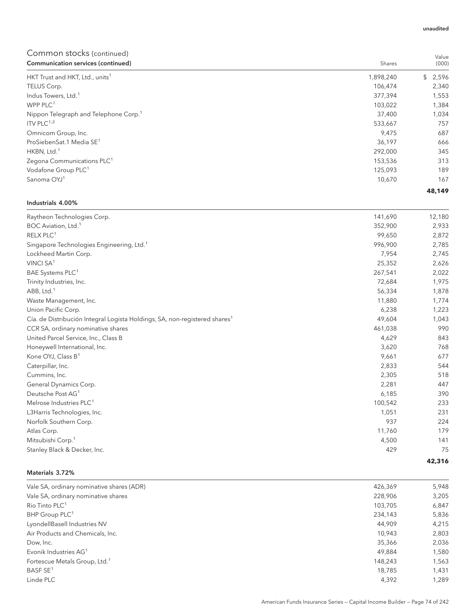| Communication services (continued)                | Shares    | (000)   |
|---------------------------------------------------|-----------|---------|
| HKT Trust and HKT, Ltd., units <sup>1</sup>       | 1,898,240 | \$2,596 |
| TELUS Corp.                                       | 106,474   | 2,340   |
| Indus Towers, Ltd. <sup>1</sup>                   | 377,394   | 1,553   |
| WPP $PLC1$                                        | 103,022   | 1,384   |
| Nippon Telegraph and Telephone Corp. <sup>1</sup> | 37,400    | 1,034   |
| ITV PLC $1,2$                                     | 533,667   | 757     |
| Omnicom Group, Inc.                               | 9,475     | 687     |
| ProSiebenSat.1 Media SE <sup>1</sup>              | 36,197    | 666     |
| HKBN, Ltd. <sup>1</sup>                           | 292.000   | 345     |
| Zegona Communications PLC <sup>1</sup>            | 153,536   | 313     |
| Vodafone Group PLC <sup>1</sup>                   | 125,093   | 189     |
| Sanoma OYJ <sup>1</sup>                           | 10.670    | 167     |
|                                                   |           | 48,149  |

## Industrials 4.00%

| Raytheon Technologies Corp.                                                            | 141,690 | 12,180 |
|----------------------------------------------------------------------------------------|---------|--------|
| BOC Aviation, Ltd. <sup>1</sup>                                                        | 352,900 | 2,933  |
| RELX PLC <sup>1</sup>                                                                  | 99,650  | 2,872  |
| Singapore Technologies Engineering, Ltd. <sup>1</sup>                                  | 996,900 | 2,785  |
| Lockheed Martin Corp.                                                                  | 7,954   | 2,745  |
| VINCI SA <sup>1</sup>                                                                  | 25,352  | 2,626  |
| BAE Systems PLC <sup>1</sup>                                                           | 267,541 | 2,022  |
| Trinity Industries, Inc.                                                               | 72,684  | 1,975  |
| ABB, Ltd. <sup>1</sup>                                                                 | 56,334  | 1,878  |
| Waste Management, Inc.                                                                 | 11,880  | 1,774  |
| Union Pacific Corp.                                                                    | 6,238   | 1,223  |
| Cía. de Distribución Integral Logista Holdings, SA, non-registered shares <sup>1</sup> | 49,604  | 1,043  |
| CCR SA, ordinary nominative shares                                                     | 461,038 | 990    |
| United Parcel Service, Inc., Class B                                                   | 4,629   | 843    |
| Honeywell International, Inc.                                                          | 3,620   | 768    |
| Kone OYJ, Class B <sup>1</sup>                                                         | 9,661   | 677    |
| Caterpillar, Inc.                                                                      | 2,833   | 544    |
| Cummins, Inc.                                                                          | 2,305   | 518    |
| General Dynamics Corp.                                                                 | 2,281   | 447    |
| Deutsche Post AG <sup>1</sup>                                                          | 6,185   | 390    |
| Melrose Industries PLC <sup>1</sup>                                                    | 100,542 | 233    |
| L3Harris Technologies, Inc.                                                            | 1,051   | 231    |
| Norfolk Southern Corp.                                                                 | 937     | 224    |
| Atlas Corp.                                                                            | 11,760  | 179    |
| Mitsubishi Corp. <sup>1</sup>                                                          | 4,500   | 141    |
| Stanley Black & Decker, Inc.                                                           | 429     | 75     |
|                                                                                        |         | 42,316 |

### Materials 3.72%

| Vale SA, ordinary nominative shares (ADR) | 426,369 | 5,948 |
|-------------------------------------------|---------|-------|
| Vale SA, ordinary nominative shares       | 228,906 | 3,205 |
| Rio Tinto PLC <sup>1</sup>                | 103.705 | 6,847 |
| BHP Group PLC <sup>1</sup>                | 234,143 | 5,836 |
| LyondellBasell Industries NV              | 44,909  | 4,215 |
| Air Products and Chemicals, Inc.          | 10.943  | 2,803 |
| Dow, Inc.                                 | 35,366  | 2,036 |
| Evonik Industries AG <sup>1</sup>         | 49,884  | 1,580 |
| Fortescue Metals Group, Ltd. <sup>1</sup> | 148,243 | 1,563 |
| BASF SE <sup>1</sup>                      | 18,785  | 1,431 |
| Linde PLC                                 | 4,392   | 1.289 |

Value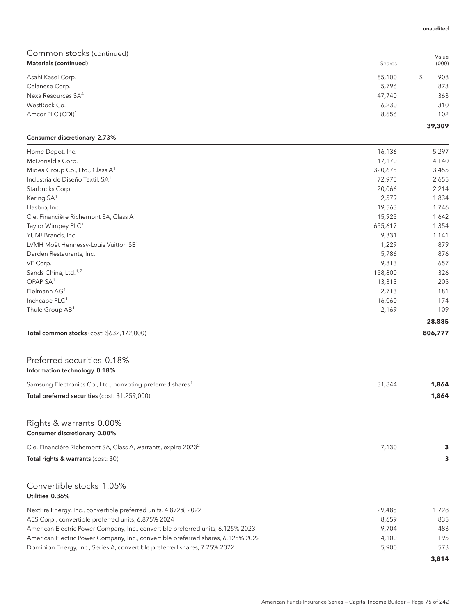| Materials (continued)          | Shares | (000)     |
|--------------------------------|--------|-----------|
| Asahi Kasei Corp. <sup>1</sup> | 85,100 | \$<br>908 |
| Celanese Corp.                 | 5,796  | 873       |
| Nexa Resources SA <sup>4</sup> | 47,740 | 363       |
| WestRock Co.                   | 6,230  | 310       |
| Amcor PLC (CDI) <sup>1</sup>   | 8,656  | 102       |
|                                |        | 39,309    |

## Consumer discretionary 2.73%

| Home Depot, Inc.                                   | 16,136  | 5,297   |
|----------------------------------------------------|---------|---------|
| McDonald's Corp.                                   | 17,170  | 4,140   |
| Midea Group Co., Ltd., Class A <sup>1</sup>        | 320,675 | 3,455   |
| Industria de Diseño Textil, SA <sup>1</sup>        | 72,975  | 2,655   |
| Starbucks Corp.                                    | 20,066  | 2,214   |
| Kering SA <sup>1</sup>                             | 2,579   | 1,834   |
| Hasbro, Inc.                                       | 19,563  | 1,746   |
| Cie. Financière Richemont SA, Class A <sup>1</sup> | 15,925  | 1,642   |
| Taylor Wimpey PLC <sup>1</sup>                     | 655,617 | 1,354   |
| YUM! Brands, Inc.                                  | 9,331   | 1,141   |
| LVMH Moët Hennessy-Louis Vuitton SE <sup>1</sup>   | 1,229   | 879     |
| Darden Restaurants, Inc.                           | 5,786   | 876     |
| VF Corp.                                           | 9,813   | 657     |
| Sands China, Ltd. <sup>1,2</sup>                   | 158,800 | 326     |
| OPAP SA <sup>1</sup>                               | 13,313  | 205     |
| Fielmann AG <sup>1</sup>                           | 2,713   | 181     |
| Inchcape PLC <sup>1</sup>                          | 16,060  | 174     |
| Thule Group AB <sup>1</sup>                        | 2,169   | 109     |
|                                                    |         | 28,885  |
| Total common stocks (cost: \$632,172,000)          |         | 806,777 |

## Preferred securities 0.18% Information technology 0.18%

| Samsung Electronics Co., Ltd., nonvoting preferred shares <sup>1</sup>           | 31.844 | 1,864 |
|----------------------------------------------------------------------------------|--------|-------|
| Total preferred securities (cost: \$1,259,000)                                   |        | 1,864 |
| Rights & warrants 0.00%<br>Consumer discretionary 0.00%                          |        |       |
| Cie. Financière Richemont SA, Class A, warrants, expire 2023 <sup>2</sup>        | 7,130  | 3     |
| Total rights & warrants (cost: \$0)                                              |        | 3     |
| Convertible stocks 1.05%<br>Utilities 0.36%                                      |        |       |
| NextEra Energy, Inc., convertible preferred units, 4.872% 2022                   | 29,485 | 1,728 |
| AES Corp., convertible preferred units, 6.875% 2024                              | 8,659  | 835   |
| American Electric Power Company, Inc., convertible preferred units, 6.125% 2023  | 9,704  | 483   |
| American Electric Power Company, Inc., convertible preferred shares, 6.125% 2022 | 4,100  | 195   |
| Dominion Energy, Inc., Series A, convertible preferred shares, 7.25% 2022        | 5,900  | 573   |

Value

**3,814**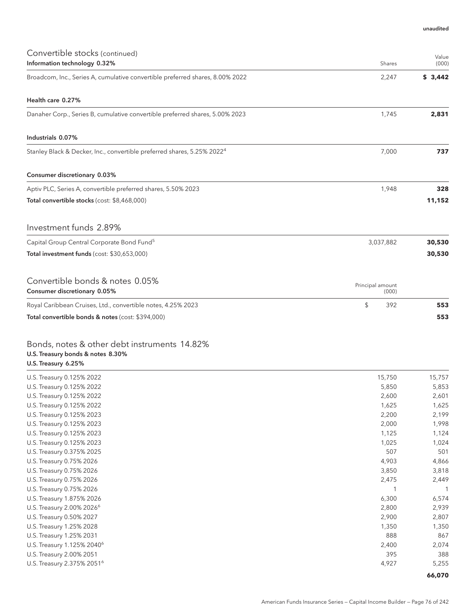| Convertible stocks (continued)                                                                           |                           | Value   |
|----------------------------------------------------------------------------------------------------------|---------------------------|---------|
| Information technology 0.32%                                                                             | Shares                    | (000)   |
| Broadcom, Inc., Series A, cumulative convertible preferred shares, 8.00% 2022                            | 2,247                     | \$3,442 |
| Health care 0.27%                                                                                        |                           |         |
| Danaher Corp., Series B, cumulative convertible preferred shares, 5.00% 2023                             | 1,745                     | 2,831   |
| Industrials 0.07%                                                                                        |                           |         |
| Stanley Black & Decker, Inc., convertible preferred shares, 5.25% 2022 <sup>4</sup>                      | 7,000                     | 737     |
| Consumer discretionary 0.03%                                                                             |                           |         |
| Aptiv PLC, Series A, convertible preferred shares, 5.50% 2023                                            | 1,948                     | 328     |
| Total convertible stocks (cost: \$8,468,000)                                                             |                           | 11,152  |
| Investment funds 2.89%                                                                                   |                           |         |
| Capital Group Central Corporate Bond Fund <sup>5</sup>                                                   | 3,037,882                 | 30,530  |
| Total investment funds (cost: \$30,653,000)                                                              |                           | 30,530  |
| Convertible bonds & notes 0.05%<br>Consumer discretionary 0.05%                                          | Principal amount<br>(000) |         |
| Royal Caribbean Cruises, Ltd., convertible notes, 4.25% 2023                                             | \$<br>392                 | 553     |
| Total convertible bonds & notes (cost: \$394,000)                                                        |                           | 553     |
| Bonds, notes & other debt instruments 14.82%<br>U.S. Treasury bonds & notes 8.30%<br>U.S. Treasury 6.25% |                           |         |

| U.S. Treasury 0.125% 2022              | 15,750 | 15,757 |
|----------------------------------------|--------|--------|
| U.S. Treasury 0.125% 2022              | 5,850  | 5,853  |
| U.S. Treasury 0.125% 2022              | 2,600  | 2,601  |
| U.S. Treasury 0.125% 2022              | 1,625  | 1,625  |
| U.S. Treasury 0.125% 2023              | 2,200  | 2,199  |
| U.S. Treasury 0.125% 2023              | 2,000  | 1,998  |
| U.S. Treasury 0.125% 2023              | 1,125  | 1,124  |
| U.S. Treasury 0.125% 2023              | 1,025  | 1,024  |
| U.S. Treasury 0.375% 2025              | 507    | 501    |
| U.S. Treasury 0.75% 2026               | 4,903  | 4,866  |
| U.S. Treasury 0.75% 2026               | 3,850  | 3,818  |
| U.S. Treasury 0.75% 2026               | 2,475  | 2,449  |
| U.S. Treasury 0.75% 2026               |        |        |
| U.S. Treasury 1.875% 2026              | 6,300  | 6,574  |
| U.S. Treasury 2.00% 2026 <sup>6</sup>  | 2,800  | 2,939  |
| U.S. Treasury 0.50% 2027               | 2,900  | 2,807  |
| U.S. Treasury 1.25% 2028               | 1,350  | 1,350  |
| U.S. Treasury 1.25% 2031               | 888    | 867    |
| U.S. Treasury 1.125% 2040 <sup>6</sup> | 2,400  | 2,074  |
| U.S. Treasury 2.00% 2051               | 395    | 388    |
| U.S. Treasury 2.375% 2051 <sup>6</sup> | 4,927  | 5,255  |
|                                        |        | 66,070 |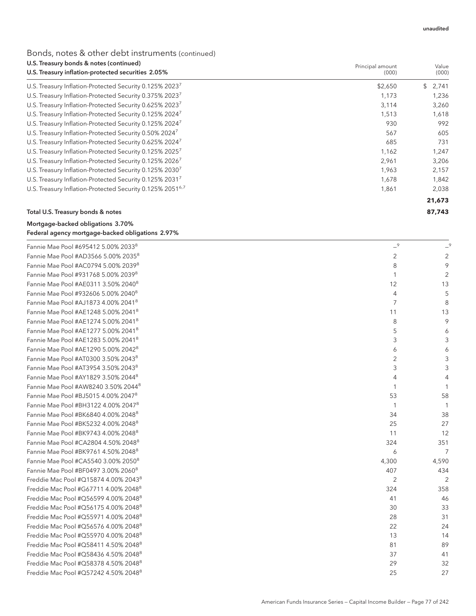## Bonds, notes & other debt instruments (continued)

| U.S. Treasury bonds & notes (continued)                               | Principal amount | Value<br>(000) |  |
|-----------------------------------------------------------------------|------------------|----------------|--|
| U.S. Treasury inflation-protected securities 2.05%                    | (000)            |                |  |
| U.S. Treasury Inflation-Protected Security 0.125% 20237               | \$2,650          | \$2,741        |  |
| U.S. Treasury Inflation-Protected Security 0.375% 2023 <sup>7</sup>   | 1,173            | 1,236          |  |
| U.S. Treasury Inflation-Protected Security 0.625% 2023 <sup>7</sup>   | 3,114            | 3,260          |  |
| U.S. Treasury Inflation-Protected Security 0.125% 2024 <sup>7</sup>   | 1,513            | 1,618          |  |
| U.S. Treasury Inflation-Protected Security 0.125% 20247               | 930              | 992            |  |
| U.S. Treasury Inflation-Protected Security 0.50% 2024 <sup>7</sup>    | 567              | 605            |  |
| U.S. Treasury Inflation-Protected Security 0.625% 2024 <sup>7</sup>   | 685              | 731            |  |
| U.S. Treasury Inflation-Protected Security 0.125% 2025 <sup>7</sup>   | 1,162            | 1,247          |  |
| U.S. Treasury Inflation-Protected Security 0.125% 2026 <sup>7</sup>   | 2,961            | 3,206          |  |
| U.S. Treasury Inflation-Protected Security 0.125% 2030 <sup>7</sup>   | 1,963            | 2,157          |  |
| U.S. Treasury Inflation-Protected Security 0.125% 2031 <sup>7</sup>   | 1,678            | 1,842          |  |
| U.S. Treasury Inflation-Protected Security 0.125% 2051 <sup>6,7</sup> | 1,861            | 2,038          |  |
|                                                                       |                  | 21,673         |  |
| Total U.S. Treasury bonds & notes                                     |                  | 87,743         |  |

## Mortgage-backed obligations 3.70% Federal agency mortgage-backed obligations 2.97%

| Fannie Mae Pool #695412 5.00% 20338              | $-9$           | $-9$           |
|--------------------------------------------------|----------------|----------------|
| Fannie Mae Pool #AD3566 5.00% 2035 <sup>8</sup>  | 2              | 2              |
| Fannie Mae Pool #AC0794 5.00% 20398              | 8              | 9              |
| Fannie Mae Pool #931768 5.00% 20398              | 1              | $\overline{2}$ |
| Fannie Mae Pool #AE0311 3.50% 2040 <sup>8</sup>  | 12             | 13             |
| Fannie Mae Pool #932606 5.00% 2040 <sup>8</sup>  | $\overline{4}$ | 5              |
| Fannie Mae Pool #AJ1873 4.00% 20418              | $\overline{7}$ | 8              |
| Fannie Mae Pool #AE1248 5.00% 2041 <sup>8</sup>  | 11             | 13             |
| Fannie Mae Pool #AE1274 5.00% 2041 <sup>8</sup>  | 8              | 9              |
| Fannie Mae Pool #AE1277 5.00% 2041 <sup>8</sup>  | 5              | 6              |
| Fannie Mae Pool #AE1283 5.00% 20418              | 3              | 3              |
| Fannie Mae Pool #AE1290 5.00% 2042 <sup>8</sup>  | 6              | 6              |
| Fannie Mae Pool #AT0300 3.50% 2043 <sup>8</sup>  | 2              | 3              |
| Fannie Mae Pool #AT3954 3.50% 2043 <sup>8</sup>  | 3              | 3              |
| Fannie Mae Pool #AY1829 3.50% 2044 <sup>8</sup>  | 4              | 4              |
| Fannie Mae Pool #AW8240 3.50% 2044 <sup>8</sup>  |                |                |
| Fannie Mae Pool #BJ5015 4.00% 2047 <sup>8</sup>  | 53             | 58             |
| Fannie Mae Pool #BH3122 4.00% 2047 <sup>8</sup>  | 1              | $\overline{1}$ |
| Fannie Mae Pool #BK6840 4.00% 2048 <sup>8</sup>  | 34             | 38             |
| Fannie Mae Pool #BK5232 4.00% 2048 <sup>8</sup>  | 25             | 27             |
| Fannie Mae Pool #BK9743 4.00% 2048 <sup>8</sup>  | 11             | 12             |
| Fannie Mae Pool #CA2804 4.50% 2048 <sup>8</sup>  | 324            | 351            |
| Fannie Mae Pool #BK9761 4.50% 2048 <sup>8</sup>  | 6              | 7              |
| Fannie Mae Pool #CA5540 3.00% 2050 <sup>8</sup>  | 4,300          | 4,590          |
| Fannie Mae Pool #BF0497 3.00% 20608              | 407            | 434            |
| Freddie Mac Pool #Q15874 4.00% 2043 <sup>8</sup> | 2              | 2              |
| Freddie Mac Pool #G67711 4.00% 2048 <sup>8</sup> | 324            | 358            |
| Freddie Mac Pool #Q56599 4.00% 2048 <sup>8</sup> | 41             | 46             |
| Freddie Mac Pool #Q56175 4.00% 2048 <sup>8</sup> | 30             | 33             |
| Freddie Mac Pool #Q55971 4.00% 2048 <sup>8</sup> | 28             | 31             |
| Freddie Mac Pool #Q56576 4.00% 2048 <sup>8</sup> | 22             | 24             |
| Freddie Mac Pool #Q55970 4.00% 2048 <sup>8</sup> | 13             | 14             |
| Freddie Mac Pool #Q58411 4.50% 2048 <sup>8</sup> | 81             | 89             |
| Freddie Mac Pool #Q58436 4.50% 2048 <sup>8</sup> | 37             | 41             |
| Freddie Mac Pool #Q58378 4.50% 2048 <sup>8</sup> | 29             | 32             |
| Freddie Mac Pool #Q57242 4.50% 2048 <sup>8</sup> | 25             | 27             |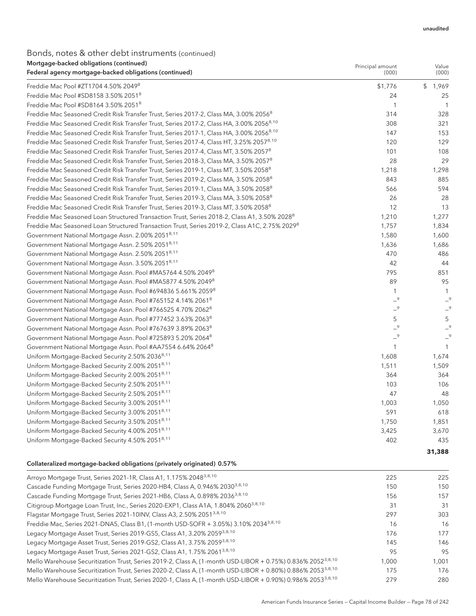## Bonds, notes & other debt instruments (continued)

| Mortgage-backed obligations (continued)<br>Federal agency mortgage-backed obligations (continued)         | Principal amount<br>(000) | Value<br>(000) |
|-----------------------------------------------------------------------------------------------------------|---------------------------|----------------|
| Freddie Mac Pool #ZT1704 4.50% 2049 <sup>8</sup>                                                          | \$1,776                   | \$1,969        |
| Freddie Mac Pool #SD8158 3.50% 2051 <sup>8</sup>                                                          | 24                        | 25             |
| Freddie Mac Pool #SD8164 3.50% 2051 <sup>8</sup>                                                          | 1                         | $\mathbf{1}$   |
| Freddie Mac Seasoned Credit Risk Transfer Trust, Series 2017-2, Class MA, 3.00% 2056 <sup>8</sup>         | 314                       | 328            |
| Freddie Mac Seasoned Credit Risk Transfer Trust, Series 2017-2, Class HA, 3.00% 2056 <sup>8,10</sup>      | 308                       | 321            |
| Freddie Mac Seasoned Credit Risk Transfer Trust, Series 2017-1, Class HA, 3.00% 2056 <sup>8,10</sup>      | 147                       | 153            |
| Freddie Mac Seasoned Credit Risk Transfer Trust, Series 2017-4, Class HT, 3.25% 2057 <sup>8,10</sup>      | 120                       | 129            |
| Freddie Mac Seasoned Credit Risk Transfer Trust, Series 2017-4, Class MT, 3.50% 2057 <sup>8</sup>         | 101                       | 108            |
| Freddie Mac Seasoned Credit Risk Transfer Trust, Series 2018-3, Class MA, 3.50% 2057 <sup>8</sup>         | 28                        | 29             |
| Freddie Mac Seasoned Credit Risk Transfer Trust, Series 2019-1, Class MT, 3.50% 2058 <sup>8</sup>         | 1,218                     | 1,298          |
| Freddie Mac Seasoned Credit Risk Transfer Trust, Series 2019-2, Class MA, 3.50% 2058 <sup>8</sup>         | 843                       | 885            |
| Freddie Mac Seasoned Credit Risk Transfer Trust, Series 2019-1, Class MA, 3.50% 2058 <sup>8</sup>         | 566                       | 594            |
| Freddie Mac Seasoned Credit Risk Transfer Trust, Series 2019-3, Class MA, 3.50% 2058 <sup>8</sup>         | 26                        | 28             |
| Freddie Mac Seasoned Credit Risk Transfer Trust, Series 2019-3, Class MT, 3.50% 2058 <sup>8</sup>         | 12                        | 13             |
| Freddie Mac Seasoned Loan Structured Transaction Trust, Series 2018-2, Class A1, 3.50% 2028 <sup>8</sup>  | 1,210                     | 1,277          |
| Freddie Mac Seasoned Loan Structured Transaction Trust, Series 2019-2, Class A1C, 2.75% 2029 <sup>8</sup> | 1,757                     | 1,834          |
| Government National Mortgage Assn. 2.00% 2051 <sup>8,11</sup>                                             | 1,580                     | 1,600          |
| Government National Mortgage Assn. 2.50% 2051 <sup>8,11</sup>                                             | 1,636                     | 1,686          |
| Government National Mortgage Assn. 2.50% 2051 <sup>8,11</sup>                                             | 470                       | 486            |
| Government National Mortgage Assn. 3.50% 2051 <sup>8,11</sup>                                             | 42                        | 44             |
| Government National Mortgage Assn. Pool #MA5764 4.50% 2049 <sup>8</sup>                                   | 795                       | 851            |
| Government National Mortgage Assn. Pool #MA5877 4.50% 2049 <sup>8</sup>                                   | 89                        | 95             |
| Government National Mortgage Assn. Pool #694836 5.661% 20598                                              | $\mathbf{1}$              | 1              |
| Government National Mortgage Assn. Pool #765152 4.14% 2061 <sup>8</sup>                                   | $-9$                      | $-9$           |
| Government National Mortgage Assn. Pool #766525 4.70% 2062 <sup>8</sup>                                   | $-9$                      | $-9$           |
| Government National Mortgage Assn. Pool #777452 3.63% 20638                                               | 5                         | 5              |
| Government National Mortgage Assn. Pool #767639 3.89% 2063 <sup>8</sup>                                   | $-9$                      | $-9$           |
| Government National Mortgage Assn. Pool #725893 5.20% 2064 <sup>8</sup>                                   | $-9$                      | $-9$           |
| Government National Mortgage Assn. Pool #AA7554 6.64% 2064 <sup>8</sup>                                   | $\mathbf{1}$              | 1              |
| Uniform Mortgage-Backed Security 2.50% 2036 <sup>8,11</sup>                                               | 1,608                     | 1,674          |
| Uniform Mortgage-Backed Security 2.00% 2051 <sup>8,11</sup>                                               | 1,511                     | 1,509          |
| Uniform Mortgage-Backed Security 2.00% 20518,11                                                           | 364                       | 364            |
| Uniform Mortgage-Backed Security 2.50% 2051 <sup>8,11</sup>                                               | 103                       | 106            |
| Uniform Mortgage-Backed Security 2.50% 2051 <sup>8,11</sup>                                               | 47                        | 48             |
| Uniform Mortgage-Backed Security 3.00% 2051 <sup>8,11</sup>                                               | 1,003                     | 1,050          |
| Uniform Mortgage-Backed Security 3.00% 20518,11                                                           | 591                       | 618            |
| Uniform Mortgage-Backed Security 3.50% 2051 <sup>8,11</sup>                                               | 1,750                     | 1,851          |
| Uniform Mortgage-Backed Security 4.00% 2051 <sup>8,11</sup>                                               | 3,425                     | 3,670          |
| Uniform Mortgage-Backed Security 4.50% 20518,11                                                           | 402                       | 435            |
|                                                                                                           |                           | 31,388         |

### Collateralized mortgage-backed obligations (privately originated) 0.57%

| Arroyo Mortgage Trust, Series 2021-1R, Class A1, 1.175% 2048 <sup>3,8,10</sup>                                          | 225   | 225   |
|-------------------------------------------------------------------------------------------------------------------------|-------|-------|
| Cascade Funding Mortgage Trust, Series 2020-HB4, Class A, 0.946% 2030 <sup>3,8,10</sup>                                 | 150   | 150   |
| Cascade Funding Mortgage Trust, Series 2021-HB6, Class A, 0.898% 2036 <sup>3,8,10</sup>                                 | 156   | 157   |
| Citigroup Mortgage Loan Trust, Inc., Series 2020-EXP1, Class A1A, 1.804% 2060 <sup>3,8,10</sup>                         | 31    | 31    |
| Flagstar Mortgage Trust, Series 2021-10INV, Class A3, 2.50% 2051 <sup>3,8,10</sup>                                      | 297   | 303   |
| Freddie Mac, Series 2021-DNA5, Class B1, (1-month USD-SOFR + 3.05%) 3.10% 2034 <sup>3,8,10</sup>                        | 16    | 16    |
| Legacy Mortgage Asset Trust, Series 2019-GS5, Class A1, 3.20% 2059 <sup>3,8,10</sup>                                    | 176   | 177   |
| Legacy Mortgage Asset Trust, Series 2019-GS2, Class A1, 3.75% 20593,8,10                                                | 145   | 146   |
| Legacy Mortgage Asset Trust, Series 2021-GS2, Class A1, 1.75% 2061 <sup>3,8,10</sup>                                    | 95    | 9.5   |
| Mello Warehouse Securitization Trust, Series 2019-2, Class A, (1-month USD-LIBOR + 0.75%) 0.836% 2052 <sup>3,8,10</sup> | 1.000 | 1.001 |
| Mello Warehouse Securitization Trust, Series 2020-2, Class A, (1-month USD-LIBOR + 0.80%) 0.886% 2053 <sup>3,8,10</sup> | 175   | 176   |
| Mello Warehouse Securitization Trust, Series 2020-1, Class A, (1-month USD-LIBOR + 0.90%) 0.986% 2053 <sup>3,8,10</sup> | 279   | 280   |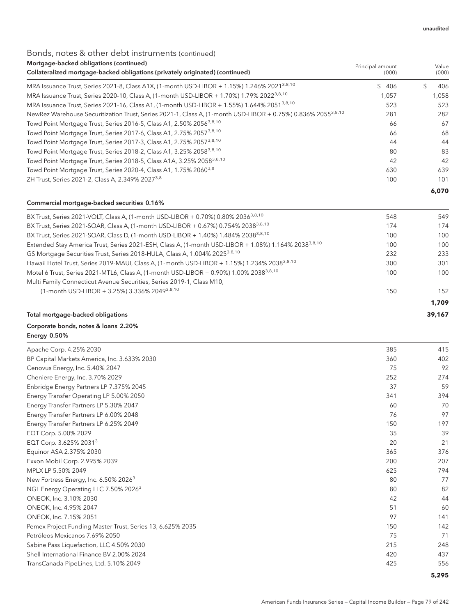## Bonds, notes & other debt instruments (continued) Mortgage-backed obligations (continued)

| <u>mongage backed obligations (commaca)</u><br>Collateralized mortgage-backed obligations (privately originated) (continued) | Principal amount<br>(000) | Value<br>(000) |
|------------------------------------------------------------------------------------------------------------------------------|---------------------------|----------------|
| MRA Issuance Trust, Series 2021-8, Class A1X, (1-month USD-LIBOR + 1.15%) 1.246% 2021 <sup>3,8,10</sup>                      | \$406                     | 406<br>\$.     |
| MRA Issuance Trust, Series 2020-10, Class A, (1-month USD-LIBOR + 1.70%) 1.79% 2022 <sup>3,8,10</sup>                        | 1.057                     | 1.058          |
| MRA Issuance Trust, Series 2021-16, Class A1, (1-month USD-LIBOR + 1.55%) 1.644% 2051 <sup>3,8,10</sup>                      | 523                       | 523            |
| NewRez Warehouse Securitization Trust, Series 2021-1, Class A, (1-month USD-LIBOR + 0.75%) 0.836% 2055 <sup>3,8,10</sup>     | 281                       | 282            |
| Towd Point Mortgage Trust, Series 2016-5, Class A1, 2.50% 2056 <sup>3,8,10</sup>                                             | 66                        | 67             |
| Towd Point Mortgage Trust, Series 2017-6, Class A1, 2.75% 2057 <sup>3,8,10</sup>                                             | 66                        | 68             |
| Towd Point Mortgage Trust, Series 2017-3, Class A1, 2.75% 2057 <sup>3,8,10</sup>                                             | 44                        | 44             |
| Towd Point Mortgage Trust, Series 2018-2, Class A1, 3.25% 2058 <sup>3,8,10</sup>                                             | 80                        | 83             |
| Towd Point Mortgage Trust, Series 2018-5, Class A1A, 3.25% 2058 <sup>3,8,10</sup>                                            | 42                        | 42             |
| Towd Point Mortgage Trust, Series 2020-4, Class A1, 1.75% 2060 <sup>3,8</sup>                                                | 630                       | 639            |
| ZH Trust, Series 2021-2, Class A, 2.349% 2027 <sup>3,8</sup>                                                                 | 100                       | 101            |
|                                                                                                                              |                           | 6,070          |

### Commercial mortgage-backed securities 0.16%

| BX Trust, Series 2021-VOLT, Class A, (1-month USD-LIBOR + 0.70%) 0.80% 2036 <sup>3,8,10</sup>                    | 548 | 549    |
|------------------------------------------------------------------------------------------------------------------|-----|--------|
| BX Trust, Series 2021-SOAR, Class A, (1-month USD-LIBOR + 0.67%) 0.754% 2038 <sup>3,8,10</sup>                   | 174 | 174    |
| BX Trust, Series 2021-SOAR, Class D, (1-month USD-LIBOR + 1.40%) 1.484% 2038 <sup>3,8,10</sup>                   | 100 | 100    |
| Extended Stay America Trust, Series 2021-ESH, Class A, (1-month USD-LIBOR + 1.08%) 1.164% 2038 <sup>3,8,10</sup> | 100 | 100    |
| GS Mortgage Securities Trust, Series 2018-HULA, Class A, 1.004% 2025 <sup>3,8,10</sup>                           | 232 | 233    |
| Hawaii Hotel Trust, Series 2019-MAUI, Class A, (1-month USD-LIBOR + 1.15%) 1.234% 2038 <sup>3,8,10</sup>         | 300 | 301    |
| Motel 6 Trust, Series 2021-MTL6, Class A, (1-month USD-LIBOR + 0.90%) 1.00% 2038 <sup>3,8,10</sup>               | 100 | 100    |
| Multi Family Connecticut Avenue Securities, Series 2019-1, Class M10,                                            |     |        |
| (1-month USD-LIBOR + 3.25%) 3.336% 2049 <sup>3,8,10</sup>                                                        | 150 | 152    |
|                                                                                                                  |     | 1.709  |
| Total mortgage-backed obligations                                                                                |     | 39,167 |

## Corporate bonds, notes & loans 2.20%

Energy 0.50%

| Apache Corp. 4.25% 2030                                    | 385 | 415 |
|------------------------------------------------------------|-----|-----|
| BP Capital Markets America, Inc. 3.633% 2030               | 360 | 402 |
| Cenovus Energy, Inc. 5.40% 2047                            | 75  | 92  |
| Cheniere Energy, Inc. 3.70% 2029                           | 252 | 274 |
| Enbridge Energy Partners LP 7.375% 2045                    | 37  | 59  |
| Energy Transfer Operating LP 5.00% 2050                    | 341 | 394 |
| Energy Transfer Partners LP 5.30% 2047                     | 60  | 70  |
| Energy Transfer Partners LP 6.00% 2048                     | 76  | 97  |
| Energy Transfer Partners LP 6.25% 2049                     | 150 | 197 |
| EQT Corp. 5.00% 2029                                       | 35  | 39  |
| EQT Corp. 3.625% 2031 <sup>3</sup>                         | 20  | 21  |
| Equinor ASA 2.375% 2030                                    | 365 | 376 |
| Exxon Mobil Corp. 2.995% 2039                              | 200 | 207 |
| MPLX LP 5.50% 2049                                         | 625 | 794 |
| New Fortress Energy, Inc. 6.50% 2026 <sup>3</sup>          | 80  | 77  |
| NGL Energy Operating LLC 7.50% 2026 <sup>3</sup>           | 80  | 82  |
| ONEOK, Inc. 3.10% 2030                                     | 42  | 44  |
| ONEOK, Inc. 4.95% 2047                                     | 51  | 60  |
| ONEOK, Inc. 7.15% 2051                                     | 97  | 141 |
| Pemex Project Funding Master Trust, Series 13, 6.625% 2035 | 150 | 142 |
| Petróleos Mexicanos 7.69% 2050                             | 75  | 71  |
| Sabine Pass Liquefaction, LLC 4.50% 2030                   | 215 | 248 |
| Shell International Finance BV 2.00% 2024                  | 420 | 437 |
| TransCanada PipeLines, Ltd. 5.10% 2049                     | 425 | 556 |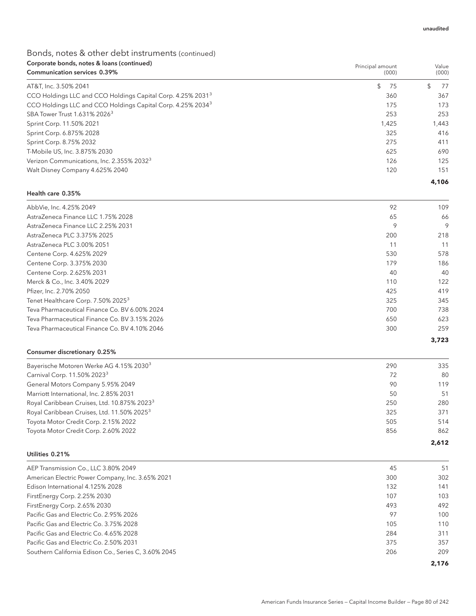Principal amount

## Bonds, notes & other debt instruments (continued) Corporate bonds, notes & loans (continued)

| <b>Communication services 0.39%</b>                                     |          | (000)     |
|-------------------------------------------------------------------------|----------|-----------|
| AT&T, Inc. 3.50% 2041                                                   | \$<br>75 | 77<br>\$. |
| CCO Holdings LLC and CCO Holdings Capital Corp. 4.25% 2031 <sup>3</sup> | 360      | 367       |
| CCO Holdings LLC and CCO Holdings Capital Corp. 4.25% 2034 <sup>3</sup> | 175      | 173       |
| SBA Tower Trust 1.631% 2026 <sup>3</sup>                                | 253      | 253       |
| Sprint Corp. 11.50% 2021                                                | 1,425    | 1,443     |
| Sprint Corp. 6.875% 2028                                                | 325      | 416       |
| Sprint Corp. 8.75% 2032                                                 | 275      | 411       |
| T-Mobile US, Inc. 3.875% 2030                                           | 625      | 690       |
| Verizon Communications, Inc. 2.355% 2032 <sup>3</sup>                   | 126      | 125       |
| Walt Disney Company 4.625% 2040                                         | 120      | 151       |
|                                                                         |          | 4,106     |

### Health care 0.35%

| AbbVie, Inc. 4.25% 2049                        | 92  | 109   |
|------------------------------------------------|-----|-------|
| AstraZeneca Finance LLC 1.75% 2028             | 65  | 66    |
| AstraZeneca Finance LLC 2.25% 2031             | 9   | 9     |
| AstraZeneca PLC 3.375% 2025                    | 200 | 218   |
| AstraZeneca PLC 3.00% 2051                     | 11  | 11    |
| Centene Corp. 4.625% 2029                      | 530 | 578   |
| Centene Corp. 3.375% 2030                      | 179 | 186   |
| Centene Corp. 2.625% 2031                      | 40  | 40    |
| Merck & Co., Inc. 3.40% 2029                   | 110 | 122   |
| Pfizer, Inc. 2.70% 2050                        | 425 | 419   |
| Tenet Healthcare Corp. 7.50% 2025 <sup>3</sup> | 325 | 345   |
| Teva Pharmaceutical Finance Co. BV 6.00% 2024  | 700 | 738   |
| Teva Pharmaceutical Finance Co. BV 3.15% 2026  | 650 | 623   |
| Teva Pharmaceutical Finance Co. BV 4.10% 2046  | 300 | 259   |
|                                                |     | 3.723 |

### Consumer discretionary 0.25%

| Bayerische Motoren Werke AG 4.15% 2030 <sup>3</sup>     | 290 | 335   |
|---------------------------------------------------------|-----|-------|
| Carnival Corp. 11.50% 2023 <sup>3</sup>                 | 72  | 80    |
| General Motors Company 5.95% 2049                       | 90  | 119   |
| Marriott International, Inc. 2.85% 2031                 | 50  | 51    |
| Royal Caribbean Cruises, Ltd. 10.875% 2023 <sup>3</sup> | 250 | 280   |
| Royal Caribbean Cruises, Ltd. 11.50% 2025 <sup>3</sup>  | 325 | 371   |
| Toyota Motor Credit Corp. 2.15% 2022                    | 505 | 514   |
| Toyota Motor Credit Corp. 2.60% 2022                    | 856 | 862   |
|                                                         |     | 2.612 |

### Utilities 0.21%

| AEP Transmission Co., LLC 3.80% 2049                 | 45  | 51    |
|------------------------------------------------------|-----|-------|
| American Electric Power Company, Inc. 3.65% 2021     | 300 | 302   |
| Edison International 4.125% 2028                     | 132 | 141   |
| FirstEnergy Corp. 2.25% 2030                         | 107 | 103   |
| FirstEnergy Corp. 2.65% 2030                         | 493 | 492   |
| Pacific Gas and Electric Co. 2.95% 2026              | 97  | 100   |
| Pacific Gas and Electric Co. 3.75% 2028              | 105 | 110   |
| Pacific Gas and Electric Co. 4.65% 2028              | 284 | 311   |
| Pacific Gas and Electric Co. 2.50% 2031              | 375 | 357   |
| Southern California Edison Co., Series C, 3.60% 2045 | 206 | 209   |
|                                                      |     | 2.176 |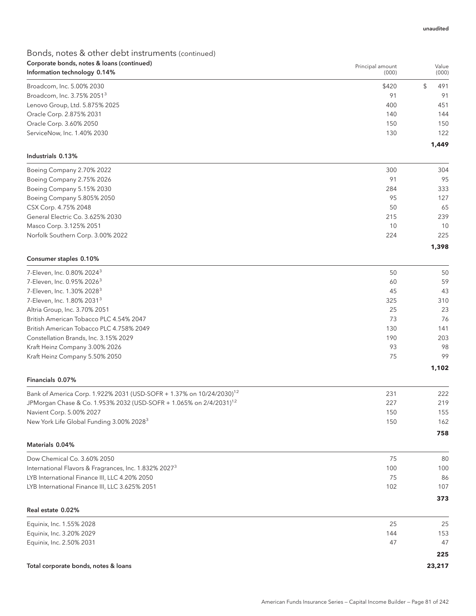## Bonds, notes & other debt instruments (continued) Corporate bonds, notes & loans (continued)

| Corporate bonds, notes & loans (continued)<br>Information technology 0.14%       | Principal amount<br>(000) | Value<br>(000) |
|----------------------------------------------------------------------------------|---------------------------|----------------|
| Broadcom, Inc. 5.00% 2030                                                        | \$420                     | \$<br>491      |
| Broadcom, Inc. 3.75% 2051 <sup>3</sup>                                           | 91                        | 91             |
| Lenovo Group, Ltd. 5.875% 2025                                                   | 400                       | 451            |
| Oracle Corp. 2.875% 2031                                                         | 140                       | 144            |
| Oracle Corp. 3.60% 2050                                                          | 150                       | 150            |
| ServiceNow, Inc. 1.40% 2030                                                      | 130                       | 122            |
| Industrials 0.13%                                                                |                           | 1,449          |
| Boeing Company 2.70% 2022                                                        | 300                       | 304            |
| Boeing Company 2.75% 2026                                                        | 91                        | 95             |
| Boeing Company 5.15% 2030                                                        | 284                       | 333            |
| Boeing Company 5.805% 2050                                                       | 95                        | 127            |
| CSX Corp. 4.75% 2048                                                             | 50                        | 65             |
| General Electric Co. 3.625% 2030                                                 | 215                       | 239            |
| Masco Corp. 3.125% 2051                                                          | 10                        | 10             |
| Norfolk Southern Corp. 3.00% 2022                                                | 224                       | 225            |
| Consumer staples 0.10%                                                           |                           | 1,398          |
| 7-Eleven, Inc. 0.80% 2024 <sup>3</sup>                                           | 50                        | 50             |
| 7-Eleven, Inc. 0.95% 2026 <sup>3</sup>                                           | 60                        | 59             |
| 7-Eleven, Inc. 1.30% 2028 <sup>3</sup>                                           | 45                        | 43             |
| 7-Eleven, Inc. 1.80% 2031 <sup>3</sup>                                           | 325                       | 310            |
| Altria Group, Inc. 3.70% 2051                                                    | 25                        | 23             |
| British American Tobacco PLC 4.54% 2047                                          | 73                        | 76             |
| British American Tobacco PLC 4.758% 2049                                         | 130                       | 141            |
| Constellation Brands, Inc. 3.15% 2029                                            | 190                       | 203            |
| Kraft Heinz Company 3.00% 2026                                                   | 93                        | 98             |
| Kraft Heinz Company 5.50% 2050                                                   | 75                        | 99             |
| Financials 0.07%                                                                 |                           | 1,102          |
|                                                                                  |                           |                |
| Bank of America Corp. 1.922% 2031 (USD-SOFR + 1.37% on 10/24/2030) <sup>12</sup> | 231                       | 222            |
| JPMorgan Chase & Co. 1.953% 2032 (USD-SOFR + 1.065% on 2/4/2031) <sup>12</sup>   | 227                       | 219            |
| Navient Corp. 5.00% 2027<br>New York Life Global Funding 3.00% 2028 <sup>3</sup> | 150<br>150                | 155<br>162     |
|                                                                                  |                           | 758            |
| Materials 0.04%                                                                  |                           |                |
| Dow Chemical Co. 3.60% 2050                                                      | 75                        | 80             |
| International Flavors & Fragrances, Inc. 1.832% 2027 <sup>3</sup>                | 100                       | 100            |
| LYB International Finance III, LLC 4.20% 2050                                    | 75                        | 86             |
| LYB International Finance III, LLC 3.625% 2051                                   | 102                       | 107            |
| Real estate 0.02%                                                                |                           | 373            |
| Equinix, Inc. 1.55% 2028                                                         | 25                        | 25             |
| Equinix, Inc. 3.20% 2029                                                         | 144                       | 153            |
| Equinix, Inc. 2.50% 2031                                                         | 47                        | 47             |
|                                                                                  |                           | 225            |

## Total corporate bonds, notes & loans **23,217**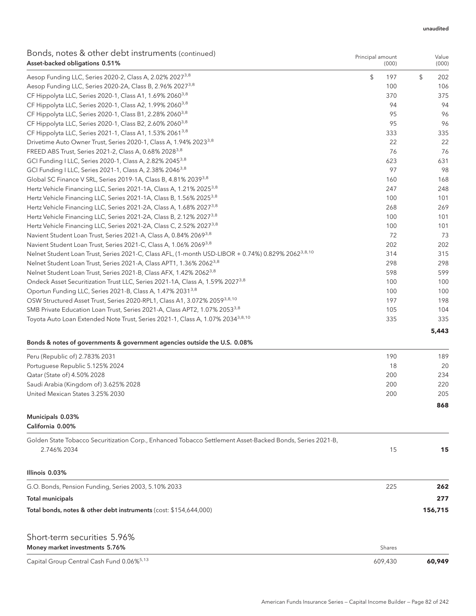#### unaudited

Value

Principal amount

## Bonds, notes & other debt instruments (continued) Asset-backed obligations 0.51%

| Asset-backed obligations 0.51%                                                                                 | (000)     | (000)     |
|----------------------------------------------------------------------------------------------------------------|-----------|-----------|
| Aesop Funding LLC, Series 2020-2, Class A, 2.02% 2027 <sup>3,8</sup>                                           | \$<br>197 | \$<br>202 |
| Aesop Funding LLC, Series 2020-2A, Class B, 2.96% 2027 <sup>3,8</sup>                                          | 100       | 106       |
| CF Hippolyta LLC, Series 2020-1, Class A1, 1.69% 2060 <sup>3,8</sup>                                           | 370       | 375       |
| CF Hippolyta LLC, Series 2020-1, Class A2, 1.99% 2060 <sup>3,8</sup>                                           | 94        | 94        |
| CF Hippolyta LLC, Series 2020-1, Class B1, 2.28% 2060 <sup>3,8</sup>                                           | 95        | 96        |
| CF Hippolyta LLC, Series 2020-1, Class B2, 2.60% 2060 <sup>3,8</sup>                                           | 95        | 96        |
| CF Hippolyta LLC, Series 2021-1, Class A1, 1.53% 2061 <sup>3,8</sup>                                           | 333       | 335       |
| Drivetime Auto Owner Trust, Series 2020-1, Class A, 1.94% 2023 <sup>3,8</sup>                                  | 22        | 22        |
| FREED ABS Trust, Series 2021-2, Class A, 0.68% 2028 <sup>3,8</sup>                                             | 76        | 76        |
| GCI Funding I LLC, Series 2020-1, Class A, 2.82% 2045 <sup>3,8</sup>                                           | 623       | 631       |
| GCI Funding I LLC, Series 2021-1, Class A, 2.38% 2046 <sup>3,8</sup>                                           | 97        | 98        |
| Global SC Finance V SRL, Series 2019-1A, Class B, 4.81% 2039 <sup>3,8</sup>                                    | 160       | 168       |
| Hertz Vehicle Financing LLC, Series 2021-1A, Class A, 1.21% 2025 <sup>3,8</sup>                                | 247       | 248       |
| Hertz Vehicle Financing LLC, Series 2021-1A, Class B, 1.56% 2025 <sup>3,8</sup>                                | 100       | 101       |
| Hertz Vehicle Financing LLC, Series 2021-2A, Class A, 1.68% 2027 <sup>3,8</sup>                                | 268       | 269       |
| Hertz Vehicle Financing LLC, Series 2021-2A, Class B, 2.12% 2027 <sup>3,8</sup>                                | 100       | 101       |
| Hertz Vehicle Financing LLC, Series 2021-2A, Class C, 2.52% 2027 <sup>3,8</sup>                                | 100       | 101       |
| Navient Student Loan Trust, Series 2021-A, Class A, 0.84% 2069 <sup>3,8</sup>                                  | 72        | 73        |
| Navient Student Loan Trust, Series 2021-C, Class A, 1.06% 2069 <sup>3,8</sup>                                  | 202       | 202       |
| Nelnet Student Loan Trust, Series 2021-C, Class AFL, (1-month USD-LIBOR + 0.74%) 0.829% 2062 <sup>3,8,10</sup> | 314       | 315       |
| Nelnet Student Loan Trust, Series 2021-A, Class APT1, 1.36% 2062 <sup>3,8</sup>                                | 298       | 298       |
| Nelnet Student Loan Trust, Series 2021-B, Class AFX, 1.42% 2062 <sup>3,8</sup>                                 | 598       | 599       |
| Ondeck Asset Securitization Trust LLC, Series 2021-1A, Class A, 1.59% 2027 <sup>3,8</sup>                      | 100       | 100       |
| Oportun Funding LLC, Series 2021-B, Class A, 1.47% 2031 <sup>3,8</sup>                                         | 100       | 100       |
| OSW Structured Asset Trust, Series 2020-RPL1, Class A1, 3.072% 2059 <sup>3,8,10</sup>                          | 197       | 198       |
| SMB Private Education Loan Trust, Series 2021-A, Class APT2, 1.07% 2053 <sup>3,8</sup>                         | 105       | 104       |
| Toyota Auto Loan Extended Note Trust, Series 2021-1, Class A, 1.07% 2034 <sup>3,8,10</sup>                     | 335       | 335       |
|                                                                                                                |           | 5,443     |

## Bonds & notes of governments & government agencies outside the U.S. 0.08%

| Peru (Republic of) 2.783% 2031        | 190 | 189 |
|---------------------------------------|-----|-----|
| Portuguese Republic 5.125% 2024       | 18  | 20  |
| Qatar (State of) 4.50% 2028           | 200 | 234 |
| Saudi Arabia (Kingdom of) 3.625% 2028 | 200 | 220 |
| United Mexican States 3.25% 2030      | 200 | 205 |
|                                       |     | 868 |
| Municipals 0.03%                      |     |     |

California 0.00%

| Golden State Tobacco Securitization Corp., Enhanced Tobacco Settlement Asset-Backed Bonds, Series 2021-B,<br>2.746% 2034 | 15  | 15      |
|--------------------------------------------------------------------------------------------------------------------------|-----|---------|
| Illinois 0.03%                                                                                                           |     |         |
| G.O. Bonds, Pension Funding, Series 2003, 5.10% 2033                                                                     | 225 | 262     |
| Total municipals                                                                                                         |     | 277     |
| Total bonds, notes & other debt instruments (cost: \$154,644,000)                                                        |     | 156,715 |
|                                                                                                                          |     |         |
| Short-term securities 5.96%                                                                                              |     |         |

| Money market investments 5.76%                        | Shares  |        |
|-------------------------------------------------------|---------|--------|
| Capital Group Central Cash Fund 0.06% <sup>5,13</sup> | 609.430 | 60.949 |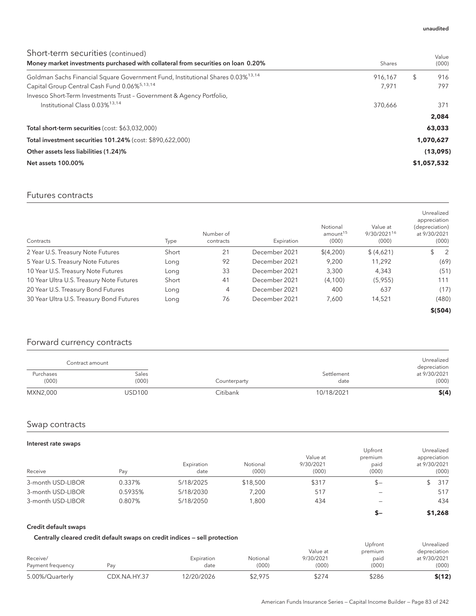#### unaudited

| Short-term securities (continued)<br>Money market investments purchased with collateral from securities on loan 0.20% | Shares  | Value<br>(000) |
|-----------------------------------------------------------------------------------------------------------------------|---------|----------------|
| Goldman Sachs Financial Square Government Fund, Institutional Shares 0.03% <sup>13,14</sup>                           | 916.167 | 916<br>\$      |
| Capital Group Central Cash Fund 0.06% <sup>5,13,14</sup>                                                              | 7,971   | 797            |
| Invesco Short-Term Investments Trust - Government & Agency Portfolio,                                                 |         |                |
| Institutional Class $0.03\%$ <sup>13,14</sup>                                                                         | 370.666 | 371            |
|                                                                                                                       |         | 2.084          |
| Total short-term securities (cost: \$63,032,000)                                                                      |         | 63,033         |
| Total investment securities 101.24% (cost: \$890,622,000)                                                             |         | 1,070,627      |
| Other assets less liabilities (1.24)%                                                                                 |         | (13,095)       |
| <b>Net assets 100.00%</b>                                                                                             |         | \$1,057,532    |

## Futures contracts

| Contracts                                | Type  | Number of<br>contracts | Expiration    | Notional<br>amount <sup>15</sup><br>(000) | Value at<br>9/30/2021 <sup>16</sup><br>(000) | Unrealized<br>appreciation<br>(depreciation)<br>at 9/30/2021<br>(000) |
|------------------------------------------|-------|------------------------|---------------|-------------------------------------------|----------------------------------------------|-----------------------------------------------------------------------|
| 2 Year U.S. Treasury Note Futures        | Short | 21                     | December 2021 | \$(4,200)                                 | \$ (4,621)                                   | \$<br>2                                                               |
| 5 Year U.S. Treasury Note Futures        | Long  | 92                     | December 2021 | 9,200                                     | 11,292                                       | (69)                                                                  |
| 10 Year U.S. Treasury Note Futures       | Long  | 33                     | December 2021 | 3,300                                     | 4.343                                        | (51)                                                                  |
| 10 Year Ultra U.S. Treasury Note Futures | Short | 41                     | December 2021 | (4,100)                                   | (5,955)                                      | 111                                                                   |
| 20 Year U.S. Treasury Bond Futures       | Long  | 4                      | December 2021 | 400                                       | 637                                          | (17)                                                                  |
| 30 Year Ultra U.S. Treasury Bond Futures | Long  | 76                     | December 2021 | 7,600                                     | 14,521                                       | (480)                                                                 |
|                                          |       |                        |               |                                           |                                              | \$(504)                                                               |

## Forward currency contracts

|                    | Contract amount |              |                    | Unrealized<br>depreciation |
|--------------------|-----------------|--------------|--------------------|----------------------------|
| Purchases<br>(000) | Sales<br>(000)  | Counterparty | Settlement<br>date | at 9/30/2021<br>(000)      |
| MXN2,000           | USD100          | Citibank     | 10/18/2021         | \$(4)                      |

## Swap contracts

#### Interest rate swaps

| $m_{\rm U}$<br>Receive | Pay     | Expiration<br>date | Notional<br>(000) | Value at<br>9/30/2021<br>(000) | Upfront<br>premium<br>paid<br>(000) | Unrealized<br>appreciation<br>at 9/30/2021<br>(000) |
|------------------------|---------|--------------------|-------------------|--------------------------------|-------------------------------------|-----------------------------------------------------|
| 3-month USD-LIBOR      | 0.337%  | 5/18/2025          | \$18,500          | \$317                          | $s-$                                | 317                                                 |
| 3-month USD-LIBOR      | 0.5935% | 5/18/2030          | 7.200             | 517                            |                                     | 517                                                 |
| 3-month USD-LIBOR      | 0.807%  | 5/18/2050          | 1.800             | 434                            | -                                   | 434                                                 |
|                        |         |                    |                   |                                | $S-$                                | \$1,268                                             |

### Credit default swaps

### Centrally cleared credit default swaps on credit indices — sell protection

| Centrally cleared credit default swaps on credit multes — sell protection |              |            |          |           | Upfront | Unrealized   |
|---------------------------------------------------------------------------|--------------|------------|----------|-----------|---------|--------------|
|                                                                           |              |            |          | Value at  | premium | depreciation |
| Receive/                                                                  |              | Expiration | Notional | 9/30/2021 | paid    | at 9/30/2021 |
| Payment frequency                                                         | Pav          | date       | (000)    | (000)     | (000)   | (000)        |
| 5.00%/Quarterly                                                           | CDX.NA.HY.37 | 12/20/2026 | \$2.975  | \$274     | \$286   | \$(12)       |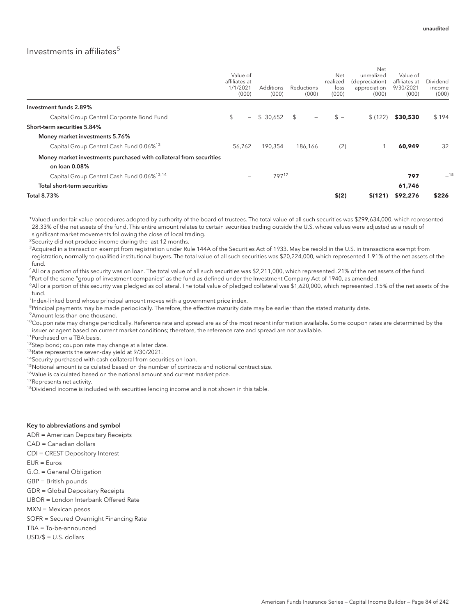## Investments in affiliates<sup>5</sup>

|                                                                                     | Value of<br>affiliates at<br>1/1/2021<br>(000) |                          | Additions<br>(000) | Reductions<br>(000)                        | Net<br>realized<br>loss<br>(000) | Net<br>unrealized<br>(depreciation)<br>appreciation<br>(000) | Value of<br>affiliates at<br>9/30/2021<br>(000) | Dividend<br>income<br>(000) |
|-------------------------------------------------------------------------------------|------------------------------------------------|--------------------------|--------------------|--------------------------------------------|----------------------------------|--------------------------------------------------------------|-------------------------------------------------|-----------------------------|
| Investment funds 2.89%                                                              |                                                |                          |                    |                                            |                                  |                                                              |                                                 |                             |
| Capital Group Central Corporate Bond Fund                                           | \$                                             | $-$                      | \$ 30.652          | $\mathfrak{L}$<br>$\overline{\phantom{m}}$ | $s -$                            | \$(122)                                                      | \$30,530                                        | \$194                       |
| Short-term securities 5.84%                                                         |                                                |                          |                    |                                            |                                  |                                                              |                                                 |                             |
| Money market investments 5.76%                                                      |                                                |                          |                    |                                            |                                  |                                                              |                                                 |                             |
| Capital Group Central Cash Fund 0.06% <sup>13</sup>                                 | 56,762                                         |                          | 190,354            | 186.166                                    | (2)                              |                                                              | 60,949                                          | 32                          |
| Money market investments purchased with collateral from securities<br>on loan 0.08% |                                                |                          |                    |                                            |                                  |                                                              |                                                 |                             |
| Capital Group Central Cash Fund 0.06% <sup>13,14</sup>                              |                                                | $\overline{\phantom{a}}$ | 79717              |                                            |                                  |                                                              | 797                                             | $-18$                       |
| Total short-term securities                                                         |                                                |                          |                    |                                            |                                  |                                                              | 61,746                                          |                             |
| <b>Total 8.73%</b>                                                                  |                                                |                          |                    |                                            | \$(2)                            | \$(121)                                                      | \$92,276                                        | \$226                       |

<sup>1</sup>Valued under fair value procedures adopted by authority of the board of trustees. The total value of all such securities was \$299,634,000, which represented 28.33% of the net assets of the fund. This entire amount relates to certain securities trading outside the U.S. whose values were adjusted as a result of significant market movements following the close of local trading.

<sup>2</sup>Security did not produce income during the last 12 months.

 $^3$ Acquired in a transaction exempt from registration under Rule 144A of the Securities Act of 1933. May be resold in the U.S. in transactions exempt from registration, normally to qualified institutional buyers. The total value of all such securities was \$20,224,000, which represented 1.91% of the net assets of the fund.

4 All or a portion of this security was on loan. The total value of all such securities was \$2,211,000, which represented .21% of the net assets of the fund. <sup>5</sup>Part of the same "group of investment companies" as the fund as defined under the Investment Company Act of 1940, as amended.

6 All or a portion of this security was pledged as collateral. The total value of pledged collateral was \$1,620,000, which represented .15% of the net assets of the fund.

<sup>7</sup>Index-linked bond whose principal amount moves with a government price index.

<sup>8</sup>Principal payments may be made periodically. Therefore, the effective maturity date may be earlier than the stated maturity date.

<sup>9</sup> Amount less than one thousand.

 $10$ Coupon rate may change periodically. Reference rate and spread are as of the most recent information available. Some coupon rates are determined by the issuer or agent based on current market conditions; therefore, the reference rate and spread are not available.

11 Purchased on a TBA basis.

<sup>12</sup>Step bond; coupon rate may change at a later date.

<sup>13</sup>Rate represents the seven-day yield at 9/30/2021.

<sup>14</sup>Security purchased with cash collateral from securities on loan.

<sup>15</sup>Notional amount is calculated based on the number of contracts and notional contract size.

<sup>16</sup>Value is calculated based on the notional amount and current market price.

<sup>17</sup>Represents net activity.

 $18$ Dividend income is included with securities lending income and is not shown in this table.

#### Key to abbreviations and symbol

ADR = American Depositary Receipts

CAD = Canadian dollars

CDI = CREST Depository Interest

EUR = Euros

- G.O. = General Obligation
- GBP = British pounds
- GDR = Global Depositary Receipts

LIBOR = London Interbank Offered Rate

MXN = Mexican pesos

SOFR = Secured Overnight Financing Rate

TBA = To-be-announced

USD/\$ = U.S. dollars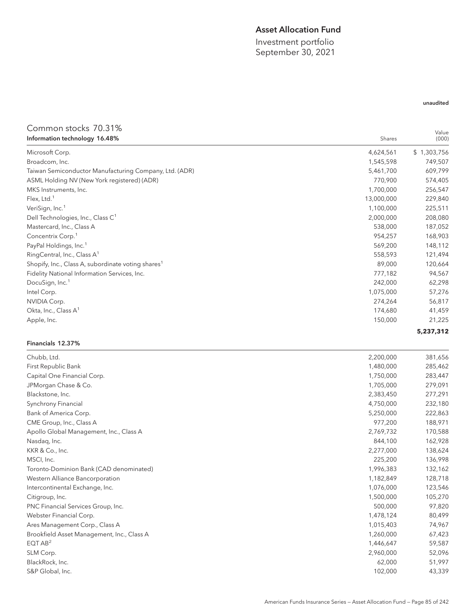## Asset Allocation Fund

Investment portfolio September 30, 2021

## unaudited

## Common stocks 70.31%

| Information technology 16.48%                                  | Shares     | Value<br>(000) |
|----------------------------------------------------------------|------------|----------------|
| Microsoft Corp.                                                | 4,624,561  | \$1,303,756    |
| Broadcom, Inc.                                                 | 1,545,598  | 749,507        |
| Taiwan Semiconductor Manufacturing Company, Ltd. (ADR)         | 5,461,700  | 609,799        |
| ASML Holding NV (New York registered) (ADR)                    | 770,900    | 574,405        |
| MKS Instruments, Inc.                                          | 1,700,000  | 256,547        |
| Flex, Ltd. $1$                                                 | 13,000,000 | 229,840        |
| VeriSign, Inc. <sup>1</sup>                                    | 1,100,000  | 225,511        |
| Dell Technologies, Inc., Class C <sup>1</sup>                  | 2,000,000  | 208,080        |
| Mastercard, Inc., Class A                                      | 538,000    | 187,052        |
| Concentrix Corp. <sup>1</sup>                                  | 954,257    | 168,903        |
| PayPal Holdings, Inc. <sup>1</sup>                             | 569,200    | 148,112        |
| RingCentral, Inc., Class A <sup>1</sup>                        | 558,593    | 121,494        |
| Shopify, Inc., Class A, subordinate voting shares <sup>1</sup> | 89,000     | 120,664        |
| Fidelity National Information Services, Inc.                   | 777,182    | 94,567         |
| DocuSign, Inc. <sup>1</sup>                                    | 242,000    | 62,298         |
| Intel Corp.                                                    | 1,075,000  | 57,276         |
| NVIDIA Corp.                                                   | 274,264    | 56,817         |
| Okta, Inc., Class $A^1$                                        | 174,680    | 41,459         |
| Apple, Inc.                                                    | 150,000    | 21,225         |
|                                                                |            | 5,237,312      |

### Financials 12.37%

| Chubb, Ltd.                                | 2,200,000 | 381,656 |
|--------------------------------------------|-----------|---------|
| First Republic Bank                        | 1,480,000 | 285,462 |
| Capital One Financial Corp.                | 1,750,000 | 283,447 |
| JPMorgan Chase & Co.                       | 1,705,000 | 279,091 |
| Blackstone, Inc.                           | 2,383,450 | 277,291 |
| Synchrony Financial                        | 4,750,000 | 232,180 |
| Bank of America Corp.                      | 5,250,000 | 222,863 |
| CME Group, Inc., Class A                   | 977,200   | 188,971 |
| Apollo Global Management, Inc., Class A    | 2,769,732 | 170,588 |
| Nasdaq, Inc.                               | 844,100   | 162,928 |
| KKR & Co., Inc.                            | 2,277,000 | 138,624 |
| MSCI, Inc.                                 | 225,200   | 136,998 |
| Toronto-Dominion Bank (CAD denominated)    | 1,996,383 | 132,162 |
| Western Alliance Bancorporation            | 1,182,849 | 128,718 |
| Intercontinental Exchange, Inc.            | 1,076,000 | 123,546 |
| Citigroup, Inc.                            | 1,500,000 | 105,270 |
| PNC Financial Services Group, Inc.         | 500,000   | 97,820  |
| Webster Financial Corp.                    | 1,478,124 | 80,499  |
| Ares Management Corp., Class A             | 1,015,403 | 74,967  |
| Brookfield Asset Management, Inc., Class A | 1,260,000 | 67,423  |
| EQTAB <sup>2</sup>                         | 1,446,647 | 59,587  |
| SLM Corp.                                  | 2,960,000 | 52,096  |
| BlackRock, Inc.                            | 62,000    | 51,997  |
| S&P Global, Inc.                           | 102,000   | 43,339  |
|                                            |           |         |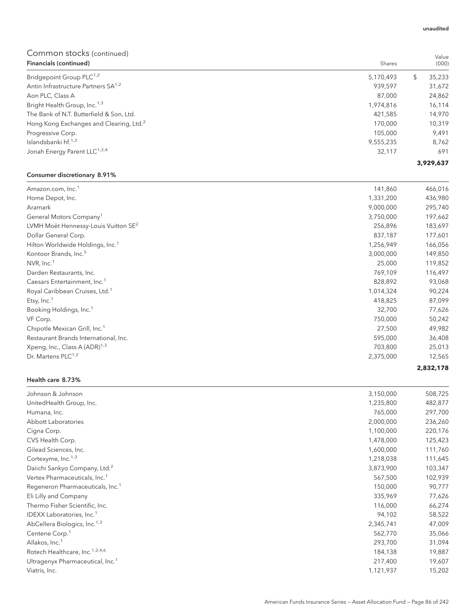| Financials (continued)                              | Shares    |   | (000)     |
|-----------------------------------------------------|-----------|---|-----------|
| Bridgepoint Group PLC <sup>1,2</sup>                | 5,170,493 | S | 35,233    |
| Antin Infrastructure Partners SA <sup>1,2</sup>     | 939,597   |   | 31,672    |
| Aon PLC, Class A                                    | 87,000    |   | 24,862    |
| Bright Health Group, Inc. <sup>1,3</sup>            | 1,974,816 |   | 16,114    |
| The Bank of N.T. Butterfield & Son, Ltd.            | 421,585   |   | 14,970    |
| Hong Kong Exchanges and Clearing, Ltd. <sup>2</sup> | 170,000   |   | 10,319    |
| Progressive Corp.                                   | 105,000   |   | 9,491     |
| Islandsbanki hf. <sup>1,2</sup>                     | 9,555,235 |   | 8,762     |
| Jonah Energy Parent LLC <sup>1,2,4</sup>            | 32,117    |   | 691       |
|                                                     |           |   | 3,929,637 |

## Consumer discretionary 8.91%

| Amazon.com, Inc. <sup>1</sup>                    | 141,860   | 466,016   |
|--------------------------------------------------|-----------|-----------|
| Home Depot, Inc.                                 | 1,331,200 | 436,980   |
| Aramark                                          | 9,000,000 | 295,740   |
| General Motors Company <sup>1</sup>              | 3,750,000 | 197,662   |
| LVMH Moët Hennessy-Louis Vuitton SE <sup>2</sup> | 256,896   | 183,697   |
| Dollar General Corp.                             | 837,187   | 177,601   |
| Hilton Worldwide Holdings, Inc. <sup>1</sup>     | 1,256,949 | 166,056   |
| Kontoor Brands, Inc. <sup>5</sup>                | 3,000,000 | 149,850   |
| NVR, Inc. <sup>1</sup>                           | 25,000    | 119,852   |
| Darden Restaurants, Inc.                         | 769,109   | 116,497   |
| Caesars Entertainment, Inc. <sup>1</sup>         | 828,892   | 93,068    |
| Royal Caribbean Cruises, Ltd. <sup>1</sup>       | 1,014,324 | 90,224    |
| Etsy, $Inc.1$                                    | 418,825   | 87,099    |
| Booking Holdings, Inc. <sup>1</sup>              | 32,700    | 77,626    |
| VF Corp.                                         | 750,000   | 50,242    |
| Chipotle Mexican Grill, Inc. <sup>1</sup>        | 27,500    | 49,982    |
| Restaurant Brands International, Inc.            | 595,000   | 36,408    |
| Xpeng, Inc., Class A (ADR) <sup>1,3</sup>        | 703,800   | 25,013    |
| Dr. Martens PLC <sup>1,2</sup>                   | 2,375,000 | 12,565    |
|                                                  |           | 2,832,178 |

#### Health care 8.73%

| Johnson & Johnson                            | 3,150,000 | 508,725 |
|----------------------------------------------|-----------|---------|
| UnitedHealth Group, Inc.                     | 1,235,800 | 482,877 |
| Humana, Inc.                                 | 765,000   | 297,700 |
| Abbott Laboratories                          | 2,000,000 | 236,260 |
| Cigna Corp.                                  | 1,100,000 | 220,176 |
| CVS Health Corp.                             | 1,478,000 | 125,423 |
| Gilead Sciences, Inc.                        | 1,600,000 | 111,760 |
| Cortexyme, $Inc.^{1,3}$                      | 1,218,038 | 111,645 |
| Daiichi Sankyo Company, Ltd. <sup>2</sup>    | 3,873,900 | 103,347 |
| Vertex Pharmaceuticals, Inc. <sup>1</sup>    | 567,500   | 102,939 |
| Regeneron Pharmaceuticals, Inc. <sup>1</sup> | 150,000   | 90,777  |
| Eli Lilly and Company                        | 335,969   | 77,626  |
| Thermo Fisher Scientific, Inc.               | 116,000   | 66,274  |
| IDEXX Laboratories, Inc. <sup>1</sup>        | 94,102    | 58,522  |
| AbCellera Biologics, Inc. <sup>1,3</sup>     | 2,345,741 | 47,009  |
| Centene Corp. <sup>1</sup>                   | 562,770   | 35,066  |
| Allakos, Inc. <sup>1</sup>                   | 293,700   | 31,094  |
| Rotech Healthcare, Inc. <sup>1,2,4,6</sup>   | 184,138   | 19,887  |
| Ultragenyx Pharmaceutical, Inc. <sup>1</sup> | 217,400   | 19,607  |
| Viatris, Inc.                                | 1,121,937 | 15,202  |

#### unaudited

Value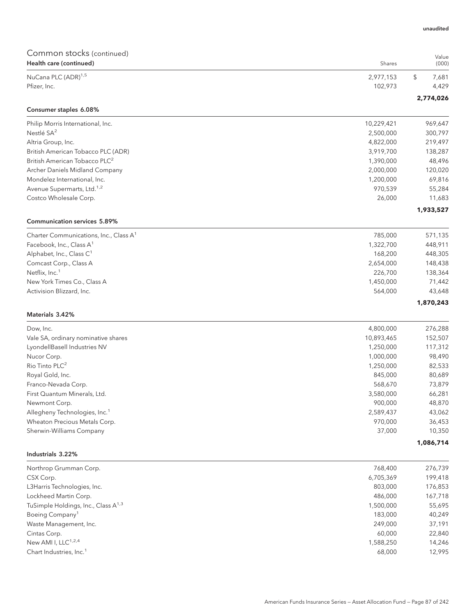| Common stocks (continued)                                   |                        |                    |
|-------------------------------------------------------------|------------------------|--------------------|
| Health care (continued)                                     | Shares                 | Value<br>(000)     |
| NuCana PLC (ADR) <sup>1,5</sup>                             | 2,977,153              | \$<br>7,681        |
| Pfizer, Inc.                                                | 102,973                | 4,429              |
| Consumer staples 6.08%                                      |                        | 2,774,026          |
|                                                             |                        |                    |
| Philip Morris International, Inc.<br>Nestlé SA <sup>2</sup> | 10,229,421             | 969,647<br>300,797 |
| Altria Group, Inc.                                          | 2,500,000<br>4,822,000 | 219,497            |
| British American Tobacco PLC (ADR)                          | 3,919,700              | 138,287            |
| British American Tobacco PLC <sup>2</sup>                   | 1,390,000              | 48,496             |
| Archer Daniels Midland Company                              | 2,000,000              | 120,020            |
| Mondelez International, Inc.                                | 1,200,000              | 69,816             |
| Avenue Supermarts, Ltd. <sup>1,2</sup>                      | 970,539                | 55,284             |
| Costco Wholesale Corp.                                      | 26,000                 | 11,683             |
|                                                             |                        | 1,933,527          |
| <b>Communication services 5.89%</b>                         |                        |                    |
| Charter Communications, Inc., Class A <sup>1</sup>          | 785,000                | 571,135            |
| Facebook, Inc., Class A <sup>1</sup>                        | 1,322,700              | 448,911            |
| Alphabet, Inc., Class C <sup>1</sup>                        | 168,200                | 448,305            |
| Comcast Corp., Class A                                      | 2,654,000              | 148,438            |
| Netflix, Inc. <sup>1</sup>                                  | 226,700                | 138,364            |
| New York Times Co., Class A                                 | 1,450,000              | 71,442             |
| Activision Blizzard, Inc.                                   | 564,000                | 43,648             |
|                                                             |                        | 1,870,243          |
| Materials 3.42%                                             |                        |                    |
| Dow, Inc.                                                   | 4,800,000              | 276,288            |
| Vale SA, ordinary nominative shares                         | 10,893,465             | 152,507            |
| LyondellBasell Industries NV                                | 1,250,000              | 117,312            |
| Nucor Corp.                                                 | 1,000,000              | 98,490             |
| Rio Tinto PLC <sup>2</sup>                                  | 1,250,000              | 82,533             |
| Royal Gold, Inc.                                            | 845,000                | 80,689             |
| Franco-Nevada Corp.                                         | 568,670                | 73,879             |
| First Quantum Minerals, Ltd.                                | 3,580,000              | 66,281             |
| Newmont Corp.                                               | 900,000                | 48,870             |
| Allegheny Technologies, Inc. <sup>1</sup>                   | 2,589,437              | 43,062             |
| Wheaton Precious Metals Corp.                               | 970,000                | 36,453             |
| Sherwin-Williams Company                                    | 37,000                 | 10,350             |
| Industrials 3.22%                                           |                        | 1,086,714          |
|                                                             |                        |                    |
| Northrop Grumman Corp.                                      | 768,400                | 276,739<br>199,418 |
| CSX Corp.<br>L3Harris Technologies, Inc.                    | 6,705,369<br>803,000   | 176,853            |
| Lockheed Martin Corp.                                       | 486,000                | 167,718            |
| TuSimple Holdings, Inc., Class A <sup>1,3</sup>             | 1,500,000              | 55,695             |
| Boeing Company <sup>1</sup>                                 | 183,000                | 40,249             |
| Waste Management, Inc.                                      | 249,000                | 37,191             |
| Cintas Corp.                                                | 60,000                 | 22,840             |
| New AMI I, LLC <sup>1,2,4</sup>                             | 1,588,250              | 14,246             |
| Chart Industries, Inc. <sup>1</sup>                         | 68,000                 | 12,995             |
|                                                             |                        |                    |

unaudited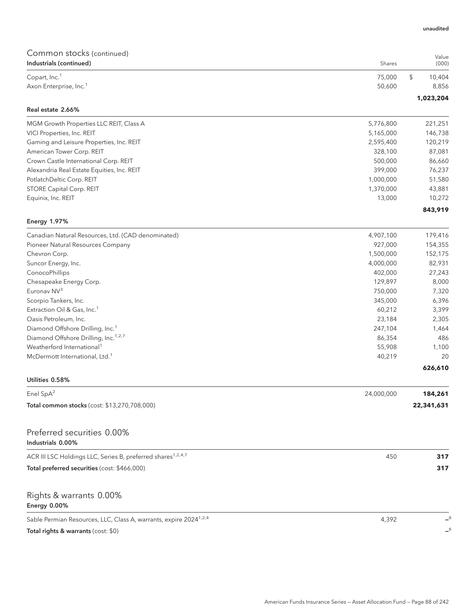| Common stocks (continued)<br>Industrials (continued)                          | Shares           | Value<br>(000)        |
|-------------------------------------------------------------------------------|------------------|-----------------------|
|                                                                               |                  |                       |
| Copart, Inc. <sup>1</sup><br>Axon Enterprise, Inc. <sup>1</sup>               | 75,000<br>50,600 | \$<br>10,404<br>8,856 |
|                                                                               |                  |                       |
| Real estate 2.66%                                                             |                  | 1,023,204             |
| MGM Growth Properties LLC REIT, Class A                                       | 5,776,800        | 221,251               |
| VICI Properties, Inc. REIT                                                    | 5,165,000        | 146,738               |
| Gaming and Leisure Properties, Inc. REIT                                      | 2,595,400        | 120,219               |
| American Tower Corp. REIT                                                     | 328,100          | 87,081                |
| Crown Castle International Corp. REIT                                         | 500,000          | 86,660                |
| Alexandria Real Estate Equities, Inc. REIT                                    | 399,000          | 76,237                |
| PotlatchDeltic Corp. REIT                                                     | 1,000,000        | 51,580                |
| STORE Capital Corp. REIT                                                      | 1,370,000        | 43,881                |
| Equinix, Inc. REIT                                                            | 13,000           | 10,272                |
|                                                                               |                  | 843,919               |
| <b>Energy 1.97%</b>                                                           |                  |                       |
| Canadian Natural Resources, Ltd. (CAD denominated)                            | 4,907,100        | 179,416               |
| Pioneer Natural Resources Company                                             | 927,000          | 154,355               |
| Chevron Corp.                                                                 | 1,500,000        | 152,175               |
| Suncor Energy, Inc.                                                           | 4,000,000        | 82,931                |
| ConocoPhillips                                                                | 402,000          | 27,243                |
| Chesapeake Energy Corp.                                                       | 129,897          | 8,000                 |
| Euronav NV3                                                                   | 750,000          | 7,320                 |
| Scorpio Tankers, Inc.                                                         | 345,000          | 6,396                 |
| Extraction Oil & Gas, Inc. <sup>1</sup>                                       | 60,212           | 3,399                 |
| Oasis Petroleum, Inc.                                                         | 23,184           | 2,305                 |
| Diamond Offshore Drilling, Inc. <sup>1</sup>                                  | 247,104          | 1,464                 |
| Diamond Offshore Drilling, Inc. <sup>1,2,7</sup>                              | 86,354           | 486                   |
| Weatherford International <sup>1</sup>                                        | 55,908           | 1,100                 |
| McDermott International, Ltd. <sup>1</sup>                                    | 40,219           | 20                    |
| Utilities 0.58%                                                               |                  | 626,610               |
| Enel SpA <sup>2</sup>                                                         | 24,000,000       | 184,261               |
| Total common stocks (cost: \$13,270,708,000)                                  |                  | 22,341,631            |
| Preferred securities 0.00%                                                    |                  |                       |
| Industrials 0.00%                                                             |                  |                       |
| ACR III LSC Holdings LLC, Series B, preferred shares <sup>1,2,4,7</sup>       | 450              | 317                   |
| Total preferred securities (cost: \$466,000)                                  |                  | 317                   |
| Rights & warrants 0.00%<br>Energy 0.00%                                       |                  |                       |
| Sable Permian Resources, LLC, Class A, warrants, expire 2024 <sup>1,2,4</sup> | 4,392            |                       |
| Total rights & warrants (cost: \$0)                                           |                  | $-8$                  |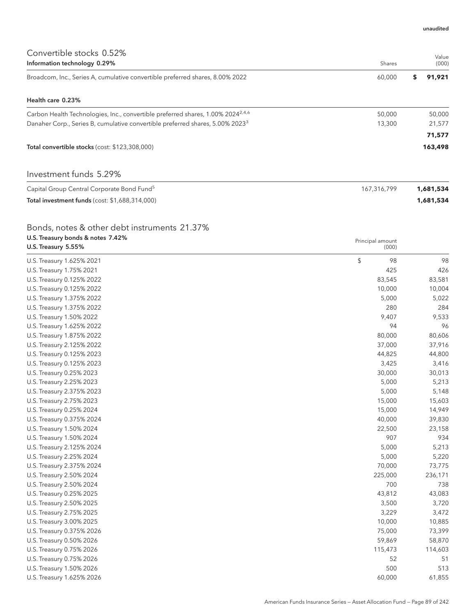| Convertible stocks 0.52%<br>Information technology 0.29%                                    | Shares | Value<br>(000) |
|---------------------------------------------------------------------------------------------|--------|----------------|
| Broadcom, Inc., Series A, cumulative convertible preferred shares, 8.00% 2022               | 60.000 | 91.921<br>s    |
| Health care 0.23%                                                                           |        |                |
| Carbon Health Technologies, Inc., convertible preferred shares, 1.00% 2024 <sup>2,4,6</sup> | 50,000 | 50,000         |
| Danaher Corp., Series B, cumulative convertible preferred shares, 5.00% 2023 <sup>3</sup>   | 13,300 | 21,577         |
|                                                                                             |        | 71,577         |
| Total convertible stocks (cost: \$123,308,000)                                              |        | 163,498        |
| Investment funds 5.29%                                                                      |        |                |

| Capital Group Central Corporate Bond Fund <sup>5</sup> | 167.316.799 | 1,681,534 |
|--------------------------------------------------------|-------------|-----------|
| <b>Total investment funds (cost: \$1,688,314,000)</b>  |             | 1,681,534 |

## Bonds, notes & other debt instruments 21.37%

| U.S. Treasury bonds & notes 7.42%<br>U.S. Treasury 5.55% | Principal amount<br>(000) |         |
|----------------------------------------------------------|---------------------------|---------|
| U.S. Treasury 1.625% 2021                                | \$<br>98                  | 98      |
| U.S. Treasury 1.75% 2021                                 | 425                       | 426     |
| U.S. Treasury 0.125% 2022                                | 83,545                    | 83,581  |
| U.S. Treasury 0.125% 2022                                | 10,000                    | 10,004  |
| U.S. Treasury 1.375% 2022                                | 5,000                     | 5,022   |
| U.S. Treasury 1.375% 2022                                | 280                       | 284     |
| U.S. Treasury 1.50% 2022                                 | 9,407                     | 9,533   |
| U.S. Treasury 1.625% 2022                                | 94                        | 96      |
| U.S. Treasury 1.875% 2022                                | 80,000                    | 80,606  |
| U.S. Treasury 2.125% 2022                                | 37,000                    | 37,916  |
| U.S. Treasury 0.125% 2023                                | 44,825                    | 44,800  |
| U.S. Treasury 0.125% 2023                                | 3,425                     | 3,416   |
| U.S. Treasury 0.25% 2023                                 | 30,000                    | 30,013  |
| U.S. Treasury 2.25% 2023                                 | 5,000                     | 5,213   |
| U.S. Treasury 2.375% 2023                                | 5,000                     | 5,148   |
| U.S. Treasury 2.75% 2023                                 | 15,000                    | 15,603  |
| U.S. Treasury 0.25% 2024                                 | 15,000                    | 14,949  |
| U.S. Treasury 0.375% 2024                                | 40,000                    | 39,830  |
| U.S. Treasury 1.50% 2024                                 | 22,500                    | 23,158  |
| U.S. Treasury 1.50% 2024                                 | 907                       | 934     |
| U.S. Treasury 2.125% 2024                                | 5,000                     | 5,213   |
| U.S. Treasury 2.25% 2024                                 | 5,000                     | 5,220   |
| U.S. Treasury 2.375% 2024                                | 70,000                    | 73,775  |
| U.S. Treasury 2.50% 2024                                 | 225,000                   | 236,171 |
| U.S. Treasury 2.50% 2024                                 | 700                       | 738     |
| U.S. Treasury 0.25% 2025                                 | 43,812                    | 43,083  |
| U.S. Treasury 2.50% 2025                                 | 3,500                     | 3,720   |
| U.S. Treasury 2.75% 2025                                 | 3,229                     | 3,472   |
| U.S. Treasury 3.00% 2025                                 | 10,000                    | 10,885  |
| U.S. Treasury 0.375% 2026                                | 75,000                    | 73,399  |
| U.S. Treasury 0.50% 2026                                 | 59,869                    | 58,870  |
| U.S. Treasury 0.75% 2026                                 | 115,473                   | 114,603 |
| U.S. Treasury 0.75% 2026                                 | 52                        | 51      |
| U.S. Treasury 1.50% 2026                                 | 500                       | 513     |
| U.S. Treasury 1.625% 2026                                | 60,000                    | 61,855  |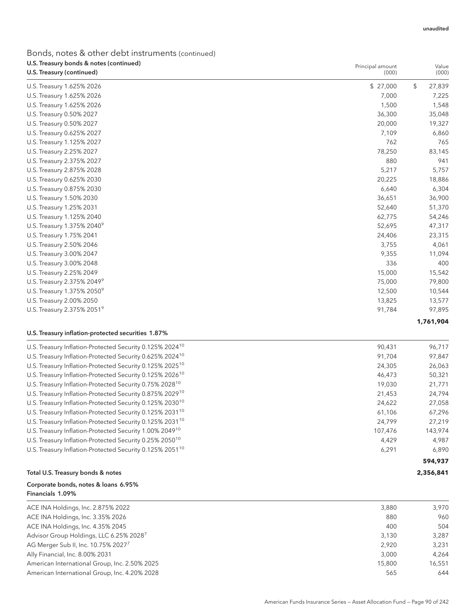## Bonds, notes & other debt instruments (continued) U.S. Treasury bonds & notes (continued)

| U.S. Treasury bonds & notes (continued)<br>U.S. Treasury (continued) | Principal amount<br>(000) | Value<br>(000) |
|----------------------------------------------------------------------|---------------------------|----------------|
|                                                                      |                           |                |
| U.S. Treasury 1.625% 2026                                            | \$27,000                  | \$<br>27,839   |
| U.S. Treasury 1.625% 2026                                            | 7,000                     | 7,225          |
| U.S. Treasury 1.625% 2026                                            | 1,500                     | 1,548          |
| U.S. Treasury 0.50% 2027                                             | 36,300                    | 35,048         |
| U.S. Treasury 0.50% 2027                                             | 20,000                    | 19,327         |
| U.S. Treasury 0.625% 2027                                            | 7,109                     | 6,860          |
| U.S. Treasury 1.125% 2027                                            | 762                       | 765            |
| U.S. Treasury 2.25% 2027                                             | 78,250                    | 83,145         |
| U.S. Treasury 2.375% 2027                                            | 880                       | 941            |
| U.S. Treasury 2.875% 2028                                            | 5,217                     | 5,757          |
| U.S. Treasury 0.625% 2030                                            | 20,225                    | 18,886         |
| U.S. Treasury 0.875% 2030                                            | 6,640                     | 6,304          |
| U.S. Treasury 1.50% 2030                                             | 36,651                    | 36,900         |
| U.S. Treasury 1.25% 2031                                             | 52,640                    | 51,370         |
| U.S. Treasury 1.125% 2040                                            | 62,775                    | 54,246         |
| U.S. Treasury 1.375% 2040 <sup>9</sup>                               | 52,695                    | 47,317         |
| U.S. Treasury 1.75% 2041                                             | 24,406                    | 23,315         |
| U.S. Treasury 2.50% 2046                                             | 3,755                     | 4,061          |
| U.S. Treasury 3.00% 2047                                             | 9,355                     | 11,094         |
| U.S. Treasury 3.00% 2048                                             | 336                       | 400            |
| U.S. Treasury 2.25% 2049                                             | 15,000                    | 15,542         |
| U.S. Treasury 2.375% 2049 <sup>9</sup>                               | 75,000                    | 79,800         |
| U.S. Treasury 1.375% 20509                                           | 12,500                    | 10,544         |
| U.S. Treasury 2.00% 2050                                             | 13,825                    | 13,577         |
| U.S. Treasury 2.375% 2051 <sup>9</sup>                               | 91,784                    | 97,895         |
|                                                                      |                           | 1,761,904      |

## U.S. Treasury inflation-protected securities 1.87%

| U.S. Treasury Inflation-Protected Security 0.125% 2024 <sup>10</sup> | 90,431  | 96,717  |
|----------------------------------------------------------------------|---------|---------|
| U.S. Treasury Inflation-Protected Security 0.625% 2024 <sup>10</sup> | 91.704  | 97,847  |
| U.S. Treasury Inflation-Protected Security 0.125% 2025 <sup>10</sup> | 24,305  | 26,063  |
| U.S. Treasury Inflation-Protected Security 0.125% 2026 <sup>10</sup> | 46.473  | 50,321  |
| U.S. Treasury Inflation-Protected Security 0.75% 2028 <sup>10</sup>  | 19.030  | 21,771  |
| U.S. Treasury Inflation-Protected Security 0.875% 2029 <sup>10</sup> | 21,453  | 24,794  |
| U.S. Treasury Inflation-Protected Security 0.125% 2030 <sup>10</sup> | 24.622  | 27,058  |
| U.S. Treasury Inflation-Protected Security 0.125% 2031 <sup>10</sup> | 61.106  | 67,296  |
| U.S. Treasury Inflation-Protected Security 0.125% 2031 <sup>10</sup> | 24.799  | 27.219  |
| U.S. Treasury Inflation-Protected Security 1.00% 2049 <sup>10</sup>  | 107.476 | 143,974 |
| U.S. Treasury Inflation-Protected Security 0.25% 2050 <sup>10</sup>  | 4.429   | 4.987   |
| U.S. Treasury Inflation-Protected Security 0.125% 2051 <sup>10</sup> | 6,291   | 6,890   |
|                                                                      |         | 594,937 |

### Total U.S. Treasury bonds & notes **2,356,841**

#### Corporate bonds, notes & loans 6.95% Financials 1.09%

| ACE INA Holdings, Inc. 2.875% 2022                  | 3.880  | 3.970  |
|-----------------------------------------------------|--------|--------|
| ACE INA Holdings, Inc. 3.35% 2026                   | 880    | 960    |
| ACE INA Holdings, Inc. 4.35% 2045                   | 400    | 504    |
| Advisor Group Holdings, LLC 6.25% 2028 <sup>7</sup> | 3.130  | 3.287  |
| AG Merger Sub II, Inc. 10.75% 20277                 | 2.920  | 3.231  |
| Ally Financial, Inc. 8.00% 2031                     | 3.000  | 4.264  |
| American International Group, Inc. 2.50% 2025       | 15,800 | 16.551 |
| American International Group, Inc. 4.20% 2028       | 565    | 644    |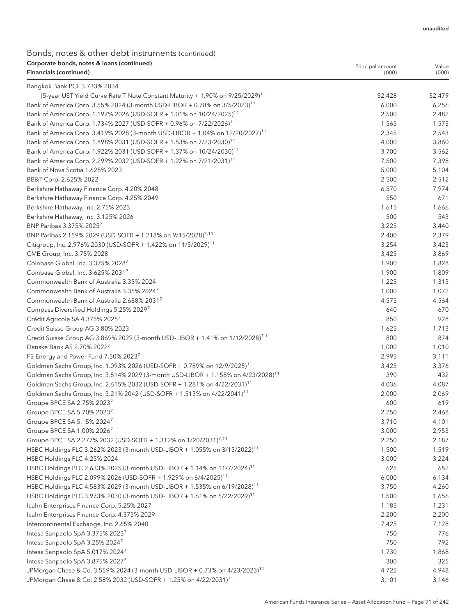Principal amount

## Bonds, notes & other debt instruments (continued) Corporate bonds, notes & loans (continued) Financials (continued)

| Financials (continued)                                                                        | (000)   | (000)   |
|-----------------------------------------------------------------------------------------------|---------|---------|
| Bangkok Bank PCL 3.733% 2034                                                                  |         |         |
| (5-year UST Yield Curve Rate T Note Constant Maturity + 1.90% on 9/25/2029) <sup>11</sup>     | \$2,428 | \$2,479 |
| Bank of America Corp. 3.55% 2024 (3-month USD-LIBOR + 0.78% on 3/5/2023) <sup>11</sup>        | 6,000   | 6,256   |
| Bank of America Corp. 1.197% 2026 (USD-SOFR + 1.01% on 10/24/2025) <sup>11</sup>              | 2,500   | 2,482   |
| Bank of America Corp. 1.734% 2027 (USD-SOFR + 0.96% on 7/22/2026) <sup>11</sup>               | 1,565   | 1,573   |
| Bank of America Corp. 3.419% 2028 (3-month USD-LIBOR + 1.04% on 12/20/2027) <sup>11</sup>     | 2,345   | 2,543   |
| Bank of America Corp. 1.898% 2031 (USD-SOFR + 1.53% on 7/23/2030) <sup>11</sup>               | 4,000   | 3,860   |
| Bank of America Corp. 1.922% 2031 (USD-SOFR + 1.37% on 10/24/2030) <sup>11</sup>              | 3,700   | 3,562   |
| Bank of America Corp. 2.299% 2032 (USD-SOFR + 1.22% on 7/21/2031) <sup>11</sup>               | 7,500   | 7,398   |
| Bank of Nova Scotia 1.625% 2023                                                               | 5,000   | 5,104   |
| BB&T Corp. 2.625% 2022                                                                        | 2,500   | 2,512   |
| Berkshire Hathaway Finance Corp. 4.20% 2048                                                   | 6,570   | 7,974   |
| Berkshire Hathaway Finance Corp. 4.25% 2049                                                   | 550     | 671     |
| Berkshire Hathaway, Inc. 2.75% 2023                                                           | 1,615   | 1,666   |
| Berkshire Hathaway, Inc. 3.125% 2026                                                          | 500     | 543     |
| BNP Paribas 3.375% 2025 <sup>7</sup>                                                          | 3,225   | 3,440   |
| BNP Paribas 2.159% 2029 (USD-SOFR + 1.218% on 9/15/2028) <sup>7,11</sup>                      | 2,400   | 2,379   |
| Citigroup, Inc. 2.976% 2030 (USD-SOFR + 1.422% on 11/5/2029) <sup>11</sup>                    | 3,254   | 3,423   |
| CME Group, Inc. 3.75% 2028                                                                    | 3,425   | 3,869   |
| Coinbase Global, Inc. 3.375% 20287                                                            | 1,900   | 1,828   |
| Coinbase Global, Inc. 3.625% 20317                                                            | 1,900   | 1,809   |
| Commonwealth Bank of Australia 3.35% 2024                                                     | 1,225   | 1,313   |
| Commonwealth Bank of Australia 3.35% 2024 <sup>7</sup>                                        | 1,000   | 1,072   |
| Commonwealth Bank of Australia 2.688% 2031                                                    | 4,575   | 4,564   |
| Compass Diversified Holdings 5.25% 2029 <sup>7</sup>                                          | 640     | 670     |
| Crédit Agricole SA 4.375% 2025 <sup>7</sup>                                                   | 850     | 928     |
| Credit Suisse Group AG 3.80% 2023                                                             | 1,625   | 1,713   |
| Credit Suisse Group AG 3.869% 2029 (3-month USD-LIBOR + 1.41% on 1/12/2028) <sup>7,11</sup>   | 800     | 874     |
| Danske Bank AS 2.70% 2022                                                                     | 1,000   | 1,010   |
| FS Energy and Power Fund 7.50% 2023 <sup>7</sup>                                              | 2,995   | 3,111   |
| Goldman Sachs Group, Inc. 1.093% 2026 (USD-SOFR + 0.789% on 12/9/2025) <sup>11</sup>          | 3,425   | 3,376   |
| Goldman Sachs Group, Inc. 3.814% 2029 (3-month USD-LIBOR + 1.158% on 4/23/2028) <sup>11</sup> | 390     | 432     |
| Goldman Sachs Group, Inc. 2.615% 2032 (USD-SOFR + 1.281% on 4/22/2031) <sup>11</sup>          | 4,036   | 4,087   |
| Goldman Sachs Group, Inc. 3.21% 2042 (USD-SOFR + 1.513% on 4/22/2041) <sup>11</sup>           | 2,000   | 2,069   |
| Groupe BPCE SA 2.75% 20237                                                                    | 600     | 619     |
| Groupe BPCE SA 5.70% 20237                                                                    | 2,250   | 2,468   |
| Groupe BPCE SA 5.15% 20247                                                                    | 3,710   | 4,101   |
| Groupe BPCE SA 1.00% 2026 <sup>7</sup>                                                        | 3,000   | 2,953   |
| Groupe BPCE SA 2.277% 2032 (USD-SOFR + 1.312% on 1/20/2031) <sup>7,11</sup>                   | 2,250   | 2,187   |
| HSBC Holdings PLC 3.262% 2023 (3-month USD-LIBOR + 1.055% on 3/13/2022) <sup>11</sup>         | 1,500   | 1,519   |
| HSBC Holdings PLC 4.25% 2024                                                                  | 3,000   | 3,224   |
| HSBC Holdings PLC 2.633% 2025 (3-month USD-LIBOR + 1.14% on 11/7/2024) <sup>11</sup>          | 625     | 652     |
| HSBC Holdings PLC 2.099% 2026 (USD-SOFR + 1.929% on 6/4/2025) <sup>11</sup>                   | 6,000   | 6,134   |
| HSBC Holdings PLC 4.583% 2029 (3-month USD-LIBOR + 1.535% on 6/19/2028) <sup>11</sup>         | 3,750   | 4,260   |
| HSBC Holdings PLC 3.973% 2030 (3-month USD-LIBOR + 1.61% on 5/22/2029) <sup>11</sup>          | 1,500   | 1,656   |
| Icahn Enterprises Finance Corp. 5.25% 2027                                                    | 1,185   | 1,231   |
| Icahn Enterprises Finance Corp. 4.375% 2029                                                   | 2,200   | 2,200   |
| Intercontinental Exchange, Inc. 2.65% 2040                                                    | 7,425   | 7,128   |
| Intesa Sanpaolo SpA 3.375% 20237                                                              | 750     | 776     |
| Intesa Sanpaolo SpA 3.25% 20247                                                               | 750     | 792     |
| Intesa Sanpaolo SpA 5.017% 20247                                                              | 1,730   | 1,868   |
| Intesa Sanpaolo SpA 3.875% 20277                                                              | 300     | 325     |
| JPMorgan Chase & Co. 3.559% 2024 (3-month USD-LIBOR + 0.73% on 4/23/2023) <sup>11</sup>       | 4,725   | 4,948   |
| JPMorgan Chase & Co. 2.58% 2032 (USD-SOFR + 1.25% on 4/22/2031) <sup>11</sup>                 | 3,101   | 3,146   |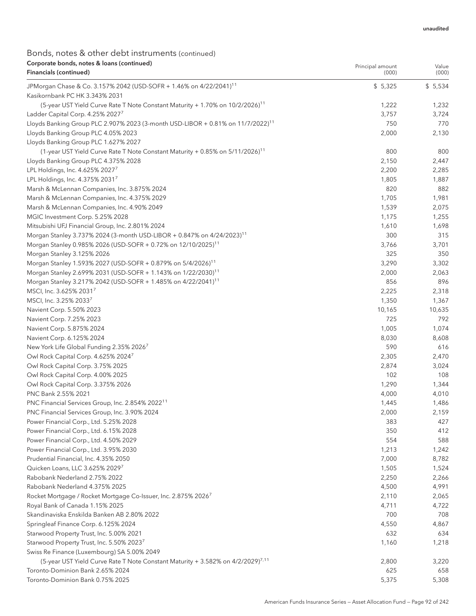## Bonds, notes & other debt instruments (continued) Corporate bonds, notes & loans (continued) Financials (continued)

| corporate borids, notes a found (committed<br>Financials (continued)                        | Principal amount<br>(000) | Value<br>(000) |
|---------------------------------------------------------------------------------------------|---------------------------|----------------|
| JPMorgan Chase & Co. 3.157% 2042 (USD-SOFR + 1.46% on 4/22/2041) <sup>11</sup>              | \$5,325                   | \$5,534        |
| Kasikornbank PC HK 3.343% 2031                                                              |                           |                |
| (5-year UST Yield Curve Rate T Note Constant Maturity + 1.70% on 10/2/2026) <sup>11</sup>   | 1,222                     | 1,232          |
| Ladder Capital Corp. 4.25% 2027 <sup>7</sup>                                                | 3,757                     | 3,724          |
| Lloyds Banking Group PLC 2.907% 2023 (3-month USD-LIBOR + 0.81% on 11/7/2022) <sup>11</sup> | 750                       | 770            |
| Lloyds Banking Group PLC 4.05% 2023                                                         | 2,000                     | 2,130          |
| Lloyds Banking Group PLC 1.627% 2027                                                        |                           |                |
| (1-year UST Yield Curve Rate T Note Constant Maturity + 0.85% on 5/11/2026) <sup>11</sup>   | 800                       | 800            |
| Lloyds Banking Group PLC 4.375% 2028                                                        | 2,150                     | 2,447          |
| LPL Holdings, Inc. 4.625% 2027 <sup>7</sup>                                                 | 2,200                     | 2,285          |
| LPL Holdings, Inc. 4.375% 20317                                                             | 1,805                     | 1,887          |
| Marsh & McLennan Companies, Inc. 3.875% 2024                                                | 820                       | 882            |
| Marsh & McLennan Companies, Inc. 4.375% 2029                                                | 1,705                     | 1,981          |
| Marsh & McLennan Companies, Inc. 4.90% 2049                                                 | 1,539                     | 2,075          |
| MGIC Investment Corp. 5.25% 2028                                                            | 1,175                     | 1,255          |
| Mitsubishi UFJ Financial Group, Inc. 2.801% 2024                                            | 1,610                     | 1,698          |
| Morgan Stanley 3.737% 2024 (3-month USD-LIBOR + 0.847% on 4/24/2023) <sup>11</sup>          | 300                       | 315            |
| Morgan Stanley 0.985% 2026 (USD-SOFR + 0.72% on 12/10/2025) <sup>11</sup>                   | 3,766                     | 3,701          |
| Morgan Stanley 3.125% 2026                                                                  | 325                       | 350            |
| Morgan Stanley 1.593% 2027 (USD-SOFR + 0.879% on 5/4/2026) <sup>11</sup>                    | 3,290                     | 3,302          |
| Morgan Stanley 2.699% 2031 (USD-SOFR + 1.143% on 1/22/2030) <sup>11</sup>                   | 2,000                     | 2,063          |
| Morgan Stanley 3.217% 2042 (USD-SOFR + 1.485% on 4/22/2041) <sup>11</sup>                   | 856                       | 896            |
| MSCI, Inc. 3.625% 20317                                                                     | 2,225                     | 2,318          |
| MSCI, Inc. 3.25% 2033 <sup>7</sup>                                                          | 1,350                     | 1,367          |
| Navient Corp. 5.50% 2023                                                                    | 10,165                    | 10,635         |
| Navient Corp. 7.25% 2023                                                                    | 725                       | 792            |
| Navient Corp. 5.875% 2024                                                                   | 1,005                     | 1,074          |
| Navient Corp. 6.125% 2024                                                                   | 8,030                     | 8,608          |
| New York Life Global Funding 2.35% 2026 <sup>7</sup>                                        | 590                       | 616            |
| Owl Rock Capital Corp. 4.625% 2024 <sup>7</sup>                                             | 2,305                     | 2,470          |
| Owl Rock Capital Corp. 3.75% 2025                                                           | 2,874                     | 3,024          |
| Owl Rock Capital Corp. 4.00% 2025                                                           | 102                       | 108            |
| Owl Rock Capital Corp. 3.375% 2026                                                          | 1,290                     | 1,344          |
| PNC Bank 2.55% 2021                                                                         | 4,000                     | 4,010          |
| PNC Financial Services Group, Inc. 2.854% 2022 <sup>11</sup>                                | 1,445                     | 1,486          |
| PNC Financial Services Group, Inc. 3.90% 2024                                               | 2,000                     | 2,159          |
| Power Financial Corp., Ltd. 5.25% 2028                                                      | 383                       | 427            |
| Power Financial Corp., Ltd. 6.15% 2028                                                      | 350                       | 412            |
| Power Financial Corp., Ltd. 4.50% 2029                                                      | 554                       | 588            |
| Power Financial Corp., Ltd. 3.95% 2030                                                      | 1,213                     | 1,242          |
| Prudential Financial, Inc. 4.35% 2050                                                       | 7,000                     | 8,782          |
| Quicken Loans, LLC 3.625% 20297                                                             | 1,505                     | 1,524          |
| Rabobank Nederland 2.75% 2022                                                               | 2,250                     | 2,266          |
| Rabobank Nederland 4.375% 2025                                                              | 4,500                     | 4,991          |
| Rocket Mortgage / Rocket Mortgage Co-Issuer, Inc. 2.875% 2026 <sup>7</sup>                  | 2,110                     | 2,065          |
| Royal Bank of Canada 1.15% 2025                                                             | 4,711                     | 4,722          |
| Skandinaviska Enskilda Banken AB 2.80% 2022                                                 | 700                       | 708            |
| Springleaf Finance Corp. 6.125% 2024                                                        | 4,550                     | 4,867          |
| Starwood Property Trust, Inc. 5.00% 2021                                                    | 632                       | 634            |
| Starwood Property Trust, Inc. 5.50% 20237                                                   | 1,160                     | 1,218          |
| Swiss Re Finance (Luxembourg) SA 5.00% 2049                                                 |                           |                |
| (5-year UST Yield Curve Rate T Note Constant Maturity + 3.582% on 4/2/2029) <sup>7,11</sup> | 2,800                     | 3,220          |
| Toronto-Dominion Bank 2.65% 2024                                                            | 625                       | 658            |
| Toronto-Dominion Bank 0.75% 2025                                                            |                           |                |
|                                                                                             | 5,375                     | 5,308          |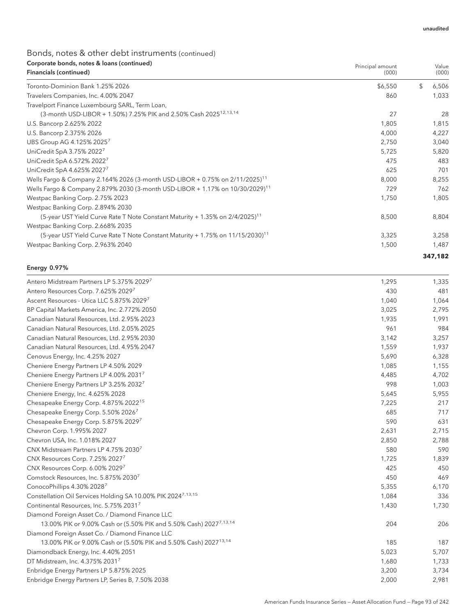## Bonds, notes & other debt instruments (continued) Corporate bonds, notes & loans (continued)

| Corporate bonds, notes & loans (continued)<br>Financials (continued)                       | Principal amount<br>(000) | Value<br>(000) |
|--------------------------------------------------------------------------------------------|---------------------------|----------------|
| Toronto-Dominion Bank 1.25% 2026                                                           | \$6,550                   | \$<br>6,506    |
| Travelers Companies, Inc. 4.00% 2047                                                       | 860                       | 1,033          |
| Travelport Finance Luxembourg SARL, Term Loan,                                             |                           |                |
| (3-month USD-LIBOR + 1.50%) 7.25% PIK and 2.50% Cash 2025 <sup>12,13,14</sup>              | 27                        | 28             |
| U.S. Bancorp 2.625% 2022                                                                   | 1,805                     | 1,815          |
| U.S. Bancorp 2.375% 2026                                                                   | 4,000                     | 4,227          |
| UBS Group AG 4.125% 2025 <sup>7</sup>                                                      | 2,750                     | 3,040          |
| UniCredit SpA 3.75% 20227                                                                  | 5,725                     | 5,820          |
| UniCredit SpA 6.572% 2022 <sup>7</sup>                                                     | 475                       | 483            |
| UniCredit SpA 4.625% 2027 <sup>7</sup>                                                     | 625                       | 701            |
| Wells Fargo & Company 2.164% 2026 (3-month USD-LIBOR + 0.75% on 2/11/2025) <sup>11</sup>   | 8,000                     | 8,255          |
| Wells Fargo & Company 2.879% 2030 (3-month USD-LIBOR + 1.17% on 10/30/2029) <sup>11</sup>  | 729                       | 762            |
| Westpac Banking Corp. 2.75% 2023                                                           | 1,750                     | 1,805          |
| Westpac Banking Corp. 2.894% 2030                                                          |                           |                |
| (5-year UST Yield Curve Rate T Note Constant Maturity + 1.35% on 2/4/2025) <sup>11</sup>   | 8,500                     | 8,804          |
| Westpac Banking Corp. 2.668% 2035                                                          |                           |                |
| (5-year UST Yield Curve Rate T Note Constant Maturity + 1.75% on 11/15/2030) <sup>11</sup> | 3,325                     | 3,258          |
| Westpac Banking Corp. 2.963% 2040                                                          | 1,500                     | 1,487          |
|                                                                                            |                           | 347,182        |

## Energy 0.97%

| Antero Midstream Partners LP 5.375% 20297                                      | 1,295 | 1,335 |
|--------------------------------------------------------------------------------|-------|-------|
| Antero Resources Corp. 7.625% 20297                                            | 430   | 481   |
| Ascent Resources - Utica LLC 5.875% 20297                                      | 1,040 | 1,064 |
| BP Capital Markets America, Inc. 2.772% 2050                                   | 3,025 | 2,795 |
| Canadian Natural Resources, Ltd. 2.95% 2023                                    | 1,935 | 1,991 |
| Canadian Natural Resources, Ltd. 2.05% 2025                                    | 961   | 984   |
| Canadian Natural Resources, Ltd. 2.95% 2030                                    | 3,142 | 3,257 |
| Canadian Natural Resources, Ltd. 4.95% 2047                                    | 1,559 | 1,937 |
| Cenovus Energy, Inc. 4.25% 2027                                                | 5,690 | 6,328 |
| Cheniere Energy Partners LP 4.50% 2029                                         | 1,085 | 1,155 |
| Cheniere Energy Partners LP 4.00% 2031 <sup>7</sup>                            | 4,485 | 4,702 |
| Cheniere Energy Partners LP 3.25% 2032 <sup>7</sup>                            | 998   | 1,003 |
| Cheniere Energy, Inc. 4.625% 2028                                              | 5,645 | 5,955 |
| Chesapeake Energy Corp. 4.875% 2022 <sup>15</sup>                              | 7,225 | 217   |
| Chesapeake Energy Corp. 5.50% 2026 <sup>7</sup>                                | 685   | 717   |
| Chesapeake Energy Corp. 5.875% 20297                                           | 590   | 631   |
| Chevron Corp. 1.995% 2027                                                      | 2,631 | 2,715 |
| Chevron USA, Inc. 1.018% 2027                                                  | 2,850 | 2,788 |
| CNX Midstream Partners LP 4.75% 2030 <sup>7</sup>                              | 580   | 590   |
| CNX Resources Corp. 7.25% 2027 <sup>7</sup>                                    | 1,725 | 1,839 |
| CNX Resources Corp. 6.00% 2029 <sup>7</sup>                                    | 425   | 450   |
| Comstock Resources, Inc. 5.875% 20307                                          | 450   | 469   |
| ConocoPhillips 4.30% 20287                                                     | 5,355 | 6,170 |
| Constellation Oil Services Holding SA 10.00% PIK 2024 <sup>7,13,15</sup>       | 1,084 | 336   |
| Continental Resources, Inc. 5.75% 20317                                        | 1,430 | 1,730 |
| Diamond Foreign Asset Co. / Diamond Finance LLC                                |       |       |
| 13.00% PIK or 9.00% Cash or (5.50% PIK and 5.50% Cash) 2027 <sup>7,13,14</sup> | 204   | 206   |
| Diamond Foreign Asset Co. / Diamond Finance LLC                                |       |       |
| 13.00% PIK or 9.00% Cash or (5.50% PIK and 5.50% Cash) 2027 <sup>13,14</sup>   | 185   | 187   |
| Diamondback Energy, Inc. 4.40% 2051                                            | 5,023 | 5,707 |
| DT Midstream, Inc. 4.375% 20317                                                | 1,680 | 1,733 |
| Enbridge Energy Partners LP 5.875% 2025                                        | 3,200 | 3,734 |
| Enbridge Energy Partners LP, Series B, 7.50% 2038                              | 2,000 | 2,981 |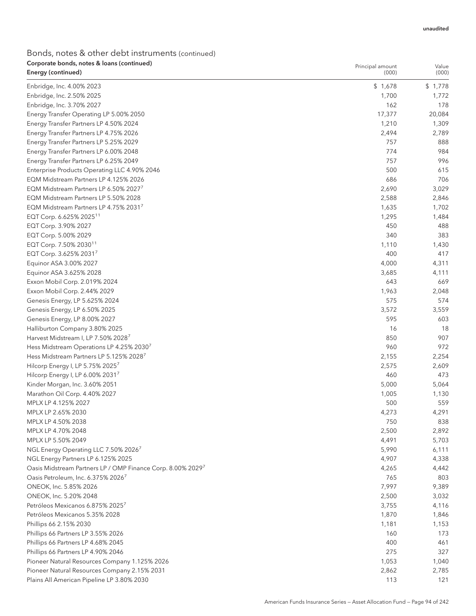## Bonds, notes & other debt instruments (continued) Corporate bonds, notes & loans (continued)

| Corporate bonds, notes & Ioans (continued)<br>Energy (continued) | Principal amount<br>(000) | Value<br>(000) |
|------------------------------------------------------------------|---------------------------|----------------|
|                                                                  |                           |                |
| Enbridge, Inc. 4.00% 2023                                        | \$1,678                   | \$1,778        |
| Enbridge, Inc. 2.50% 2025                                        | 1,700                     | 1,772          |
| Enbridge, Inc. 3.70% 2027                                        | 162                       | 178            |
| Energy Transfer Operating LP 5.00% 2050                          | 17,377                    | 20,084         |
| Energy Transfer Partners LP 4.50% 2024                           | 1,210                     | 1,309          |
| Energy Transfer Partners LP 4.75% 2026                           | 2,494                     | 2,789          |
| Energy Transfer Partners LP 5.25% 2029                           | 757                       | 888            |
| Energy Transfer Partners LP 6.00% 2048                           | 774                       | 984            |
| Energy Transfer Partners LP 6.25% 2049                           | 757                       | 996            |
| Enterprise Products Operating LLC 4.90% 2046                     | 500                       | 615            |
| EQM Midstream Partners LP 4.125% 2026                            | 686                       | 706            |
| EQM Midstream Partners LP 6.50% 2027                             | 2,690                     | 3,029          |
| EQM Midstream Partners LP 5.50% 2028                             | 2,588                     | 2,846          |
| EQM Midstream Partners LP 4.75% 20317                            | 1,635                     | 1,702          |
| EQT Corp. 6.625% 2025 <sup>11</sup>                              | 1,295                     | 1,484          |
| EQT Corp. 3.90% 2027                                             | 450                       | 488            |
| EQT Corp. 5.00% 2029                                             | 340                       | 383            |
| EQT Corp. 7.50% 2030 <sup>11</sup>                               | 1,110                     | 1,430          |
| EQT Corp. 3.625% 20317                                           | 400                       | 417            |
| Equinor ASA 3.00% 2027                                           | 4,000                     | 4,311          |
| Equinor ASA 3.625% 2028                                          | 3,685                     | 4,111          |
| Exxon Mobil Corp. 2.019% 2024                                    | 643                       | 669            |
| Exxon Mobil Corp. 2.44% 2029                                     | 1,963                     | 2,048          |
| Genesis Energy, LP 5.625% 2024                                   | 575                       | 574            |
| Genesis Energy, LP 6.50% 2025                                    | 3,572                     | 3,559          |
| Genesis Energy, LP 8.00% 2027                                    | 595                       | 603            |
| Halliburton Company 3.80% 2025                                   | 16                        | 18             |
| Harvest Midstream I, LP 7.50% 2028 <sup>7</sup>                  | 850                       | 907            |
| Hess Midstream Operations LP 4.25% 2030 <sup>7</sup>             | 960                       | 972            |
| Hess Midstream Partners LP 5.125% 2028 <sup>7</sup>              | 2,155                     | 2,254          |
| Hilcorp Energy I, LP 5.75% 2025 <sup>7</sup>                     | 2,575                     | 2,609          |
| Hilcorp Energy I, LP 6.00% 2031 <sup>7</sup>                     | 460                       | 473            |
| Kinder Morgan, Inc. 3.60% 2051                                   | 5,000                     | 5,064          |
| Marathon Oil Corp. 4.40% 2027                                    | 1,005                     | 1,130          |
| MPLX LP 4.125% 2027                                              | 500                       | 559            |
| MPLX LP 2.65% 2030                                               | 4,273                     | 4,291          |
| MPLX LP 4.50% 2038                                               | 750                       | 838            |
| MPLX LP 4.70% 2048                                               | 2,500                     | 2,892          |
| MPLX LP 5.50% 2049                                               | 4,491                     | 5,703          |
| NGL Energy Operating LLC 7.50% 2026 <sup>7</sup>                 | 5,990                     | 6,111          |
| NGL Energy Partners LP 6.125% 2025                               | 4,907                     | 4,338          |
| Oasis Midstream Partners LP / OMP Finance Corp. 8.00% 20297      | 4,265                     | 4,442          |
| Oasis Petroleum, Inc. 6.375% 2026 <sup>7</sup>                   | 765                       | 803            |
| ONEOK, Inc. 5.85% 2026                                           | 7,997                     | 9,389          |
| ONEOK, Inc. 5.20% 2048                                           | 2,500                     | 3,032          |
| Petróleos Mexicanos 6.875% 2025 <sup>7</sup>                     | 3,755                     | 4,116          |
| Petróleos Mexicanos 5.35% 2028                                   | 1,870                     | 1,846          |
| Phillips 66 2.15% 2030                                           | 1,181                     | 1,153          |
| Phillips 66 Partners LP 3.55% 2026                               | 160                       | 173            |
| Phillips 66 Partners LP 4.68% 2045                               | 400                       | 461            |
| Phillips 66 Partners LP 4.90% 2046                               | 275                       | 327            |
| Pioneer Natural Resources Company 1.125% 2026                    | 1,053                     | 1,040          |
| Pioneer Natural Resources Company 2.15% 2031                     | 2,862                     | 2,785          |
| Plains All American Pipeline LP 3.80% 2030                       | 113                       | 121            |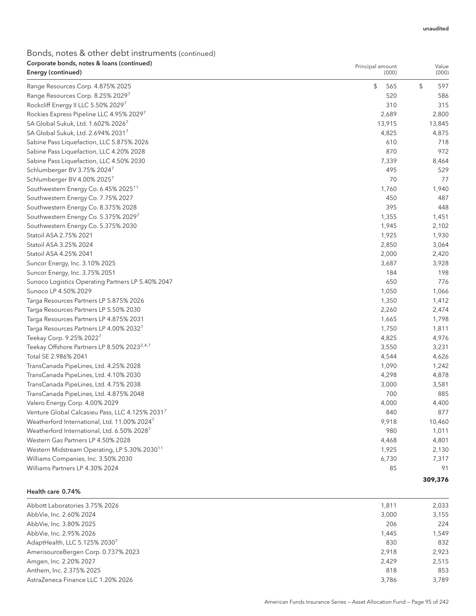## Bonds, notes & other debt instruments (continued) Corporate bonds, notes & loans (continued)

| Corporate bonds, notes & Ioans (continued)<br>Energy (continued) | Principal amount<br>(000) | Value<br>(000)    |  |
|------------------------------------------------------------------|---------------------------|-------------------|--|
| Range Resources Corp. 4.875% 2025                                | \$<br>565                 | $\sqrt{2}$<br>597 |  |
| Range Resources Corp. 8.25% 20297                                | 520                       | 586               |  |
| Rockcliff Energy II LLC 5.50% 2029 <sup>7</sup>                  | 310                       | 315               |  |
| Rockies Express Pipeline LLC 4.95% 20297                         | 2,689                     | 2,800             |  |
| SA Global Sukuk, Ltd. 1.602% 20267                               | 13,915                    | 13,845            |  |
| SA Global Sukuk, Ltd. 2.694% 20317                               | 4,825                     | 4,875             |  |
| Sabine Pass Liquefaction, LLC 5.875% 2026                        | 610                       | 718               |  |
| Sabine Pass Liquefaction, LLC 4.20% 2028                         | 870                       | 972               |  |
| Sabine Pass Liquefaction, LLC 4.50% 2030                         | 7,339                     | 8,464             |  |
| Schlumberger BV 3.75% 2024 <sup>7</sup>                          | 495                       | 529               |  |
| Schlumberger BV 4.00% 20257                                      | 70                        | 77                |  |
| Southwestern Energy Co. 6.45% 2025 <sup>11</sup>                 | 1,760                     | 1,940             |  |
| Southwestern Energy Co. 7.75% 2027                               | 450                       | 487               |  |
| Southwestern Energy Co. 8.375% 2028                              | 395                       | 448               |  |
| Southwestern Energy Co. 5.375% 20297                             | 1,355                     | 1,451             |  |
| Southwestern Energy Co. 5.375% 2030                              | 1,945                     | 2,102             |  |
| Statoil ASA 2.75% 2021                                           | 1,925                     | 1,930             |  |
| Statoil ASA 3.25% 2024                                           | 2,850                     | 3,064             |  |
| Statoil ASA 4.25% 2041                                           | 2,000                     | 2,420             |  |
| Suncor Energy, Inc. 3.10% 2025                                   | 3,687                     | 3,928             |  |
| Suncor Energy, Inc. 3.75% 2051                                   | 184                       | 198               |  |
| Sunoco Logistics Operating Partners LP 5.40% 2047                | 650                       | 776               |  |
| Sunoco LP 4.50% 2029                                             | 1,050                     | 1,066             |  |
| Targa Resources Partners LP 5.875% 2026                          | 1,350                     | 1,412             |  |
| Targa Resources Partners LP 5.50% 2030                           | 2,260                     | 2,474             |  |
| Targa Resources Partners LP 4.875% 2031                          | 1,665                     | 1,798             |  |
| Targa Resources Partners LP 4.00% 2032 <sup>7</sup>              | 1,750                     | 1,811             |  |
| Teekay Corp. 9.25% 2022 <sup>7</sup>                             | 4,825                     | 4,976             |  |
| Teekay Offshore Partners LP 8.50% 2023 <sup>2,4,7</sup>          | 3,550                     | 3,231             |  |
| Total SE 2.986% 2041                                             | 4,544                     | 4,626             |  |
| TransCanada PipeLines, Ltd. 4.25% 2028                           | 1,090                     | 1,242             |  |
| TransCanada PipeLines, Ltd. 4.10% 2030                           | 4,298                     | 4,878             |  |
| TransCanada PipeLines, Ltd. 4.75% 2038                           | 3,000                     | 3,581             |  |
| TransCanada PipeLines, Ltd. 4.875% 2048                          | 700                       | 885               |  |
| Valero Energy Corp. 4.00% 2029                                   | 4,000                     | 4,400             |  |
| Venture Global Calcasieu Pass, LLC 4.125% 20317                  | 840                       | 877               |  |
| Weatherford International, Ltd. 11.00% 2024 <sup>7</sup>         | 9,918                     | 10,460            |  |
| Weatherford International, Ltd. 6.50% 20287                      | 980                       | 1,011             |  |
| Western Gas Partners LP 4.50% 2028                               | 4,468                     | 4,801             |  |
| Western Midstream Operating, LP 5.30% 2030 <sup>11</sup>         | 1,925                     | 2,130             |  |
| Williams Companies, Inc. 3.50% 2030                              | 6,730                     | 7,317             |  |
| Williams Partners LP 4.30% 2024                                  | 85                        | 91                |  |
|                                                                  |                           | 309,376           |  |

Health care 0.74%

| 1,811 | 2.033 |
|-------|-------|
| 3.000 | 3.155 |
| 206   | 224   |
| 1.445 | 1.549 |
| 830   | 832   |
| 2.918 | 2.923 |
| 2.429 | 2.515 |
| 818   | 853   |
| 3.786 | 3.789 |
|       |       |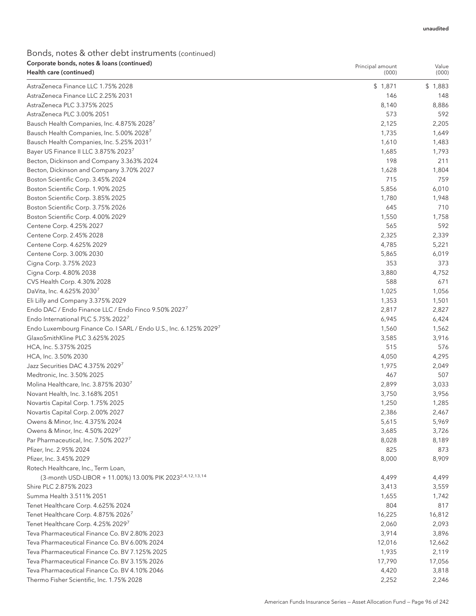## Bonds, notes & other debt instruments (continued) Corporate bonds, notes & loans (continued)

| Corporate bonds, notes & Ioans (continued)<br>Health care (continued) | Principal amount<br>(000) | Value<br>(000) |
|-----------------------------------------------------------------------|---------------------------|----------------|
| AstraZeneca Finance LLC 1.75% 2028                                    | \$1,871                   | \$1,883        |
| AstraZeneca Finance LLC 2.25% 2031                                    | 146                       | 148            |
| AstraZeneca PLC 3.375% 2025                                           | 8,140                     | 8,886          |
| AstraZeneca PLC 3.00% 2051                                            | 573                       | 592            |
| Bausch Health Companies, Inc. 4.875% 20287                            | 2,125                     | 2,205          |
| Bausch Health Companies, Inc. 5.00% 2028 <sup>7</sup>                 | 1,735                     | 1,649          |
| Bausch Health Companies, Inc. 5.25% 20317                             | 1,610                     | 1,483          |
| Bayer US Finance II LLC 3.875% 20237                                  | 1,685                     | 1,793          |
| Becton, Dickinson and Company 3.363% 2024                             | 198                       | 211            |
| Becton, Dickinson and Company 3.70% 2027                              | 1,628                     | 1,804          |
| Boston Scientific Corp. 3.45% 2024                                    | 715                       | 759            |
| Boston Scientific Corp. 1.90% 2025                                    | 5,856                     | 6,010          |
| Boston Scientific Corp. 3.85% 2025                                    | 1,780                     | 1,948          |
| Boston Scientific Corp. 3.75% 2026                                    | 645                       | 710            |
| Boston Scientific Corp. 4.00% 2029                                    | 1,550                     | 1,758          |
| Centene Corp. 4.25% 2027                                              | 565                       | 592            |
| Centene Corp. 2.45% 2028                                              | 2,325                     | 2,339          |
| Centene Corp. 4.625% 2029                                             | 4,785                     | 5,221          |
| Centene Corp. 3.00% 2030                                              | 5,865                     | 6,019          |
| Cigna Corp. 3.75% 2023                                                | 353                       | 373            |
| Cigna Corp. 4.80% 2038                                                | 3,880                     | 4,752          |
| CVS Health Corp. 4.30% 2028                                           | 588                       | 671            |
| DaVita, Inc. 4.625% 20307                                             | 1,025                     | 1,056          |
| Eli Lilly and Company 3.375% 2029                                     | 1,353                     | 1,501          |
| Endo DAC / Endo Finance LLC / Endo Finco 9.50% 2027 <sup>7</sup>      | 2,817                     |                |
| Endo International PLC 5.75% 2022 <sup>7</sup>                        | 6,945                     | 2,827<br>6,424 |
| Endo Luxembourg Finance Co. I SARL / Endo U.S., Inc. 6.125% 20297     | 1,560                     |                |
| GlaxoSmithKline PLC 3.625% 2025                                       | 3,585                     | 1,562<br>3,916 |
| HCA, Inc. 5.375% 2025                                                 | 515                       | 576            |
| HCA, Inc. 3.50% 2030                                                  | 4,050                     | 4,295          |
| Jazz Securities DAC 4.375% 20297                                      | 1,975                     | 2,049          |
| Medtronic, Inc. 3.50% 2025                                            | 467                       | 507            |
| Molina Healthcare, Inc. 3.875% 2030 <sup>7</sup>                      | 2,899                     | 3,033          |
| Novant Health, Inc. 3.168% 2051                                       | 3,750                     | 3,956          |
| Novartis Capital Corp. 1.75% 2025                                     | 1,250                     | 1,285          |
| Novartis Capital Corp. 2.00% 2027                                     | 2,386                     | 2,467          |
| Owens & Minor, Inc. 4.375% 2024                                       | 5,615                     | 5,969          |
| Owens & Minor, Inc. 4.50% 20297                                       | 3,685                     | 3,726          |
| Par Pharmaceutical, Inc. 7.50% 2027 <sup>7</sup>                      | 8,028                     | 8,189          |
| Pfizer, Inc. 2.95% 2024                                               | 825                       | 873            |
| Pfizer, Inc. 3.45% 2029                                               | 8,000                     | 8,909          |
| Rotech Healthcare, Inc., Term Loan,                                   |                           |                |
| (3-month USD-LIBOR + 11.00%) 13.00% PIK 2023 <sup>2,4,12,13,14</sup>  | 4,499                     | 4,499          |
| Shire PLC 2.875% 2023                                                 | 3,413                     | 3,559          |
| Summa Health 3.511% 2051                                              | 1,655                     | 1,742          |
| Tenet Healthcare Corp. 4.625% 2024                                    | 804                       | 817            |
| Tenet Healthcare Corp. 4.875% 2026 <sup>7</sup>                       | 16,225                    | 16,812         |
| Tenet Healthcare Corp. 4.25% 20297                                    | 2,060                     | 2,093          |
| Teva Pharmaceutical Finance Co. BV 2.80% 2023                         | 3,914                     | 3,896          |
| Teva Pharmaceutical Finance Co. BV 6.00% 2024                         | 12,016                    | 12,662         |
| Teva Pharmaceutical Finance Co. BV 7.125% 2025                        | 1,935                     | 2,119          |
| Teva Pharmaceutical Finance Co. BV 3.15% 2026                         | 17,790                    | 17,056         |
| Teva Pharmaceutical Finance Co. BV 4.10% 2046                         |                           |                |
|                                                                       | 4,420                     | 3,818          |
| Thermo Fisher Scientific, Inc. 1.75% 2028                             | 2,252                     | 2,246          |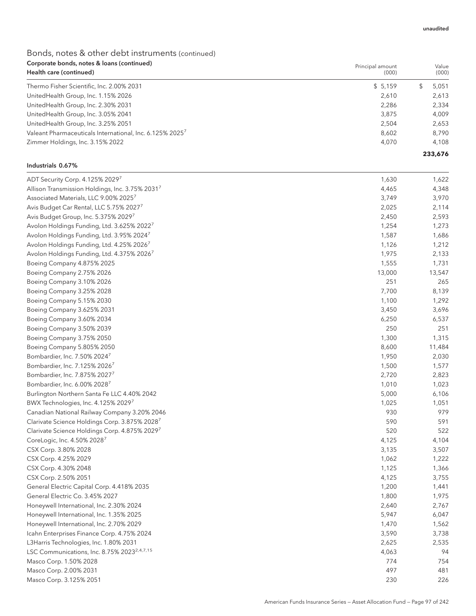## Bonds, notes & other debt instruments (continued) Corporate bonds, notes & loans (continued)

| Corporate bonds, notes & Ioans (continued)<br>Health care (continued) | Principal amount<br>(000) | Value<br>(000) |
|-----------------------------------------------------------------------|---------------------------|----------------|
| Thermo Fisher Scientific, Inc. 2.00% 2031                             | \$5,159                   | 5,051          |
| UnitedHealth Group, Inc. 1.15% 2026                                   | 2,610                     | 2,613          |
| UnitedHealth Group, Inc. 2.30% 2031                                   | 2,286                     | 2,334          |
| UnitedHealth Group, Inc. 3.05% 2041                                   | 3.875                     | 4,009          |
| UnitedHealth Group, Inc. 3.25% 2051                                   | 2,504                     | 2,653          |
| Valeant Pharmaceuticals International, Inc. 6.125% 2025 <sup>7</sup>  | 8,602                     | 8,790          |
| Zimmer Holdings, Inc. 3.15% 2022                                      | 4.070                     | 4,108          |
|                                                                       |                           | 233,676        |

## Industrials 0.67%

| ADT Security Corp. 4.125% 20297                         | 1,630  | 1,622  |
|---------------------------------------------------------|--------|--------|
| Allison Transmission Holdings, Inc. 3.75% 20317         | 4,465  | 4,348  |
| Associated Materials, LLC 9.00% 2025 <sup>7</sup>       | 3,749  | 3,970  |
| Avis Budget Car Rental, LLC 5.75% 2027 <sup>7</sup>     | 2,025  | 2,114  |
| Avis Budget Group, Inc. 5.375% 20297                    | 2,450  | 2,593  |
| Avolon Holdings Funding, Ltd. 3.625% 2022 <sup>7</sup>  | 1,254  | 1,273  |
| Avolon Holdings Funding, Ltd. 3.95% 2024 <sup>7</sup>   | 1,587  | 1,686  |
| Avolon Holdings Funding, Ltd. 4.25% 2026 <sup>7</sup>   | 1,126  | 1,212  |
| Avolon Holdings Funding, Ltd. 4.375% 20267              | 1,975  | 2,133  |
| Boeing Company 4.875% 2025                              | 1,555  | 1,731  |
| Boeing Company 2.75% 2026                               | 13,000 | 13,547 |
| Boeing Company 3.10% 2026                               | 251    | 265    |
| Boeing Company 3.25% 2028                               | 7,700  | 8,139  |
| Boeing Company 5.15% 2030                               | 1,100  | 1,292  |
| Boeing Company 3.625% 2031                              | 3,450  | 3,696  |
| Boeing Company 3.60% 2034                               | 6,250  | 6,537  |
| Boeing Company 3.50% 2039                               | 250    | 251    |
| Boeing Company 3.75% 2050                               | 1,300  | 1,315  |
| Boeing Company 5.805% 2050                              | 8,600  | 11,484 |
| Bombardier, Inc. 7.50% 20247                            | 1,950  | 2,030  |
| Bombardier, Inc. 7.125% 20267                           | 1,500  | 1,577  |
| Bombardier, Inc. 7.875% 2027 <sup>7</sup>               | 2,720  | 2,823  |
| Bombardier, Inc. 6.00% 2028 <sup>7</sup>                | 1,010  | 1,023  |
| Burlington Northern Santa Fe LLC 4.40% 2042             | 5,000  | 6,106  |
| BWX Technologies, Inc. 4.125% 20297                     | 1,025  | 1,051  |
| Canadian National Railway Company 3.20% 2046            | 930    | 979    |
| Clarivate Science Holdings Corp. 3.875% 20287           | 590    | 591    |
| Clarivate Science Holdings Corp. 4.875% 20297           | 520    | 522    |
| CoreLogic, Inc. 4.50% 2028 <sup>7</sup>                 | 4,125  | 4,104  |
| CSX Corp. 3.80% 2028                                    | 3,135  | 3,507  |
| CSX Corp. 4.25% 2029                                    | 1,062  | 1,222  |
| CSX Corp. 4.30% 2048                                    | 1,125  | 1,366  |
| CSX Corp. 2.50% 2051                                    | 4,125  | 3,755  |
| General Electric Capital Corp. 4.418% 2035              | 1,200  | 1,441  |
| General Electric Co. 3.45% 2027                         | 1,800  | 1,975  |
| Honeywell International, Inc. 2.30% 2024                | 2,640  | 2,767  |
| Honeywell International, Inc. 1.35% 2025                | 5,947  | 6,047  |
| Honeywell International, Inc. 2.70% 2029                | 1,470  | 1,562  |
| Icahn Enterprises Finance Corp. 4.75% 2024              | 3,590  | 3,738  |
| L3Harris Technologies, Inc. 1.80% 2031                  | 2,625  | 2,535  |
| LSC Communications, Inc. 8.75% 2023 <sup>2,4,7,15</sup> | 4,063  | 94     |
| Masco Corp. 1.50% 2028                                  | 774    | 754    |
| Masco Corp. 2.00% 2031                                  | 497    | 481    |
| Masco Corp. 3.125% 2051                                 | 230    | 226    |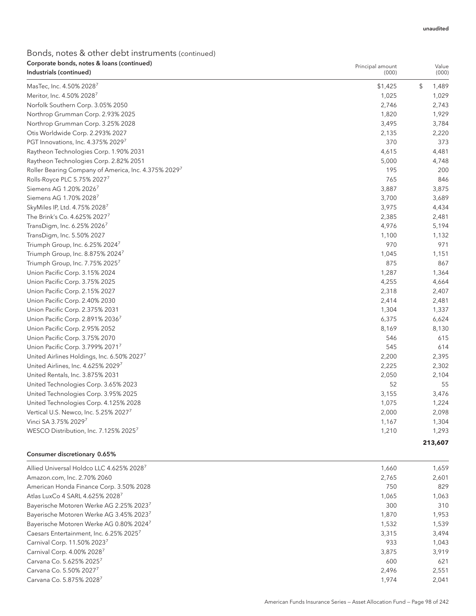Principal amount

### Bonds, notes & other debt instruments (continued) Corporate bonds, notes & loans (continued) Industrials (continued)

| Industrials (continued)                              | (000)   | (000)       |
|------------------------------------------------------|---------|-------------|
| MasTec, Inc. 4.50% 2028                              | \$1,425 | \$<br>1,489 |
| Meritor, Inc. 4.50% 2028 <sup>7</sup>                | 1,025   | 1,029       |
| Norfolk Southern Corp. 3.05% 2050                    | 2,746   | 2,743       |
| Northrop Grumman Corp. 2.93% 2025                    | 1,820   | 1,929       |
| Northrop Grumman Corp. 3.25% 2028                    | 3,495   | 3,784       |
| Otis Worldwide Corp. 2.293% 2027                     | 2,135   | 2,220       |
| PGT Innovations, Inc. 4.375% 20297                   | 370     | 373         |
| Raytheon Technologies Corp. 1.90% 2031               | 4,615   | 4,481       |
| Raytheon Technologies Corp. 2.82% 2051               | 5,000   | 4,748       |
| Roller Bearing Company of America, Inc. 4.375% 2029' | 195     | 200         |
| Rolls-Royce PLC 5.75% 20277                          | 765     | 846         |
| Siemens AG 1.20% 2026 <sup>7</sup>                   | 3,887   | 3,875       |
| Siemens AG 1.70% 2028 <sup>7</sup>                   | 3,700   | 3,689       |
| SkyMiles IP, Ltd. 4.75% 2028                         | 3,975   | 4,434       |
| The Brink's Co. 4.625% 2027 <sup>7</sup>             | 2,385   | 2,481       |
| TransDigm, Inc. 6.25% 20267                          | 4,976   | 5,194       |
| TransDigm, Inc. 5.50% 2027                           | 1,100   | 1,132       |
| Triumph Group, Inc. 6.25% 2024 <sup>7</sup>          | 970     | 971         |
| Triumph Group, Inc. 8.875% 2024 <sup>7</sup>         | 1,045   | 1,151       |
| Triumph Group, Inc. 7.75% 2025                       | 875     | 867         |
| Union Pacific Corp. 3.15% 2024                       | 1,287   | 1,364       |
| Union Pacific Corp. 3.75% 2025                       | 4,255   | 4,664       |
| Union Pacific Corp. 2.15% 2027                       | 2,318   | 2,407       |
| Union Pacific Corp. 2.40% 2030                       | 2,414   | 2,481       |
| Union Pacific Corp. 2.375% 2031                      | 1,304   | 1,337       |
| Union Pacific Corp. 2.891% 20367                     | 6,375   | 6,624       |
| Union Pacific Corp. 2.95% 2052                       | 8,169   | 8,130       |
| Union Pacific Corp. 3.75% 2070                       | 546     | 615         |
| Union Pacific Corp. 3.799% 20717                     | 545     | 614         |
| United Airlines Holdings, Inc. 6.50% 20277           | 2,200   | 2,395       |
| United Airlines, Inc. 4.625% 2029                    | 2,225   | 2,302       |
| United Rentals, Inc. 3.875% 2031                     | 2,050   | 2,104       |
| United Technologies Corp. 3.65% 2023                 | 52      | 55          |
| United Technologies Corp. 3.95% 2025                 | 3,155   | 3,476       |
| United Technologies Corp. 4.125% 2028                | 1,075   | 1,224       |
| Vertical U.S. Newco, Inc. 5.25% 20277                | 2,000   | 2,098       |
| Vinci SA 3.75% 20297                                 | 1,167   | 1,304       |
| WESCO Distribution, Inc. 7.125% 2025 <sup>7</sup>    | 1,210   | 1,293       |
|                                                      |         | 213,607     |

### Consumer discretionary 0.65%

| Allied Universal Holdco LLC 4.625% 2028 <sup>7</sup> | 1,660 | 1,659 |
|------------------------------------------------------|-------|-------|
| Amazon.com, Inc. 2.70% 2060                          | 2.765 | 2,601 |
| American Honda Finance Corp. 3.50% 2028              | 750   | 829   |
| Atlas LuxCo 4 SARL 4.625% 2028 <sup>7</sup>          | 1.065 | 1,063 |
| Bayerische Motoren Werke AG 2.25% 2023 <sup>7</sup>  | 300   | 310   |
| Bayerische Motoren Werke AG 3.45% 20237              | 1.870 | 1,953 |
| Bayerische Motoren Werke AG 0.80% 20247              | 1.532 | 1,539 |
| Caesars Entertainment, Inc. 6.25% 2025 <sup>7</sup>  | 3.315 | 3.494 |
| Carnival Corp. 11.50% 2023 <sup>7</sup>              | 933   | 1.043 |
| Carnival Corp. 4.00% 20287                           | 3.875 | 3.919 |
| Carvana Co. 5.625% 2025 <sup>7</sup>                 | 600   | 621   |
| Carvana Co. 5.50% 2027 <sup>7</sup>                  | 2,496 | 2,551 |
| Carvana Co. 5.875% 2028 <sup>7</sup>                 | 1,974 | 2.041 |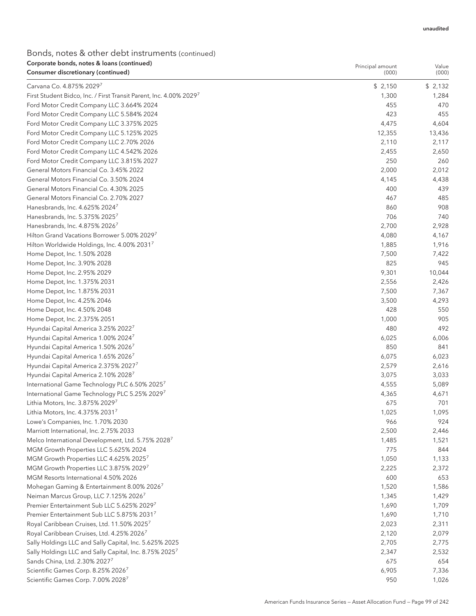## Bonds, notes & other debt instruments (continued) Corporate bonds, notes & loans (continued)

| Corporate bonds, notes & Ioans (continued)<br>Consumer discretionary (continued) | Principal amount<br>(000) | Value<br>(000) |
|----------------------------------------------------------------------------------|---------------------------|----------------|
|                                                                                  |                           |                |
| Carvana Co. 4.875% 20297                                                         | \$2,150                   | \$2,132        |
| First Student Bidco, Inc. / First Transit Parent, Inc. 4.00% 20297               | 1,300                     | 1,284          |
| Ford Motor Credit Company LLC 3.664% 2024                                        | 455                       | 470            |
| Ford Motor Credit Company LLC 5.584% 2024                                        | 423                       | 455            |
| Ford Motor Credit Company LLC 3.375% 2025                                        | 4,475                     | 4,604          |
| Ford Motor Credit Company LLC 5.125% 2025                                        | 12,355                    | 13,436         |
| Ford Motor Credit Company LLC 2.70% 2026                                         | 2,110                     | 2,117          |
| Ford Motor Credit Company LLC 4.542% 2026                                        | 2,455                     | 2,650          |
| Ford Motor Credit Company LLC 3.815% 2027                                        | 250                       | 260            |
| General Motors Financial Co. 3.45% 2022                                          | 2,000                     | 2,012          |
| General Motors Financial Co. 3.50% 2024                                          | 4,145                     | 4,438          |
| General Motors Financial Co. 4.30% 2025                                          | 400                       | 439            |
| General Motors Financial Co. 2.70% 2027                                          | 467                       | 485            |
| Hanesbrands, Inc. 4.625% 2024 <sup>7</sup>                                       | 860                       | 908            |
| Hanesbrands, Inc. 5.375% 20257                                                   | 706                       | 740            |
| Hanesbrands, Inc. 4.875% 2026 <sup>7</sup>                                       | 2,700                     | 2,928          |
| Hilton Grand Vacations Borrower 5.00% 20297                                      | 4,080                     | 4,167          |
| Hilton Worldwide Holdings, Inc. 4.00% 20317                                      | 1,885                     | 1,916          |
| Home Depot, Inc. 1.50% 2028                                                      | 7,500                     | 7,422          |
| Home Depot, Inc. 3.90% 2028                                                      | 825                       | 945            |
| Home Depot, Inc. 2.95% 2029                                                      | 9,301                     | 10,044         |
| Home Depot, Inc. 1.375% 2031                                                     | 2,556                     | 2,426          |
| Home Depot, Inc. 1.875% 2031                                                     | 7,500                     | 7,367          |
| Home Depot, Inc. 4.25% 2046                                                      | 3,500                     | 4,293          |
| Home Depot, Inc. 4.50% 2048                                                      | 428                       | 550            |
| Home Depot, Inc. 2.375% 2051                                                     | 1,000                     | 905            |
| Hyundai Capital America 3.25% 2022 <sup>7</sup>                                  | 480                       | 492            |
| Hyundai Capital America 1.00% 2024 <sup>7</sup>                                  | 6,025                     | 6,006          |
| Hyundai Capital America 1.50% 2026 <sup>7</sup>                                  | 850                       | 841            |
| Hyundai Capital America 1.65% 2026 <sup>7</sup>                                  | 6,075                     | 6,023          |
| Hyundai Capital America 2.375% 20277                                             | 2,579                     | 2,616          |
| Hyundai Capital America 2.10% 2028 <sup>7</sup>                                  | 3,075                     | 3,033          |
| International Game Technology PLC 6.50% 2025 <sup>7</sup>                        | 4,555                     | 5,089          |
| International Game Technology PLC 5.25% 20297                                    | 4,365                     | 4,671          |
| Lithia Motors, Inc. 3.875% 20297                                                 | 675                       | 701            |
| Lithia Motors, Inc. 4.375% 20317                                                 | 1,025                     | 1,095          |
| Lowe's Companies, Inc. 1.70% 2030                                                | 966                       | 924            |
| Marriott International, Inc. 2.75% 2033                                          | 2,500                     | 2,446          |
| Melco International Development, Ltd. 5.75% 2028                                 | 1,485                     | 1,521          |
| MGM Growth Properties LLC 5.625% 2024                                            | 775                       | 844            |
| MGM Growth Properties LLC 4.625% 2025 <sup>7</sup>                               | 1,050                     | 1,133          |
| MGM Growth Properties LLC 3.875% 20297                                           | 2,225                     | 2,372          |
| MGM Resorts International 4.50% 2026                                             | 600                       | 653            |
| Mohegan Gaming & Entertainment 8.00% 2026 <sup>7</sup>                           | 1,520                     | 1,586          |
| Neiman Marcus Group, LLC 7.125% 2026 <sup>7</sup>                                | 1,345                     | 1,429          |
| Premier Entertainment Sub LLC 5.625% 2029 <sup>7</sup>                           | 1,690                     | 1,709          |
| Premier Entertainment Sub LLC 5.875% 2031 <sup>7</sup>                           | 1,690                     | 1,710          |
| Royal Caribbean Cruises, Ltd. 11.50% 20257                                       | 2,023                     | 2,311          |
| Royal Caribbean Cruises, Ltd. 4.25% 2026 <sup>7</sup>                            | 2,120                     | 2,079          |
| Sally Holdings LLC and Sally Capital, Inc. 5.625% 2025                           | 2,705                     | 2,775          |
| Sally Holdings LLC and Sally Capital, Inc. 8.75% 2025 <sup>7</sup>               | 2,347                     | 2,532          |
| Sands China, Ltd. 2.30% 20277                                                    | 675                       | 654            |
| Scientific Games Corp. 8.25% 2026 <sup>7</sup>                                   | 6,905                     | 7,336          |
| Scientific Games Corp. 7.00% 2028 <sup>7</sup>                                   | 950                       | 1,026          |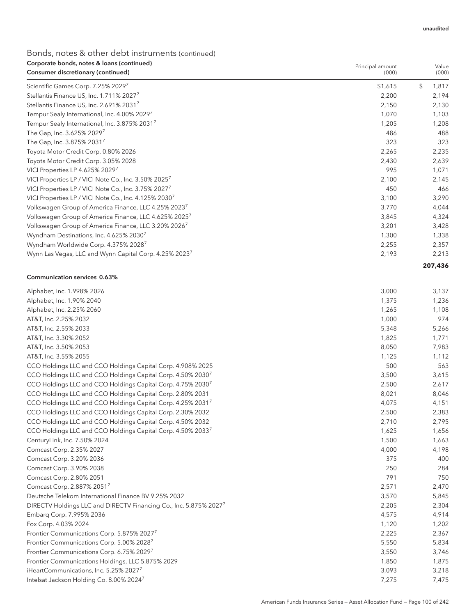## Bonds, notes & other debt instruments (continued) Corporate bonds, notes & loans (continued)

| Corporate bonds, notes & Ioans (continued)<br>Consumer discretionary (continued) | Principal amount<br>(000) |         | Value<br>(000) |
|----------------------------------------------------------------------------------|---------------------------|---------|----------------|
| Scientific Games Corp. 7.25% 2029 <sup>7</sup>                                   | \$1,615                   | \$      | 1,817          |
| Stellantis Finance US, Inc. 1.711% 2027 <sup>7</sup>                             | 2,200                     |         | 2,194          |
| Stellantis Finance US, Inc. 2.691% 2031 <sup>7</sup>                             | 2,150                     |         | 2,130          |
| Tempur Sealy International, Inc. 4.00% 2029                                      | 1,070                     |         | 1,103          |
| Tempur Sealy International, Inc. 3.875% 20317                                    | 1,205                     |         | 1,208          |
| The Gap, Inc. 3.625% 20297                                                       | 486                       |         | 488            |
| The Gap, Inc. 3.875% 2031 <sup>7</sup>                                           | 323                       |         | 323            |
| Toyota Motor Credit Corp. 0.80% 2026                                             | 2,265                     |         | 2,235          |
| Toyota Motor Credit Corp. 3.05% 2028                                             | 2,430                     |         | 2,639          |
| VICI Properties LP 4.625% 2029 <sup>7</sup>                                      | 995                       |         | 1,071          |
| VICI Properties LP / VICI Note Co., Inc. 3.50% 2025 <sup>7</sup>                 | 2,100                     |         | 2,145          |
| VICI Properties LP / VICI Note Co., Inc. 3.75% 2027 <sup>7</sup>                 | 450                       |         | 466            |
| VICI Properties LP / VICI Note Co., Inc. 4.125% 2030 <sup>7</sup>                | 3,100                     |         | 3,290          |
| Volkswagen Group of America Finance, LLC 4.25% 2023 <sup>7</sup>                 | 3,770                     |         | 4,044          |
| Volkswagen Group of America Finance, LLC 4.625% 2025 <sup>7</sup>                | 3,845                     |         | 4,324          |
| Volkswagen Group of America Finance, LLC 3.20% 2026 <sup>7</sup>                 | 3,201                     |         | 3,428          |
| Wyndham Destinations, Inc. 4.625% 2030 <sup>7</sup>                              | 1,300                     |         | 1,338          |
| Wyndham Worldwide Corp. 4.375% 2028 <sup>7</sup>                                 | 2,255                     |         | 2,357          |
| Wynn Las Vegas, LLC and Wynn Capital Corp. 4.25% 2023 <sup>7</sup>               | 2,193                     |         | 2,213          |
|                                                                                  |                           | 207,436 |                |

#### Communication services 0.63%

| Alphabet, Inc. 1.998% 2026                                                    | 3,000 | 3,137 |
|-------------------------------------------------------------------------------|-------|-------|
| Alphabet, Inc. 1.90% 2040                                                     | 1,375 | 1,236 |
| Alphabet, Inc. 2.25% 2060                                                     | 1,265 | 1,108 |
| AT&T, Inc. 2.25% 2032                                                         | 1,000 | 974   |
| AT&T, Inc. 2.55% 2033                                                         | 5,348 | 5,266 |
| AT&T, Inc. 3.30% 2052                                                         | 1,825 | 1,771 |
| AT&T, Inc. 3.50% 2053                                                         | 8,050 | 7,983 |
| AT&T, Inc. 3.55% 2055                                                         | 1,125 | 1,112 |
| CCO Holdings LLC and CCO Holdings Capital Corp. 4.908% 2025                   | 500   | 563   |
| CCO Holdings LLC and CCO Holdings Capital Corp. 4.50% 2030 <sup>7</sup>       | 3,500 | 3,615 |
| CCO Holdings LLC and CCO Holdings Capital Corp. 4.75% 2030 <sup>7</sup>       | 2,500 | 2,617 |
| CCO Holdings LLC and CCO Holdings Capital Corp. 2.80% 2031                    | 8,021 | 8,046 |
| CCO Holdings LLC and CCO Holdings Capital Corp. 4.25% 20317                   | 4,075 | 4,151 |
| CCO Holdings LLC and CCO Holdings Capital Corp. 2.30% 2032                    | 2,500 | 2,383 |
| CCO Holdings LLC and CCO Holdings Capital Corp. 4.50% 2032                    | 2,710 | 2,795 |
| CCO Holdings LLC and CCO Holdings Capital Corp. 4.50% 20337                   | 1,625 | 1,656 |
| CenturyLink, Inc. 7.50% 2024                                                  | 1,500 | 1,663 |
| Comcast Corp. 2.35% 2027                                                      | 4,000 | 4,198 |
| Comcast Corp. 3.20% 2036                                                      | 375   | 400   |
| Comcast Corp. 3.90% 2038                                                      | 250   | 284   |
| Comcast Corp. 2.80% 2051                                                      | 791   | 750   |
| Comcast Corp. 2.887% 20517                                                    | 2,571 | 2,470 |
| Deutsche Telekom International Finance BV 9.25% 2032                          | 3,570 | 5,845 |
| DIRECTV Holdings LLC and DIRECTV Financing Co., Inc. 5.875% 2027 <sup>7</sup> | 2,205 | 2,304 |
| Embarg Corp. 7.995% 2036                                                      | 4,575 | 4,914 |
| Fox Corp. 4.03% 2024                                                          | 1,120 | 1,202 |
| Frontier Communications Corp. 5.875% 20277                                    | 2,225 | 2,367 |
| Frontier Communications Corp. 5.00% 20287                                     | 5,550 | 5,834 |
| Frontier Communications Corp. 6.75% 20297                                     | 3,550 | 3,746 |
| Frontier Communications Holdings, LLC 5.875% 2029                             | 1,850 | 1,875 |
| iHeartCommunications, Inc. 5.25% 20277                                        | 3,093 | 3,218 |
| Intelsat Jackson Holding Co. 8.00% 2024 <sup>7</sup>                          | 7,275 | 7,475 |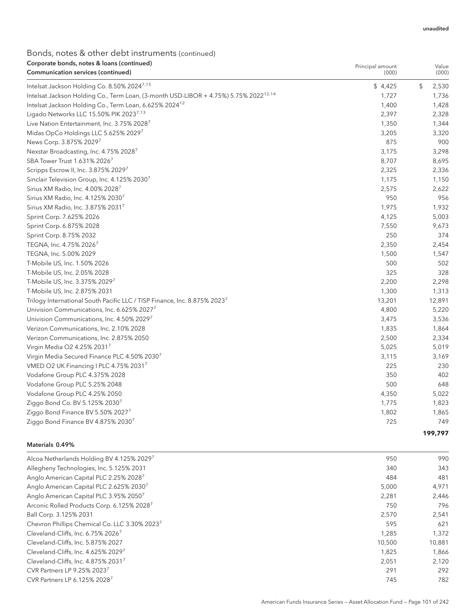## Bonds, notes & other debt instruments (continued) Corporate bonds, notes & loans (continued)

| Corporate bonds, notes & Ioans (continued)<br>Communication services (continued)                 | Principal amount<br>(000) | Value<br>(000) |
|--------------------------------------------------------------------------------------------------|---------------------------|----------------|
| Intelsat Jackson Holding Co. 8.50% 2024 <sup>7,15</sup>                                          | \$4,425                   | \$<br>2,530    |
| Intelsat Jackson Holding Co., Term Loan, (3-month USD-LIBOR + 4.75%) 5.75% 2022 <sup>12,14</sup> | 1,727                     | 1,736          |
| Intelsat Jackson Holding Co., Term Loan, 6.625% 2024 <sup>12</sup>                               | 1,400                     | 1,428          |
| Ligado Networks LLC 15.50% PIK 20237,13                                                          | 2,397                     | 2,328          |
| Live Nation Entertainment, Inc. 3.75% 2028 <sup>7</sup>                                          | 1,350                     | 1,344          |
| Midas OpCo Holdings LLC 5.625% 20297                                                             | 3,205                     | 3,320          |
| News Corp. 3.875% 20297                                                                          | 875                       | 900            |
| Nexstar Broadcasting, Inc. 4.75% 20287                                                           | 3,175                     | 3,298          |
| SBA Tower Trust 1.631% 2026 <sup>7</sup>                                                         | 8,707                     | 8,695          |
| Scripps Escrow II, Inc. 3.875% 20297                                                             | 2,325                     | 2,336          |
| Sinclair Television Group, Inc. 4.125% 2030                                                      | 1,175                     | 1,150          |
| Sirius XM Radio, Inc. 4.00% 2028                                                                 | 2,575                     | 2,622          |
| Sirius XM Radio, Inc. 4.125% 2030 <sup>7</sup>                                                   | 950                       | 956            |
| Sirius XM Radio, Inc. 3.875% 2031 <sup>7</sup>                                                   | 1,975                     | 1,932          |
| Sprint Corp. 7.625% 2026                                                                         | 4,125                     | 5,003          |
| Sprint Corp. 6.875% 2028                                                                         | 7,550                     | 9,673          |
| Sprint Corp. 8.75% 2032                                                                          | 250                       | 374            |
| TEGNA, Inc. 4.75% 2026 <sup>7</sup>                                                              | 2,350                     | 2,454          |
| TEGNA, Inc. 5.00% 2029                                                                           | 1,500                     | 1,547          |
| T-Mobile US, Inc. 1.50% 2026                                                                     | 500                       | 502            |
| T-Mobile US, Inc. 2.05% 2028                                                                     | 325                       | 328            |
| T-Mobile US, Inc. 3.375% 20297                                                                   | 2,200                     | 2,298          |
| T-Mobile US, Inc. 2.875% 2031                                                                    | 1,300                     | 1,313          |
| Trilogy International South Pacific LLC / TISP Finance, Inc. 8.875% 2023 <sup>7</sup>            | 13,201                    | 12,891         |
| Univision Communications, Inc. 6.625% 2027                                                       | 4,800                     | 5,220          |
| Univision Communications, Inc. 4.50% 2029                                                        | 3,475                     | 3,536          |
| Verizon Communications, Inc. 2.10% 2028                                                          | 1,835                     | 1,864          |
| Verizon Communications, Inc. 2.875% 2050                                                         | 2,500                     | 2,334          |
| Virgin Media O2 4.25% 20317                                                                      | 5,025                     | 5,019          |
| Virgin Media Secured Finance PLC 4.50% 20307                                                     | 3,115                     | 3,169          |
| VMED O2 UK Financing I PLC 4.75% 2031 <sup>7</sup>                                               | 225                       | 230            |
| Vodafone Group PLC 4.375% 2028                                                                   | 350                       | 402            |
| Vodafone Group PLC 5.25% 2048                                                                    | 500                       | 648            |
| Vodafone Group PLC 4.25% 2050                                                                    | 4,350                     | 5,022          |
| Ziggo Bond Co. BV 5.125% 2030 <sup>7</sup>                                                       | 1,775                     | 1,823          |
| Ziggo Bond Finance BV 5.50% 20277                                                                | 1,802                     | 1,865          |
| Ziggo Bond Finance BV 4.875% 20307                                                               | 725                       | 749            |
|                                                                                                  |                           | 199.797        |

### Materials 0.49%

| Alcoa Netherlands Holding BV 4.125% 20297                 | 950    | 990    |
|-----------------------------------------------------------|--------|--------|
| Allegheny Technologies, Inc. 5.125% 2031                  | 340    | 343    |
| Anglo American Capital PLC 2.25% 2028 <sup>7</sup>        | 484    | 481    |
| Anglo American Capital PLC 2.625% 2030 <sup>7</sup>       | 5,000  | 4,971  |
| Anglo American Capital PLC 3.95% 2050 <sup>7</sup>        | 2,281  | 2,446  |
| Arconic Rolled Products Corp. 6.125% 2028 <sup>7</sup>    | 750    | 796    |
| Ball Corp. 3.125% 2031                                    | 2,570  | 2,541  |
| Chevron Phillips Chemical Co. LLC 3.30% 2023 <sup>7</sup> | 595    | 621    |
| Cleveland-Cliffs, Inc. 6.75% 2026 <sup>7</sup>            | 1.285  | 1,372  |
| Cleveland-Cliffs, Inc. 5.875% 2027                        | 10.500 | 10,881 |
| Cleveland-Cliffs, Inc. 4.625% 20297                       | 1.825  | 1.866  |
| Cleveland-Cliffs, Inc. 4.875% 20317                       | 2,051  | 2,120  |
| CVR Partners LP 9.25% 2023 <sup>7</sup>                   | 291    | 292    |
| CVR Partners LP 6.125% 2028 <sup>7</sup>                  | 745    | 782    |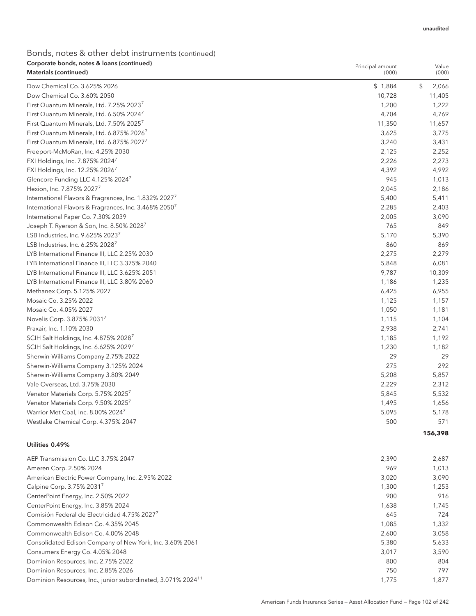Principal amount

## Bonds, notes & other debt instruments (continued) Corporate bonds, notes & loans (continued)

| <b>Materials (continued)</b>                                      | (000)   | (000)       |
|-------------------------------------------------------------------|---------|-------------|
| Dow Chemical Co. 3.625% 2026                                      | \$1,884 | \$<br>2,066 |
| Dow Chemical Co. 3.60% 2050                                       | 10,728  | 11,405      |
| First Quantum Minerals, Ltd. 7.25% 20237                          | 1,200   | 1,222       |
| First Quantum Minerals, Ltd. 6.50% 2024 <sup>7</sup>              | 4,704   | 4,769       |
| First Quantum Minerals, Ltd. 7.50% 2025 <sup>7</sup>              | 11,350  | 11,657      |
| First Quantum Minerals, Ltd. 6.875% 20267                         | 3,625   | 3,775       |
| First Quantum Minerals, Ltd. 6.875% 20277                         | 3,240   | 3,431       |
| Freeport-McMoRan, Inc. 4.25% 2030                                 | 2,125   | 2,252       |
| FXI Holdings, Inc. 7.875% 20247                                   | 2,226   | 2,273       |
| FXI Holdings, Inc. 12.25% 20267                                   | 4,392   | 4,992       |
| Glencore Funding LLC 4.125% 20247                                 | 945     | 1,013       |
| Hexion, Inc. 7.875% 2027'                                         | 2,045   | 2,186       |
| International Flavors & Fragrances, Inc. 1.832% 2027 <sup>7</sup> | 5,400   | 5,411       |
| International Flavors & Fragrances, Inc. 3.468% 2050 <sup>7</sup> | 2,285   | 2,403       |
| International Paper Co. 7.30% 2039                                | 2,005   | 3,090       |
| Joseph T. Ryerson & Son, Inc. 8.50% 2028 <sup>7</sup>             | 765     | 849         |
| LSB Industries, Inc. 9.625% 2023 <sup>7</sup>                     | 5,170   | 5,390       |
| LSB Industries, Inc. 6.25% 2028 <sup>7</sup>                      | 860     | 869         |
| LYB International Finance III, LLC 2.25% 2030                     | 2,275   | 2,279       |
| LYB International Finance III, LLC 3.375% 2040                    | 5,848   | 6,081       |
| LYB International Finance III, LLC 3.625% 2051                    | 9,787   | 10,309      |
| LYB International Finance III, LLC 3.80% 2060                     | 1,186   | 1,235       |
| Methanex Corp. 5.125% 2027                                        | 6,425   | 6,955       |
| Mosaic Co. 3.25% 2022                                             | 1,125   | 1,157       |
| Mosaic Co. 4.05% 2027                                             | 1,050   | 1,181       |
| Novelis Corp. 3.875% 20317                                        | 1,115   | 1,104       |
| Praxair, Inc. 1.10% 2030                                          | 2,938   | 2,741       |
| SCIH Salt Holdings, Inc. 4.875% 20287                             | 1,185   | 1,192       |
| SCIH Salt Holdings, Inc. 6.625% 20297                             | 1,230   | 1,182       |
| Sherwin-Williams Company 2.75% 2022                               | 29      | 29          |
| Sherwin-Williams Company 3.125% 2024                              | 275     | 292         |
| Sherwin-Williams Company 3.80% 2049                               | 5,208   | 5,857       |
| Vale Overseas, Ltd. 3.75% 2030                                    | 2,229   | 2,312       |
| Venator Materials Corp. 5.75% 20257                               | 5,845   | 5,532       |
| Venator Materials Corp. 9.50% 20257                               | 1,495   | 1,656       |
| Warrior Met Coal, Inc. 8.00% 20247                                | 5,095   | 5,178       |
| Westlake Chemical Corp. 4.375% 2047                               | 500     | 571         |
|                                                                   |         | 156,398     |

### Utilities 0.49%

| AEP Transmission Co. LLC 3.75% 2047                                      | 2.390 | 2,687 |
|--------------------------------------------------------------------------|-------|-------|
| Ameren Corp. 2.50% 2024                                                  | 969   | 1,013 |
| American Electric Power Company, Inc. 2.95% 2022                         | 3,020 | 3,090 |
| Calpine Corp. 3.75% 2031 <sup>7</sup>                                    | 1,300 | 1,253 |
| CenterPoint Energy, Inc. 2.50% 2022                                      | 900   | 916   |
| CenterPoint Energy, Inc. 3.85% 2024                                      | 1,638 | 1,745 |
| Comisión Federal de Electricidad 4.75% 2027 <sup>7</sup>                 | 645   | 724   |
| Commonwealth Edison Co. 4.35% 2045                                       | 1,085 | 1,332 |
| Commonwealth Edison Co. 4.00% 2048                                       | 2,600 | 3,058 |
| Consolidated Edison Company of New York, Inc. 3.60% 2061                 | 5.380 | 5,633 |
| Consumers Energy Co. 4.05% 2048                                          | 3.017 | 3,590 |
| Dominion Resources, Inc. 2.75% 2022                                      | 800   | 804   |
| Dominion Resources, Inc. 2.85% 2026                                      | 750   | 797   |
| Dominion Resources, Inc., junior subordinated, 3.071% 2024 <sup>11</sup> | 1,775 | 1,877 |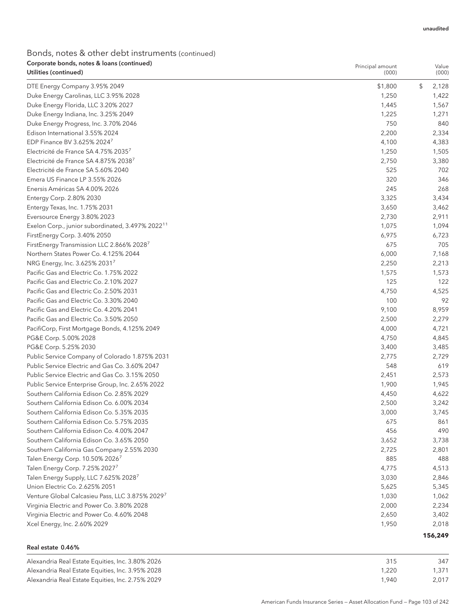## Bonds, notes & other debt instruments (continued) Corporate bonds, notes & loans (continued)

| Corporate bonds, notes & Ioans (continued)<br>Utilities (continued) | Principal amount<br>(000) | Value<br>(000) |
|---------------------------------------------------------------------|---------------------------|----------------|
| DTE Energy Company 3.95% 2049                                       | \$1,800                   | \$<br>2,128    |
| Duke Energy Carolinas, LLC 3.95% 2028                               | 1,250                     | 1,422          |
| Duke Energy Florida, LLC 3.20% 2027                                 | 1,445                     | 1,567          |
| Duke Energy Indiana, Inc. 3.25% 2049                                | 1,225                     | 1,271          |
| Duke Energy Progress, Inc. 3.70% 2046                               | 750                       | 840            |
| Edison International 3.55% 2024                                     | 2,200                     | 2,334          |
| EDP Finance BV 3.625% 20247                                         | 4,100                     | 4,383          |
| Electricité de France SA 4.75% 20357                                | 1,250                     | 1,505          |
| Electricité de France SA 4.875% 20387                               | 2,750                     | 3,380          |
| Electricité de France SA 5.60% 2040                                 | 525                       | 702            |
| Emera US Finance LP 3.55% 2026                                      | 320                       | 346            |
| Enersis Américas SA 4.00% 2026                                      | 245                       | 268            |
| Entergy Corp. 2.80% 2030                                            | 3,325                     | 3,434          |
| Entergy Texas, Inc. 1.75% 2031                                      | 3,650                     | 3,462          |
| Eversource Energy 3.80% 2023                                        | 2,730                     | 2,911          |
| Exelon Corp., junior subordinated, 3.497% 2022 <sup>11</sup>        | 1,075                     | 1,094          |
| FirstEnergy Corp. 3.40% 2050                                        | 6,975                     | 6,723          |
| FirstEnergy Transmission LLC 2.866% 2028 <sup>7</sup>               | 675                       | 705            |
| Northern States Power Co. 4.125% 2044                               | 6,000                     | 7,168          |
| NRG Energy, Inc. 3.625% 20317                                       | 2,250                     | 2,213          |
| Pacific Gas and Electric Co. 1.75% 2022                             | 1,575                     | 1,573          |
| Pacific Gas and Electric Co. 2.10% 2027                             | 125                       | 122            |
| Pacific Gas and Electric Co. 2.50% 2031                             | 4,750                     | 4,525          |
| Pacific Gas and Electric Co. 3.30% 2040                             | 100                       | 92             |
| Pacific Gas and Electric Co. 4.20% 2041                             | 9,100                     | 8,959          |
| Pacific Gas and Electric Co. 3.50% 2050                             | 2,500                     | 2,279          |
| PacifiCorp, First Mortgage Bonds, 4.125% 2049                       | 4,000                     | 4,721          |
| PG&E Corp. 5.00% 2028                                               | 4,750                     | 4,845          |
| PG&E Corp. 5.25% 2030                                               | 3,400                     | 3,485          |
| Public Service Company of Colorado 1.875% 2031                      | 2,775                     | 2,729          |
| Public Service Electric and Gas Co. 3.60% 2047                      | 548                       | 619            |
| Public Service Electric and Gas Co. 3.15% 2050                      | 2,451                     | 2,573          |
| Public Service Enterprise Group, Inc. 2.65% 2022                    | 1,900                     | 1,945          |
| Southern California Edison Co. 2.85% 2029                           | 4,450                     | 4,622          |
| Southern California Edison Co. 6.00% 2034                           | 2,500                     | 3,242          |
| Southern California Edison Co. 5.35% 2035                           | 3,000                     | 3,745          |
| Southern California Edison Co. 5.75% 2035                           | 675                       | 861            |
| Southern California Edison Co. 4.00% 2047                           | 456                       | 490            |
| Southern California Edison Co. 3.65% 2050                           | 3,652                     | 3,738          |
| Southern California Gas Company 2.55% 2030                          | 2,725                     | 2,801          |
| Talen Energy Corp. 10.50% 2026 <sup>7</sup>                         | 885                       | 488            |
| Talen Energy Corp. 7.25% 2027 <sup>7</sup>                          | 4,775                     | 4,513          |
| Talen Energy Supply, LLC 7.625% 2028 <sup>7</sup>                   | 3,030                     | 2,846          |
| Union Electric Co. 2.625% 2051                                      | 5,625                     | 5,345          |
| Venture Global Calcasieu Pass, LLC 3.875% 2029 <sup>7</sup>         | 1,030                     | 1,062          |
| Virginia Electric and Power Co. 3.80% 2028                          | 2,000                     | 2,234          |
| Virginia Electric and Power Co. 4.60% 2048                          | 2,650                     | 3,402          |
| Xcel Energy, Inc. 2.60% 2029                                        | 1,950                     | 2,018          |
|                                                                     |                           | 156,249        |

## Real estate 0.46%

| Alexandria Real Estate Equities, Inc. 3.80% 2026 | 315   | 347   |
|--------------------------------------------------|-------|-------|
| Alexandria Real Estate Equities, Inc. 3.95% 2028 | 1.220 | 1,371 |
| Alexandria Real Estate Equities, Inc. 2.75% 2029 | 1.940 | 2.017 |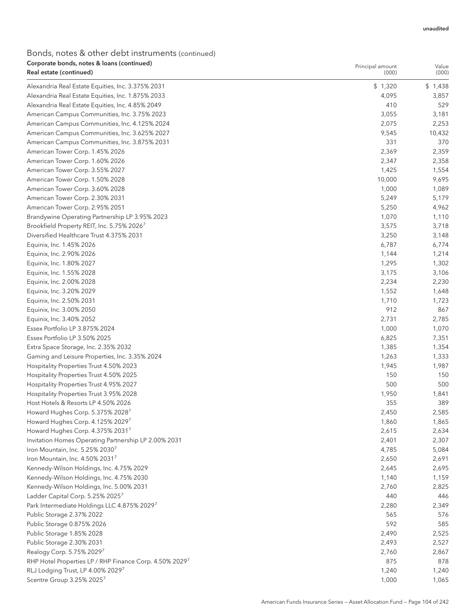## Bonds, notes & other debt instruments (continued) Corporate bonds, notes & loans (continued)

| Corporate bonds, notes & Ioans (continued)<br>Real estate (continued)                         | Principal amount<br>(000) | Value<br>(000) |
|-----------------------------------------------------------------------------------------------|---------------------------|----------------|
|                                                                                               |                           |                |
| Alexandria Real Estate Equities, Inc. 3.375% 2031                                             | \$1,320                   | \$1,438        |
| Alexandria Real Estate Equities, Inc. 1.875% 2033                                             | 4,095                     | 3,857          |
| Alexandria Real Estate Equities, Inc. 4.85% 2049                                              | 410                       | 529            |
| American Campus Communities, Inc. 3.75% 2023<br>American Campus Communities, Inc. 4.125% 2024 | 3,055<br>2,075            | 3,181<br>2,253 |
| American Campus Communities, Inc. 3.625% 2027                                                 | 9,545                     | 10,432         |
| American Campus Communities, Inc. 3.875% 2031                                                 | 331                       | 370            |
| American Tower Corp. 1.45% 2026                                                               | 2,369                     | 2,359          |
| American Tower Corp. 1.60% 2026                                                               | 2,347                     | 2,358          |
| American Tower Corp. 3.55% 2027                                                               | 1,425                     | 1,554          |
| American Tower Corp. 1.50% 2028                                                               | 10,000                    | 9,695          |
| American Tower Corp. 3.60% 2028                                                               | 1,000                     | 1,089          |
| American Tower Corp. 2.30% 2031                                                               | 5,249                     | 5,179          |
| American Tower Corp. 2.95% 2051                                                               | 5,250                     | 4,962          |
| Brandywine Operating Partnership LP 3.95% 2023                                                | 1,070                     | 1,110          |
| Brookfield Property REIT, Inc. 5.75% 2026 <sup>7</sup>                                        | 3,575                     | 3,718          |
| Diversified Healthcare Trust 4.375% 2031                                                      | 3,250                     | 3,148          |
| Equinix, Inc. 1.45% 2026                                                                      | 6,787                     | 6,774          |
| Equinix, Inc. 2.90% 2026                                                                      | 1,144                     | 1,214          |
| Equinix, Inc. 1.80% 2027                                                                      | 1,295                     | 1,302          |
| Equinix, Inc. 1.55% 2028                                                                      | 3,175                     | 3,106          |
| Equinix, Inc. 2.00% 2028                                                                      | 2,234                     | 2,230          |
| Equinix, Inc. 3.20% 2029                                                                      | 1,552                     | 1,648          |
| Equinix, Inc. 2.50% 2031                                                                      | 1,710                     | 1,723          |
| Equinix, Inc. 3.00% 2050                                                                      | 912                       | 867            |
| Equinix, Inc. 3.40% 2052                                                                      | 2,731                     | 2,785          |
| Essex Portfolio LP 3.875% 2024                                                                | 1,000                     | 1,070          |
| Essex Portfolio LP 3.50% 2025                                                                 | 6,825                     | 7,351          |
| Extra Space Storage, Inc. 2.35% 2032                                                          | 1,385                     | 1,354          |
| Gaming and Leisure Properties, Inc. 3.35% 2024                                                | 1,263                     | 1,333          |
| Hospitality Properties Trust 4.50% 2023                                                       | 1,945                     | 1,987          |
| Hospitality Properties Trust 4.50% 2025                                                       | 150                       | 150            |
| Hospitality Properties Trust 4.95% 2027                                                       | 500                       | 500            |
| Hospitality Properties Trust 3.95% 2028                                                       | 1,950                     | 1,841          |
| Host Hotels & Resorts LP 4.50% 2026                                                           | 355                       | 389            |
| Howard Hughes Corp. 5.375% 20287                                                              | 2,450                     | 2,585          |
| Howard Hughes Corp. 4.125% 20297                                                              | 1,860                     | 1,865          |
| Howard Hughes Corp. 4.375% 20317                                                              | 2,615                     | 2,634          |
| Invitation Homes Operating Partnership LP 2.00% 2031                                          | 2,401                     | 2,307          |
| Iron Mountain, Inc. 5.25% 2030 <sup>7</sup>                                                   | 4,785                     | 5,084          |
| Iron Mountain, Inc. 4.50% 20317                                                               | 2,650                     | 2,691          |
| Kennedy-Wilson Holdings, Inc. 4.75% 2029                                                      | 2,645                     | 2,695          |
| Kennedy-Wilson Holdings, Inc. 4.75% 2030                                                      | 1,140                     | 1,159          |
| Kennedy-Wilson Holdings, Inc. 5.00% 2031                                                      | 2,760                     | 2,825          |
| Ladder Capital Corp. 5.25% 2025 <sup>7</sup>                                                  | 440                       | 446            |
| Park Intermediate Holdings LLC 4.875% 20297                                                   | 2,280                     | 2,349          |
| Public Storage 2.37% 2022                                                                     | 565                       | 576            |
| Public Storage 0.875% 2026                                                                    | 592                       | 585            |
| Public Storage 1.85% 2028                                                                     | 2,490                     | 2,525          |
| Public Storage 2.30% 2031                                                                     | 2,493                     | 2,527          |
| Realogy Corp. 5.75% 20297                                                                     | 2,760                     | 2,867          |
| RHP Hotel Properties LP / RHP Finance Corp. 4.50% 20297                                       | 875                       | 878            |
| RLJ Lodging Trust, LP 4.00% 20297                                                             | 1,240                     | 1,240          |
| Scentre Group 3.25% 20257                                                                     | 1,000                     | 1,065          |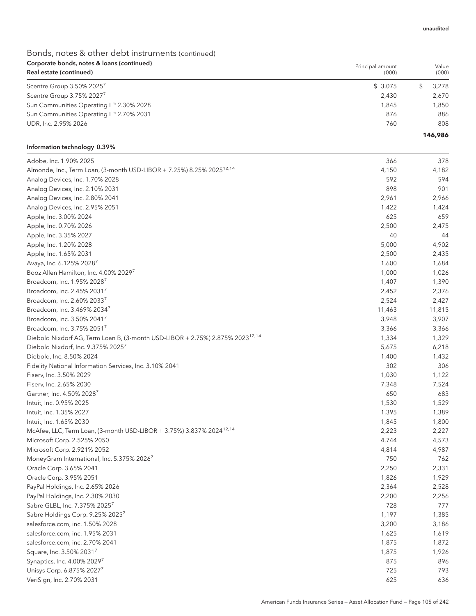Principal amount

## Bonds, notes & other debt instruments (continued) Corporate bonds, notes & loans (continued)

| Real estate (continued)                 | (000)   | (000)   |
|-----------------------------------------|---------|---------|
| Scentre Group 3.50% 2025 <sup>7</sup>   | \$3.075 | 3.278   |
| Scentre Group 3.75% 20277               | 2.430   | 2.670   |
| Sun Communities Operating LP 2.30% 2028 | 1.845   | 1.850   |
| Sun Communities Operating LP 2.70% 2031 | 876     | 886     |
| UDR, Inc. 2.95% 2026                    | 760     | 808     |
|                                         |         | 146,986 |

#### Information technology 0.39%

| Adobe, Inc. 1.90% 2025                                                                    | 366    | 378    |
|-------------------------------------------------------------------------------------------|--------|--------|
| Almonde, Inc., Term Loan, (3-month USD-LIBOR + 7.25%) 8.25% 2025 <sup>12,14</sup>         | 4,150  | 4,182  |
| Analog Devices, Inc. 1.70% 2028                                                           | 592    | 594    |
| Analog Devices, Inc. 2.10% 2031                                                           | 898    | 901    |
| Analog Devices, Inc. 2.80% 2041                                                           | 2,961  | 2,966  |
| Analog Devices, Inc. 2.95% 2051                                                           | 1,422  | 1,424  |
| Apple, Inc. 3.00% 2024                                                                    | 625    | 659    |
| Apple, Inc. 0.70% 2026                                                                    | 2,500  | 2,475  |
| Apple, Inc. 3.35% 2027                                                                    | 40     | 44     |
| Apple, Inc. 1.20% 2028                                                                    | 5,000  | 4,902  |
| Apple, Inc. 1.65% 2031                                                                    | 2,500  | 2,435  |
| Avaya, Inc. 6.125% 20287                                                                  | 1,600  | 1,684  |
| Booz Allen Hamilton, Inc. 4.00% 20297                                                     | 1,000  | 1,026  |
| Broadcom, Inc. 1.95% 20287                                                                | 1,407  | 1,390  |
| Broadcom, Inc. 2.45% 20317                                                                | 2,452  | 2,376  |
| Broadcom, Inc. 2.60% 20337                                                                | 2,524  | 2,427  |
| Broadcom, Inc. 3.469% 20347                                                               | 11,463 | 11,815 |
| Broadcom, Inc. 3.50% 2041 <sup>7</sup>                                                    | 3,948  | 3,907  |
| Broadcom, Inc. 3.75% 20517                                                                | 3,366  | 3,366  |
| Diebold Nixdorf AG, Term Loan B, (3-month USD-LIBOR + 2.75%) 2.875% 2023 <sup>12,14</sup> | 1,334  | 1,329  |
| Diebold Nixdorf, Inc. 9.375% 2025 <sup>7</sup>                                            | 5,675  | 6,218  |
| Diebold, Inc. 8.50% 2024                                                                  | 1,400  | 1,432  |
| Fidelity National Information Services, Inc. 3.10% 2041                                   | 302    | 306    |
| Fiserv, Inc. 3.50% 2029                                                                   | 1,030  | 1,122  |
| Fiserv, Inc. 2.65% 2030                                                                   | 7,348  | 7,524  |
| Gartner, Inc. 4.50% 2028 <sup>7</sup>                                                     | 650    | 683    |
| Intuit, Inc. 0.95% 2025                                                                   | 1,530  | 1,529  |
| Intuit, Inc. 1.35% 2027                                                                   | 1,395  | 1,389  |
| Intuit, Inc. 1.65% 2030                                                                   | 1,845  | 1,800  |
| McAfee, LLC, Term Loan, (3-month USD-LIBOR + 3.75%) 3.837% 2024 <sup>12,14</sup>          | 2,223  | 2,227  |
| Microsoft Corp. 2.525% 2050                                                               | 4,744  | 4,573  |
| Microsoft Corp. 2.921% 2052                                                               | 4,814  | 4,987  |
| MoneyGram International, Inc. 5.375% 2026 <sup>7</sup>                                    | 750    | 762    |
| Oracle Corp. 3.65% 2041                                                                   | 2,250  | 2,331  |
| Oracle Corp. 3.95% 2051                                                                   | 1,826  | 1,929  |
| PayPal Holdings, Inc. 2.65% 2026                                                          | 2,364  | 2,528  |
| PayPal Holdings, Inc. 2.30% 2030                                                          | 2,200  | 2,256  |
| Sabre GLBL, Inc. 7.375% 2025 <sup>7</sup>                                                 | 728    | 777    |
| Sabre Holdings Corp. 9.25% 20257                                                          | 1,197  | 1,385  |
| salesforce.com, inc. 1.50% 2028                                                           | 3,200  | 3,186  |
| salesforce.com, inc. 1.95% 2031                                                           | 1,625  | 1,619  |
| salesforce.com, inc. 2.70% 2041                                                           | 1,875  | 1,872  |
| Square, Inc. 3.50% 20317                                                                  | 1,875  | 1,926  |
| Synaptics, Inc. 4.00% 20297                                                               | 875    | 896    |
| Unisys Corp. 6.875% 20277                                                                 | 725    | 793    |
| VeriSign, Inc. 2.70% 2031                                                                 | 625    | 636    |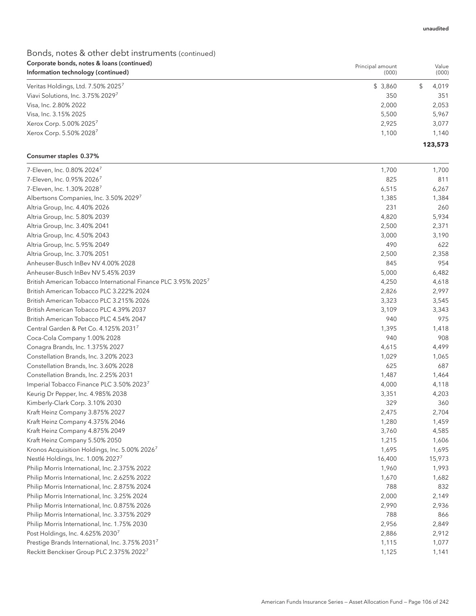## Bonds, notes & other debt instruments (continued) Corporate bonds, notes & loans (continued) Information technology (continued)

| corporate borras, notes a loans (commaca)<br>Information technology (continued) | Principal amount<br>(000) | Value<br>(000) |
|---------------------------------------------------------------------------------|---------------------------|----------------|
| Veritas Holdings, Ltd. 7.50% 2025 <sup>7</sup>                                  | \$3,860                   | 4,019          |
| Viavi Solutions, Inc. 3.75% 20297                                               | 350                       | 351            |
| Visa, Inc. 2.80% 2022                                                           | 2,000                     | 2,053          |
| Visa, Inc. 3.15% 2025                                                           | 5,500                     | 5,967          |
| Xerox Corp. 5.00% 20257                                                         | 2.925                     | 3,077          |
| Xerox Corp. 5.50% 2028 <sup>7</sup>                                             | 1,100                     | 1.140          |
|                                                                                 |                           | 123,573        |

### Consumer staples 0.37%

| 7-Eleven, Inc. 0.80% 2024 <sup>7</sup>                                     | 1,700  | 1,700  |
|----------------------------------------------------------------------------|--------|--------|
| 7-Eleven, Inc. 0.95% 2026 <sup>7</sup>                                     | 825    | 811    |
| 7-Eleven, Inc. 1.30% 2028 <sup>7</sup>                                     | 6,515  | 6,267  |
| Albertsons Companies, Inc. 3.50% 2029                                      | 1,385  | 1,384  |
| Altria Group, Inc. 4.40% 2026                                              | 231    | 260    |
| Altria Group, Inc. 5.80% 2039                                              | 4,820  | 5,934  |
| Altria Group, Inc. 3.40% 2041                                              | 2,500  | 2,371  |
| Altria Group, Inc. 4.50% 2043                                              | 3,000  | 3,190  |
| Altria Group, Inc. 5.95% 2049                                              | 490    | 622    |
| Altria Group, Inc. 3.70% 2051                                              | 2,500  | 2,358  |
| Anheuser-Busch InBev NV 4.00% 2028                                         | 845    | 954    |
| Anheuser-Busch InBey NV 5.45% 2039                                         | 5,000  | 6,482  |
| British American Tobacco International Finance PLC 3.95% 2025 <sup>7</sup> | 4,250  | 4,618  |
| British American Tobacco PLC 3.222% 2024                                   | 2,826  | 2,997  |
| British American Tobacco PLC 3.215% 2026                                   | 3,323  | 3,545  |
| British American Tobacco PLC 4.39% 2037                                    | 3,109  | 3,343  |
| British American Tobacco PLC 4.54% 2047                                    | 940    | 975    |
| Central Garden & Pet Co. 4.125% 2031 <sup>7</sup>                          | 1,395  | 1,418  |
| Coca-Cola Company 1.00% 2028                                               | 940    | 908    |
| Conagra Brands, Inc. 1.375% 2027                                           | 4,615  | 4,499  |
| Constellation Brands, Inc. 3.20% 2023                                      | 1,029  | 1,065  |
| Constellation Brands, Inc. 3.60% 2028                                      | 625    | 687    |
| Constellation Brands, Inc. 2.25% 2031                                      | 1,487  | 1,464  |
| Imperial Tobacco Finance PLC 3.50% 2023 <sup>7</sup>                       | 4,000  | 4,118  |
| Keurig Dr Pepper, Inc. 4.985% 2038                                         | 3,351  | 4,203  |
| Kimberly-Clark Corp. 3.10% 2030                                            | 329    | 360    |
| Kraft Heinz Company 3.875% 2027                                            | 2,475  | 2,704  |
| Kraft Heinz Company 4.375% 2046                                            | 1,280  | 1,459  |
| Kraft Heinz Company 4.875% 2049                                            | 3,760  | 4,585  |
| Kraft Heinz Company 5.50% 2050                                             | 1,215  | 1,606  |
| Kronos Acquisition Holdings, Inc. 5.00% 2026                               | 1,695  | 1,695  |
| Nestlé Holdings, Inc. 1.00% 2027                                           | 16,400 | 15,973 |
| Philip Morris International, Inc. 2.375% 2022                              | 1,960  | 1,993  |
| Philip Morris International, Inc. 2.625% 2022                              | 1,670  | 1,682  |
| Philip Morris International, Inc. 2.875% 2024                              | 788    | 832    |
| Philip Morris International, Inc. 3.25% 2024                               | 2,000  | 2,149  |
| Philip Morris International, Inc. 0.875% 2026                              | 2,990  | 2,936  |
| Philip Morris International, Inc. 3.375% 2029                              | 788    | 866    |
| Philip Morris International, Inc. 1.75% 2030                               | 2,956  | 2,849  |
| Post Holdings, Inc. 4.625% 2030                                            | 2,886  | 2,912  |
| Prestige Brands International, Inc. 3.75% 20317                            | 1,115  | 1,077  |
| Reckitt Benckiser Group PLC 2.375% 2022 <sup>7</sup>                       | 1,125  | 1,141  |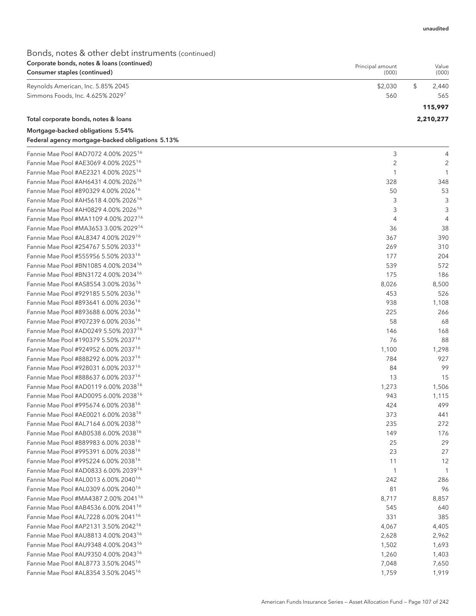Principal amount

## Bonds, notes & other debt instruments (continued) Corporate bonds, notes & loans (continued)

| Consumer staples (continued)         | (000)   | (000)       |
|--------------------------------------|---------|-------------|
| Reynolds American, Inc. 5.85% 2045   | \$2,030 | \$<br>2,440 |
| Simmons Foods, Inc. 4.625% 20297     | 560     | 565         |
|                                      |         | 115,997     |
| Total corporate bonds, notes & loans |         | 2,210,277   |
| Mortgage-backed obligations 5.54%    |         |             |

## Federal agency mortgage-backed obligations 5.13%

| Fannie Mae Pool #AD7072 4.00% 2025 <sup>16</sup>                                                     | 3     | 4     |
|------------------------------------------------------------------------------------------------------|-------|-------|
| Fannie Mae Pool #AE3069 4.00% 2025 <sup>16</sup>                                                     | 2     | 2     |
| Fannie Mae Pool #AE2321 4.00% 2025 <sup>16</sup>                                                     | 1     | -1    |
| Fannie Mae Pool #AH6431 4.00% 2026 <sup>16</sup>                                                     | 328   | 348   |
| Fannie Mae Pool #890329 4.00% 2026 <sup>16</sup>                                                     | 50    | 53    |
| Fannie Mae Pool #AH5618 4.00% 2026 <sup>16</sup>                                                     | 3     | 3     |
| Fannie Mae Pool #AH0829 4.00% 2026 <sup>16</sup>                                                     | 3     | 3     |
| Fannie Mae Pool #MA1109 4.00% 2027 <sup>16</sup>                                                     | 4     | 4     |
| Fannie Mae Pool #MA3653 3.00% 2029 <sup>16</sup>                                                     | 36    | 38    |
| Fannie Mae Pool #AL8347 4.00% 202916                                                                 | 367   | 390   |
| Fannie Mae Pool #254767 5.50% 2033 <sup>16</sup>                                                     | 269   | 310   |
| Fannie Mae Pool #555956 5.50% 2033 <sup>16</sup>                                                     | 177   | 204   |
| Fannie Mae Pool #BN1085 4.00% 2034 <sup>16</sup>                                                     | 539   | 572   |
| Fannie Mae Pool #BN3172 4.00% 2034 <sup>16</sup>                                                     | 175   | 186   |
| Fannie Mae Pool #AS8554 3.00% 2036 <sup>16</sup>                                                     | 8,026 | 8,500 |
| Fannie Mae Pool #929185 5.50% 2036 <sup>16</sup>                                                     | 453   | 526   |
| Fannie Mae Pool #893641 6.00% 2036 <sup>16</sup>                                                     | 938   | 1,108 |
| Fannie Mae Pool #893688 6.00% 2036 <sup>16</sup>                                                     | 225   | 266   |
| Fannie Mae Pool #907239 6.00% 2036 <sup>16</sup>                                                     | 58    | 68    |
| Fannie Mae Pool #AD0249 5.50% 2037 <sup>16</sup>                                                     | 146   | 168   |
| Fannie Mae Pool #190379 5.50% 2037 <sup>16</sup>                                                     | 76    | 88    |
| Fannie Mae Pool #924952 6.00% 2037 <sup>16</sup>                                                     | 1,100 | 1,298 |
| Fannie Mae Pool #888292 6.00% 2037 <sup>16</sup>                                                     | 784   | 927   |
| Fannie Mae Pool #928031 6.00% 2037 <sup>16</sup>                                                     | 84    | 99    |
| Fannie Mae Pool #888637 6.00% 2037 <sup>16</sup>                                                     | 13    | 15    |
| Fannie Mae Pool #AD0119 6.00% 2038 <sup>16</sup>                                                     | 1,273 | 1,506 |
| Fannie Mae Pool #AD0095 6.00% 2038 <sup>16</sup>                                                     | 943   | 1,115 |
| Fannie Mae Pool #995674 6.00% 2038 <sup>16</sup>                                                     | 424   | 499   |
| Fannie Mae Pool #AE0021 6.00% 2038 <sup>16</sup>                                                     | 373   | 441   |
| Fannie Mae Pool #AL7164 6.00% 2038 <sup>16</sup>                                                     | 235   | 272   |
| Fannie Mae Pool #AB0538 6.00% 2038 <sup>16</sup>                                                     | 149   | 176   |
| Fannie Mae Pool #889983 6.00% 2038 <sup>16</sup>                                                     | 25    | 29    |
| Fannie Mae Pool #995391 6.00% 2038 <sup>16</sup>                                                     | 23    | 27    |
| Fannie Mae Pool #995224 6.00% 2038 <sup>16</sup>                                                     | 11    | 12    |
| Fannie Mae Pool #AD0833 6.00% 203916                                                                 | -1    | 1     |
| Fannie Mae Pool #AL0013 6.00% 2040 <sup>16</sup>                                                     | 242   | 286   |
| Fannie Mae Pool #AL0309 6.00% 2040 <sup>16</sup>                                                     | 81    | 96    |
| Fannie Mae Pool #MA4387 2.00% 2041 <sup>16</sup>                                                     | 8,717 | 8,857 |
| Fannie Mae Pool #AB4536 6.00% 2041 <sup>16</sup>                                                     | 545   | 640   |
| Fannie Mae Pool #AL7228 6.00% 2041 <sup>16</sup>                                                     | 331   | 385   |
| Fannie Mae Pool #AP2131 3.50% 2042 <sup>16</sup>                                                     | 4,067 | 4,405 |
|                                                                                                      |       |       |
| Fannie Mae Pool #AU8813 4.00% 2043 <sup>16</sup><br>Fannie Mae Pool #AU9348 4.00% 2043 <sup>16</sup> | 2,628 | 2,962 |
| Fannie Mae Pool #AU9350 4.00% 2043 <sup>16</sup>                                                     | 1,502 | 1,693 |
| Fannie Mae Pool #AL8773 3.50% 2045 <sup>16</sup>                                                     | 1,260 | 1,403 |
|                                                                                                      | 7,048 | 7,650 |
| Fannie Mae Pool #AL8354 3.50% 2045 <sup>16</sup>                                                     | 1,759 | 1,919 |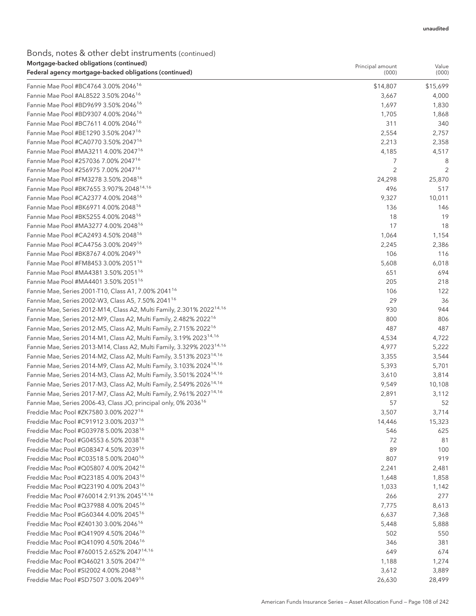## Bonds, notes & other debt instruments (continued) Mortgage-backed obligations (continued)

| mortgage backed obligations (continued<br>Federal agency mortgage-backed obligations (continued) | Principal amount<br>(000) | Value<br>(000) |
|--------------------------------------------------------------------------------------------------|---------------------------|----------------|
| Fannie Mae Pool #BC4764 3.00% 2046 <sup>16</sup>                                                 | \$14,807                  | \$15,699       |
| Fannie Mae Pool #AL8522 3.50% 2046 <sup>16</sup>                                                 | 3,667                     | 4,000          |
| Fannie Mae Pool #BD9699 3.50% 2046 <sup>16</sup>                                                 | 1,697                     | 1,830          |
| Fannie Mae Pool #BD9307 4.00% 2046 <sup>16</sup>                                                 | 1,705                     | 1,868          |
| Fannie Mae Pool #BC7611 4.00% 2046 <sup>16</sup>                                                 | 311                       | 340            |
| Fannie Mae Pool #BE1290 3.50% 2047 <sup>16</sup>                                                 | 2,554                     | 2,757          |
| Fannie Mae Pool #CA0770 3.50% 2047 <sup>16</sup>                                                 | 2,213                     | 2,358          |
| Fannie Mae Pool #MA3211 4.00% 2047 <sup>16</sup>                                                 | 4,185                     | 4,517          |
| Fannie Mae Pool #257036 7.00% 2047 <sup>16</sup>                                                 | 7                         | 8              |
| Fannie Mae Pool #256975 7.00% 2047 <sup>16</sup>                                                 | 2                         | 2              |
| Fannie Mae Pool #FM3278 3.50% 2048 <sup>16</sup>                                                 | 24,298                    | 25,870         |
| Fannie Mae Pool #BK7655 3.907% 2048 <sup>14,16</sup>                                             | 496                       | 517            |
| Fannie Mae Pool #CA2377 4.00% 2048 <sup>16</sup>                                                 | 9,327                     | 10,011         |
| Fannie Mae Pool #BK6971 4.00% 2048 <sup>16</sup>                                                 | 136                       | 146            |
| Fannie Mae Pool #BK5255 4.00% 2048 <sup>16</sup>                                                 | 18                        | 19             |
| Fannie Mae Pool #MA3277 4.00% 2048 <sup>16</sup>                                                 | 17                        | 18             |
| Fannie Mae Pool #CA2493 4.50% 2048 <sup>16</sup>                                                 | 1,064                     | 1,154          |
| Fannie Mae Pool #CA4756 3.00% 2049 <sup>16</sup>                                                 | 2,245                     | 2,386          |
| Fannie Mae Pool #BK8767 4.00% 2049 <sup>16</sup>                                                 | 106                       | 116            |
| Fannie Mae Pool #FM8453 3.00% 2051 <sup>16</sup>                                                 | 5,608                     | 6,018          |
| Fannie Mae Pool #MA4381 3.50% 2051 <sup>16</sup>                                                 | 651                       | 694            |
| Fannie Mae Pool #MA4401 3.50% 2051 <sup>16</sup>                                                 | 205                       | 218            |
| Fannie Mae, Series 2001-T10, Class A1, 7.00% 2041 <sup>16</sup>                                  | 106                       | 122            |
| Fannie Mae, Series 2002-W3, Class A5, 7.50% 2041 <sup>16</sup>                                   | 29                        | 36             |
| Fannie Mae, Series 2012-M14, Class A2, Multi Family, 2.301% 2022 <sup>14,16</sup>                | 930                       | 944            |
| Fannie Mae, Series 2012-M9, Class A2, Multi Family, 2.482% 2022 <sup>16</sup>                    | 800                       | 806            |
| Fannie Mae, Series 2012-M5, Class A2, Multi Family, 2.715% 2022 <sup>16</sup>                    | 487                       | 487            |
| Fannie Mae, Series 2014-M1, Class A2, Multi Family, 3.19% 2023 <sup>14,16</sup>                  | 4,534                     | 4,722          |
| Fannie Mae, Series 2013-M14, Class A2, Multi Family, 3.329% 2023 <sup>14,16</sup>                | 4,977                     | 5,222          |
| Fannie Mae, Series 2014-M2, Class A2, Multi Family, 3.513% 2023 <sup>14,16</sup>                 | 3,355                     | 3,544          |
| Fannie Mae, Series 2014-M9, Class A2, Multi Family, 3.103% 2024 <sup>14,16</sup>                 | 5,393                     | 5,701          |
| Fannie Mae, Series 2014-M3, Class A2, Multi Family, 3.501% 2024 <sup>14,16</sup>                 | 3,610                     | 3,814          |
| Fannie Mae, Series 2017-M3, Class A2, Multi Family, 2.549% 2026 <sup>14,16</sup>                 | 9,549                     | 10,108         |
| Fannie Mae, Series 2017-M7, Class A2, Multi Family, 2.961% 2027 <sup>14,16</sup>                 | 2,891                     | 3,112          |
| Fannie Mae, Series 2006-43, Class JO, principal only, 0% 2036 <sup>16</sup>                      | 57                        | 52             |
| Freddie Mac Pool #ZK7580 3.00% 2027 <sup>16</sup>                                                | 3,507                     | 3,714          |
| Freddie Mac Pool #C91912 3.00% 2037 <sup>16</sup>                                                | 14,446                    | 15,323         |
| Freddie Mac Pool #G03978 5.00% 2038 <sup>16</sup>                                                | 546                       | 625            |
| Freddie Mac Pool #G04553 6.50% 2038 <sup>16</sup>                                                | 72                        | 81             |
| Freddie Mac Pool #G08347 4.50% 203916                                                            | 89                        | 100            |
| Freddie Mac Pool #C03518 5.00% 2040 <sup>16</sup>                                                | 807                       | 919            |
| Freddie Mac Pool #Q05807 4.00% 2042 <sup>16</sup>                                                | 2,241                     | 2,481          |
| Freddie Mac Pool #Q23185 4.00% 2043 <sup>16</sup>                                                | 1,648                     | 1,858          |
| Freddie Mac Pool #Q23190 4.00% 2043 <sup>16</sup>                                                | 1,033                     | 1,142          |
| Freddie Mac Pool #760014 2.913% 2045 <sup>14,16</sup>                                            | 266                       | 277            |
| Freddie Mac Pool #Q37988 4.00% 2045 <sup>16</sup>                                                | 7,775                     | 8,613          |
| Freddie Mac Pool #G60344 4.00% 2045 <sup>16</sup>                                                | 6,637                     | 7,368          |
| Freddie Mac Pool #Z40130 3.00% 2046 <sup>16</sup>                                                | 5,448                     | 5,888          |
| Freddie Mac Pool #Q41909 4.50% 2046 <sup>16</sup>                                                | 502                       | 550            |
| Freddie Mac Pool #Q41090 4.50% 2046 <sup>16</sup>                                                | 346                       | 381            |
| Freddie Mac Pool #760015 2.652% 2047 <sup>14,16</sup>                                            | 649                       | 674            |
| Freddie Mac Pool #Q46021 3.50% 2047 <sup>16</sup>                                                | 1,188                     | 1,274          |
| Freddie Mac Pool #SI2002 4.00% 2048 <sup>16</sup>                                                | 3,612                     | 3,889          |
| Freddie Mac Pool #SD7507 3.00% 2049 <sup>16</sup>                                                | 26,630                    | 28,499         |
|                                                                                                  |                           |                |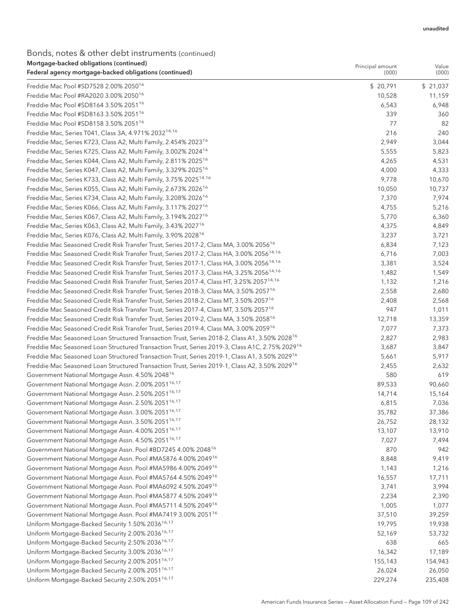#### Bonds, notes & other debt instruments (continued) Mortgage-backed obligations (continued)

| mongage backed obligations (commaca)<br>Federal agency mortgage-backed obligations (continued)             | Principal amount<br>(000) | Value<br>(000) |
|------------------------------------------------------------------------------------------------------------|---------------------------|----------------|
| Freddie Mac Pool #SD7528 2.00% 2050 <sup>16</sup>                                                          | \$20,791                  | \$21,037       |
| Freddie Mac Pool #RA2020 3.00% 2050 <sup>16</sup>                                                          | 10,528                    | 11,159         |
| Freddie Mac Pool #SD8164 3.50% 2051 <sup>16</sup>                                                          | 6,543                     | 6,948          |
| Freddie Mac Pool #SD8163 3.50% 2051 <sup>16</sup>                                                          | 339                       | 360            |
| Freddie Mac Pool #SD8158 3.50% 2051 <sup>16</sup>                                                          | 77                        | 82             |
| Freddie Mac, Series T041, Class 3A, 4.971% 2032 <sup>14,16</sup>                                           | 216                       | 240            |
| Freddie Mac, Series K723, Class A2, Multi Family, 2.454% 2023 <sup>16</sup>                                | 2,949                     | 3,044          |
| Freddie Mac, Series K725, Class A2, Multi Family, 3.002% 2024 <sup>16</sup>                                | 5,555                     | 5,823          |
| Freddie Mac, Series K044, Class A2, Multi Family, 2.811% 2025 <sup>16</sup>                                | 4,265                     | 4,531          |
| Freddie Mac, Series K047, Class A2, Multi Family, 3.329% 2025 <sup>16</sup>                                | 4,000                     | 4,333          |
| Freddie Mac, Series K733, Class A2, Multi Family, 3.75% 2025 <sup>14,16</sup>                              | 9,778                     | 10,670         |
| Freddie Mac, Series K055, Class A2, Multi Family, 2.673% 2026 <sup>16</sup>                                | 10,050                    | 10,737         |
| Freddie Mac, Series K734, Class A2, Multi Family, 3.208% 2026 <sup>16</sup>                                | 7,370                     | 7,974          |
| Freddie Mac, Series K066, Class A2, Multi Family, 3.117% 2027 <sup>16</sup>                                | 4,755                     | 5,216          |
| Freddie Mac, Series K067, Class A2, Multi Family, 3.194% 2027 <sup>16</sup>                                | 5,770                     | 6,360          |
| Freddie Mac, Series K063, Class A2, Multi Family, 3.43% 2027 <sup>16</sup>                                 | 4,375                     | 4,849          |
| Freddie Mac, Series K076, Class A2, Multi Family, 3.90% 2028 <sup>16</sup>                                 | 3,237                     | 3,721          |
| Freddie Mac Seasoned Credit Risk Transfer Trust, Series 2017-2, Class MA, 3.00% 2056 <sup>16</sup>         | 6,834                     | 7,123          |
| Freddie Mac Seasoned Credit Risk Transfer Trust, Series 2017-2, Class HA, 3.00% 2056 <sup>14,16</sup>      | 6,716                     | 7,003          |
| Freddie Mac Seasoned Credit Risk Transfer Trust, Series 2017-1, Class HA, 3.00% 2056 <sup>14,16</sup>      | 3,381                     | 3,524          |
| Freddie Mac Seasoned Credit Risk Transfer Trust, Series 2017-3, Class HA, 3.25% 2056 <sup>14,16</sup>      | 1,482                     | 1,549          |
| Freddie Mac Seasoned Credit Risk Transfer Trust, Series 2017-4, Class HT, 3.25% 2057 <sup>14,16</sup>      | 1,132                     | 1,216          |
| Freddie Mac Seasoned Credit Risk Transfer Trust, Series 2018-3, Class MA, 3.50% 2057 <sup>16</sup>         | 2,558                     | 2,680          |
| Freddie Mac Seasoned Credit Risk Transfer Trust, Series 2018-2, Class MT, 3.50% 2057 <sup>16</sup>         | 2,408                     | 2,568          |
| Freddie Mac Seasoned Credit Risk Transfer Trust, Series 2017-4, Class MT, 3.50% 2057 <sup>16</sup>         | 947                       | 1,011          |
| Freddie Mac Seasoned Credit Risk Transfer Trust, Series 2019-2, Class MA, 3.50% 2058 <sup>16</sup>         | 12,718                    | 13,359         |
| Freddie Mac Seasoned Credit Risk Transfer Trust, Series 2019-4, Class MA, 3.00% 2059 <sup>16</sup>         | 7,077                     | 7,373          |
| Freddie Mac Seasoned Loan Structured Transaction Trust, Series 2018-2, Class A1, 3.50% 2028 <sup>16</sup>  | 2,827                     | 2,983          |
| Freddie Mac Seasoned Loan Structured Transaction Trust, Series 2019-3, Class A1C, 2.75% 2029 <sup>16</sup> | 3,687                     | 3,847          |
| Freddie Mac Seasoned Loan Structured Transaction Trust, Series 2019-1, Class A1, 3.50% 2029 <sup>16</sup>  | 5,661                     | 5,917          |
| Freddie Mac Seasoned Loan Structured Transaction Trust, Series 2019-1, Class A2, 3.50% 2029 <sup>16</sup>  | 2,455                     | 2,632          |
| Government National Mortgage Assn. 4.50% 2048 <sup>16</sup>                                                | 580                       | 619            |
| Government National Mortgage Assn. 2.00% 2051 <sup>16,17</sup>                                             | 89,533                    | 90,660         |
| Government National Mortgage Assn. 2.50% 2051 <sup>16,17</sup>                                             | 14,714                    | 15,164         |
| Government National Mortgage Assn. 2.50% 2051 <sup>16,17</sup>                                             | 6,815                     | 7,036          |
| Government National Mortgage Assn. 3.00% 2051 <sup>16,17</sup>                                             | 35,782                    | 37,386         |
| Government National Mortgage Assn. 3.50% 2051 <sup>16,17</sup>                                             | 26,752                    | 28,132         |
| Government National Mortgage Assn. 4.00% 2051 <sup>16,17</sup>                                             | 13,107                    | 13,910         |
| Government National Mortgage Assn. 4.50% 2051 <sup>16,17</sup>                                             | 7,027                     | 7,494          |
| Government National Mortgage Assn. Pool #BD7245 4.00% 2048 <sup>16</sup>                                   | 870                       | 942            |
| Government National Mortgage Assn. Pool #MA5876 4.00% 2049 <sup>16</sup>                                   | 8,848                     | 9,419          |
| Government National Mortgage Assn. Pool #MA5986 4.00% 2049 <sup>16</sup>                                   | 1,143                     | 1,216          |
| Government National Mortgage Assn. Pool #MA5764 4.50% 2049 <sup>16</sup>                                   | 16,557                    | 17,711         |
| Government National Mortgage Assn. Pool #MA6092 4.50% 2049 <sup>16</sup>                                   | 3,741                     | 3,994          |
| Government National Mortgage Assn. Pool #MA5877 4.50% 2049 <sup>16</sup>                                   | 2,234                     | 2,390          |
| Government National Mortgage Assn. Pool #MA5711 4.50% 2049 <sup>16</sup>                                   | 1,005                     | 1,077          |
| Government National Mortgage Assn. Pool #MA7419 3.00% 2051 <sup>16</sup>                                   | 37,510                    | 39,259         |
| Uniform Mortgage-Backed Security 1.50% 2036 <sup>16,17</sup>                                               | 19,795                    | 19,938         |
| Uniform Mortgage-Backed Security 2.00% 2036 <sup>16,17</sup>                                               | 52,169                    | 53,732         |
| Uniform Mortgage-Backed Security 2.50% 2036 <sup>16,17</sup>                                               | 638                       | 665            |
| Uniform Mortgage-Backed Security 3.00% 2036 <sup>16,17</sup>                                               | 16,342                    | 17,189         |
| Uniform Mortgage-Backed Security 2.00% 2051 <sup>16,17</sup>                                               | 155,143                   | 154,943        |
| Uniform Mortgage-Backed Security 2.00% 2051 <sup>16,17</sup>                                               | 26,024                    | 26,050         |
| Uniform Mortgage-Backed Security 2.50% 2051 <sup>16,17</sup>                                               | 229,274                   | 235,408        |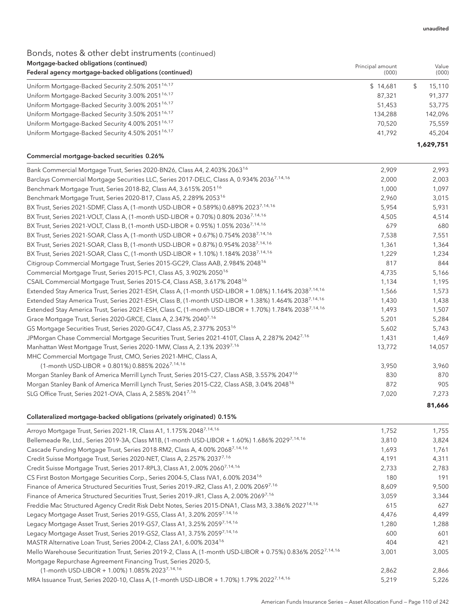**81,666**

## Bonds, notes & other debt instruments (continued)

| Mortgage-backed obligations (continued)<br>Federal agency mortgage-backed obligations (continued) | Principal amount<br>(000) | Value<br>(000) |
|---------------------------------------------------------------------------------------------------|---------------------------|----------------|
| Uniform Mortgage-Backed Security 2.50% 2051 <sup>16,17</sup>                                      | \$14,681                  | 15.110         |
| Uniform Mortgage-Backed Security 3.00% 2051 <sup>16,17</sup>                                      | 87,321                    | 91.377         |
| Uniform Mortgage-Backed Security 3.00% 2051 <sup>16,17</sup>                                      | 51,453                    | 53,775         |
| Uniform Mortgage-Backed Security 3.50% 2051 <sup>16,17</sup>                                      | 134,288                   | 142.096        |
| Uniform Mortgage-Backed Security 4.00% 2051 <sup>16,17</sup>                                      | 70.520                    | 75,559         |
| Uniform Mortgage-Backed Security 4.50% 2051 <sup>16,17</sup>                                      | 41.792                    | 45,204         |
|                                                                                                   |                           | 1.629.751      |

#### Commercial mortgage-backed securities 0.26%

| Bank Commercial Mortgage Trust, Series 2020-BN26, Class A4, 2.403% 2063 <sup>16</sup>                             | 2,909  | 2,993  |
|-------------------------------------------------------------------------------------------------------------------|--------|--------|
| Barclays Commercial Mortgage Securities LLC, Series 2017-DELC, Class A, 0.934% 20367,14,16                        | 2,000  | 2,003  |
| Benchmark Mortgage Trust, Series 2018-B2, Class A4, 3.615% 2051 <sup>16</sup>                                     | 1,000  | 1,097  |
| Benchmark Mortgage Trust, Series 2020-B17, Class A5, 2.289% 2053 <sup>16</sup>                                    | 2,960  | 3,015  |
| BX Trust, Series 2021-SDMF, Class A, (1-month USD-LIBOR + 0.589%) 0.689% 2023 <sup>7,14,16</sup>                  | 5,954  | 5,931  |
| BX Trust, Series 2021-VOLT, Class A, (1-month USD-LIBOR + 0.70%) 0.80% 2036 <sup>7,14,16</sup>                    | 4,505  | 4,514  |
| BX Trust, Series 2021-VOLT, Class B, (1-month USD-LIBOR + 0.95%) 1.05% 2036 <sup>7,14,16</sup>                    | 679    | 680    |
| BX Trust, Series 2021-SOAR, Class A, (1-month USD-LIBOR + 0.67%) 0.754% 2038 <sup>7,14,16</sup>                   | 7,538  | 7,551  |
| BX Trust, Series 2021-SOAR, Class B, (1-month USD-LIBOR + 0.87%) 0.954% 20387,14,16                               | 1,361  | 1,364  |
| BX Trust, Series 2021-SOAR, Class C, (1-month USD-LIBOR + 1.10%) 1.184% 20387,14,16                               | 1,229  | 1,234  |
| Citigroup Commercial Mortgage Trust, Series 2015-GC29, Class AAB, 2.984% 2048 <sup>16</sup>                       | 817    | 844    |
| Commercial Mortgage Trust, Series 2015-PC1, Class A5, 3.902% 2050 <sup>16</sup>                                   | 4,735  | 5,166  |
| CSAIL Commercial Mortgage Trust, Series 2015-C4, Class ASB, 3.617% 2048 <sup>16</sup>                             | 1,134  | 1,195  |
| Extended Stay America Trust, Series 2021-ESH, Class A, (1-month USD-LIBOR + 1.08%) 1.164% 20387.14.16             | 1,566  | 1,573  |
| Extended Stay America Trust, Series 2021-ESH, Class B, (1-month USD-LIBOR + 1.38%) 1.464% 2038 <sup>7,14,16</sup> | 1,430  | 1,438  |
| Extended Stay America Trust, Series 2021-ESH, Class C, (1-month USD-LIBOR + 1.70%) 1.784% 2038 <sup>7,14,16</sup> | 1,493  | 1,507  |
| Grace Mortgage Trust, Series 2020-GRCE, Class A, 2.347% 2040 <sup>7,16</sup>                                      | 5,201  | 5,284  |
| GS Mortgage Securities Trust, Series 2020-GC47, Class A5, 2.377% 2053 <sup>16</sup>                               | 5,602  | 5,743  |
| JPMorgan Chase Commercial Mortgage Securities Trust, Series 2021-410T, Class A, 2.287% 20427.16                   | 1,431  | 1,469  |
| Manhattan West Mortgage Trust, Series 2020-1MW, Class A, 2.13% 2039 <sup>7,16</sup>                               | 13,772 | 14,057 |
| MHC Commercial Mortgage Trust, CMO, Series 2021-MHC, Class A,                                                     |        |        |
| (1-month USD-LIBOR + 0.801%) 0.885% 2026 <sup>7,14,16</sup>                                                       | 3,950  | 3,960  |
| Morgan Stanley Bank of America Merrill Lynch Trust, Series 2015-C27, Class ASB, 3.557% 2047 <sup>16</sup>         | 830    | 870    |
| Morgan Stanley Bank of America Merrill Lynch Trust, Series 2015-C22, Class ASB, 3.04% 2048 <sup>16</sup>          | 872    | 905    |
| SLG Office Trust, Series 2021-OVA, Class A, 2.585% 2041 <sup>7,16</sup>                                           | 7,020  | 7,273  |
|                                                                                                                   |        |        |

#### Collateralized mortgage-backed obligations (privately originated) 0.15%

| Arroyo Mortgage Trust, Series 2021-1R, Class A1, 1.175% 20487,14,16                                                      | 1,752 | 1,755 |
|--------------------------------------------------------------------------------------------------------------------------|-------|-------|
| Bellemeade Re, Ltd., Series 2019-3A, Class M1B, (1-month USD-LIBOR + 1.60%) 1.686% 2029 <sup>7,14,16</sup>               | 3,810 | 3,824 |
| Cascade Funding Mortgage Trust, Series 2018-RM2, Class A, 4.00% 20687,14,16                                              | 1,693 | 1,761 |
| Credit Suisse Mortgage Trust, Series 2020-NET, Class A, 2.257% 20377,16                                                  | 4,191 | 4,311 |
| Credit Suisse Mortgage Trust, Series 2017-RPL3, Class A1, 2.00% 2060 <sup>7,14,16</sup>                                  | 2,733 | 2,783 |
| CS First Boston Mortgage Securities Corp., Series 2004-5, Class IVA1, 6.00% 2034 <sup>16</sup>                           | 180   | 191   |
| Finance of America Structured Securities Trust, Series 2019-JR2, Class A1, 2.00% 20697.16                                | 8,609 | 9,500 |
| Finance of America Structured Securities Trust, Series 2019-JR1, Class A, 2.00% 2069 <sup>7,16</sup>                     | 3.059 | 3.344 |
| Freddie Mac Structured Agency Credit Risk Debt Notes, Series 2015-DNA1, Class M3, 3.386% 2027 <sup>14,16</sup>           | 615   | 627   |
| Legacy Mortgage Asset Trust, Series 2019-GS5, Class A1, 3.20% 20597,14,16                                                | 4,476 | 4,499 |
| Legacy Mortgage Asset Trust, Series 2019-GS7, Class A1, 3.25% 20597,14,16                                                | 1,280 | 1,288 |
| Legacy Mortgage Asset Trust, Series 2019-GS2, Class A1, 3.75% 20597,14,16                                                | 600   | 601   |
| MASTR Alternative Loan Trust, Series 2004-2, Class 2A1, 6.00% 2034 <sup>16</sup>                                         | 404   | 421   |
| Mello Warehouse Securitization Trust, Series 2019-2, Class A, (1-month USD-LIBOR + 0.75%) 0.836% 2052 <sup>7,14,16</sup> | 3.001 | 3.005 |
| Mortgage Repurchase Agreement Financing Trust, Series 2020-5,                                                            |       |       |
| (1-month USD-LIBOR + 1.00%) 1.085% 2023 <sup>7,14,16</sup>                                                               | 2,862 | 2,866 |
| MRA Issuance Trust, Series 2020-10, Class A, (1-month USD-LIBOR + 1.70%) 1.79% 2022 <sup>7,14,16</sup>                   | 5,219 | 5,226 |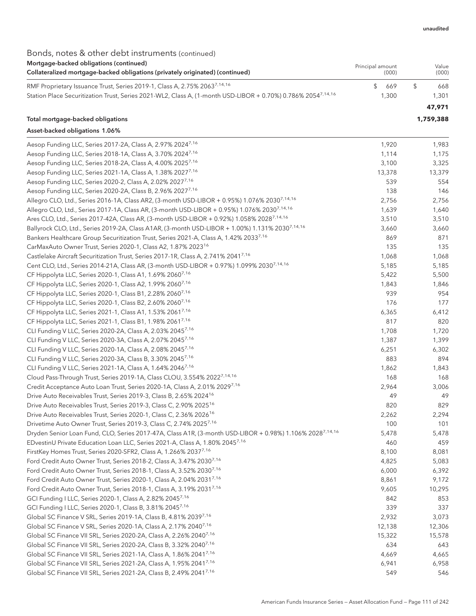### Bonds, notes & other debt instruments (continued)

| Mortgage-backed obligations (continued)<br>Collateralized mortgage-backed obligations (privately originated) (continued) | Principal amount | (000) | Value<br>(000) |
|--------------------------------------------------------------------------------------------------------------------------|------------------|-------|----------------|
| RMF Proprietary Issuance Trust, Series 2019-1, Class A, 2.75% 2063 <sup>7,14,16</sup>                                    |                  | 669   | 668            |
| Station Place Securitization Trust, Series 2021-WL2, Class A, (1-month USD-LIBOR + 0.70%) 0.786% 2054 <sup>7,14,16</sup> |                  | 1.300 | 1.301          |
|                                                                                                                          |                  |       | 47.971         |

#### Total mortgage-backed obligations **1,759,388**

#### Asset-backed obligations 1.06%

| Aesop Funding LLC, Series 2017-2A, Class A, 2.97% 2024 <sup>7,16</sup>                                               | 1,920  | 1,983  |
|----------------------------------------------------------------------------------------------------------------------|--------|--------|
| Aesop Funding LLC, Series 2018-1A, Class A, 3.70% 2024 <sup>7,16</sup>                                               | 1,114  | 1,175  |
| Aesop Funding LLC, Series 2018-2A, Class A, 4.00% 20257,16                                                           | 3,100  | 3,325  |
| Aesop Funding LLC, Series 2021-1A, Class A, 1.38% 2027 <sup>7,16</sup>                                               | 13,378 | 13,379 |
| Aesop Funding LLC, Series 2020-2, Class A, 2.02% 2027 <sup>7,16</sup>                                                | 539    | 554    |
| Aesop Funding LLC, Series 2020-2A, Class B, 2.96% 2027 <sup>7,16</sup>                                               | 138    | 146    |
| Allegro CLO, Ltd., Series 2016-1A, Class AR2, (3-month USD-LIBOR + 0.95%) 1.076% 2030 <sup>7,14,16</sup>             | 2,756  | 2,756  |
| Allegro CLO, Ltd., Series 2017-1A, Class AR, (3-month USD-LIBOR + 0.95%) 1.076% 2030 <sup>7,14,16</sup>              | 1,639  | 1,640  |
| Ares CLO, Ltd., Series 2017-42A, Class AR, (3-month USD-LIBOR + 0.92%) 1.058% 2028 <sup>7,14,16</sup>                | 3,510  | 3,510  |
| Ballyrock CLO, Ltd., Series 2019-2A, Class A1AR, (3-month USD-LIBOR + 1.00%) 1.131% 2030 <sup>7,14,16</sup>          | 3,660  | 3,660  |
| Bankers Healthcare Group Securitization Trust, Series 2021-A, Class A, 1.42% 2033 <sup>7,16</sup>                    | 869    | 871    |
| CarMaxAuto Owner Trust, Series 2020-1, Class A2, 1.87% 2023 <sup>16</sup>                                            | 135    | 135    |
| Castlelake Aircraft Securitization Trust, Series 2017-1R, Class A, 2.741% 20417,16                                   | 1,068  | 1,068  |
| Cent CLO, Ltd., Series 2014-21A, Class AR, (3-month USD-LIBOR + 0.97%) 1.099% 2030 <sup>7,14,16</sup>                | 5,185  | 5,185  |
| CF Hippolyta LLC, Series 2020-1, Class A1, 1.69% 2060 <sup>7,16</sup>                                                | 5,422  | 5,500  |
| CF Hippolyta LLC, Series 2020-1, Class A2, 1.99% 20607,16                                                            | 1,843  | 1,846  |
| CF Hippolyta LLC, Series 2020-1, Class B1, 2.28% 2060 <sup>7,16</sup>                                                | 939    | 954    |
| CF Hippolyta LLC, Series 2020-1, Class B2, 2.60% 2060 <sup>7,16</sup>                                                | 176    | 177    |
| CF Hippolyta LLC, Series 2021-1, Class A1, 1.53% 2061 <sup>7,16</sup>                                                | 6,365  | 6,412  |
| CF Hippolyta LLC, Series 2021-1, Class B1, 1.98% 2061 <sup>7,16</sup>                                                | 817    | 820    |
| CLI Funding V LLC, Series 2020-2A, Class A, 2.03% 2045 <sup>7,16</sup>                                               | 1,708  | 1,720  |
| CLI Funding V LLC, Series 2020-3A, Class A, 2.07% 2045 <sup>7,16</sup>                                               | 1,387  | 1,399  |
| CLI Funding V LLC, Series 2020-1A, Class A, 2.08% 2045 <sup>7,16</sup>                                               | 6,251  | 6,302  |
| CLI Funding V LLC, Series 2020-3A, Class B, 3.30% 2045 <sup>7,16</sup>                                               | 883    | 894    |
| CLI Funding V LLC, Series 2021-1A, Class A, 1.64% 2046 <sup>7,16</sup>                                               | 1,862  | 1,843  |
| Cloud Pass-Through Trust, Series 2019-1A, Class CLOU, 3.554% 2022 <sup>7,14,16</sup>                                 | 168    | 168    |
| Credit Acceptance Auto Loan Trust, Series 2020-1A, Class A, 2.01% 20297,16                                           | 2,964  | 3,006  |
| Drive Auto Receivables Trust, Series 2019-3, Class B, 2.65% 2024 <sup>16</sup>                                       | 49     | 49     |
| Drive Auto Receivables Trust, Series 2019-3, Class C, 2.90% 2025 <sup>16</sup>                                       | 820    | 829    |
| Drive Auto Receivables Trust, Series 2020-1, Class C, 2.36% 2026 <sup>16</sup>                                       | 2,262  | 2,294  |
| Drivetime Auto Owner Trust, Series 2019-3, Class C, 2.74% 2025 <sup>7,16</sup>                                       | 100    | 101    |
| Dryden Senior Loan Fund, CLO, Series 2017-47A, Class A1R, (3-month USD-LIBOR + 0.98%) 1.106% 2028 <sup>7,14,16</sup> | 5,478  | 5,478  |
| EDvestinU Private Education Loan LLC, Series 2021-A, Class A, 1.80% 20457,16                                         | 460    | 459    |
| FirstKey Homes Trust, Series 2020-SFR2, Class A, 1.266% 2037 <sup>7,16</sup>                                         | 8,100  | 8,081  |
| Ford Credit Auto Owner Trust, Series 2018-2, Class A, 3.47% 2030 <sup>7,16</sup>                                     | 4,825  | 5,083  |
| Ford Credit Auto Owner Trust, Series 2018-1, Class A, 3.52% 2030 <sup>7,16</sup>                                     | 6,000  | 6,392  |
| Ford Credit Auto Owner Trust, Series 2020-1, Class A, 2.04% 20317,16                                                 | 8,861  | 9,172  |
| Ford Credit Auto Owner Trust, Series 2018-1, Class A, 3.19% 2031 <sup>7,16</sup>                                     | 9,605  | 10,295 |
| GCI Funding I LLC, Series 2020-1, Class A, 2.82% 20457,16                                                            | 842    | 853    |
| GCI Funding I LLC, Series 2020-1, Class B, 3.81% 2045 <sup>7,16</sup>                                                | 339    | 337    |
| Global SC Finance V SRL, Series 2019-1A, Class B, 4.81% 20397,16                                                     | 2,932  | 3,073  |
| Global SC Finance V SRL, Series 2020-1A, Class A, 2.17% 2040 <sup>7,16</sup>                                         | 12,138 | 12,306 |
| Global SC Finance VII SRL, Series 2020-2A, Class A, 2.26% 2040 <sup>7,16</sup>                                       | 15,322 | 15,578 |
| Global SC Finance VII SRL, Series 2020-2A, Class B, 3.32% 2040 <sup>7,16</sup>                                       | 634    | 643    |
| Global SC Finance VII SRL, Series 2021-1A, Class A, 1.86% 2041 <sup>7,16</sup>                                       | 4,669  | 4,665  |
| Global SC Finance VII SRL, Series 2021-2A, Class A, 1.95% 2041 <sup>7,16</sup>                                       | 6,941  | 6,958  |
| Global SC Finance VII SRL, Series 2021-2A, Class B, 2.49% 2041 <sup>7,16</sup>                                       | 549    | 546    |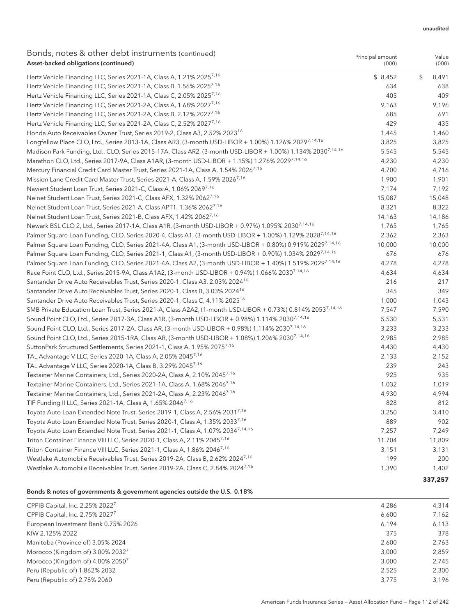#### unaudited

Value

Principal amount

#### Bonds, notes & other debt instruments (continued) Asset-backed obligations (continued)

| Asset-backed obligations (continued)                                                                                    | (000)   | (000)       |
|-------------------------------------------------------------------------------------------------------------------------|---------|-------------|
| Hertz Vehicle Financing LLC, Series 2021-1A, Class A, 1.21% 2025 <sup>7,16</sup>                                        | \$8,452 | \$<br>8,491 |
| Hertz Vehicle Financing LLC, Series 2021-1A, Class B, 1.56% 2025 <sup>7,16</sup>                                        | 634     | 638         |
| Hertz Vehicle Financing LLC, Series 2021-1A, Class C, 2.05% 2025 <sup>7,16</sup>                                        | 405     | 409         |
| Hertz Vehicle Financing LLC, Series 2021-2A, Class A, 1.68% 2027 <sup>7,16</sup>                                        | 9,163   | 9,196       |
| Hertz Vehicle Financing LLC, Series 2021-2A, Class B, 2.12% 2027 <sup>7,16</sup>                                        | 685     | 691         |
| Hertz Vehicle Financing LLC, Series 2021-2A, Class C, 2.52% 2027 <sup>7,16</sup>                                        | 429     | 435         |
| Honda Auto Receivables Owner Trust, Series 2019-2, Class A3, 2.52% 2023 <sup>16</sup>                                   | 1,445   | 1,460       |
| Longfellow Place CLO, Ltd., Series 2013-1A, Class AR3, (3-month USD-LIBOR + 1.00%) 1.126% 20297.14.16                   | 3,825   | 3,825       |
| Madison Park Funding, Ltd., CLO, Series 2015-17A, Class AR2, (3-month USD-LIBOR + 1.00%) 1.134% 2030 <sup>7,14,16</sup> | 5,545   | 5,545       |
| Marathon CLO, Ltd., Series 2017-9A, Class A1AR, (3-month USD-LIBOR + 1.15%) 1.276% 20297,14,16                          | 4,230   | 4,230       |
| Mercury Financial Credit Card Master Trust, Series 2021-1A, Class A, 1.54% 2026 <sup>7,16</sup>                         | 4,700   | 4,716       |
| Mission Lane Credit Card Master Trust, Series 2021-A, Class A, 1.59% 2026 <sup>7,16</sup>                               | 1,900   | 1,901       |
| Navient Student Loan Trust, Series 2021-C, Class A, 1.06% 2069 <sup>7,16</sup>                                          | 7,174   | 7,192       |
| Nelnet Student Loan Trust, Series 2021-C, Class AFX, 1.32% 2062 <sup>7,16</sup>                                         | 15,087  | 15,048      |
| Nelnet Student Loan Trust, Series 2021-A, Class APT1, 1.36% 2062 <sup>7,16</sup>                                        | 8,321   | 8,322       |
| Nelnet Student Loan Trust, Series 2021-B, Class AFX, 1.42% 2062 <sup>7,16</sup>                                         | 14,163  | 14,186      |
| Newark BSL CLO 2, Ltd., Series 2017-1A, Class A1R, (3-month USD-LIBOR + 0.97%) 1.095% 2030 <sup>7,14,16</sup>           | 1,765   | 1,765       |
| Palmer Square Loan Funding, CLO, Series 2020-4, Class A1, (3-month USD-LIBOR + 1.00%) 1.129% 2028 <sup>7,14,16</sup>    | 2,362   | 2,363       |
| Palmer Square Loan Funding, CLO, Series 2021-4A, Class A1, (3-month USD-LIBOR + 0.80%) 0.919% 2029 <sup>7,14,16</sup>   | 10,000  | 10,000      |
| Palmer Square Loan Funding, CLO, Series 2021-1, Class A1, (3-month USD-LIBOR + 0.90%) 1.034% 20297.14.16                | 676     | 676         |
| Palmer Square Loan Funding, CLO, Series 2021-4A, Class A2, (3-month USD-LIBOR + 1.40%) 1.519% 20297.14.16               | 4,278   | 4,278       |
| Race Point CLO, Ltd., Series 2015-9A, Class A1A2, (3-month USD-LIBOR + 0.94%) 1.066% 2030 <sup>7,14,16</sup>            | 4,634   | 4,634       |
| Santander Drive Auto Receivables Trust, Series 2020-1, Class A3, 2.03% 2024 <sup>16</sup>                               | 216     | 217         |
| Santander Drive Auto Receivables Trust, Series 2020-1, Class B, 3.03% 2024 <sup>16</sup>                                | 345     | 349         |
| Santander Drive Auto Receivables Trust, Series 2020-1, Class C, 4.11% 2025 <sup>16</sup>                                | 1,000   | 1,043       |
| SMB Private Education Loan Trust, Series 2021-A, Class A2A2, (1-month USD-LIBOR + 0.73%) 0.814% 20537.14.16             | 7,547   | 7,590       |
| Sound Point CLO, Ltd., Series 2017-3A, Class A1R, (3-month USD-LIBOR + 0.98%) 1.114% 2030 <sup>7,14,16</sup>            | 5,530   | 5,531       |
| Sound Point CLO, Ltd., Series 2017-2A, Class AR, (3-month USD-LIBOR + 0.98%) 1.114% 2030 <sup>7,14,16</sup>             | 3,233   | 3,233       |
| Sound Point CLO, Ltd., Series 2015-1RA, Class AR, (3-month USD-LIBOR + 1.08%) 1.206% 2030 <sup>7,14,16</sup>            | 2,985   | 2,985       |
| SuttonPark Structured Settlements, Series 2021-1, Class A, 1.95% 20757,16                                               | 4,430   | 4,430       |
| TAL Advantage V LLC, Series 2020-1A, Class A, 2.05% 2045 <sup>7,16</sup>                                                | 2,133   | 2,152       |
| TAL Advantage V LLC, Series 2020-1A, Class B, 3.29% 2045 <sup>7,16</sup>                                                | 239     | 243         |
| Textainer Marine Containers, Ltd., Series 2020-2A, Class A, 2.10% 20457,16                                              | 925     | 935         |
| Textainer Marine Containers, Ltd., Series 2021-1A, Class A, 1.68% 2046 <sup>7,16</sup>                                  | 1,032   | 1,019       |
| Textainer Marine Containers, Ltd., Series 2021-2A, Class A, 2.23% 20467,16                                              | 4,930   | 4,994       |
| TIF Funding II LLC, Series 2021-1A, Class A, 1.65% 2046 <sup>7,16</sup>                                                 | 828     | 812         |
| Toyota Auto Loan Extended Note Trust, Series 2019-1, Class A, 2.56% 2031 <sup>7,16</sup>                                | 3,250   | 3,410       |
| Toyota Auto Loan Extended Note Trust, Series 2020-1, Class A, 1.35% 20337,16                                            | 889     | 902         |
| Toyota Auto Loan Extended Note Trust, Series 2021-1, Class A, 1.07% 20347,14,16                                         | 7,257   | 7,249       |
| Triton Container Finance VIII LLC, Series 2020-1, Class A, 2.11% 20457,16                                               | 11,704  | 11,809      |
| Triton Container Finance VIII LLC, Series 2021-1, Class A, 1.86% 2046 <sup>7,16</sup>                                   | 3,151   | 3,131       |
| Westlake Automobile Receivables Trust, Series 2019-2A, Class B, 2.62% 20247,16                                          | 199     | 200         |
| Westlake Automobile Receivables Trust, Series 2019-2A, Class C, 2.84% 20247,16                                          | 1,390   | 1,402       |
|                                                                                                                         |         | 337,257     |

#### Bonds & notes of governments & government agencies outside the U.S. 0.18%

| CPPIB Capital, Inc. 2.25% 2022 <sup>7</sup>  | 4.286 | 4,314 |
|----------------------------------------------|-------|-------|
| CPPIB Capital, Inc. 2.75% 2027 <sup>7</sup>  | 6.600 | 7.162 |
| European Investment Bank 0.75% 2026          | 6.194 | 6,113 |
| KfW 2.125% 2022                              | 375   | 378   |
| Manitoba (Province of) 3.05% 2024            | 2.600 | 2.763 |
| Morocco (Kingdom of) 3.00% 2032 <sup>7</sup> | 3.000 | 2,859 |
| Morocco (Kingdom of) 4.00% 2050 <sup>7</sup> | 3.000 | 2.745 |
| Peru (Republic of) 1.862% 2032               | 2.525 | 2.300 |
| Peru (Republic of) 2.78% 2060                | 3.775 | 3.196 |
|                                              |       |       |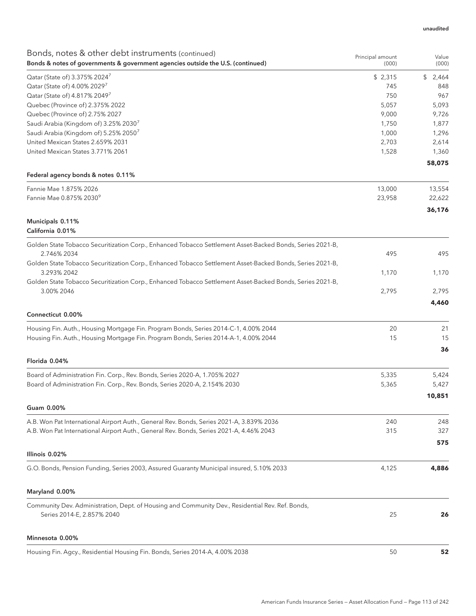| Bonds, notes & other debt instruments (continued)<br>Bonds & notes of governments & government agencies outside the U.S. (continued) | Principal amount<br>(000) | Value<br>(000) |
|--------------------------------------------------------------------------------------------------------------------------------------|---------------------------|----------------|
| Qatar (State of) 3.375% 2024 <sup>7</sup>                                                                                            | \$2,315                   | \$<br>2,464    |
| Qatar (State of) 4.00% 2029 <sup>7</sup>                                                                                             | 745                       | 848            |
| Qatar (State of) 4.817% 2049 <sup>7</sup>                                                                                            | 750                       | 967            |
| Quebec (Province of) 2.375% 2022                                                                                                     | 5,057                     | 5,093          |
| Quebec (Province of) 2.75% 2027                                                                                                      | 9,000                     | 9,726          |
| Saudi Arabia (Kingdom of) 3.25% 20307                                                                                                | 1,750                     | 1,877          |
| Saudi Arabia (Kingdom of) 5.25% 20507                                                                                                | 1,000                     | 1,296          |
| United Mexican States 2.659% 2031                                                                                                    | 2,703                     | 2,614          |
| United Mexican States 3.771% 2061                                                                                                    | 1,528                     | 1,360          |
| Federal agency bonds & notes 0.11%                                                                                                   |                           | 58,075         |
| Fannie Mae 1.875% 2026                                                                                                               | 13,000                    | 13,554         |
| Fannie Mae 0.875% 2030 <sup>9</sup>                                                                                                  | 23,958                    | 22,622         |
|                                                                                                                                      |                           | 36,176         |
| Municipals 0.11%<br>California 0.01%                                                                                                 |                           |                |
| Golden State Tobacco Securitization Corp., Enhanced Tobacco Settlement Asset-Backed Bonds, Series 2021-B,                            |                           |                |
| 2.746% 2034                                                                                                                          | 495                       | 495            |
| Golden State Tobacco Securitization Corp., Enhanced Tobacco Settlement Asset-Backed Bonds, Series 2021-B,                            |                           |                |
| 3.293% 2042                                                                                                                          | 1,170                     | 1,170          |
| Golden State Tobacco Securitization Corp., Enhanced Tobacco Settlement Asset-Backed Bonds, Series 2021-B,                            |                           |                |
| 3.00% 2046                                                                                                                           | 2,795                     | 2,795<br>4,460 |
| Connecticut 0.00%                                                                                                                    |                           |                |
| Housing Fin. Auth., Housing Mortgage Fin. Program Bonds, Series 2014-C-1, 4.00% 2044                                                 | 20                        | 21             |
| Housing Fin. Auth., Housing Mortgage Fin. Program Bonds, Series 2014-A-1, 4.00% 2044                                                 | 15                        | 15             |
| Florida 0.04%                                                                                                                        |                           | 36             |
| Board of Administration Fin. Corp., Rev. Bonds, Series 2020-A, 1.705% 2027                                                           | 5,335                     | 5,424          |
| Board of Administration Fin. Corp., Rev. Bonds, Series 2020-A, 2.154% 2030                                                           | 5,365                     | 5,427          |
|                                                                                                                                      |                           | 10,851         |
| Guam 0.00%                                                                                                                           |                           |                |
| A.B. Won Pat International Airport Auth., General Rev. Bonds, Series 2021-A, 3.839% 2036                                             | 240                       | 248            |
| A.B. Won Pat International Airport Auth., General Rev. Bonds, Series 2021-A, 4.46% 2043                                              | 315                       | 327            |
|                                                                                                                                      |                           | 575            |
| Illinois 0.02%                                                                                                                       |                           |                |
| G.O. Bonds, Pension Funding, Series 2003, Assured Guaranty Municipal insured, 5.10% 2033                                             | 4,125                     | 4,886          |
| Maryland 0.00%                                                                                                                       |                           |                |
| Community Dev. Administration, Dept. of Housing and Community Dev., Residential Rev. Ref. Bonds,<br>Series 2014-E, 2.857% 2040       | 25                        | 26             |
| Minnesota 0.00%                                                                                                                      |                           |                |
| Housing Fin. Agcy., Residential Housing Fin. Bonds, Series 2014-A, 4.00% 2038                                                        | 50                        | 52             |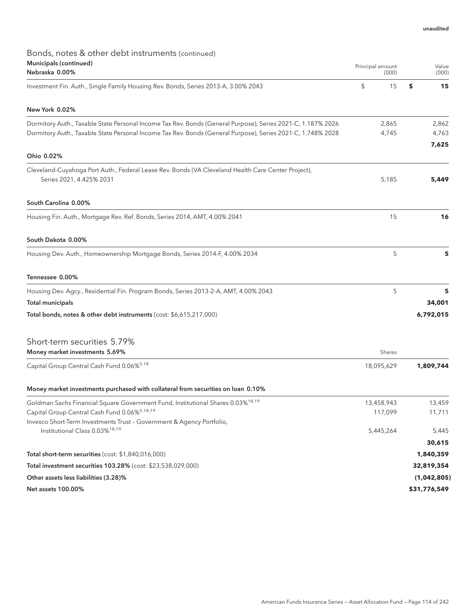### Bonds, notes & other debt instruments (continued) Municipals (continued)

| Municipals (continued)<br>Nebraska 0.00%                                                                                       |            | Value<br>(000) |  |
|--------------------------------------------------------------------------------------------------------------------------------|------------|----------------|--|
| Investment Fin. Auth., Single Family Housing Rev. Bonds, Series 2013-A, 3.00% 2043                                             | \$<br>15   | \$<br>15       |  |
| New York 0.02%                                                                                                                 |            |                |  |
| Dormitory Auth., Taxable State Personal Income Tax Rev. Bonds (General Purpose), Series 2021-C, 1.187% 2026                    | 2,865      | 2,862          |  |
| Dormitory Auth., Taxable State Personal Income Tax Rev. Bonds (General Purpose), Series 2021-C, 1.748% 2028                    | 4,745      | 4,763          |  |
| Ohio 0.02%                                                                                                                     |            | 7,625          |  |
|                                                                                                                                |            |                |  |
| Cleveland-Cuyahoga Port Auth., Federal Lease Rev. Bonds (VA Cleveland Health Care Center Project),<br>Series 2021, 4.425% 2031 | 5,185      | 5,449          |  |
| South Carolina 0.00%                                                                                                           |            |                |  |
| Housing Fin. Auth., Mortgage Rev. Ref. Bonds, Series 2014, AMT, 4.00% 2041                                                     | 15         | 16             |  |
| South Dakota 0.00%                                                                                                             |            |                |  |
| Housing Dev. Auth., Homeownership Mortgage Bonds, Series 2014-F, 4.00% 2034                                                    | 5          | 5              |  |
| Tennessee 0.00%                                                                                                                |            |                |  |
| Housing Dev. Agcy., Residential Fin. Program Bonds, Series 2013-2-A, AMT, 4.00% 2043                                           | 5          | 5              |  |
| <b>Total municipals</b>                                                                                                        |            | 34,001         |  |
| Total bonds, notes & other debt instruments (cost: \$6,615,217,000)                                                            |            | 6,792,015      |  |
| Short-term securities 5.79%                                                                                                    |            |                |  |
| Money market investments 5.69%                                                                                                 | Shares     |                |  |
| Capital Group Central Cash Fund 0.06% <sup>5,18</sup>                                                                          | 18,095,629 | 1,809,744      |  |
| Money market investments purchased with collateral from securities on loan 0.10%                                               |            |                |  |
| Goldman Sachs Financial Square Government Fund, Institutional Shares 0.03% <sup>18,19</sup>                                    | 13,458,943 | 13,459         |  |
| Capital Group Central Cash Fund 0.06% <sup>5,18,19</sup>                                                                       | 117,099    | 11,711         |  |
| Invesco Short-Term Investments Trust - Government & Agency Portfolio,<br>Institutional Class 0.03% <sup>18,19</sup>            | 5,445,264  | 5,445          |  |
|                                                                                                                                |            | 30,615         |  |
| Total short-term securities (cost: \$1,840,016,000)                                                                            |            | 1,840,359      |  |
| Total investment securities 103.28% (cost: \$23,538,029,000)                                                                   |            | 32,819,354     |  |
| Other assets less liabilities (3.28)%                                                                                          |            | (1,042,805)    |  |
| Net assets 100.00%                                                                                                             |            | \$31,776,549   |  |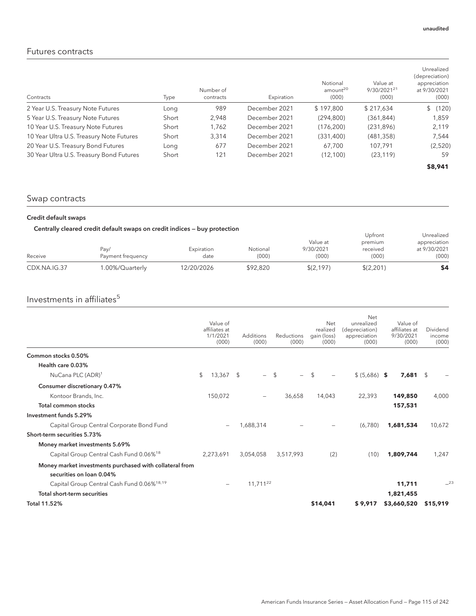### Futures contracts

| Contracts                                | Type  | Number of<br>contracts | Expiration    | Notional<br>amount <sup>20</sup><br>(000) | Value at<br>9/30/2021 <sup>21</sup><br>(000) | Unrealized<br>(depreciation)<br>appreciation<br>at 9/30/2021<br>(000) |
|------------------------------------------|-------|------------------------|---------------|-------------------------------------------|----------------------------------------------|-----------------------------------------------------------------------|
| 2 Year U.S. Treasury Note Futures        | Long  | 989                    | December 2021 | \$197,800                                 | \$217.634                                    | \$(120)                                                               |
| 5 Year U.S. Treasury Note Futures        | Short | 2,948                  | December 2021 | (294, 800)                                | (361, 844)                                   | 1,859                                                                 |
| 10 Year U.S. Treasury Note Futures       | Short | 1.762                  | December 2021 | (176, 200)                                | (231, 896)                                   | 2,119                                                                 |
| 10 Year Ultra U.S. Treasury Note Futures | Short | 3.314                  | December 2021 | (331, 400)                                | (481, 358)                                   | 7,544                                                                 |
| 20 Year U.S. Treasury Bond Futures       | Long  | 677                    | December 2021 | 67.700                                    | 107.791                                      | (2,520)                                                               |
| 30 Year Ultra U.S. Treasury Bond Futures | Short | 121                    | December 2021 | (12, 100)                                 | (23, 119)                                    | 59                                                                    |
|                                          |       |                        |               |                                           |                                              | \$8,941                                                               |

### Swap contracts

#### Credit default swaps

#### Centrally cleared credit default swaps on credit indices — buy protection

| CDX.NA.IG.37 | 1.00%/Quarterly   | 12/20/2026 | \$92.820 | \$(2,197) | \$(2,201) | \$4          |
|--------------|-------------------|------------|----------|-----------|-----------|--------------|
| Receive      | Payment frequency | date       | (000)    | (000)     | (000)     | (000)        |
|              | Pav/              | Expiration | Notional | 9/30/2021 | received  | at 9/30/2021 |
|              |                   |            |          | Value at  | premium   | appreciation |
|              |                   |            |          |           | Upfront   | Unrealized   |

### Investments in affiliates $5$

|                                                                                     | Value of<br>affiliates at<br>1/1/2021<br>(000) | Additions<br>(000)             |     | Reductions<br>(000) |                | Net<br>realized<br>gain (loss)<br>(000) | Net<br>unrealized<br>(depreciation)<br>appreciation<br>(000) | Value of<br>affiliates at<br>9/30/2021<br>(000) | Dividend<br>income<br>(000) |
|-------------------------------------------------------------------------------------|------------------------------------------------|--------------------------------|-----|---------------------|----------------|-----------------------------------------|--------------------------------------------------------------|-------------------------------------------------|-----------------------------|
| Common stocks 0.50%                                                                 |                                                |                                |     |                     |                |                                         |                                                              |                                                 |                             |
| Health care 0.03%                                                                   |                                                |                                |     |                     |                |                                         |                                                              |                                                 |                             |
| NuCana PLC (ADR) <sup>1</sup>                                                       | \$<br>13,367                                   | \$<br>$\overline{\phantom{0}}$ | -\$ |                     | $\mathfrak{L}$ |                                         | $$ (5,686)$ \$                                               | 7,681                                           | $\mathcal{L}$               |
| Consumer discretionary 0.47%                                                        |                                                |                                |     |                     |                |                                         |                                                              |                                                 |                             |
| Kontoor Brands, Inc.                                                                | 150,072                                        |                                |     | 36,658              |                | 14,043                                  | 22,393                                                       | 149,850                                         | 4,000                       |
| Total common stocks                                                                 |                                                |                                |     |                     |                |                                         |                                                              | 157,531                                         |                             |
| Investment funds 5.29%                                                              |                                                |                                |     |                     |                |                                         |                                                              |                                                 |                             |
| Capital Group Central Corporate Bond Fund                                           |                                                | 1,688,314                      |     |                     |                |                                         | (6,780)                                                      | 1,681,534                                       | 10,672                      |
| Short-term securities 5.73%                                                         |                                                |                                |     |                     |                |                                         |                                                              |                                                 |                             |
| Money market investments 5.69%                                                      |                                                |                                |     |                     |                |                                         |                                                              |                                                 |                             |
| Capital Group Central Cash Fund 0.06% <sup>18</sup>                                 | 2.273.691                                      | 3,054,058                      |     | 3.517.993           |                | (2)                                     | (10)                                                         | 1,809,744                                       | 1,247                       |
| Money market investments purchased with collateral from<br>securities on loan 0.04% |                                                |                                |     |                     |                |                                         |                                                              |                                                 |                             |
| Capital Group Central Cash Fund 0.06% <sup>18,19</sup>                              |                                                | $11,711^{22}$                  |     |                     |                |                                         |                                                              | 11,711                                          | $-23$                       |
| Total short-term securities                                                         |                                                |                                |     |                     |                |                                         |                                                              | 1,821,455                                       |                             |
| <b>Total 11.52%</b>                                                                 |                                                |                                |     |                     |                | \$14,041                                | \$9,917                                                      | \$3,660,520                                     | \$15,919                    |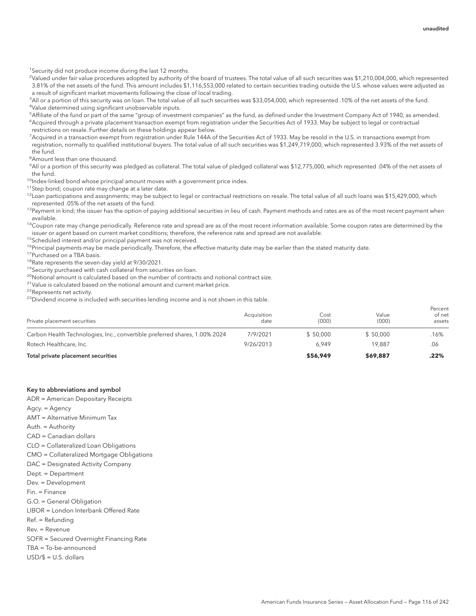<sup>1</sup> Security did not produce income during the last 12 months.

2 Valued under fair value procedures adopted by authority of the board of trustees. The total value of all such securities was \$1,210,004,000, which represented 3.81% of the net assets of the fund. This amount includes \$1,116,553,000 related to certain securities trading outside the U.S. whose values were adjusted as a result of significant market movements following the close of local trading.

<sup>3</sup>All or a portion of this security was on loan. The total value of all such securities was \$33,054,000, which represented .10% of the net assets of the fund. 4 Value determined using significant unobservable inputs.

5 Affiliate of the fund or part of the same "group of investment companies" as the fund, as defined under the Investment Company Act of 1940, as amended. 6 Acquired through a private placement transaction exempt from registration under the Securities Act of 1933. May be subject to legal or contractual restrictions on resale. Further details on these holdings appear below.

7 Acquired in a transaction exempt from registration under Rule 144A of the Securities Act of 1933. May be resold in the U.S. in transactions exempt from registration, normally to qualified institutional buyers. The total value of all such securities was \$1,249,719,000, which represented 3.93% of the net assets of the fund.

<sup>8</sup> Amount less than one thousand.

9 All or a portion of this security was pledged as collateral. The total value of pledged collateral was \$12,775,000, which represented .04% of the net assets of the fund.

<sup>10</sup>Index-linked bond whose principal amount moves with a government price index.

<sup>11</sup>Step bond; coupon rate may change at a later date.

 $^{12}$ Loan participations and assignments; may be subject to legal or contractual restrictions on resale. The total value of all such loans was \$15,429,000, which represented .05% of the net assets of the fund.

<sup>13</sup>Payment in kind; the issuer has the option of paying additional securities in lieu of cash. Payment methods and rates are as of the most recent payment when available.

 $14$ Coupon rate may change periodically. Reference rate and spread are as of the most recent information available. Some coupon rates are determined by the issuer or agent based on current market conditions; therefore, the reference rate and spread are not available.

15Scheduled interest and/or principal payment was not received.

<sup>16</sup>Principal payments may be made periodically. Therefore, the effective maturity date may be earlier than the stated maturity date.

<sup>17</sup>Purchased on a TBA basis.

<sup>18</sup>Rate represents the seven-day yield at 9/30/2021.

19Security purchased with cash collateral from securities on loan.

<sup>20</sup>Notional amount is calculated based on the number of contracts and notional contract size.

 $21$ Value is calculated based on the notional amount and current market price.

22Represents net activity.

 $23$ Dividend income is included with securities lending income and is not shown in this table.

| Private placement securities                                               | Acquisition<br>date | Cost<br>(000) | Value<br>(000) | Percent<br>of net<br>assets |
|----------------------------------------------------------------------------|---------------------|---------------|----------------|-----------------------------|
| Carbon Health Technologies, Inc., convertible preferred shares, 1.00% 2024 | 7/9/2021            | \$50.000      | \$50.000       | .16%                        |
| Rotech Healthcare, Inc.                                                    | 9/26/2013           | 6.949         | 19.887         | .06                         |
| Total private placement securities                                         |                     | \$56,949      | \$69,887       | .22%                        |

#### Key to abbreviations and symbol

- ADR = American Depositary Receipts
- Agcy. = Agency

AMT = Alternative Minimum Tax

Auth. = Authority

CAD = Canadian dollars

CLO = Collateralized Loan Obligations

CMO = Collateralized Mortgage Obligations

DAC = Designated Activity Company

Dept. = Department

Dev. = Development

Fin. = Finance

G.O. = General Obligation

LIBOR = London Interbank Offered Rate

Ref. = Refunding

Rev. = Revenue

SOFR = Secured Overnight Financing Rate

TBA = To-be-announced

USD/\$ = U.S. dollars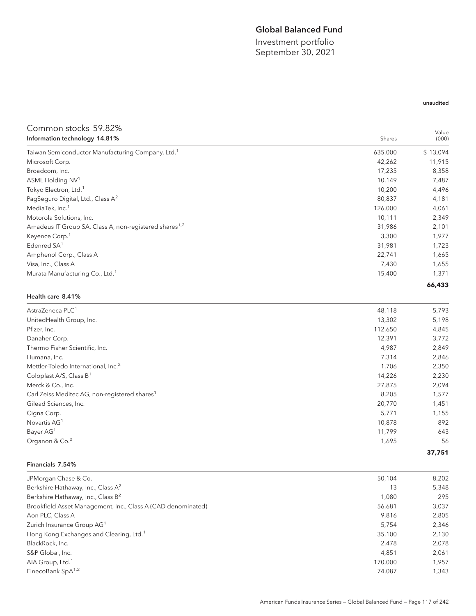### Global Balanced Fund

Investment portfolio September 30, 2021

#### unaudited

| Common stocks 59.82%                                               |         |                |
|--------------------------------------------------------------------|---------|----------------|
| Information technology 14.81%                                      | Shares  | Value<br>(000) |
| Taiwan Semiconductor Manufacturing Company, Ltd. <sup>1</sup>      | 635,000 | \$13,094       |
| Microsoft Corp.                                                    | 42,262  | 11,915         |
| Broadcom, Inc.                                                     | 17,235  | 8,358          |
| ASML Holding NV <sup>1</sup>                                       | 10,149  | 7,487          |
| Tokyo Electron, Ltd. <sup>1</sup>                                  | 10,200  | 4,496          |
| PagSeguro Digital, Ltd., Class A <sup>2</sup>                      | 80,837  | 4,181          |
| MediaTek, Inc. <sup>1</sup>                                        | 126,000 | 4,061          |
| Motorola Solutions, Inc.                                           | 10,111  | 2,349          |
| Amadeus IT Group SA, Class A, non-registered shares <sup>1,2</sup> | 31,986  | 2,101          |
| Keyence Corp. <sup>1</sup>                                         | 3,300   | 1,977          |
| Edenred SA <sup>1</sup>                                            | 31,981  | 1,723          |
| Amphenol Corp., Class A                                            | 22,741  | 1,665          |
| Visa, Inc., Class A                                                | 7,430   | 1,655          |
| Murata Manufacturing Co., Ltd. <sup>1</sup>                        | 15,400  | 1,371          |
|                                                                    |         | 66,433         |
| Health care 8.41%                                                  |         |                |
| AstraZeneca PLC <sup>1</sup>                                       | 48,118  | 5,793          |
| UnitedHealth Group, Inc.                                           | 13,302  | 5,198          |
| Pfizer, Inc.                                                       | 112,650 | 4,845          |
| Danaher Corp.                                                      | 12,391  | 3,772          |
| Thermo Fisher Scientific, Inc.                                     | 4,987   | 2,849          |
| Humana, Inc.                                                       | 7,314   | 2,846          |
| Mettler-Toledo International, Inc. <sup>2</sup>                    | 1,706   | 2,350          |
| Coloplast A/S, Class B <sup>1</sup>                                | 14,226  | 2,230          |
| Merck & Co., Inc.                                                  | 27,875  | 2,094          |
| Carl Zeiss Meditec AG, non-registered shares <sup>1</sup>          | 8,205   | 1,577          |
| Gilead Sciences, Inc.                                              | 20,770  | 1,451          |
| Cigna Corp.                                                        | 5,771   | 1,155          |
| Novartis AG <sup>1</sup>                                           | 10,878  | 892            |
| Bayer AG <sup>1</sup>                                              | 11,799  | 643            |
| Organon & Co. <sup>2</sup>                                         | 1,695   | 56             |
|                                                                    |         | 37,751         |
| Financials 7.54%                                                   |         |                |
|                                                                    |         |                |

| JPMorgan Chase & Co.                                         | 50,104  | 8,202 |
|--------------------------------------------------------------|---------|-------|
| Berkshire Hathaway, Inc., Class A <sup>2</sup>               | 13      | 5,348 |
| Berkshire Hathaway, Inc., Class B <sup>2</sup>               | 1,080   | 295   |
| Brookfield Asset Management, Inc., Class A (CAD denominated) | 56,681  | 3,037 |
| Aon PLC, Class A                                             | 9.816   | 2,805 |
| Zurich Insurance Group AG <sup>1</sup>                       | 5.754   | 2,346 |
| Hong Kong Exchanges and Clearing, Ltd. <sup>1</sup>          | 35,100  | 2,130 |
| BlackRock, Inc.                                              | 2.478   | 2,078 |
| S&P Global, Inc.                                             | 4,851   | 2,061 |
| AIA Group, Ltd. <sup>1</sup>                                 | 170,000 | 1.957 |
| FinecoBank SpA <sup>1,2</sup>                                | 74,087  | 1,343 |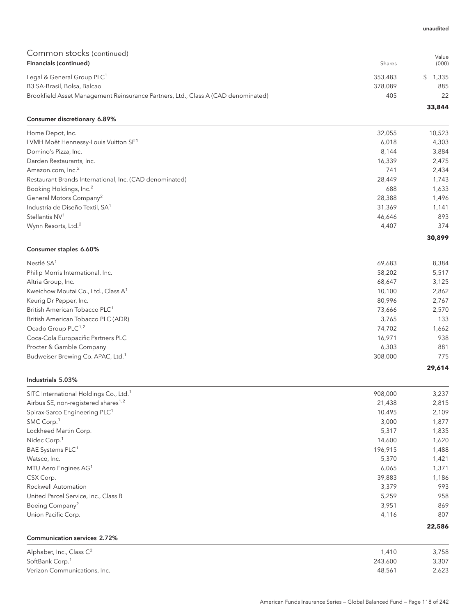# Common stocks (continued)

| <u>UUITIITUITUUDEU EKSITEITUUDEI</u><br>Financials (continued)                    | Shares  | Value<br>(000) |
|-----------------------------------------------------------------------------------|---------|----------------|
| Legal & General Group PLC <sup>1</sup>                                            | 353,483 | 1.335          |
| B3 SA-Brasil, Bolsa, Balcao                                                       | 378.089 | 885            |
| Brookfield Asset Management Reinsurance Partners, Ltd., Class A (CAD denominated) | 405     | 22             |

#### Consumer discretionary 6.89%

| Home Depot, Inc.                                        | 32,055 | 10,523 |
|---------------------------------------------------------|--------|--------|
| LVMH Moët Hennessy-Louis Vuitton SE <sup>1</sup>        | 6,018  | 4,303  |
| Domino's Pizza, Inc.                                    | 8.144  | 3,884  |
| Darden Restaurants, Inc.                                | 16,339 | 2,475  |
| Amazon.com, Inc. <sup>2</sup>                           | 741    | 2,434  |
| Restaurant Brands International, Inc. (CAD denominated) | 28.449 | 1.743  |
| Booking Holdings, Inc. <sup>2</sup>                     | 688    | 1,633  |
| General Motors Company <sup>2</sup>                     | 28,388 | 1,496  |
| Industria de Diseño Textil, SA <sup>1</sup>             | 31,369 | 1.141  |
| Stellantis NV <sup>1</sup>                              | 46,646 | 893    |
| Wynn Resorts, Ltd. <sup>2</sup>                         | 4,407  | 374    |

#### Consumer staples 6.60%

| Nestlé SA <sup>1</sup>                          | 69,683  | 8,384  |
|-------------------------------------------------|---------|--------|
| Philip Morris International, Inc.               | 58,202  | 5,517  |
| Altria Group, Inc.                              | 68,647  | 3,125  |
| Kweichow Moutai Co., Ltd., Class A <sup>1</sup> | 10,100  | 2,862  |
| Keurig Dr Pepper, Inc.                          | 80.996  | 2,767  |
| British American Tobacco PLC <sup>1</sup>       | 73,666  | 2,570  |
| British American Tobacco PLC (ADR)              | 3,765   | 133    |
| Ocado Group PLC <sup>1,2</sup>                  | 74,702  | 1,662  |
| Coca-Cola Europacific Partners PLC              | 16.971  | 938    |
| Procter & Gamble Company                        | 6,303   | 881    |
| Budweiser Brewing Co. APAC, Ltd. <sup>1</sup>   | 308,000 | 775    |
|                                                 |         | 29,614 |

#### Industrials 5.03%

Communication services 2.72%

| SITC International Holdings Co., Ltd. <sup>1</sup> | 908,000 | 3,237  |
|----------------------------------------------------|---------|--------|
| Airbus SE, non-registered shares <sup>1,2</sup>    | 21,438  | 2,815  |
| Spirax-Sarco Engineering PLC <sup>1</sup>          | 10,495  | 2,109  |
| SMC Corp. <sup>1</sup>                             | 3,000   | 1,877  |
| Lockheed Martin Corp.                              | 5,317   | 1,835  |
| Nidec Corp. <sup>1</sup>                           | 14,600  | 1,620  |
| BAE Systems PLC <sup>1</sup>                       | 196,915 | 1,488  |
| Watsco, Inc.                                       | 5,370   | 1,421  |
| MTU Aero Engines AG <sup>1</sup>                   | 6,065   | 1,371  |
| CSX Corp.                                          | 39,883  | 1,186  |
| Rockwell Automation                                | 3,379   | 993    |
| United Parcel Service, Inc., Class B               | 5,259   | 958    |
| Boeing Company <sup>2</sup>                        | 3,951   | 869    |
| Union Pacific Corp.                                | 4,116   | 807    |
|                                                    |         | 22,586 |

| Alphabet, Inc., Class $\mathsf{C}^2$ | 1.410   | 3,758 |
|--------------------------------------|---------|-------|
| SoftBank Corp. <sup>1</sup>          | 243.600 | 3,307 |
| Verizon Communications, Inc.         | 48.561  | 2,623 |

#### unaudited

**33,844**

**30,899**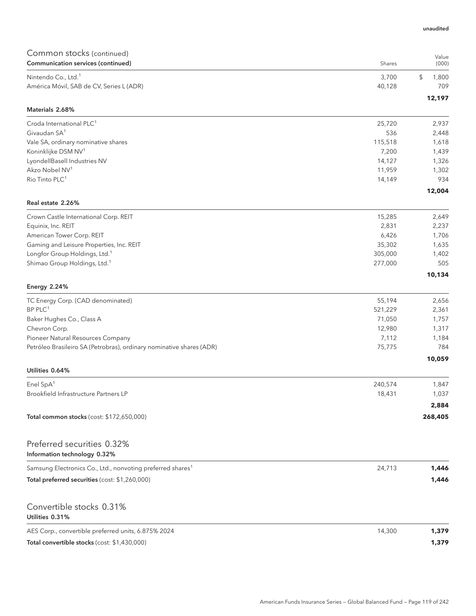| Common stocks (continued)                                              |         | Value          |
|------------------------------------------------------------------------|---------|----------------|
| Communication services (continued)                                     | Shares  | (000)          |
| Nintendo Co., Ltd. <sup>1</sup>                                        | 3,700   | \$<br>1,800    |
| América Móvil, SAB de CV, Series L (ADR)                               | 40,128  | 709            |
| Materials 2.68%                                                        |         | 12,197         |
| Croda International PLC <sup>1</sup>                                   | 25,720  |                |
| Givaudan SA <sup>1</sup>                                               | 536     | 2,937<br>2,448 |
| Vale SA, ordinary nominative shares                                    | 115,518 | 1,618          |
| Koninklijke DSM NV <sup>1</sup>                                        | 7,200   | 1,439          |
| LyondellBasell Industries NV                                           | 14,127  | 1,326          |
| Akzo Nobel NV <sup>1</sup>                                             | 11,959  | 1,302          |
| Rio Tinto PLC <sup>1</sup>                                             | 14,149  | 934            |
|                                                                        |         | 12,004         |
| Real estate 2.26%                                                      |         |                |
| Crown Castle International Corp. REIT                                  | 15,285  | 2,649          |
| Equinix, Inc. REIT                                                     | 2,831   | 2,237          |
| American Tower Corp. REIT                                              | 6,426   | 1,706          |
| Gaming and Leisure Properties, Inc. REIT                               | 35,302  | 1,635          |
| Longfor Group Holdings, Ltd. <sup>1</sup>                              | 305,000 | 1,402          |
| Shimao Group Holdings, Ltd. <sup>1</sup>                               | 277,000 | 505<br>10,134  |
| <b>Energy 2.24%</b>                                                    |         |                |
| TC Energy Corp. (CAD denominated)                                      | 55,194  | 2,656          |
| $BP$ PLC <sup>1</sup>                                                  | 521,229 | 2,361          |
| Baker Hughes Co., Class A                                              | 71,050  | 1,757          |
| Chevron Corp.                                                          | 12,980  | 1,317          |
| Pioneer Natural Resources Company                                      | 7,112   | 1,184          |
| Petróleo Brasileiro SA (Petrobras), ordinary nominative shares (ADR)   | 75,775  | 784            |
| Utilities 0.64%                                                        |         | 10,059         |
| Enel SpA <sup>1</sup>                                                  | 240,574 | 1,847          |
| Brookfield Infrastructure Partners LP                                  | 18,431  | 1,037          |
|                                                                        |         | 2,884          |
| Total common stocks (cost: \$172,650,000)                              |         | 268,405        |
|                                                                        |         |                |
| Preferred securities 0.32%<br>Information technology 0.32%             |         |                |
| Samsung Electronics Co., Ltd., nonvoting preferred shares <sup>1</sup> | 24,713  |                |
|                                                                        |         | 1,446          |
| Total preferred securities (cost: \$1,260,000)                         |         | 1,446          |
| Convertible stocks 0.31%                                               |         |                |
| Utilities 0.31%                                                        |         |                |
| AES Corp., convertible preferred units, 6.875% 2024                    | 14,300  | 1,379          |
| Total convertible stocks (cost: \$1,430,000)                           |         | 1,379          |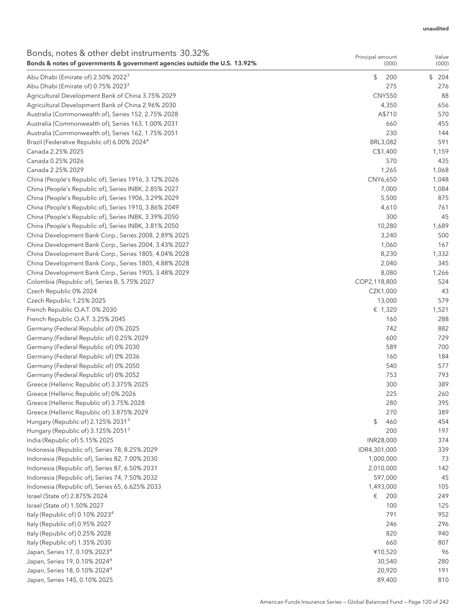#### unaudited

| Bonds, notes & other debt instruments 30.32%                               | Principal amount  | Value        |
|----------------------------------------------------------------------------|-------------------|--------------|
| Bonds & notes of governments & government agencies outside the U.S. 13.92% | (000)             | (000)        |
| Abu Dhabi (Emirate of) 2.50% 2022 <sup>3</sup>                             | \$<br>200         | \$<br>204    |
| Abu Dhabi (Emirate of) 0.75% 2023 <sup>3</sup>                             | 275               | 276          |
| Agricultural Development Bank of China 3.75% 2029                          | <b>CNY550</b>     | 88           |
| Agricultural Development Bank of China 2.96% 2030                          | 4,350             | 656          |
| Australia (Commonwealth of), Series 152, 2.75% 2028                        | A\$710            | 570          |
| Australia (Commonwealth of), Series 163, 1.00% 2031                        | 660               | 455          |
| Australia (Commonwealth of), Series 162, 1.75% 2051                        | 230               | 144          |
| Brazil (Federative Republic of) 6.00% 2024 <sup>4</sup>                    | BRL3,082          | 591          |
| Canada 2.25% 2025                                                          | C\$1,400          | 1,159        |
| Canada 0.25% 2026                                                          | 570               | 435          |
| Canada 2.25% 2029                                                          | 1,265             | 1,068        |
| China (People's Republic of), Series 1916, 3.12% 2026                      | CNY6,650          | 1,048        |
| China (People's Republic of), Series INBK, 2.85% 2027                      | 7,000             | 1,084        |
| China (People's Republic of), Series 1906, 3.29% 2029                      | 5,500             | 875          |
| China (People's Republic of), Series 1910, 3.86% 2049                      | 4,610             | 761          |
| China (People's Republic of), Series INBK, 3.39% 2050                      | 300               | 45           |
| China (People's Republic of), Series INBK, 3.81% 2050                      | 10,280            | 1,689        |
| China Development Bank Corp., Series 2008, 2.89% 2025                      | 3,240             | 500          |
| China Development Bank Corp., Series 2004, 3.43% 2027                      | 1,060             | 167          |
| China Development Bank Corp., Series 1805, 4.04% 2028                      | 8,230             | 1,332        |
| China Development Bank Corp., Series 1805, 4.88% 2028                      | 2,040             | 345          |
| China Development Bank Corp., Series 1905, 3.48% 2029                      | 8,080             | 1,266        |
| Colombia (Republic of), Series B, 5.75% 2027                               | COP2,118,800      | 524          |
| Czech Republic 0% 2024                                                     | CZK1,000          | 43<br>579    |
| Czech Republic 1.25% 2025                                                  | 13,000<br>€ 1,320 |              |
| French Republic O.A.T. 0% 2030                                             | 160               | 1,521<br>288 |
| French Republic O.A.T. 3.25% 2045<br>Germany (Federal Republic of) 0% 2025 | 742               | 882          |
| Germany (Federal Republic of) 0.25% 2029                                   | 600               | 729          |
| Germany (Federal Republic of) 0% 2030                                      | 589               | 700          |
| Germany (Federal Republic of) 0% 2036                                      | 160               | 184          |
| Germany (Federal Republic of) 0% 2050                                      | 540               | 577          |
| Germany (Federal Republic of) 0% 2052                                      | 753               | 793          |
| Greece (Hellenic Republic of) 3.375% 2025                                  | 300               | 389          |
| Greece (Hellenic Republic of) 0% 2026                                      | 225               | 260          |
| Greece (Hellenic Republic of) 3.75% 2028                                   | 280               | 395          |
| Greece (Hellenic Republic of) 3.875% 2029                                  | 270               | 389          |
| Hungary (Republic of) 2.125% 2031 <sup>3</sup>                             | \$<br>460         | 454          |
| Hungary (Republic of) 3.125% 2051 <sup>3</sup>                             | 200               | 197          |
| India (Republic of) 5.15% 2025                                             | INR28,000         | 374          |
| Indonesia (Republic of), Series 78, 8.25% 2029                             | IDR4,301,000      | 339          |
| Indonesia (Republic of), Series 82, 7.00% 2030                             | 1,000,000         | 73           |
| Indonesia (Republic of), Series 87, 6.50% 2031                             | 2,010,000         | 142          |
| Indonesia (Republic of), Series 74, 7.50% 2032                             | 597,000           | 45           |
| Indonesia (Republic of), Series 65, 6.625% 2033                            | 1,493,000         | 105          |
| Israel (State of) 2.875% 2024                                              | €<br>200          | 249          |
| Israel (State of) 1.50% 2027                                               | 100               | 125          |
| Italy (Republic of) 0.10% 2023 <sup>4</sup>                                | 791               | 952          |
| Italy (Republic of) 0.95% 2027                                             | 246               | 296          |
| Italy (Republic of) 0.25% 2028                                             | 820               | 940          |
| Italy (Republic of) 1.35% 2030                                             | 660               | 807          |
| Japan, Series 17, 0.10% 2023 <sup>4</sup>                                  | ¥10,520           | 96           |
| Japan, Series 19, 0.10% 2024 <sup>4</sup>                                  | 30,540            | 280          |
| Japan, Series 18, 0.10% 2024 <sup>4</sup>                                  | 20,920            | 191          |
| Japan, Series 145, 0.10% 2025                                              | 89,400            | 810          |
|                                                                            |                   |              |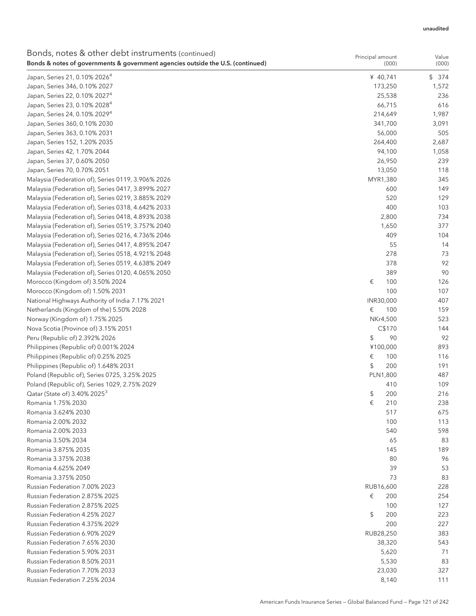| Bonds, notes & other debt instruments (continued)<br>Bonds & notes of governments & government agencies outside the U.S. (continued) | Principal amount<br>(000) | Value<br>(000) |
|--------------------------------------------------------------------------------------------------------------------------------------|---------------------------|----------------|
| Japan, Series 21, 0.10% 2026 <sup>4</sup>                                                                                            | ¥ 40,741                  | \$<br>374      |
| Japan, Series 346, 0.10% 2027                                                                                                        | 173,250                   | 1,572          |
| Japan, Series 22, 0.10% 2027 <sup>4</sup>                                                                                            | 25,538                    | 236            |
| Japan, Series 23, 0.10% 2028 <sup>4</sup>                                                                                            | 66,715                    | 616            |
| Japan, Series 24, 0.10% 2029 <sup>4</sup>                                                                                            | 214,649                   | 1,987          |
| Japan, Series 360, 0.10% 2030                                                                                                        | 341,700                   | 3,091          |
| Japan, Series 363, 0.10% 2031                                                                                                        | 56,000                    | 505            |
| Japan, Series 152, 1.20% 2035                                                                                                        | 264,400                   | 2,687          |
| Japan, Series 42, 1.70% 2044                                                                                                         | 94,100                    | 1,058          |
| Japan, Series 37, 0.60% 2050                                                                                                         | 26,950                    | 239            |
| Japan, Series 70, 0.70% 2051                                                                                                         | 13,050                    | 118            |
| Malaysia (Federation of), Series 0119, 3.906% 2026                                                                                   | MYR1,380                  | 345            |
| Malaysia (Federation of), Series 0417, 3.899% 2027                                                                                   | 600                       | 149            |
| Malaysia (Federation of), Series 0219, 3.885% 2029                                                                                   | 520                       | 129            |
| Malaysia (Federation of), Series 0318, 4.642% 2033                                                                                   | 400                       | 103            |
| Malaysia (Federation of), Series 0418, 4.893% 2038                                                                                   | 2,800                     | 734            |
| Malaysia (Federation of), Series 0519, 3.757% 2040                                                                                   | 1,650                     | 377            |
| Malaysia (Federation of), Series 0216, 4.736% 2046                                                                                   | 409                       | 104            |
| Malaysia (Federation of), Series 0417, 4.895% 2047                                                                                   | 55                        | 14             |
| Malaysia (Federation of), Series 0518, 4.921% 2048                                                                                   | 278                       | 73             |
| Malaysia (Federation of), Series 0519, 4.638% 2049                                                                                   | 378                       | 92             |
| Malaysia (Federation of), Series 0120, 4.065% 2050                                                                                   | 389                       | 90             |
| Morocco (Kingdom of) 3.50% 2024                                                                                                      | €<br>100                  | 126            |
| Morocco (Kingdom of) 1.50% 2031                                                                                                      | 100                       | 107            |
| National Highways Authority of India 7.17% 2021                                                                                      | INR30,000                 | 407            |
| Netherlands (Kingdom of the) 5.50% 2028                                                                                              | €<br>100                  | 159            |
|                                                                                                                                      |                           | 523            |
| Norway (Kingdom of) 1.75% 2025                                                                                                       | NKr4,500<br>C\$170        | 144            |
| Nova Scotia (Province of) 3.15% 2051                                                                                                 |                           |                |
| Peru (Republic of) 2.392% 2026                                                                                                       | \$<br>90                  | 92<br>893      |
| Philippines (Republic of) 0.001% 2024                                                                                                | ¥100,000                  |                |
| Philippines (Republic of) 0.25% 2025                                                                                                 | €<br>100                  | 116            |
| Philippines (Republic of) 1.648% 2031                                                                                                | \$<br>200                 | 191            |
| Poland (Republic of), Series 0725, 3.25% 2025                                                                                        | PLN1,800                  | 487            |
| Poland (Republic of), Series 1029, 2.75% 2029                                                                                        | 410                       | 109            |
| Qatar (State of) 3.40% 2025 <sup>3</sup>                                                                                             | 200<br>\$                 | 216            |
| Romania 1.75% 2030                                                                                                                   | €<br>210                  | 238            |
| Romania 3.624% 2030                                                                                                                  | 517                       | 675            |
| Romania 2.00% 2032                                                                                                                   | 100                       | 113            |
| Romania 2.00% 2033                                                                                                                   | 540                       | 598            |
| Romania 3.50% 2034                                                                                                                   | 65                        | 83             |
| Romania 3.875% 2035                                                                                                                  | 145                       | 189            |
| Romania 3.375% 2038                                                                                                                  | 80                        | 96             |
| Romania 4.625% 2049                                                                                                                  | 39                        | 53             |
| Romania 3.375% 2050                                                                                                                  | 73                        | 83             |
| Russian Federation 7.00% 2023                                                                                                        | RUB16,600                 | 228            |
| Russian Federation 2.875% 2025                                                                                                       | €<br>200                  | 254            |
| Russian Federation 2.875% 2025                                                                                                       | 100                       | 127            |
| Russian Federation 4.25% 2027                                                                                                        | \$<br>200                 | 223            |
| Russian Federation 4.375% 2029                                                                                                       | 200                       | 227            |
| Russian Federation 6.90% 2029                                                                                                        | RUB28,250                 | 383            |
| Russian Federation 7.65% 2030                                                                                                        | 38,320                    | 543            |
| Russian Federation 5.90% 2031                                                                                                        | 5,620                     | 71             |
| Russian Federation 8.50% 2031                                                                                                        | 5,530                     | 83             |
| Russian Federation 7.70% 2033                                                                                                        | 23,030                    | 327            |
| Russian Federation 7.25% 2034                                                                                                        | 8,140                     | 111            |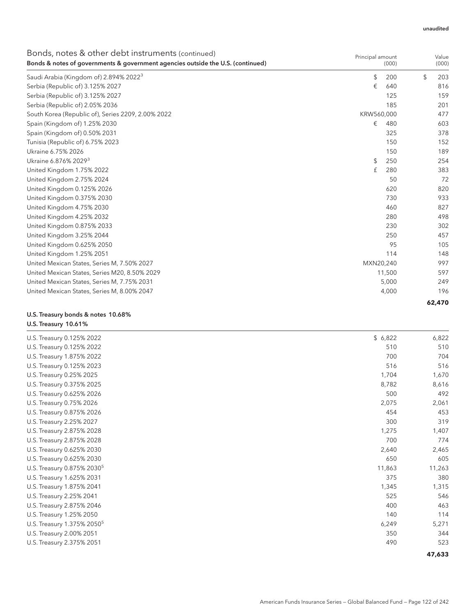| Bonds, notes & other debt instruments (continued)<br>Bonds & notes of governments & government agencies outside the U.S. (continued) | Principal amount | (000)  | Value<br>(000) |    |
|--------------------------------------------------------------------------------------------------------------------------------------|------------------|--------|----------------|----|
| Saudi Arabia (Kingdom of) 2.894% 2022 <sup>3</sup>                                                                                   | \$               | 200    | \$<br>203      |    |
| Serbia (Republic of) 3.125% 2027                                                                                                     | €                | 640    | 816            |    |
| Serbia (Republic of) 3.125% 2027                                                                                                     |                  | 125    | 159            |    |
| Serbia (Republic of) 2.05% 2036                                                                                                      |                  | 185    | 201            |    |
| South Korea (Republic of), Series 2209, 2.00% 2022                                                                                   | KRW560,000       |        | 477            |    |
| Spain (Kingdom of) 1.25% 2030                                                                                                        | €                | 480    | 603            |    |
| Spain (Kingdom of) 0.50% 2031                                                                                                        |                  | 325    | 378            |    |
| Tunisia (Republic of) 6.75% 2023                                                                                                     |                  | 150    | 152            |    |
| Ukraine 6.75% 2026                                                                                                                   |                  | 150    | 189            |    |
| Ukraine 6.876% 2029 <sup>3</sup>                                                                                                     | \$               | 250    | 254            |    |
| United Kingdom 1.75% 2022                                                                                                            | £                | 280    | 383            |    |
| United Kingdom 2.75% 2024                                                                                                            |                  | 50     |                | 72 |
| United Kingdom 0.125% 2026                                                                                                           |                  | 620    | 820            |    |
| United Kingdom 0.375% 2030                                                                                                           |                  | 730    | 933            |    |
| United Kingdom 4.75% 2030                                                                                                            |                  | 460    | 827            |    |
| United Kingdom 4.25% 2032                                                                                                            |                  | 280    | 498            |    |
| United Kingdom 0.875% 2033                                                                                                           |                  | 230    | 302            |    |
| United Kingdom 3.25% 2044                                                                                                            |                  | 250    | 457            |    |
| United Kingdom 0.625% 2050                                                                                                           |                  | 95     | 105            |    |
| United Kingdom 1.25% 2051                                                                                                            |                  | 114    | 148            |    |
| United Mexican States, Series M, 7.50% 2027                                                                                          | MXN20,240        |        | 997            |    |
| United Mexican States, Series M20, 8.50% 2029                                                                                        |                  | 11,500 | 597            |    |
| United Mexican States, Series M, 7.75% 2031                                                                                          |                  | 5,000  | 249            |    |
| United Mexican States, Series M, 8.00% 2047                                                                                          |                  | 4,000  | 196            |    |
|                                                                                                                                      |                  |        | 62,470         |    |

#### U.S. Treasury bonds & notes 10.68% U.S. Treasury 10.61%

| U.S. Treasury 0.125% 2022              | \$6,822 | 6,822  |
|----------------------------------------|---------|--------|
| U.S. Treasury 0.125% 2022              | 510     | 510    |
| U.S. Treasury 1.875% 2022              | 700     | 704    |
| U.S. Treasury 0.125% 2023              | 516     | 516    |
| U.S. Treasury 0.25% 2025               | 1,704   | 1,670  |
| U.S. Treasury 0.375% 2025              | 8,782   | 8,616  |
| U.S. Treasury 0.625% 2026              | 500     | 492    |
| U.S. Treasury 0.75% 2026               | 2,075   | 2,061  |
| U.S. Treasury 0.875% 2026              | 454     | 453    |
| U.S. Treasury 2.25% 2027               | 300     | 319    |
| U.S. Treasury 2.875% 2028              | 1,275   | 1,407  |
| U.S. Treasury 2.875% 2028              | 700     | 774    |
| U.S. Treasury 0.625% 2030              | 2,640   | 2,465  |
| U.S. Treasury 0.625% 2030              | 650     | 605    |
| U.S. Treasury 0.875% 2030 <sup>5</sup> | 11,863  | 11,263 |
| U.S. Treasury 1.625% 2031              | 375     | 380    |
| U.S. Treasury 1.875% 2041              | 1,345   | 1,315  |
| U.S. Treasury 2.25% 2041               | 525     | 546    |
| U.S. Treasury 2.875% 2046              | 400     | 463    |
| U.S. Treasury 1.25% 2050               | 140     | 114    |
| U.S. Treasury 1.375% 2050 <sup>5</sup> | 6,249   | 5,271  |
| U.S. Treasury 2.00% 2051               | 350     | 344    |
| U.S. Treasury 2.375% 2051              | 490     | 523    |
|                                        |         | 47,633 |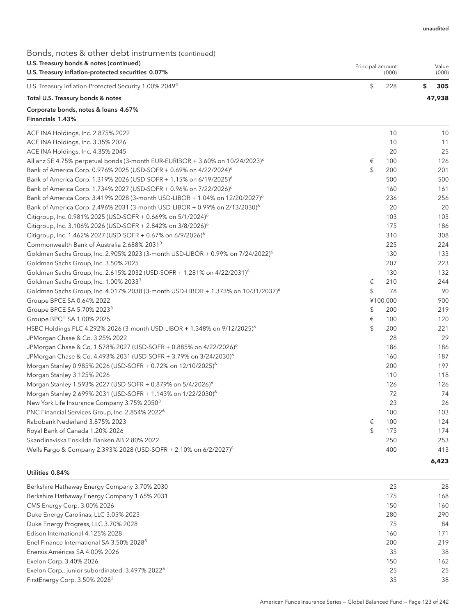**6,423**

Bonds, notes & other debt instruments (continued)

| U.S. Treasury bonds & notes (continued)                                                       |                  |          |                |
|-----------------------------------------------------------------------------------------------|------------------|----------|----------------|
| U.S. Treasury inflation-protected securities 0.07%                                            | Principal amount | (000)    | Value<br>(000) |
| U.S. Treasury Inflation-Protected Security 1.00% 2049 <sup>4</sup>                            | \$               | 228      | \$<br>305      |
| Total U.S. Treasury bonds & notes                                                             |                  |          | 47,938         |
| Corporate bonds, notes & loans 4.67%<br>Financials 1.43%                                      |                  |          |                |
| ACE INA Holdings, Inc. 2.875% 2022                                                            |                  | 10       | 10             |
| ACE INA Holdings, Inc. 3.35% 2026                                                             |                  | 10       | 11             |
| ACE INA Holdings, Inc. 4.35% 2045                                                             |                  | 20       | 25             |
| Allianz SE 4.75% perpetual bonds (3-month EUR-EURIBOR + 3.60% on $10/24/2023$ ) <sup>6</sup>  | €                | 100      | 126            |
| Bank of America Corp. 0.976% 2025 (USD-SOFR + 0.69% on 4/22/2024) <sup>6</sup>                | \$               | 200      | 201            |
| Bank of America Corp. 1.319% 2026 (USD-SOFR + 1.15% on 6/19/2025) <sup>6</sup>                |                  | 500      | 500            |
| Bank of America Corp. 1.734% 2027 (USD-SOFR + 0.96% on 7/22/2026) <sup>6</sup>                |                  | 160      | 161            |
| Bank of America Corp. 3.419% 2028 (3-month USD-LIBOR + 1.04% on 12/20/2027) <sup>6</sup>      |                  | 236      | 256            |
| Bank of America Corp. 2.496% 2031 (3-month USD-LIBOR + 0.99% on 2/13/2030) <sup>6</sup>       |                  | 20       | 20             |
| Citigroup, Inc. 0.981% 2025 (USD-SOFR + 0.669% on 5/1/2024) <sup>6</sup>                      |                  | 103      | 103            |
| Citigroup, Inc. 3.106% 2026 (USD-SOFR + 2.842% on 3/8/2026) <sup>6</sup>                      |                  | 175      | 186            |
| Citigroup, Inc. 1.462% 2027 (USD-SOFR + 0.67% on 6/9/2026) <sup>6</sup>                       |                  | 310      | 308            |
| Commonwealth Bank of Australia 2.688% 2031 <sup>3</sup>                                       |                  | 225      | 224            |
| Goldman Sachs Group, Inc. 2.905% 2023 (3-month USD-LIBOR + 0.99% on 7/24/2022) <sup>6</sup>   |                  | 130      | 133            |
| Goldman Sachs Group, Inc. 3.50% 2025                                                          |                  | 207      | 223            |
| Goldman Sachs Group, Inc. 2.615% 2032 (USD-SOFR + 1.281% on 4/22/2031) <sup>6</sup>           |                  | 130      | 132            |
| Goldman Sachs Group, Inc. 1.00% 2033 <sup>3</sup>                                             | €                | 210      | 244            |
| Goldman Sachs Group, Inc. 4.017% 2038 (3-month USD-LIBOR + 1.373% on 10/31/2037) <sup>6</sup> | \$               | 78       | 90             |
| Groupe BPCE SA 0.64% 2022                                                                     |                  | ¥100,000 | 900            |
| Groupe BPCE SA 5.70% 2023 <sup>3</sup>                                                        | \$               | 200      | 219            |
| Groupe BPCE SA 1.00% 2025                                                                     | €                | 100      | 120            |
| HSBC Holdings PLC 4.292% 2026 (3-month USD-LIBOR + 1.348% on 9/12/2025) <sup>6</sup>          | \$               | 200      | 221            |
| JPMorgan Chase & Co. 3.25% 2022                                                               |                  | 28       | 29             |
| JPMorgan Chase & Co. 1.578% 2027 (USD-SOFR + 0.885% on 4/22/2026) <sup>6</sup>                |                  | 186      | 186            |
| JPMorgan Chase & Co. 4.493% 2031 (USD-SOFR + 3.79% on 3/24/2030) <sup>6</sup>                 |                  | 160      | 187            |
| Morgan Stanley 0.985% 2026 (USD-SOFR + 0.72% on 12/10/2025) <sup>6</sup>                      |                  | 200      | 197            |
| Morgan Stanley 3.125% 2026                                                                    |                  | 110      | 118            |
| Morgan Stanley 1.593% 2027 (USD-SOFR + 0.879% on 5/4/2026) <sup>6</sup>                       |                  | 126      | 126            |
| Morgan Stanley 2.699% 2031 (USD-SOFR + 1.143% on 1/22/2030) <sup>6</sup>                      |                  | 72       | 74             |
| New York Life Insurance Company 3.75% 2050 <sup>3</sup>                                       |                  | 23       | 26             |
| PNC Financial Services Group, Inc. 2.854% 2022 <sup>6</sup>                                   |                  | 100      | 103            |
| Rabobank Nederland 3.875% 2023                                                                | €                | 100      | 124            |
| Royal Bank of Canada 1.20% 2026                                                               | \$               | 175      | 174            |
| Skandinaviska Enskilda Banken AB 2.80% 2022                                                   |                  | 250      | 253            |
| Wells Fargo & Company 2.393% 2028 (USD-SOFR + 2.10% on 6/2/2027) <sup>6</sup>                 |                  | 400      | 413            |

#### Utilities 0.84%

| Berkshire Hathaway Energy Company 3.70% 2030                | 25  | 28  |
|-------------------------------------------------------------|-----|-----|
| Berkshire Hathaway Energy Company 1.65% 2031                | 175 | 168 |
| CMS Energy Corp. 3.00% 2026                                 | 150 | 160 |
| Duke Energy Carolinas, LLC 3.05% 2023                       | 280 | 290 |
| Duke Energy Progress, LLC 3.70% 2028                        | 75  | 84  |
| Edison International 4.125% 2028                            | 160 | 171 |
| Enel Finance International SA 3.50% 2028 <sup>3</sup>       | 200 | 219 |
| Enersis Américas SA 4.00% 2026                              | 35  | 38  |
| Exelon Corp. 3.40% 2026                                     | 150 | 162 |
| Exelon Corp., junior subordinated, 3.497% 2022 <sup>6</sup> | 25  | 25  |
| FirstEnergy Corp. 3.50% 2028 <sup>3</sup>                   | 35  | 38  |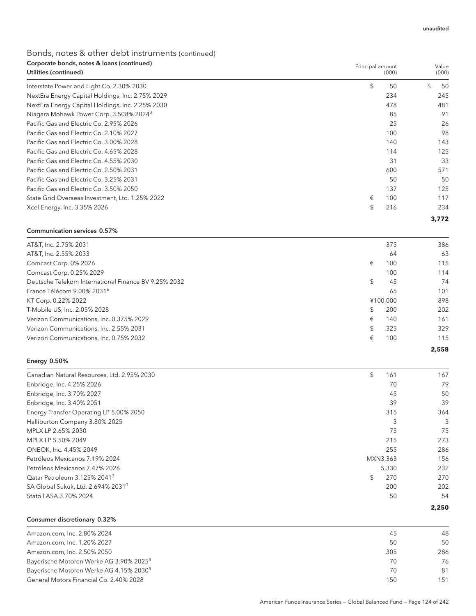| Corporate bonds, notes & loans (continued)<br>Utilities (continued) |           | Principal amount<br>Value<br>(000)<br>(000) |
|---------------------------------------------------------------------|-----------|---------------------------------------------|
| Interstate Power and Light Co. 2.30% 2030                           | \$        | 50<br>50                                    |
| NextEra Energy Capital Holdings, Inc. 2.75% 2029                    | 234       | 245                                         |
| NextEra Energy Capital Holdings, Inc. 2.25% 2030                    | 478       | 481                                         |
| Niagara Mohawk Power Corp. 3.508% 2024 <sup>3</sup>                 |           | 85<br>91                                    |
| Pacific Gas and Electric Co. 2.95% 2026                             |           | 25<br>26                                    |
| Pacific Gas and Electric Co. 2.10% 2027                             | 100       | 98                                          |
| Pacific Gas and Electric Co. 3.00% 2028                             | 140       | 143                                         |
| Pacific Gas and Electric Co. 4.65% 2028                             |           | 125<br>114                                  |
| Pacific Gas and Electric Co. 4.55% 2030                             |           | 31<br>33                                    |
| Pacific Gas and Electric Co. 2.50% 2031                             | 600       | 571                                         |
| Pacific Gas and Electric Co. 3.25% 2031                             |           | 50<br>50                                    |
| Pacific Gas and Electric Co. 3.50% 2050                             | 137       | 125                                         |
| State Grid Overseas Investment, Ltd. 1.25% 2022                     | €<br>100  | 117                                         |
| Xcel Energy, Inc. 3.35% 2026                                        | \$<br>216 | 234                                         |
|                                                                     |           | 3,772                                       |

#### Communication services 0.57%

|                                                      |           | 2,558 |
|------------------------------------------------------|-----------|-------|
| Verizon Communications, Inc. 0.75% 2032              | €<br>100  | 115   |
| Verizon Communications, Inc. 2.55% 2031              | \$<br>325 | 329   |
| Verizon Communications, Inc. 0.375% 2029             | €<br>140  | 161   |
| T-Mobile US, Inc. 2.05% 2028                         | 200<br>£. | 202   |
| KT Corp. 0.22% 2022                                  | ¥100.000  | 898   |
| France Télécom 9.00% 2031 <sup>6</sup>               | 65        | 101   |
| Deutsche Telekom International Finance BV 9.25% 2032 | 45<br>\$. | 74    |
| Comcast Corp. 0.25% 2029                             | 100       | 114   |
| Comcast Corp. 0% 2026                                | €<br>100  | 115   |
| AT&T, Inc. 2.55% 2033                                | 64        | 63    |
| AT&T, Inc. 2.75% 2031                                | 375       | 386   |
|                                                      |           |       |

#### Energy 0.50%

| Canadian Natural Resources, Ltd. 2.95% 2030    | \$<br>161 | 167   |
|------------------------------------------------|-----------|-------|
| Enbridge, Inc. 4.25% 2026                      | 70        | 79    |
| Enbridge, Inc. 3.70% 2027                      | 45        | 50    |
| Enbridge, Inc. 3.40% 2051                      | 39        | 39    |
| Energy Transfer Operating LP 5.00% 2050        | 315       | 364   |
| Halliburton Company 3.80% 2025                 | 3         | 3     |
| MPLX LP 2.65% 2030                             | 75        | 75    |
| MPLX LP 5.50% 2049                             | 215       | 273   |
| ONEOK, Inc. 4.45% 2049                         | 255       | 286   |
| Petróleos Mexicanos 7.19% 2024                 | MXN3,363  | 156   |
| Petróleos Mexicanos 7.47% 2026                 | 5,330     | 232   |
| Oatar Petroleum 3.125% 2041 <sup>3</sup>       | 270<br>\$ | 270   |
| SA Global Sukuk, Ltd. 2.694% 2031 <sup>3</sup> | 200       | 202   |
| Statoil ASA 3.70% 2024                         | 50        | 54    |
|                                                |           | 2,250 |

Consumer discretionary 0.32%

| Amazon.com, Inc. 2.80% 2024                         | 45  | 48  |
|-----------------------------------------------------|-----|-----|
| Amazon.com, Inc. 1.20% 2027                         | 50  | 50  |
| Amazon.com, Inc. 2.50% 2050                         | 305 | 286 |
| Bayerische Motoren Werke AG 3.90% 2025 <sup>3</sup> | 70  | 76  |
| Bayerische Motoren Werke AG 4.15% 2030 <sup>3</sup> | 70  | 81  |
| General Motors Financial Co. 2.40% 2028             | 150 | 151 |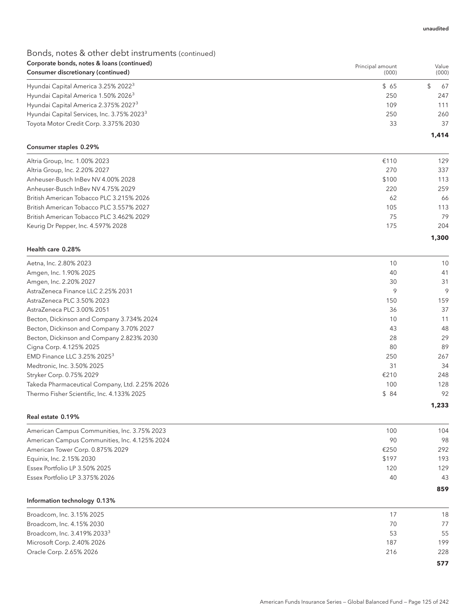| Corporate bonds, notes & loans (continued)             | Principal amount | Value    |
|--------------------------------------------------------|------------------|----------|
| Consumer discretionary (continued)                     | (000)            | (000)    |
| Hyundai Capital America 3.25% 2022 <sup>3</sup>        | \$65             | \$<br>67 |
| Hyundai Capital America 1.50% 2026 <sup>3</sup>        | 250              | 247      |
| Hyundai Capital America 2.375% 2027 <sup>3</sup>       | 109              | 111      |
| Hyundai Capital Services, Inc. 3.75% 2023 <sup>3</sup> | 250              | 260      |
| Toyota Motor Credit Corp. 3.375% 2030                  | 33               | 37       |
|                                                        |                  | 1,414    |
| Consumer staples 0.29%                                 |                  |          |
| Altria Group, Inc. 1.00% 2023                          | €110             | 129      |
| Altria Group, Inc. 2.20% 2027                          | 270              | 337      |
| Anheuser-Busch InBev NV 4.00% 2028                     | \$100            | 113      |
| Anheuser-Busch InBev NV 4.75% 2029                     | 220              | 259      |
| British American Tobacco PLC 3.215% 2026               | 62               | 66       |
| British American Tobacco PLC 3.557% 2027               | 105              | 113      |
| British American Tobacco PLC 3.462% 2029               | 75               | 79       |
| Keurig Dr Pepper, Inc. 4.597% 2028                     | 175              | 204      |
|                                                        |                  | 1,300    |
| Health care 0.28%                                      |                  |          |
| Aetna, Inc. 2.80% 2023                                 | 10               | 10       |
| Amgen, Inc. 1.90% 2025                                 | 40               | 41       |
| Amgen, Inc. 2.20% 2027                                 | 30               | 31       |
| AstraZeneca Finance LLC 2.25% 2031                     | 9                | 9        |
| AstraZeneca PLC 3.50% 2023                             | 150              | 159      |
| AstraZeneca PLC 3.00% 2051                             | 36               | 37       |
| Becton, Dickinson and Company 3.734% 2024              | 10               | 11       |
| Becton, Dickinson and Company 3.70% 2027               | 43               | 48       |
| Becton, Dickinson and Company 2.823% 2030              | 28               | 29       |
| Cigna Corp. 4.125% 2025                                | 80               | 89       |
| EMD Finance LLC 3.25% 2025 <sup>3</sup>                | 250              | 267      |
| Medtronic, Inc. 3.50% 2025                             | 31               | 34       |
| Stryker Corp. 0.75% 2029                               | €210             | 248      |
| Takeda Pharmaceutical Company, Ltd. 2.25% 2026         | 100              | 128      |
| Thermo Fisher Scientific, Inc. 4.133% 2025             | \$84             | 92       |
| Real estate 0.19%                                      |                  | 1,233    |
| American Campus Communities, Inc. 3.75% 2023           | 100              | 104      |
| American Campus Communities, Inc. 4.125% 2024          | 90               | 98       |
| American Tower Corp. 0.875% 2029                       | €250             | 292      |
| Equinix, Inc. 2.15% 2030                               | \$197            | 193      |
| Essex Portfolio LP 3.50% 2025                          | 120              | 129      |
| Essex Portfolio LP 3.375% 2026                         | 40               | 43       |
|                                                        |                  | 859      |
| Information technology 0.13%                           |                  |          |
| Broadcom, Inc. 3.15% 2025                              | 17               | 18       |
| Broadcom, Inc. 4.15% 2030                              | 70               | 77       |
| Broadcom, Inc. 3.419% 2033 <sup>3</sup>                | 53               | 55       |
| Microsoft Corp. 2.40% 2026                             | 187              | 199      |
| Oracle Corp. 2.65% 2026                                | 216              | 228      |
|                                                        |                  | 577      |

American Funds Insurance Series — Global Balanced Fund — Page 125 of 242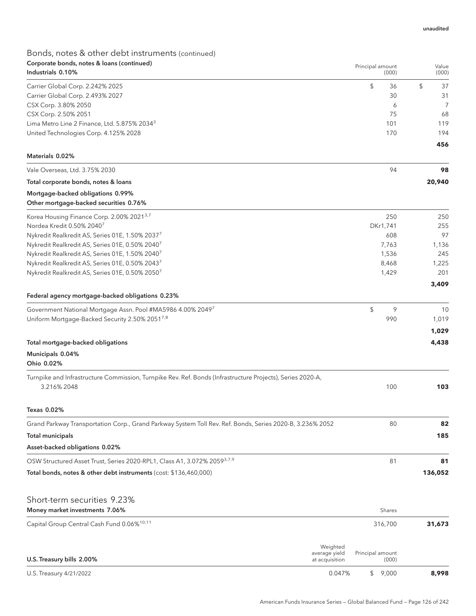| Corporate bonds, notes & loans (continued)<br>Industrials 0.10%                                            |                                 | Principal amount |          | Value    |
|------------------------------------------------------------------------------------------------------------|---------------------------------|------------------|----------|----------|
|                                                                                                            |                                 |                  | (000)    | (000)    |
| Carrier Global Corp. 2.242% 2025                                                                           |                                 | \$               | 36       | \$<br>37 |
| Carrier Global Corp. 2.493% 2027                                                                           |                                 |                  | 30       | 31       |
| CSX Corp. 3.80% 2050                                                                                       |                                 |                  | 6        | 7        |
| CSX Corp. 2.50% 2051                                                                                       |                                 |                  | 75       | 68       |
| Lima Metro Line 2 Finance, Ltd. 5.875% 2034 <sup>3</sup>                                                   |                                 |                  | 101      | 119      |
| United Technologies Corp. 4.125% 2028                                                                      |                                 |                  | 170      | 194      |
| Materials 0.02%                                                                                            |                                 |                  |          | 456      |
| Vale Overseas, Ltd. 3.75% 2030                                                                             |                                 |                  | 94       | 98       |
| Total corporate bonds, notes & loans                                                                       |                                 |                  |          | 20,940   |
| Mortgage-backed obligations 0.99%<br>Other mortgage-backed securities 0.76%                                |                                 |                  |          |          |
| Korea Housing Finance Corp. 2.00% 2021 <sup>3,7</sup>                                                      |                                 |                  | 250      | 250      |
| Nordea Kredit 0.50% 2040 <sup>7</sup>                                                                      |                                 |                  | DKr1,741 | 255      |
| Nykredit Realkredit AS, Series 01E, 1.50% 20377                                                            |                                 |                  | 608      | 97       |
| Nykredit Realkredit AS, Series 01E, 0.50% 20407                                                            |                                 |                  | 7,763    | 1,136    |
| Nykredit Realkredit AS, Series 01E, 1.50% 2040 <sup>7</sup>                                                |                                 |                  | 1,536    | 245      |
| Nykredit Realkredit AS, Series 01E, 0.50% 20437                                                            |                                 |                  | 8,468    | 1,225    |
| Nykredit Realkredit AS, Series 01E, 0.50% 20507                                                            |                                 |                  | 1,429    | 201      |
|                                                                                                            |                                 |                  |          | 3,409    |
| Federal agency mortgage-backed obligations 0.23%                                                           |                                 |                  |          |          |
| Government National Mortgage Assn. Pool #MA5986 4.00% 20497                                                |                                 | \$               | 9        | 10       |
| Uniform Mortgage-Backed Security 2.50% 20517,8                                                             |                                 |                  | 990      | 1,019    |
|                                                                                                            |                                 |                  |          | 1,029    |
| Total mortgage-backed obligations                                                                          |                                 |                  |          | 4,438    |
| Municipals 0.04%                                                                                           |                                 |                  |          |          |
| Ohio 0.02%                                                                                                 |                                 |                  |          |          |
| Turnpike and Infrastructure Commission, Turnpike Rev. Ref. Bonds (Infrastructure Projects), Series 2020-A, |                                 |                  |          |          |
| 3.216% 2048                                                                                                |                                 |                  | 100      | 103      |
| Texas 0.02%                                                                                                |                                 |                  |          |          |
| Grand Parkway Transportation Corp., Grand Parkway System Toll Rev. Ref. Bonds, Series 2020-B, 3.236% 2052  |                                 |                  | 80       | 82       |
| <b>Total municipals</b>                                                                                    |                                 |                  |          | 185      |
| Asset-backed obligations 0.02%                                                                             |                                 |                  |          |          |
| OSW Structured Asset Trust, Series 2020-RPL1, Class A1, 3.072% 20593,7,9                                   |                                 |                  | 81       | 81       |
| Total bonds, notes & other debt instruments (cost: \$136,460,000)                                          |                                 |                  |          | 136,052  |
|                                                                                                            |                                 |                  |          |          |
| Short-term securities 9.23%                                                                                |                                 |                  |          |          |
| Money market investments 7.06%                                                                             |                                 |                  | Shares   |          |
| Capital Group Central Cash Fund 0.06% <sup>10,11</sup>                                                     |                                 |                  | 316,700  | 31,673   |
|                                                                                                            | Weighted                        |                  |          |          |
| U.S. Treasury bills 2.00%                                                                                  | average yield<br>at acquisition | Principal amount | (000)    |          |
| U.S. Treasury 4/21/2022                                                                                    | 0.047%                          | $\frac{1}{2}$    | 9,000    | 8,998    |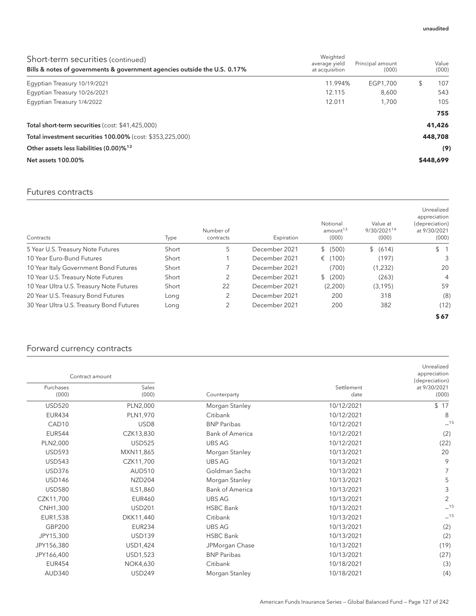| Short-term securities (continued)<br>Bills & notes of governments & government agencies outside the U.S. 0.17% | Weighted<br>average yield<br>at acquisition | Principal amount<br>(000) | Value<br>(000) |
|----------------------------------------------------------------------------------------------------------------|---------------------------------------------|---------------------------|----------------|
| Egyptian Treasury 10/19/2021                                                                                   | 11.994%                                     | EGP1.700                  | 107<br>S       |
| Egyptian Treasury 10/26/2021                                                                                   | 12.115                                      | 8.600                     | 543            |
| Eqyptian Treasury 1/4/2022                                                                                     | 12.011                                      | 1.700                     | 105            |
|                                                                                                                |                                             |                           | 755            |
| Total short-term securities (cost: \$41,425,000)                                                               |                                             |                           | 41,426         |
| Total investment securities 100.00% (cost: \$353,225,000)                                                      |                                             |                           | 448,708        |
| Other assets less liabilities (0.00)% <sup>12</sup>                                                            |                                             |                           | (9)            |
| Net assets 100.00%                                                                                             |                                             |                           | \$448,699      |

#### Futures contracts

| Contracts                                | Type  | Number of<br>contracts | Expiration    | Notional<br>amount <sup>13</sup><br>(000) | Value at<br>9/30/202114<br>(000) | Unrealized<br>appreciation<br>(depreciation)<br>at 9/30/2021<br>(000) |
|------------------------------------------|-------|------------------------|---------------|-------------------------------------------|----------------------------------|-----------------------------------------------------------------------|
| 5 Year U.S. Treasury Note Futures        | Short | 5                      | December 2021 | \$ (500)                                  | \$ (614)                         | $\mathbb{S}$                                                          |
| 10 Year Euro-Bund Futures                | Short |                        | December 2021 | € (100)                                   | (197)                            | 3                                                                     |
| 10 Year Italy Government Bond Futures    | Short |                        | December 2021 | (700)                                     | (1,232)                          | 20                                                                    |
| 10 Year U.S. Treasury Note Futures       | Short | 2                      | December 2021 | \$ (200)                                  | (263)                            | 4                                                                     |
| 10 Year Ultra U.S. Treasury Note Futures | Short | 22                     | December 2021 | (2,200)                                   | (3, 195)                         | 59                                                                    |
| 20 Year U.S. Treasury Bond Futures       | Long  | 2                      | December 2021 | 200                                       | 318                              | (8)                                                                   |
| 30 Year Ultra U.S. Treasury Bond Futures | Long  | 2                      | December 2021 | 200                                       | 382                              | (12)                                                                  |
|                                          |       |                        |               |                                           |                                  | \$67                                                                  |

### Forward currency contracts

|                    | Contract amount  |                        |                    | Unrealized<br>appreciation<br>(depreciation) |
|--------------------|------------------|------------------------|--------------------|----------------------------------------------|
| Purchases<br>(000) | Sales<br>(000)   | Counterparty           | Settlement<br>date | at 9/30/2021<br>(000)                        |
| <b>USD520</b>      | PLN2,000         | Morgan Stanley         | 10/12/2021         | \$17                                         |
| <b>EUR434</b>      | PLN1,970         | Citibank               | 10/12/2021         | 8                                            |
| CAD <sub>10</sub>  | USD <sub>8</sub> | <b>BNP Paribas</b>     | 10/12/2021         | $-15$                                        |
| <b>EUR544</b>      | CZK13,830        | <b>Bank of America</b> | 10/12/2021         | (2)                                          |
| PLN2,000           | <b>USD525</b>    | <b>UBS AG</b>          | 10/12/2021         | (22)                                         |
| <b>USD593</b>      | MXN11,865        | Morgan Stanley         | 10/13/2021         | 20                                           |
| <b>USD543</b>      | CZK11,700        | <b>UBS AG</b>          | 10/13/2021         | 9                                            |
| <b>USD376</b>      | <b>AUD510</b>    | Goldman Sachs          | 10/13/2021         |                                              |
| <b>USD146</b>      | <b>NZD204</b>    | Morgan Stanley         | 10/13/2021         | 5                                            |
| <b>USD580</b>      | ILS1,860         | <b>Bank of America</b> | 10/13/2021         | 3                                            |
| CZK11,700          | <b>EUR460</b>    | <b>UBS AG</b>          | 10/13/2021         | 2                                            |
| CNH1,300           | <b>USD201</b>    | <b>HSBC Bank</b>       | 10/13/2021         | $-15$                                        |
| EUR1,538           | DKK11,440        | Citibank               | 10/13/2021         | $-15$                                        |
| GBP200             | <b>EUR234</b>    | <b>UBS AG</b>          | 10/13/2021         | (2)                                          |
| JPY15,300          | <b>USD139</b>    | <b>HSBC Bank</b>       | 10/13/2021         | (2)                                          |
| JPY156,380         | USD1,424         | JPMorgan Chase         | 10/13/2021         | (19)                                         |
| JPY166,400         | USD1,523         | <b>BNP Paribas</b>     | 10/13/2021         | (27)                                         |
| <b>EUR454</b>      | <b>NOK4,630</b>  | Citibank               | 10/18/2021         | (3)                                          |
| <b>AUD340</b>      | <b>USD249</b>    | Morgan Stanley         | 10/18/2021         | (4)                                          |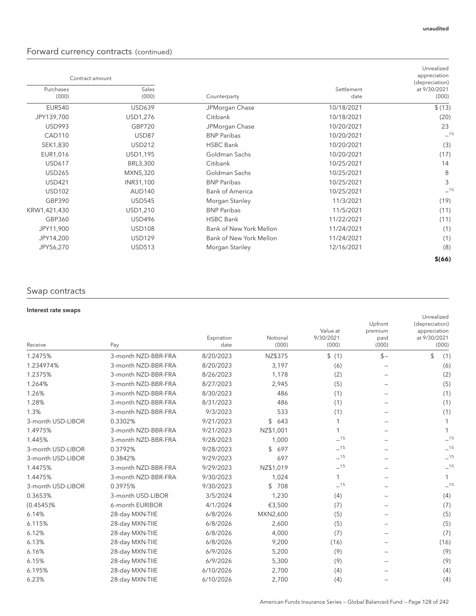### Forward currency contracts (continued)

| Contract amount    |                |                         |                    | Unrealized<br>appreciation              |
|--------------------|----------------|-------------------------|--------------------|-----------------------------------------|
| Purchases<br>(000) | Sales<br>(000) | Counterparty            | Settlement<br>date | (depreciation)<br>at 9/30/2021<br>(000) |
| <b>EUR540</b>      | <b>USD639</b>  | JPMorgan Chase          | 10/18/2021         | \$(13)                                  |
| JPY139,700         | USD1,276       | Citibank                | 10/18/2021         | (20)                                    |
| <b>USD993</b>      | <b>GBP720</b>  | JPMorgan Chase          | 10/20/2021         | 23                                      |
| <b>CAD110</b>      | USD87          | <b>BNP Paribas</b>      | 10/20/2021         | $-15$                                   |
| SEK1,830           | <b>USD212</b>  | <b>HSBC Bank</b>        | 10/20/2021         | (3)                                     |
| EUR1,016           | USD1,195       | Goldman Sachs           | 10/20/2021         | (17)                                    |
| <b>USD617</b>      | BRL3,300       | Citibank                | 10/25/2021         | 14                                      |
| <b>USD265</b>      | MXN5,320       | Goldman Sachs           | 10/25/2021         | 8                                       |
| <b>USD421</b>      | INR31,100      | <b>BNP Paribas</b>      | 10/25/2021         | 3                                       |
| <b>USD102</b>      | <b>AUD140</b>  | <b>Bank of America</b>  | 10/25/2021         | $-15$                                   |
| GBP390             | <b>USD545</b>  | Morgan Stanley          | 11/3/2021          | (19)                                    |
| KRW1,421,430       | USD1,210       | <b>BNP Paribas</b>      | 11/5/2021          | (11)                                    |
| GBP360             | <b>USD496</b>  | <b>HSBC Bank</b>        | 11/22/2021         | (11)                                    |
| JPY11,900          | <b>USD108</b>  | Bank of New York Mellon | 11/24/2021         | (1)                                     |
| JPY14,200          | <b>USD129</b>  | Bank of New York Mellon | 11/24/2021         | (1)                                     |
| JPY56,270          | <b>USD513</b>  | Morgan Stanley          | 12/16/2021         | (8)                                     |
|                    |                |                         |                    | \$(66)                                  |

### Swap contracts

#### Interest rate swaps

|                     |                    |                      |                                |                                     | Unrealized                                              |
|---------------------|--------------------|----------------------|--------------------------------|-------------------------------------|---------------------------------------------------------|
| Pay                 | Expiration<br>date | Notional<br>(000)    | Value at<br>9/30/2021<br>(000) | Upfront<br>premium<br>paid<br>(000) | (depreciation)<br>appreciation<br>at 9/30/2021<br>(000) |
| 3-month NZD-BBR-FRA | 8/20/2023          | NZ\$375              | \$(1)                          | $$-$                                | \$<br>(1)                                               |
| 3-month NZD-BBR-FRA | 8/20/2023          | 3,197                | (6)                            |                                     | (6)                                                     |
| 3-month NZD-BBR-FRA | 8/26/2023          | 1,178                | (2)                            |                                     | (2)                                                     |
| 3-month NZD-BBR-FRA | 8/27/2023          | 2,945                | (5)                            |                                     | (5)                                                     |
| 3-month NZD-BBR-FRA | 8/30/2023          | 486                  | (1)                            |                                     | (1)                                                     |
| 3-month NZD-BBR-FRA | 8/31/2023          | 486                  | (1)                            |                                     | (1)                                                     |
| 3-month NZD-BBR-FRA | 9/3/2023           | 533                  | (1)                            |                                     | (1)                                                     |
| 0.3302%             | 9/21/2023          | \$<br>643            | 1                              |                                     | 1                                                       |
| 3-month NZD-BBR-FRA | 9/21/2023          | NZ\$1,001            | 1                              |                                     | 1                                                       |
| 3-month NZD-BBR-FRA | 9/28/2023          | 1,000                | $-15$                          |                                     | $-15$                                                   |
| 0.3792%             | 9/28/2023          | $\mathcal{L}$<br>697 | $-15$                          |                                     | $-15$                                                   |
| 0.3842%             | 9/29/2023          | 697                  | $\_15$                         |                                     | $-15$                                                   |
| 3-month NZD-BBR-FRA | 9/29/2023          | NZ\$1,019            | $-15$                          |                                     | $-15$                                                   |
| 3-month NZD-BBR-FRA | 9/30/2023          | 1,024                | 1                              |                                     |                                                         |
| 0.3975%             | 9/30/2023          | \$<br>708            | $-15$                          |                                     | $-15$                                                   |
| 3-month USD-LIBOR   | 3/5/2024           | 1,230                | (4)                            |                                     | (4)                                                     |
| 6-month EURIBOR     | 4/1/2024           | €3,500               | (7)                            |                                     | (7)                                                     |
| 28-day MXN-TIIE     | 6/8/2026           | MXN2,600             | (5)                            |                                     | (5)                                                     |
| 28-day MXN-TIIE     | 6/8/2026           | 2,600                | (5)                            |                                     | (5)                                                     |
| 28-day MXN-TIIE     | 6/8/2026           | 4,000                | (7)                            |                                     | (7)                                                     |
| 28-day MXN-TIIE     | 6/8/2026           | 9,200                | (16)                           |                                     | (16)                                                    |
| 28-day MXN-TIIE     | 6/9/2026           | 5,200                | (9)                            |                                     | (9)                                                     |
| 28-day MXN-TIIE     | 6/9/2026           | 5,300                | (9)                            |                                     | (9)                                                     |
| 28-day MXN-TIIE     | 6/10/2026          | 2,700                | (4)                            |                                     | (4)                                                     |
| 28-day MXN-TIIE     | 6/10/2026          | 2,700                | (4)                            |                                     | (4)                                                     |
|                     |                    |                      |                                |                                     |                                                         |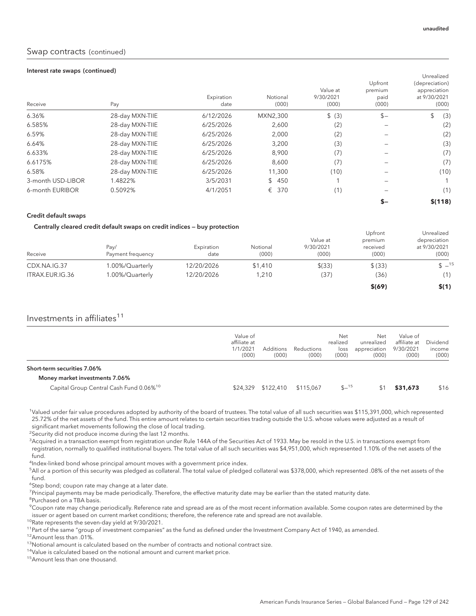#### Interest rate swaps (continued)

| Receive           | Pay             | Expiration<br>date | Notional<br>(000) | Value at<br>9/30/2021<br>(000) | Upfront<br>premium<br>paid<br>(000) | Unrealized<br>(depreciation)<br>appreciation<br>at 9/30/2021<br>(000) |
|-------------------|-----------------|--------------------|-------------------|--------------------------------|-------------------------------------|-----------------------------------------------------------------------|
| 6.36%             | 28-day MXN-TIIE | 6/12/2026          | MXN2,300          | \$ (3)                         | $$-$                                | \$<br>(3)                                                             |
| 6.585%            | 28-day MXN-TIIE | 6/25/2026          | 2,600             | (2)                            |                                     | (2)                                                                   |
| 6.59%             | 28-day MXN-TIIE | 6/25/2026          | 2,000             | (2)                            |                                     | (2)                                                                   |
| 6.64%             | 28-day MXN-TIIE | 6/25/2026          | 3,200             | (3)                            |                                     | (3)                                                                   |
| 6.633%            | 28-day MXN-TIIE | 6/25/2026          | 8,900             | (7)                            |                                     | (7)                                                                   |
| 6.6175%           | 28-day MXN-TIIE | 6/25/2026          | 8,600             | (7)                            |                                     | (7)                                                                   |
| 6.58%             | 28-day MXN-TIIE | 6/25/2026          | 11,300            | (10)                           |                                     | (10)                                                                  |
| 3-month USD-LIBOR | 1.4822%         | 3/5/2031           | \$450             |                                |                                     |                                                                       |
| 6-month EURIBOR   | 0.5092%         | 4/1/2051           | € 370             | (1)                            |                                     | (1)                                                                   |
|                   |                 |                    |                   |                                | $S-$                                | \$(118)                                                               |

#### Credit default swaps

#### Centrally cleared credit default swaps on credit indices — buy protection

| Receive         | Pay/<br>Payment frequency | Expiration<br>date | Notional<br>(000) | Value at<br>9/30/2021<br>(000) | Upfront<br>premium<br>received<br>(000) | Unrealized<br>depreciation<br>at 9/30/2021<br>(000) |
|-----------------|---------------------------|--------------------|-------------------|--------------------------------|-----------------------------------------|-----------------------------------------------------|
| CDX.NA.IG.37    | 1.00%/Quarterly           | 12/20/2026         | \$1,410           | $$$ (33)                       | \$ (33)                                 | $$ -15$                                             |
| ITRAX.EUR.IG.36 | 1.00%/Quarterly           | 12/20/2026         | 1.210             | (37                            | (36)                                    | (1)                                                 |
|                 |                           |                    |                   |                                | \$ (69)                                 | \$(1)                                               |

### Investments in affiliates $11$

|                                                                                       | Value of<br>affiliate at<br>1/1/2021<br>(000) | <b>Additions</b><br>(000) | Reductions<br>(000) | Net<br>realized<br>loss<br>(000) | Net<br>unrealized<br>appreciation<br>(000) | Value of<br>affiliate at<br>9/30/2021<br>(000) | Dividend<br>income<br>(000) |
|---------------------------------------------------------------------------------------|-----------------------------------------------|---------------------------|---------------------|----------------------------------|--------------------------------------------|------------------------------------------------|-----------------------------|
| Short-term securities 7.06%                                                           |                                               |                           |                     |                                  |                                            |                                                |                             |
| Money market investments 7.06%<br>Capital Group Central Cash Fund 0.06% <sup>10</sup> |                                               |                           | \$115,067           | $$ -15$                          |                                            | \$31,673                                       | \$16                        |

1 Valued under fair value procedures adopted by authority of the board of trustees. The total value of all such securities was \$115,391,000, which represented 25.72% of the net assets of the fund. This entire amount relates to certain securities trading outside the U.S. whose values were adjusted as a result of significant market movements following the close of local trading.

<sup>2</sup>Security did not produce income during the last 12 months.

 $^3$ Acquired in a transaction exempt from registration under Rule 144A of the Securities Act of 1933. May be resold in the U.S. in transactions exempt from registration, normally to qualified institutional buyers. The total value of all such securities was \$4,951,000, which represented 1.10% of the net assets of the fund.

<sup>4</sup>Index-linked bond whose principal amount moves with a government price index.

5 All or a portion of this security was pledged as collateral. The total value of pledged collateral was \$378,000, which represented .08% of the net assets of the fund.

<sup>6</sup>Step bond; coupon rate may change at a later date.

<sup>7</sup>Principal payments may be made periodically. Therefore, the effective maturity date may be earlier than the stated maturity date.

8 Purchased on a TBA basis.

9 Coupon rate may change periodically. Reference rate and spread are as of the most recent information available. Some coupon rates are determined by the issuer or agent based on current market conditions; therefore, the reference rate and spread are not available.

<sup>10</sup>Rate represents the seven-day yield at 9/30/2021.

<sup>11</sup>Part of the same "group of investment companies" as the fund as defined under the Investment Company Act of 1940, as amended.

12Amount less than .01%.

<sup>13</sup>Notional amount is calculated based on the number of contracts and notional contract size.

<sup>14</sup>Value is calculated based on the notional amount and current market price.

15Amount less than one thousand.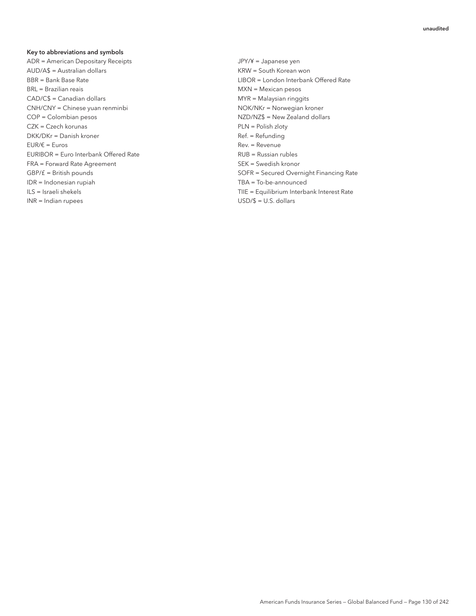#### Key to abbreviations and symbols

ADR = American Depositary Receipts JPY/¥ = Japanese yen AUD/A\$ = Australian dollars KRW = South Korean won BBR = Bank Base Rate LIBOR = London Interbank Offered Rate BRL = Brazilian reais and a state of the MXN = Mexican pesos CAD/C\$ = Canadian dollars MYR = Malaysian ringgits CNH/CNY = Chinese yuan renminbi NOK/NKr = Norwegian kroner COP = Colombian pesos NZD/NZ\$ = New Zealand dollars CZK = Czech korunas extensive political extensive provided PLN = Polish zloty DKK/DKr = Danish kroner entertainment and the Ref. = Refunding  $EUR/\varepsilon$  = Euros Rev. = Revenue EURIBOR = Euro Interbank Offered Rate **Rubles** RUB = Russian rubles FRA = Forward Rate Agreement SEK = Swedish kronor IDR = Indonesian rupiah TBA = To-be-announced INR = Indian rupees USD/\$ = U.S. dollars

GBP/ $f =$  British pounds SOFR = Secured Overnight Financing Rate ILS = Israeli shekels TIIE = Equilibrium Interbank Interest Rate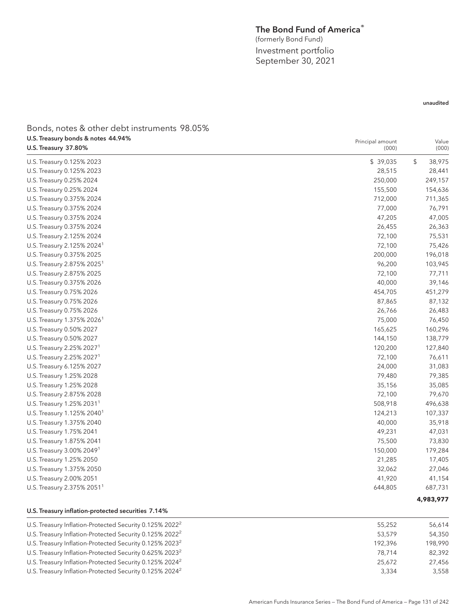#### The Bond Fund of America®

(formerly Bond Fund) Investment portfolio September 30, 2021

#### unaudited

**4,983,977**

## Bonds, notes & other debt instruments 98.05% U.S. Treasury bonds & notes 44.94%

| U.S. Treasury bonds & notes 44.94%<br><b>U.S. Treasury 37.80%</b> | Principal amount<br>(000) | Value<br>(000) |
|-------------------------------------------------------------------|---------------------------|----------------|
| U.S. Treasury 0.125% 2023                                         | \$39,035                  | \$<br>38,975   |
| U.S. Treasury 0.125% 2023                                         | 28,515                    | 28,441         |
| U.S. Treasury 0.25% 2024                                          | 250,000                   | 249,157        |
| U.S. Treasury 0.25% 2024                                          | 155,500                   | 154,636        |
| U.S. Treasury 0.375% 2024                                         | 712,000                   | 711,365        |
| U.S. Treasury 0.375% 2024                                         | 77,000                    | 76,791         |
| U.S. Treasury 0.375% 2024                                         | 47,205                    | 47,005         |
| U.S. Treasury 0.375% 2024                                         | 26,455                    | 26,363         |
| U.S. Treasury 2.125% 2024                                         | 72,100                    | 75,531         |
| U.S. Treasury 2.125% 2024 <sup>1</sup>                            | 72,100                    | 75,426         |
| U.S. Treasury 0.375% 2025                                         | 200,000                   | 196,018        |
| U.S. Treasury 2.875% 2025 <sup>1</sup>                            | 96,200                    | 103,945        |
| U.S. Treasury 2.875% 2025                                         | 72,100                    | 77,711         |
| U.S. Treasury 0.375% 2026                                         | 40,000                    | 39,146         |
| U.S. Treasury 0.75% 2026                                          | 454,705                   | 451,279        |
| U.S. Treasury 0.75% 2026                                          | 87,865                    | 87,132         |
| U.S. Treasury 0.75% 2026                                          | 26,766                    | 26,483         |
| U.S. Treasury 1.375% 2026 <sup>1</sup>                            | 75,000                    | 76,450         |
| U.S. Treasury 0.50% 2027                                          | 165,625                   | 160,296        |
| U.S. Treasury 0.50% 2027                                          | 144,150                   | 138,779        |
| U.S. Treasury 2.25% 2027 <sup>1</sup>                             | 120,200                   | 127,840        |
| U.S. Treasury 2.25% 2027 <sup>1</sup>                             | 72,100                    | 76,611         |
| U.S. Treasury 6.125% 2027                                         | 24,000                    | 31,083         |
| U.S. Treasury 1.25% 2028                                          | 79,480                    | 79,385         |
| U.S. Treasury 1.25% 2028                                          | 35,156                    | 35,085         |
| U.S. Treasury 2.875% 2028                                         | 72,100                    | 79,670         |
| U.S. Treasury 1.25% 2031 <sup>1</sup>                             | 508,918                   | 496,638        |
| U.S. Treasury 1.125% 2040 <sup>1</sup>                            | 124,213                   | 107,337        |
| U.S. Treasury 1.375% 2040                                         | 40,000                    | 35,918         |
| U.S. Treasury 1.75% 2041                                          | 49,231                    | 47,031         |
| U.S. Treasury 1.875% 2041                                         | 75,500                    | 73,830         |
| U.S. Treasury 3.00% 2049 <sup>1</sup>                             | 150,000                   | 179,284        |
| U.S. Treasury 1.25% 2050                                          | 21,285                    | 17,405         |
| U.S. Treasury 1.375% 2050                                         | 32,062                    | 27,046         |
| U.S. Treasury 2.00% 2051                                          | 41,920                    | 41,154         |
| U.S. Treasury 2.375% 2051 <sup>1</sup>                            | 644,805                   | 687,731        |

#### U.S. Treasury inflation-protected securities 7.14%

| U.S. Treasury Inflation-Protected Security 0.125% 2022 <sup>2</sup> | 55.252  | 56.614  |
|---------------------------------------------------------------------|---------|---------|
| U.S. Treasury Inflation-Protected Security 0.125% 2022 <sup>2</sup> | 53.579  | 54,350  |
| U.S. Treasury Inflation-Protected Security 0.125% 2023 <sup>2</sup> | 192.396 | 198.990 |
| U.S. Treasury Inflation-Protected Security 0.625% 2023 <sup>2</sup> | 78.714  | 82,392  |
| U.S. Treasury Inflation-Protected Security 0.125% 2024 <sup>2</sup> | 25.672  | 27,456  |
| U.S. Treasury Inflation-Protected Security 0.125% 2024 <sup>2</sup> | 3.334   | 3,558   |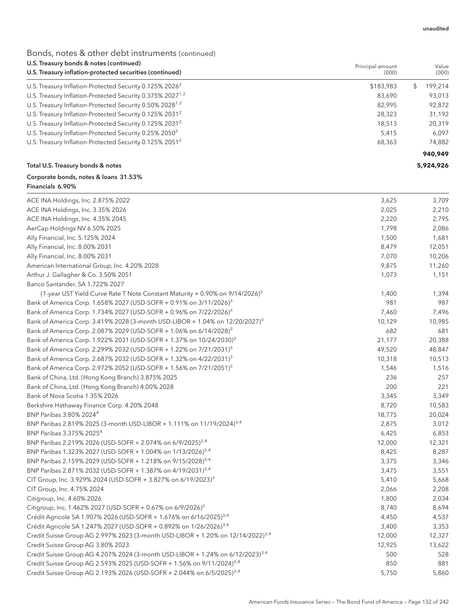### Bonds, notes & other debt instruments (continued)

| U.S. Treasury bonds & notes (continued)<br>U.S. Treasury inflation-protected securities (continued) | Principal amount<br>(000) | Value<br>(000) |
|-----------------------------------------------------------------------------------------------------|---------------------------|----------------|
|                                                                                                     |                           |                |
| U.S. Treasury Inflation-Protected Security 0.125% 2026 <sup>2</sup>                                 | \$183,983                 | 199,214<br>\$  |
| U.S. Treasury Inflation-Protected Security 0.375% 2027 <sup>1,2</sup>                               | 83,690                    | 93,013         |
| U.S. Treasury Inflation-Protected Security 0.50% 2028 <sup>1,2</sup>                                | 82,995                    | 92,872         |
| U.S. Treasury Inflation-Protected Security 0.125% 2031 <sup>2</sup>                                 | 28,323                    | 31,192         |
| U.S. Treasury Inflation-Protected Security 0.125% 2031 <sup>2</sup>                                 | 18,513                    | 20,319         |
| U.S. Treasury Inflation-Protected Security 0.25% 2050 <sup>2</sup>                                  | 5,415                     | 6,097          |
| U.S. Treasury Inflation-Protected Security 0.125% 2051 <sup>2</sup>                                 | 68,363                    | 74,882         |
|                                                                                                     |                           | 940,949        |
| Total U.S. Treasury bonds & notes                                                                   |                           | 5,924,926      |
| Corporate bonds, notes & loans 31.53%<br>Financials 6.90%                                           |                           |                |
| ACE INA Holdings, Inc. 2.875% 2022                                                                  | 3,625                     | 3,709          |
| ACE INA Holdings, Inc. 3.35% 2026                                                                   | 2,025                     | 2,210          |
| ACE INA Holdings, Inc. 4.35% 2045                                                                   | 2,220                     | 2,795          |
| AerCap Holdings NV 6.50% 2025                                                                       | 1,798                     | 2,086          |
| Ally Financial, Inc. 5.125% 2024                                                                    | 1,500                     | 1,681          |
| Ally Financial, Inc. 8.00% 2031                                                                     | 8,479                     | 12,051         |
| Ally Financial, Inc. 8.00% 2031                                                                     | 7,070                     | 10,206         |
| American International Group, Inc. 4.20% 2028                                                       | 9,875                     | 11,260         |
| Arthur J. Gallagher & Co. 3.50% 2051                                                                | 1,073                     | 1,151          |
| Banco Santander, SA 1.722% 2027                                                                     |                           |                |
| (1-year UST Yield Curve Rate T Note Constant Maturity $+$ 0.90% on 9/14/2026) <sup>3</sup>          | 1,400                     | 1,394          |
| Bank of America Corp. 1.658% 2027 (USD-SOFR + 0.91% on 3/11/2026) <sup>3</sup>                      | 981                       | 987            |
| Bank of America Corp. 1.734% 2027 (USD-SOFR + 0.96% on 7/22/2026) <sup>3</sup>                      | 7,460                     | 7,496          |
| Bank of America Corp. 3.419% 2028 (3-month USD-LIBOR + 1.04% on 12/20/2027) <sup>3</sup>            | 10,129                    | 10,985         |
| Bank of America Corp. 2.087% 2029 (USD-SOFR + 1.06% on 6/14/2028) <sup>3</sup>                      | 682                       | 681            |
| Bank of America Corp. 1.922% 2031 (USD-SOFR + 1.37% on 10/24/2030) <sup>3</sup>                     | 21,177                    | 20,388         |
| Bank of America Corp. 2.299% 2032 (USD-SOFR + 1.22% on 7/21/2031) <sup>3</sup>                      | 49,520                    | 48,847         |
| Bank of America Corp. 2.687% 2032 (USD-SOFR + 1.32% on 4/22/2031) <sup>3</sup>                      | 10,318                    | 10,513         |
| Bank of America Corp. 2.972% 2052 (USD-SOFR + 1.56% on 7/21/2051) <sup>3</sup>                      | 1,546                     | 1,516          |
| Bank of China, Ltd. (Hong Kong Branch) 3.875% 2025                                                  | 236                       | 257            |
| Bank of China, Ltd. (Hong Kong Branch) 4.00% 2028                                                   | 200                       | 221            |
| Bank of Nova Scotia 1.35% 2026                                                                      | 3,345                     | 3,349          |
| Berkshire Hathaway Finance Corp. 4.20% 2048                                                         | 8,720                     | 10,583         |
| BNP Paribas 3.80% 2024 <sup>4</sup>                                                                 | 18,775                    | 20,024         |
| BNP Paribas 2.819% 2025 (3-month USD-LIBOR + 1.111% on 11/19/2024) <sup>3,4</sup>                   | 2,875                     | 3,012          |
| BNP Paribas 3.375% 2025 <sup>4</sup>                                                                | 6,425                     | 6,853          |
| BNP Paribas 2.219% 2026 (USD-SOFR + 2.074% on 6/9/2025) <sup>3,4</sup>                              | 12,000                    | 12,321         |
| BNP Paribas 1.323% 2027 (USD-SOFR + 1.004% on 1/13/2026) <sup>3,4</sup>                             | 8,425                     | 8,287          |
| BNP Paribas 2.159% 2029 (USD-SOFR + 1.218% on 9/15/2028) <sup>3,4</sup>                             | 3,375                     | 3,346          |
| BNP Paribas 2.871% 2032 (USD-SOFR + 1.387% on 4/19/2031) <sup>3,4</sup>                             | 3,475                     | 3,551          |
| CIT Group, Inc. 3.929% 2024 (USD-SOFR + 3.827% on 6/19/2023) <sup>3</sup>                           | 5,410                     | 5,668          |
| CIT Group, Inc. 4.75% 2024                                                                          | 2,066                     | 2,208          |
| Citigroup, Inc. 4.60% 2026                                                                          | 1,800                     | 2,034          |
| Citigroup, Inc. 1.462% 2027 (USD-SOFR + 0.67% on 6/9/2026) <sup>3</sup>                             | 8,740                     | 8,694          |
| Crédit Agricole SA 1.907% 2026 (USD-SOFR + 1.676% on 6/16/2025) <sup>3,4</sup>                      | 4,450                     | 4,537          |
| Crédit Agricole SA 1.247% 2027 (USD-SOFR + 0.892% on 1/26/2026) <sup>3,4</sup>                      | 3,400                     | 3,353          |
| Credit Suisse Group AG 2.997% 2023 (3-month USD-LIBOR + 1.20% on 12/14/2022) <sup>3,4</sup>         | 12,000                    | 12,327         |
| Credit Suisse Group AG 3.80% 2023                                                                   | 12,925                    | 13,622         |
|                                                                                                     | 500                       | 528            |
| Credit Suisse Group AG 4.207% 2024 (3-month USD-LIBOR + 1.24% on 6/12/2023) <sup>3,4</sup>          |                           |                |
| Credit Suisse Group AG 2.593% 2025 (USD-SOFR + 1.56% on 9/11/2024) <sup>3,4</sup>                   | 850                       | 881            |
| Credit Suisse Group AG 2.193% 2026 (USD-SOFR + 2.044% on 6/5/2025) <sup>3,4</sup>                   | 5,750                     | 5,860          |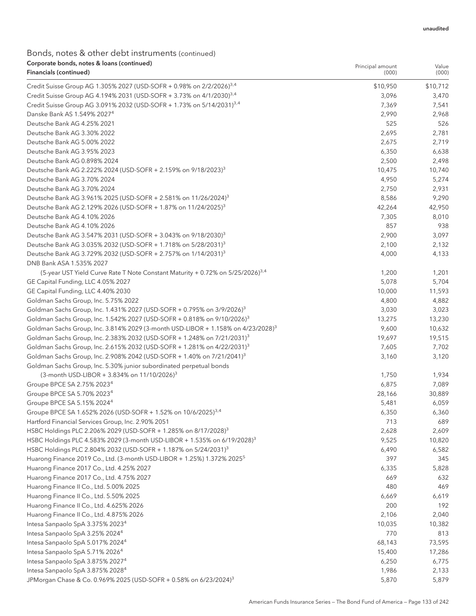Value

Principal amount

| Financials (continued)                                                                       | (000)    | (000)    |
|----------------------------------------------------------------------------------------------|----------|----------|
| Credit Suisse Group AG 1.305% 2027 (USD-SOFR + 0.98% on 2/2/2026) <sup>3,4</sup>             | \$10,950 | \$10,712 |
| Credit Suisse Group AG 4.194% 2031 (USD-SOFR + 3.73% on 4/1/2030) <sup>3,4</sup>             | 3,096    | 3,470    |
| Credit Suisse Group AG 3.091% 2032 (USD-SOFR + 1.73% on 5/14/2031) <sup>3,4</sup>            | 7,369    | 7,541    |
| Danske Bank AS 1.549% 2027 <sup>4</sup>                                                      | 2,990    | 2,968    |
| Deutsche Bank AG 4.25% 2021                                                                  | 525      | 526      |
| Deutsche Bank AG 3.30% 2022                                                                  | 2,695    | 2,781    |
| Deutsche Bank AG 5.00% 2022                                                                  | 2,675    | 2,719    |
| Deutsche Bank AG 3.95% 2023                                                                  | 6,350    | 6,638    |
| Deutsche Bank AG 0.898% 2024                                                                 | 2,500    | 2,498    |
| Deutsche Bank AG 2.222% 2024 (USD-SOFR + 2.159% on 9/18/2023) <sup>3</sup>                   | 10,475   | 10,740   |
| Deutsche Bank AG 3.70% 2024                                                                  | 4,950    | 5,274    |
| Deutsche Bank AG 3.70% 2024                                                                  | 2,750    | 2,931    |
| Deutsche Bank AG 3.961% 2025 (USD-SOFR + 2.581% on 11/26/2024) <sup>3</sup>                  | 8,586    | 9,290    |
| Deutsche Bank AG 2.129% 2026 (USD-SOFR + 1.87% on 11/24/2025) <sup>3</sup>                   | 42,264   | 42,950   |
| Deutsche Bank AG 4.10% 2026                                                                  | 7,305    | 8,010    |
| Deutsche Bank AG 4.10% 2026                                                                  | 857      | 938      |
| Deutsche Bank AG 3.547% 2031 (USD-SOFR + 3.043% on 9/18/2030) <sup>3</sup>                   | 2,900    | 3,097    |
| Deutsche Bank AG 3.035% 2032 (USD-SOFR + 1.718% on 5/28/2031) <sup>3</sup>                   | 2,100    | 2,132    |
| Deutsche Bank AG 3.729% 2032 (USD-SOFR + 2.757% on 1/14/2031) <sup>3</sup>                   | 4,000    | 4,133    |
| DNB Bank ASA 1.535% 2027                                                                     |          |          |
| (5-year UST Yield Curve Rate T Note Constant Maturity + 0.72% on 5/25/2026) <sup>3,4</sup>   | 1,200    | 1,201    |
| GE Capital Funding, LLC 4.05% 2027                                                           | 5,078    | 5,704    |
| GE Capital Funding, LLC 4.40% 2030                                                           | 10,000   | 11,593   |
| Goldman Sachs Group, Inc. 5.75% 2022                                                         | 4,800    | 4,882    |
| Goldman Sachs Group, Inc. 1.431% 2027 (USD-SOFR + 0.795% on 3/9/2026) <sup>3</sup>           | 3,030    | 3,023    |
| Goldman Sachs Group, Inc. 1.542% 2027 (USD-SOFR + 0.818% on 9/10/2026) <sup>3</sup>          | 13,275   | 13,230   |
| Goldman Sachs Group, Inc. 3.814% 2029 (3-month USD-LIBOR + 1.158% on 4/23/2028) <sup>3</sup> | 9,600    | 10,632   |
| Goldman Sachs Group, Inc. 2.383% 2032 (USD-SOFR + 1.248% on 7/21/2031) <sup>3</sup>          | 19,697   | 19,515   |
| Goldman Sachs Group, Inc. 2.615% 2032 (USD-SOFR + 1.281% on 4/22/2031) <sup>3</sup>          | 7,605    | 7,702    |
| Goldman Sachs Group, Inc. 2.908% 2042 (USD-SOFR + 1.40% on 7/21/2041) <sup>3</sup>           | 3,160    | 3,120    |
| Goldman Sachs Group, Inc. 5.30% junior subordinated perpetual bonds                          |          |          |
| (3-month USD-LIBOR + 3.834% on 11/10/2026) <sup>3</sup>                                      | 1,750    | 1,934    |
| Groupe BPCE SA 2.75% 2023 <sup>4</sup>                                                       | 6,875    | 7,089    |
| Groupe BPCE SA 5.70% 2023 <sup>4</sup>                                                       | 28,166   | 30,889   |
| Groupe BPCE SA 5.15% 2024 <sup>4</sup>                                                       | 5,481    | 6,059    |
| Groupe BPCE SA 1.652% 2026 (USD-SOFR + 1.52% on 10/6/2025) <sup>3,4</sup>                    | 6,350    | 6,360    |
| Hartford Financial Services Group, Inc. 2.90% 2051                                           | 713      | 689      |
| HSBC Holdings PLC 2.206% 2029 (USD-SOFR + 1.285% on 8/17/2028) <sup>3</sup>                  | 2,628    | 2,609    |
| HSBC Holdings PLC 4.583% 2029 (3-month USD-LIBOR + 1.535% on 6/19/2028) <sup>3</sup>         | 9,525    | 10,820   |
| HSBC Holdings PLC 2.804% 2032 (USD-SOFR + 1.187% on 5/24/2031) <sup>3</sup>                  | 6,490    | 6,582    |
| Huarong Finance 2019 Co., Ltd. (3-month USD-LIBOR + 1.25%) 1.372% 2025 <sup>5</sup>          | 397      | 345      |
| Huarong Finance 2017 Co., Ltd. 4.25% 2027                                                    | 6,335    | 5,828    |
| Huarong Finance 2017 Co., Ltd. 4.75% 2027                                                    | 669      | 632      |
| Huarong Finance II Co., Ltd. 5.00% 2025                                                      | 480      | 469      |
| Huarong Finance II Co., Ltd. 5.50% 2025                                                      | 6,669    | 6,619    |
| Huarong Finance II Co., Ltd. 4.625% 2026                                                     | 200      | 192      |
| Huarong Finance II Co., Ltd. 4.875% 2026                                                     | 2,106    | 2,040    |
| Intesa Sanpaolo SpA 3.375% 2023 <sup>4</sup>                                                 | 10,035   | 10,382   |
| Intesa Sanpaolo SpA 3.25% 2024 <sup>4</sup>                                                  | 770      | 813      |
| Intesa Sanpaolo SpA 5.017% 2024 <sup>4</sup>                                                 | 68,143   | 73,595   |
| Intesa Sanpaolo SpA 5.71% 2026 <sup>4</sup>                                                  | 15,400   | 17,286   |
| Intesa Sanpaolo SpA 3.875% 2027 <sup>4</sup>                                                 | 6,250    | 6,775    |
| Intesa Sanpaolo SpA 3.875% 2028 <sup>4</sup>                                                 | 1,986    | 2,133    |
| JPMorgan Chase & Co. 0.969% 2025 (USD-SOFR + 0.58% on 6/23/2024) <sup>3</sup>                | 5,870    | 5,879    |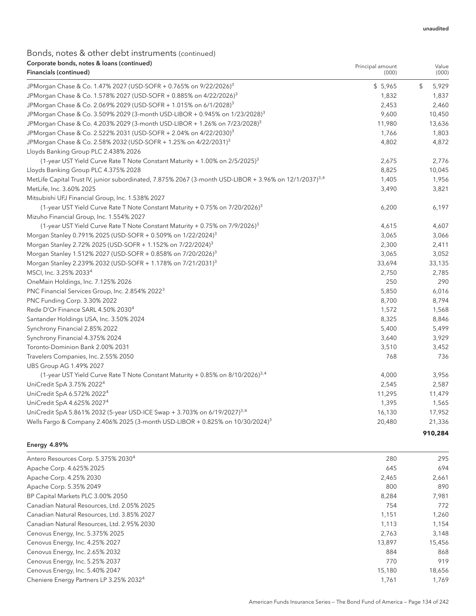Value

Principal amount

## Bonds, notes & other debt instruments (continued) Corporate bonds, notes & loans (continued)

| Financials (continued)                                                                                             | (000)   | (000)       |
|--------------------------------------------------------------------------------------------------------------------|---------|-------------|
| JPMorgan Chase & Co. 1.47% 2027 (USD-SOFR + 0.765% on 9/22/2026) <sup>3</sup>                                      | \$5,965 | \$<br>5,929 |
| JPMorgan Chase & Co. 1.578% 2027 (USD-SOFR + 0.885% on 4/22/2026) <sup>3</sup>                                     | 1,832   | 1,837       |
| JPMorgan Chase & Co. 2.069% 2029 (USD-SOFR + 1.015% on 6/1/2028) <sup>3</sup>                                      | 2,453   | 2,460       |
| JPMorgan Chase & Co. 3.509% 2029 (3-month USD-LIBOR + 0.945% on 1/23/2028) <sup>3</sup>                            | 9,600   | 10,450      |
| JPMorgan Chase & Co. 4.203% 2029 (3-month USD-LIBOR + 1.26% on 7/23/2028) <sup>3</sup>                             | 11,980  | 13,636      |
| JPMorgan Chase & Co. 2.522% 2031 (USD-SOFR + 2.04% on 4/22/2030) <sup>3</sup>                                      | 1,766   | 1,803       |
| JPMorgan Chase & Co. 2.58% 2032 (USD-SOFR + 1.25% on 4/22/2031) <sup>3</sup>                                       | 4,802   | 4,872       |
| Lloyds Banking Group PLC 2.438% 2026                                                                               |         |             |
| (1-year UST Yield Curve Rate T Note Constant Maturity + 1.00% on 2/5/2025) <sup>3</sup>                            | 2,675   | 2,776       |
| Lloyds Banking Group PLC 4.375% 2028                                                                               | 8,825   | 10,045      |
| MetLife Capital Trust IV, junior subordinated, 7.875% 2067 (3-month USD-LIBOR + 3.96% on 12/1/2037) <sup>3,4</sup> | 1,405   | 1,956       |
| MetLife, Inc. 3.60% 2025                                                                                           | 3,490   | 3,821       |
| Mitsubishi UFJ Financial Group, Inc. 1.538% 2027                                                                   |         |             |
| (1-year UST Yield Curve Rate T Note Constant Maturity + 0.75% on $7/20/2026$ ) <sup>3</sup>                        | 6,200   | 6,197       |
| Mizuho Financial Group, Inc. 1.554% 2027                                                                           |         |             |
| (1-year UST Yield Curve Rate T Note Constant Maturity + 0.75% on $7/9/2026$ ) <sup>3</sup>                         | 4,615   | 4,607       |
| Morgan Stanley 0.791% 2025 (USD-SOFR + 0.509% on 1/22/2024) <sup>3</sup>                                           | 3,065   | 3,066       |
| Morgan Stanley 2.72% 2025 (USD-SOFR + 1.152% on 7/22/2024) <sup>3</sup>                                            | 2,300   | 2,411       |
| Morgan Stanley 1.512% 2027 (USD-SOFR + 0.858% on 7/20/2026) <sup>3</sup>                                           | 3,065   | 3,052       |
| Morgan Stanley 2.239% 2032 (USD-SOFR + 1.178% on 7/21/2031) <sup>3</sup>                                           | 33,694  | 33,135      |
| MSCI, Inc. 3.25% 2033 <sup>4</sup>                                                                                 | 2,750   | 2,785       |
| OneMain Holdings, Inc. 7.125% 2026                                                                                 | 250     | 290         |
| PNC Financial Services Group, Inc. 2.854% 2022 <sup>3</sup>                                                        | 5,850   | 6,016       |
| PNC Funding Corp. 3.30% 2022                                                                                       | 8,700   | 8,794       |
| Rede D'Or Finance SARL 4.50% 2030 <sup>4</sup>                                                                     | 1,572   | 1,568       |
| Santander Holdings USA, Inc. 3.50% 2024                                                                            | 8,325   | 8,846       |
| Synchrony Financial 2.85% 2022                                                                                     | 5,400   | 5,499       |
| Synchrony Financial 4.375% 2024                                                                                    | 3,640   | 3,929       |
| Toronto-Dominion Bank 2.00% 2031                                                                                   | 3,510   | 3,452       |
| Travelers Companies, Inc. 2.55% 2050                                                                               | 768     | 736         |
| UBS Group AG 1.49% 2027                                                                                            |         |             |
| (1-year UST Yield Curve Rate T Note Constant Maturity + 0.85% on 8/10/2026) <sup>3,4</sup>                         | 4,000   | 3,956       |
| UniCredit SpA 3.75% 2022 <sup>4</sup>                                                                              | 2,545   | 2,587       |
| UniCredit SpA 6.572% 2022 <sup>4</sup>                                                                             | 11,295  | 11,479      |
| UniCredit SpA 4.625% 2027 <sup>4</sup>                                                                             | 1,395   | 1,565       |
| UniCredit SpA 5.861% 2032 (5-year USD-ICE Swap + 3.703% on 6/19/2027) <sup>3,4</sup>                               | 16,130  | 17,952      |
| Wells Fargo & Company 2.406% 2025 (3-month USD-LIBOR + 0.825% on 10/30/2024) <sup>3</sup>                          | 20,480  | 21,336      |
|                                                                                                                    |         | 910,284     |

#### Energy 4.89%

| Antero Resources Corp. 5.375% 2030 <sup>4</sup>     | 280    | 295    |
|-----------------------------------------------------|--------|--------|
| Apache Corp. 4.625% 2025                            | 645    | 694    |
| Apache Corp. 4.25% 2030                             | 2,465  | 2,661  |
| Apache Corp. 5.35% 2049                             | 800    | 890    |
| BP Capital Markets PLC 3.00% 2050                   | 8.284  | 7,981  |
| Canadian Natural Resources, Ltd. 2.05% 2025         | 754    | 772    |
| Canadian Natural Resources, Ltd. 3.85% 2027         | 1,151  | 1,260  |
| Canadian Natural Resources, Ltd. 2.95% 2030         | 1,113  | 1,154  |
| Cenovus Energy, Inc. 5.375% 2025                    | 2,763  | 3,148  |
| Cenovus Energy, Inc. 4.25% 2027                     | 13,897 | 15,456 |
| Cenovus Energy, Inc. 2.65% 2032                     | 884    | 868    |
| Cenovus Energy, Inc. 5.25% 2037                     | 770    | 919    |
| Cenovus Energy, Inc. 5.40% 2047                     | 15,180 | 18,656 |
| Cheniere Energy Partners LP 3.25% 2032 <sup>4</sup> | 1,761  | 1,769  |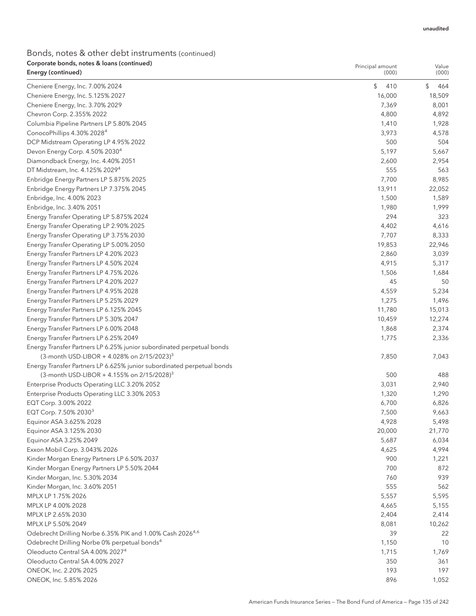| Corporate bonds, notes & Ioans (continued)<br>Energy (continued)                       | Principal amount<br>(000) | Value<br>(000)  |
|----------------------------------------------------------------------------------------|---------------------------|-----------------|
|                                                                                        |                           |                 |
| Cheniere Energy, Inc. 7.00% 2024                                                       | \$<br>410                 | \$<br>464       |
| Cheniere Energy, Inc. 5.125% 2027                                                      | 16,000                    | 18,509          |
| Cheniere Energy, Inc. 3.70% 2029                                                       | 7,369<br>4,800            | 8,001           |
| Chevron Corp. 2.355% 2022<br>Columbia Pipeline Partners LP 5.80% 2045                  | 1,410                     | 4,892<br>1,928  |
| ConocoPhillips 4.30% 2028 <sup>4</sup>                                                 | 3,973                     | 4,578           |
|                                                                                        | 500                       | 504             |
| DCP Midstream Operating LP 4.95% 2022<br>Devon Energy Corp. 4.50% 2030 <sup>4</sup>    | 5,197                     |                 |
|                                                                                        |                           | 5,667           |
| Diamondback Energy, Inc. 4.40% 2051                                                    | 2,600<br>555              | 2,954<br>563    |
| DT Midstream, Inc. 4.125% 2029 <sup>4</sup><br>Enbridge Energy Partners LP 5.875% 2025 | 7,700                     | 8,985           |
| Enbridge Energy Partners LP 7.375% 2045                                                | 13,911                    | 22,052          |
|                                                                                        |                           |                 |
| Enbridge, Inc. 4.00% 2023                                                              | 1,500                     | 1,589           |
| Enbridge, Inc. 3.40% 2051<br>Energy Transfer Operating LP 5.875% 2024                  | 1,980<br>294              | 1,999<br>323    |
|                                                                                        |                           |                 |
| Energy Transfer Operating LP 2.90% 2025                                                | 4,402<br>7,707            | 4,616           |
| Energy Transfer Operating LP 3.75% 2030<br>Energy Transfer Operating LP 5.00% 2050     |                           | 8,333           |
| Energy Transfer Partners LP 4.20% 2023                                                 | 19,853<br>2,860           | 22,946<br>3,039 |
| Energy Transfer Partners LP 4.50% 2024                                                 | 4,915                     |                 |
| Energy Transfer Partners LP 4.75% 2026                                                 | 1,506                     | 5,317<br>1,684  |
| Energy Transfer Partners LP 4.20% 2027                                                 | 45                        | 50              |
| Energy Transfer Partners LP 4.95% 2028                                                 | 4,559                     | 5,234           |
| Energy Transfer Partners LP 5.25% 2029                                                 | 1,275                     | 1,496           |
| Energy Transfer Partners LP 6.125% 2045                                                | 11,780                    | 15,013          |
| Energy Transfer Partners LP 5.30% 2047                                                 | 10,459                    | 12,274          |
| Energy Transfer Partners LP 6.00% 2048                                                 | 1,868                     | 2,374           |
| Energy Transfer Partners LP 6.25% 2049                                                 | 1,775                     | 2,336           |
| Energy Transfer Partners LP 6.25% junior subordinated perpetual bonds                  |                           |                 |
| (3-month USD-LIBOR + 4.028% on $2/15/2023$ ) <sup>3</sup>                              | 7,850                     | 7,043           |
| Energy Transfer Partners LP 6.625% junior subordinated perpetual bonds                 |                           |                 |
| (3-month USD-LIBOR + 4.155% on $2/15/2028$ ) <sup>3</sup>                              | 500                       | 488             |
| Enterprise Products Operating LLC 3.20% 2052                                           | 3,031                     | 2,940           |
| Enterprise Products Operating LLC 3.30% 2053                                           | 1,320                     | 1,290           |
| EQT Corp. 3.00% 2022                                                                   | 6,700                     | 6,826           |
| EQT Corp. 7.50% 2030 <sup>3</sup>                                                      | 7,500                     | 9,663           |
| Equinor ASA 3.625% 2028                                                                | 4,928                     | 5,498           |
| Equinor ASA 3.125% 2030                                                                | 20,000                    | 21,770          |
| Equinor ASA 3.25% 2049                                                                 | 5,687                     | 6,034           |
| Exxon Mobil Corp. 3.043% 2026                                                          | 4,625                     | 4,994           |
| Kinder Morgan Energy Partners LP 6.50% 2037                                            | 900                       | 1,221           |
| Kinder Morgan Energy Partners LP 5.50% 2044                                            | 700                       | 872             |
| Kinder Morgan, Inc. 5.30% 2034                                                         | 760                       | 939             |
| Kinder Morgan, Inc. 3.60% 2051                                                         | 555                       | 562             |
| MPLX LP 1.75% 2026                                                                     | 5,557                     | 5,595           |
| MPLX LP 4.00% 2028                                                                     | 4,665                     | 5,155           |
| MPLX LP 2.65% 2030                                                                     | 2,404                     | 2,414           |
| MPLX LP 5.50% 2049                                                                     | 8,081                     | 10,262          |
| Odebrecht Drilling Norbe 6.35% PIK and 1.00% Cash 2026 <sup>4,6</sup>                  | 39                        | 22              |
| Odebrecht Drilling Norbe 0% perpetual bonds <sup>4</sup>                               | 1,150                     | 10              |
| Oleoducto Central SA 4.00% 2027 <sup>4</sup>                                           | 1,715                     | 1,769           |
| Oleoducto Central SA 4.00% 2027                                                        | 350                       | 361             |
| ONEOK, Inc. 2.20% 2025                                                                 | 193                       | 197             |
| ONEOK, Inc. 5.85% 2026                                                                 | 896                       | 1,052           |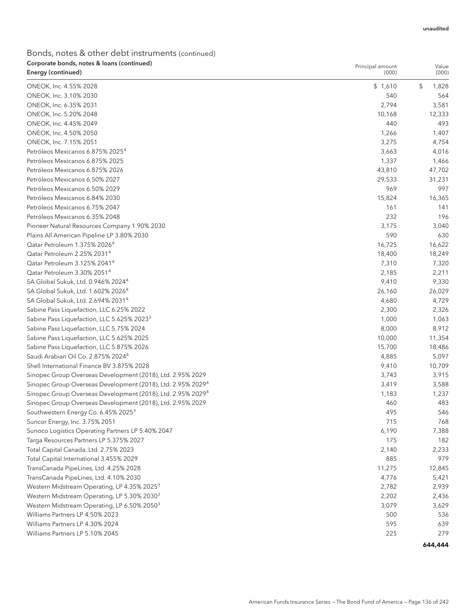| Corporate bonds, notes & Ioans (continued)<br>Energy (continued)                    | Principal amount<br>(000) | Value<br>(000) |
|-------------------------------------------------------------------------------------|---------------------------|----------------|
|                                                                                     |                           |                |
| ONEOK, Inc. 4.55% 2028                                                              | \$1,610                   | \$<br>1,828    |
| ONEOK, Inc. 3.10% 2030                                                              | 540                       | 564            |
| ONEOK, Inc. 6.35% 2031                                                              | 2,794                     | 3,581          |
| ONEOK, Inc. 5.20% 2048                                                              | 10,168                    | 12,333         |
| ONEOK, Inc. 4.45% 2049                                                              | 440                       | 493            |
| ONEOK, Inc. 4.50% 2050                                                              | 1,266                     | 1,407          |
| ONEOK, Inc. 7.15% 2051<br>Petróleos Mexicanos 6.875% 2025 <sup>4</sup>              | 3,275                     | 4,754          |
| Petróleos Mexicanos 6.875% 2025                                                     | 3,663                     | 4,016          |
|                                                                                     | 1,337                     | 1,466          |
| Petróleos Mexicanos 6.875% 2026                                                     | 43,810                    | 47,702         |
| Petróleos Mexicanos 6.50% 2027                                                      | 29,533                    | 31,231         |
| Petróleos Mexicanos 6.50% 2029                                                      | 969                       | 997            |
| Petróleos Mexicanos 6.84% 2030                                                      | 15,824                    | 16,365         |
| Petróleos Mexicanos 6.75% 2047                                                      | 161                       | 141            |
| Petróleos Mexicanos 6.35% 2048                                                      | 232                       | 196            |
| Pioneer Natural Resources Company 1.90% 2030                                        | 3,175                     | 3,040          |
| Plains All American Pipeline LP 3.80% 2030                                          | 590                       | 630            |
| Qatar Petroleum 1.375% 2026 <sup>4</sup>                                            | 16,725                    | 16,622         |
| Qatar Petroleum 2.25% 2031 <sup>4</sup><br>Qatar Petroleum 3.125% 2041 <sup>4</sup> | 18,400                    | 18,249         |
|                                                                                     | 7,310                     | 7,320          |
| Qatar Petroleum 3.30% 2051 <sup>4</sup>                                             | 2,185                     | 2,211          |
| SA Global Sukuk, Ltd. 0.946% 2024 <sup>4</sup>                                      | 9,410                     | 9,330          |
| SA Global Sukuk, Ltd. 1.602% 2026 <sup>4</sup>                                      | 26,160                    | 26,029         |
| SA Global Sukuk, Ltd. 2.694% 2031 <sup>4</sup>                                      | 4,680                     | 4,729          |
| Sabine Pass Liquefaction, LLC 6.25% 2022                                            | 2,300                     | 2,326          |
| Sabine Pass Liquefaction, LLC 5.625% 2023 <sup>3</sup>                              | 1,000                     | 1,063          |
| Sabine Pass Liquefaction, LLC 5.75% 2024                                            | 8,000                     | 8,912          |
| Sabine Pass Liquefaction, LLC 5.625% 2025                                           | 10,000                    | 11,354         |
| Sabine Pass Liquefaction, LLC 5.875% 2026                                           | 15,700                    | 18,486         |
| Saudi Arabian Oil Co. 2.875% 2024 <sup>4</sup>                                      | 4,885                     | 5,097          |
| Shell International Finance BV 3.875% 2028                                          | 9,410                     | 10,709         |
| Sinopec Group Overseas Development (2018), Ltd. 2.95% 2029                          | 3,743                     | 3,915          |
| Sinopec Group Overseas Development (2018), Ltd. 2.95% 2029 <sup>4</sup>             | 3,419                     | 3,588          |
| Sinopec Group Overseas Development (2018), Ltd. 2.95% 2029 <sup>4</sup>             | 1,183                     | 1,237          |
| Sinopec Group Overseas Development (2018), Ltd. 2.95% 2029                          | 460                       | 483            |
| Southwestern Energy Co. 6.45% 2025 <sup>3</sup>                                     | 495                       | 546            |
| Suncor Energy, Inc. 3.75% 2051                                                      | 715                       | 768            |
| Sunoco Logistics Operating Partners LP 5.40% 2047                                   | 6,190                     | 7,388          |
| Targa Resources Partners LP 5.375% 2027                                             | 175                       | 182            |
| Total Capital Canada, Ltd. 2.75% 2023                                               | 2,140                     | 2,233          |
| Total Capital International 3.455% 2029                                             | 885                       | 979            |
| TransCanada PipeLines, Ltd. 4.25% 2028                                              | 11,275                    | 12,845         |
| TransCanada PipeLines, Ltd. 4.10% 2030                                              | 4,776                     | 5,421          |
| Western Midstream Operating, LP 4.35% 2025 <sup>3</sup>                             | 2,782                     | 2,939          |
| Western Midstream Operating, LP 5.30% 2030 <sup>3</sup>                             | 2,202                     | 2,436          |
| Western Midstream Operating, LP 6.50% 2050 <sup>3</sup>                             | 3,079                     | 3,629          |
| Williams Partners LP 4.50% 2023                                                     | 500                       | 536            |
| Williams Partners LP 4.30% 2024                                                     | 595                       | 639            |
| Williams Partners LP 5.10% 2045                                                     | 225                       | 279            |
|                                                                                     |                           | 644,444        |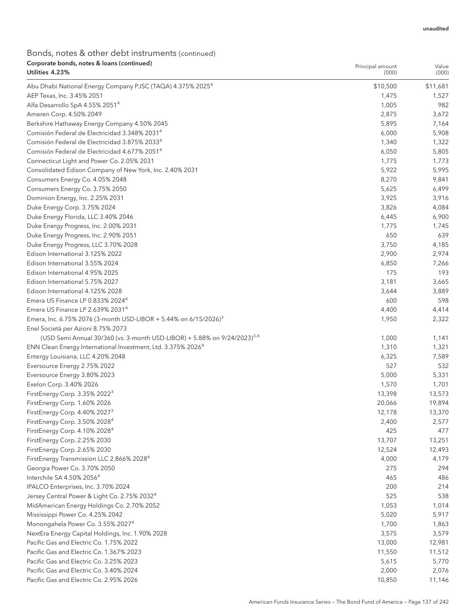| Corporate bonds, notes & Ioans (continued)<br>Utilities 4.23%                        | Principal amount<br>(000) | Value<br>(000) |
|--------------------------------------------------------------------------------------|---------------------------|----------------|
| Abu Dhabi National Energy Company PJSC (TAQA) 4.375% 2025 <sup>4</sup>               | \$10,500                  | \$11,681       |
| AEP Texas, Inc. 3.45% 2051                                                           | 1,475                     | 1,527          |
| Alfa Desarrollo SpA 4.55% 2051 <sup>4</sup>                                          | 1,005                     | 982            |
| Ameren Corp. 4.50% 2049                                                              | 2,875                     | 3,672          |
| Berkshire Hathaway Energy Company 4.50% 2045                                         | 5,895                     | 7,164          |
| Comisión Federal de Electricidad 3.348% 2031 <sup>4</sup>                            | 6,000                     | 5,908          |
| Comisión Federal de Electricidad 3.875% 2033 <sup>4</sup>                            | 1,340                     | 1,322          |
| Comisión Federal de Electricidad 4.677% 2051 <sup>4</sup>                            | 6,050                     | 5,805          |
| Connecticut Light and Power Co. 2.05% 2031                                           | 1,775                     | 1,773          |
| Consolidated Edison Company of New York, Inc. 2.40% 2031                             | 5,922                     | 5,995          |
| Consumers Energy Co. 4.05% 2048                                                      | 8,270                     | 9,841          |
| Consumers Energy Co. 3.75% 2050                                                      | 5,625                     | 6,499          |
| Dominion Energy, Inc. 2.25% 2031                                                     | 3,925                     | 3,916          |
| Duke Energy Corp. 3.75% 2024                                                         | 3,826                     | 4,084          |
| Duke Energy Florida, LLC 3.40% 2046                                                  | 6,445                     | 6,900          |
| Duke Energy Progress, Inc. 2.00% 2031                                                | 1,775                     | 1,745          |
| Duke Energy Progress, Inc. 2.90% 2051                                                | 650                       | 639            |
| Duke Energy Progress, LLC 3.70% 2028                                                 | 3,750                     | 4,185          |
| Edison International 3.125% 2022                                                     | 2,900                     | 2,974          |
| Edison International 3.55% 2024                                                      | 6,850                     | 7,266          |
| Edison International 4.95% 2025                                                      | 175                       | 193            |
| Edison International 5.75% 2027                                                      | 3,181                     | 3,665          |
| Edison International 4.125% 2028                                                     | 3,644                     | 3,889          |
| Emera US Finance LP 0.833% 2024 <sup>4</sup>                                         | 600                       | 598            |
| Emera US Finance LP 2.639% 2031 <sup>4</sup>                                         | 4,400                     | 4,414          |
| Emera, Inc. 6.75% 2076 (3-month USD-LIBOR + 5.44% on 6/15/2026) <sup>3</sup>         | 1,950                     | 2,322          |
| Enel Società per Azioni 8.75% 2073                                                   |                           |                |
| (USD Semi Annual 30/360 (vs. 3-month USD-LIBOR) + 5.88% on 9/24/2023) <sup>3,4</sup> | 1,000                     | 1,141          |
| ENN Clean Energy International Investment, Ltd. 3.375% 2026 <sup>4</sup>             | 1,310                     | 1,321          |
| Entergy Louisiana, LLC 4.20% 2048                                                    | 6,325                     | 7,589          |
| Eversource Energy 2.75% 2022                                                         | 527                       | 532            |
| Eversource Energy 3.80% 2023                                                         | 5,000                     | 5,331          |
| Exelon Corp. 3.40% 2026                                                              | 1,570                     | 1,701          |
| FirstEnergy Corp. 3.35% 2022 <sup>3</sup>                                            | 13,398                    | 13,573         |
| FirstEnergy Corp. 1.60% 2026                                                         | 20,066                    | 19,894         |
| FirstEnergy Corp. 4.40% 20273                                                        | 12,178                    | 13,370         |
| FirstEnergy Corp. 3.50% 2028 <sup>4</sup>                                            | 2,400                     | 2,577          |
| FirstEnergy Corp. 4.10% 2028 <sup>4</sup>                                            | 425                       | 477            |
| FirstEnergy Corp. 2.25% 2030                                                         | 13,707                    | 13,251         |
| FirstEnergy Corp. 2.65% 2030                                                         | 12,524                    | 12,493         |
| FirstEnergy Transmission LLC 2.866% 2028 <sup>4</sup>                                | 4,000                     | 4,179          |
| Georgia Power Co. 3.70% 2050                                                         | 275                       | 294            |
| Interchile SA 4.50% 2056 <sup>4</sup>                                                | 465                       | 486            |
| IPALCO Enterprises, Inc. 3.70% 2024                                                  | 200                       | 214            |
| Jersey Central Power & Light Co. 2.75% 2032 <sup>4</sup>                             | 525                       | 538            |
| MidAmerican Energy Holdings Co. 2.70% 2052                                           | 1,053                     | 1,014          |
| Mississippi Power Co. 4.25% 2042                                                     | 5,020                     | 5,917          |
| Monongahela Power Co. 3.55% 2027 <sup>4</sup>                                        | 1,700                     | 1,863          |
| NextEra Energy Capital Holdings, Inc. 1.90% 2028                                     | 3,575                     | 3,579          |
| Pacific Gas and Electric Co. 1.75% 2022                                              | 13,000                    | 12,981         |
| Pacific Gas and Electric Co. 1.367% 2023                                             | 11,550                    | 11,512         |
| Pacific Gas and Electric Co. 3.25% 2023                                              | 5,615                     | 5,770          |
| Pacific Gas and Electric Co. 3.40% 2024                                              | 2,000                     | 2,076          |
| Pacific Gas and Electric Co. 2.95% 2026                                              | 10,850                    | 11,146         |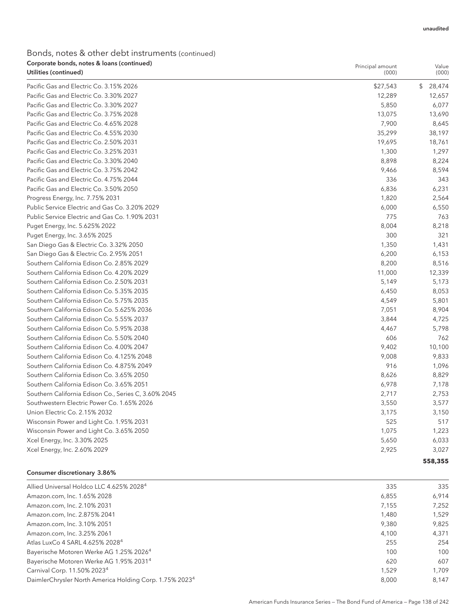## Bonds, notes & other debt instruments (continued) Corporate bonds, notes & loans (continued)

| Corporate bonds, notes & Ioans (continued)<br>Utilities (continued) | Principal amount<br>(000) | Value<br>(000) |
|---------------------------------------------------------------------|---------------------------|----------------|
| Pacific Gas and Electric Co. 3.15% 2026                             | \$27,543                  | \$<br>28,474   |
| Pacific Gas and Electric Co. 3.30% 2027                             | 12,289                    | 12,657         |
| Pacific Gas and Electric Co. 3.30% 2027                             | 5,850                     | 6,077          |
| Pacific Gas and Electric Co. 3.75% 2028                             | 13,075                    | 13,690         |
| Pacific Gas and Electric Co. 4.65% 2028                             | 7,900                     | 8,645          |
| Pacific Gas and Electric Co. 4.55% 2030                             | 35,299                    | 38,197         |
| Pacific Gas and Electric Co. 2.50% 2031                             | 19,695                    | 18,761         |
| Pacific Gas and Electric Co. 3.25% 2031                             | 1,300                     | 1,297          |
| Pacific Gas and Electric Co. 3.30% 2040                             | 8,898                     | 8,224          |
| Pacific Gas and Electric Co. 3.75% 2042                             | 9,466                     | 8,594          |
| Pacific Gas and Electric Co. 4.75% 2044                             | 336                       | 343            |
| Pacific Gas and Electric Co. 3.50% 2050                             | 6,836                     | 6,231          |
| Progress Energy, Inc. 7.75% 2031                                    | 1,820                     | 2,564          |
| Public Service Electric and Gas Co. 3.20% 2029                      | 6,000                     | 6,550          |
| Public Service Electric and Gas Co. 1.90% 2031                      | 775                       | 763            |
| Puget Energy, Inc. 5.625% 2022                                      | 8,004                     | 8,218          |
| Puget Energy, Inc. 3.65% 2025                                       | 300                       | 321            |
| San Diego Gas & Electric Co. 3.32% 2050                             | 1,350                     | 1,431          |
| San Diego Gas & Electric Co. 2.95% 2051                             | 6,200                     | 6,153          |
| Southern California Edison Co. 2.85% 2029                           | 8,200                     | 8,516          |
| Southern California Edison Co. 4.20% 2029                           | 11,000                    | 12,339         |
| Southern California Edison Co. 2.50% 2031                           | 5,149                     | 5,173          |
| Southern California Edison Co. 5.35% 2035                           | 6,450                     | 8,053          |
| Southern California Edison Co. 5.75% 2035                           | 4,549                     | 5,801          |
| Southern California Edison Co. 5.625% 2036                          | 7,051                     | 8,904          |
| Southern California Edison Co. 5.55% 2037                           | 3,844                     | 4,725          |
| Southern California Edison Co. 5.95% 2038                           | 4,467                     | 5,798          |
| Southern California Edison Co. 5.50% 2040                           | 606                       | 762            |
| Southern California Edison Co. 4.00% 2047                           | 9,402                     | 10,100         |
| Southern California Edison Co. 4.125% 2048                          | 9,008                     | 9,833          |
| Southern California Edison Co. 4.875% 2049                          | 916                       | 1,096          |
| Southern California Edison Co. 3.65% 2050                           | 8,626                     | 8,829          |
| Southern California Edison Co. 3.65% 2051                           | 6,978                     | 7,178          |
| Southern California Edison Co., Series C, 3.60% 2045                | 2,717                     | 2,753          |
| Southwestern Electric Power Co. 1.65% 2026                          | 3,550                     | 3,577          |
| Union Electric Co. 2.15% 2032                                       | 3,175                     | 3,150          |
| Wisconsin Power and Light Co. 1.95% 2031                            | 525                       | 517            |
| Wisconsin Power and Light Co. 3.65% 2050                            | 1,075                     | 1,223          |
| Xcel Energy, Inc. 3.30% 2025                                        | 5,650                     | 6,033          |
| Xcel Energy, Inc. 2.60% 2029                                        | 2,925                     | 3,027          |
|                                                                     |                           | 558,355        |

#### Consumer discretionary 3.86%

| Allied Universal Holdco LLC 4.625% 2028 <sup>4</sup>                | 335   | 335   |
|---------------------------------------------------------------------|-------|-------|
| Amazon.com, Inc. 1.65% 2028                                         | 6,855 | 6.914 |
| Amazon.com, Inc. 2.10% 2031                                         | 7.155 | 7.252 |
| Amazon.com, Inc. 2.875% 2041                                        | 1.480 | 1.529 |
| Amazon.com, Inc. 3.10% 2051                                         | 9.380 | 9.825 |
| Amazon.com, Inc. 3.25% 2061                                         | 4.100 | 4.371 |
| Atlas LuxCo 4 SARL 4.625% 2028 <sup>4</sup>                         | 255   | 254   |
| Bayerische Motoren Werke AG 1.25% 2026 <sup>4</sup>                 | 100   | 100   |
| Bayerische Motoren Werke AG 1.95% 20314                             | 620   | 607   |
| Carnival Corp. 11.50% 2023 <sup>4</sup>                             | 1.529 | 1.709 |
| DaimlerChrysler North America Holding Corp. 1.75% 2023 <sup>4</sup> | 8.000 | 8.147 |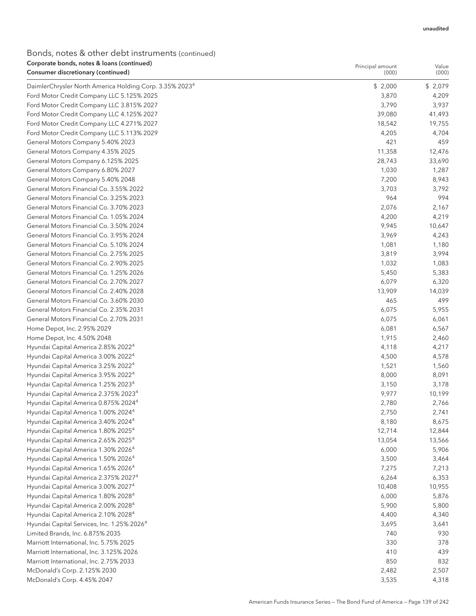Value

Principal amount

| <b>Consumer discretionary (continued)</b>                           | (000)   | (000)   |
|---------------------------------------------------------------------|---------|---------|
| DaimlerChrysler North America Holding Corp. 3.35% 2023 <sup>4</sup> | \$2,000 | \$2,079 |
| Ford Motor Credit Company LLC 5.125% 2025                           | 3,870   | 4,209   |
| Ford Motor Credit Company LLC 3.815% 2027                           | 3,790   | 3,937   |
| Ford Motor Credit Company LLC 4.125% 2027                           | 39,080  | 41,493  |
| Ford Motor Credit Company LLC 4.271% 2027                           | 18,542  | 19,755  |
| Ford Motor Credit Company LLC 5.113% 2029                           | 4,205   | 4,704   |
| General Motors Company 5.40% 2023                                   | 421     | 459     |
| General Motors Company 4.35% 2025                                   | 11,358  | 12,476  |
| General Motors Company 6.125% 2025                                  | 28,743  | 33,690  |
| General Motors Company 6.80% 2027                                   | 1,030   | 1,287   |
| General Motors Company 5.40% 2048                                   | 7,200   | 8,943   |
| General Motors Financial Co. 3.55% 2022                             | 3,703   | 3,792   |
| General Motors Financial Co. 3.25% 2023                             | 964     | 994     |
| General Motors Financial Co. 3.70% 2023                             | 2,076   | 2,167   |
| General Motors Financial Co. 1.05% 2024                             | 4,200   | 4,219   |
| General Motors Financial Co. 3.50% 2024                             | 9,945   | 10,647  |
| General Motors Financial Co. 3.95% 2024                             | 3,969   | 4,243   |
| General Motors Financial Co. 5.10% 2024                             | 1,081   | 1,180   |
| General Motors Financial Co. 2.75% 2025                             | 3,819   | 3,994   |
| General Motors Financial Co. 2.90% 2025                             | 1,032   | 1,083   |
| General Motors Financial Co. 1.25% 2026                             | 5,450   | 5,383   |
| General Motors Financial Co. 2.70% 2027                             | 6,079   | 6,320   |
| General Motors Financial Co. 2.40% 2028                             | 13,909  | 14,039  |
| General Motors Financial Co. 3.60% 2030                             | 465     | 499     |
| General Motors Financial Co. 2.35% 2031                             | 6,075   | 5,955   |
| General Motors Financial Co. 2.70% 2031                             | 6,075   | 6,061   |
| Home Depot, Inc. 2.95% 2029                                         | 6,081   | 6,567   |
| Home Depot, Inc. 4.50% 2048                                         | 1,915   | 2,460   |
| Hyundai Capital America 2.85% 2022 <sup>4</sup>                     | 4,118   | 4,217   |
| Hyundai Capital America 3.00% 2022 <sup>4</sup>                     | 4,500   | 4,578   |
| Hyundai Capital America 3.25% 2022 <sup>4</sup>                     | 1,521   | 1,560   |
| Hyundai Capital America 3.95% 2022 <sup>4</sup>                     | 8,000   | 8,091   |
| Hyundai Capital America 1.25% 2023 <sup>4</sup>                     | 3,150   | 3,178   |
| Hyundai Capital America 2.375% 2023 <sup>4</sup>                    | 9,977   | 10,199  |
| Hyundai Capital America 0.875% 2024 <sup>4</sup>                    | 2,780   | 2,766   |
| Hyundai Capital America 1.00% 2024 <sup>4</sup>                     | 2,750   | 2,741   |
| Hyundai Capital America 3.40% 2024 <sup>4</sup>                     | 8,180   | 8,675   |
| Hyundai Capital America 1.80% 2025 <sup>4</sup>                     | 12,714  | 12,844  |
| Hyundai Capital America 2.65% 2025 <sup>4</sup>                     | 13,054  | 13,566  |
| Hyundai Capital America 1.30% 2026 <sup>4</sup>                     | 6,000   | 5,906   |
| Hyundai Capital America 1.50% 2026 <sup>4</sup>                     | 3,500   | 3,464   |
| Hyundai Capital America 1.65% 2026 <sup>4</sup>                     | 7,275   | 7,213   |
| Hyundai Capital America 2.375% 2027 <sup>4</sup>                    | 6,264   | 6,353   |
| Hyundai Capital America 3.00% 2027 <sup>4</sup>                     | 10,408  | 10,955  |
| Hyundai Capital America 1.80% 2028 <sup>4</sup>                     | 6,000   | 5,876   |
| Hyundai Capital America 2.00% 2028 <sup>4</sup>                     | 5,900   | 5,800   |
| Hyundai Capital America 2.10% 2028 <sup>4</sup>                     | 4,400   | 4,340   |
| Hyundai Capital Services, Inc. 1.25% 2026 <sup>4</sup>              | 3,695   | 3,641   |
| Limited Brands, Inc. 6.875% 2035                                    | 740     | 930     |
| Marriott International, Inc. 5.75% 2025                             | 330     | 378     |
| Marriott International, Inc. 3.125% 2026                            | 410     | 439     |
| Marriott International, Inc. 2.75% 2033                             | 850     | 832     |
| McDonald's Corp. 2.125% 2030                                        | 2,482   | 2,507   |
| McDonald's Corp. 4.45% 2047                                         | 3,535   | 4,318   |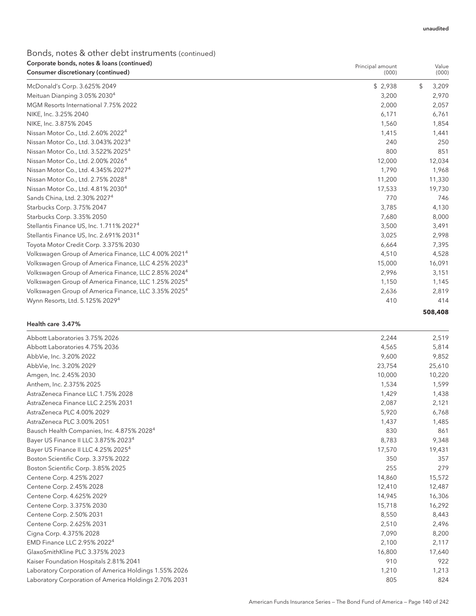| Corporate bonds, notes & loans (continued)<br>Consumer discretionary (continued) | Principal amount<br>(000) | Value<br>(000) |
|----------------------------------------------------------------------------------|---------------------------|----------------|
| McDonald's Corp. 3.625% 2049                                                     | \$2,938                   | \$<br>3,209    |
| Meituan Dianping 3.05% 2030 <sup>4</sup>                                         | 3,200                     | 2,970          |
| MGM Resorts International 7.75% 2022                                             | 2,000                     | 2,057          |
| NIKE, Inc. 3.25% 2040                                                            | 6,171                     | 6,761          |
| NIKE, Inc. 3.875% 2045                                                           | 1,560                     | 1,854          |
| Nissan Motor Co., Ltd. 2.60% 2022 <sup>4</sup>                                   | 1,415                     | 1,441          |
| Nissan Motor Co., Ltd. 3.043% 2023 <sup>4</sup>                                  | 240                       | 250            |
| Nissan Motor Co., Ltd. 3.522% 2025 <sup>4</sup>                                  | 800                       | 851            |
| Nissan Motor Co., Ltd. 2.00% 2026 <sup>4</sup>                                   | 12,000                    | 12,034         |
| Nissan Motor Co., Ltd. 4.345% 2027 <sup>4</sup>                                  | 1,790                     | 1,968          |
| Nissan Motor Co., Ltd. 2.75% 2028 <sup>4</sup>                                   | 11,200                    | 11,330         |
| Nissan Motor Co., Ltd. 4.81% 2030 <sup>4</sup>                                   | 17,533                    | 19,730         |
| Sands China, Ltd. 2.30% 2027 <sup>4</sup>                                        | 770                       | 746            |
| Starbucks Corp. 3.75% 2047                                                       | 3,785                     | 4,130          |
| Starbucks Corp. 3.35% 2050                                                       | 7,680                     | 8,000          |
| Stellantis Finance US, Inc. 1.711% 2027 <sup>4</sup>                             | 3,500                     | 3,491          |
| Stellantis Finance US, Inc. 2.691% 2031 <sup>4</sup>                             | 3,025                     | 2,998          |
| Toyota Motor Credit Corp. 3.375% 2030                                            | 6,664                     | 7,395          |
| Volkswagen Group of America Finance, LLC 4.00% 2021 <sup>4</sup>                 | 4,510                     | 4,528          |
| Volkswagen Group of America Finance, LLC 4.25% 2023 <sup>4</sup>                 | 15,000                    | 16,091         |
| Volkswagen Group of America Finance, LLC 2.85% 2024 <sup>4</sup>                 | 2,996                     | 3,151          |
| Volkswagen Group of America Finance, LLC 1.25% 2025 <sup>4</sup>                 | 1,150                     | 1,145          |
| Volkswagen Group of America Finance, LLC 3.35% 2025 <sup>4</sup>                 | 2,636                     | 2,819          |
| Wynn Resorts, Ltd. 5.125% 2029 <sup>4</sup>                                      | 410                       | 414            |
|                                                                                  |                           | 508,408        |

#### Health care 3.47%

| Abbott Laboratories 3.75% 2026                         | 2,244  | 2,519  |
|--------------------------------------------------------|--------|--------|
| Abbott Laboratories 4.75% 2036                         | 4,565  | 5,814  |
| AbbVie, Inc. 3.20% 2022                                | 9,600  | 9,852  |
| AbbVie, Inc. 3.20% 2029                                | 23,754 | 25,610 |
| Amgen, Inc. 2.45% 2030                                 | 10,000 | 10,220 |
| Anthem, Inc. 2.375% 2025                               | 1,534  | 1,599  |
| AstraZeneca Finance LLC 1.75% 2028                     | 1,429  | 1,438  |
| AstraZeneca Finance LLC 2.25% 2031                     | 2,087  | 2,121  |
| AstraZeneca PLC 4.00% 2029                             | 5,920  | 6,768  |
| AstraZeneca PLC 3.00% 2051                             | 1,437  | 1,485  |
| Bausch Health Companies, Inc. 4.875% 2028 <sup>4</sup> | 830    | 861    |
| Bayer US Finance II LLC 3.875% 2023 <sup>4</sup>       | 8,783  | 9,348  |
| Bayer US Finance II LLC 4.25% 2025 <sup>4</sup>        | 17,570 | 19,431 |
| Boston Scientific Corp. 3.375% 2022                    | 350    | 357    |
| Boston Scientific Corp. 3.85% 2025                     | 255    | 279    |
| Centene Corp. 4.25% 2027                               | 14,860 | 15,572 |
| Centene Corp. 2.45% 2028                               | 12,410 | 12,487 |
| Centene Corp. 4.625% 2029                              | 14,945 | 16,306 |
| Centene Corp. 3.375% 2030                              | 15,718 | 16,292 |
| Centene Corp. 2.50% 2031                               | 8,550  | 8,443  |
| Centene Corp. 2.625% 2031                              | 2,510  | 2,496  |
| Cigna Corp. 4.375% 2028                                | 7,090  | 8,200  |
| EMD Finance LLC 2.95% 2022 <sup>4</sup>                | 2,100  | 2,117  |
| GlaxoSmithKline PLC 3.375% 2023                        | 16,800 | 17,640 |
| Kaiser Foundation Hospitals 2.81% 2041                 | 910    | 922    |
| Laboratory Corporation of America Holdings 1.55% 2026  | 1,210  | 1,213  |
| Laboratory Corporation of America Holdings 2.70% 2031  | 805    | 824    |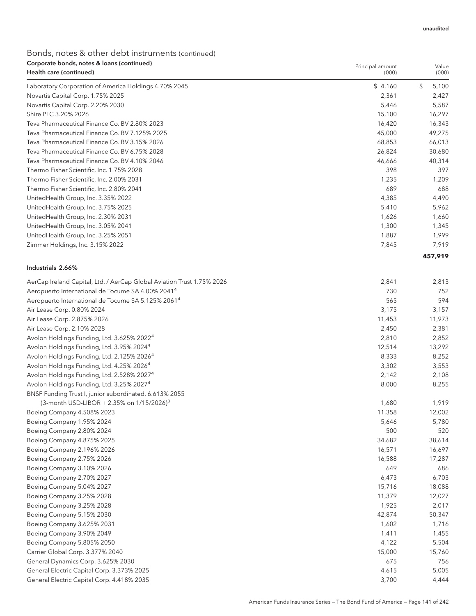Value

Principal amount

## Bonds, notes & other debt instruments (continued) Corporate bonds, notes & loans (continued)

| Health care (continued)                               | (000)   | (000)       |
|-------------------------------------------------------|---------|-------------|
| Laboratory Corporation of America Holdings 4.70% 2045 | \$4,160 | \$<br>5,100 |
| Novartis Capital Corp. 1.75% 2025                     | 2,361   | 2,427       |
| Novartis Capital Corp. 2.20% 2030                     | 5,446   | 5,587       |
| Shire PLC 3.20% 2026                                  | 15,100  | 16,297      |
| Teva Pharmaceutical Finance Co. BV 2.80% 2023         | 16,420  | 16,343      |
| Teva Pharmaceutical Finance Co. BV 7.125% 2025        | 45,000  | 49,275      |
| Teva Pharmaceutical Finance Co. BV 3.15% 2026         | 68,853  | 66,013      |
| Teva Pharmaceutical Finance Co. BV 6.75% 2028         | 26,824  | 30,680      |
| Teva Pharmaceutical Finance Co. BV 4.10% 2046         | 46,666  | 40,314      |
| Thermo Fisher Scientific, Inc. 1.75% 2028             | 398     | 397         |
| Thermo Fisher Scientific, Inc. 2.00% 2031             | 1,235   | 1,209       |
| Thermo Fisher Scientific, Inc. 2.80% 2041             | 689     | 688         |
| UnitedHealth Group, Inc. 3.35% 2022                   | 4,385   | 4,490       |
| UnitedHealth Group, Inc. 3.75% 2025                   | 5,410   | 5,962       |
| UnitedHealth Group, Inc. 2.30% 2031                   | 1,626   | 1,660       |
| UnitedHealth Group, Inc. 3.05% 2041                   | 1,300   | 1,345       |
| UnitedHealth Group, Inc. 3.25% 2051                   | 1,887   | 1,999       |
| Zimmer Holdings, Inc. 3.15% 2022                      | 7,845   | 7,919       |
|                                                       |         | 457,919     |

#### Industrials 2.66%

| AerCap Ireland Capital, Ltd. / AerCap Global Aviation Trust 1.75% 2026 | 2,841  | 2,813  |
|------------------------------------------------------------------------|--------|--------|
| Aeropuerto International de Tocume SA 4.00% 2041 <sup>4</sup>          | 730    | 752    |
| Aeropuerto International de Tocume SA 5.125% 2061 <sup>4</sup>         | 565    | 594    |
| Air Lease Corp. 0.80% 2024                                             | 3,175  | 3,157  |
| Air Lease Corp. 2.875% 2026                                            | 11,453 | 11,973 |
| Air Lease Corp. 2.10% 2028                                             | 2,450  | 2,381  |
| Avolon Holdings Funding, Ltd. 3.625% 2022 <sup>4</sup>                 | 2,810  | 2,852  |
| Avolon Holdings Funding, Ltd. 3.95% 2024 <sup>4</sup>                  | 12,514 | 13,292 |
| Avolon Holdings Funding, Ltd. 2.125% 2026 <sup>4</sup>                 | 8,333  | 8,252  |
| Avolon Holdings Funding, Ltd. 4.25% 2026 <sup>4</sup>                  | 3,302  | 3,553  |
| Avolon Holdings Funding, Ltd. 2.528% 2027 <sup>4</sup>                 | 2,142  | 2,108  |
| Avolon Holdings Funding, Ltd. 3.25% 2027 <sup>4</sup>                  | 8,000  | 8,255  |
| BNSF Funding Trust I, junior subordinated, 6.613% 2055                 |        |        |
| (3-month USD-LIBOR + 2.35% on $1/15/2026$ ) <sup>3</sup>               | 1,680  | 1,919  |
| Boeing Company 4.508% 2023                                             | 11,358 | 12,002 |
| Boeing Company 1.95% 2024                                              | 5,646  | 5,780  |
| Boeing Company 2.80% 2024                                              | 500    | 520    |
| Boeing Company 4.875% 2025                                             | 34,682 | 38,614 |
| Boeing Company 2.196% 2026                                             | 16,571 | 16,697 |
| Boeing Company 2.75% 2026                                              | 16,588 | 17,287 |
| Boeing Company 3.10% 2026                                              | 649    | 686    |
| Boeing Company 2.70% 2027                                              | 6,473  | 6,703  |
| Boeing Company 5.04% 2027                                              | 15,716 | 18,088 |
| Boeing Company 3.25% 2028                                              | 11,379 | 12,027 |
| Boeing Company 3.25% 2028                                              | 1,925  | 2,017  |
| Boeing Company 5.15% 2030                                              | 42,874 | 50,347 |
| Boeing Company 3.625% 2031                                             | 1,602  | 1,716  |
| Boeing Company 3.90% 2049                                              | 1,411  | 1,455  |
| Boeing Company 5.805% 2050                                             | 4,122  | 5,504  |
| Carrier Global Corp. 3.377% 2040                                       | 15,000 | 15,760 |
| General Dynamics Corp. 3.625% 2030                                     | 675    | 756    |
| General Electric Capital Corp. 3.373% 2025                             | 4,615  | 5,005  |
| General Electric Capital Corp. 4.418% 2035                             | 3,700  | 4,444  |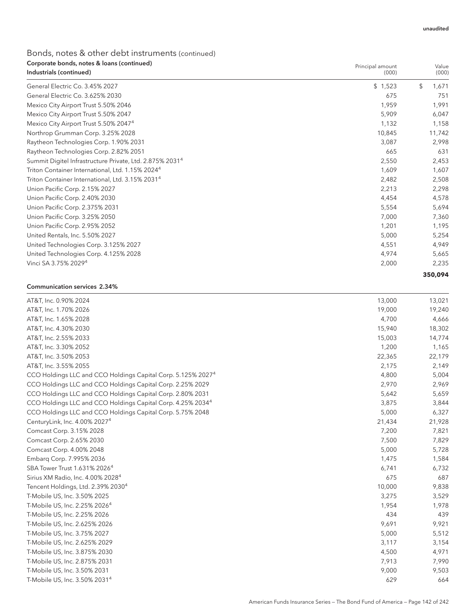#### Bonds, notes & other debt instruments (continued) Corporate bonds, notes & loans (continued)  $I_n$ ductriale (continued)

| Corporate borras, notes & loans (continueu)<br>Industrials (continued) | Principal amount<br>(000) | Value<br>(000) |
|------------------------------------------------------------------------|---------------------------|----------------|
| General Electric Co. 3.45% 2027                                        | \$1,523                   | \$<br>1,671    |
| General Electric Co. 3.625% 2030                                       | 675                       | 751            |
| Mexico City Airport Trust 5.50% 2046                                   | 1,959                     | 1,991          |
| Mexico City Airport Trust 5.50% 2047                                   | 5,909                     | 6,047          |
| Mexico City Airport Trust 5.50% 2047 <sup>4</sup>                      | 1,132                     | 1,158          |
| Northrop Grumman Corp. 3.25% 2028                                      | 10,845                    | 11,742         |
| Raytheon Technologies Corp. 1.90% 2031                                 | 3,087                     | 2,998          |
| Raytheon Technologies Corp. 2.82% 2051                                 | 665                       | 631            |
| Summit Digitel Infrastructure Private, Ltd. 2.875% 2031 <sup>4</sup>   | 2,550                     | 2,453          |
| Triton Container International, Ltd. 1.15% 2024 <sup>4</sup>           | 1,609                     | 1,607          |
| Triton Container International, Ltd. 3.15% 2031 <sup>4</sup>           | 2,482                     | 2,508          |
| Union Pacific Corp. 2.15% 2027                                         | 2,213                     | 2,298          |
| Union Pacific Corp. 2.40% 2030                                         | 4.454                     | 4,578          |
| Union Pacific Corp. 2.375% 2031                                        | 5,554                     | 5,694          |
| Union Pacific Corp. 3.25% 2050                                         | 7,000                     | 7,360          |
| Union Pacific Corp. 2.95% 2052                                         | 1,201                     | 1,195          |
| United Rentals, Inc. 5.50% 2027                                        | 5,000                     | 5,254          |
| United Technologies Corp. 3.125% 2027                                  | 4,551                     | 4,949          |
| United Technologies Corp. 4.125% 2028                                  | 4,974                     | 5,665          |
| Vinci SA 3.75% 2029 <sup>4</sup>                                       | 2,000                     | 2,235          |
|                                                                        |                           | 350,094        |

#### Communication services 2.34%

| AT&T, Inc. 0.90% 2024                                                    | 13,000 | 13,021 |
|--------------------------------------------------------------------------|--------|--------|
| AT&T, Inc. 1.70% 2026                                                    | 19,000 | 19,240 |
| AT&T, Inc. 1.65% 2028                                                    | 4,700  | 4,666  |
| AT&T, Inc. 4.30% 2030                                                    | 15,940 | 18,302 |
| AT&T, Inc. 2.55% 2033                                                    | 15,003 | 14,774 |
| AT&T, Inc. 3.30% 2052                                                    | 1,200  | 1,165  |
| AT&T, Inc. 3.50% 2053                                                    | 22,365 | 22,179 |
| AT&T, Inc. 3.55% 2055                                                    | 2,175  | 2,149  |
| CCO Holdings LLC and CCO Holdings Capital Corp. 5.125% 2027 <sup>4</sup> | 4,800  | 5,004  |
| CCO Holdings LLC and CCO Holdings Capital Corp. 2.25% 2029               | 2,970  | 2,969  |
| CCO Holdings LLC and CCO Holdings Capital Corp. 2.80% 2031               | 5,642  | 5,659  |
| CCO Holdings LLC and CCO Holdings Capital Corp. 4.25% 2034 <sup>4</sup>  | 3,875  | 3,844  |
| CCO Holdings LLC and CCO Holdings Capital Corp. 5.75% 2048               | 5,000  | 6,327  |
| CenturyLink, Inc. 4.00% 2027 <sup>4</sup>                                | 21,434 | 21,928 |
| Comcast Corp. 3.15% 2028                                                 | 7,200  | 7,821  |
| Comcast Corp. 2.65% 2030                                                 | 7,500  | 7,829  |
| Comcast Corp. 4.00% 2048                                                 | 5,000  | 5,728  |
| Embarg Corp. 7.995% 2036                                                 | 1,475  | 1,584  |
| SBA Tower Trust 1.631% 2026 <sup>4</sup>                                 | 6,741  | 6,732  |
| Sirius XM Radio, Inc. 4.00% 2028 <sup>4</sup>                            | 675    | 687    |
| Tencent Holdings, Ltd. 2.39% 2030 <sup>4</sup>                           | 10,000 | 9,838  |
| T-Mobile US, Inc. 3.50% 2025                                             | 3,275  | 3,529  |
| T-Mobile US, Inc. 2.25% 2026 <sup>4</sup>                                | 1,954  | 1,978  |
| T-Mobile US, Inc. 2.25% 2026                                             | 434    | 439    |
| T-Mobile US, Inc. 2.625% 2026                                            | 9,691  | 9,921  |
| T-Mobile US, Inc. 3.75% 2027                                             | 5,000  | 5,512  |
| T-Mobile US, Inc. 2.625% 2029                                            | 3,117  | 3,154  |
| T-Mobile US, Inc. 3.875% 2030                                            | 4,500  | 4,971  |
| T-Mobile US, Inc. 2.875% 2031                                            | 7,913  | 7,990  |
| T-Mobile US, Inc. 3.50% 2031                                             | 9,000  | 9,503  |
| T-Mobile US, Inc. 3.50% 2031 <sup>4</sup>                                | 629    | 664    |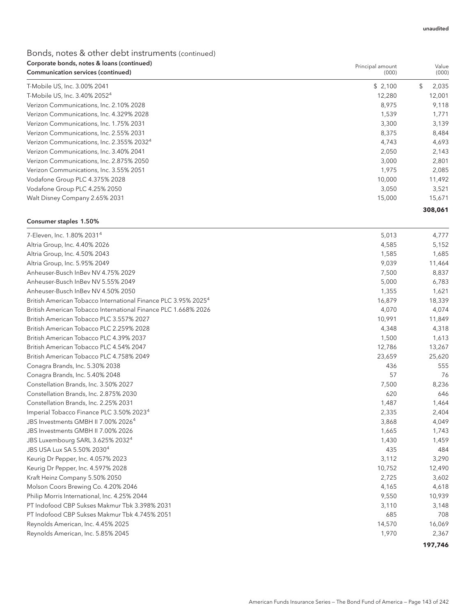## Bonds, notes & other debt instruments (continued) Corporate bonds, notes & loans (continued)

| Corporate bonds, notes & Ioans (continued)<br>Communication services (continued) | Principal amount<br>(000) |     | Value<br>(000) |
|----------------------------------------------------------------------------------|---------------------------|-----|----------------|
| T-Mobile US, Inc. 3.00% 2041                                                     | \$2,100                   | \$. | 2,035          |
| T-Mobile US, Inc. 3.40% 2052 <sup>4</sup>                                        | 12,280                    |     | 12,001         |
| Verizon Communications, Inc. 2.10% 2028                                          | 8,975                     |     | 9,118          |
| Verizon Communications, Inc. 4.329% 2028                                         | 1,539                     |     | 1,771          |
| Verizon Communications, Inc. 1.75% 2031                                          | 3,300                     |     | 3,139          |
| Verizon Communications, Inc. 2.55% 2031                                          | 8,375                     |     | 8,484          |
| Verizon Communications, Inc. 2.355% 2032 <sup>4</sup>                            | 4,743                     |     | 4,693          |
| Verizon Communications, Inc. 3.40% 2041                                          | 2,050                     |     | 2,143          |
| Verizon Communications, Inc. 2.875% 2050                                         | 3,000                     |     | 2,801          |
| Verizon Communications, Inc. 3.55% 2051                                          | 1,975                     |     | 2,085          |
| Vodafone Group PLC 4.375% 2028                                                   | 10,000                    |     | 11,492         |
| Vodafone Group PLC 4.25% 2050                                                    | 3,050                     |     | 3,521          |
| Walt Disney Company 2.65% 2031                                                   | 15,000                    |     | 15,671         |
|                                                                                  |                           |     | 308,061        |

#### Consumer staples 1.50%

| 7-Eleven, Inc. 1.80% 2031 <sup>4</sup>                                     | 5,013  | 4,777   |
|----------------------------------------------------------------------------|--------|---------|
| Altria Group, Inc. 4.40% 2026                                              | 4,585  | 5,152   |
| Altria Group, Inc. 4.50% 2043                                              | 1,585  | 1,685   |
| Altria Group, Inc. 5.95% 2049                                              | 9,039  | 11,464  |
| Anheuser-Busch InBev NV 4.75% 2029                                         | 7,500  | 8,837   |
| Anheuser-Busch InBev NV 5.55% 2049                                         | 5,000  | 6,783   |
| Anheuser-Busch InBev NV 4.50% 2050                                         | 1,355  | 1,621   |
| British American Tobacco International Finance PLC 3.95% 2025 <sup>4</sup> | 16,879 | 18,339  |
| British American Tobacco International Finance PLC 1.668% 2026             | 4,070  | 4,074   |
| British American Tobacco PLC 3.557% 2027                                   | 10,991 | 11,849  |
| British American Tobacco PLC 2.259% 2028                                   | 4,348  | 4,318   |
| British American Tobacco PLC 4.39% 2037                                    | 1,500  | 1,613   |
| British American Tobacco PLC 4.54% 2047                                    | 12,786 | 13,267  |
| British American Tobacco PLC 4.758% 2049                                   | 23,659 | 25,620  |
| Conagra Brands, Inc. 5.30% 2038                                            | 436    | 555     |
| Conagra Brands, Inc. 5.40% 2048                                            | 57     | 76      |
| Constellation Brands, Inc. 3.50% 2027                                      | 7,500  | 8,236   |
| Constellation Brands, Inc. 2.875% 2030                                     | 620    | 646     |
| Constellation Brands, Inc. 2.25% 2031                                      | 1,487  | 1,464   |
| Imperial Tobacco Finance PLC 3.50% 2023 <sup>4</sup>                       | 2,335  | 2,404   |
| JBS Investments GMBH II 7.00% 2026 <sup>4</sup>                            | 3,868  | 4,049   |
| JBS Investments GMBH II 7.00% 2026                                         | 1,665  | 1,743   |
| JBS Luxembourg SARL 3.625% 2032 <sup>4</sup>                               | 1,430  | 1,459   |
| JBS USA Lux SA 5.50% 2030 <sup>4</sup>                                     | 435    | 484     |
| Keurig Dr Pepper, Inc. 4.057% 2023                                         | 3,112  | 3,290   |
| Keurig Dr Pepper, Inc. 4.597% 2028                                         | 10,752 | 12,490  |
| Kraft Heinz Company 5.50% 2050                                             | 2,725  | 3,602   |
| Molson Coors Brewing Co. 4.20% 2046                                        | 4,165  | 4,618   |
| Philip Morris International, Inc. 4.25% 2044                               | 9,550  | 10,939  |
| PT Indofood CBP Sukses Makmur Tbk 3.398% 2031                              | 3,110  | 3,148   |
| PT Indofood CBP Sukses Makmur Tbk 4.745% 2051                              | 685    | 708     |
| Reynolds American, Inc. 4.45% 2025                                         | 14,570 | 16,069  |
| Reynolds American, Inc. 5.85% 2045                                         | 1,970  | 2,367   |
|                                                                            |        | 197,746 |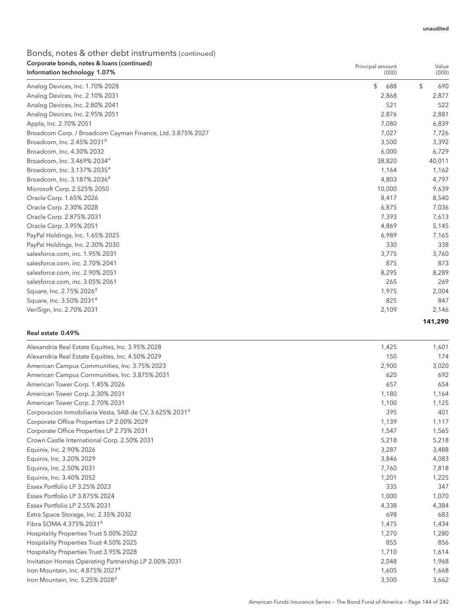| Corporate bonds, notes & Ioans (continued)<br>Information technology 1.07% | Principal amount<br>(000) | Value<br>(000)    |
|----------------------------------------------------------------------------|---------------------------|-------------------|
| Analog Devices, Inc. 1.70% 2028                                            | \$<br>688                 | $\sqrt{2}$<br>690 |
| Analog Devices, Inc. 2.10% 2031                                            | 2,868                     | 2,877             |
| Analog Devices, Inc. 2.80% 2041                                            | 521                       | 522               |
| Analog Devices, Inc. 2.95% 2051                                            | 2,876                     | 2,881             |
| Apple, Inc. 2.70% 2051                                                     | 7,080                     | 6,839             |
| Broadcom Corp. / Broadcom Cayman Finance, Ltd. 3.875% 2027                 | 7,027                     | 7,726             |
| Broadcom, Inc. 2.45% 2031 <sup>4</sup>                                     | 3,500                     | 3,392             |
| Broadcom, Inc. 4.30% 2032                                                  | 6,000                     | 6,729             |
| Broadcom, Inc. 3.469% 20344                                                | 38,820                    | 40,011            |
| Broadcom, Inc. 3.137% 2035 <sup>4</sup>                                    | 1,164                     | 1,162             |
| Broadcom, Inc. 3.187% 2036 <sup>4</sup>                                    | 4,803                     | 4,797             |
| Microsoft Corp. 2.525% 2050                                                | 10,000                    | 9,639             |
| Oracle Corp. 1.65% 2026                                                    | 8,417                     | 8,540             |
| Oracle Corp. 2.30% 2028                                                    | 6,875                     | 7,036             |
| Oracle Corp. 2.875% 2031                                                   | 7,393                     | 7,613             |
| Oracle Corp. 3.95% 2051                                                    | 4,869                     | 5,145             |
| PayPal Holdings, Inc. 1.65% 2025                                           | 6,989                     | 7,165             |
| PayPal Holdings, Inc. 2.30% 2030                                           | 330                       | 338               |
| salesforce.com, inc. 1.95% 2031                                            | 3,775                     | 3,760             |
| salesforce.com, inc. 2.70% 2041                                            | 875                       | 873               |
| salesforce.com, inc. 2.90% 2051                                            | 8,295                     | 8,289             |
| salesforce.com, inc. 3.05% 2061                                            | 265                       | 269               |
| Square, Inc. 2.75% 2026 <sup>4</sup>                                       | 1,975                     | 2,004             |
| Square, Inc. 3.50% 2031 <sup>4</sup>                                       | 825                       | 847               |
| VeriSign, Inc. 2.70% 2031                                                  | 2,109                     | 2,146             |
|                                                                            |                           | 141.290           |

#### Real estate 0.49%

| Alexandria Real Estate Equities, Inc. 3.95% 2028                    | 1,425 | 1,601 |
|---------------------------------------------------------------------|-------|-------|
| Alexandria Real Estate Equities, Inc. 4.50% 2029                    | 150   | 174   |
| American Campus Communities, Inc. 3.75% 2023                        | 2,900 | 3,020 |
| American Campus Communities, Inc. 3.875% 2031                       | 620   | 692   |
| American Tower Corp. 1.45% 2026                                     | 657   | 654   |
| American Tower Corp. 2.30% 2031                                     | 1,180 | 1,164 |
| American Tower Corp. 2.70% 2031                                     | 1,100 | 1,125 |
| Corporacion Inmobiliaria Vesta, SAB de CV, 3.625% 2031 <sup>4</sup> | 395   | 401   |
| Corporate Office Properties LP 2.00% 2029                           | 1,139 | 1,117 |
| Corporate Office Properties LP 2.75% 2031                           | 1,547 | 1,565 |
| Crown Castle International Corp. 2.50% 2031                         | 5,218 | 5,218 |
| Equinix, Inc. 2.90% 2026                                            | 3,287 | 3,488 |
| Equinix, Inc. 3.20% 2029                                            | 3,846 | 4,083 |
| Equinix, Inc. 2.50% 2031                                            | 7,760 | 7,818 |
| Equinix, Inc. 3.40% 2052                                            | 1,201 | 1,225 |
| Essex Portfolio LP 3.25% 2023                                       | 335   | 347   |
| Essex Portfolio LP 3.875% 2024                                      | 1,000 | 1,070 |
| Essex Portfolio LP 2.55% 2031                                       | 4,338 | 4,384 |
| Extra Space Storage, Inc. 2.35% 2032                                | 698   | 683   |
| Fibra SOMA 4.375% 2031 <sup>4</sup>                                 | 1,475 | 1,434 |
| Hospitality Properties Trust 5.00% 2022                             | 1,270 | 1,280 |
| Hospitality Properties Trust 4.50% 2025                             | 855   | 856   |
| Hospitality Properties Trust 3.95% 2028                             | 1.710 | 1,614 |
| Invitation Homes Operating Partnership LP 2.00% 2031                | 2,048 | 1,968 |
| Iron Mountain, Inc. 4.875% 2027 <sup>4</sup>                        | 1,605 | 1,668 |
| Iron Mountain, Inc. 5.25% 2028 <sup>4</sup>                         | 3,500 | 3,662 |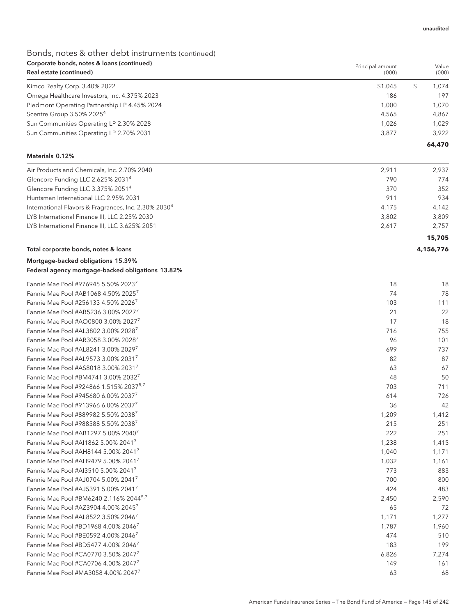# Bonds, notes & other debt instruments (continued) Corporate bonds, notes & loans (continued)

| Corporate bonds, notes & Ioans (continued)<br>Real estate (continued) | Principal amount<br>(000) | Value  |
|-----------------------------------------------------------------------|---------------------------|--------|
|                                                                       |                           | (000)  |
| Kimco Realty Corp. 3.40% 2022                                         | \$1,045                   | 1.074  |
| Omega Healthcare Investors, Inc. 4.375% 2023                          | 186                       | 197    |
| Piedmont Operating Partnership LP 4.45% 2024                          | 1.000                     | 1.070  |
| Scentre Group 3.50% 2025 <sup>4</sup>                                 | 4.565                     | 4.867  |
| Sun Communities Operating LP 2.30% 2028                               | 1.026                     | 1.029  |
| Sun Communities Operating LP 2.70% 2031                               | 3,877                     | 3.922  |
|                                                                       |                           | 64,470 |

#### Materials 0.12%

| Air Products and Chemicals, Inc. 2.70% 2040                      | 2.911 | 2.937  |
|------------------------------------------------------------------|-------|--------|
| Glencore Funding LLC 2.625% 20314                                | 790   | 774    |
| Glencore Funding LLC 3.375% 2051 <sup>4</sup>                    | 370   | 352    |
| Huntsman International LLC 2.95% 2031                            | 911   | 934    |
| International Flavors & Fragrances, Inc. 2.30% 2030 <sup>4</sup> | 4.175 | 4.142  |
| LYB International Finance III, LLC 2.25% 2030                    | 3.802 | 3.809  |
| LYB International Finance III, LLC 3.625% 2051                   | 2.617 | 2.757  |
|                                                                  |       | 15,705 |

#### Total corporate bonds, notes & loans **4,156,776**

| Mortgage-backed obligations 15.39%                |  |
|---------------------------------------------------|--|
| Federal agency mortgage-backed obligations 13.82% |  |

| Fannie Mae Pool #976945 5.50% 20237                | 18    | 18    |
|----------------------------------------------------|-------|-------|
| Fannie Mae Pool #AB1068 4.50% 20257                | 74    | 78    |
| Fannie Mae Pool #256133 4.50% 2026 <sup>7</sup>    | 103   | 111   |
| Fannie Mae Pool #AB5236 3.00% 2027 <sup>7</sup>    | 21    | 22    |
| Fannie Mae Pool #AO0800 3.00% 2027 <sup>7</sup>    | 17    | 18    |
| Fannie Mae Pool #AL3802 3.00% 2028 <sup>7</sup>    | 716   | 755   |
| Fannie Mae Pool #AR3058 3.00% 2028 <sup>7</sup>    | 96    | 101   |
| Fannie Mae Pool #AL8241 3.00% 20297                | 699   | 737   |
| Fannie Mae Pool #AL9573 3.00% 20317                | 82    | 87    |
| Fannie Mae Pool #AS8018 3.00% 2031 <sup>7</sup>    | 63    | 67    |
| Fannie Mae Pool #BM4741 3.00% 20327                | 48    | 50    |
| Fannie Mae Pool #924866 1.515% 2037 <sup>5,7</sup> | 703   | 711   |
| Fannie Mae Pool #945680 6.00% 20377                | 614   | 726   |
| Fannie Mae Pool #913966 6.00% 20377                | 36    | 42    |
| Fannie Mae Pool #889982 5.50% 20387                | 1,209 | 1,412 |
| Fannie Mae Pool #988588 5.50% 20387                | 215   | 251   |
| Fannie Mae Pool #AB1297 5.00% 2040 <sup>7</sup>    | 222   | 251   |
| Fannie Mae Pool #AI1862 5.00% 2041 <sup>7</sup>    | 1,238 | 1,415 |
| Fannie Mae Pool #AH8144 5.00% 2041 <sup>7</sup>    | 1,040 | 1,171 |
| Fannie Mae Pool #AH9479 5.00% 2041 <sup>7</sup>    | 1,032 | 1,161 |
| Fannie Mae Pool #AI3510 5.00% 20417                | 773   | 883   |
| Fannie Mae Pool #AJ0704 5.00% 2041 <sup>7</sup>    | 700   | 800   |
| Fannie Mae Pool #AJ5391 5.00% 2041 <sup>7</sup>    | 424   | 483   |
| Fannie Mae Pool #BM6240 2.116% 2044 <sup>5,7</sup> | 2,450 | 2,590 |
| Fannie Mae Pool #AZ3904 4.00% 2045 <sup>7</sup>    | 65    | 72    |
| Fannie Mae Pool #AL8522 3.50% 20467                | 1,171 | 1,277 |
| Fannie Mae Pool #BD1968 4.00% 20467                | 1,787 | 1,960 |
| Fannie Mae Pool #BE0592 4.00% 20467                | 474   | 510   |
| Fannie Mae Pool #BD5477 4.00% 20467                | 183   | 199   |
| Fannie Mae Pool #CA0770 3.50% 20477                | 6,826 | 7,274 |
| Fannie Mae Pool #CA0706 4.00% 20477                | 149   | 161   |
| Fannie Mae Pool #MA3058 4.00% 2047 <sup>7</sup>    | 63    | 68    |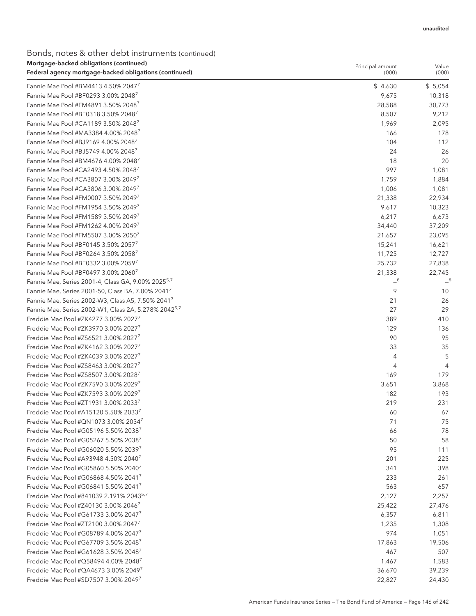### Bonds, notes & other debt instruments (continued) Mortgage-backed obligations (continued)

| Mortgage-backed obligations (continued)                          | Principal amount | Value          |
|------------------------------------------------------------------|------------------|----------------|
| Federal agency mortgage-backed obligations (continued)           | (000)            | (000)          |
| Fannie Mae Pool #BM4413 4.50% 2047 <sup>7</sup>                  | \$4,630          | \$5,054        |
| Fannie Mae Pool #BF0293 3.00% 20487                              | 9,675            | 10,318         |
| Fannie Mae Pool #FM4891 3.50% 20487                              | 28,588           | 30,773         |
| Fannie Mae Pool #BF0318 3.50% 20487                              | 8,507            | 9,212          |
| Fannie Mae Pool #CA1189 3.50% 20487                              | 1,969            | 2,095          |
| Fannie Mae Pool #MA3384 4.00% 2048 <sup>7</sup>                  | 166              | 178            |
| Fannie Mae Pool #BJ9169 4.00% 2048 <sup>7</sup>                  | 104              | 112            |
| Fannie Mae Pool #BJ5749 4.00% 2048 <sup>7</sup>                  | 24               | 26             |
| Fannie Mae Pool #BM4676 4.00% 2048 <sup>7</sup>                  | 18               | 20             |
| Fannie Mae Pool #CA2493 4.50% 20487                              | 997              | 1,081          |
| Fannie Mae Pool #CA3807 3.00% 2049'                              | 1,759            | 1,884          |
| Fannie Mae Pool #CA3806 3.00% 20497                              | 1,006            | 1,081          |
| Fannie Mae Pool #FM0007 3.50% 20497                              | 21,338           | 22,934         |
| Fannie Mae Pool #FM1954 3.50% 20497                              | 9,617            | 10,323         |
| Fannie Mae Pool #FM1589 3.50% 20497                              | 6,217            | 6,673          |
| Fannie Mae Pool #FM1262 4.00% 20497                              | 34,440           | 37,209         |
| Fannie Mae Pool #FM5507 3.00% 20507                              | 21,657           | 23,095         |
| Fannie Mae Pool #BF0145 3.50% 20577                              | 15,241           | 16,621         |
| Fannie Mae Pool #BF0264 3.50% 20587                              | 11,725           | 12,727         |
| Fannie Mae Pool #BF0332 3.00% 20597                              | 25,732           | 27,838         |
| Fannie Mae Pool #BF0497 3.00% 20607                              | 21,338           | 22,745         |
| Fannie Mae, Series 2001-4, Class GA, 9.00% 2025 <sup>5,7</sup>   | $-8$             | $-8$           |
| Fannie Mae, Series 2001-50, Class BA, 7.00% 2041 <sup>7</sup>    | 9                | 10             |
| Fannie Mae, Series 2002-W3, Class A5, 7.50% 2041 <sup>7</sup>    | 21               | 26             |
| Fannie Mae, Series 2002-W1, Class 2A, 5.278% 2042 <sup>5,7</sup> | 27               | 29             |
| Freddie Mac Pool #ZK4277 3.00% 2027                              | 389              | 410            |
| Freddie Mac Pool #ZK3970 3.00% 20277                             | 129              | 136            |
| Freddie Mac Pool #ZS6521 3.00% 20277                             | 90               | 95             |
| Freddie Mac Pool #ZK4162 3.00% 20277                             | 33               | 35             |
| Freddie Mac Pool #ZK4039 3.00% 20277                             | 4                | 5              |
| Freddie Mac Pool #ZS8463 3.00% 20277                             | 4                | $\overline{4}$ |
| Freddie Mac Pool #ZS8507 3.00% 20287                             | 169              | 179            |
| Freddie Mac Pool #ZK7590 3.00% 20297                             | 3,651            | 3,868          |
| Freddie Mac Pool #ZK7593 3.00% 20297                             | 182              | 193            |
| Freddie Mac Pool #ZT1931 3.00% 20337                             | 219              | 231            |
| Freddie Mac Pool #A15120 5.50% 20337                             | 60               | 67             |
| Freddie Mac Pool #QN1073 3.00% 20347                             | 71               | 75             |
| Freddie Mac Pool #G05196 5.50% 20387                             | 66               | 78             |
| Freddie Mac Pool #G05267 5.50% 20387                             | 50               | 58             |
| Freddie Mac Pool #G06020 5.50% 20397                             | 95               | 111            |
| Freddie Mac Pool #A93948 4.50% 2040 <sup>7</sup>                 | 201              | 225            |
| Freddie Mac Pool #G05860 5.50% 2040 <sup>7</sup>                 | 341              | 398            |
| Freddie Mac Pool #G06868 4.50% 2041                              | 233              | 261            |
| Freddie Mac Pool #G06841 5.50% 2041                              | 563              | 657            |
| Freddie Mac Pool #841039 2.191% 20435,7                          | 2,127            | 2,257          |
| Freddie Mac Pool #Z40130 3.00% 20467                             | 25,422           | 27,476         |
| Freddie Mac Pool #G61733 3.00% 20477                             | 6,357            | 6,811          |
| Freddie Mac Pool #ZT2100 3.00% 20477                             | 1,235            | 1,308          |
| Freddie Mac Pool #G08789 4.00% 20477                             | 974              | 1,051          |
| Freddie Mac Pool #G67709 3.50% 2048 <sup>7</sup>                 | 17,863           | 19,506         |
| Freddie Mac Pool #G61628 3.50% 2048 <sup>7</sup>                 | 467              | 507            |
| Freddie Mac Pool #Q58494 4.00% 2048 <sup>7</sup>                 | 1,467            | 1,583          |
| Freddie Mac Pool #QA4673 3.00% 20497                             | 36,670           | 39,239         |
| Freddie Mac Pool #SD7507 3.00% 20497                             | 22,827           | 24,430         |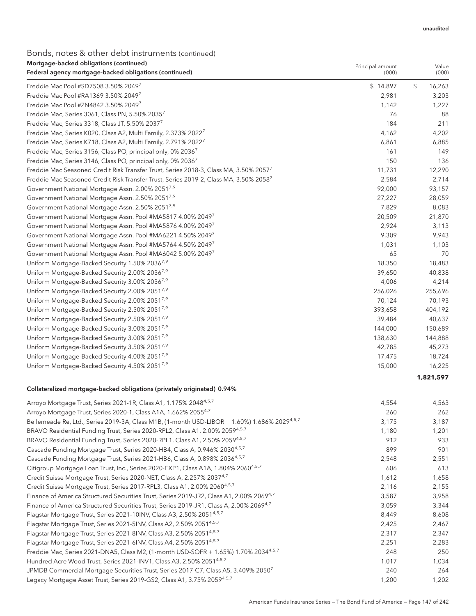# Bonds, notes & other debt instruments (continued)

| Mortgage-backed obligations (continued)                                                           | Principal amount | Value        |
|---------------------------------------------------------------------------------------------------|------------------|--------------|
| Federal agency mortgage-backed obligations (continued)                                            | (000)            | (000)        |
| Freddie Mac Pool #SD7508 3.50% 20497                                                              | \$14,897         | \$<br>16,263 |
| Freddie Mac Pool #RA1369 3.50% 20497                                                              | 2,981            | 3,203        |
| Freddie Mac Pool #ZN4842 3.50% 20497                                                              | 1,142            | 1,227        |
| Freddie Mac, Series 3061, Class PN, 5.50% 20357                                                   | 76               | 88           |
| Freddie Mac, Series 3318, Class JT, 5.50% 20377                                                   | 184              | 211          |
| Freddie Mac, Series K020, Class A2, Multi Family, 2.373% 2022 <sup>7</sup>                        | 4,162            | 4,202        |
| Freddie Mac, Series K718, Class A2, Multi Family, 2.791% 2022 <sup>7</sup>                        | 6,861            | 6,885        |
| Freddie Mac, Series 3156, Class PO, principal only, 0% 20367                                      | 161              | 149          |
| Freddie Mac, Series 3146, Class PO, principal only, 0% 2036 <sup>7</sup>                          | 150              | 136          |
| Freddie Mac Seasoned Credit Risk Transfer Trust, Series 2018-3, Class MA, 3.50% 20577             | 11,731           | 12,290       |
| Freddie Mac Seasoned Credit Risk Transfer Trust, Series 2019-2, Class MA, 3.50% 2058 <sup>7</sup> | 2,584            | 2,714        |
| Government National Mortgage Assn. 2.00% 2051 <sup>7,9</sup>                                      | 92,000           | 93,157       |
| Government National Mortgage Assn. 2.50% 20517,9                                                  | 27,227           | 28,059       |
| Government National Mortgage Assn. 2.50% 20517,9                                                  | 7,829            | 8,083        |
| Government National Mortgage Assn. Pool #MA5817 4.00% 2049 <sup>7</sup>                           | 20,509           | 21,870       |
| Government National Mortgage Assn. Pool #MA5876 4.00% 2049 <sup>7</sup>                           | 2,924            | 3,113        |
| Government National Mortgage Assn. Pool #MA6221 4.50% 20497                                       | 9,309            | 9,943        |
| Government National Mortgage Assn. Pool #MA5764 4.50% 2049 <sup>7</sup>                           | 1,031            | 1,103        |
| Government National Mortgage Assn. Pool #MA6042 5.00% 20497                                       | 65               | 70           |
| Uniform Mortgage-Backed Security 1.50% 2036 <sup>7,9</sup>                                        | 18,350           | 18,483       |
| Uniform Mortgage-Backed Security 2.00% 2036 <sup>7,9</sup>                                        | 39,650           | 40,838       |
| Uniform Mortgage-Backed Security 3.00% 2036 <sup>7,9</sup>                                        | 4,006            | 4,214        |
| Uniform Mortgage-Backed Security 2.00% 2051 <sup>7,9</sup>                                        | 256,026          | 255,696      |
| Uniform Mortgage-Backed Security 2.00% 2051 <sup>7,9</sup>                                        | 70,124           | 70,193       |
| Uniform Mortgage-Backed Security 2.50% 20517,9                                                    | 393,658          | 404,192      |
| Uniform Mortgage-Backed Security 2.50% 2051 <sup>7,9</sup>                                        | 39,484           | 40,637       |
| Uniform Mortgage-Backed Security 3.00% 2051 <sup>7,9</sup>                                        | 144,000          | 150,689      |
| Uniform Mortgage-Backed Security 3.00% 20517,9                                                    | 138,630          | 144,888      |
| Uniform Mortgage-Backed Security 3.50% 2051 <sup>7,9</sup>                                        | 42,785           | 45,273       |
| Uniform Mortgage-Backed Security 4.00% 2051 <sup>7,9</sup>                                        | 17,475           | 18,724       |
| Uniform Mortgage-Backed Security 4.50% 2051 <sup>7,9</sup>                                        | 15,000           | 16,225       |

### **1,821,597**

### Collateralized mortgage-backed obligations (privately originated) 0.94%

| Arroyo Mortgage Trust, Series 2021-1R, Class A1, 1.175% 2048 <sup>4,5,7</sup>                        | 4,554 | 4,563 |
|------------------------------------------------------------------------------------------------------|-------|-------|
| Arroyo Mortgage Trust, Series 2020-1, Class A1A, 1.662% 20554,7                                      | 260   | 262   |
| Bellemeade Re, Ltd., Series 2019-3A, Class M1B, (1-month USD-LIBOR + 1.60%) 1.686% 20294,5,7         | 3,175 | 3,187 |
| BRAVO Residential Funding Trust, Series 2020-RPL2, Class A1, 2.00% 2059 <sup>4,5,7</sup>             | 1,180 | 1,201 |
| BRAVO Residential Funding Trust, Series 2020-RPL1, Class A1, 2.50% 2059 <sup>4,5,7</sup>             | 912   | 933   |
| Cascade Funding Mortgage Trust, Series 2020-HB4, Class A, 0.946% 2030 <sup>4,5,7</sup>               | 899   | 901   |
| Cascade Funding Mortgage Trust, Series 2021-HB6, Class A, 0.898% 2036 <sup>4,5,7</sup>               | 2,548 | 2,551 |
| Citigroup Mortgage Loan Trust, Inc., Series 2020-EXP1, Class A1A, 1.804% 2060 <sup>4,5,7</sup>       | 606   | 613   |
| Credit Suisse Mortgage Trust, Series 2020-NET, Class A, 2.257% 20374,7                               | 1,612 | 1,658 |
| Credit Suisse Mortgage Trust, Series 2017-RPL3, Class A1, 2.00% 2060 <sup>4,5,7</sup>                | 2,116 | 2,155 |
| Finance of America Structured Securities Trust, Series 2019-JR2, Class A1, 2.00% 2069 <sup>4,7</sup> | 3,587 | 3,958 |
| Finance of America Structured Securities Trust, Series 2019-JR1, Class A, 2.00% 2069 <sup>4,7</sup>  | 3,059 | 3,344 |
| Flagstar Mortgage Trust, Series 2021-10INV, Class A3, 2.50% 2051 <sup>4,5,7</sup>                    | 8,449 | 8,608 |
| Flagstar Mortgage Trust, Series 2021-5INV, Class A2, 2.50% 20514,5,7                                 | 2,425 | 2,467 |
| Flagstar Mortgage Trust, Series 2021-8INV, Class A3, 2.50% 20514,5,7                                 | 2,317 | 2,347 |
| Flagstar Mortgage Trust, Series 2021-6INV, Class A4, 2.50% 2051 <sup>4,5,7</sup>                     | 2,251 | 2,283 |
| Freddie Mac, Series 2021-DNA5, Class M2, (1-month USD-SOFR + 1.65%) 1.70% 20344,5,7                  | 248   | 250   |
| Hundred Acre Wood Trust, Series 2021-INV1, Class A3, 2.50% 2051 <sup>4,5,7</sup>                     | 1,017 | 1,034 |
| JPMDB Commercial Mortgage Securities Trust, Series 2017-C7, Class A5, 3.409% 20507                   | 240   | 264   |
| Legacy Mortgage Asset Trust, Series 2019-GS2, Class A1, 3.75% 2059 <sup>4,5,7</sup>                  | 1,200 | 1,202 |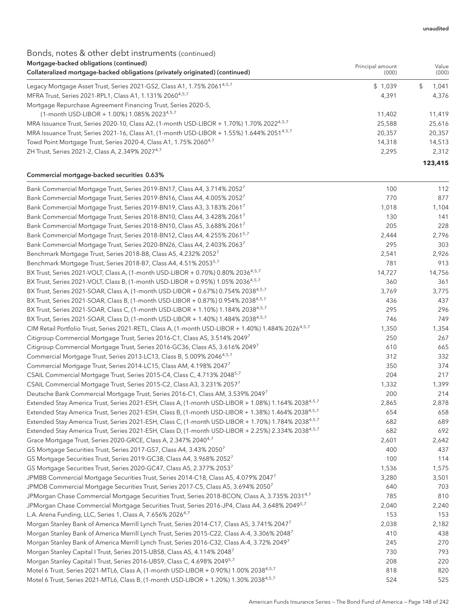### Bonds, notes & other debt instruments (continued) Mortgage-backed obligations (continued)

| <u>mondage</u> backed obligations (commaca)<br>Collateralized mortgage-backed obligations (privately originated) (continued) | Principal amount<br>(000) | Value<br>(000) |
|------------------------------------------------------------------------------------------------------------------------------|---------------------------|----------------|
| Legacy Mortgage Asset Trust, Series 2021-GS2, Class A1, 1.75% 2061 <sup>4,5,7</sup>                                          | \$1,039                   | 1.041          |
| MFRA Trust, Series 2021-RPL1, Class A1, 1.131% 2060 <sup>4,5,7</sup>                                                         | 4.391                     | 4.376          |
| Mortgage Repurchase Agreement Financing Trust, Series 2020-5,                                                                |                           |                |
| (1-month USD-LIBOR + 1.00%) 1.085% 2023 <sup>4,5,7</sup>                                                                     | 11.402                    | 11.419         |
| MRA Issuance Trust, Series 2020-10, Class A2, (1-month USD-LIBOR + 1.70%) 1.70% 2022 <sup>4,5,7</sup>                        | 25.588                    | 25,616         |
| MRA Issuance Trust, Series 2021-16, Class A1, (1-month USD-LIBOR + 1.55%) 1.644% 2051 <sup>4,5,7</sup>                       | 20,357                    | 20,357         |
| Towd Point Mortgage Trust, Series 2020-4, Class A1, 1.75% 2060 <sup>4,7</sup>                                                | 14,318                    | 14,513         |
| ZH Trust, Series 2021-2, Class A, 2.349% 2027 <sup>4,7</sup>                                                                 | 2.295                     | 2.312          |
|                                                                                                                              |                           | 123,415        |

### Commercial mortgage-backed securities 0.63%

| Bank Commercial Mortgage Trust, Series 2019-BN17, Class A4, 3.714% 2052'                                        | 100    | 112    |
|-----------------------------------------------------------------------------------------------------------------|--------|--------|
| Bank Commercial Mortgage Trust, Series 2019-BN16, Class A4, 4.005% 2052                                         | 770    | 877    |
| Bank Commercial Mortgage Trust, Series 2019-BN19, Class A3, 3.183% 2061'                                        | 1,018  | 1,104  |
| Bank Commercial Mortgage Trust, Series 2018-BN10, Class A4, 3.428% 2061'                                        | 130    | 141    |
| Bank Commercial Mortgage Trust, Series 2018-BN10, Class A5, 3.688% 2061'                                        | 205    | 228    |
| Bank Commercial Mortgage Trust, Series 2018-BN12, Class A4, 4.255% 2061 <sup>5,7</sup>                          | 2,444  | 2,796  |
| Bank Commercial Mortgage Trust, Series 2020-BN26, Class A4, 2.403% 20637                                        | 295    | 303    |
| Benchmark Mortgage Trust, Series 2018-B8, Class A5, 4.232% 2052 <sup>7</sup>                                    | 2,541  | 2,926  |
| Benchmark Mortgage Trust, Series 2018-B7, Class A4, 4.51% 2053 <sup>5,7</sup>                                   | 781    | 913    |
| BX Trust, Series 2021-VOLT, Class A, (1-month USD-LIBOR + 0.70%) 0.80% 2036 <sup>4,5,7</sup>                    | 14,727 | 14,756 |
| BX Trust, Series 2021-VOLT, Class B, (1-month USD-LIBOR + 0.95%) 1.05% 2036 <sup>4,5,7</sup>                    | 360    | 361    |
| BX Trust, Series 2021-SOAR, Class A, (1-month USD-LIBOR + 0.67%) 0.754% 20384,5,7                               | 3,769  | 3,775  |
| BX Trust, Series 2021-SOAR, Class B, (1-month USD-LIBOR + 0.87%) 0.954% 2038 <sup>4,5,7</sup>                   | 436    | 437    |
| BX Trust, Series 2021-SOAR, Class C, (1-month USD-LIBOR + 1.10%) 1.184% 2038 <sup>4,5,7</sup>                   | 295    | 296    |
| BX Trust, Series 2021-SOAR, Class D, (1-month USD-LIBOR + 1.40%) 1.484% 2038 <sup>4,5,7</sup>                   | 746    | 749    |
| CIM Retail Portfolio Trust, Series 2021-RETL, Class A, (1-month USD-LIBOR + 1.40%) 1.484% 20264.5.7             | 1,350  | 1,354  |
| Citigroup Commercial Mortgage Trust, Series 2016-C1, Class AS, 3.514% 20497                                     | 250    | 267    |
| Citigroup Commercial Mortgage Trust, Series 2016-GC36, Class A5, 3.616% 2049 <sup>7</sup>                       | 610    | 665    |
| Commercial Mortgage Trust, Series 2013-LC13, Class B, 5.009% 2046 <sup>4,5,7</sup>                              | 312    | 332    |
| Commercial Mortgage Trust, Series 2014-LC15, Class AM, 4.198% 2047                                              | 350    | 374    |
| CSAIL Commercial Mortgage Trust, Series 2015-C4, Class C, 4.713% 2048 <sup>5,7</sup>                            | 204    | 217    |
| CSAIL Commercial Mortgage Trust, Series 2015-C2, Class A3, 3.231% 2057                                          | 1,332  | 1,399  |
| Deutsche Bank Commercial Mortgage Trust, Series 2016-C1, Class AM, 3.539% 20497                                 | 200    | 214    |
| Extended Stay America Trust, Series 2021-ESH, Class A, (1-month USD-LIBOR + 1.08%) 1.164% 2038 <sup>4,5,7</sup> | 2,865  | 2,878  |
| Extended Stay America Trust, Series 2021-ESH, Class B, (1-month USD-LIBOR + 1.38%) 1.464% 20384.5.7             | 654    | 658    |
| Extended Stay America Trust, Series 2021-ESH, Class C, (1-month USD-LIBOR + 1.70%) 1.784% 2038 <sup>4,5,7</sup> | 682    | 689    |
| Extended Stay America Trust, Series 2021-ESH, Class D, (1-month USD-LIBOR + 2.25%) 2.334% 2038 <sup>4,5,7</sup> | 682    | 692    |
| Grace Mortgage Trust, Series 2020-GRCE, Class A, 2.347% 2040 <sup>4,7</sup>                                     | 2,601  | 2,642  |
| GS Mortgage Securities Trust, Series 2017-GS7, Class A4, 3.43% 2050                                             | 400    | 437    |
| GS Mortgage Securities Trust, Series 2019-GC38, Class A4, 3.968% 2052                                           | 100    | 114    |
| GS Mortgage Securities Trust, Series 2020-GC47, Class A5, 2.377% 2053                                           | 1,536  | 1,575  |
| JPMBB Commercial Mortgage Securities Trust, Series 2014-C18, Class A5, 4.079% 20477                             | 3,280  | 3,501  |
| JPMDB Commercial Mortgage Securities Trust, Series 2017-C5, Class A5, 3.694% 2050 <sup>7</sup>                  | 640    | 703    |
| JPMorgan Chase Commercial Mortgage Securities Trust, Series 2018-BCON, Class A, 3.735% 2031 <sup>4,7</sup>      | 785    | 810    |
| JPMorgan Chase Commercial Mortgage Securities Trust, Series 2016-JP4, Class A4, 3.648% 2049 <sup>5,7</sup>      | 2,040  | 2,240  |
| L.A. Arena Funding, LLC, Series 1, Class A, 7.656% 2026 <sup>4,7</sup>                                          | 153    | 153    |
| Morgan Stanley Bank of America Merrill Lynch Trust, Series 2014-C17, Class A5, 3.741% 20477                     | 2,038  | 2,182  |
| Morgan Stanley Bank of America Merrill Lynch Trust, Series 2015-C22, Class A-4, 3.306% 2048 <sup>7</sup>        | 410    | 438    |
| Morgan Stanley Bank of America Merrill Lynch Trust, Series 2016-C32, Class A-4, 3.72% 20497                     | 245    | 270    |
| Morgan Stanley Capital I Trust, Series 2015-UBS8, Class AS, 4.114% 20487                                        | 730    | 793    |
| Morgan Stanley Capital I Trust, Series 2016-UBS9, Class C, 4.698% 2049 <sup>5,7</sup>                           | 208    | 220    |
| Motel 6 Trust, Series 2021-MTL6, Class A, (1-month USD-LIBOR + 0.90%) 1.00% 2038 <sup>4,5,7</sup>               | 818    | 820    |
| Motel 6 Trust, Series 2021-MTL6, Class B, (1-month USD-LIBOR + 1.20%) 1.30% 2038 <sup>4,5,7</sup>               | 524    | 525    |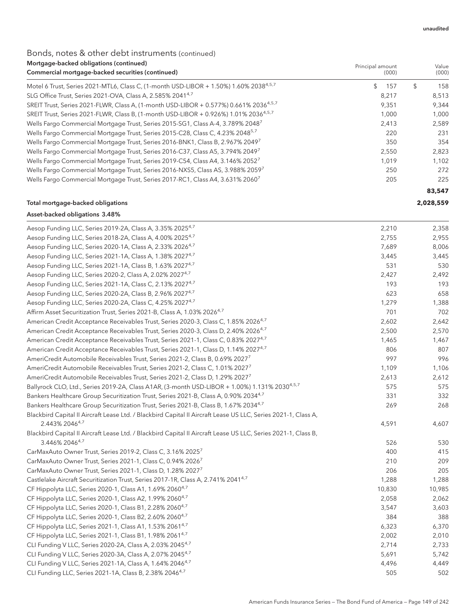### Bonds, notes & other debt instruments (continued) Mortgage-backed obligations (continued)

| Mortgage-backed obligations (continued)                                                           | Principal amount | Value     |
|---------------------------------------------------------------------------------------------------|------------------|-----------|
| Commercial mortgage-backed securities (continued)                                                 | (000)            | (000)     |
| Motel 6 Trust, Series 2021-MTL6, Class C, (1-month USD-LIBOR + 1.50%) 1.60% 2038 <sup>4,5,7</sup> | \$<br>157        | \$<br>158 |
| SLG Office Trust, Series 2021-OVA, Class A, 2.585% 2041 <sup>4,7</sup>                            | 8,217            | 8,513     |
| SREIT Trust, Series 2021-FLWR, Class A, (1-month USD-LIBOR + 0.577%) 0.661% 2036 <sup>4,5,7</sup> | 9.351            | 9,344     |
| SREIT Trust, Series 2021-FLWR, Class B, (1-month USD-LIBOR + 0.926%) 1.01% 2036 <sup>4,5,7</sup>  | 1.000            | 1,000     |
| Wells Fargo Commercial Mortgage Trust, Series 2015-SG1, Class A-4, 3.789% 2048 <sup>7</sup>       | 2,413            | 2,589     |
| Wells Fargo Commercial Mortgage Trust, Series 2015-C28, Class C, 4.23% 2048 <sup>5,7</sup>        | 220              | 231       |
| Wells Fargo Commercial Mortgage Trust, Series 2016-BNK1, Class B, 2.967% 20497                    | 350              | 354       |
| Wells Fargo Commercial Mortgage Trust, Series 2016-C37, Class A5, 3.794% 20497                    | 2,550            | 2,823     |
| Wells Fargo Commercial Mortgage Trust, Series 2019-C54, Class A4, 3.146% 20527                    | 1.019            | 1,102     |
| Wells Fargo Commercial Mortgage Trust, Series 2016-NXS5, Class AS, 3.988% 20597                   | 250              | 272       |
| Wells Fargo Commercial Mortgage Trust, Series 2017-RC1, Class A4, 3.631% 2060 <sup>7</sup>        | 205              | 225       |
|                                                                                                   |                  | 83,547    |

## Total mortgage-backed obligations **2,028,559**

### Asset-backed obligations 3.48%

| Aesop Funding LLC, Series 2019-2A, Class A, 3.35% 2025 <sup>4,7</sup>                                          | 2,210  | 2,358  |
|----------------------------------------------------------------------------------------------------------------|--------|--------|
| Aesop Funding LLC, Series 2018-2A, Class A, 4.00% 2025 <sup>4,7</sup>                                          | 2,755  | 2,955  |
| Aesop Funding LLC, Series 2020-1A, Class A, 2.33% 2026 <sup>4,7</sup>                                          | 7,689  | 8,006  |
| Aesop Funding LLC, Series 2021-1A, Class A, 1.38% 2027 <sup>4,7</sup>                                          | 3,445  | 3,445  |
| Aesop Funding LLC, Series 2021-1A, Class B, 1.63% 2027 <sup>4,7</sup>                                          | 531    | 530    |
| Aesop Funding LLC, Series 2020-2, Class A, 2.02% 2027 <sup>4,7</sup>                                           | 2,427  | 2,492  |
| Aesop Funding LLC, Series 2021-1A, Class C, 2.13% 20274,7                                                      | 193    | 193    |
| Aesop Funding LLC, Series 2020-2A, Class B, 2.96% 2027 <sup>4,7</sup>                                          | 623    | 658    |
| Aesop Funding LLC, Series 2020-2A, Class C, 4.25% 2027 <sup>4,7</sup>                                          | 1,279  | 1,388  |
| Affirm Asset Securitization Trust, Series 2021-B, Class A, 1.03% 2026 <sup>4,7</sup>                           | 701    | 702    |
| American Credit Acceptance Receivables Trust, Series 2020-3, Class C, 1.85% 2026 <sup>4,7</sup>                | 2,602  | 2,642  |
| American Credit Acceptance Receivables Trust, Series 2020-3, Class D, 2.40% 2026 <sup>4,7</sup>                | 2,500  | 2,570  |
| American Credit Acceptance Receivables Trust, Series 2021-1, Class C, 0.83% 2027 <sup>4,7</sup>                | 1,465  | 1,467  |
| American Credit Acceptance Receivables Trust, Series 2021-1, Class D, 1.14% 2027 <sup>4,7</sup>                | 806    | 807    |
| AmeriCredit Automobile Receivables Trust, Series 2021-2, Class B, 0.69% 2027 <sup>7</sup>                      | 997    | 996    |
| AmeriCredit Automobile Receivables Trust, Series 2021-2, Class C, 1.01% 20277                                  | 1,109  | 1,106  |
| AmeriCredit Automobile Receivables Trust, Series 2021-2, Class D, 1.29% 2027 <sup>7</sup>                      | 2,613  | 2,612  |
| Ballyrock CLO, Ltd., Series 2019-2A, Class A1AR, (3-month USD-LIBOR + 1.00%) 1.131% 2030 <sup>4,5,7</sup>      | 575    | 575    |
| Bankers Healthcare Group Securitization Trust, Series 2021-B, Class A, 0.90% 2034 <sup>4,7</sup>               | 331    | 332    |
| Bankers Healthcare Group Securitization Trust, Series 2021-B, Class B, 1.67% 2034 <sup>4,7</sup>               | 269    | 268    |
| Blackbird Capital II Aircraft Lease Ltd. / Blackbird Capital II Aircraft Lease US LLC, Series 2021-1, Class A, |        |        |
| 2.443% 20464,7                                                                                                 | 4,591  | 4,607  |
| Blackbird Capital II Aircraft Lease Ltd. / Blackbird Capital II Aircraft Lease US LLC, Series 2021-1, Class B, |        |        |
| 3.446% 20464,7                                                                                                 | 526    | 530    |
| CarMaxAuto Owner Trust, Series 2019-2, Class C, 3.16% 2025 <sup>7</sup>                                        | 400    | 415    |
| CarMaxAuto Owner Trust, Series 2021-1, Class C, 0.94% 20267                                                    | 210    | 209    |
| CarMaxAuto Owner Trust, Series 2021-1, Class D, 1.28% 2027 <sup>7</sup>                                        | 206    | 205    |
| Castlelake Aircraft Securitization Trust, Series 2017-1R, Class A, 2.741% 2041 <sup>4,7</sup>                  | 1,288  | 1,288  |
| CF Hippolyta LLC, Series 2020-1, Class A1, 1.69% 2060 <sup>4,7</sup>                                           | 10,830 | 10,985 |
| CF Hippolyta LLC, Series 2020-1, Class A2, 1.99% 2060 <sup>4,7</sup>                                           | 2,058  | 2,062  |
| CF Hippolyta LLC, Series 2020-1, Class B1, 2.28% 2060 <sup>4,7</sup>                                           | 3,547  | 3,603  |
| CF Hippolyta LLC, Series 2020-1, Class B2, 2.60% 2060 <sup>4,7</sup>                                           | 384    | 388    |
| CF Hippolyta LLC, Series 2021-1, Class A1, 1.53% 2061 <sup>4,7</sup>                                           | 6,323  | 6,370  |
| CF Hippolyta LLC, Series 2021-1, Class B1, 1.98% 2061 <sup>4,7</sup>                                           | 2,002  | 2,010  |
| CLI Funding V LLC, Series 2020-2A, Class A, 2.03% 2045 <sup>4,7</sup>                                          | 2,714  | 2,733  |
| CLI Funding V LLC, Series 2020-3A, Class A, 2.07% 2045 <sup>4,7</sup>                                          | 5,691  | 5,742  |
| CLI Funding V LLC, Series 2021-1A, Class A, 1.64% 2046 <sup>4,7</sup>                                          | 4,496  | 4,449  |
| CLI Funding LLC, Series 2021-1A, Class B, 2.38% 2046 <sup>4,7</sup>                                            | 505    | 502    |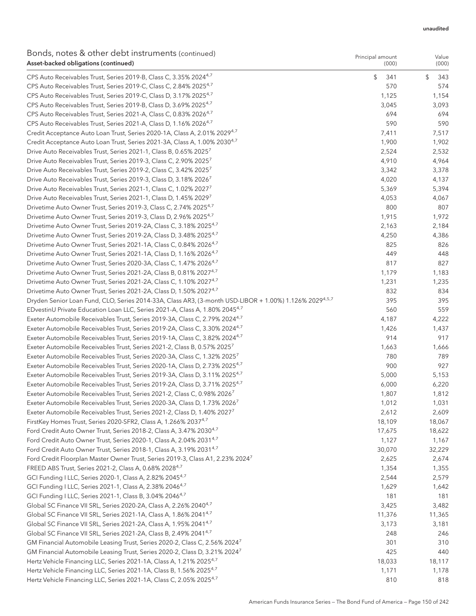Principal amount

### Bonds, notes & other debt instruments (continued) Asset-backed obligations (continued)

| $\sim$ . There is a part in above in our annothes (commuted)<br>Asset-backed obligations (continued)               | Principal amount<br>(000) | Value<br>(000) |
|--------------------------------------------------------------------------------------------------------------------|---------------------------|----------------|
| CPS Auto Receivables Trust, Series 2019-B, Class C, 3.35% 20244,7                                                  | \$<br>341                 | \$<br>343      |
| CPS Auto Receivables Trust, Series 2019-C, Class C, 2.84% 2025 <sup>4,7</sup>                                      | 570                       | 574            |
| CPS Auto Receivables Trust, Series 2019-C, Class D, 3.17% 2025 <sup>4,7</sup>                                      | 1,125                     | 1,154          |
| CPS Auto Receivables Trust, Series 2019-B, Class D, 3.69% 2025 <sup>4,7</sup>                                      | 3,045                     | 3,093          |
| CPS Auto Receivables Trust, Series 2021-A, Class C, 0.83% 2026 <sup>4,7</sup>                                      | 694                       | 694            |
| CPS Auto Receivables Trust, Series 2021-A, Class D, 1.16% 2026 <sup>4,7</sup>                                      | 590                       | 590            |
| Credit Acceptance Auto Loan Trust, Series 2020-1A, Class A, 2.01% 2029 <sup>4,7</sup>                              | 7,411                     | 7,517          |
| Credit Acceptance Auto Loan Trust, Series 2021-3A, Class A, 1.00% 2030 <sup>4,7</sup>                              | 1,900                     | 1,902          |
| Drive Auto Receivables Trust, Series 2021-1, Class B, 0.65% 20257                                                  | 2,524                     | 2,532          |
| Drive Auto Receivables Trust, Series 2019-3, Class C, 2.90% 20257                                                  | 4,910                     | 4,964          |
| Drive Auto Receivables Trust, Series 2019-2, Class C, 3.42% 2025 <sup>7</sup>                                      | 3,342                     | 3,378          |
| Drive Auto Receivables Trust, Series 2019-3, Class D, 3.18% 2026 <sup>7</sup>                                      | 4,020                     | 4,137          |
| Drive Auto Receivables Trust, Series 2021-1, Class C, 1.02% 2027 <sup>7</sup>                                      | 5,369                     | 5,394          |
| Drive Auto Receivables Trust, Series 2021-1, Class D, 1.45% 2029 <sup>7</sup>                                      | 4,053                     | 4,067          |
| Drivetime Auto Owner Trust, Series 2019-3, Class C, 2.74% 2025 <sup>4,7</sup>                                      | 800                       | 807            |
| Drivetime Auto Owner Trust, Series 2019-3, Class D, 2.96% 2025 <sup>4,7</sup>                                      | 1,915                     | 1,972          |
| Drivetime Auto Owner Trust, Series 2019-2A, Class C, 3.18% 2025 <sup>4,7</sup>                                     | 2,163                     | 2,184          |
| Drivetime Auto Owner Trust, Series 2019-2A, Class D, 3.48% 2025 <sup>4,7</sup>                                     | 4,250                     | 4,386          |
| Drivetime Auto Owner Trust, Series 2021-1A, Class C, 0.84% 2026 <sup>4,7</sup>                                     | 825                       | 826            |
| Drivetime Auto Owner Trust, Series 2021-1A, Class D, 1.16% 2026 <sup>4,7</sup>                                     | 449                       | 448            |
| Drivetime Auto Owner Trust, Series 2020-3A, Class C, 1.47% 2026 <sup>4,7</sup>                                     | 817                       | 827            |
| Drivetime Auto Owner Trust, Series 2021-2A, Class B, 0.81% 2027 <sup>4,7</sup>                                     | 1,179                     | 1,183          |
| Drivetime Auto Owner Trust, Series 2021-2A, Class C, 1.10% 2027 <sup>4,7</sup>                                     | 1,231                     | 1,235          |
| Drivetime Auto Owner Trust, Series 2021-2A, Class D, 1.50% 2027 <sup>4,7</sup>                                     | 832                       | 834            |
| Dryden Senior Loan Fund, CLO, Series 2014-33A, Class AR3, (3-month USD-LIBOR + 1.00%) 1.126% 2029 <sup>4,5,7</sup> | 395                       | 395            |
| EDvestinU Private Education Loan LLC, Series 2021-A, Class A, 1.80% 2045 <sup>4,7</sup>                            | 560                       | 559            |
| Exeter Automobile Receivables Trust, Series 2019-3A, Class C, 2.79% 2024 <sup>4,7</sup>                            | 4,187                     | 4,222          |
| Exeter Automobile Receivables Trust, Series 2019-2A, Class C, 3.30% 2024 <sup>4,7</sup>                            | 1,426                     | 1,437          |
| Exeter Automobile Receivables Trust, Series 2019-1A, Class C, 3.82% 2024 <sup>4,7</sup>                            | 914                       | 917            |
| Exeter Automobile Receivables Trust, Series 2021-2, Class B, 0.57% 2025 <sup>7</sup>                               | 1,663                     | 1,666          |
| Exeter Automobile Receivables Trust, Series 2020-3A, Class C, 1.32% 2025 <sup>7</sup>                              | 780                       | 789            |
| Exeter Automobile Receivables Trust, Series 2020-1A, Class D, 2.73% 2025 <sup>4,7</sup>                            | 900                       | 927            |
| Exeter Automobile Receivables Trust, Series 2019-3A, Class D, 3.11% 2025 <sup>4,7</sup>                            | 5,000                     | 5,153          |
| Exeter Automobile Receivables Trust, Series 2019-2A, Class D, 3.71% 2025 <sup>4,7</sup>                            | 6,000                     | 6,220          |
| Exeter Automobile Receivables Trust, Series 2021-2, Class C, 0.98% 2026 <sup>7</sup>                               | 1,807                     | 1,812          |
| Exeter Automobile Receivables Trust, Series 2020-3A, Class D, 1.73% 2026                                           | 1,012                     | 1,031          |
| Exeter Automobile Receivables Trust, Series 2021-2, Class D, 1.40% 2027'                                           | 2,612                     | 2,609          |
| FirstKey Homes Trust, Series 2020-SFR2, Class A, 1.266% 2037 <sup>4,7</sup>                                        | 18,109                    | 18,067         |
| Ford Credit Auto Owner Trust, Series 2018-2, Class A, 3.47% 2030 <sup>4,7</sup>                                    | 17,675                    | 18,622         |
| Ford Credit Auto Owner Trust, Series 2020-1, Class A, 2.04% 2031 <sup>4,7</sup>                                    | 1,127                     | 1,167          |
| Ford Credit Auto Owner Trust, Series 2018-1, Class A, 3.19% 2031 <sup>4,7</sup>                                    | 30,070                    | 32,229         |
| Ford Credit Floorplan Master Owner Trust, Series 2019-3, Class A1, 2.23% 2024 <sup>7</sup>                         | 2,625                     | 2,674          |
| FREED ABS Trust, Series 2021-2, Class A, 0.68% 2028 <sup>4,7</sup>                                                 | 1,354                     | 1,355          |
| GCI Funding I LLC, Series 2020-1, Class A, 2.82% 2045 <sup>4,7</sup>                                               | 2,544                     | 2,579          |
| GCI Funding I LLC, Series 2021-1, Class A, 2.38% 2046 <sup>4,7</sup>                                               | 1,629                     | 1,642          |
| GCI Funding I LLC, Series 2021-1, Class B, 3.04% 2046 <sup>4,7</sup>                                               | 181                       | 181            |
| Global SC Finance VII SRL, Series 2020-2A, Class A, 2.26% 2040 <sup>4,7</sup>                                      | 3,425                     | 3,482          |
| Global SC Finance VII SRL, Series 2021-1A, Class A, 1.86% 2041 <sup>4,7</sup>                                      | 11,376                    | 11,365         |
| Global SC Finance VII SRL, Series 2021-2A, Class A, 1.95% 2041 <sup>4,7</sup>                                      | 3,173                     | 3,181          |
| Global SC Finance VII SRL, Series 2021-2A, Class B, 2.49% 2041 <sup>4,7</sup>                                      | 248                       | 246            |
| GM Financial Automobile Leasing Trust, Series 2020-2, Class C, 2.56% 2024 <sup>7</sup>                             | 301                       | 310            |
| GM Financial Automobile Leasing Trust, Series 2020-2, Class D, 3.21% 2024 <sup>7</sup>                             | 425                       | 440            |
| Hertz Vehicle Financing LLC, Series 2021-1A, Class A, 1.21% 2025 <sup>4,7</sup>                                    | 18,033                    | 18,117         |
| Hertz Vehicle Financing LLC, Series 2021-1A, Class B, 1.56% 2025 <sup>4,7</sup>                                    | 1,171                     | 1,178          |
| Hertz Vehicle Financing LLC, Series 2021-1A, Class C, 2.05% 2025 <sup>4,7</sup>                                    | 810                       | 818            |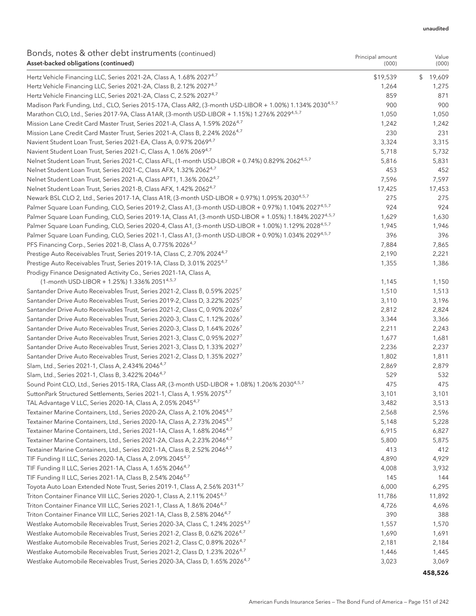Value

Principal amount

### Bonds, notes & other debt instruments (continued) Asset-backed obligations (continued)

| Asset-backed obligations (continued)                                                                                  | (000)    | (000)        |
|-----------------------------------------------------------------------------------------------------------------------|----------|--------------|
| Hertz Vehicle Financing LLC, Series 2021-2A, Class A, 1.68% 2027 <sup>4,7</sup>                                       | \$19,539 | 19,609<br>\$ |
| Hertz Vehicle Financing LLC, Series 2021-2A, Class B, 2.12% 2027 <sup>4,7</sup>                                       | 1,264    | 1,275        |
| Hertz Vehicle Financing LLC, Series 2021-2A, Class C, 2.52% 2027 <sup>4,7</sup>                                       | 859      | 871          |
| Madison Park Funding, Ltd., CLO, Series 2015-17A, Class AR2, (3-month USD-LIBOR + 1.00%) 1.134% 2030 <sup>4,5,7</sup> | 900      | 900          |
| Marathon CLO, Ltd., Series 2017-9A, Class A1AR, (3-month USD-LIBOR + 1.15%) 1.276% 2029 <sup>4,5,7</sup>              | 1,050    | 1,050        |
| Mission Lane Credit Card Master Trust, Series 2021-A, Class A, 1.59% 2026 <sup>4,7</sup>                              | 1,242    | 1,242        |
| Mission Lane Credit Card Master Trust, Series 2021-A, Class B, 2.24% 2026 <sup>4,7</sup>                              | 230      | 231          |
| Navient Student Loan Trust, Series 2021-EA, Class A, 0.97% 2069 <sup>4,7</sup>                                        | 3,324    | 3,315        |
| Navient Student Loan Trust, Series 2021-C, Class A, 1.06% 2069 <sup>4,7</sup>                                         | 5,718    | 5,732        |
| Nelnet Student Loan Trust, Series 2021-C, Class AFL, (1-month USD-LIBOR + 0.74%) 0.829% 20624,5,7                     | 5,816    | 5,831        |
| Nelnet Student Loan Trust, Series 2021-C, Class AFX, 1.32% 2062 <sup>4,7</sup>                                        | 453      | 452          |
| Nelnet Student Loan Trust, Series 2021-A, Class APT1, 1.36% 2062 <sup>4,7</sup>                                       | 7,596    | 7,597        |
| Nelnet Student Loan Trust, Series 2021-B, Class AFX, 1.42% 2062 <sup>4,7</sup>                                        | 17,425   | 17,453       |
| Newark BSL CLO 2, Ltd., Series 2017-1A, Class A1R, (3-month USD-LIBOR + 0.97%) 1.095% 2030 <sup>4,5,7</sup>           | 275      | 275          |
| Palmer Square Loan Funding, CLO, Series 2019-2, Class A1, (3-month USD-LIBOR + 0.97%) 1.104% 20274.5.7                | 924      | 924          |
| Palmer Square Loan Funding, CLO, Series 2019-1A, Class A1, (3-month USD-LIBOR + 1.05%) 1.184% 2027 <sup>4,5,7</sup>   | 1,629    | 1,630        |
| Palmer Square Loan Funding, CLO, Series 2020-4, Class A1, (3-month USD-LIBOR + 1.00%) 1.129% 2028 <sup>4,5,7</sup>    | 1,945    | 1,946        |
| Palmer Square Loan Funding, CLO, Series 2021-1, Class A1, (3-month USD-LIBOR + 0.90%) 1.034% 2029 <sup>4,5,7</sup>    | 396      | 396          |
| PFS Financing Corp., Series 2021-B, Class A, 0.775% 2026 <sup>4,7</sup>                                               | 7,884    | 7,865        |
| Prestige Auto Receivables Trust, Series 2019-1A, Class C, 2.70% 2024 <sup>4,7</sup>                                   | 2,190    | 2,221        |
| Prestige Auto Receivables Trust, Series 2019-1A, Class D, 3.01% 2025 <sup>4,7</sup>                                   | 1,355    | 1,386        |
| Prodigy Finance Designated Activity Co., Series 2021-1A, Class A,                                                     |          |              |
| (1-month USD-LIBOR + 1.25%) 1.336% 20514, 5,7                                                                         | 1,145    | 1,150        |
| Santander Drive Auto Receivables Trust, Series 2021-2, Class B, 0.59% 2025 <sup>7</sup>                               | 1,510    | 1,513        |
| Santander Drive Auto Receivables Trust, Series 2019-2, Class D, 3.22% 2025 <sup>7</sup>                               | 3,110    | 3,196        |
| Santander Drive Auto Receivables Trust, Series 2021-2, Class C, 0.90% 2026 <sup>7</sup>                               | 2,812    | 2,824        |
| Santander Drive Auto Receivables Trust, Series 2020-3, Class C, 1.12% 2026 <sup>7</sup>                               | 3,344    | 3,366        |
| Santander Drive Auto Receivables Trust, Series 2020-3, Class D, 1.64% 2026 <sup>7</sup>                               | 2,211    | 2,243        |
| Santander Drive Auto Receivables Trust, Series 2021-3, Class C, 0.95% 2027 <sup>7</sup>                               | 1,677    | 1,681        |
| Santander Drive Auto Receivables Trust, Series 2021-3, Class D, 1.33% 2027 <sup>7</sup>                               | 2,236    | 2,237        |
| Santander Drive Auto Receivables Trust, Series 2021-2, Class D, 1.35% 2027 <sup>7</sup>                               | 1,802    | 1,811        |
| Slam, Ltd., Series 2021-1, Class A, 2.434% 2046 <sup>4,7</sup>                                                        | 2,869    | 2,879        |
| Slam, Ltd., Series 2021-1, Class B, 3.422% 2046 <sup>4,7</sup>                                                        | 529      | 532          |
| Sound Point CLO, Ltd., Series 2015-1RA, Class AR, (3-month USD-LIBOR + 1.08%) 1.206% 2030 <sup>4,5,7</sup>            | 475      | 475          |
| SuttonPark Structured Settlements, Series 2021-1, Class A, 1.95% 2075 <sup>4,7</sup>                                  | 3,101    | 3,101        |
| TAL Advantage V LLC, Series 2020-1A, Class A, 2.05% 2045 <sup>4,7</sup>                                               | 3,482    | 3,513        |
| Textainer Marine Containers, Ltd., Series 2020-2A, Class A, 2.10% 2045 <sup>4,7</sup>                                 | 2,568    | 2,596        |
| Textainer Marine Containers, Ltd., Series 2020-1A, Class A, 2.73% 2045 <sup>4,7</sup>                                 | 5,148    | 5,228        |
| Textainer Marine Containers, Ltd., Series 2021-1A, Class A, 1.68% 2046 <sup>4,7</sup>                                 | 6,915    | 6,827        |
| Textainer Marine Containers, Ltd., Series 2021-2A, Class A, 2.23% 2046 <sup>4,7</sup>                                 | 5,800    | 5,875        |
| Textainer Marine Containers, Ltd., Series 2021-1A, Class B, 2.52% 2046 <sup>4,7</sup>                                 | 413      | 412          |
| TIF Funding II LLC, Series 2020-1A, Class A, 2.09% 2045 <sup>4,7</sup>                                                | 4,890    | 4,929        |
| TIF Funding II LLC, Series 2021-1A, Class A, 1.65% 2046 <sup>4,7</sup>                                                | 4,008    | 3,932        |
| TIF Funding II LLC, Series 2021-1A, Class B, 2.54% 2046 <sup>4,7</sup>                                                | 145      | 144          |
| Toyota Auto Loan Extended Note Trust, Series 2019-1, Class A, 2.56% 2031 <sup>4,7</sup>                               | 6,000    | 6,295        |
| Triton Container Finance VIII LLC, Series 2020-1, Class A, 2.11% 2045 <sup>4,7</sup>                                  | 11,786   | 11,892       |
| Triton Container Finance VIII LLC, Series 2021-1, Class A, 1.86% 2046 <sup>4,7</sup>                                  | 4,726    | 4,696        |
| Triton Container Finance VIII LLC, Series 2021-1A, Class B, 2.58% 2046 <sup>4,7</sup>                                 | 390      | 388          |
| Westlake Automobile Receivables Trust, Series 2020-3A, Class C, 1.24% 2025 <sup>4,7</sup>                             | 1,557    | 1,570        |
| Westlake Automobile Receivables Trust, Series 2021-2, Class B, 0.62% 2026 <sup>4,7</sup>                              | 1,690    | 1,691        |
| Westlake Automobile Receivables Trust, Series 2021-2, Class C, 0.89% 2026 <sup>4,7</sup>                              | 2,181    | 2,184        |
| Westlake Automobile Receivables Trust, Series 2021-2, Class D, 1.23% 2026 <sup>4,7</sup>                              | 1,446    | 1,445        |
| Westlake Automobile Receivables Trust, Series 2020-3A, Class D, 1.65% 2026 <sup>4,7</sup>                             | 3,023    | 3,069        |

#### **458,526**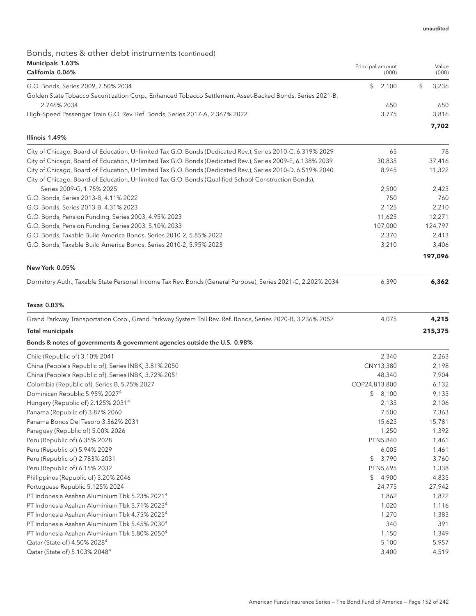# Bonds, notes & other debt instruments (continued) Municipals 1.63%

| Municipals 1.63%<br>California 0.06%                                                                                     | Principal amount<br>(000) | Value<br>(000) |
|--------------------------------------------------------------------------------------------------------------------------|---------------------------|----------------|
|                                                                                                                          |                           |                |
| G.O. Bonds, Series 2009, 7.50% 2034                                                                                      | 2,100<br>\$               | \$<br>3,236    |
| Golden State Tobacco Securitization Corp., Enhanced Tobacco Settlement Asset-Backed Bonds, Series 2021-B,<br>2.746% 2034 |                           |                |
| High-Speed Passenger Train G.O. Rev. Ref. Bonds, Series 2017-A, 2.367% 2022                                              | 650<br>3,775              | 650<br>3,816   |
|                                                                                                                          |                           |                |
| Illinois 1.49%                                                                                                           |                           | 7,702          |
| City of Chicago, Board of Education, Unlimited Tax G.O. Bonds (Dedicated Rev.), Series 2010-C, 6.319% 2029               | 65                        | 78             |
| City of Chicago, Board of Education, Unlimited Tax G.O. Bonds (Dedicated Rev.), Series 2009-E, 6.138% 2039               | 30,835                    | 37,416         |
| City of Chicago, Board of Education, Unlimited Tax G.O. Bonds (Dedicated Rev.), Series 2010-D, 6.519% 2040               | 8,945                     | 11,322         |
| City of Chicago, Board of Education, Unlimited Tax G.O. Bonds (Qualified School Construction Bonds),                     |                           |                |
| Series 2009-G, 1.75% 2025                                                                                                | 2,500                     | 2,423          |
| G.O. Bonds, Series 2013-B, 4.11% 2022                                                                                    | 750                       | 760            |
| G.O. Bonds, Series 2013-B, 4.31% 2023                                                                                    | 2,125                     | 2,210          |
| G.O. Bonds, Pension Funding, Series 2003, 4.95% 2023                                                                     | 11,625                    | 12,271         |
| G.O. Bonds, Pension Funding, Series 2003, 5.10% 2033                                                                     | 107,000                   | 124,797        |
| G.O. Bonds, Taxable Build America Bonds, Series 2010-2, 5.85% 2022                                                       | 2,370                     | 2,413          |
| G.O. Bonds, Taxable Build America Bonds, Series 2010-2, 5.95% 2023                                                       | 3,210                     | 3,406          |
| New York 0.05%                                                                                                           |                           | 197,096        |
| Dormitory Auth., Taxable State Personal Income Tax Rev. Bonds (General Purpose), Series 2021-C, 2.202% 2034              | 6,390                     | 6,362          |
| Texas 0.03%                                                                                                              |                           |                |
| Grand Parkway Transportation Corp., Grand Parkway System Toll Rev. Ref. Bonds, Series 2020-B, 3.236% 2052                | 4,075                     | 4,215          |
| <b>Total municipals</b>                                                                                                  |                           | 215,375        |
|                                                                                                                          |                           |                |
| Bonds & notes of governments & government agencies outside the U.S. 0.98%                                                |                           |                |
| Chile (Republic of) 3.10% 2041                                                                                           | 2,340                     | 2,263          |
| China (People's Republic of), Series INBK, 3.81% 2050                                                                    | CNY13,380                 | 2,198          |
| China (People's Republic of), Series INBK, 3.72% 2051                                                                    | 48,340                    | 7,904          |
| Colombia (Republic of), Series B, 5.75% 2027                                                                             | COP24,813,800             | 6,132          |
| Dominican Republic 5.95% 2027 <sup>4</sup>                                                                               | \$8,100                   | 9,133          |
| Hungary (Republic of) 2.125% 2031 <sup>4</sup>                                                                           | 2,135                     | 2,106          |
| Panama (Republic of) 3.87% 2060                                                                                          | 7,500                     | 7,363          |
| Panama Bonos Del Tesoro 3.362% 2031                                                                                      | 15,625                    | 15,781         |
| Paraguay (Republic of) 5.00% 2026                                                                                        | 1,250                     | 1,392          |
| Peru (Republic of) 6.35% 2028                                                                                            | PEN5,840                  | 1,461          |
| Peru (Republic of) 5.94% 2029                                                                                            | 6,005                     | 1,461          |
| Peru (Republic of) 2.783% 2031                                                                                           | 3,790<br>\$               | 3,760          |
| Peru (Republic of) 6.15% 2032                                                                                            | PEN5,695                  | 1,338          |
| Philippines (Republic of) 3.20% 2046                                                                                     | \$4,900                   | 4,835          |
| Portuguese Republic 5.125% 2024                                                                                          | 24,775                    | 27,942         |
| PT Indonesia Asahan Aluminium Tbk 5.23% 2021 <sup>4</sup><br>PT Indonesia Asahan Aluminium Tbk 5.71% 2023 <sup>4</sup>   | 1,862                     | 1,872          |
| PT Indonesia Asahan Aluminium Tbk 4.75% 2025 <sup>4</sup>                                                                | 1,020<br>1,270            | 1,116<br>1,383 |
| PT Indonesia Asahan Aluminium Tbk 5.45% 2030 <sup>4</sup>                                                                | 340                       | 391            |
| PT Indonesia Asahan Aluminium Tbk 5.80% 2050 <sup>4</sup>                                                                | 1,150                     | 1,349          |
| Qatar (State of) 4.50% 2028 <sup>4</sup>                                                                                 | 5,100                     | 5,957          |
| Qatar (State of) 5.103% 2048 <sup>4</sup>                                                                                | 3,400                     | 4,519          |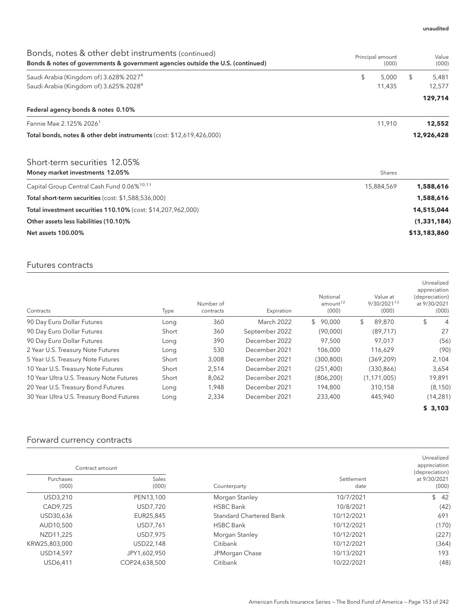| Bonds, notes & other debt instruments (continued)<br>Bonds & notes of governments & government agencies outside the U.S. (continued) | Principal amount<br>(000) | Value<br>(000) |
|--------------------------------------------------------------------------------------------------------------------------------------|---------------------------|----------------|
| Saudi Arabia (Kingdom of) 3.628% 2027 <sup>4</sup>                                                                                   | \$<br>5,000               | \$<br>5,481    |
| Saudi Arabia (Kingdom of) 3.625% 2028 <sup>4</sup>                                                                                   | 11,435                    | 12,577         |
|                                                                                                                                      |                           | 129,714        |
| Federal agency bonds & notes 0.10%                                                                                                   |                           |                |
| Fannie Mae 2.125% 2026 <sup>1</sup>                                                                                                  | 11,910                    | 12,552         |
| Total bonds, notes & other debt instruments (cost: \$12,619,426,000)                                                                 |                           | 12,926,428     |
| Short-term securities 12.05%                                                                                                         |                           |                |
| Money market investments 12.05%                                                                                                      | Shares                    |                |
| Capital Group Central Cash Fund 0.06% <sup>10,11</sup>                                                                               | 15,884,569                | 1,588,616      |
| Total short-term securities (cost: \$1,588,536,000)                                                                                  |                           | 1,588,616      |
| Total investment securities 110.10% (cost: \$14,207,962,000)                                                                         |                           | 14,515,044     |
| Other assets less liabilities (10.10)%                                                                                               |                           | (1, 331, 184)  |
| <b>Net assets 100.00%</b>                                                                                                            |                           | \$13,183,860   |

### Futures contracts

| Contracts                                | Type  | Number of<br>contracts | Expiration        | Notional<br>amount <sup>12</sup><br>(000) | Value at<br>9/30/202113<br>(000) | Unrealized<br>appreciation<br>(depreciation)<br>at 9/30/2021<br>(000) |
|------------------------------------------|-------|------------------------|-------------------|-------------------------------------------|----------------------------------|-----------------------------------------------------------------------|
| 90 Day Euro Dollar Futures               | Long  | 360                    | <b>March 2022</b> | \$90.000                                  | \$<br>89,870                     | \$<br>4                                                               |
| 90 Day Euro Dollar Futures               | Short | 360                    | September 2022    | (90,000)                                  | (89, 717)                        | 27                                                                    |
| 90 Day Euro Dollar Futures               | Long  | 390                    | December 2022     | 97,500                                    | 97,017                           | (56)                                                                  |
| 2 Year U.S. Treasury Note Futures        | Long  | 530                    | December 2021     | 106,000                                   | 116,629                          | (90)                                                                  |
| 5 Year U.S. Treasury Note Futures        | Short | 3,008                  | December 2021     | (300, 800)                                | (369, 209)                       | 2,104                                                                 |
| 10 Year U.S. Treasury Note Futures       | Short | 2,514                  | December 2021     | (251, 400)                                | (330, 866)                       | 3,654                                                                 |
| 10 Year Ultra U.S. Treasury Note Futures | Short | 8,062                  | December 2021     | (806, 200)                                | (1, 171, 005)                    | 19,891                                                                |
| 20 Year U.S. Treasury Bond Futures       | Long  | 1,948                  | December 2021     | 194,800                                   | 310,158                          | (8, 150)                                                              |
| 30 Year Ultra U.S. Treasury Bond Futures | Long  | 2,334                  | December 2021     | 233,400                                   | 445,940                          | (14, 281)                                                             |
|                                          |       |                        |                   |                                           |                                  | \$3,103                                                               |

# Forward currency contracts

| Contract amount    |                       |                                |                    | Unrealized<br>appreciation<br>(depreciation) |
|--------------------|-----------------------|--------------------------------|--------------------|----------------------------------------------|
| Purchases<br>(000) | <b>Sales</b><br>(000) | Counterparty                   | Settlement<br>date | at 9/30/2021<br>(000)                        |
| USD3,210           | PEN13,100             | Morgan Stanley                 | 10/7/2021          | \$42                                         |
| CAD9,725           | USD7,720              | <b>HSBC Bank</b>               | 10/8/2021          | (42)                                         |
| USD30,636          | EUR25,845             | <b>Standard Chartered Bank</b> | 10/12/2021         | 691                                          |
| AUD10,500          | USD7,761              | <b>HSBC Bank</b>               | 10/12/2021         | (170)                                        |
| NZD11,225          | USD7,975              | Morgan Stanley                 | 10/12/2021         | (227)                                        |
| KRW25,803,000      | USD22,148             | Citibank                       | 10/12/2021         | (364)                                        |
| USD14,597          | JPY1,602,950          | JPMorgan Chase                 | 10/13/2021         | 193                                          |
| USD6.411           | COP24,638,500         | Citibank                       | 10/22/2021         | (48)                                         |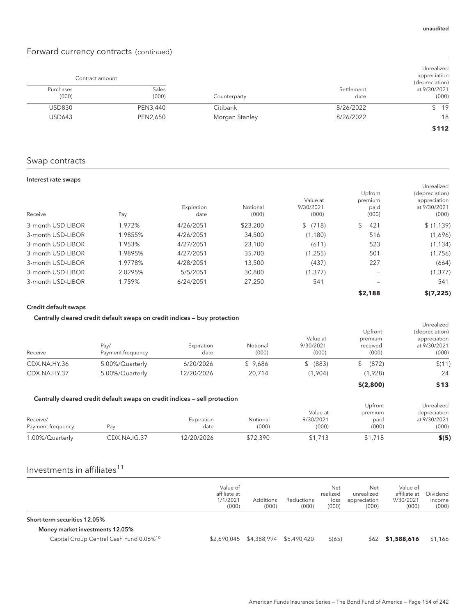### Forward currency contracts (continued)

| Unrealized<br>appreciation<br>(depreciation) |                    |                | Contract amount |                    |
|----------------------------------------------|--------------------|----------------|-----------------|--------------------|
| at 9/30/2021<br>(000)                        | Settlement<br>date | Counterparty   | Sales<br>(000)  | Purchases<br>(000) |
| \$19                                         | 8/26/2022          | Citibank       | PEN3,440        | <b>USD830</b>      |
| 18                                           | 8/26/2022          | Morgan Stanley | PEN2,650        | <b>USD643</b>      |
| \$112                                        |                    |                |                 |                    |

### Swap contracts

#### Interest rate swaps

| Receive           | Pay     | Expiration<br>date | Notional<br>(000) | Value at<br>9/30/2021<br>(000) | Upfront<br>premium<br>paid<br>(000) | Unrealized<br>(depreciation)<br>appreciation<br>at 9/30/2021<br>(000) |
|-------------------|---------|--------------------|-------------------|--------------------------------|-------------------------------------|-----------------------------------------------------------------------|
| 3-month USD-LIBOR | 1.972%  | 4/26/2051          | \$23,200          | \$(718)                        | 421<br>\$                           | \$(1,139)                                                             |
| 3-month USD-LIBOR | 1.9855% | 4/26/2051          | 34,500            | (1, 180)                       | 516                                 | (1,696)                                                               |
| 3-month USD-LIBOR | 1.953%  | 4/27/2051          | 23,100            | (611)                          | 523                                 | (1, 134)                                                              |
| 3-month USD-LIBOR | 1.9895% | 4/27/2051          | 35,700            | (1,255)                        | 501                                 | (1,756)                                                               |
| 3-month USD-LIBOR | 1.9778% | 4/28/2051          | 13,500            | (437)                          | 227                                 | (664)                                                                 |
| 3-month USD-LIBOR | 2.0295% | 5/5/2051           | 30,800            | (1, 377)                       |                                     | (1, 377)                                                              |
| 3-month USD-LIBOR | 1.759%  | 6/24/2051          | 27,250            | 541                            |                                     | 541                                                                   |
|                   |         |                    |                   |                                | \$2,188                             | \$(7.225)                                                             |

#### Credit default swaps

#### Centrally cleared credit default swaps on credit indices — buy protection

| Receive      | Pav/<br>Payment frequency | Expiration<br>date | Notional<br>(000) | Value at<br>9/30/2021<br>(000) | Upfront<br>premium<br>received<br>(000) | Unrealized<br>(depreciation)<br>appreciation<br>at 9/30/2021<br>(000) |
|--------------|---------------------------|--------------------|-------------------|--------------------------------|-----------------------------------------|-----------------------------------------------------------------------|
| CDX.NA.HY.36 | 5.00%/Quarterly           | 6/20/2026          | \$9.686           | (883)                          | (872)<br>S.                             | \$(11)                                                                |
| CDX.NA.HY.37 | 5.00%/Quarterly           | 12/20/2026         | 20.714            | (1.904)                        | (1,928)                                 | 24                                                                    |
|              |                           |                    |                   |                                | \$(2,800)                               | \$13                                                                  |

#### Centrally cleared credit default swaps on credit indices — sell protection

|                   | Centrally cleared credit default swaps on credit indices – sell protection |            |          |           | Upfront | Unrealized   |
|-------------------|----------------------------------------------------------------------------|------------|----------|-----------|---------|--------------|
|                   |                                                                            |            |          | Value at  | premium | depreciation |
| Receive/          |                                                                            | Expiration | Notional | 9/30/2021 | paid    | at 9/30/2021 |
| Payment frequency | Pav                                                                        | date       | (000)    | (000)     | (000)   | (000)        |
| 1.00%/Quarterly   | CDX.NA.IG.37                                                               | 12/20/2026 | \$72.390 | \$1.713   | \$1,718 | \$(5)        |

## Investments in affiliates $11$

|                                                     | Value of<br>affiliate at<br>1/1/2021<br>(000) | <b>Additions</b><br>(000) | Reductions<br>(000) | Net<br>realized<br>loss<br>(000) | Net<br>unrealized<br>appreciation<br>(000) | Value of<br>affiliate at<br>9/30/2021<br>(000) | Dividend<br>income<br>(000) |
|-----------------------------------------------------|-----------------------------------------------|---------------------------|---------------------|----------------------------------|--------------------------------------------|------------------------------------------------|-----------------------------|
| Short-term securities 12.05%                        |                                               |                           |                     |                                  |                                            |                                                |                             |
| Money market investments 12.05%                     |                                               |                           |                     |                                  |                                            |                                                |                             |
| Capital Group Central Cash Fund 0.06% <sup>10</sup> | \$2,690,045                                   | \$4,388,994 \$5,490,420   |                     | \$(65)                           |                                            | $$62$ \$1,588,616                              | \$1,166                     |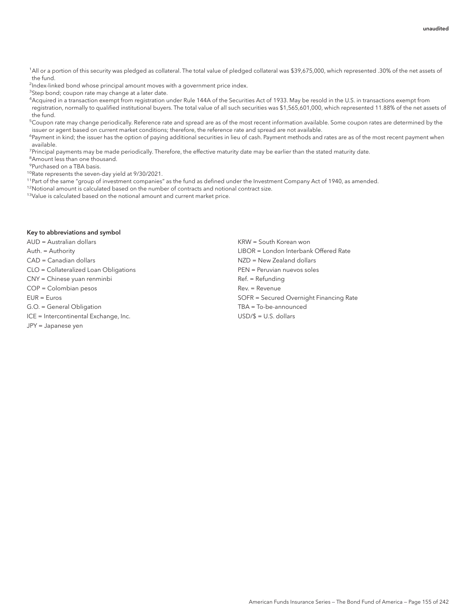<sup>1</sup>All or a portion of this security was pledged as collateral. The total value of pledged collateral was \$39,675,000, which represented .30% of the net assets of the fund.

<sup>2</sup>Index-linked bond whose principal amount moves with a government price index.

<sup>3</sup>Step bond; coupon rate may change at a later date.

4 Acquired in a transaction exempt from registration under Rule 144A of the Securities Act of 1933. May be resold in the U.S. in transactions exempt from registration, normally to qualified institutional buyers. The total value of all such securities was \$1,565,601,000, which represented 11.88% of the net assets of the fund.

 $^5$ Coupon rate may change periodically. Reference rate and spread are as of the most recent information available. Some coupon rates are determined by the issuer or agent based on current market conditions; therefore, the reference rate and spread are not available.

<sup>6</sup>Payment in kind; the issuer has the option of paying additional securities in lieu of cash. Payment methods and rates are as of the most recent payment when available.

<sup>7</sup>Principal payments may be made periodically. Therefore, the effective maturity date may be earlier than the stated maturity date.

<sup>8</sup> Amount less than one thousand.

9 Purchased on a TBA basis.

<sup>10</sup>Rate represents the seven-day yield at 9/30/2021.

<sup>11</sup>Part of the same "group of investment companies" as the fund as defined under the Investment Company Act of 1940, as amended.

<sup>12</sup>Notional amount is calculated based on the number of contracts and notional contract size.

13Value is calculated based on the notional amount and current market price.

#### Key to abbreviations and symbol

AUD = Australian dollars KRW = South Korean won

CLO = Collateralized Loan Obligations PEN = Peruvian nuevos soles

CNY = Chinese yuan renminbi Ref. = Refunding

COP = Colombian pesos Rev. = Revenue

ICE = Intercontinental Exchange, Inc. USD/\$ = U.S. dollars

JPY = Japanese yen

Auth. = Authority LIBOR = London Interbank Offered Rate CAD = Canadian dollars NZD = New Zealand dollars NZD = New Zealand dollars EUR = Euros SOFR = Secured Overnight Financing Rate G.O. = General Obligation TBA = To-be-announced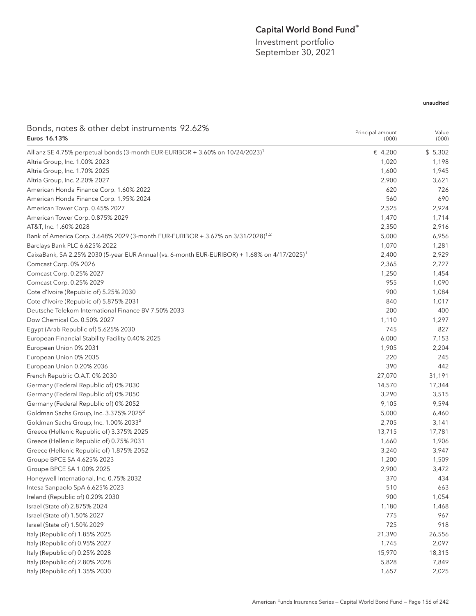# Capital World Bond Fund®

Investment portfolio September 30, 2021

| Bonds, notes & other debt instruments 92.62%                                                             | Principal amount | Value   |
|----------------------------------------------------------------------------------------------------------|------------------|---------|
| Euros 16.13%                                                                                             | (000)            | (000)   |
| Allianz SE 4.75% perpetual bonds (3-month EUR-EURIBOR + 3.60% on 10/24/2023) <sup>1</sup>                | € 4,200          | \$5,302 |
| Altria Group, Inc. 1.00% 2023                                                                            | 1,020            | 1,198   |
| Altria Group, Inc. 1.70% 2025                                                                            | 1,600            | 1,945   |
| Altria Group, Inc. 2.20% 2027                                                                            | 2,900            | 3,621   |
| American Honda Finance Corp. 1.60% 2022                                                                  | 620              | 726     |
| American Honda Finance Corp. 1.95% 2024                                                                  | 560              | 690     |
| American Tower Corp. 0.45% 2027                                                                          | 2,525            | 2,924   |
| American Tower Corp. 0.875% 2029                                                                         | 1,470            | 1,714   |
| AT&T, Inc. 1.60% 2028                                                                                    | 2,350            | 2,916   |
| Bank of America Corp. 3.648% 2029 (3-month EUR-EURIBOR + 3.67% on 3/31/2028) <sup>1,2</sup>              | 5,000            | 6,956   |
| Barclays Bank PLC 6.625% 2022                                                                            | 1,070            | 1,281   |
| CaixaBank, SA 2.25% 2030 (5-year EUR Annual (vs. 6-month EUR-EURIBOR) + 1.68% on 4/17/2025) <sup>1</sup> | 2,400            | 2,929   |
| Comcast Corp. 0% 2026                                                                                    | 2,365            | 2,727   |
| Comcast Corp. 0.25% 2027                                                                                 | 1,250            | 1,454   |
| Comcast Corp. 0.25% 2029                                                                                 | 955              | 1,090   |
| Cote d'Ivoire (Republic of) 5.25% 2030                                                                   | 900              | 1,084   |
| Cote d'Ivoire (Republic of) 5.875% 2031                                                                  | 840              | 1,017   |
| Deutsche Telekom International Finance BV 7.50% 2033                                                     | 200              | 400     |
| Dow Chemical Co. 0.50% 2027                                                                              | 1,110            | 1,297   |
| Egypt (Arab Republic of) 5.625% 2030                                                                     | 745              | 827     |
| European Financial Stability Facility 0.40% 2025                                                         | 6,000            | 7,153   |
| European Union 0% 2031                                                                                   | 1,905            | 2,204   |
| European Union 0% 2035                                                                                   | 220              | 245     |
| European Union 0.20% 2036                                                                                | 390              | 442     |
| French Republic O.A.T. 0% 2030                                                                           | 27,070           | 31,191  |
| Germany (Federal Republic of) 0% 2030                                                                    | 14,570           | 17,344  |
| Germany (Federal Republic of) 0% 2050                                                                    | 3,290            | 3,515   |
| Germany (Federal Republic of) 0% 2052                                                                    | 9,105            | 9,594   |
| Goldman Sachs Group, Inc. 3.375% 2025 <sup>2</sup>                                                       | 5,000            | 6,460   |
| Goldman Sachs Group, Inc. 1.00% 2033 <sup>2</sup>                                                        | 2,705            | 3,141   |
| Greece (Hellenic Republic of) 3.375% 2025                                                                | 13,715           | 17,781  |
| Greece (Hellenic Republic of) 0.75% 2031                                                                 | 1,660            | 1,906   |
| Greece (Hellenic Republic of) 1.875% 2052                                                                | 3,240            | 3,947   |
| Groupe BPCE SA 4.625% 2023                                                                               | 1,200            | 1,509   |
| Groupe BPCE SA 1.00% 2025                                                                                | 2,900            | 3,472   |
| Honeywell International, Inc. 0.75% 2032                                                                 | 370              | 434     |
| Intesa Sanpaolo SpA 6.625% 2023                                                                          | 510              | 663     |
| Ireland (Republic of) 0.20% 2030                                                                         | 900              | 1,054   |
| Israel (State of) 2.875% 2024                                                                            | 1,180            | 1,468   |
| Israel (State of) 1.50% 2027                                                                             | 775              | 967     |
| Israel (State of) 1.50% 2029                                                                             | 725              | 918     |
| Italy (Republic of) 1.85% 2025                                                                           | 21,390           | 26,556  |
| Italy (Republic of) 0.95% 2027                                                                           | 1,745            | 2,097   |
| Italy (Republic of) 0.25% 2028                                                                           | 15,970           | 18,315  |
| Italy (Republic of) 2.80% 2028                                                                           | 5,828            | 7,849   |
| Italy (Republic of) 1.35% 2030                                                                           | 1,657            | 2,025   |
|                                                                                                          |                  |         |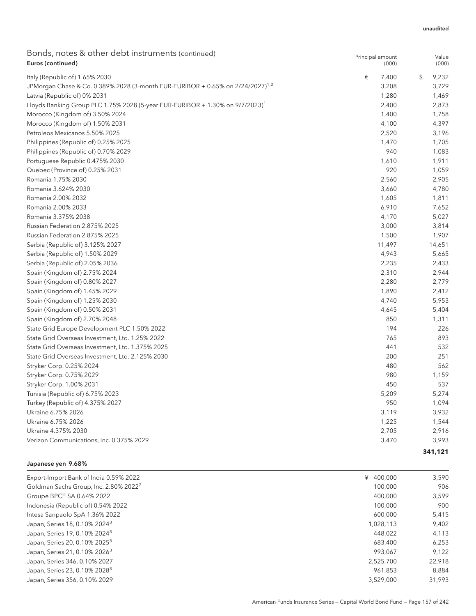| Bonds, notes & other debt instruments (continued)<br>Euros (continued)                     | Principal amount<br>(000) | Value<br>(000) |
|--------------------------------------------------------------------------------------------|---------------------------|----------------|
| Italy (Republic of) 1.65% 2030                                                             | €<br>7,400                | \$<br>9,232    |
| JPMorgan Chase & Co. 0.389% 2028 (3-month EUR-EURIBOR + 0.65% on 2/24/2027) <sup>1,2</sup> | 3,208                     | 3,729          |
| Latvia (Republic of) 0% 2031                                                               | 1,280                     | 1,469          |
| Lloyds Banking Group PLC 1.75% 2028 (5-year EUR-EURIBOR + 1.30% on 9/7/2023) <sup>1</sup>  | 2,400                     | 2,873          |
| Morocco (Kingdom of) 3.50% 2024                                                            | 1,400                     | 1,758          |
| Morocco (Kingdom of) 1.50% 2031                                                            | 4,100                     | 4,397          |
| Petroleos Mexicanos 5.50% 2025                                                             | 2,520                     | 3,196          |
| Philippines (Republic of) 0.25% 2025                                                       | 1,470                     | 1,705          |
| Philippines (Republic of) 0.70% 2029                                                       | 940                       | 1,083          |
| Portuguese Republic 0.475% 2030                                                            | 1,610                     | 1,911          |
| Quebec (Province of) 0.25% 2031                                                            | 920                       | 1,059          |
| Romania 1.75% 2030                                                                         | 2,560                     | 2,905          |
| Romania 3.624% 2030                                                                        | 3,660                     | 4,780          |
| Romania 2.00% 2032                                                                         | 1,605                     | 1,811          |
| Romania 2.00% 2033                                                                         | 6,910                     | 7,652          |
| Romania 3.375% 2038                                                                        | 4,170                     | 5,027          |
| Russian Federation 2.875% 2025                                                             | 3,000                     | 3,814          |
| Russian Federation 2.875% 2025                                                             | 1,500                     | 1,907          |
| Serbia (Republic of) 3.125% 2027                                                           | 11,497                    | 14,651         |
| Serbia (Republic of) 1.50% 2029                                                            | 4,943                     | 5,665          |
| Serbia (Republic of) 2.05% 2036                                                            | 2,235                     | 2,433          |
| Spain (Kingdom of) 2.75% 2024                                                              | 2,310                     | 2,944          |
| Spain (Kingdom of) 0.80% 2027                                                              | 2,280                     | 2,779          |
| Spain (Kingdom of) 1.45% 2029                                                              | 1,890                     | 2,412          |
| Spain (Kingdom of) 1.25% 2030                                                              | 4,740                     | 5,953          |
| Spain (Kingdom of) 0.50% 2031                                                              | 4,645                     | 5,404          |
| Spain (Kingdom of) 2.70% 2048                                                              | 850                       | 1,311          |
| State Grid Europe Development PLC 1.50% 2022                                               | 194                       | 226            |
| State Grid Overseas Investment, Ltd. 1.25% 2022                                            | 765                       | 893            |
| State Grid Overseas Investment, Ltd. 1.375% 2025                                           | 441                       | 532            |
| State Grid Overseas Investment, Ltd. 2.125% 2030                                           | 200                       | 251            |
| Stryker Corp. 0.25% 2024                                                                   | 480                       | 562            |
| Stryker Corp. 0.75% 2029                                                                   | 980                       | 1,159          |
| Stryker Corp. 1.00% 2031                                                                   | 450                       | 537            |
| Tunisia (Republic of) 6.75% 2023                                                           | 5,209                     | 5,274          |
| Turkey (Republic of) 4.375% 2027                                                           | 950                       | 1,094          |
| Ukraine 6.75% 2026                                                                         | 3,119                     | 3,932          |
| Ukraine 6.75% 2026                                                                         | 1,225                     | 1,544          |
| Ukraine 4.375% 2030                                                                        | 2,705                     | 2,916          |
| Verizon Communications, Inc. 0.375% 2029                                                   | 3,470                     | 3,993          |
|                                                                                            |                           | 341,121        |

### Japanese yen 9.68%

| Export-Import Bank of India 0.59% 2022            | ¥ 400,000 | 3,590  |
|---------------------------------------------------|-----------|--------|
| Goldman Sachs Group, Inc. 2.80% 2022 <sup>2</sup> | 100,000   | 906    |
| Groupe BPCE SA 0.64% 2022                         | 400,000   | 3,599  |
| Indonesia (Republic of) 0.54% 2022                | 100,000   | 900    |
| Intesa Sanpaolo SpA 1.36% 2022                    | 600,000   | 5,415  |
| Japan, Series 18, 0.10% 2024 <sup>3</sup>         | 1.028.113 | 9,402  |
| Japan, Series 19, 0.10% 2024 <sup>3</sup>         | 448.022   | 4,113  |
| Japan, Series 20, 0.10% 2025 <sup>3</sup>         | 683,400   | 6,253  |
| Japan, Series 21, 0.10% 2026 <sup>3</sup>         | 993.067   | 9,122  |
| Japan, Series 346, 0.10% 2027                     | 2.525.700 | 22.918 |
| Japan, Series 23, 0.10% 2028 <sup>3</sup>         | 961.853   | 8.884  |
| Japan, Series 356, 0.10% 2029                     | 3.529.000 | 31,993 |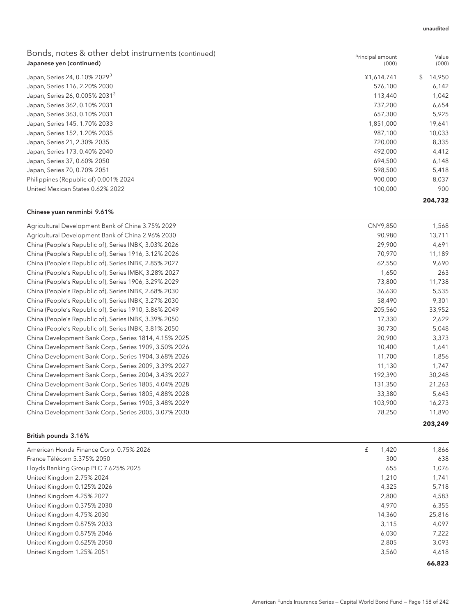| Bonds, notes & other debt instruments (continued)<br>Japanese yen (continued) | Principal amount<br>(000) | Value<br>(000) |
|-------------------------------------------------------------------------------|---------------------------|----------------|
| Japan, Series 24, 0.10% 2029 <sup>3</sup>                                     | ¥1,614,741                | 14,950         |
| Japan, Series 116, 2.20% 2030                                                 | 576.100                   | 6.142          |
| Japan, Series 26, 0.005% 2031 <sup>3</sup>                                    | 113,440                   | 1.042          |
| Japan, Series 362, 0.10% 2031                                                 | 737.200                   | 6.654          |
| Japan, Series 363, 0.10% 2031                                                 | 657,300                   | 5,925          |
|                                                                               |                           |                |

| Japan, Series 363, 0.10% 2031         | 657.300   | 5.925  |
|---------------------------------------|-----------|--------|
| Japan, Series 145, 1.70% 2033         | 1,851,000 | 19,641 |
| Japan, Series 152, 1.20% 2035         | 987.100   | 10,033 |
| Japan, Series 21, 2.30% 2035          | 720.000   | 8.335  |
| Japan, Series 173, 0.40% 2040         | 492.000   | 4.412  |
| Japan, Series 37, 0.60% 2050          | 694.500   | 6.148  |
| Japan, Series 70, 0.70% 2051          | 598,500   | 5.418  |
| Philippines (Republic of) 0.001% 2024 | 900.000   | 8.037  |
| United Mexican States 0.62% 2022      | 100,000   | 900    |
|                                       |           |        |

### **204,732**

#### Chinese yuan renminbi 9.61%

| Agricultural Development Bank of China 3.75% 2029     | CNY9,850 | 1,568   |
|-------------------------------------------------------|----------|---------|
| Agricultural Development Bank of China 2.96% 2030     | 90,980   | 13,711  |
| China (People's Republic of), Series INBK, 3.03% 2026 | 29,900   | 4,691   |
| China (People's Republic of), Series 1916, 3.12% 2026 | 70,970   | 11,189  |
| China (People's Republic of), Series INBK, 2.85% 2027 | 62,550   | 9,690   |
| China (People's Republic of), Series IMBK, 3.28% 2027 | 1,650    | 263     |
| China (People's Republic of), Series 1906, 3.29% 2029 | 73,800   | 11,738  |
| China (People's Republic of), Series INBK, 2.68% 2030 | 36,630   | 5,535   |
| China (People's Republic of), Series INBK, 3.27% 2030 | 58,490   | 9,301   |
| China (People's Republic of), Series 1910, 3.86% 2049 | 205,560  | 33,952  |
| China (People's Republic of), Series INBK, 3.39% 2050 | 17,330   | 2,629   |
| China (People's Republic of), Series INBK, 3.81% 2050 | 30,730   | 5,048   |
| China Development Bank Corp., Series 1814, 4.15% 2025 | 20,900   | 3,373   |
| China Development Bank Corp., Series 1909, 3.50% 2026 | 10,400   | 1,641   |
| China Development Bank Corp., Series 1904, 3.68% 2026 | 11,700   | 1,856   |
| China Development Bank Corp., Series 2009, 3.39% 2027 | 11,130   | 1,747   |
| China Development Bank Corp., Series 2004, 3.43% 2027 | 192,390  | 30,248  |
| China Development Bank Corp., Series 1805, 4.04% 2028 | 131,350  | 21,263  |
| China Development Bank Corp., Series 1805, 4.88% 2028 | 33,380   | 5,643   |
| China Development Bank Corp., Series 1905, 3.48% 2029 | 103,900  | 16,273  |
| China Development Bank Corp., Series 2005, 3.07% 2030 | 78,250   | 11,890  |
|                                                       |          | 203,249 |

### British pounds 3.16%

| American Honda Finance Corp. 0.75% 2026 | £ | 1,420  | 1,866  |
|-----------------------------------------|---|--------|--------|
| France Télécom 5.375% 2050              |   | 300    | 638    |
| Lloyds Banking Group PLC 7.625% 2025    |   | 655    | 1,076  |
| United Kingdom 2.75% 2024               |   | 1,210  | 1,741  |
| United Kingdom 0.125% 2026              |   | 4,325  | 5,718  |
| United Kingdom 4.25% 2027               |   | 2,800  | 4,583  |
| United Kingdom 0.375% 2030              |   | 4.970  | 6,355  |
| United Kingdom 4.75% 2030               |   | 14,360 | 25,816 |
| United Kingdom 0.875% 2033              |   | 3,115  | 4,097  |
| United Kingdom 0.875% 2046              |   | 6,030  | 7,222  |
| United Kingdom 0.625% 2050              |   | 2,805  | 3,093  |
| United Kingdom 1.25% 2051               |   | 3,560  | 4,618  |

**66,823**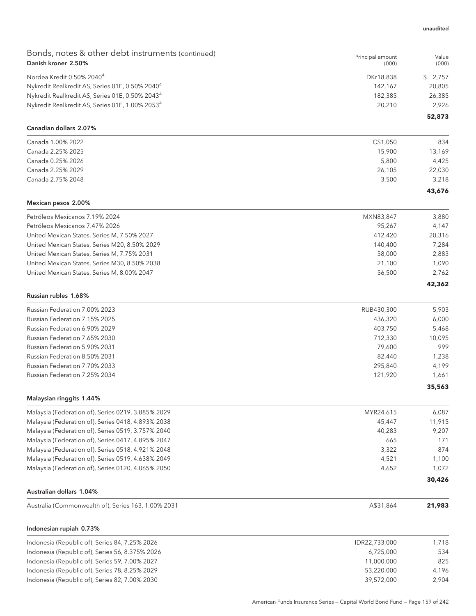| Bonds, notes & other debt instruments (continued)<br>Danish kroner 2.50% | Principal amount<br>(000) | Value<br>(000)  |
|--------------------------------------------------------------------------|---------------------------|-----------------|
| Nordea Kredit 0.50% 2040 <sup>4</sup>                                    | DKr18,838                 | \$2,757         |
| Nykredit Realkredit AS, Series 01E, 0.50% 2040 <sup>4</sup>              | 142,167                   | 20,805          |
| Nykredit Realkredit AS, Series 01E, 0.50% 2043 <sup>4</sup>              | 182,385                   | 26,385          |
| Nykredit Realkredit AS, Series 01E, 1.00% 2053 <sup>4</sup>              | 20,210                    | 2,926           |
| Canadian dollars 2.07%                                                   |                           | 52,873          |
| Canada 1.00% 2022                                                        | C\$1,050                  | 834             |
| Canada 2.25% 2025                                                        | 15,900                    | 13,169          |
| Canada 0.25% 2026                                                        | 5,800                     | 4,425           |
| Canada 2.25% 2029                                                        | 26,105                    | 22,030          |
| Canada 2.75% 2048                                                        | 3,500                     | 3,218           |
| Mexican pesos 2.00%                                                      |                           | 43,676          |
|                                                                          |                           |                 |
| Petróleos Mexicanos 7.19% 2024<br>Petróleos Mexicanos 7.47% 2026         | MXN83,847                 | 3,880           |
| United Mexican States, Series M, 7.50% 2027                              | 95,267<br>412,420         | 4,147<br>20,316 |
| United Mexican States, Series M20, 8.50% 2029                            | 140,400                   | 7,284           |
| United Mexican States, Series M, 7.75% 2031                              | 58,000                    | 2,883           |
| United Mexican States, Series M30, 8.50% 2038                            | 21,100                    | 1,090           |
| United Mexican States, Series M, 8.00% 2047                              | 56,500                    | 2,762           |
|                                                                          |                           | 42,362          |
| Russian rubles 1.68%                                                     |                           |                 |
| Russian Federation 7.00% 2023                                            | RUB430,300                | 5,903           |
| Russian Federation 7.15% 2025                                            | 436,320                   | 6,000           |
| Russian Federation 6.90% 2029                                            | 403,750                   | 5,468           |
| Russian Federation 7.65% 2030                                            | 712,330                   | 10,095          |
| Russian Federation 5.90% 2031                                            | 79,600                    | 999             |
| Russian Federation 8.50% 2031                                            | 82,440                    | 1,238           |
| Russian Federation 7.70% 2033                                            | 295,840                   | 4,199           |
| Russian Federation 7.25% 2034                                            | 121,920                   | 1,661<br>35,563 |
| Malaysian ringgits 1.44%                                                 |                           |                 |
| Malaysia (Federation of), Series 0219, 3.885% 2029                       | MYR24,615                 | 6,087           |
| Malaysia (Federation of), Series 0418, 4.893% 2038                       | 45,447                    | 11,915          |
| Malaysia (Federation of), Series 0519, 3.757% 2040                       | 40,283                    | 9,207           |
| Malaysia (Federation of), Series 0417, 4.895% 2047                       | 665                       | 171             |
| Malaysia (Federation of), Series 0518, 4.921% 2048                       | 3,322                     | 874             |
| Malaysia (Federation of), Series 0519, 4.638% 2049                       | 4,521                     | 1,100           |
| Malaysia (Federation of), Series 0120, 4.065% 2050                       | 4,652                     | 1,072           |
| <b>Australian dollars 1.04%</b>                                          |                           | 30,426          |
| Australia (Commonwealth of), Series 163, 1.00% 2031                      | A\$31,864                 | 21,983          |
|                                                                          |                           |                 |
| Indonesian rupiah 0.73%                                                  |                           |                 |
| Indonesia (Republic of), Series 84, 7.25% 2026                           | IDR22,733,000             | 1,718           |
| Indonesia (Republic of), Series 56, 8.375% 2026                          | 6,725,000                 | 534             |
| Indonesia (Republic of), Series 59, 7.00% 2027                           | 11,000,000                | 825             |
| Indonesia (Republic of), Series 78, 8.25% 2029                           | 53,220,000                | 4,196           |
| Indonesia (Republic of), Series 82, 7.00% 2030                           | 39,572,000                | 2,904           |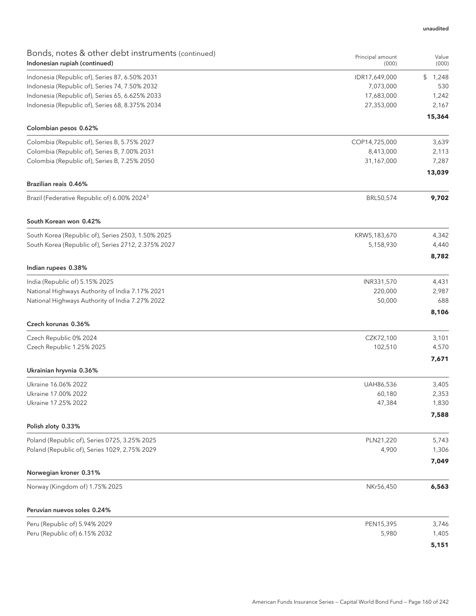| Bonds, notes & other debt instruments (continued)       | Principal amount | Value       |
|---------------------------------------------------------|------------------|-------------|
| Indonesian rupiah (continued)                           | (000)            | (000)       |
| Indonesia (Republic of), Series 87, 6.50% 2031          | IDR17,649,000    | \$<br>1,248 |
| Indonesia (Republic of), Series 74, 7.50% 2032          | 7,073,000        | 530         |
| Indonesia (Republic of), Series 65, 6.625% 2033         | 17,683,000       | 1,242       |
| Indonesia (Republic of), Series 68, 8.375% 2034         | 27,353,000       | 2,167       |
| Colombian pesos 0.62%                                   |                  | 15,364      |
| Colombia (Republic of), Series B, 5.75% 2027            | COP14,725,000    | 3,639       |
| Colombia (Republic of), Series B, 7.00% 2031            | 8,413,000        | 2,113       |
| Colombia (Republic of), Series B, 7.25% 2050            | 31,167,000       | 7,287       |
|                                                         |                  | 13,039      |
| Brazilian reais 0.46%                                   |                  |             |
| Brazil (Federative Republic of) 6.00% 2024 <sup>3</sup> | BRL50,574        | 9,702       |
| South Korean won 0.42%                                  |                  |             |
| South Korea (Republic of), Series 2503, 1.50% 2025      | KRW5,183,670     | 4,342       |
| South Korea (Republic of), Series 2712, 2.375% 2027     | 5,158,930        | 4,440       |
|                                                         |                  | 8,782       |
| Indian rupees 0.38%                                     |                  |             |
| India (Republic of) 5.15% 2025                          | INR331,570       | 4,431       |
| National Highways Authority of India 7.17% 2021         | 220,000          | 2,987       |
| National Highways Authority of India 7.27% 2022         | 50,000           | 688         |
| Czech korunas 0.36%                                     |                  | 8,106       |
| Czech Republic 0% 2024                                  | CZK72,100        | 3,101       |
| Czech Republic 1.25% 2025                               | 102,510          | 4,570       |
|                                                         |                  | 7,671       |
| Ukrainian hryvnia 0.36%                                 |                  |             |
| Ukraine 16.06% 2022                                     | UAH86,536        | 3,405       |
| Ukraine 17.00% 2022                                     | 60,180           | 2,353       |
| Ukraine 17.25% 2022                                     | 47,384           | 1,830       |
| Polish zloty 0.33%                                      |                  | 7,588       |
| Poland (Republic of), Series 0725, 3.25% 2025           | PLN21,220        | 5,743       |
| Poland (Republic of), Series 1029, 2.75% 2029           | 4,900            | 1,306       |
|                                                         |                  | 7,049       |
| Norwegian kroner 0.31%                                  |                  |             |
| Norway (Kingdom of) 1.75% 2025                          | NKr56,450        | 6,563       |
| Peruvian nuevos soles 0.24%                             |                  |             |
| Peru (Republic of) 5.94% 2029                           | PEN15,395        | 3,746       |
| Peru (Republic of) 6.15% 2032                           | 5,980            | 1,405       |
|                                                         |                  | 5,151       |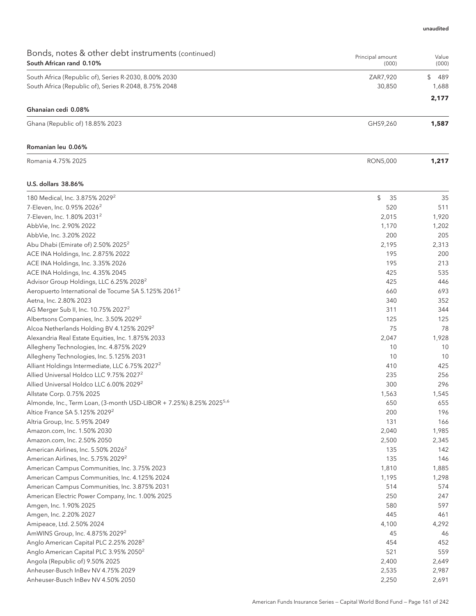| Bonds, notes & other debt instruments (continued)<br>South African rand 0.10%   | Principal amount<br>(000) | Value<br>(000) |
|---------------------------------------------------------------------------------|---------------------------|----------------|
| South Africa (Republic of), Series R-2030, 8.00% 2030                           | ZAR7,920                  | \$<br>489      |
| South Africa (Republic of), Series R-2048, 8.75% 2048                           | 30,850                    | 1,688          |
|                                                                                 |                           | 2,177          |
| Ghanaian cedi 0.08%                                                             |                           |                |
| Ghana (Republic of) 18.85% 2023                                                 | GHS9,260                  | 1,587          |
| Romanian leu 0.06%                                                              |                           |                |
| Romania 4.75% 2025                                                              | <b>RON5,000</b>           | 1,217          |
| U.S. dollars 38.86%                                                             |                           |                |
| 180 Medical, Inc. 3.875% 2029 <sup>2</sup>                                      | \$<br>35                  | 35             |
| 7-Eleven, Inc. 0.95% 2026 <sup>2</sup>                                          | 520                       | 511            |
| 7-Eleven, Inc. 1.80% 2031 <sup>2</sup>                                          | 2,015                     | 1,920          |
| AbbVie, Inc. 2.90% 2022                                                         | 1,170                     | 1,202          |
| AbbVie, Inc. 3.20% 2022                                                         | 200                       | 205            |
| Abu Dhabi (Emirate of) 2.50% 2025 <sup>2</sup>                                  | 2,195                     | 2,313          |
| ACE INA Holdings, Inc. 2.875% 2022                                              | 195                       | 200            |
| ACE INA Holdings, Inc. 3.35% 2026                                               | 195                       | 213            |
| ACE INA Holdings, Inc. 4.35% 2045                                               | 425                       | 535            |
| Advisor Group Holdings, LLC 6.25% 2028 <sup>2</sup>                             | 425                       | 446            |
| Aeropuerto International de Tocume SA 5.125% 2061 <sup>2</sup>                  | 660                       | 693            |
| Aetna, Inc. 2.80% 2023                                                          | 340                       | 352            |
| AG Merger Sub II, Inc. 10.75% 2027 <sup>2</sup>                                 | 311                       | 344            |
| Albertsons Companies, Inc. 3.50% 2029 <sup>2</sup>                              | 125                       | 125            |
| Alcoa Netherlands Holding BV 4.125% 2029 <sup>2</sup>                           | 75                        | 78             |
| Alexandria Real Estate Equities, Inc. 1.875% 2033                               | 2,047                     | 1,928          |
| Allegheny Technologies, Inc. 4.875% 2029                                        | 10                        | 10             |
| Allegheny Technologies, Inc. 5.125% 2031                                        | 10                        | 10             |
| Alliant Holdings Intermediate, LLC 6.75% 2027 <sup>2</sup>                      | 410                       | 425            |
| Allied Universal Holdco LLC 9.75% 2027 <sup>2</sup>                             | 235                       | 256            |
| Allied Universal Holdco LLC 6.00% 2029 <sup>2</sup>                             | 300                       | 296            |
| Allstate Corp. 0.75% 2025                                                       | 1,563                     | 1,545          |
| Almonde, Inc., Term Loan, (3-month USD-LIBOR + 7.25%) 8.25% 2025 <sup>5,6</sup> | 650                       | 655            |
| Altice France SA 5.125% 2029 <sup>2</sup>                                       | 200                       | 196            |
| Altria Group, Inc. 5.95% 2049                                                   | 131                       | 166            |
| Amazon.com, Inc. 1.50% 2030                                                     | 2,040                     | 1,985          |
| Amazon.com, Inc. 2.50% 2050                                                     | 2,500                     | 2,345          |
| American Airlines, Inc. 5.50% 2026 <sup>2</sup>                                 | 135                       | 142            |
| American Airlines, Inc. 5.75% 2029 <sup>2</sup>                                 | 135                       | 146            |
| American Campus Communities, Inc. 3.75% 2023                                    | 1,810                     | 1,885          |
| American Campus Communities, Inc. 4.125% 2024                                   | 1,195                     | 1,298          |
| American Campus Communities, Inc. 3.875% 2031                                   | 514                       | 574            |
| American Electric Power Company, Inc. 1.00% 2025                                | 250                       | 247            |
| Amgen, Inc. 1.90% 2025                                                          | 580                       | 597            |
| Amgen, Inc. 2.20% 2027                                                          | 445                       | 461            |
| Amipeace, Ltd. 2.50% 2024                                                       | 4,100                     | 4,292          |
| AmWINS Group, Inc. 4.875% 2029 <sup>2</sup>                                     | 45                        | 46             |
| Anglo American Capital PLC 2.25% 2028 <sup>2</sup>                              | 454                       | 452            |
| Anglo American Capital PLC 3.95% 2050 <sup>2</sup>                              | 521                       | 559            |
| Angola (Republic of) 9.50% 2025                                                 | 2,400                     | 2,649          |
| Anheuser-Busch InBev NV 4.75% 2029                                              | 2,535                     | 2,987          |
| Anheuser-Busch InBev NV 4.50% 2050                                              | 2,250                     | 2,691          |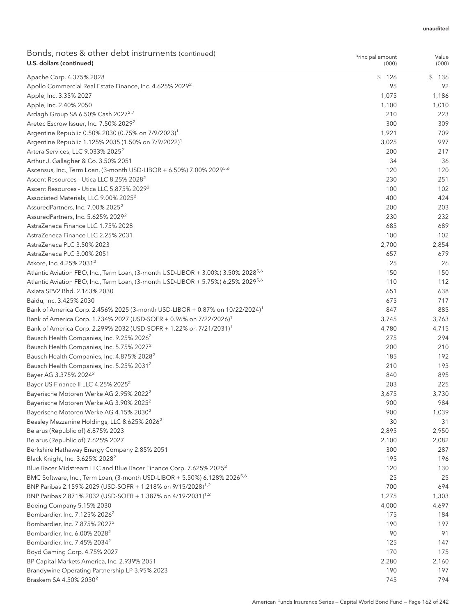| Bonds, notes & other debt instruments (continued)<br>U.S. dollars (continued)                 | Principal amount<br>(000) | Value<br>(000) |
|-----------------------------------------------------------------------------------------------|---------------------------|----------------|
| Apache Corp. 4.375% 2028                                                                      | \$126                     | \$136          |
| Apollo Commercial Real Estate Finance, Inc. 4.625% 2029 <sup>2</sup>                          | 95                        | 92             |
| Apple, Inc. 3.35% 2027                                                                        | 1,075                     | 1,186          |
| Apple, Inc. 2.40% 2050                                                                        | 1,100                     | 1,010          |
| Ardagh Group SA 6.50% Cash 2027 <sup>2,7</sup>                                                | 210                       | 223            |
| Aretec Escrow Issuer, Inc. 7.50% 2029 <sup>2</sup>                                            | 300                       | 309            |
| Argentine Republic 0.50% 2030 (0.75% on 7/9/2023) <sup>1</sup>                                | 1,921                     | 709            |
| Argentine Republic 1.125% 2035 (1.50% on 7/9/2022) <sup>1</sup>                               | 3,025                     | 997            |
| Artera Services, LLC 9.033% 2025 <sup>2</sup>                                                 | 200                       | 217            |
| Arthur J. Gallagher & Co. 3.50% 2051                                                          | 34                        | 36             |
| Ascensus, Inc., Term Loan, (3-month USD-LIBOR + 6.50%) 7.00% 20295,6                          | 120                       | 120            |
| Ascent Resources - Utica LLC 8.25% 2028 <sup>2</sup>                                          | 230                       | 251            |
| Ascent Resources - Utica LLC 5.875% 2029 <sup>2</sup>                                         | 100                       | 102            |
| Associated Materials, LLC 9.00% 2025 <sup>2</sup>                                             | 400                       | 424            |
| AssuredPartners, Inc. 7.00% 2025 <sup>2</sup>                                                 | 200                       | 203            |
| AssuredPartners, Inc. 5.625% 2029 <sup>2</sup>                                                | 230                       | 232            |
| AstraZeneca Finance LLC 1.75% 2028                                                            | 685                       | 689            |
| AstraZeneca Finance LLC 2.25% 2031                                                            | 100                       | 102            |
| AstraZeneca PLC 3.50% 2023                                                                    | 2,700                     | 2,854          |
| AstraZeneca PLC 3.00% 2051                                                                    | 657                       | 679            |
| Atkore, Inc. 4.25% 2031 <sup>2</sup>                                                          | 25                        | 26             |
| Atlantic Aviation FBO, Inc., Term Loan, (3-month USD-LIBOR + 3.00%) 3.50% 2028 <sup>5,6</sup> | 150                       | 150            |
| Atlantic Aviation FBO, Inc., Term Loan, (3-month USD-LIBOR + 5.75%) 6.25% 2029 <sup>5,6</sup> | 110                       | 112            |
| Axiata SPV2 Bhd. 2.163% 2030                                                                  | 651                       | 638            |
| Baidu, Inc. 3.425% 2030                                                                       | 675                       | 717            |
| Bank of America Corp. 2.456% 2025 (3-month USD-LIBOR + 0.87% on 10/22/2024) <sup>1</sup>      | 847                       | 885            |
| Bank of America Corp. 1.734% 2027 (USD-SOFR + 0.96% on 7/22/2026) <sup>1</sup>                | 3,745                     | 3,763          |
| Bank of America Corp. 2.299% 2032 (USD-SOFR + 1.22% on 7/21/2031) <sup>1</sup>                | 4,780                     | 4,715          |
| Bausch Health Companies, Inc. 9.25% 2026 <sup>2</sup>                                         | 275                       | 294            |
| Bausch Health Companies, Inc. 5.75% 2027 <sup>2</sup>                                         | 200<br>185                | 210<br>192     |
| Bausch Health Companies, Inc. 4.875% 2028 <sup>2</sup>                                        | 210                       | 193            |
| Bausch Health Companies, Inc. 5.25% 2031 <sup>2</sup><br>Bayer AG 3.375% 2024 <sup>2</sup>    | 840                       | 895            |
| Bayer US Finance II LLC 4.25% 2025 <sup>2</sup>                                               | 203                       | 225            |
| Bayerische Motoren Werke AG 2.95% 2022 <sup>2</sup>                                           | 3,675                     | 3,730          |
| Bayerische Motoren Werke AG 3.90% 2025 <sup>2</sup>                                           | 900                       | 984            |
| Bayerische Motoren Werke AG 4.15% 2030 <sup>2</sup>                                           | 900                       | 1,039          |
| Beasley Mezzanine Holdings, LLC 8.625% 2026 <sup>2</sup>                                      | 30                        | 31             |
| Belarus (Republic of) 6.875% 2023                                                             | 2,895                     | 2,950          |
| Belarus (Republic of) 7.625% 2027                                                             | 2,100                     | 2,082          |
| Berkshire Hathaway Energy Company 2.85% 2051                                                  | 300                       | 287            |
| Black Knight, Inc. 3.625% 2028 <sup>2</sup>                                                   | 195                       | 196            |
| Blue Racer Midstream LLC and Blue Racer Finance Corp. 7.625% 2025 <sup>2</sup>                | 120                       | 130            |
| BMC Software, Inc., Term Loan, (3-month USD-LIBOR + 5.50%) 6.128% 2026 <sup>5,6</sup>         | 25                        | 25             |
| BNP Paribas 2.159% 2029 (USD-SOFR + 1.218% on 9/15/2028) <sup>1,2</sup>                       | 700                       | 694            |
| BNP Paribas 2.871% 2032 (USD-SOFR + 1.387% on 4/19/2031) <sup>1,2</sup>                       | 1,275                     | 1,303          |
| Boeing Company 5.15% 2030                                                                     | 4,000                     | 4,697          |
| Bombardier, Inc. 7.125% 2026 <sup>2</sup>                                                     | 175                       | 184            |
| Bombardier, Inc. 7.875% 2027 <sup>2</sup>                                                     | 190                       | 197            |
| Bombardier, Inc. 6.00% 2028 <sup>2</sup>                                                      | 90                        | 91             |
| Bombardier, Inc. 7.45% 2034 <sup>2</sup>                                                      | 125                       | 147            |
| Boyd Gaming Corp. 4.75% 2027                                                                  | 170                       | 175            |
| BP Capital Markets America, Inc. 2.939% 2051                                                  | 2,280                     | 2,160          |
| Brandywine Operating Partnership LP 3.95% 2023                                                | 190                       | 197            |
| Braskem SA 4.50% 2030 <sup>2</sup>                                                            | 745                       | 794            |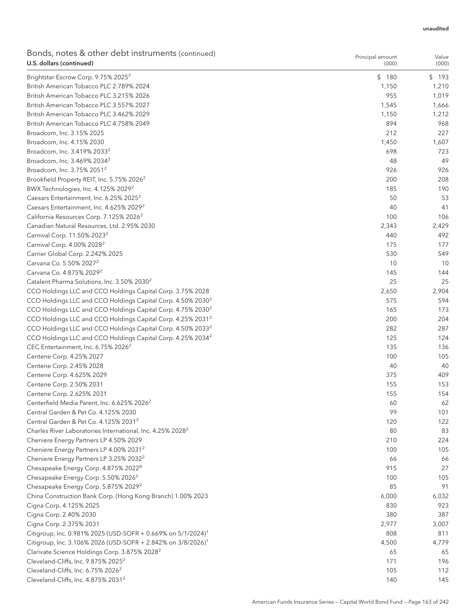| Bonds, notes & other debt instruments (continued)<br>U.S. dollars (continued) | Principal amount<br>(000) | Value<br>(000) |
|-------------------------------------------------------------------------------|---------------------------|----------------|
| Brightstar Escrow Corp. 9.75% 2025 <sup>2</sup>                               | \$180                     | \$193          |
| British American Tobacco PLC 2.789% 2024                                      | 1,150                     | 1,210          |
| British American Tobacco PLC 3.215% 2026                                      | 955                       | 1,019          |
| British American Tobacco PLC 3.557% 2027                                      | 1,545                     | 1,666          |
| British American Tobacco PLC 3.462% 2029                                      | 1,150                     | 1,212          |
| British American Tobacco PLC 4.758% 2049                                      | 894                       | 968            |
| Broadcom, Inc. 3.15% 2025                                                     | 212                       | 227            |
| Broadcom, Inc. 4.15% 2030                                                     | 1,450                     | 1,607          |
| Broadcom, Inc. 3.419% 2033 <sup>2</sup>                                       | 698                       | 723            |
| Broadcom, Inc. 3.469% 2034 <sup>2</sup>                                       | 48                        | 49             |
| Broadcom, Inc. 3.75% 2051 <sup>2</sup>                                        | 926                       | 926            |
| Brookfield Property REIT, Inc. 5.75% 2026 <sup>2</sup>                        | 200                       | 208            |
| BWX Technologies, Inc. 4.125% 2029 <sup>2</sup>                               | 185                       | 190            |
| Caesars Entertainment, Inc. 6.25% 2025 <sup>2</sup>                           | 50                        | 53             |
| Caesars Entertainment, Inc. 4.625% 2029 <sup>2</sup>                          | 40                        | 41             |
| California Resources Corp. 7.125% 2026 <sup>2</sup>                           | 100                       | 106            |
| Canadian Natural Resources, Ltd. 2.95% 2030                                   | 2,343                     | 2,429          |
| Carnival Corp. 11.50% 2023 <sup>2</sup>                                       | 440                       | 492            |
| Carnival Corp. 4.00% 2028 <sup>2</sup>                                        | 175                       | 177            |
| Carrier Global Corp. 2.242% 2025                                              | 530                       | 549            |
| Carvana Co. 5.50% 2027 <sup>2</sup>                                           | 10                        | 10             |
| Carvana Co. 4.875% 2029 <sup>2</sup>                                          | 145                       | 144            |
| Catalent Pharma Solutions, Inc. 3.50% 2030 <sup>2</sup>                       | 25                        | 25             |
| CCO Holdings LLC and CCO Holdings Capital Corp. 3.75% 2028                    | 2,650                     | 2,904          |
| CCO Holdings LLC and CCO Holdings Capital Corp. 4.50% 2030 <sup>2</sup>       | 575                       | 594            |
| CCO Holdings LLC and CCO Holdings Capital Corp. 4.75% 2030 <sup>2</sup>       | 165                       | 173            |
| CCO Holdings LLC and CCO Holdings Capital Corp. 4.25% 2031 <sup>2</sup>       | 200                       | 204            |
| CCO Holdings LLC and CCO Holdings Capital Corp. 4.50% 2033 <sup>2</sup>       | 282                       | 287            |
| CCO Holdings LLC and CCO Holdings Capital Corp. 4.25% 2034 <sup>2</sup>       | 125                       | 124            |
| CEC Entertainment, Inc. 6.75% 2026 <sup>2</sup>                               | 135                       | 136            |
| Centene Corp. 4.25% 2027                                                      | 100                       | 105            |
| Centene Corp. 2.45% 2028                                                      | 40                        | 40             |
| Centene Corp. 4.625% 2029                                                     | 375                       | 409            |
| Centene Corp. 2.50% 2031                                                      | 155                       | 153            |
| Centene Corp. 2.625% 2031                                                     | 155                       | 154            |
| Centerfield Media Parent, Inc. 6.625% 2026 <sup>2</sup>                       | 60                        | 62             |
| Central Garden & Pet Co. 4.125% 2030                                          | 99                        | 101            |
| Central Garden & Pet Co. 4.125% 2031 <sup>2</sup>                             | 120                       | 122            |
| Charles River Laboratories International, Inc. 4.25% 2028 <sup>2</sup>        | 80                        | 83             |
| Cheniere Energy Partners LP 4.50% 2029                                        | 210                       | 224            |
| Cheniere Energy Partners LP 4.00% 2031 <sup>2</sup>                           | 100                       | 105            |
| Cheniere Energy Partners LP 3.25% 2032 <sup>2</sup>                           | 66                        | 66             |
| Chesapeake Energy Corp. 4.875% 2022 <sup>8</sup>                              | 915                       | 27             |
| Chesapeake Energy Corp. 5.50% 2026 <sup>2</sup>                               | 100                       | 105            |
| Chesapeake Energy Corp. 5.875% 2029 <sup>2</sup>                              | 85                        | 91             |
| China Construction Bank Corp. (Hong Kong Branch) 1.00% 2023                   | 6,000                     | 6,032          |
| Cigna Corp. 4.125% 2025                                                       | 830                       | 923            |
| Cigna Corp. 2.40% 2030                                                        | 380                       | 387            |
| Cigna Corp. 2.375% 2031                                                       | 2,977                     | 3,007          |
| Citigroup, Inc. 0.981% 2025 (USD-SOFR + 0.669% on 5/1/2024) <sup>1</sup>      | 808                       | 811            |
| Citigroup, Inc. 3.106% 2026 (USD-SOFR + 2.842% on 3/8/2026) <sup>1</sup>      | 4,500                     | 4,779          |
| Clarivate Science Holdings Corp. 3.875% 2028 <sup>2</sup>                     | 65                        | 65             |
| Cleveland-Cliffs, Inc. 9.875% 2025 <sup>2</sup>                               | 171                       | 196            |
| Cleveland-Cliffs, Inc. 6.75% 2026 <sup>2</sup>                                | 105                       | 112            |
| Cleveland-Cliffs, Inc. 4.875% 2031 <sup>2</sup>                               | 140                       | 145            |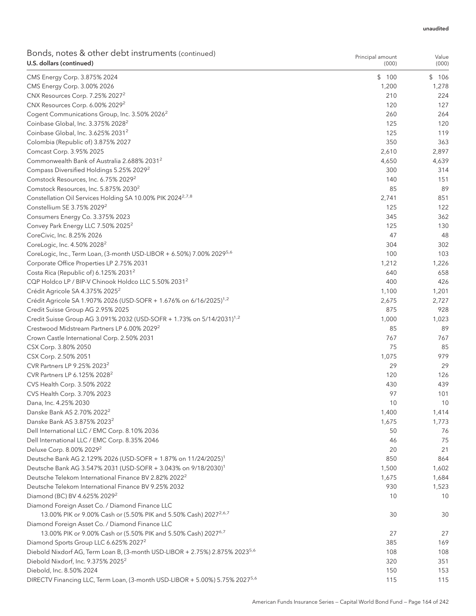| Bonds, notes & other debt instruments (continued)<br>U.S. dollars (continued)                                                   | Principal amount<br>(000) | Value<br>(000) |
|---------------------------------------------------------------------------------------------------------------------------------|---------------------------|----------------|
| CMS Energy Corp. 3.875% 2024                                                                                                    | \$<br>100                 | \$<br>106      |
| CMS Energy Corp. 3.00% 2026                                                                                                     | 1,200                     | 1,278          |
| CNX Resources Corp. 7.25% 2027 <sup>2</sup>                                                                                     | 210                       | 224            |
| CNX Resources Corp. 6.00% 2029 <sup>2</sup>                                                                                     | 120                       | 127            |
| Cogent Communications Group, Inc. 3.50% 2026 <sup>2</sup>                                                                       | 260                       | 264            |
| Coinbase Global, Inc. 3.375% 2028 <sup>2</sup>                                                                                  | 125                       | 120            |
| Coinbase Global, Inc. 3.625% 2031 <sup>2</sup>                                                                                  | 125                       | 119            |
| Colombia (Republic of) 3.875% 2027                                                                                              | 350                       | 363            |
| Comcast Corp. 3.95% 2025                                                                                                        | 2,610                     | 2,897          |
| Commonwealth Bank of Australia 2.688% 2031 <sup>2</sup>                                                                         | 4,650                     | 4,639          |
| Compass Diversified Holdings 5.25% 2029 <sup>2</sup>                                                                            | 300                       | 314            |
| Comstock Resources, Inc. 6.75% 2029 <sup>2</sup>                                                                                | 140                       | 151            |
| Comstock Resources, Inc. 5.875% 2030 <sup>2</sup>                                                                               | 85                        | 89             |
| Constellation Oil Services Holding SA 10.00% PIK 2024 <sup>2,7,8</sup>                                                          | 2,741                     | 851            |
| Constellium SE 3.75% 2029 <sup>2</sup>                                                                                          | 125                       | 122            |
| Consumers Energy Co. 3.375% 2023                                                                                                | 345                       | 362            |
| Convey Park Energy LLC 7.50% 2025 <sup>2</sup>                                                                                  | 125                       | 130            |
| CoreCivic, Inc. 8.25% 2026                                                                                                      | 47                        | 48             |
| CoreLogic, Inc. 4.50% 2028 <sup>2</sup>                                                                                         | 304                       | 302            |
| CoreLogic, Inc., Term Loan, (3-month USD-LIBOR + 6.50%) 7.00% 2029 <sup>5,6</sup>                                               | 100                       | 103            |
| Corporate Office Properties LP 2.75% 2031                                                                                       | 1,212                     | 1,226          |
| Costa Rica (Republic of) 6.125% 2031 <sup>2</sup>                                                                               | 640                       | 658            |
| CQP Holdco LP / BIP-V Chinook Holdco LLC 5.50% 2031 <sup>2</sup>                                                                | 400                       | 426            |
| Crédit Agricole SA 4.375% 2025 <sup>2</sup>                                                                                     | 1,100                     | 1,201          |
| Crédit Agricole SA 1.907% 2026 (USD-SOFR + 1.676% on 6/16/2025) <sup>1,2</sup>                                                  | 2,675                     | 2,727          |
| Credit Suisse Group AG 2.95% 2025                                                                                               | 875                       | 928            |
| Credit Suisse Group AG 3.091% 2032 (USD-SOFR + 1.73% on 5/14/2031) <sup>1,2</sup>                                               | 1,000                     | 1,023          |
| Crestwood Midstream Partners LP 6.00% 2029 <sup>2</sup>                                                                         | 85                        | 89             |
| Crown Castle International Corp. 2.50% 2031                                                                                     | 767                       | 767            |
| CSX Corp. 3.80% 2050                                                                                                            | 75                        | 85             |
| CSX Corp. 2.50% 2051                                                                                                            | 1,075                     | 979            |
| CVR Partners LP 9.25% 2023 <sup>2</sup>                                                                                         | 29                        | 29             |
| CVR Partners LP 6.125% 2028 <sup>2</sup>                                                                                        | 120                       | 126            |
| CVS Health Corp. 3.50% 2022                                                                                                     | 430                       | 439            |
| CVS Health Corp. 3.70% 2023                                                                                                     | 97                        | 101            |
| Dana, Inc. 4.25% 2030                                                                                                           | 10                        | 10             |
| Danske Bank AS 2.70% 2022 <sup>2</sup>                                                                                          | 1,400                     | 1,414          |
| Danske Bank AS 3.875% 2023 <sup>2</sup>                                                                                         | 1,675                     | 1,773          |
| Dell International LLC / EMC Corp. 8.10% 2036                                                                                   | 50                        | 76             |
| Dell International LLC / EMC Corp. 8.35% 2046                                                                                   | 46                        | 75             |
| Deluxe Corp. 8.00% 2029 <sup>2</sup>                                                                                            | 20                        | 21             |
| Deutsche Bank AG 2.129% 2026 (USD-SOFR + 1.87% on 11/24/2025) <sup>1</sup>                                                      | 850                       | 864            |
| Deutsche Bank AG 3.547% 2031 (USD-SOFR + 3.043% on 9/18/2030) <sup>1</sup>                                                      | 1,500                     | 1,602          |
| Deutsche Telekom International Finance BV 2.82% 2022 <sup>2</sup>                                                               | 1,675                     | 1,684          |
| Deutsche Telekom International Finance BV 9.25% 2032                                                                            | 930                       | 1,523          |
| Diamond (BC) BV 4.625% 2029 <sup>2</sup>                                                                                        | 10                        | 10             |
| Diamond Foreign Asset Co. / Diamond Finance LLC<br>13.00% PIK or 9.00% Cash or (5.50% PIK and 5.50% Cash) 2027 <sup>2,6,7</sup> | 30                        | 30             |
| Diamond Foreign Asset Co. / Diamond Finance LLC                                                                                 |                           |                |
| 13.00% PIK or 9.00% Cash or (5.50% PIK and 5.50% Cash) 2027 <sup>6,7</sup>                                                      | 27                        | 27             |
| Diamond Sports Group LLC 6.625% 2027 <sup>2</sup>                                                                               | 385                       | 169            |
| Diebold Nixdorf AG, Term Loan B, (3-month USD-LIBOR + 2.75%) 2.875% 2023 <sup>5,6</sup>                                         | 108                       | 108            |
| Diebold Nixdorf, Inc. 9.375% 2025 <sup>2</sup>                                                                                  | 320                       | 351            |
| Diebold, Inc. 8.50% 2024                                                                                                        | 150                       | 153            |
| DIRECTV Financing LLC, Term Loan, (3-month USD-LIBOR + 5.00%) 5.75% 2027 <sup>5,6</sup>                                         | 115                       | 115            |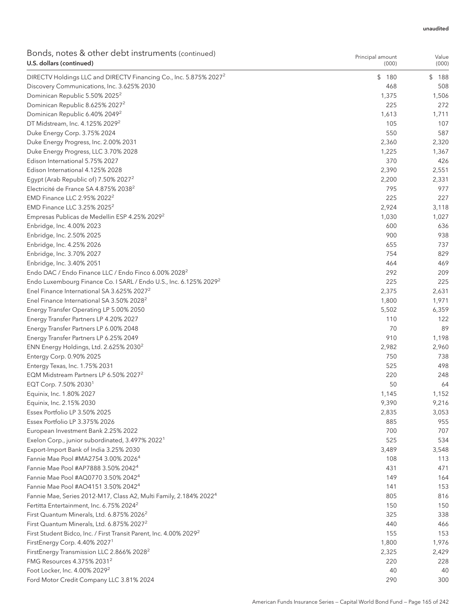|                          | Bonds, notes & other debt instruments (continued) |
|--------------------------|---------------------------------------------------|
| U.S. dollars (continued) |                                                   |

| bonds, notes & other debt mod annonts (commaca)<br>U.S. dollars (continued)    | Principal amount<br>(000) | Value<br>(000) |
|--------------------------------------------------------------------------------|---------------------------|----------------|
| DIRECTV Holdings LLC and DIRECTV Financing Co., Inc. 5.875% 2027 <sup>2</sup>  | \$<br>180                 | \$<br>188      |
| Discovery Communications, Inc. 3.625% 2030                                     | 468                       | 508            |
| Dominican Republic 5.50% 2025 <sup>2</sup>                                     | 1,375                     | 1,506          |
| Dominican Republic 8.625% 2027 <sup>2</sup>                                    | 225                       | 272            |
| Dominican Republic 6.40% 2049 <sup>2</sup>                                     | 1,613                     | 1,711          |
| DT Midstream, Inc. 4.125% 2029 <sup>2</sup>                                    | 105                       | 107            |
| Duke Energy Corp. 3.75% 2024                                                   | 550                       | 587            |
| Duke Energy Progress, Inc. 2.00% 2031                                          | 2,360                     | 2,320          |
| Duke Energy Progress, LLC 3.70% 2028                                           | 1,225                     | 1,367          |
| Edison International 5.75% 2027                                                | 370                       | 426            |
| Edison International 4.125% 2028                                               | 2,390                     | 2,551          |
| Egypt (Arab Republic of) 7.50% 2027 <sup>2</sup>                               | 2,200                     | 2,331          |
| Electricité de France SA 4.875% 2038 <sup>2</sup>                              | 795                       | 977            |
| EMD Finance LLC 2.95% 2022 <sup>2</sup>                                        | 225                       | 227            |
| EMD Finance LLC 3.25% 2025 <sup>2</sup>                                        | 2,924                     | 3,118          |
| Empresas Publicas de Medellin ESP 4.25% 2029 <sup>2</sup>                      | 1,030                     | 1,027          |
| Enbridge, Inc. 4.00% 2023                                                      | 600                       | 636            |
| Enbridge, Inc. 2.50% 2025                                                      | 900                       | 938            |
| Enbridge, Inc. 4.25% 2026                                                      | 655                       | 737            |
| Enbridge, Inc. 3.70% 2027                                                      | 754                       | 829            |
| Enbridge, Inc. 3.40% 2051                                                      | 464                       | 469            |
| Endo DAC / Endo Finance LLC / Endo Finco 6.00% 2028 <sup>2</sup>               | 292                       | 209            |
| Endo Luxembourg Finance Co. I SARL / Endo U.S., Inc. 6.125% 2029 <sup>2</sup>  | 225                       | 225            |
| Enel Finance International SA 3.625% 2027 <sup>2</sup>                         | 2,375                     | 2,631          |
| Enel Finance International SA 3.50% 2028 <sup>2</sup>                          | 1,800                     | 1,971          |
| Energy Transfer Operating LP 5.00% 2050                                        | 5,502                     | 6,359          |
| Energy Transfer Partners LP 4.20% 2027                                         | 110                       | 122            |
| Energy Transfer Partners LP 6.00% 2048                                         | 70                        | 89             |
| Energy Transfer Partners LP 6.25% 2049                                         | 910                       | 1,198          |
| ENN Energy Holdings, Ltd. 2.625% 2030 <sup>2</sup>                             | 2,982                     | 2,960          |
| Entergy Corp. 0.90% 2025                                                       | 750                       | 738            |
| Entergy Texas, Inc. 1.75% 2031                                                 | 525                       | 498            |
| EQM Midstream Partners LP 6.50% 2027 <sup>2</sup>                              | 220                       | 248            |
| EQT Corp. 7.50% 2030 <sup>1</sup>                                              | 50                        | 64             |
| Equinix, Inc. 1.80% 2027                                                       | 1,145                     | 1,152          |
| Equinix, Inc. 2.15% 2030                                                       | 9,390                     | 9,216          |
| Essex Portfolio LP 3.50% 2025                                                  | 2,835                     | 3,053          |
| Essex Portfolio LP 3.375% 2026                                                 | 885                       | 955            |
| European Investment Bank 2.25% 2022                                            | 700                       | 707            |
| Exelon Corp., junior subordinated, 3.497% 2022 <sup>1</sup>                    | 525                       | 534            |
| Export-Import Bank of India 3.25% 2030                                         | 3,489                     | 3,548          |
| Fannie Mae Pool #MA2754 3.00% 2026 <sup>4</sup>                                | 108                       | 113            |
| Fannie Mae Pool #AP7888 3.50% 2042 <sup>4</sup>                                | 431                       | 471            |
| Fannie Mae Pool #AQ0770 3.50% 2042 <sup>4</sup>                                | 149                       | 164            |
| Fannie Mae Pool #AO4151 3.50% 2042 <sup>4</sup>                                | 141                       | 153            |
| Fannie Mae, Series 2012-M17, Class A2, Multi Family, 2.184% 2022 <sup>4</sup>  | 805                       | 816            |
| Fertitta Entertainment, Inc. 6.75% 2024 <sup>2</sup>                           | 150                       | 150            |
| First Quantum Minerals, Ltd. 6.875% 2026 <sup>2</sup>                          | 325                       | 338            |
| First Quantum Minerals, Ltd. 6.875% 2027 <sup>2</sup>                          | 440                       | 466            |
| First Student Bidco, Inc. / First Transit Parent, Inc. 4.00% 2029 <sup>2</sup> | 155                       | 153            |
| FirstEnergy Corp. 4.40% 2027 <sup>1</sup>                                      | 1,800                     | 1,976          |
| FirstEnergy Transmission LLC 2.866% 2028 <sup>2</sup>                          | 2,325                     | 2,429          |
| FMG Resources 4.375% 2031 <sup>2</sup>                                         | 220                       | 228            |
| Foot Locker, Inc. 4.00% 2029 <sup>2</sup>                                      | 40                        | 40             |
| Ford Motor Credit Company LLC 3.81% 2024                                       | 290                       | 300            |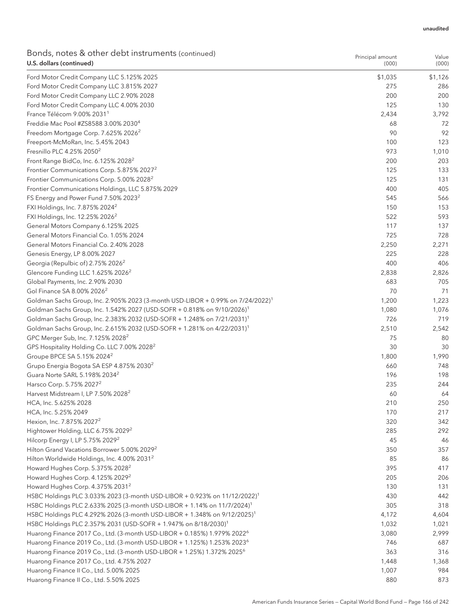| Bonds, notes & other debt instruments (continued) |  |
|---------------------------------------------------|--|
| U.S. dollars (continued)                          |  |

| \$1,126<br>Ford Motor Credit Company LLC 5.125% 2025<br>\$1,035<br>275<br>Ford Motor Credit Company LLC 3.815% 2027<br>286<br>Ford Motor Credit Company LLC 2.90% 2028<br>200<br>200<br>125<br>Ford Motor Credit Company LLC 4.00% 2030<br>130<br>France Télécom 9.00% 2031 <sup>1</sup><br>2,434<br>3,792<br>Freddie Mac Pool #ZS8588 3.00% 2030 <sup>4</sup><br>72<br>68<br>90<br>92<br>Freedom Mortgage Corp. 7.625% 2026 <sup>2</sup><br>Freeport-McMoRan, Inc. 5.45% 2043<br>100<br>123<br>Fresnillo PLC 4.25% 2050 <sup>2</sup><br>973<br>1,010<br>Front Range BidCo, Inc. 6.125% 2028 <sup>2</sup><br>200<br>203<br>Frontier Communications Corp. 5.875% 2027 <sup>2</sup><br>125<br>133<br>Frontier Communications Corp. 5.00% 2028 <sup>2</sup><br>125<br>131<br>405<br>Frontier Communications Holdings, LLC 5.875% 2029<br>400<br>FS Energy and Power Fund 7.50% 2023 <sup>2</sup><br>545<br>566<br>FXI Holdings, Inc. 7.875% 2024 <sup>2</sup><br>150<br>153<br>593<br>FXI Holdings, Inc. 12.25% 2026 <sup>2</sup><br>522<br>General Motors Company 6.125% 2025<br>117<br>137<br>General Motors Financial Co. 1.05% 2024<br>725<br>728<br>General Motors Financial Co. 2.40% 2028<br>2,250<br>2,271<br>225<br>228<br>Genesis Energy, LP 8.00% 2027<br>400<br>Georgia (Repulbic of) 2.75% 2026 <sup>2</sup><br>406<br>Glencore Funding LLC 1.625% 2026 <sup>2</sup><br>2,838<br>2,826<br>Global Payments, Inc. 2.90% 2030<br>683<br>705<br>Gol Finance SA 8.00% 2026 <sup>2</sup><br>70<br>71<br>1,200<br>1,223<br>Goldman Sachs Group, Inc. 2.905% 2023 (3-month USD-LIBOR + 0.99% on 7/24/2022) <sup>1</sup><br>Goldman Sachs Group, Inc. 1.542% 2027 (USD-SOFR + 0.818% on 9/10/2026) <sup>1</sup><br>1,080<br>1,076<br>726<br>Goldman Sachs Group, Inc. 2.383% 2032 (USD-SOFR + 1.248% on 7/21/2031) <sup>1</sup><br>719<br>Goldman Sachs Group, Inc. 2.615% 2032 (USD-SOFR + 1.281% on 4/22/2031) <sup>1</sup><br>2,510<br>2,542<br>GPC Merger Sub, Inc. 7.125% 2028 <sup>2</sup><br>75<br>80<br>GPS Hospitality Holding Co. LLC 7.00% 2028 <sup>2</sup><br>30<br>30<br>Groupe BPCE SA 5.15% 2024 <sup>2</sup><br>1,800<br>1,990<br>Grupo Energia Bogota SA ESP 4.875% 2030 <sup>2</sup><br>660<br>748<br>Guara Norte SARL 5.198% 2034 <sup>2</sup><br>196<br>198<br>Harsco Corp. 5.75% 2027 <sup>2</sup><br>235<br>244<br>Harvest Midstream I, LP 7.50% 2028 <sup>2</sup><br>60<br>64<br>210<br>250<br>HCA, Inc. 5.625% 2028<br>HCA, Inc. 5.25% 2049<br>170<br>217<br>Hexion, Inc. 7.875% 2027 <sup>2</sup><br>320<br>342<br>Hightower Holding, LLC 6.75% 2029 <sup>2</sup><br>292<br>285<br>Hilcorp Energy I, LP 5.75% 2029 <sup>2</sup><br>45<br>46<br>Hilton Grand Vacations Borrower 5.00% 2029 <sup>2</sup><br>357<br>350<br>Hilton Worldwide Holdings, Inc. 4.00% 2031 <sup>2</sup><br>86<br>85<br>Howard Hughes Corp. 5.375% 2028 <sup>2</sup><br>417<br>395<br>Howard Hughes Corp. 4.125% 2029 <sup>2</sup><br>205<br>206<br>Howard Hughes Corp. 4.375% 2031 <sup>2</sup><br>131<br>130<br>HSBC Holdings PLC 3.033% 2023 (3-month USD-LIBOR + 0.923% on 11/12/2022) <sup>1</sup><br>442<br>430<br>HSBC Holdings PLC 2.633% 2025 (3-month USD-LIBOR + 1.14% on 11/7/2024) <sup>1</sup><br>305<br>318<br>HSBC Holdings PLC 4.292% 2026 (3-month USD-LIBOR + 1.348% on 9/12/2025) <sup>1</sup><br>4,172<br>4,604<br>HSBC Holdings PLC 2.357% 2031 (USD-SOFR + 1.947% on 8/18/2030) <sup>1</sup><br>1,032<br>1,021<br>Huarong Finance 2017 Co., Ltd. (3-month USD-LIBOR + 0.185%) 1.979% 2022 <sup>6</sup><br>3,080<br>2,999<br>Huarong Finance 2019 Co., Ltd. (3-month USD-LIBOR + 1.125%) 1.253% 2023 <sup>6</sup><br>746<br>687<br>Huarong Finance 2019 Co., Ltd. (3-month USD-LIBOR + 1.25%) 1.372% 2025 <sup>6</sup><br>363<br>316<br>Huarong Finance 2017 Co., Ltd. 4.75% 2027<br>1,448<br>1,368<br>Huarong Finance II Co., Ltd. 5.00% 2025<br>1,007<br>984 | bonds, notes & other debt mod annonts (commaca)<br>U.S. dollars (continued) | Principal amount<br>(000) | Value<br>(000) |
|----------------------------------------------------------------------------------------------------------------------------------------------------------------------------------------------------------------------------------------------------------------------------------------------------------------------------------------------------------------------------------------------------------------------------------------------------------------------------------------------------------------------------------------------------------------------------------------------------------------------------------------------------------------------------------------------------------------------------------------------------------------------------------------------------------------------------------------------------------------------------------------------------------------------------------------------------------------------------------------------------------------------------------------------------------------------------------------------------------------------------------------------------------------------------------------------------------------------------------------------------------------------------------------------------------------------------------------------------------------------------------------------------------------------------------------------------------------------------------------------------------------------------------------------------------------------------------------------------------------------------------------------------------------------------------------------------------------------------------------------------------------------------------------------------------------------------------------------------------------------------------------------------------------------------------------------------------------------------------------------------------------------------------------------------------------------------------------------------------------------------------------------------------------------------------------------------------------------------------------------------------------------------------------------------------------------------------------------------------------------------------------------------------------------------------------------------------------------------------------------------------------------------------------------------------------------------------------------------------------------------------------------------------------------------------------------------------------------------------------------------------------------------------------------------------------------------------------------------------------------------------------------------------------------------------------------------------------------------------------------------------------------------------------------------------------------------------------------------------------------------------------------------------------------------------------------------------------------------------------------------------------------------------------------------------------------------------------------------------------------------------------------------------------------------------------------------------------------------------------------------------------------------------------------------------------------------------------------------------------------------------------------------------------------------------------------------------------------------------------------------------------------------------------------------------------------------------------------------------------------------------------|-----------------------------------------------------------------------------|---------------------------|----------------|
|                                                                                                                                                                                                                                                                                                                                                                                                                                                                                                                                                                                                                                                                                                                                                                                                                                                                                                                                                                                                                                                                                                                                                                                                                                                                                                                                                                                                                                                                                                                                                                                                                                                                                                                                                                                                                                                                                                                                                                                                                                                                                                                                                                                                                                                                                                                                                                                                                                                                                                                                                                                                                                                                                                                                                                                                                                                                                                                                                                                                                                                                                                                                                                                                                                                                                                                                                                                                                                                                                                                                                                                                                                                                                                                                                                                                                                                                                        |                                                                             |                           |                |
|                                                                                                                                                                                                                                                                                                                                                                                                                                                                                                                                                                                                                                                                                                                                                                                                                                                                                                                                                                                                                                                                                                                                                                                                                                                                                                                                                                                                                                                                                                                                                                                                                                                                                                                                                                                                                                                                                                                                                                                                                                                                                                                                                                                                                                                                                                                                                                                                                                                                                                                                                                                                                                                                                                                                                                                                                                                                                                                                                                                                                                                                                                                                                                                                                                                                                                                                                                                                                                                                                                                                                                                                                                                                                                                                                                                                                                                                                        |                                                                             |                           |                |
|                                                                                                                                                                                                                                                                                                                                                                                                                                                                                                                                                                                                                                                                                                                                                                                                                                                                                                                                                                                                                                                                                                                                                                                                                                                                                                                                                                                                                                                                                                                                                                                                                                                                                                                                                                                                                                                                                                                                                                                                                                                                                                                                                                                                                                                                                                                                                                                                                                                                                                                                                                                                                                                                                                                                                                                                                                                                                                                                                                                                                                                                                                                                                                                                                                                                                                                                                                                                                                                                                                                                                                                                                                                                                                                                                                                                                                                                                        |                                                                             |                           |                |
|                                                                                                                                                                                                                                                                                                                                                                                                                                                                                                                                                                                                                                                                                                                                                                                                                                                                                                                                                                                                                                                                                                                                                                                                                                                                                                                                                                                                                                                                                                                                                                                                                                                                                                                                                                                                                                                                                                                                                                                                                                                                                                                                                                                                                                                                                                                                                                                                                                                                                                                                                                                                                                                                                                                                                                                                                                                                                                                                                                                                                                                                                                                                                                                                                                                                                                                                                                                                                                                                                                                                                                                                                                                                                                                                                                                                                                                                                        |                                                                             |                           |                |
|                                                                                                                                                                                                                                                                                                                                                                                                                                                                                                                                                                                                                                                                                                                                                                                                                                                                                                                                                                                                                                                                                                                                                                                                                                                                                                                                                                                                                                                                                                                                                                                                                                                                                                                                                                                                                                                                                                                                                                                                                                                                                                                                                                                                                                                                                                                                                                                                                                                                                                                                                                                                                                                                                                                                                                                                                                                                                                                                                                                                                                                                                                                                                                                                                                                                                                                                                                                                                                                                                                                                                                                                                                                                                                                                                                                                                                                                                        |                                                                             |                           |                |
|                                                                                                                                                                                                                                                                                                                                                                                                                                                                                                                                                                                                                                                                                                                                                                                                                                                                                                                                                                                                                                                                                                                                                                                                                                                                                                                                                                                                                                                                                                                                                                                                                                                                                                                                                                                                                                                                                                                                                                                                                                                                                                                                                                                                                                                                                                                                                                                                                                                                                                                                                                                                                                                                                                                                                                                                                                                                                                                                                                                                                                                                                                                                                                                                                                                                                                                                                                                                                                                                                                                                                                                                                                                                                                                                                                                                                                                                                        |                                                                             |                           |                |
|                                                                                                                                                                                                                                                                                                                                                                                                                                                                                                                                                                                                                                                                                                                                                                                                                                                                                                                                                                                                                                                                                                                                                                                                                                                                                                                                                                                                                                                                                                                                                                                                                                                                                                                                                                                                                                                                                                                                                                                                                                                                                                                                                                                                                                                                                                                                                                                                                                                                                                                                                                                                                                                                                                                                                                                                                                                                                                                                                                                                                                                                                                                                                                                                                                                                                                                                                                                                                                                                                                                                                                                                                                                                                                                                                                                                                                                                                        |                                                                             |                           |                |
|                                                                                                                                                                                                                                                                                                                                                                                                                                                                                                                                                                                                                                                                                                                                                                                                                                                                                                                                                                                                                                                                                                                                                                                                                                                                                                                                                                                                                                                                                                                                                                                                                                                                                                                                                                                                                                                                                                                                                                                                                                                                                                                                                                                                                                                                                                                                                                                                                                                                                                                                                                                                                                                                                                                                                                                                                                                                                                                                                                                                                                                                                                                                                                                                                                                                                                                                                                                                                                                                                                                                                                                                                                                                                                                                                                                                                                                                                        |                                                                             |                           |                |
|                                                                                                                                                                                                                                                                                                                                                                                                                                                                                                                                                                                                                                                                                                                                                                                                                                                                                                                                                                                                                                                                                                                                                                                                                                                                                                                                                                                                                                                                                                                                                                                                                                                                                                                                                                                                                                                                                                                                                                                                                                                                                                                                                                                                                                                                                                                                                                                                                                                                                                                                                                                                                                                                                                                                                                                                                                                                                                                                                                                                                                                                                                                                                                                                                                                                                                                                                                                                                                                                                                                                                                                                                                                                                                                                                                                                                                                                                        |                                                                             |                           |                |
|                                                                                                                                                                                                                                                                                                                                                                                                                                                                                                                                                                                                                                                                                                                                                                                                                                                                                                                                                                                                                                                                                                                                                                                                                                                                                                                                                                                                                                                                                                                                                                                                                                                                                                                                                                                                                                                                                                                                                                                                                                                                                                                                                                                                                                                                                                                                                                                                                                                                                                                                                                                                                                                                                                                                                                                                                                                                                                                                                                                                                                                                                                                                                                                                                                                                                                                                                                                                                                                                                                                                                                                                                                                                                                                                                                                                                                                                                        |                                                                             |                           |                |
|                                                                                                                                                                                                                                                                                                                                                                                                                                                                                                                                                                                                                                                                                                                                                                                                                                                                                                                                                                                                                                                                                                                                                                                                                                                                                                                                                                                                                                                                                                                                                                                                                                                                                                                                                                                                                                                                                                                                                                                                                                                                                                                                                                                                                                                                                                                                                                                                                                                                                                                                                                                                                                                                                                                                                                                                                                                                                                                                                                                                                                                                                                                                                                                                                                                                                                                                                                                                                                                                                                                                                                                                                                                                                                                                                                                                                                                                                        |                                                                             |                           |                |
|                                                                                                                                                                                                                                                                                                                                                                                                                                                                                                                                                                                                                                                                                                                                                                                                                                                                                                                                                                                                                                                                                                                                                                                                                                                                                                                                                                                                                                                                                                                                                                                                                                                                                                                                                                                                                                                                                                                                                                                                                                                                                                                                                                                                                                                                                                                                                                                                                                                                                                                                                                                                                                                                                                                                                                                                                                                                                                                                                                                                                                                                                                                                                                                                                                                                                                                                                                                                                                                                                                                                                                                                                                                                                                                                                                                                                                                                                        |                                                                             |                           |                |
|                                                                                                                                                                                                                                                                                                                                                                                                                                                                                                                                                                                                                                                                                                                                                                                                                                                                                                                                                                                                                                                                                                                                                                                                                                                                                                                                                                                                                                                                                                                                                                                                                                                                                                                                                                                                                                                                                                                                                                                                                                                                                                                                                                                                                                                                                                                                                                                                                                                                                                                                                                                                                                                                                                                                                                                                                                                                                                                                                                                                                                                                                                                                                                                                                                                                                                                                                                                                                                                                                                                                                                                                                                                                                                                                                                                                                                                                                        |                                                                             |                           |                |
|                                                                                                                                                                                                                                                                                                                                                                                                                                                                                                                                                                                                                                                                                                                                                                                                                                                                                                                                                                                                                                                                                                                                                                                                                                                                                                                                                                                                                                                                                                                                                                                                                                                                                                                                                                                                                                                                                                                                                                                                                                                                                                                                                                                                                                                                                                                                                                                                                                                                                                                                                                                                                                                                                                                                                                                                                                                                                                                                                                                                                                                                                                                                                                                                                                                                                                                                                                                                                                                                                                                                                                                                                                                                                                                                                                                                                                                                                        |                                                                             |                           |                |
|                                                                                                                                                                                                                                                                                                                                                                                                                                                                                                                                                                                                                                                                                                                                                                                                                                                                                                                                                                                                                                                                                                                                                                                                                                                                                                                                                                                                                                                                                                                                                                                                                                                                                                                                                                                                                                                                                                                                                                                                                                                                                                                                                                                                                                                                                                                                                                                                                                                                                                                                                                                                                                                                                                                                                                                                                                                                                                                                                                                                                                                                                                                                                                                                                                                                                                                                                                                                                                                                                                                                                                                                                                                                                                                                                                                                                                                                                        |                                                                             |                           |                |
|                                                                                                                                                                                                                                                                                                                                                                                                                                                                                                                                                                                                                                                                                                                                                                                                                                                                                                                                                                                                                                                                                                                                                                                                                                                                                                                                                                                                                                                                                                                                                                                                                                                                                                                                                                                                                                                                                                                                                                                                                                                                                                                                                                                                                                                                                                                                                                                                                                                                                                                                                                                                                                                                                                                                                                                                                                                                                                                                                                                                                                                                                                                                                                                                                                                                                                                                                                                                                                                                                                                                                                                                                                                                                                                                                                                                                                                                                        |                                                                             |                           |                |
|                                                                                                                                                                                                                                                                                                                                                                                                                                                                                                                                                                                                                                                                                                                                                                                                                                                                                                                                                                                                                                                                                                                                                                                                                                                                                                                                                                                                                                                                                                                                                                                                                                                                                                                                                                                                                                                                                                                                                                                                                                                                                                                                                                                                                                                                                                                                                                                                                                                                                                                                                                                                                                                                                                                                                                                                                                                                                                                                                                                                                                                                                                                                                                                                                                                                                                                                                                                                                                                                                                                                                                                                                                                                                                                                                                                                                                                                                        |                                                                             |                           |                |
|                                                                                                                                                                                                                                                                                                                                                                                                                                                                                                                                                                                                                                                                                                                                                                                                                                                                                                                                                                                                                                                                                                                                                                                                                                                                                                                                                                                                                                                                                                                                                                                                                                                                                                                                                                                                                                                                                                                                                                                                                                                                                                                                                                                                                                                                                                                                                                                                                                                                                                                                                                                                                                                                                                                                                                                                                                                                                                                                                                                                                                                                                                                                                                                                                                                                                                                                                                                                                                                                                                                                                                                                                                                                                                                                                                                                                                                                                        |                                                                             |                           |                |
|                                                                                                                                                                                                                                                                                                                                                                                                                                                                                                                                                                                                                                                                                                                                                                                                                                                                                                                                                                                                                                                                                                                                                                                                                                                                                                                                                                                                                                                                                                                                                                                                                                                                                                                                                                                                                                                                                                                                                                                                                                                                                                                                                                                                                                                                                                                                                                                                                                                                                                                                                                                                                                                                                                                                                                                                                                                                                                                                                                                                                                                                                                                                                                                                                                                                                                                                                                                                                                                                                                                                                                                                                                                                                                                                                                                                                                                                                        |                                                                             |                           |                |
|                                                                                                                                                                                                                                                                                                                                                                                                                                                                                                                                                                                                                                                                                                                                                                                                                                                                                                                                                                                                                                                                                                                                                                                                                                                                                                                                                                                                                                                                                                                                                                                                                                                                                                                                                                                                                                                                                                                                                                                                                                                                                                                                                                                                                                                                                                                                                                                                                                                                                                                                                                                                                                                                                                                                                                                                                                                                                                                                                                                                                                                                                                                                                                                                                                                                                                                                                                                                                                                                                                                                                                                                                                                                                                                                                                                                                                                                                        |                                                                             |                           |                |
|                                                                                                                                                                                                                                                                                                                                                                                                                                                                                                                                                                                                                                                                                                                                                                                                                                                                                                                                                                                                                                                                                                                                                                                                                                                                                                                                                                                                                                                                                                                                                                                                                                                                                                                                                                                                                                                                                                                                                                                                                                                                                                                                                                                                                                                                                                                                                                                                                                                                                                                                                                                                                                                                                                                                                                                                                                                                                                                                                                                                                                                                                                                                                                                                                                                                                                                                                                                                                                                                                                                                                                                                                                                                                                                                                                                                                                                                                        |                                                                             |                           |                |
|                                                                                                                                                                                                                                                                                                                                                                                                                                                                                                                                                                                                                                                                                                                                                                                                                                                                                                                                                                                                                                                                                                                                                                                                                                                                                                                                                                                                                                                                                                                                                                                                                                                                                                                                                                                                                                                                                                                                                                                                                                                                                                                                                                                                                                                                                                                                                                                                                                                                                                                                                                                                                                                                                                                                                                                                                                                                                                                                                                                                                                                                                                                                                                                                                                                                                                                                                                                                                                                                                                                                                                                                                                                                                                                                                                                                                                                                                        |                                                                             |                           |                |
|                                                                                                                                                                                                                                                                                                                                                                                                                                                                                                                                                                                                                                                                                                                                                                                                                                                                                                                                                                                                                                                                                                                                                                                                                                                                                                                                                                                                                                                                                                                                                                                                                                                                                                                                                                                                                                                                                                                                                                                                                                                                                                                                                                                                                                                                                                                                                                                                                                                                                                                                                                                                                                                                                                                                                                                                                                                                                                                                                                                                                                                                                                                                                                                                                                                                                                                                                                                                                                                                                                                                                                                                                                                                                                                                                                                                                                                                                        |                                                                             |                           |                |
|                                                                                                                                                                                                                                                                                                                                                                                                                                                                                                                                                                                                                                                                                                                                                                                                                                                                                                                                                                                                                                                                                                                                                                                                                                                                                                                                                                                                                                                                                                                                                                                                                                                                                                                                                                                                                                                                                                                                                                                                                                                                                                                                                                                                                                                                                                                                                                                                                                                                                                                                                                                                                                                                                                                                                                                                                                                                                                                                                                                                                                                                                                                                                                                                                                                                                                                                                                                                                                                                                                                                                                                                                                                                                                                                                                                                                                                                                        |                                                                             |                           |                |
|                                                                                                                                                                                                                                                                                                                                                                                                                                                                                                                                                                                                                                                                                                                                                                                                                                                                                                                                                                                                                                                                                                                                                                                                                                                                                                                                                                                                                                                                                                                                                                                                                                                                                                                                                                                                                                                                                                                                                                                                                                                                                                                                                                                                                                                                                                                                                                                                                                                                                                                                                                                                                                                                                                                                                                                                                                                                                                                                                                                                                                                                                                                                                                                                                                                                                                                                                                                                                                                                                                                                                                                                                                                                                                                                                                                                                                                                                        |                                                                             |                           |                |
|                                                                                                                                                                                                                                                                                                                                                                                                                                                                                                                                                                                                                                                                                                                                                                                                                                                                                                                                                                                                                                                                                                                                                                                                                                                                                                                                                                                                                                                                                                                                                                                                                                                                                                                                                                                                                                                                                                                                                                                                                                                                                                                                                                                                                                                                                                                                                                                                                                                                                                                                                                                                                                                                                                                                                                                                                                                                                                                                                                                                                                                                                                                                                                                                                                                                                                                                                                                                                                                                                                                                                                                                                                                                                                                                                                                                                                                                                        |                                                                             |                           |                |
|                                                                                                                                                                                                                                                                                                                                                                                                                                                                                                                                                                                                                                                                                                                                                                                                                                                                                                                                                                                                                                                                                                                                                                                                                                                                                                                                                                                                                                                                                                                                                                                                                                                                                                                                                                                                                                                                                                                                                                                                                                                                                                                                                                                                                                                                                                                                                                                                                                                                                                                                                                                                                                                                                                                                                                                                                                                                                                                                                                                                                                                                                                                                                                                                                                                                                                                                                                                                                                                                                                                                                                                                                                                                                                                                                                                                                                                                                        |                                                                             |                           |                |
|                                                                                                                                                                                                                                                                                                                                                                                                                                                                                                                                                                                                                                                                                                                                                                                                                                                                                                                                                                                                                                                                                                                                                                                                                                                                                                                                                                                                                                                                                                                                                                                                                                                                                                                                                                                                                                                                                                                                                                                                                                                                                                                                                                                                                                                                                                                                                                                                                                                                                                                                                                                                                                                                                                                                                                                                                                                                                                                                                                                                                                                                                                                                                                                                                                                                                                                                                                                                                                                                                                                                                                                                                                                                                                                                                                                                                                                                                        |                                                                             |                           |                |
|                                                                                                                                                                                                                                                                                                                                                                                                                                                                                                                                                                                                                                                                                                                                                                                                                                                                                                                                                                                                                                                                                                                                                                                                                                                                                                                                                                                                                                                                                                                                                                                                                                                                                                                                                                                                                                                                                                                                                                                                                                                                                                                                                                                                                                                                                                                                                                                                                                                                                                                                                                                                                                                                                                                                                                                                                                                                                                                                                                                                                                                                                                                                                                                                                                                                                                                                                                                                                                                                                                                                                                                                                                                                                                                                                                                                                                                                                        |                                                                             |                           |                |
|                                                                                                                                                                                                                                                                                                                                                                                                                                                                                                                                                                                                                                                                                                                                                                                                                                                                                                                                                                                                                                                                                                                                                                                                                                                                                                                                                                                                                                                                                                                                                                                                                                                                                                                                                                                                                                                                                                                                                                                                                                                                                                                                                                                                                                                                                                                                                                                                                                                                                                                                                                                                                                                                                                                                                                                                                                                                                                                                                                                                                                                                                                                                                                                                                                                                                                                                                                                                                                                                                                                                                                                                                                                                                                                                                                                                                                                                                        |                                                                             |                           |                |
|                                                                                                                                                                                                                                                                                                                                                                                                                                                                                                                                                                                                                                                                                                                                                                                                                                                                                                                                                                                                                                                                                                                                                                                                                                                                                                                                                                                                                                                                                                                                                                                                                                                                                                                                                                                                                                                                                                                                                                                                                                                                                                                                                                                                                                                                                                                                                                                                                                                                                                                                                                                                                                                                                                                                                                                                                                                                                                                                                                                                                                                                                                                                                                                                                                                                                                                                                                                                                                                                                                                                                                                                                                                                                                                                                                                                                                                                                        |                                                                             |                           |                |
|                                                                                                                                                                                                                                                                                                                                                                                                                                                                                                                                                                                                                                                                                                                                                                                                                                                                                                                                                                                                                                                                                                                                                                                                                                                                                                                                                                                                                                                                                                                                                                                                                                                                                                                                                                                                                                                                                                                                                                                                                                                                                                                                                                                                                                                                                                                                                                                                                                                                                                                                                                                                                                                                                                                                                                                                                                                                                                                                                                                                                                                                                                                                                                                                                                                                                                                                                                                                                                                                                                                                                                                                                                                                                                                                                                                                                                                                                        |                                                                             |                           |                |
|                                                                                                                                                                                                                                                                                                                                                                                                                                                                                                                                                                                                                                                                                                                                                                                                                                                                                                                                                                                                                                                                                                                                                                                                                                                                                                                                                                                                                                                                                                                                                                                                                                                                                                                                                                                                                                                                                                                                                                                                                                                                                                                                                                                                                                                                                                                                                                                                                                                                                                                                                                                                                                                                                                                                                                                                                                                                                                                                                                                                                                                                                                                                                                                                                                                                                                                                                                                                                                                                                                                                                                                                                                                                                                                                                                                                                                                                                        |                                                                             |                           |                |
|                                                                                                                                                                                                                                                                                                                                                                                                                                                                                                                                                                                                                                                                                                                                                                                                                                                                                                                                                                                                                                                                                                                                                                                                                                                                                                                                                                                                                                                                                                                                                                                                                                                                                                                                                                                                                                                                                                                                                                                                                                                                                                                                                                                                                                                                                                                                                                                                                                                                                                                                                                                                                                                                                                                                                                                                                                                                                                                                                                                                                                                                                                                                                                                                                                                                                                                                                                                                                                                                                                                                                                                                                                                                                                                                                                                                                                                                                        |                                                                             |                           |                |
|                                                                                                                                                                                                                                                                                                                                                                                                                                                                                                                                                                                                                                                                                                                                                                                                                                                                                                                                                                                                                                                                                                                                                                                                                                                                                                                                                                                                                                                                                                                                                                                                                                                                                                                                                                                                                                                                                                                                                                                                                                                                                                                                                                                                                                                                                                                                                                                                                                                                                                                                                                                                                                                                                                                                                                                                                                                                                                                                                                                                                                                                                                                                                                                                                                                                                                                                                                                                                                                                                                                                                                                                                                                                                                                                                                                                                                                                                        |                                                                             |                           |                |
|                                                                                                                                                                                                                                                                                                                                                                                                                                                                                                                                                                                                                                                                                                                                                                                                                                                                                                                                                                                                                                                                                                                                                                                                                                                                                                                                                                                                                                                                                                                                                                                                                                                                                                                                                                                                                                                                                                                                                                                                                                                                                                                                                                                                                                                                                                                                                                                                                                                                                                                                                                                                                                                                                                                                                                                                                                                                                                                                                                                                                                                                                                                                                                                                                                                                                                                                                                                                                                                                                                                                                                                                                                                                                                                                                                                                                                                                                        |                                                                             |                           |                |
|                                                                                                                                                                                                                                                                                                                                                                                                                                                                                                                                                                                                                                                                                                                                                                                                                                                                                                                                                                                                                                                                                                                                                                                                                                                                                                                                                                                                                                                                                                                                                                                                                                                                                                                                                                                                                                                                                                                                                                                                                                                                                                                                                                                                                                                                                                                                                                                                                                                                                                                                                                                                                                                                                                                                                                                                                                                                                                                                                                                                                                                                                                                                                                                                                                                                                                                                                                                                                                                                                                                                                                                                                                                                                                                                                                                                                                                                                        |                                                                             |                           |                |
|                                                                                                                                                                                                                                                                                                                                                                                                                                                                                                                                                                                                                                                                                                                                                                                                                                                                                                                                                                                                                                                                                                                                                                                                                                                                                                                                                                                                                                                                                                                                                                                                                                                                                                                                                                                                                                                                                                                                                                                                                                                                                                                                                                                                                                                                                                                                                                                                                                                                                                                                                                                                                                                                                                                                                                                                                                                                                                                                                                                                                                                                                                                                                                                                                                                                                                                                                                                                                                                                                                                                                                                                                                                                                                                                                                                                                                                                                        |                                                                             |                           |                |
|                                                                                                                                                                                                                                                                                                                                                                                                                                                                                                                                                                                                                                                                                                                                                                                                                                                                                                                                                                                                                                                                                                                                                                                                                                                                                                                                                                                                                                                                                                                                                                                                                                                                                                                                                                                                                                                                                                                                                                                                                                                                                                                                                                                                                                                                                                                                                                                                                                                                                                                                                                                                                                                                                                                                                                                                                                                                                                                                                                                                                                                                                                                                                                                                                                                                                                                                                                                                                                                                                                                                                                                                                                                                                                                                                                                                                                                                                        |                                                                             |                           |                |
|                                                                                                                                                                                                                                                                                                                                                                                                                                                                                                                                                                                                                                                                                                                                                                                                                                                                                                                                                                                                                                                                                                                                                                                                                                                                                                                                                                                                                                                                                                                                                                                                                                                                                                                                                                                                                                                                                                                                                                                                                                                                                                                                                                                                                                                                                                                                                                                                                                                                                                                                                                                                                                                                                                                                                                                                                                                                                                                                                                                                                                                                                                                                                                                                                                                                                                                                                                                                                                                                                                                                                                                                                                                                                                                                                                                                                                                                                        |                                                                             |                           |                |
|                                                                                                                                                                                                                                                                                                                                                                                                                                                                                                                                                                                                                                                                                                                                                                                                                                                                                                                                                                                                                                                                                                                                                                                                                                                                                                                                                                                                                                                                                                                                                                                                                                                                                                                                                                                                                                                                                                                                                                                                                                                                                                                                                                                                                                                                                                                                                                                                                                                                                                                                                                                                                                                                                                                                                                                                                                                                                                                                                                                                                                                                                                                                                                                                                                                                                                                                                                                                                                                                                                                                                                                                                                                                                                                                                                                                                                                                                        |                                                                             |                           |                |
|                                                                                                                                                                                                                                                                                                                                                                                                                                                                                                                                                                                                                                                                                                                                                                                                                                                                                                                                                                                                                                                                                                                                                                                                                                                                                                                                                                                                                                                                                                                                                                                                                                                                                                                                                                                                                                                                                                                                                                                                                                                                                                                                                                                                                                                                                                                                                                                                                                                                                                                                                                                                                                                                                                                                                                                                                                                                                                                                                                                                                                                                                                                                                                                                                                                                                                                                                                                                                                                                                                                                                                                                                                                                                                                                                                                                                                                                                        |                                                                             |                           |                |
|                                                                                                                                                                                                                                                                                                                                                                                                                                                                                                                                                                                                                                                                                                                                                                                                                                                                                                                                                                                                                                                                                                                                                                                                                                                                                                                                                                                                                                                                                                                                                                                                                                                                                                                                                                                                                                                                                                                                                                                                                                                                                                                                                                                                                                                                                                                                                                                                                                                                                                                                                                                                                                                                                                                                                                                                                                                                                                                                                                                                                                                                                                                                                                                                                                                                                                                                                                                                                                                                                                                                                                                                                                                                                                                                                                                                                                                                                        |                                                                             |                           |                |
|                                                                                                                                                                                                                                                                                                                                                                                                                                                                                                                                                                                                                                                                                                                                                                                                                                                                                                                                                                                                                                                                                                                                                                                                                                                                                                                                                                                                                                                                                                                                                                                                                                                                                                                                                                                                                                                                                                                                                                                                                                                                                                                                                                                                                                                                                                                                                                                                                                                                                                                                                                                                                                                                                                                                                                                                                                                                                                                                                                                                                                                                                                                                                                                                                                                                                                                                                                                                                                                                                                                                                                                                                                                                                                                                                                                                                                                                                        |                                                                             |                           |                |
|                                                                                                                                                                                                                                                                                                                                                                                                                                                                                                                                                                                                                                                                                                                                                                                                                                                                                                                                                                                                                                                                                                                                                                                                                                                                                                                                                                                                                                                                                                                                                                                                                                                                                                                                                                                                                                                                                                                                                                                                                                                                                                                                                                                                                                                                                                                                                                                                                                                                                                                                                                                                                                                                                                                                                                                                                                                                                                                                                                                                                                                                                                                                                                                                                                                                                                                                                                                                                                                                                                                                                                                                                                                                                                                                                                                                                                                                                        |                                                                             |                           |                |
|                                                                                                                                                                                                                                                                                                                                                                                                                                                                                                                                                                                                                                                                                                                                                                                                                                                                                                                                                                                                                                                                                                                                                                                                                                                                                                                                                                                                                                                                                                                                                                                                                                                                                                                                                                                                                                                                                                                                                                                                                                                                                                                                                                                                                                                                                                                                                                                                                                                                                                                                                                                                                                                                                                                                                                                                                                                                                                                                                                                                                                                                                                                                                                                                                                                                                                                                                                                                                                                                                                                                                                                                                                                                                                                                                                                                                                                                                        |                                                                             |                           |                |
|                                                                                                                                                                                                                                                                                                                                                                                                                                                                                                                                                                                                                                                                                                                                                                                                                                                                                                                                                                                                                                                                                                                                                                                                                                                                                                                                                                                                                                                                                                                                                                                                                                                                                                                                                                                                                                                                                                                                                                                                                                                                                                                                                                                                                                                                                                                                                                                                                                                                                                                                                                                                                                                                                                                                                                                                                                                                                                                                                                                                                                                                                                                                                                                                                                                                                                                                                                                                                                                                                                                                                                                                                                                                                                                                                                                                                                                                                        |                                                                             |                           |                |
|                                                                                                                                                                                                                                                                                                                                                                                                                                                                                                                                                                                                                                                                                                                                                                                                                                                                                                                                                                                                                                                                                                                                                                                                                                                                                                                                                                                                                                                                                                                                                                                                                                                                                                                                                                                                                                                                                                                                                                                                                                                                                                                                                                                                                                                                                                                                                                                                                                                                                                                                                                                                                                                                                                                                                                                                                                                                                                                                                                                                                                                                                                                                                                                                                                                                                                                                                                                                                                                                                                                                                                                                                                                                                                                                                                                                                                                                                        |                                                                             |                           |                |
|                                                                                                                                                                                                                                                                                                                                                                                                                                                                                                                                                                                                                                                                                                                                                                                                                                                                                                                                                                                                                                                                                                                                                                                                                                                                                                                                                                                                                                                                                                                                                                                                                                                                                                                                                                                                                                                                                                                                                                                                                                                                                                                                                                                                                                                                                                                                                                                                                                                                                                                                                                                                                                                                                                                                                                                                                                                                                                                                                                                                                                                                                                                                                                                                                                                                                                                                                                                                                                                                                                                                                                                                                                                                                                                                                                                                                                                                                        |                                                                             |                           |                |
|                                                                                                                                                                                                                                                                                                                                                                                                                                                                                                                                                                                                                                                                                                                                                                                                                                                                                                                                                                                                                                                                                                                                                                                                                                                                                                                                                                                                                                                                                                                                                                                                                                                                                                                                                                                                                                                                                                                                                                                                                                                                                                                                                                                                                                                                                                                                                                                                                                                                                                                                                                                                                                                                                                                                                                                                                                                                                                                                                                                                                                                                                                                                                                                                                                                                                                                                                                                                                                                                                                                                                                                                                                                                                                                                                                                                                                                                                        |                                                                             |                           |                |
|                                                                                                                                                                                                                                                                                                                                                                                                                                                                                                                                                                                                                                                                                                                                                                                                                                                                                                                                                                                                                                                                                                                                                                                                                                                                                                                                                                                                                                                                                                                                                                                                                                                                                                                                                                                                                                                                                                                                                                                                                                                                                                                                                                                                                                                                                                                                                                                                                                                                                                                                                                                                                                                                                                                                                                                                                                                                                                                                                                                                                                                                                                                                                                                                                                                                                                                                                                                                                                                                                                                                                                                                                                                                                                                                                                                                                                                                                        |                                                                             |                           |                |
|                                                                                                                                                                                                                                                                                                                                                                                                                                                                                                                                                                                                                                                                                                                                                                                                                                                                                                                                                                                                                                                                                                                                                                                                                                                                                                                                                                                                                                                                                                                                                                                                                                                                                                                                                                                                                                                                                                                                                                                                                                                                                                                                                                                                                                                                                                                                                                                                                                                                                                                                                                                                                                                                                                                                                                                                                                                                                                                                                                                                                                                                                                                                                                                                                                                                                                                                                                                                                                                                                                                                                                                                                                                                                                                                                                                                                                                                                        |                                                                             |                           |                |
|                                                                                                                                                                                                                                                                                                                                                                                                                                                                                                                                                                                                                                                                                                                                                                                                                                                                                                                                                                                                                                                                                                                                                                                                                                                                                                                                                                                                                                                                                                                                                                                                                                                                                                                                                                                                                                                                                                                                                                                                                                                                                                                                                                                                                                                                                                                                                                                                                                                                                                                                                                                                                                                                                                                                                                                                                                                                                                                                                                                                                                                                                                                                                                                                                                                                                                                                                                                                                                                                                                                                                                                                                                                                                                                                                                                                                                                                                        |                                                                             |                           |                |
|                                                                                                                                                                                                                                                                                                                                                                                                                                                                                                                                                                                                                                                                                                                                                                                                                                                                                                                                                                                                                                                                                                                                                                                                                                                                                                                                                                                                                                                                                                                                                                                                                                                                                                                                                                                                                                                                                                                                                                                                                                                                                                                                                                                                                                                                                                                                                                                                                                                                                                                                                                                                                                                                                                                                                                                                                                                                                                                                                                                                                                                                                                                                                                                                                                                                                                                                                                                                                                                                                                                                                                                                                                                                                                                                                                                                                                                                                        |                                                                             |                           |                |
|                                                                                                                                                                                                                                                                                                                                                                                                                                                                                                                                                                                                                                                                                                                                                                                                                                                                                                                                                                                                                                                                                                                                                                                                                                                                                                                                                                                                                                                                                                                                                                                                                                                                                                                                                                                                                                                                                                                                                                                                                                                                                                                                                                                                                                                                                                                                                                                                                                                                                                                                                                                                                                                                                                                                                                                                                                                                                                                                                                                                                                                                                                                                                                                                                                                                                                                                                                                                                                                                                                                                                                                                                                                                                                                                                                                                                                                                                        | Huarong Finance II Co., Ltd. 5.50% 2025                                     | 880                       | 873            |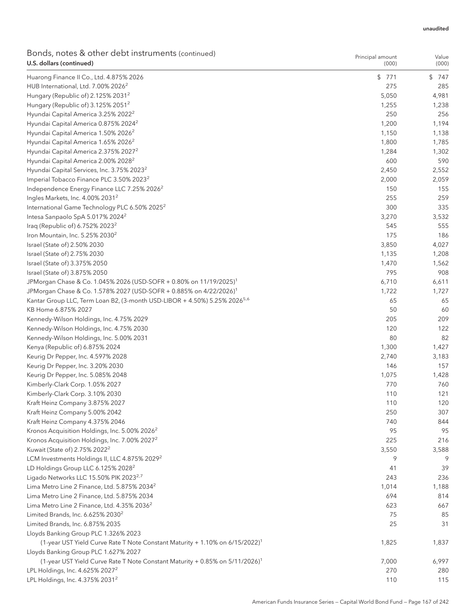| Bonds, notes & other debt instruments (continued)<br>U.S. dollars (continued)                                                    | Principal amount<br>(000) | Value<br>(000) |
|----------------------------------------------------------------------------------------------------------------------------------|---------------------------|----------------|
| Huarong Finance II Co., Ltd. 4.875% 2026                                                                                         | \$771                     | \$747          |
| HUB International, Ltd. 7.00% 2026 <sup>2</sup>                                                                                  | 275                       | 285            |
| Hungary (Republic of) 2.125% 2031 <sup>2</sup>                                                                                   | 5,050                     | 4,981          |
| Hungary (Republic of) 3.125% 2051 <sup>2</sup>                                                                                   | 1,255                     | 1,238          |
| Hyundai Capital America 3.25% 2022 <sup>2</sup>                                                                                  | 250                       | 256            |
| Hyundai Capital America 0.875% 2024 <sup>2</sup>                                                                                 | 1,200                     | 1,194          |
| Hyundai Capital America 1.50% 2026 <sup>2</sup>                                                                                  | 1,150                     | 1,138          |
| Hyundai Capital America 1.65% 2026 <sup>2</sup>                                                                                  | 1,800                     | 1,785          |
| Hyundai Capital America 2.375% 2027 <sup>2</sup>                                                                                 | 1,284                     | 1,302          |
| Hyundai Capital America 2.00% 2028 <sup>2</sup>                                                                                  | 600                       | 590            |
| Hyundai Capital Services, Inc. 3.75% 2023 <sup>2</sup>                                                                           | 2,450                     | 2,552          |
| Imperial Tobacco Finance PLC 3.50% 2023 <sup>2</sup>                                                                             | 2,000                     | 2,059          |
| Independence Energy Finance LLC 7.25% 2026 <sup>2</sup>                                                                          | 150                       | 155            |
| Ingles Markets, Inc. 4.00% 2031 <sup>2</sup>                                                                                     | 255                       | 259            |
| International Game Technology PLC 6.50% 2025 <sup>2</sup>                                                                        | 300                       | 335            |
| Intesa Sanpaolo SpA 5.017% 2024 <sup>2</sup>                                                                                     | 3,270                     | 3,532          |
| Iraq (Republic of) 6.752% 2023 <sup>2</sup>                                                                                      | 545                       | 555            |
| Iron Mountain, Inc. $5.25\%$ 2030 <sup>2</sup>                                                                                   | 175                       | 186            |
| Israel (State of) 2.50% 2030                                                                                                     | 3,850                     | 4,027          |
| Israel (State of) 2.75% 2030                                                                                                     | 1,135                     | 1,208          |
| Israel (State of) 3.375% 2050                                                                                                    | 1,470                     | 1,562          |
| Israel (State of) 3.875% 2050                                                                                                    | 795                       | 908            |
| JPMorgan Chase & Co. 1.045% 2026 (USD-SOFR + 0.80% on 11/19/2025) <sup>1</sup>                                                   | 6,710                     | 6,611          |
| JPMorgan Chase & Co. 1.578% 2027 (USD-SOFR + 0.885% on 4/22/2026) <sup>1</sup>                                                   | 1,722                     | 1,727          |
| Kantar Group LLC, Term Loan B2, (3-month USD-LIBOR + 4.50%) 5.25% 2026 <sup>5,6</sup>                                            | 65                        | 65             |
| KB Home 6.875% 2027                                                                                                              | 50                        | 60             |
| Kennedy-Wilson Holdings, Inc. 4.75% 2029                                                                                         | 205                       | 209            |
| Kennedy-Wilson Holdings, Inc. 4.75% 2030                                                                                         | 120                       | 122            |
| Kennedy-Wilson Holdings, Inc. 5.00% 2031                                                                                         | 80                        | 82             |
| Kenya (Republic of) 6.875% 2024                                                                                                  | 1,300                     | 1,427          |
| Keurig Dr Pepper, Inc. 4.597% 2028                                                                                               | 2,740                     | 3,183          |
| Keurig Dr Pepper, Inc. 3.20% 2030                                                                                                | 146                       | 157            |
| Keurig Dr Pepper, Inc. 5.085% 2048                                                                                               | 1,075                     | 1,428          |
| Kimberly-Clark Corp. 1.05% 2027                                                                                                  | 770                       | 760            |
| Kimberly-Clark Corp. 3.10% 2030                                                                                                  | 110                       | 121            |
| Kraft Heinz Company 3.875% 2027                                                                                                  | 110                       | 120            |
| Kraft Heinz Company 5.00% 2042                                                                                                   | 250                       | 307            |
| Kraft Heinz Company 4.375% 2046                                                                                                  | 740                       | 844            |
| Kronos Acquisition Holdings, Inc. 5.00% 2026 <sup>2</sup>                                                                        | 95                        | 95             |
| Kronos Acquisition Holdings, Inc. 7.00% 2027 <sup>2</sup>                                                                        | 225                       | 216            |
| Kuwait (State of) 2.75% 2022 <sup>2</sup>                                                                                        | 3,550                     | 3,588          |
| LCM Investments Holdings II, LLC 4.875% 2029 <sup>2</sup>                                                                        | 9                         | 9              |
| LD Holdings Group LLC 6.125% 2028 <sup>2</sup>                                                                                   | 41                        | 39             |
| Ligado Networks LLC 15.50% PIK 2023 <sup>2,7</sup>                                                                               | 243                       | 236            |
| Lima Metro Line 2 Finance, Ltd. 5.875% 2034 <sup>2</sup>                                                                         | 1,014                     | 1,188          |
|                                                                                                                                  | 694                       | 814            |
| Lima Metro Line 2 Finance, Ltd. 5.875% 2034                                                                                      |                           |                |
| Lima Metro Line 2 Finance, Ltd. 4.35% 2036 <sup>2</sup>                                                                          | 623                       | 667            |
| Limited Brands, Inc. 6.625% 2030 <sup>2</sup>                                                                                    | 75<br>25                  | 85<br>31       |
| Limited Brands, Inc. 6.875% 2035                                                                                                 |                           |                |
| Lloyds Banking Group PLC 1.326% 2023                                                                                             |                           |                |
| (1-year UST Yield Curve Rate T Note Constant Maturity + 1.10% on 6/15/2022) <sup>1</sup><br>Lloyds Banking Group PLC 1.627% 2027 | 1,825                     | 1,837          |
| (1-year UST Yield Curve Rate T Note Constant Maturity + 0.85% on 5/11/2026) <sup>1</sup>                                         | 7,000                     | 6,997          |
| LPL Holdings, Inc. 4.625% 2027 <sup>2</sup>                                                                                      | 270                       | 280            |
|                                                                                                                                  |                           |                |

LPL Holdings, Inc. 4.375% 2031<sup>2</sup> 20031<sup>2</sup> 20031<sup>2</sup> 2004 2014 2020 2021 2021 2022 2031<sup>2</sup> 2021 2022 2031<sup>2</sup> 2022 2023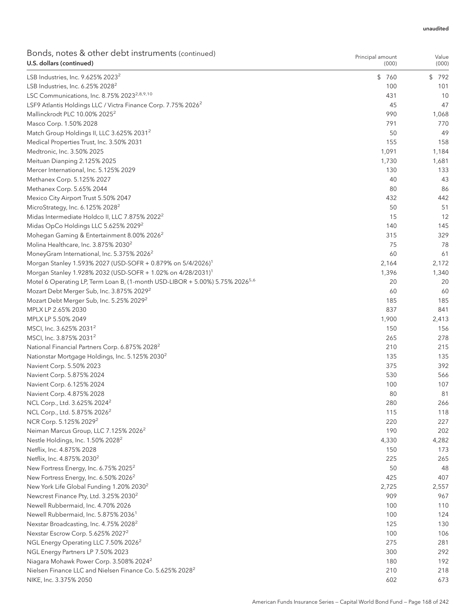| Bonds, notes & other debt instruments (continued)<br>U.S. dollars (continued)            | Principal amount<br>(000) | Value<br>(000) |
|------------------------------------------------------------------------------------------|---------------------------|----------------|
| LSB Industries, Inc. 9.625% 2023 <sup>2</sup>                                            | \$760                     | \$792          |
| LSB Industries, Inc. $6.25\%$ 2028 <sup>2</sup>                                          | 100                       | 101            |
| LSC Communications, Inc. 8.75% 2023 <sup>2,8,9,10</sup>                                  | 431                       | 10             |
| LSF9 Atlantis Holdings LLC / Victra Finance Corp. 7.75% 2026 <sup>2</sup>                | 45                        | 47             |
| Mallinckrodt PLC 10.00% 2025 <sup>2</sup>                                                | 990                       | 1,068          |
| Masco Corp. 1.50% 2028                                                                   | 791                       | 770            |
| Match Group Holdings II, LLC 3.625% 2031 <sup>2</sup>                                    | 50                        | 49             |
| Medical Properties Trust, Inc. 3.50% 2031                                                | 155                       | 158            |
| Medtronic, Inc. 3.50% 2025                                                               | 1,091                     | 1,184          |
| Meituan Dianping 2.125% 2025                                                             | 1,730                     | 1,681          |
| Mercer International, Inc. 5.125% 2029                                                   | 130                       | 133            |
| Methanex Corp. 5.125% 2027                                                               | 40                        | 43             |
| Methanex Corp. 5.65% 2044                                                                | 80                        | 86             |
| Mexico City Airport Trust 5.50% 2047                                                     | 432                       | 442            |
| MicroStrategy, Inc. 6.125% 2028 <sup>2</sup>                                             | 50                        | 51             |
| Midas Intermediate Holdco II, LLC 7.875% 2022 <sup>2</sup>                               | 15                        | 12             |
| Midas OpCo Holdings LLC 5.625% 2029 <sup>2</sup>                                         | 140                       | 145            |
| Mohegan Gaming & Entertainment 8.00% 2026 <sup>2</sup>                                   | 315                       | 329            |
| Molina Healthcare, Inc. 3.875% 2030 <sup>2</sup>                                         | 75                        | 78             |
| MoneyGram International, Inc. 5.375% 2026 <sup>2</sup>                                   | 60                        | 61             |
| Morgan Stanley 1.593% 2027 (USD-SOFR + 0.879% on 5/4/2026) <sup>1</sup>                  | 2,164                     | 2,172          |
| Morgan Stanley 1.928% 2032 (USD-SOFR + 1.02% on 4/28/2031) <sup>1</sup>                  | 1,396                     | 1,340          |
| Motel 6 Operating LP, Term Loan B, (1-month USD-LIBOR + 5.00%) 5.75% 2026 <sup>5,6</sup> | 20                        | 20             |
| Mozart Debt Merger Sub, Inc. 3.875% 2029 <sup>2</sup>                                    | 60                        | 60             |
| Mozart Debt Merger Sub, Inc. 5.25% 2029 <sup>2</sup>                                     | 185                       | 185            |
| MPLX LP 2.65% 2030                                                                       | 837                       | 841            |
| MPLX LP 5.50% 2049                                                                       | 1,900                     | 2,413          |
| MSCI, Inc. 3.625% 2031 <sup>2</sup>                                                      | 150                       | 156            |
| MSCI, Inc. 3.875% 2031 <sup>2</sup>                                                      | 265                       | 278            |
|                                                                                          | 210                       | 215            |
| National Financial Partners Corp. 6.875% 2028 <sup>2</sup>                               | 135                       | 135            |
| Nationstar Mortgage Holdings, Inc. 5.125% 2030 <sup>2</sup>                              | 375                       | 392            |
| Navient Corp. 5.50% 2023                                                                 | 530                       | 566            |
| Navient Corp. 5.875% 2024                                                                | 100                       | 107            |
| Navient Corp. 6.125% 2024<br>Navient Corp. 4.875% 2028                                   | 80                        | 81             |
|                                                                                          | 280                       |                |
| NCL Corp., Ltd. 3.625% 2024 <sup>2</sup><br>NCL Corp., Ltd. 5.875% 2026 <sup>2</sup>     | 115                       | 266<br>118     |
|                                                                                          |                           |                |
| NCR Corp. 5.125% 2029 <sup>2</sup>                                                       | 220                       | 227            |
| Neiman Marcus Group, LLC 7.125% 2026 <sup>2</sup>                                        | 190                       | 202            |
| Nestle Holdings, Inc. 1.50% 2028 <sup>2</sup>                                            | 4,330                     | 4,282          |
| Netflix, Inc. 4.875% 2028                                                                | 150                       | 173            |
| Netflix, Inc. 4.875% 2030 <sup>2</sup>                                                   | 225                       | 265            |
| New Fortress Energy, Inc. 6.75% 2025 <sup>2</sup>                                        | 50                        | 48             |
| New Fortress Energy, Inc. 6.50% 2026 <sup>2</sup>                                        | 425                       | 407            |
| New York Life Global Funding 1.20% 2030 <sup>2</sup>                                     | 2,725                     | 2,557          |
| Newcrest Finance Pty, Ltd. 3.25% 2030 <sup>2</sup>                                       | 909                       | 967            |
| Newell Rubbermaid, Inc. 4.70% 2026                                                       | 100                       | 110            |
| Newell Rubbermaid, Inc. 5.875% 2036 <sup>1</sup>                                         | 100                       | 124            |
| Nexstar Broadcasting, Inc. 4.75% 2028 <sup>2</sup>                                       | 125                       | 130            |
| Nexstar Escrow Corp. 5.625% 2027 <sup>2</sup>                                            | 100                       | 106            |
| NGL Energy Operating LLC 7.50% 2026 <sup>2</sup>                                         | 275                       | 281            |
| NGL Energy Partners LP 7.50% 2023                                                        | 300                       | 292            |
| Niagara Mohawk Power Corp. 3.508% 2024 <sup>2</sup>                                      | 180                       | 192            |
| Nielsen Finance LLC and Nielsen Finance Co. 5.625% 2028 <sup>2</sup>                     | 210                       | 218            |
| NIKE, Inc. 3.375% 2050                                                                   | 602                       | 673            |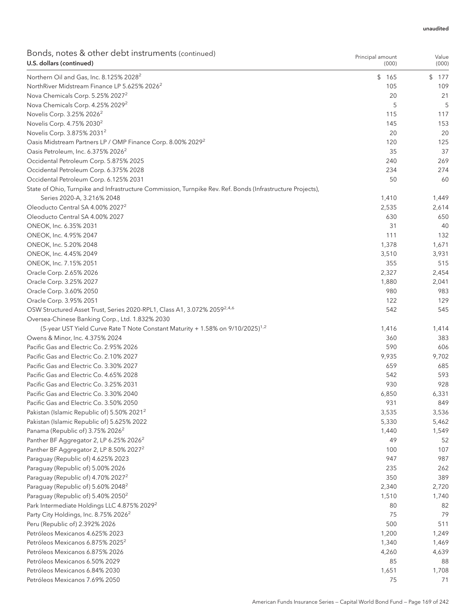| Bonds, notes & other debt instruments (continued)<br>U.S. dollars (continued)                              | Principal amount<br>(000) | Value<br>(000) |
|------------------------------------------------------------------------------------------------------------|---------------------------|----------------|
| Northern Oil and Gas, Inc. 8.125% 2028 <sup>2</sup>                                                        | \$165                     | \$177          |
| NorthRiver Midstream Finance LP 5.625% 2026 <sup>2</sup>                                                   | 105                       | 109            |
| Nova Chemicals Corp. 5.25% 2027 <sup>2</sup>                                                               | 20                        | 21             |
| Nova Chemicals Corp. 4.25% 2029 <sup>2</sup>                                                               | 5                         | 5              |
| Novelis Corp. 3.25% 2026 <sup>2</sup>                                                                      | 115                       | 117            |
| Novelis Corp. 4.75% 2030 <sup>2</sup>                                                                      | 145                       | 153            |
| Novelis Corp. 3.875% 2031 <sup>2</sup>                                                                     | 20                        | 20             |
| Oasis Midstream Partners LP / OMP Finance Corp. 8.00% 2029 <sup>2</sup>                                    | 120                       | 125            |
| Oasis Petroleum, Inc. 6.375% 2026 <sup>2</sup>                                                             | 35                        | 37             |
| Occidental Petroleum Corp. 5.875% 2025                                                                     | 240                       | 269            |
| Occidental Petroleum Corp. 6.375% 2028                                                                     | 234                       | 274            |
| Occidental Petroleum Corp. 6.125% 2031                                                                     | 50                        | 60             |
| State of Ohio, Turnpike and Infrastructure Commission, Turnpike Rev. Ref. Bonds (Infrastructure Projects), |                           |                |
| Series 2020-A, 3.216% 2048                                                                                 | 1,410                     | 1,449          |
| Oleoducto Central SA 4.00% 2027 <sup>2</sup>                                                               | 2,535                     | 2,614          |
| Oleoducto Central SA 4.00% 2027                                                                            | 630                       | 650            |
| ONEOK, Inc. 6.35% 2031                                                                                     | 31                        | 40             |
| ONEOK, Inc. 4.95% 2047                                                                                     | 111                       | 132            |
| ONEOK, Inc. 5.20% 2048                                                                                     | 1,378                     | 1,671          |
| ONEOK, Inc. 4.45% 2049                                                                                     | 3,510                     | 3,931          |
| ONEOK, Inc. 7.15% 2051                                                                                     | 355                       | 515            |
| Oracle Corp. 2.65% 2026                                                                                    | 2,327                     | 2,454          |
| Oracle Corp. 3.25% 2027                                                                                    | 1,880                     | 2,041          |
| Oracle Corp. 3.60% 2050                                                                                    | 980                       | 983            |
| Oracle Corp. 3.95% 2051                                                                                    | 122                       | 129            |
| OSW Structured Asset Trust, Series 2020-RPL1, Class A1, 3.072% 2059 <sup>2,4,6</sup>                       | 542                       | 545            |
|                                                                                                            |                           |                |
| Oversea-Chinese Banking Corp., Ltd. 1.832% 2030                                                            |                           |                |
| (5-year UST Yield Curve Rate T Note Constant Maturity + 1.58% on 9/10/2025) <sup>1,2</sup>                 | 1,416                     | 1,414          |
| Owens & Minor, Inc. 4.375% 2024                                                                            | 360                       | 383            |
| Pacific Gas and Electric Co. 2.95% 2026                                                                    | 590                       | 606            |
| Pacific Gas and Electric Co. 2.10% 2027                                                                    | 9,935                     | 9,702          |
| Pacific Gas and Electric Co. 3.30% 2027                                                                    | 659                       | 685            |
| Pacific Gas and Electric Co. 4.65% 2028                                                                    | 542                       | 593            |
| Pacific Gas and Electric Co. 3.25% 2031                                                                    | 930                       | 928            |
| Pacific Gas and Electric Co. 3.30% 2040                                                                    | 6,850                     | 6,331          |
| Pacific Gas and Electric Co. 3.50% 2050                                                                    | 931                       | 849            |
| Pakistan (Islamic Republic of) 5.50% 2021 <sup>2</sup>                                                     | 3,535                     | 3,536          |
| Pakistan (Islamic Republic of) 5.625% 2022                                                                 | 5,330                     | 5,462          |
| Panama (Republic of) 3.75% 2026 <sup>2</sup>                                                               | 1,440                     | 1,549          |
| Panther BF Aggregator 2, LP 6.25% 2026 <sup>2</sup>                                                        | 49                        | 52             |
| Panther BF Aggregator 2, LP 8.50% 2027 <sup>2</sup>                                                        | 100                       | 107            |
| Paraguay (Republic of) 4.625% 2023                                                                         | 947                       | 987            |
| Paraguay (Republic of) 5.00% 2026                                                                          | 235                       | 262            |
| Paraguay (Republic of) 4.70% 2027 <sup>2</sup>                                                             | 350                       | 389            |
| Paraguay (Republic of) 5.60% 2048 <sup>2</sup>                                                             | 2,340                     | 2,720          |
| Paraguay (Republic of) 5.40% 2050 <sup>2</sup>                                                             | 1,510                     | 1,740          |
| Park Intermediate Holdings LLC 4.875% 2029 <sup>2</sup>                                                    | 80                        | 82             |
| Party City Holdings, Inc. 8.75% 2026 <sup>2</sup>                                                          | 75                        | 79             |
| Peru (Republic of) 2.392% 2026                                                                             | 500                       | 511            |
| Petróleos Mexicanos 4.625% 2023                                                                            | 1,200                     | 1,249          |
| Petróleos Mexicanos 6.875% 2025 <sup>2</sup>                                                               | 1,340                     | 1,469          |
| Petróleos Mexicanos 6.875% 2026                                                                            | 4,260                     | 4,639          |
| Petróleos Mexicanos 6.50% 2029                                                                             | 85                        | 88             |
| Petróleos Mexicanos 6.84% 2030                                                                             | 1,651                     | 1,708          |
| Petróleos Mexicanos 7.69% 2050                                                                             | 75                        | 71             |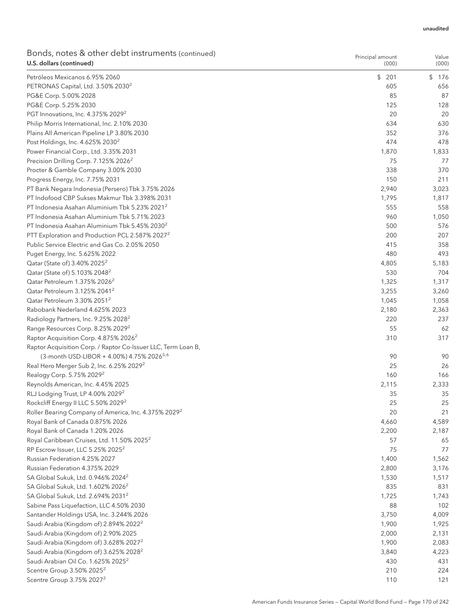| Bonds, notes & other debt instruments (continued)<br>U.S. dollars (continued)                        | Principal amount<br>(000) | Value<br>(000) |
|------------------------------------------------------------------------------------------------------|---------------------------|----------------|
| Petróleos Mexicanos 6.95% 2060                                                                       | \$201                     | \$176          |
| PETRONAS Capital, Ltd. 3.50% 2030 <sup>2</sup>                                                       | 605                       | 656            |
| PG&E Corp. 5.00% 2028                                                                                | 85                        | 87             |
| PG&E Corp. 5.25% 2030                                                                                | 125                       | 128            |
| PGT Innovations, Inc. 4.375% 2029 <sup>2</sup>                                                       | 20                        | 20             |
| Philip Morris International, Inc. 2.10% 2030                                                         | 634                       | 630            |
| Plains All American Pipeline LP 3.80% 2030                                                           | 352                       | 376            |
| Post Holdings, Inc. 4.625% 2030 <sup>2</sup>                                                         | 474                       | 478            |
| Power Financial Corp., Ltd. 3.35% 2031                                                               | 1,870                     | 1,833          |
| Precision Drilling Corp. 7.125% 2026 <sup>2</sup>                                                    | 75                        | 77             |
| Procter & Gamble Company 3.00% 2030                                                                  | 338                       | 370            |
| Progress Energy, Inc. 7.75% 2031                                                                     | 150                       | 211            |
| PT Bank Negara Indonesia (Persero) Tbk 3.75% 2026                                                    | 2,940                     | 3,023          |
| PT Indofood CBP Sukses Makmur Tbk 3.398% 2031                                                        | 1,795                     | 1,817          |
| PT Indonesia Asahan Aluminium Tbk 5.23% 2021 <sup>2</sup>                                            | 555                       | 558            |
| PT Indonesia Asahan Aluminium Tbk 5.71% 2023                                                         | 960                       | 1,050          |
| PT Indonesia Asahan Aluminium Tbk 5.45% 2030 <sup>2</sup>                                            | 500                       | 576            |
| PTT Exploration and Production PCL 2.587% 2027 <sup>2</sup>                                          | 200                       | 207            |
| Public Service Electric and Gas Co. 2.05% 2050                                                       | 415                       | 358            |
| Puget Energy, Inc. 5.625% 2022                                                                       | 480                       | 493            |
| Qatar (State of) 3.40% 2025 <sup>2</sup>                                                             | 4,805                     | 5,183          |
| Qatar (State of) 5.103% 2048 <sup>2</sup>                                                            | 530                       | 704            |
| Qatar Petroleum 1.375% 2026 <sup>2</sup>                                                             | 1,325                     | 1,317          |
| Qatar Petroleum 3.125% 2041 <sup>2</sup>                                                             | 3,255                     | 3,260          |
| Qatar Petroleum 3.30% 2051 <sup>2</sup>                                                              | 1,045                     | 1,058          |
| Rabobank Nederland 4.625% 2023                                                                       | 2,180                     | 2,363          |
| Radiology Partners, Inc. 9.25% 2028 <sup>2</sup>                                                     | 220                       | 237            |
| Range Resources Corp. 8.25% 2029 <sup>2</sup>                                                        | 55                        | 62             |
| Raptor Acquisition Corp. 4.875% 2026 <sup>2</sup>                                                    | 310                       | 317            |
| Raptor Acquisition Corp. / Raptor Co-Issuer LLC, Term Loan B,                                        |                           |                |
| (3-month USD-LIBOR + 4.00%) 4.75% 2026 <sup>5,6</sup>                                                | 90                        | 90             |
| Real Hero Merger Sub 2, Inc. 6.25% 2029 <sup>2</sup>                                                 | 25                        | 26             |
| Realogy Corp. 5.75% 2029 <sup>2</sup>                                                                | 160                       | 166            |
| Reynolds American, Inc. 4.45% 2025                                                                   |                           |                |
| RLJ Lodging Trust, LP 4.00% 2029 <sup>2</sup>                                                        | 2,115<br>35               | 2,333<br>35    |
|                                                                                                      | 25                        |                |
| Rockcliff Energy II LLC 5.50% 2029 <sup>2</sup>                                                      | 20                        | 25<br>21       |
| Roller Bearing Company of America, Inc. 4.375% 2029 <sup>2</sup><br>Royal Bank of Canada 0.875% 2026 |                           |                |
|                                                                                                      | 4,660                     | 4,589          |
| Royal Bank of Canada 1.20% 2026                                                                      | 2,200                     | 2,187          |
| Royal Caribbean Cruises, Ltd. 11.50% 2025 <sup>2</sup>                                               | 57                        | 65             |
| RP Escrow Issuer, LLC 5.25% 2025 <sup>2</sup>                                                        | 75                        | 77             |
| Russian Federation 4.25% 2027                                                                        | 1,400                     | 1,562          |
| Russian Federation 4.375% 2029                                                                       | 2,800                     | 3,176          |
| SA Global Sukuk, Ltd. 0.946% 2024 <sup>2</sup>                                                       | 1,530                     | 1,517          |
| SA Global Sukuk, Ltd. 1.602% 2026 <sup>2</sup>                                                       | 835                       | 831            |
| SA Global Sukuk, Ltd. 2.694% 2031 <sup>2</sup>                                                       | 1,725                     | 1,743          |
| Sabine Pass Liquefaction, LLC 4.50% 2030                                                             | 88                        | 102            |
| Santander Holdings USA, Inc. 3.244% 2026                                                             | 3,750                     | 4,009          |
| Saudi Arabia (Kingdom of) 2.894% 2022 <sup>2</sup>                                                   | 1,900                     | 1,925          |
| Saudi Arabia (Kingdom of) 2.90% 2025                                                                 | 2,000                     | 2,131          |
| Saudi Arabia (Kingdom of) 3.628% 2027 <sup>2</sup>                                                   | 1,900                     | 2,083          |
| Saudi Arabia (Kingdom of) 3.625% 2028 <sup>2</sup>                                                   | 3,840                     | 4,223          |
| Saudi Arabian Oil Co. 1.625% 2025 <sup>2</sup>                                                       | 430                       | 431            |
| Scentre Group 3.50% 2025 <sup>2</sup>                                                                | 210                       | 224            |
| Scentre Group 3.75% 2027 <sup>2</sup>                                                                | 110                       | 121            |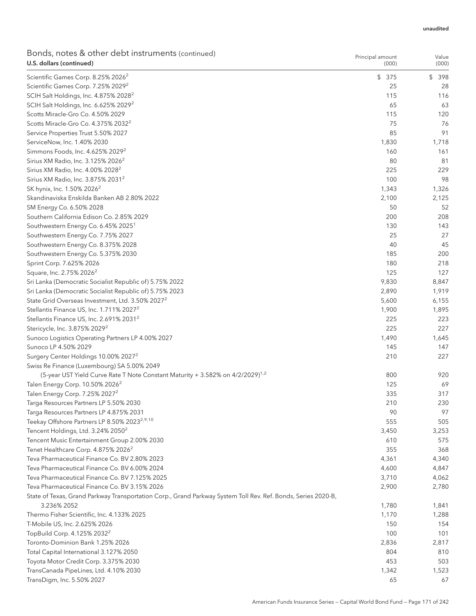| \$375<br>\$<br>Scientific Games Corp. 8.25% 2026 <sup>2</sup><br>398<br>25<br>Scientific Games Corp. 7.25% 2029 <sup>2</sup><br>28<br>SCIH Salt Holdings, Inc. 4.875% 2028 <sup>2</sup><br>115<br>116<br>SCIH Salt Holdings, Inc. 6.625% 2029 <sup>2</sup><br>65<br>63<br>Scotts Miracle-Gro Co. 4.50% 2029<br>115<br>120<br>75<br>Scotts Miracle-Gro Co. 4.375% 2032 <sup>2</sup><br>76<br>91<br>Service Properties Trust 5.50% 2027<br>85<br>ServiceNow, Inc. 1.40% 2030<br>1,830<br>1,718<br>Simmons Foods, Inc. 4.625% 2029 <sup>2</sup><br>160<br>161<br>Sirius XM Radio, Inc. 3.125% 2026 <sup>2</sup><br>80<br>81<br>229<br>Sirius XM Radio, Inc. 4.00% 2028 <sup>2</sup><br>225<br>100<br>98<br>Sirius XM Radio, Inc. 3.875% 2031 <sup>2</sup><br>SK hynix, Inc. 1.50% 2026 <sup>2</sup><br>1,343<br>Skandinaviska Enskilda Banken AB 2.80% 2022<br>2,100<br>2,125<br>SM Energy Co. 6.50% 2028<br>50<br>52<br>Southern California Edison Co. 2.85% 2029<br>200<br>208<br>Southwestern Energy Co. 6.45% 2025 <sup>1</sup><br>130<br>143<br>Southwestern Energy Co. 7.75% 2027<br>25<br>27<br>45<br>Southwestern Energy Co. 8.375% 2028<br>40<br>200<br>Southwestern Energy Co. 5.375% 2030<br>185<br>180<br>218<br>Sprint Corp. 7.625% 2026<br>Square, Inc. 2.75% 2026 <sup>2</sup><br>125<br>127<br>Sri Lanka (Democratic Socialist Republic of) 5.75% 2022<br>9,830<br>8,847<br>Sri Lanka (Democratic Socialist Republic of) 5.75% 2023<br>2,890<br>1,919<br>State Grid Overseas Investment, Ltd. 3.50% 2027 <sup>2</sup><br>5,600<br>6,155<br>Stellantis Finance US, Inc. 1.711% 2027 <sup>2</sup><br>1,900<br>1,895<br>Stellantis Finance US, Inc. 2.691% 2031 <sup>2</sup><br>225<br>223<br>Stericycle, Inc. 3.875% 2029 <sup>2</sup><br>225<br>227<br>Sunoco Logistics Operating Partners LP 4.00% 2027<br>1,490<br>1,645<br>Sunoco LP 4.50% 2029<br>145<br>147<br>Surgery Center Holdings 10.00% 2027 <sup>2</sup><br>210<br>227<br>Swiss Re Finance (Luxembourg) SA 5.00% 2049<br>(5-year UST Yield Curve Rate T Note Constant Maturity + 3.582% on 4/2/2029) <sup>1,2</sup><br>800<br>920<br>Talen Energy Corp. 10.50% 2026 <sup>2</sup><br>125<br>69<br>335<br>317<br>Talen Energy Corp. 7.25% 2027 <sup>2</sup><br>Targa Resources Partners LP 5.50% 2030<br>210<br>230<br>97<br>90<br>Targa Resources Partners LP 4.875% 2031<br>Teekay Offshore Partners LP 8.50% 2023 <sup>2,9,10</sup><br>555<br>505<br>Tencent Holdings, Ltd. 3.24% 2050 <sup>2</sup><br>3,450<br>3,253<br>Tencent Music Entertainment Group 2.00% 2030<br>610<br>575<br>Tenet Healthcare Corp. 4.875% 2026 <sup>2</sup><br>355<br>368<br>Teva Pharmaceutical Finance Co. BV 2.80% 2023<br>4,361<br>4,340<br>Teva Pharmaceutical Finance Co. BV 6.00% 2024<br>4,600<br>4,847<br>Teva Pharmaceutical Finance Co. BV 7.125% 2025<br>3,710<br>4,062<br>Teva Pharmaceutical Finance Co. BV 3.15% 2026<br>2,780<br>2,900<br>State of Texas, Grand Parkway Transportation Corp., Grand Parkway System Toll Rev. Ref. Bonds, Series 2020-B,<br>3.236% 2052<br>1,780<br>1,841<br>Thermo Fisher Scientific, Inc. 4.133% 2025<br>1,170<br>1,288<br>T-Mobile US, Inc. 2.625% 2026<br>150<br>154<br>TopBuild Corp. 4.125% 2032 <sup>2</sup><br>100<br>101<br>Toronto-Dominion Bank 1.25% 2026<br>2,836<br>2,817<br>Total Capital International 3.127% 2050<br>804<br>810<br>Toyota Motor Credit Corp. 3.375% 2030<br>453<br>503<br>TransCanada PipeLines, Ltd. 4.10% 2030<br>1,342<br>1,523<br>TransDigm, Inc. 5.50% 2027<br>65<br>67 | Bonds, notes & other debt instruments (continued)<br>U.S. dollars (continued) | Principal amount<br>(000) | Value<br>(000) |
|------------------------------------------------------------------------------------------------------------------------------------------------------------------------------------------------------------------------------------------------------------------------------------------------------------------------------------------------------------------------------------------------------------------------------------------------------------------------------------------------------------------------------------------------------------------------------------------------------------------------------------------------------------------------------------------------------------------------------------------------------------------------------------------------------------------------------------------------------------------------------------------------------------------------------------------------------------------------------------------------------------------------------------------------------------------------------------------------------------------------------------------------------------------------------------------------------------------------------------------------------------------------------------------------------------------------------------------------------------------------------------------------------------------------------------------------------------------------------------------------------------------------------------------------------------------------------------------------------------------------------------------------------------------------------------------------------------------------------------------------------------------------------------------------------------------------------------------------------------------------------------------------------------------------------------------------------------------------------------------------------------------------------------------------------------------------------------------------------------------------------------------------------------------------------------------------------------------------------------------------------------------------------------------------------------------------------------------------------------------------------------------------------------------------------------------------------------------------------------------------------------------------------------------------------------------------------------------------------------------------------------------------------------------------------------------------------------------------------------------------------------------------------------------------------------------------------------------------------------------------------------------------------------------------------------------------------------------------------------------------------------------------------------------------------------------------------------------------------------------------------------------------------------------------------------------------------------------------------------------------------------------------------------------------------------------------------------------------------------------------------------------------------------------------------------------------------------------------------------------------------------------|-------------------------------------------------------------------------------|---------------------------|----------------|
|                                                                                                                                                                                                                                                                                                                                                                                                                                                                                                                                                                                                                                                                                                                                                                                                                                                                                                                                                                                                                                                                                                                                                                                                                                                                                                                                                                                                                                                                                                                                                                                                                                                                                                                                                                                                                                                                                                                                                                                                                                                                                                                                                                                                                                                                                                                                                                                                                                                                                                                                                                                                                                                                                                                                                                                                                                                                                                                                                                                                                                                                                                                                                                                                                                                                                                                                                                                                                                                                                                                  |                                                                               |                           |                |
|                                                                                                                                                                                                                                                                                                                                                                                                                                                                                                                                                                                                                                                                                                                                                                                                                                                                                                                                                                                                                                                                                                                                                                                                                                                                                                                                                                                                                                                                                                                                                                                                                                                                                                                                                                                                                                                                                                                                                                                                                                                                                                                                                                                                                                                                                                                                                                                                                                                                                                                                                                                                                                                                                                                                                                                                                                                                                                                                                                                                                                                                                                                                                                                                                                                                                                                                                                                                                                                                                                                  |                                                                               |                           |                |
|                                                                                                                                                                                                                                                                                                                                                                                                                                                                                                                                                                                                                                                                                                                                                                                                                                                                                                                                                                                                                                                                                                                                                                                                                                                                                                                                                                                                                                                                                                                                                                                                                                                                                                                                                                                                                                                                                                                                                                                                                                                                                                                                                                                                                                                                                                                                                                                                                                                                                                                                                                                                                                                                                                                                                                                                                                                                                                                                                                                                                                                                                                                                                                                                                                                                                                                                                                                                                                                                                                                  |                                                                               |                           |                |
|                                                                                                                                                                                                                                                                                                                                                                                                                                                                                                                                                                                                                                                                                                                                                                                                                                                                                                                                                                                                                                                                                                                                                                                                                                                                                                                                                                                                                                                                                                                                                                                                                                                                                                                                                                                                                                                                                                                                                                                                                                                                                                                                                                                                                                                                                                                                                                                                                                                                                                                                                                                                                                                                                                                                                                                                                                                                                                                                                                                                                                                                                                                                                                                                                                                                                                                                                                                                                                                                                                                  |                                                                               |                           |                |
|                                                                                                                                                                                                                                                                                                                                                                                                                                                                                                                                                                                                                                                                                                                                                                                                                                                                                                                                                                                                                                                                                                                                                                                                                                                                                                                                                                                                                                                                                                                                                                                                                                                                                                                                                                                                                                                                                                                                                                                                                                                                                                                                                                                                                                                                                                                                                                                                                                                                                                                                                                                                                                                                                                                                                                                                                                                                                                                                                                                                                                                                                                                                                                                                                                                                                                                                                                                                                                                                                                                  |                                                                               |                           |                |
|                                                                                                                                                                                                                                                                                                                                                                                                                                                                                                                                                                                                                                                                                                                                                                                                                                                                                                                                                                                                                                                                                                                                                                                                                                                                                                                                                                                                                                                                                                                                                                                                                                                                                                                                                                                                                                                                                                                                                                                                                                                                                                                                                                                                                                                                                                                                                                                                                                                                                                                                                                                                                                                                                                                                                                                                                                                                                                                                                                                                                                                                                                                                                                                                                                                                                                                                                                                                                                                                                                                  |                                                                               |                           |                |
|                                                                                                                                                                                                                                                                                                                                                                                                                                                                                                                                                                                                                                                                                                                                                                                                                                                                                                                                                                                                                                                                                                                                                                                                                                                                                                                                                                                                                                                                                                                                                                                                                                                                                                                                                                                                                                                                                                                                                                                                                                                                                                                                                                                                                                                                                                                                                                                                                                                                                                                                                                                                                                                                                                                                                                                                                                                                                                                                                                                                                                                                                                                                                                                                                                                                                                                                                                                                                                                                                                                  |                                                                               |                           |                |
|                                                                                                                                                                                                                                                                                                                                                                                                                                                                                                                                                                                                                                                                                                                                                                                                                                                                                                                                                                                                                                                                                                                                                                                                                                                                                                                                                                                                                                                                                                                                                                                                                                                                                                                                                                                                                                                                                                                                                                                                                                                                                                                                                                                                                                                                                                                                                                                                                                                                                                                                                                                                                                                                                                                                                                                                                                                                                                                                                                                                                                                                                                                                                                                                                                                                                                                                                                                                                                                                                                                  |                                                                               |                           |                |
|                                                                                                                                                                                                                                                                                                                                                                                                                                                                                                                                                                                                                                                                                                                                                                                                                                                                                                                                                                                                                                                                                                                                                                                                                                                                                                                                                                                                                                                                                                                                                                                                                                                                                                                                                                                                                                                                                                                                                                                                                                                                                                                                                                                                                                                                                                                                                                                                                                                                                                                                                                                                                                                                                                                                                                                                                                                                                                                                                                                                                                                                                                                                                                                                                                                                                                                                                                                                                                                                                                                  |                                                                               |                           |                |
|                                                                                                                                                                                                                                                                                                                                                                                                                                                                                                                                                                                                                                                                                                                                                                                                                                                                                                                                                                                                                                                                                                                                                                                                                                                                                                                                                                                                                                                                                                                                                                                                                                                                                                                                                                                                                                                                                                                                                                                                                                                                                                                                                                                                                                                                                                                                                                                                                                                                                                                                                                                                                                                                                                                                                                                                                                                                                                                                                                                                                                                                                                                                                                                                                                                                                                                                                                                                                                                                                                                  |                                                                               |                           |                |
|                                                                                                                                                                                                                                                                                                                                                                                                                                                                                                                                                                                                                                                                                                                                                                                                                                                                                                                                                                                                                                                                                                                                                                                                                                                                                                                                                                                                                                                                                                                                                                                                                                                                                                                                                                                                                                                                                                                                                                                                                                                                                                                                                                                                                                                                                                                                                                                                                                                                                                                                                                                                                                                                                                                                                                                                                                                                                                                                                                                                                                                                                                                                                                                                                                                                                                                                                                                                                                                                                                                  |                                                                               |                           |                |
|                                                                                                                                                                                                                                                                                                                                                                                                                                                                                                                                                                                                                                                                                                                                                                                                                                                                                                                                                                                                                                                                                                                                                                                                                                                                                                                                                                                                                                                                                                                                                                                                                                                                                                                                                                                                                                                                                                                                                                                                                                                                                                                                                                                                                                                                                                                                                                                                                                                                                                                                                                                                                                                                                                                                                                                                                                                                                                                                                                                                                                                                                                                                                                                                                                                                                                                                                                                                                                                                                                                  |                                                                               |                           |                |
|                                                                                                                                                                                                                                                                                                                                                                                                                                                                                                                                                                                                                                                                                                                                                                                                                                                                                                                                                                                                                                                                                                                                                                                                                                                                                                                                                                                                                                                                                                                                                                                                                                                                                                                                                                                                                                                                                                                                                                                                                                                                                                                                                                                                                                                                                                                                                                                                                                                                                                                                                                                                                                                                                                                                                                                                                                                                                                                                                                                                                                                                                                                                                                                                                                                                                                                                                                                                                                                                                                                  |                                                                               |                           | 1,326          |
|                                                                                                                                                                                                                                                                                                                                                                                                                                                                                                                                                                                                                                                                                                                                                                                                                                                                                                                                                                                                                                                                                                                                                                                                                                                                                                                                                                                                                                                                                                                                                                                                                                                                                                                                                                                                                                                                                                                                                                                                                                                                                                                                                                                                                                                                                                                                                                                                                                                                                                                                                                                                                                                                                                                                                                                                                                                                                                                                                                                                                                                                                                                                                                                                                                                                                                                                                                                                                                                                                                                  |                                                                               |                           |                |
|                                                                                                                                                                                                                                                                                                                                                                                                                                                                                                                                                                                                                                                                                                                                                                                                                                                                                                                                                                                                                                                                                                                                                                                                                                                                                                                                                                                                                                                                                                                                                                                                                                                                                                                                                                                                                                                                                                                                                                                                                                                                                                                                                                                                                                                                                                                                                                                                                                                                                                                                                                                                                                                                                                                                                                                                                                                                                                                                                                                                                                                                                                                                                                                                                                                                                                                                                                                                                                                                                                                  |                                                                               |                           |                |
|                                                                                                                                                                                                                                                                                                                                                                                                                                                                                                                                                                                                                                                                                                                                                                                                                                                                                                                                                                                                                                                                                                                                                                                                                                                                                                                                                                                                                                                                                                                                                                                                                                                                                                                                                                                                                                                                                                                                                                                                                                                                                                                                                                                                                                                                                                                                                                                                                                                                                                                                                                                                                                                                                                                                                                                                                                                                                                                                                                                                                                                                                                                                                                                                                                                                                                                                                                                                                                                                                                                  |                                                                               |                           |                |
|                                                                                                                                                                                                                                                                                                                                                                                                                                                                                                                                                                                                                                                                                                                                                                                                                                                                                                                                                                                                                                                                                                                                                                                                                                                                                                                                                                                                                                                                                                                                                                                                                                                                                                                                                                                                                                                                                                                                                                                                                                                                                                                                                                                                                                                                                                                                                                                                                                                                                                                                                                                                                                                                                                                                                                                                                                                                                                                                                                                                                                                                                                                                                                                                                                                                                                                                                                                                                                                                                                                  |                                                                               |                           |                |
|                                                                                                                                                                                                                                                                                                                                                                                                                                                                                                                                                                                                                                                                                                                                                                                                                                                                                                                                                                                                                                                                                                                                                                                                                                                                                                                                                                                                                                                                                                                                                                                                                                                                                                                                                                                                                                                                                                                                                                                                                                                                                                                                                                                                                                                                                                                                                                                                                                                                                                                                                                                                                                                                                                                                                                                                                                                                                                                                                                                                                                                                                                                                                                                                                                                                                                                                                                                                                                                                                                                  |                                                                               |                           |                |
|                                                                                                                                                                                                                                                                                                                                                                                                                                                                                                                                                                                                                                                                                                                                                                                                                                                                                                                                                                                                                                                                                                                                                                                                                                                                                                                                                                                                                                                                                                                                                                                                                                                                                                                                                                                                                                                                                                                                                                                                                                                                                                                                                                                                                                                                                                                                                                                                                                                                                                                                                                                                                                                                                                                                                                                                                                                                                                                                                                                                                                                                                                                                                                                                                                                                                                                                                                                                                                                                                                                  |                                                                               |                           |                |
|                                                                                                                                                                                                                                                                                                                                                                                                                                                                                                                                                                                                                                                                                                                                                                                                                                                                                                                                                                                                                                                                                                                                                                                                                                                                                                                                                                                                                                                                                                                                                                                                                                                                                                                                                                                                                                                                                                                                                                                                                                                                                                                                                                                                                                                                                                                                                                                                                                                                                                                                                                                                                                                                                                                                                                                                                                                                                                                                                                                                                                                                                                                                                                                                                                                                                                                                                                                                                                                                                                                  |                                                                               |                           |                |
|                                                                                                                                                                                                                                                                                                                                                                                                                                                                                                                                                                                                                                                                                                                                                                                                                                                                                                                                                                                                                                                                                                                                                                                                                                                                                                                                                                                                                                                                                                                                                                                                                                                                                                                                                                                                                                                                                                                                                                                                                                                                                                                                                                                                                                                                                                                                                                                                                                                                                                                                                                                                                                                                                                                                                                                                                                                                                                                                                                                                                                                                                                                                                                                                                                                                                                                                                                                                                                                                                                                  |                                                                               |                           |                |
|                                                                                                                                                                                                                                                                                                                                                                                                                                                                                                                                                                                                                                                                                                                                                                                                                                                                                                                                                                                                                                                                                                                                                                                                                                                                                                                                                                                                                                                                                                                                                                                                                                                                                                                                                                                                                                                                                                                                                                                                                                                                                                                                                                                                                                                                                                                                                                                                                                                                                                                                                                                                                                                                                                                                                                                                                                                                                                                                                                                                                                                                                                                                                                                                                                                                                                                                                                                                                                                                                                                  |                                                                               |                           |                |
|                                                                                                                                                                                                                                                                                                                                                                                                                                                                                                                                                                                                                                                                                                                                                                                                                                                                                                                                                                                                                                                                                                                                                                                                                                                                                                                                                                                                                                                                                                                                                                                                                                                                                                                                                                                                                                                                                                                                                                                                                                                                                                                                                                                                                                                                                                                                                                                                                                                                                                                                                                                                                                                                                                                                                                                                                                                                                                                                                                                                                                                                                                                                                                                                                                                                                                                                                                                                                                                                                                                  |                                                                               |                           |                |
|                                                                                                                                                                                                                                                                                                                                                                                                                                                                                                                                                                                                                                                                                                                                                                                                                                                                                                                                                                                                                                                                                                                                                                                                                                                                                                                                                                                                                                                                                                                                                                                                                                                                                                                                                                                                                                                                                                                                                                                                                                                                                                                                                                                                                                                                                                                                                                                                                                                                                                                                                                                                                                                                                                                                                                                                                                                                                                                                                                                                                                                                                                                                                                                                                                                                                                                                                                                                                                                                                                                  |                                                                               |                           |                |
|                                                                                                                                                                                                                                                                                                                                                                                                                                                                                                                                                                                                                                                                                                                                                                                                                                                                                                                                                                                                                                                                                                                                                                                                                                                                                                                                                                                                                                                                                                                                                                                                                                                                                                                                                                                                                                                                                                                                                                                                                                                                                                                                                                                                                                                                                                                                                                                                                                                                                                                                                                                                                                                                                                                                                                                                                                                                                                                                                                                                                                                                                                                                                                                                                                                                                                                                                                                                                                                                                                                  |                                                                               |                           |                |
|                                                                                                                                                                                                                                                                                                                                                                                                                                                                                                                                                                                                                                                                                                                                                                                                                                                                                                                                                                                                                                                                                                                                                                                                                                                                                                                                                                                                                                                                                                                                                                                                                                                                                                                                                                                                                                                                                                                                                                                                                                                                                                                                                                                                                                                                                                                                                                                                                                                                                                                                                                                                                                                                                                                                                                                                                                                                                                                                                                                                                                                                                                                                                                                                                                                                                                                                                                                                                                                                                                                  |                                                                               |                           |                |
|                                                                                                                                                                                                                                                                                                                                                                                                                                                                                                                                                                                                                                                                                                                                                                                                                                                                                                                                                                                                                                                                                                                                                                                                                                                                                                                                                                                                                                                                                                                                                                                                                                                                                                                                                                                                                                                                                                                                                                                                                                                                                                                                                                                                                                                                                                                                                                                                                                                                                                                                                                                                                                                                                                                                                                                                                                                                                                                                                                                                                                                                                                                                                                                                                                                                                                                                                                                                                                                                                                                  |                                                                               |                           |                |
|                                                                                                                                                                                                                                                                                                                                                                                                                                                                                                                                                                                                                                                                                                                                                                                                                                                                                                                                                                                                                                                                                                                                                                                                                                                                                                                                                                                                                                                                                                                                                                                                                                                                                                                                                                                                                                                                                                                                                                                                                                                                                                                                                                                                                                                                                                                                                                                                                                                                                                                                                                                                                                                                                                                                                                                                                                                                                                                                                                                                                                                                                                                                                                                                                                                                                                                                                                                                                                                                                                                  |                                                                               |                           |                |
|                                                                                                                                                                                                                                                                                                                                                                                                                                                                                                                                                                                                                                                                                                                                                                                                                                                                                                                                                                                                                                                                                                                                                                                                                                                                                                                                                                                                                                                                                                                                                                                                                                                                                                                                                                                                                                                                                                                                                                                                                                                                                                                                                                                                                                                                                                                                                                                                                                                                                                                                                                                                                                                                                                                                                                                                                                                                                                                                                                                                                                                                                                                                                                                                                                                                                                                                                                                                                                                                                                                  |                                                                               |                           |                |
|                                                                                                                                                                                                                                                                                                                                                                                                                                                                                                                                                                                                                                                                                                                                                                                                                                                                                                                                                                                                                                                                                                                                                                                                                                                                                                                                                                                                                                                                                                                                                                                                                                                                                                                                                                                                                                                                                                                                                                                                                                                                                                                                                                                                                                                                                                                                                                                                                                                                                                                                                                                                                                                                                                                                                                                                                                                                                                                                                                                                                                                                                                                                                                                                                                                                                                                                                                                                                                                                                                                  |                                                                               |                           |                |
|                                                                                                                                                                                                                                                                                                                                                                                                                                                                                                                                                                                                                                                                                                                                                                                                                                                                                                                                                                                                                                                                                                                                                                                                                                                                                                                                                                                                                                                                                                                                                                                                                                                                                                                                                                                                                                                                                                                                                                                                                                                                                                                                                                                                                                                                                                                                                                                                                                                                                                                                                                                                                                                                                                                                                                                                                                                                                                                                                                                                                                                                                                                                                                                                                                                                                                                                                                                                                                                                                                                  |                                                                               |                           |                |
|                                                                                                                                                                                                                                                                                                                                                                                                                                                                                                                                                                                                                                                                                                                                                                                                                                                                                                                                                                                                                                                                                                                                                                                                                                                                                                                                                                                                                                                                                                                                                                                                                                                                                                                                                                                                                                                                                                                                                                                                                                                                                                                                                                                                                                                                                                                                                                                                                                                                                                                                                                                                                                                                                                                                                                                                                                                                                                                                                                                                                                                                                                                                                                                                                                                                                                                                                                                                                                                                                                                  |                                                                               |                           |                |
|                                                                                                                                                                                                                                                                                                                                                                                                                                                                                                                                                                                                                                                                                                                                                                                                                                                                                                                                                                                                                                                                                                                                                                                                                                                                                                                                                                                                                                                                                                                                                                                                                                                                                                                                                                                                                                                                                                                                                                                                                                                                                                                                                                                                                                                                                                                                                                                                                                                                                                                                                                                                                                                                                                                                                                                                                                                                                                                                                                                                                                                                                                                                                                                                                                                                                                                                                                                                                                                                                                                  |                                                                               |                           |                |
|                                                                                                                                                                                                                                                                                                                                                                                                                                                                                                                                                                                                                                                                                                                                                                                                                                                                                                                                                                                                                                                                                                                                                                                                                                                                                                                                                                                                                                                                                                                                                                                                                                                                                                                                                                                                                                                                                                                                                                                                                                                                                                                                                                                                                                                                                                                                                                                                                                                                                                                                                                                                                                                                                                                                                                                                                                                                                                                                                                                                                                                                                                                                                                                                                                                                                                                                                                                                                                                                                                                  |                                                                               |                           |                |
|                                                                                                                                                                                                                                                                                                                                                                                                                                                                                                                                                                                                                                                                                                                                                                                                                                                                                                                                                                                                                                                                                                                                                                                                                                                                                                                                                                                                                                                                                                                                                                                                                                                                                                                                                                                                                                                                                                                                                                                                                                                                                                                                                                                                                                                                                                                                                                                                                                                                                                                                                                                                                                                                                                                                                                                                                                                                                                                                                                                                                                                                                                                                                                                                                                                                                                                                                                                                                                                                                                                  |                                                                               |                           |                |
|                                                                                                                                                                                                                                                                                                                                                                                                                                                                                                                                                                                                                                                                                                                                                                                                                                                                                                                                                                                                                                                                                                                                                                                                                                                                                                                                                                                                                                                                                                                                                                                                                                                                                                                                                                                                                                                                                                                                                                                                                                                                                                                                                                                                                                                                                                                                                                                                                                                                                                                                                                                                                                                                                                                                                                                                                                                                                                                                                                                                                                                                                                                                                                                                                                                                                                                                                                                                                                                                                                                  |                                                                               |                           |                |
|                                                                                                                                                                                                                                                                                                                                                                                                                                                                                                                                                                                                                                                                                                                                                                                                                                                                                                                                                                                                                                                                                                                                                                                                                                                                                                                                                                                                                                                                                                                                                                                                                                                                                                                                                                                                                                                                                                                                                                                                                                                                                                                                                                                                                                                                                                                                                                                                                                                                                                                                                                                                                                                                                                                                                                                                                                                                                                                                                                                                                                                                                                                                                                                                                                                                                                                                                                                                                                                                                                                  |                                                                               |                           |                |
|                                                                                                                                                                                                                                                                                                                                                                                                                                                                                                                                                                                                                                                                                                                                                                                                                                                                                                                                                                                                                                                                                                                                                                                                                                                                                                                                                                                                                                                                                                                                                                                                                                                                                                                                                                                                                                                                                                                                                                                                                                                                                                                                                                                                                                                                                                                                                                                                                                                                                                                                                                                                                                                                                                                                                                                                                                                                                                                                                                                                                                                                                                                                                                                                                                                                                                                                                                                                                                                                                                                  |                                                                               |                           |                |
|                                                                                                                                                                                                                                                                                                                                                                                                                                                                                                                                                                                                                                                                                                                                                                                                                                                                                                                                                                                                                                                                                                                                                                                                                                                                                                                                                                                                                                                                                                                                                                                                                                                                                                                                                                                                                                                                                                                                                                                                                                                                                                                                                                                                                                                                                                                                                                                                                                                                                                                                                                                                                                                                                                                                                                                                                                                                                                                                                                                                                                                                                                                                                                                                                                                                                                                                                                                                                                                                                                                  |                                                                               |                           |                |
|                                                                                                                                                                                                                                                                                                                                                                                                                                                                                                                                                                                                                                                                                                                                                                                                                                                                                                                                                                                                                                                                                                                                                                                                                                                                                                                                                                                                                                                                                                                                                                                                                                                                                                                                                                                                                                                                                                                                                                                                                                                                                                                                                                                                                                                                                                                                                                                                                                                                                                                                                                                                                                                                                                                                                                                                                                                                                                                                                                                                                                                                                                                                                                                                                                                                                                                                                                                                                                                                                                                  |                                                                               |                           |                |
|                                                                                                                                                                                                                                                                                                                                                                                                                                                                                                                                                                                                                                                                                                                                                                                                                                                                                                                                                                                                                                                                                                                                                                                                                                                                                                                                                                                                                                                                                                                                                                                                                                                                                                                                                                                                                                                                                                                                                                                                                                                                                                                                                                                                                                                                                                                                                                                                                                                                                                                                                                                                                                                                                                                                                                                                                                                                                                                                                                                                                                                                                                                                                                                                                                                                                                                                                                                                                                                                                                                  |                                                                               |                           |                |
|                                                                                                                                                                                                                                                                                                                                                                                                                                                                                                                                                                                                                                                                                                                                                                                                                                                                                                                                                                                                                                                                                                                                                                                                                                                                                                                                                                                                                                                                                                                                                                                                                                                                                                                                                                                                                                                                                                                                                                                                                                                                                                                                                                                                                                                                                                                                                                                                                                                                                                                                                                                                                                                                                                                                                                                                                                                                                                                                                                                                                                                                                                                                                                                                                                                                                                                                                                                                                                                                                                                  |                                                                               |                           |                |
|                                                                                                                                                                                                                                                                                                                                                                                                                                                                                                                                                                                                                                                                                                                                                                                                                                                                                                                                                                                                                                                                                                                                                                                                                                                                                                                                                                                                                                                                                                                                                                                                                                                                                                                                                                                                                                                                                                                                                                                                                                                                                                                                                                                                                                                                                                                                                                                                                                                                                                                                                                                                                                                                                                                                                                                                                                                                                                                                                                                                                                                                                                                                                                                                                                                                                                                                                                                                                                                                                                                  |                                                                               |                           |                |
|                                                                                                                                                                                                                                                                                                                                                                                                                                                                                                                                                                                                                                                                                                                                                                                                                                                                                                                                                                                                                                                                                                                                                                                                                                                                                                                                                                                                                                                                                                                                                                                                                                                                                                                                                                                                                                                                                                                                                                                                                                                                                                                                                                                                                                                                                                                                                                                                                                                                                                                                                                                                                                                                                                                                                                                                                                                                                                                                                                                                                                                                                                                                                                                                                                                                                                                                                                                                                                                                                                                  |                                                                               |                           |                |
|                                                                                                                                                                                                                                                                                                                                                                                                                                                                                                                                                                                                                                                                                                                                                                                                                                                                                                                                                                                                                                                                                                                                                                                                                                                                                                                                                                                                                                                                                                                                                                                                                                                                                                                                                                                                                                                                                                                                                                                                                                                                                                                                                                                                                                                                                                                                                                                                                                                                                                                                                                                                                                                                                                                                                                                                                                                                                                                                                                                                                                                                                                                                                                                                                                                                                                                                                                                                                                                                                                                  |                                                                               |                           |                |
|                                                                                                                                                                                                                                                                                                                                                                                                                                                                                                                                                                                                                                                                                                                                                                                                                                                                                                                                                                                                                                                                                                                                                                                                                                                                                                                                                                                                                                                                                                                                                                                                                                                                                                                                                                                                                                                                                                                                                                                                                                                                                                                                                                                                                                                                                                                                                                                                                                                                                                                                                                                                                                                                                                                                                                                                                                                                                                                                                                                                                                                                                                                                                                                                                                                                                                                                                                                                                                                                                                                  |                                                                               |                           |                |
|                                                                                                                                                                                                                                                                                                                                                                                                                                                                                                                                                                                                                                                                                                                                                                                                                                                                                                                                                                                                                                                                                                                                                                                                                                                                                                                                                                                                                                                                                                                                                                                                                                                                                                                                                                                                                                                                                                                                                                                                                                                                                                                                                                                                                                                                                                                                                                                                                                                                                                                                                                                                                                                                                                                                                                                                                                                                                                                                                                                                                                                                                                                                                                                                                                                                                                                                                                                                                                                                                                                  |                                                                               |                           |                |
|                                                                                                                                                                                                                                                                                                                                                                                                                                                                                                                                                                                                                                                                                                                                                                                                                                                                                                                                                                                                                                                                                                                                                                                                                                                                                                                                                                                                                                                                                                                                                                                                                                                                                                                                                                                                                                                                                                                                                                                                                                                                                                                                                                                                                                                                                                                                                                                                                                                                                                                                                                                                                                                                                                                                                                                                                                                                                                                                                                                                                                                                                                                                                                                                                                                                                                                                                                                                                                                                                                                  |                                                                               |                           |                |
|                                                                                                                                                                                                                                                                                                                                                                                                                                                                                                                                                                                                                                                                                                                                                                                                                                                                                                                                                                                                                                                                                                                                                                                                                                                                                                                                                                                                                                                                                                                                                                                                                                                                                                                                                                                                                                                                                                                                                                                                                                                                                                                                                                                                                                                                                                                                                                                                                                                                                                                                                                                                                                                                                                                                                                                                                                                                                                                                                                                                                                                                                                                                                                                                                                                                                                                                                                                                                                                                                                                  |                                                                               |                           |                |
|                                                                                                                                                                                                                                                                                                                                                                                                                                                                                                                                                                                                                                                                                                                                                                                                                                                                                                                                                                                                                                                                                                                                                                                                                                                                                                                                                                                                                                                                                                                                                                                                                                                                                                                                                                                                                                                                                                                                                                                                                                                                                                                                                                                                                                                                                                                                                                                                                                                                                                                                                                                                                                                                                                                                                                                                                                                                                                                                                                                                                                                                                                                                                                                                                                                                                                                                                                                                                                                                                                                  |                                                                               |                           |                |
|                                                                                                                                                                                                                                                                                                                                                                                                                                                                                                                                                                                                                                                                                                                                                                                                                                                                                                                                                                                                                                                                                                                                                                                                                                                                                                                                                                                                                                                                                                                                                                                                                                                                                                                                                                                                                                                                                                                                                                                                                                                                                                                                                                                                                                                                                                                                                                                                                                                                                                                                                                                                                                                                                                                                                                                                                                                                                                                                                                                                                                                                                                                                                                                                                                                                                                                                                                                                                                                                                                                  |                                                                               |                           |                |
|                                                                                                                                                                                                                                                                                                                                                                                                                                                                                                                                                                                                                                                                                                                                                                                                                                                                                                                                                                                                                                                                                                                                                                                                                                                                                                                                                                                                                                                                                                                                                                                                                                                                                                                                                                                                                                                                                                                                                                                                                                                                                                                                                                                                                                                                                                                                                                                                                                                                                                                                                                                                                                                                                                                                                                                                                                                                                                                                                                                                                                                                                                                                                                                                                                                                                                                                                                                                                                                                                                                  |                                                                               |                           |                |
|                                                                                                                                                                                                                                                                                                                                                                                                                                                                                                                                                                                                                                                                                                                                                                                                                                                                                                                                                                                                                                                                                                                                                                                                                                                                                                                                                                                                                                                                                                                                                                                                                                                                                                                                                                                                                                                                                                                                                                                                                                                                                                                                                                                                                                                                                                                                                                                                                                                                                                                                                                                                                                                                                                                                                                                                                                                                                                                                                                                                                                                                                                                                                                                                                                                                                                                                                                                                                                                                                                                  |                                                                               |                           |                |
|                                                                                                                                                                                                                                                                                                                                                                                                                                                                                                                                                                                                                                                                                                                                                                                                                                                                                                                                                                                                                                                                                                                                                                                                                                                                                                                                                                                                                                                                                                                                                                                                                                                                                                                                                                                                                                                                                                                                                                                                                                                                                                                                                                                                                                                                                                                                                                                                                                                                                                                                                                                                                                                                                                                                                                                                                                                                                                                                                                                                                                                                                                                                                                                                                                                                                                                                                                                                                                                                                                                  |                                                                               |                           |                |
|                                                                                                                                                                                                                                                                                                                                                                                                                                                                                                                                                                                                                                                                                                                                                                                                                                                                                                                                                                                                                                                                                                                                                                                                                                                                                                                                                                                                                                                                                                                                                                                                                                                                                                                                                                                                                                                                                                                                                                                                                                                                                                                                                                                                                                                                                                                                                                                                                                                                                                                                                                                                                                                                                                                                                                                                                                                                                                                                                                                                                                                                                                                                                                                                                                                                                                                                                                                                                                                                                                                  |                                                                               |                           |                |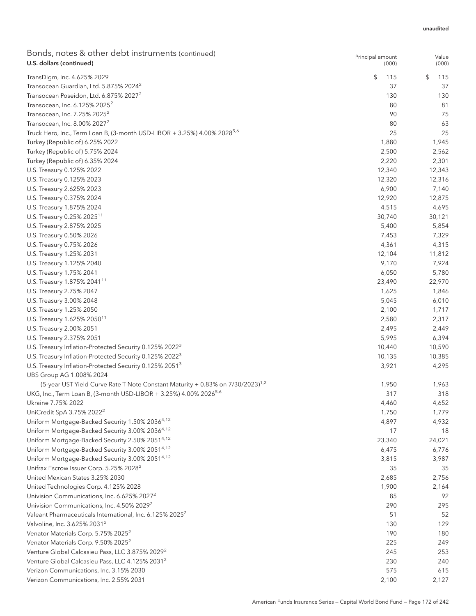| Bonds, notes & other debt instruments (continued)<br>U.S. dollars (continued)                                          | Principal amount<br>(000) | Value<br>(000) |
|------------------------------------------------------------------------------------------------------------------------|---------------------------|----------------|
| TransDigm, Inc. 4.625% 2029                                                                                            | \$<br>115                 | \$<br>115      |
| Transocean Guardian, Ltd. 5.875% 2024 <sup>2</sup>                                                                     | 37                        | 37             |
| Transocean Poseidon, Ltd. 6.875% 2027 <sup>2</sup>                                                                     | 130                       | 130            |
| Transocean, Inc. 6.125% 2025 <sup>2</sup>                                                                              | 80                        | 81             |
| Transocean, Inc. 7.25% 2025 <sup>2</sup>                                                                               | 90                        | 75             |
| Transocean, Inc. 8.00% 2027 <sup>2</sup>                                                                               | 80                        | 63             |
| Truck Hero, Inc., Term Loan B, (3-month USD-LIBOR + 3.25%) 4.00% 2028 <sup>5,6</sup>                                   | 25                        | 25             |
| Turkey (Republic of) 6.25% 2022                                                                                        | 1,880                     | 1,945          |
| Turkey (Republic of) 5.75% 2024                                                                                        | 2,500                     | 2,562          |
| Turkey (Republic of) 6.35% 2024                                                                                        | 2,220                     | 2,301          |
| U.S. Treasury 0.125% 2022                                                                                              | 12,340                    | 12,343         |
| U.S. Treasury 0.125% 2023                                                                                              | 12,320                    | 12,316         |
| U.S. Treasury 2.625% 2023                                                                                              | 6,900                     | 7,140          |
| U.S. Treasury 0.375% 2024                                                                                              | 12,920                    | 12,875         |
| U.S. Treasury 1.875% 2024                                                                                              | 4,515                     | 4,695          |
| U.S. Treasury 0.25% 2025 <sup>11</sup>                                                                                 | 30,740                    | 30,121         |
| U.S. Treasury 2.875% 2025                                                                                              | 5,400                     | 5,854          |
| U.S. Treasury 0.50% 2026                                                                                               | 7,453                     | 7,329          |
| U.S. Treasury 0.75% 2026                                                                                               | 4,361                     | 4,315          |
| U.S. Treasury 1.25% 2031                                                                                               | 12,104                    | 11,812         |
| U.S. Treasury 1.125% 2040                                                                                              | 9,170                     | 7,924          |
| U.S. Treasury 1.75% 2041                                                                                               | 6,050                     | 5,780          |
| U.S. Treasury 1.875% 2041 <sup>11</sup>                                                                                | 23,490                    | 22,970         |
| U.S. Treasury 2.75% 2047                                                                                               | 1,625                     | 1,846          |
| U.S. Treasury 3.00% 2048                                                                                               | 5,045                     | 6,010          |
| U.S. Treasury 1.25% 2050                                                                                               | 2,100                     | 1,717          |
| U.S. Treasury 1.625% 2050 <sup>11</sup>                                                                                | 2,580                     | 2,317          |
| U.S. Treasury 2.00% 2051                                                                                               | 2,495                     | 2,449          |
| U.S. Treasury 2.375% 2051                                                                                              | 5,995                     | 6,394          |
| U.S. Treasury Inflation-Protected Security 0.125% 2022 <sup>3</sup>                                                    | 10,440                    | 10,590         |
| U.S. Treasury Inflation-Protected Security 0.125% 2022 <sup>3</sup>                                                    | 10,135<br>3,921           | 10,385         |
| U.S. Treasury Inflation-Protected Security 0.125% 2051 <sup>3</sup>                                                    |                           | 4,295          |
| UBS Group AG 1.008% 2024<br>(5-year UST Yield Curve Rate T Note Constant Maturity + 0.83% on 7/30/2023) <sup>1,2</sup> | 1,950                     | 1,963          |
| UKG, Inc., Term Loan B, (3-month USD-LIBOR + 3.25%) 4.00% 2026 <sup>5,6</sup>                                          | 317                       | 318            |
| Ukraine 7.75% 2022                                                                                                     | 4,460                     | 4,652          |
| UniCredit SpA 3.75% 2022 <sup>2</sup>                                                                                  | 1,750                     | 1,779          |
| Uniform Mortgage-Backed Security 1.50% 20364,12                                                                        | 4,897                     | 4,932          |
| Uniform Mortgage-Backed Security 3.00% 20364,12                                                                        | 17                        | 18             |
| Uniform Mortgage-Backed Security 2.50% 20514,12                                                                        | 23,340                    | 24,021         |
| Uniform Mortgage-Backed Security 3.00% 20514,12                                                                        | 6,475                     | 6,776          |
| Uniform Mortgage-Backed Security 3.00% 20514,12                                                                        | 3,815                     | 3,987          |
| Unifrax Escrow Issuer Corp. 5.25% 2028 <sup>2</sup>                                                                    | 35                        | 35             |
| United Mexican States 3.25% 2030                                                                                       | 2,685                     | 2,756          |
| United Technologies Corp. 4.125% 2028                                                                                  | 1,900                     | 2,164          |
| Univision Communications, Inc. 6.625% 2027 <sup>2</sup>                                                                | 85                        | 92             |
| Univision Communications, Inc. 4.50% 2029 <sup>2</sup>                                                                 | 290                       | 295            |
| Valeant Pharmaceuticals International, Inc. 6.125% 2025 <sup>2</sup>                                                   | 51                        | 52             |
| Valvoline, Inc. 3.625% 2031 <sup>2</sup>                                                                               | 130                       | 129            |
| Venator Materials Corp. 5.75% 2025 <sup>2</sup>                                                                        | 190                       | 180            |
| Venator Materials Corp. 9.50% 2025 <sup>2</sup>                                                                        | 225                       | 249            |
| Venture Global Calcasieu Pass, LLC 3.875% 2029 <sup>2</sup>                                                            | 245                       | 253            |
| Venture Global Calcasieu Pass, LLC 4.125% 2031 <sup>2</sup>                                                            | 230                       | 240            |
| Verizon Communications, Inc. 3.15% 2030                                                                                | 575                       | 615            |
| Verizon Communications, Inc. 2.55% 2031                                                                                | 2,100                     | 2,127          |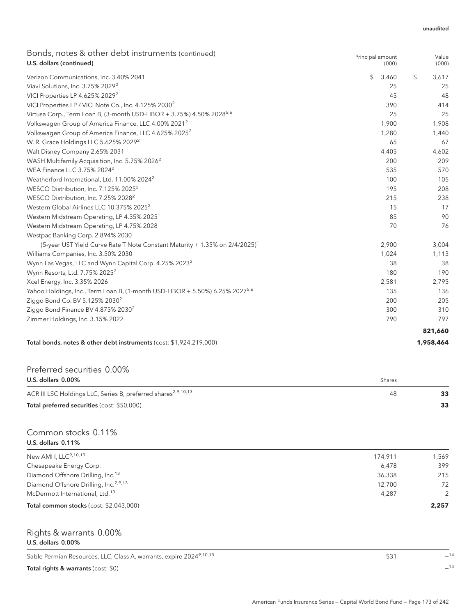| Bonds, notes & other debt instruments (continued)<br>U.S. dollars (continued)            | Principal amount<br>(000) | Value<br>(000) |
|------------------------------------------------------------------------------------------|---------------------------|----------------|
| Verizon Communications, Inc. 3.40% 2041                                                  | \$<br>3,460               | \$<br>3,617    |
| Viavi Solutions, Inc. 3.75% 2029 <sup>2</sup>                                            | 25                        | 25             |
| VICI Properties LP 4.625% 2029 <sup>2</sup>                                              | 45                        | 48             |
| VICI Properties LP / VICI Note Co., Inc. 4.125% 2030 <sup>2</sup>                        | 390                       | 414            |
| Virtusa Corp., Term Loan B, (3-month USD-LIBOR + 3.75%) 4.50% 2028 <sup>5,6</sup>        | 25                        | 25             |
| Volkswagen Group of America Finance, LLC 4.00% 2021 <sup>2</sup>                         | 1,900                     | 1,908          |
| Volkswagen Group of America Finance, LLC 4.625% 2025 <sup>2</sup>                        | 1,280                     | 1,440          |
| W. R. Grace Holdings LLC 5.625% 2029 <sup>2</sup>                                        | 65                        | 67             |
| Walt Disney Company 2.65% 2031                                                           | 4,405                     | 4,602          |
| WASH Multifamily Acquisition, Inc. 5.75% 2026 <sup>2</sup>                               | 200                       | 209            |
| WEA Finance LLC 3.75% 2024 <sup>2</sup>                                                  | 535                       | 570            |
| Weatherford International, Ltd. 11.00% 2024 <sup>2</sup>                                 | 100                       | 105            |
| WESCO Distribution, Inc. 7.125% 2025 <sup>2</sup>                                        | 195                       | 208            |
| WESCO Distribution, Inc. 7.25% 2028 <sup>2</sup>                                         | 215                       | 238            |
| Western Global Airlines LLC 10.375% 2025 <sup>2</sup>                                    | 15                        | 17             |
| Western Midstream Operating, LP 4.35% 2025 <sup>1</sup>                                  | 85                        | 90             |
| Western Midstream Operating, LP 4.75% 2028                                               | 70                        | 76             |
| Westpac Banking Corp. 2.894% 2030                                                        |                           |                |
| (5-year UST Yield Curve Rate T Note Constant Maturity + 1.35% on 2/4/2025) <sup>1</sup>  | 2,900                     | 3,004          |
| Williams Companies, Inc. 3.50% 2030                                                      | 1,024                     | 1,113          |
| Wynn Las Vegas, LLC and Wynn Capital Corp. 4.25% 2023 <sup>2</sup>                       | 38                        | 38             |
| Wynn Resorts, Ltd. 7.75% 2025 <sup>2</sup>                                               | 180                       | 190            |
| Xcel Energy, Inc. 3.35% 2026                                                             | 2,581                     | 2,795          |
| Yahoo Holdings, Inc., Term Loan B, (1-month USD-LIBOR + 5.50%) 6.25% 2027 <sup>5,6</sup> | 135                       | 136            |
| Ziggo Bond Co. BV 5.125% 2030 <sup>2</sup>                                               | 200                       | 205            |
| Ziggo Bond Finance BV 4.875% 2030 <sup>2</sup>                                           | 300                       | 310            |
| Zimmer Holdings, Inc. 3.15% 2022                                                         | 790                       | 797            |
|                                                                                          |                           | 821,660        |

### Total bonds, notes & other debt instruments (cost: \$1,924,219,000) **1,958,464**

| Preferred securities 0.00%                                                |        |    |
|---------------------------------------------------------------------------|--------|----|
| U.S. dollars $0.00\%$                                                     | Shares |    |
| ACR III LSC Holdings LLC, Series B, preferred shares <sup>2,9,10,13</sup> | 48     | 33 |
| Total preferred securities (cost: \$50,000)                               |        | 33 |

### Common stocks 0.11% U.S. dollars 0.11%

| New AMI I, LLC <sup>9,10,13</sup>                 | 174.911 | 1.569 |
|---------------------------------------------------|---------|-------|
| Chesapeake Energy Corp.                           | 6.478   | 399   |
| Diamond Offshore Drilling, Inc. <sup>13</sup>     | 36,338  | 215   |
| Diamond Offshore Drilling, Inc. <sup>2,9,13</sup> | 12.700  | 72    |
| McDermott International, Ltd. <sup>13</sup>       | 4.287   | 2     |
| Total common stocks (cost: \$2,043,000)           |         | 2,257 |
|                                                   |         |       |

### Rights & warrants 0.00% U.S. dollars 0.00%

Sable Permian Resources, LLC, Class A, warrants, expire 20249,10,13 531 **—**<sup>14</sup>

Total rights & warrants (cost: \$0) **—**<sup>14</sup>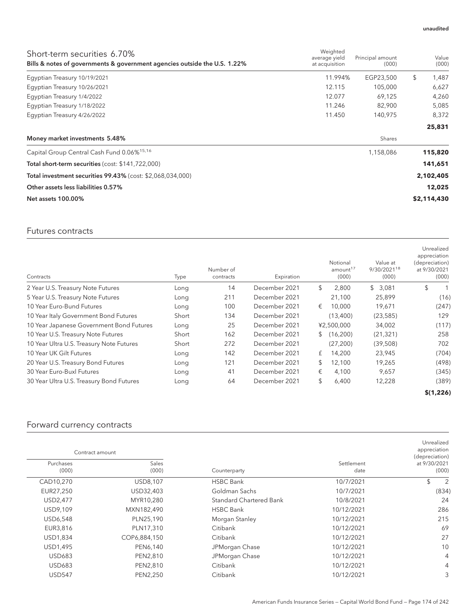| Short-term securities 6.70%<br>Bills & notes of governments & government agencies outside the U.S. 1.22% | Weighted<br>average yield<br>at acquisition | Principal amount<br>(000) | Value<br>(000) |
|----------------------------------------------------------------------------------------------------------|---------------------------------------------|---------------------------|----------------|
| Egyptian Treasury 10/19/2021                                                                             | 11.994%                                     | EGP23,500                 | \$<br>1,487    |
| Egyptian Treasury 10/26/2021                                                                             | 12.115                                      | 105,000                   | 6,627          |
| Eqyptian Treasury 1/4/2022                                                                               | 12.077                                      | 69.125                    | 4,260          |
| Egyptian Treasury 1/18/2022                                                                              | 11.246                                      | 82,900                    | 5,085          |
| Eqyptian Treasury 4/26/2022                                                                              | 11.450                                      | 140,975                   | 8,372          |
|                                                                                                          |                                             |                           | 25,831         |
| Money market investments 5.48%                                                                           |                                             | Shares                    |                |
| Capital Group Central Cash Fund 0.06% <sup>15,16</sup>                                                   |                                             | 1,158,086                 | 115,820        |
| Total short-term securities (cost: \$141,722,000)                                                        |                                             |                           | 141,651        |
| Total investment securities 99.43% (cost: \$2,068,034,000)                                               |                                             |                           | 2,102,405      |
| Other assets less liabilities 0.57%                                                                      |                                             |                           | 12,025         |
| <b>Net assets 100.00%</b>                                                                                |                                             |                           | \$2,114,430    |

## Futures contracts

| Contracts                                | Type  | Number of<br>contracts | Expiration    | Notional<br>amount <sup>17</sup><br>(000) | Value at<br>9/30/202118<br>(000) | Unrealized<br>appreciation<br>(depreciation)<br>at 9/30/2021<br>(000) |
|------------------------------------------|-------|------------------------|---------------|-------------------------------------------|----------------------------------|-----------------------------------------------------------------------|
| 2 Year U.S. Treasury Note Futures        | Long  | 14                     | December 2021 | \$<br>2,800                               | \$3,081                          | \$                                                                    |
| 5 Year U.S. Treasury Note Futures        | Long  | 211                    | December 2021 | 21,100                                    | 25,899                           | (16)                                                                  |
| 10 Year Euro-Bund Futures                | Long  | 100                    | December 2021 | €<br>10.000                               | 19,671                           | (247)                                                                 |
| 10 Year Italy Government Bond Futures    | Short | 134                    | December 2021 | (13,400)                                  | (23, 585)                        | 129                                                                   |
| 10 Year Japanese Government Bond Futures | Long  | 25                     | December 2021 | ¥2,500,000                                | 34,002                           | (117)                                                                 |
| 10 Year U.S. Treasury Note Futures       | Short | 162                    | December 2021 | (16,200)<br>$\mathbb{S}^-$                | (21, 321)                        | 258                                                                   |
| 10 Year Ultra U.S. Treasury Note Futures | Short | 272                    | December 2021 | (27, 200)                                 | (39,508)                         | 702                                                                   |
| 10 Year UK Gilt Futures                  | Long  | 142                    | December 2021 | 14,200<br>£                               | 23,945                           | (704)                                                                 |
| 20 Year U.S. Treasury Bond Futures       | Long  | 121                    | December 2021 | \$<br>12,100                              | 19,265                           | (498)                                                                 |
| 30 Year Euro-Buxl Futures                | Long  | 41                     | December 2021 | €<br>4,100                                | 9,657                            | (345)                                                                 |
| 30 Year Ultra U.S. Treasury Bond Futures | Long  | 64                     | December 2021 | \$<br>6,400                               | 12,228                           | (389)                                                                 |
|                                          |       |                        |               |                                           |                                  | \$(1,226)                                                             |

# Forward currency contracts

| Unrealized<br>appreciation<br>(depreciation) |                    |                                |                | Contract amount    |
|----------------------------------------------|--------------------|--------------------------------|----------------|--------------------|
| at 9/30/2021<br>(000)                        | Settlement<br>date | Counterparty                   | Sales<br>(000) | Purchases<br>(000) |
| \$<br>2                                      | 10/7/2021          | <b>HSBC Bank</b>               | USD8,107       | CAD10,270          |
| (834)                                        | 10/7/2021          | Goldman Sachs                  | USD32,403      | EUR27,250          |
| 24                                           | 10/8/2021          | <b>Standard Chartered Bank</b> | MYR10,280      | USD2,477           |
| 286                                          | 10/12/2021         | <b>HSBC Bank</b>               | MXN182,490     | USD9,109           |
| 215                                          | 10/12/2021         | Morgan Stanley                 | PLN25,190      | USD6,548           |
| 69                                           | 10/12/2021         | Citibank                       | PLN17,310      | EUR3,816           |
| 27                                           | 10/12/2021         | Citibank                       | COP6,884,150   | USD1,834           |
| 10                                           | 10/12/2021         | JPMorgan Chase                 | PEN6,140       | USD1,495           |
| 4                                            | 10/12/2021         | JPMorgan Chase                 | PEN2,810       | <b>USD683</b>      |
| 4                                            | 10/12/2021         | Citibank                       | PEN2,810       | <b>USD683</b>      |
| 3                                            | 10/12/2021         | Citibank                       | PEN2,250       | <b>USD547</b>      |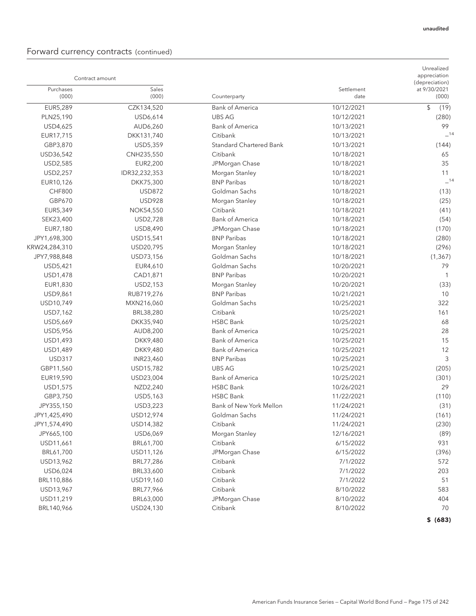# Forward currency contracts (continued)

| Contract amount    |                  |                                |                    | Unrealized<br>appreciation<br>(depreciation) |
|--------------------|------------------|--------------------------------|--------------------|----------------------------------------------|
| Purchases<br>(000) | Sales<br>(000)   | Counterparty                   | Settlement<br>date | at 9/30/2021<br>(000)                        |
| EUR5,289           | CZK134,520       | <b>Bank of America</b>         | 10/12/2021         | \$<br>(19)                                   |
| PLN25,190          | USD6,614         | <b>UBS AG</b>                  | 10/12/2021         | (280)                                        |
| USD4,625           | AUD6,260         | <b>Bank of America</b>         | 10/13/2021         | 99                                           |
| EUR17,715          | DKK131,740       | Citibank                       | 10/13/2021         | $-14$                                        |
| GBP3,870           | USD5,359         | <b>Standard Chartered Bank</b> | 10/13/2021         | (144)                                        |
| USD36,542          | CNH235,550       | Citibank                       | 10/18/2021         | 65                                           |
| USD2,585           | EUR2,200         | JPMorgan Chase                 | 10/18/2021         | 35                                           |
| USD2,257           | IDR32,232,353    | Morgan Stanley                 | 10/18/2021         | 11                                           |
| EUR10,126          | DKK75,300        | <b>BNP Paribas</b>             | 10/18/2021         | $-14$                                        |
| <b>CHF800</b>      | <b>USD872</b>    | Goldman Sachs                  | 10/18/2021         | (13)                                         |
| GBP670             | <b>USD928</b>    | Morgan Stanley                 | 10/18/2021         | (25)                                         |
| EUR5,349           | <b>NOK54,550</b> | Citibank                       | 10/18/2021         | (41)                                         |
| SEK23,400          | USD2,728         | <b>Bank of America</b>         | 10/18/2021         | (54)                                         |
| EUR7,180           | USD8,490         | JPMorgan Chase                 | 10/18/2021         | (170)                                        |
| JPY1,698,300       | USD15,541        | <b>BNP Paribas</b>             | 10/18/2021         | (280)                                        |
| KRW24,284,310      | USD20,795        | Morgan Stanley                 | 10/18/2021         | (296)                                        |
| JPY7,988,848       | USD73,156        | Goldman Sachs                  | 10/18/2021         | (1, 367)                                     |
| USD5,421           | EUR4,610         | Goldman Sachs                  | 10/20/2021         | 79                                           |
| USD1,478           | CAD1,871         | <b>BNP Paribas</b>             | 10/20/2021         | $\overline{1}$                               |
| EUR1,830           | USD2,153         | Morgan Stanley                 | 10/20/2021         | (33)                                         |
| USD9,861           | RUB719,276       | <b>BNP Paribas</b>             | 10/21/2021         | 10                                           |
| USD10,749          | MXN216,060       | Goldman Sachs                  | 10/25/2021         | 322                                          |
| USD7,162           | BRL38,280        | Citibank                       | 10/25/2021         | 161                                          |
| USD5,669           | DKK35,940        | <b>HSBC Bank</b>               | 10/25/2021         | 68                                           |
| USD5,956           | AUD8,200         | <b>Bank of America</b>         | 10/25/2021         | 28                                           |
| USD1,493           | DKK9,480         | <b>Bank of America</b>         | 10/25/2021         | 15                                           |
| USD1,489           | DKK9,480         | <b>Bank of America</b>         | 10/25/2021         | 12                                           |
| <b>USD317</b>      | INR23,460        | <b>BNP Paribas</b>             | 10/25/2021         | 3                                            |
| GBP11,560          | USD15,782        | <b>UBS AG</b>                  | 10/25/2021         | (205)                                        |
| EUR19,590          | USD23,004        | <b>Bank of America</b>         | 10/25/2021         | (301)                                        |
| USD1,575           | NZD2,240         | <b>HSBC Bank</b>               | 10/26/2021         | 29                                           |
| GBP3,750           | USD5,163         | <b>HSBC Bank</b>               | 11/22/2021         | (110)                                        |
| JPY355,150         | USD3,223         | Bank of New York Mellon        | 11/24/2021         | (31)                                         |
| JPY1,425,490       | USD12,974        | Goldman Sachs                  | 11/24/2021         | (161)                                        |
| JPY1,574,490       | USD14,382        | Citibank                       | 11/24/2021         | (230)                                        |
| JPY665,100         | USD6,069         | Morgan Stanley                 | 12/16/2021         | (89)                                         |
| USD11,661          | BRL61,700        | Citibank                       | 6/15/2022          | 931                                          |
| BRL61,700          | USD11,126        | JPMorgan Chase                 | 6/15/2022          | (396)                                        |
| USD13,962          | BRL77,286        | Citibank                       | 7/1/2022           | 572                                          |
| USD6,024           | BRL33,600        | Citibank                       | 7/1/2022           | 203                                          |
| BRL110,886         | USD19,160        | Citibank                       | 7/1/2022           | 51                                           |
| USD13,967          | BRL77,966        | Citibank                       | 8/10/2022          | 583                                          |
| USD11,219          | BRL63,000        | JPMorgan Chase                 | 8/10/2022          | 404                                          |
| BRL140,966         | USD24,130        | Citibank                       | 8/10/2022          | 70                                           |
|                    |                  |                                |                    | \$ (683)                                     |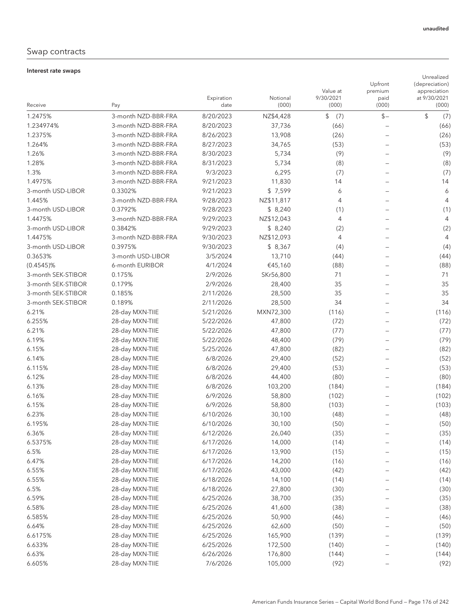## Swap contracts

#### Interest rate swaps

| Receive                            | Pay                       | Expiration<br>date   | Notional<br>(000) | Value at<br>9/30/2021<br>(000) | Upfront<br>premium<br>paid<br>(000) | Unrealized<br>(depreciation)<br>appreciation<br>at 9/30/2021<br>(000) |
|------------------------------------|---------------------------|----------------------|-------------------|--------------------------------|-------------------------------------|-----------------------------------------------------------------------|
| 1.2475%                            | 3-month NZD-BBR-FRA       | 8/20/2023            | NZ\$4,428         | \$<br>(7)                      | $$-$                                | \$<br>(7)                                                             |
| 1.234974%                          | 3-month NZD-BBR-FRA       | 8/20/2023            | 37,736            | (66)                           |                                     | (66)                                                                  |
| 1.2375%                            | 3-month NZD-BBR-FRA       | 8/26/2023            | 13,908            | (26)                           | $\qquad \qquad$                     | (26)                                                                  |
| 1.264%                             | 3-month NZD-BBR-FRA       | 8/27/2023            | 34,765            | (53)                           |                                     | (53)                                                                  |
| 1.26%                              | 3-month NZD-BBR-FRA       | 8/30/2023            | 5,734             | (9)                            | $\overline{\phantom{0}}$            | (9)                                                                   |
| 1.28%                              | 3-month NZD-BBR-FRA       | 8/31/2023            | 5,734             | (8)                            |                                     | (8)                                                                   |
| 1.3%                               | 3-month NZD-BBR-FRA       | 9/3/2023             | 6,295             | (7)                            |                                     | (7)                                                                   |
| 1.4975%                            | 3-month NZD-BBR-FRA       | 9/21/2023            | 11,830            | 14                             |                                     | 14                                                                    |
| 3-month USD-LIBOR                  | 0.3302%                   | 9/21/2023            | \$7,599           | 6                              |                                     | 6                                                                     |
| 1.445%                             | 3-month NZD-BBR-FRA       | 9/28/2023            | NZ\$11,817        | 4                              |                                     | 4                                                                     |
| 3-month USD-LIBOR                  | 0.3792%                   | 9/28/2023            | \$8,240           |                                |                                     |                                                                       |
| 1.4475%                            | 3-month NZD-BBR-FRA       | 9/29/2023            | NZ\$12,043        | (1)<br>$\overline{4}$          |                                     | (1)<br>4                                                              |
| 3-month USD-LIBOR                  | 0.3842%                   | 9/29/2023            | \$8,240           | (2)                            |                                     |                                                                       |
| 1.4475%                            | 3-month NZD-BBR-FRA       | 9/30/2023            | NZ\$12,093        | $\overline{4}$                 |                                     | (2)<br>4                                                              |
|                                    |                           |                      |                   |                                |                                     |                                                                       |
| 3-month USD-LIBOR                  | 0.3975%                   | 9/30/2023            | \$8,367           | (4)                            |                                     | (4)                                                                   |
| 0.3653%                            | 3-month USD-LIBOR         | 3/5/2024             | 13,710            | (44)                           |                                     | (44)                                                                  |
| $(0.4545)\%$<br>3-month SEK-STIBOR | 6-month EURIBOR<br>0.175% | 4/1/2024             | €45,160           | (88)                           |                                     | (88)                                                                  |
| 3-month SEK-STIBOR                 | 0.179%                    | 2/9/2026<br>2/9/2026 | SKr56,800         | 71                             |                                     | 71<br>35                                                              |
|                                    |                           |                      | 28,400            | 35                             |                                     |                                                                       |
| 3-month SEK-STIBOR                 | 0.185%                    | 2/11/2026            | 28,500            | 35                             |                                     | 35<br>34                                                              |
| 3-month SEK-STIBOR                 | 0.189%                    | 2/11/2026            | 28,500            | 34                             |                                     |                                                                       |
| 6.21%                              | 28-day MXN-TIIE           | 5/21/2026            | MXN72,300         | (116)                          |                                     | (116)                                                                 |
| 6.255%                             | 28-day MXN-TIIE           | 5/22/2026            | 47,800            | (72)                           |                                     | (72)                                                                  |
| 6.21%                              | 28-day MXN-TIIE           | 5/22/2026            | 47,800            | (77)                           |                                     | (77)                                                                  |
| 6.19%                              | 28-day MXN-TIIE           | 5/22/2026            | 48,400            | (79)                           |                                     | (79)                                                                  |
| 6.15%                              | 28-day MXN-TIIE           | 5/25/2026            | 47,800            | (82)                           |                                     | (82)                                                                  |
| 6.14%                              | 28-day MXN-TIIE           | 6/8/2026             | 29,400            | (52)                           |                                     | (52)                                                                  |
| 6.115%                             | 28-day MXN-TIIE           | 6/8/2026             | 29,400            | (53)                           |                                     | (53)                                                                  |
| 6.12%                              | 28-day MXN-TIIE           | 6/8/2026             | 44,400            | (80)                           |                                     | (80)                                                                  |
| 6.13%                              | 28-day MXN-TIIE           | 6/8/2026             | 103,200           | (184)                          |                                     | (184)                                                                 |
| 6.16%                              | 28-day MXN-TIIE           | 6/9/2026             | 58,800            | (102)                          |                                     | (102)                                                                 |
| 6.15%                              | 28-day MXN-TIIE           | 6/9/2026             | 58,800            | (103)                          |                                     | (103)                                                                 |
| 6.23%                              | 28-day MXN-TIIE           | 6/10/2026            | 30,100            | (48)                           |                                     | (48)                                                                  |
| 6.195%                             | 28-day MXN-TIIE           | 6/10/2026            | 30,100            | (50)                           |                                     | (50)                                                                  |
| 6.36%                              | 28-day MXN-TIIE           | 6/12/2026            | 26,040            | (35)                           |                                     | (35)                                                                  |
| 6.5375%                            | 28-day MXN-TIIE           | 6/17/2026            | 14,000            | (14)                           |                                     | (14)                                                                  |
| 6.5%                               | 28-day MXN-TIIE           | 6/17/2026            | 13,900            | (15)                           |                                     | (15)                                                                  |
| 6.47%                              | 28-day MXN-TIIE           | 6/17/2026            | 14,200            | (16)                           |                                     | (16)                                                                  |
| 6.55%                              | 28-day MXN-TIIE           | 6/17/2026            | 43,000            | (42)                           |                                     | (42)                                                                  |
| 6.55%                              | 28-day MXN-TIIE           | 6/18/2026            | 14,100            | (14)                           | $\qquad \qquad -$                   | (14)                                                                  |
| 6.5%                               | 28-day MXN-TIIE           | 6/18/2026            | 27,800            | (30)                           |                                     | (30)                                                                  |
| 6.59%                              | 28-day MXN-TIIE           | 6/25/2026            | 38,700            | (35)                           |                                     | (35)                                                                  |
| 6.58%                              | 28-day MXN-TIIE           | 6/25/2026            | 41,600            | (38)                           | $\qquad \qquad -$                   | (38)                                                                  |
| 6.585%                             | 28-day MXN-TIIE           | 6/25/2026            | 50,900            | (46)                           | $\qquad \qquad -$                   | (46)                                                                  |
| 6.64%                              | 28-day MXN-TIIE           | 6/25/2026            | 62,600            | (50)                           |                                     | (50)                                                                  |
| 6.6175%                            | 28-day MXN-TIIE           | 6/25/2026            | 165,900           | (139)                          |                                     | (139)                                                                 |
| 6.633%                             | 28-day MXN-TIIE           | 6/25/2026            | 172,500           | (140)                          |                                     | (140)                                                                 |
| 6.63%                              | 28-day MXN-TIIE           | 6/26/2026            | 176,800           | (144)                          |                                     | (144)                                                                 |
| 6.605%                             | 28-day MXN-TIIE           | 7/6/2026             | 105,000           | (92)                           | $\qquad \qquad -$                   | (92)                                                                  |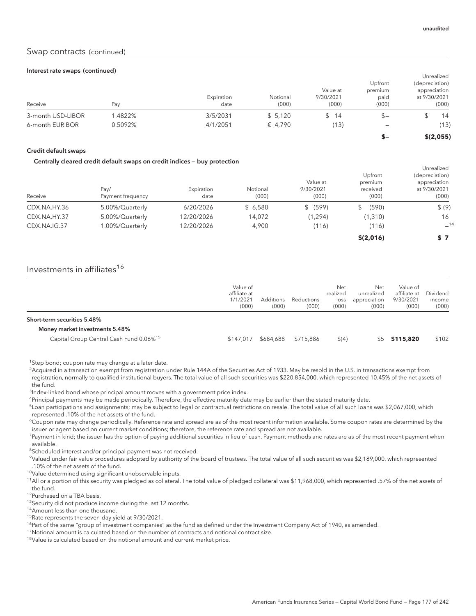### Swap contracts (continued)

#### Interest rate swaps (continued)

|                   |         |                    |                   | Value at           | Upfront<br>premium           | Unrealized<br>(depreciation)<br>appreciation |
|-------------------|---------|--------------------|-------------------|--------------------|------------------------------|----------------------------------------------|
| Receive           | Pav     | Expiration<br>date | Notional<br>(000) | 9/30/2021<br>(000) | paid<br>(000)                | at 9/30/2021<br>(000)                        |
|                   |         |                    |                   |                    |                              |                                              |
| 3-month USD-LIBOR | .4822%  | 3/5/2031           | \$5,120           | 14                 | $S -$                        | 14                                           |
| 6-month EURIBOR   | 0.5092% | 4/1/2051           | € 4.790           | (13)               | $\qquad \qquad \blacksquare$ | (13)                                         |
|                   |         |                    |                   |                    | s-                           | \$(2,055)                                    |

#### Credit default swaps

#### Centrally cleared credit default swaps on credit indices — buy protection

|              |                   |            |          |           |             | Unrealized     |
|--------------|-------------------|------------|----------|-----------|-------------|----------------|
|              |                   |            |          |           | Upfront     | (depreciation) |
|              |                   |            |          | Value at  | premium     | appreciation   |
|              | Pay/              | Expiration | Notional | 9/30/2021 | received    | at 9/30/2021   |
| Receive      | Payment frequency | date       | (000)    | (000)     | (000)       | (000)          |
| CDX.NA.HY.36 | 5.00%/Quarterly   | 6/20/2026  | \$6,580  | \$ (599)  | (590)<br>\$ | \$ (9)         |
| CDX.NA.HY.37 | 5.00%/Quarterly   | 12/20/2026 | 14,072   | (1, 294)  | (1,310)     | 16             |
| CDX.NA.IG.37 | 1.00%/Quarterly   | 12/20/2026 | 4,900    | (116)     | (116)       | $-14$          |
|              |                   |            |          |           | \$(2,016)   | S 7            |

## Investments in affiliates<sup>16</sup>

|                                                     | Value of<br>affiliate at<br>1/1/2021<br>(000) | <b>Additions</b><br>(000) | Reductions<br>(000) | Net<br>realized<br>loss<br>(000) | Net<br>unrealized<br>appreciation<br>(000) | Value of<br>affiliate at<br>9/30/2021<br>(000) | Dividend<br>income<br>(000) |
|-----------------------------------------------------|-----------------------------------------------|---------------------------|---------------------|----------------------------------|--------------------------------------------|------------------------------------------------|-----------------------------|
| Short-term securities 5.48%                         |                                               |                           |                     |                                  |                                            |                                                |                             |
| Money market investments 5.48%                      |                                               |                           |                     |                                  |                                            |                                                |                             |
| Capital Group Central Cash Fund 0.06% <sup>15</sup> | \$147.017                                     | \$684,688                 | \$715,886           | $\frac{1}{2}(4)$                 | \$5                                        | \$115,820                                      | \$102                       |

<sup>1</sup>Step bond; coupon rate may change at a later date.

 $^2$ Acquired in a transaction exempt from registration under Rule 144A of the Securities Act of 1933. May be resold in the U.S. in transactions exempt from registration, normally to qualified institutional buyers. The total value of all such securities was \$220,854,000, which represented 10.45% of the net assets of the fund.

<sup>3</sup>Index-linked bond whose principal amount moves with a government price index.

<sup>4</sup>Principal payments may be made periodically. Therefore, the effective maturity date may be earlier than the stated maturity date.

5 Loan participations and assignments; may be subject to legal or contractual restrictions on resale. The total value of all such loans was \$2,067,000, which represented .10% of the net assets of the fund.

6 Coupon rate may change periodically. Reference rate and spread are as of the most recent information available. Some coupon rates are determined by the issuer or agent based on current market conditions; therefore, the reference rate and spread are not available.

<sup>7</sup>Payment in kind; the issuer has the option of paying additional securities in lieu of cash. Payment methods and rates are as of the most recent payment when available.

<sup>8</sup>Scheduled interest and/or principal payment was not received.

9 Valued under fair value procedures adopted by authority of the board of trustees. The total value of all such securities was \$2,189,000, which represented .10% of the net assets of the fund.

<sup>10</sup>Value determined using significant unobservable inputs.

<sup>11</sup>All or a portion of this security was pledged as collateral. The total value of pledged collateral was \$11,968,000, which represented .57% of the net assets of the fund.

12Purchased on a TBA basis.

<sup>13</sup> Security did not produce income during the last 12 months.

14Amount less than one thousand.

15Rate represents the seven-day yield at 9/30/2021.

<sup>16</sup>Part of the same "group of investment companies" as the fund as defined under the Investment Company Act of 1940, as amended.

<sup>17</sup>Notional amount is calculated based on the number of contracts and notional contract size.

<sup>18</sup>Value is calculated based on the notional amount and current market price.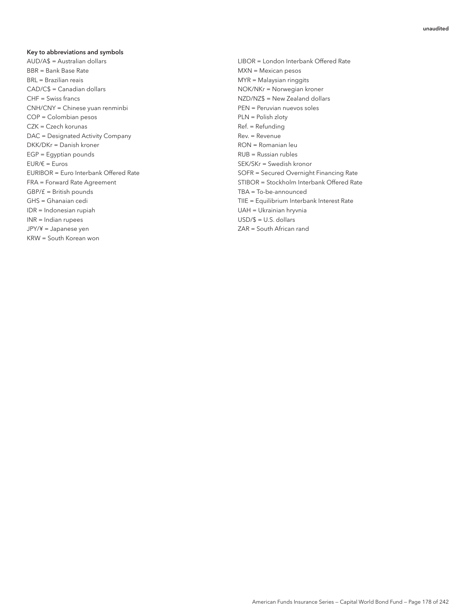#### Key to abbreviations and symbols

AUD/A\$ = Australian dollars LIBOR = London Interbank Offered Rate BBR = Bank Base Rate MXN = Mexican pesos BRL = Brazilian reais MYR = Malaysian ringgits CAD/C\$ = Canadian dollars and the CAD/C\$ = Canadian dollars NOK/NKr = Norwegian kroner CHF = Swiss francs **NZD/NZ\$ = New Zealand dollars** CNH/CNY = Chinese yuan renminbi PEN = Peruvian nuevos soles COP = Colombian pesos PLN = Polish zloty CZK = Czech korunas and the control of the case of the case of the case of the case of the case of the case of the case of the case of the case of the case of the case of the case of the case of the case of the case of the DAC = Designated Activity Company extending the Rev. = Revenue DKK/DKr = Danish kroner RON = Romanian leu EGP = Egyptian pounds Text Communication of the Russian rubles EUR/€ = Euros SEK/SKr = Swedish kronor GBP/£ = British pounds TBA = To-be-announced IDR = Indonesian rupiah UAH = Ukrainian hryvnia INR = Indian rupees USD/\$ = U.S. dollars JPY/¥ = Japanese yen ZAR = South African rand KRW = South Korean won

EURIBOR = Euro Interbank Offered Rate SOFR = Secured Overnight Financing Rate FRA = Forward Rate Agreement STIBOR = Stockholm Interbank Offered Rate GHS = Ghanaian cedi TIIE = Equilibrium Interbank Interest Rate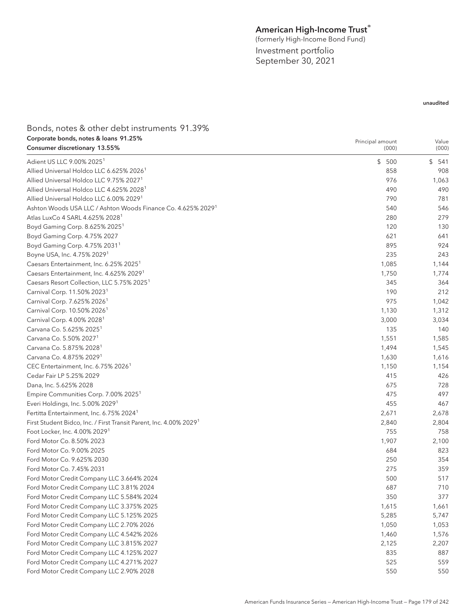# American High-Income Trust $^\ast$

(formerly High-Income Bond Fund) Investment portfolio September 30, 2021

| Bonds, notes & other debt instruments 91.39%                             |                  |           |
|--------------------------------------------------------------------------|------------------|-----------|
| Corporate bonds, notes & loans 91.25%                                    | Principal amount | Value     |
| Consumer discretionary 13.55%                                            | (000)            | (000)     |
| Adient US LLC 9.00% 2025 <sup>1</sup>                                    | \$500            | \$<br>541 |
| Allied Universal Holdco LLC 6.625% 2026 <sup>1</sup>                     | 858              | 908       |
| Allied Universal Holdco LLC 9.75% 2027 <sup>1</sup>                      | 976              | 1,063     |
| Allied Universal Holdco LLC 4.625% 2028 <sup>1</sup>                     | 490              | 490       |
| Allied Universal Holdco LLC 6.00% 2029 <sup>1</sup>                      | 790              | 781       |
| Ashton Woods USA LLC / Ashton Woods Finance Co. 4.625% 2029 <sup>1</sup> | 540              | 546       |
| Atlas LuxCo 4 SARL 4.625% 2028 <sup>1</sup>                              | 280              | 279       |
| Boyd Gaming Corp. 8.625% 2025 <sup>1</sup>                               | 120              | 130       |
| Boyd Gaming Corp. 4.75% 2027                                             | 621              | 641       |
| Boyd Gaming Corp. 4.75% 2031 <sup>1</sup>                                | 895              | 924       |
| Boyne USA, Inc. 4.75% 2029 <sup>1</sup>                                  | 235              | 243       |
| Caesars Entertainment, Inc. 6.25% 2025                                   | 1,085            | 1,144     |
|                                                                          |                  |           |
| Caesars Entertainment, Inc. 4.625% 2029 <sup>1</sup>                     | 1,750            | 1,774     |
| Caesars Resort Collection, LLC 5.75% 2025 <sup>1</sup>                   | 345              | 364       |
| Carnival Corp. 11.50% 2023 <sup>1</sup>                                  | 190              | 212       |
| Carnival Corp. 7.625% 2026 <sup>1</sup>                                  | 975              | 1,042     |
| Carnival Corp. 10.50% 2026 <sup>1</sup>                                  | 1,130            | 1,312     |
| Carnival Corp. 4.00% 2028 <sup>1</sup>                                   | 3,000            | 3,034     |
| Carvana Co. 5.625% 2025 <sup>1</sup>                                     | 135              | 140       |
| Carvana Co. 5.50% 2027 <sup>1</sup>                                      | 1,551            | 1,585     |
| Carvana Co. 5.875% 2028 <sup>1</sup>                                     | 1,494            | 1,545     |
| Carvana Co. 4.875% 2029 <sup>1</sup>                                     | 1,630            | 1,616     |
| CEC Entertainment, Inc. 6.75% 2026 <sup>1</sup>                          | 1,150            | 1,154     |
| Cedar Fair LP 5.25% 2029                                                 | 415              | 426       |
| Dana, Inc. 5.625% 2028                                                   | 675              | 728       |
| Empire Communities Corp. 7.00% 2025 <sup>1</sup>                         | 475              | 497       |
| Everi Holdings, Inc. 5.00% 2029 <sup>1</sup>                             | 455              | 467       |
| Fertitta Entertainment, Inc. 6.75% 2024 <sup>1</sup>                     | 2,671            | 2,678     |
| First Student Bidco, Inc. / First Transit Parent, Inc. 4.00% 2029        | 2,840            | 2,804     |
| Foot Locker, Inc. 4.00% 2029 <sup>1</sup>                                | 755              | 758       |
| Ford Motor Co. 8.50% 2023                                                | 1,907            | 2,100     |
| Ford Motor Co. 9.00% 2025                                                | 684              | 823       |
| Ford Motor Co. 9.625% 2030                                               | 250              | 354       |
| Ford Motor Co. 7.45% 2031                                                | 275              | 359       |
| Ford Motor Credit Company LLC 3.664% 2024                                | 500              | 517       |
| Ford Motor Credit Company LLC 3.81% 2024                                 | 687              | 710       |
| Ford Motor Credit Company LLC 5.584% 2024                                | 350              | 377       |
| Ford Motor Credit Company LLC 3.375% 2025                                | 1,615            | 1,661     |
| Ford Motor Credit Company LLC 5.125% 2025                                | 5,285            | 5,747     |
| Ford Motor Credit Company LLC 2.70% 2026                                 | 1,050            | 1,053     |
|                                                                          | 1,460            |           |
| Ford Motor Credit Company LLC 4.542% 2026                                |                  | 1,576     |
| Ford Motor Credit Company LLC 3.815% 2027                                | 2,125            | 2,207     |
| Ford Motor Credit Company LLC 4.125% 2027                                | 835              | 887       |
| Ford Motor Credit Company LLC 4.271% 2027                                | 525              | 559       |
| Ford Motor Credit Company LLC 2.90% 2028                                 | 550              | 550       |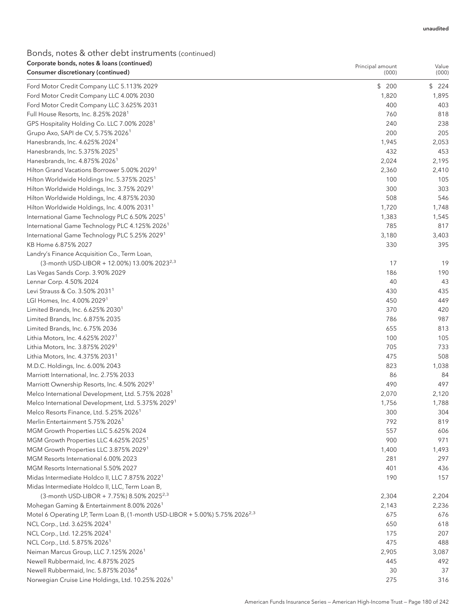# Bonds, notes & other debt instruments (continued) Corporate bonds, notes & loans (continued)

| Corporate bonds, notes & Ioans (continued)<br>Consumer discretionary (continued)         | Principal amount<br>(000) | Value<br>(000) |
|------------------------------------------------------------------------------------------|---------------------------|----------------|
|                                                                                          | \$200                     | \$224          |
| Ford Motor Credit Company LLC 5.113% 2029<br>Ford Motor Credit Company LLC 4.00% 2030    | 1,820                     | 1,895          |
| Ford Motor Credit Company LLC 3.625% 2031                                                | 400                       | 403            |
| Full House Resorts, Inc. 8.25% 2028 <sup>1</sup>                                         | 760                       | 818            |
| GPS Hospitality Holding Co. LLC 7.00% 2028 <sup>1</sup>                                  | 240                       | 238            |
| Grupo Axo, SAPI de CV, 5.75% 2026 <sup>1</sup>                                           | 200                       | 205            |
| Hanesbrands, Inc. 4.625% 2024 <sup>1</sup>                                               | 1,945                     | 2,053          |
| Hanesbrands, Inc. 5.375% 2025 <sup>1</sup>                                               | 432                       | 453            |
| Hanesbrands, Inc. 4.875% 2026 <sup>1</sup>                                               | 2,024                     | 2,195          |
| Hilton Grand Vacations Borrower 5.00% 2029 <sup>1</sup>                                  | 2,360                     | 2,410          |
| Hilton Worldwide Holdings Inc. 5.375% 2025 <sup>1</sup>                                  | 100                       | 105            |
| Hilton Worldwide Holdings, Inc. 3.75% 2029 <sup>1</sup>                                  | 300                       | 303            |
| Hilton Worldwide Holdings, Inc. 4.875% 2030                                              | 508                       | 546            |
| Hilton Worldwide Holdings, Inc. 4.00% 2031 <sup>1</sup>                                  | 1,720                     | 1,748          |
| International Game Technology PLC 6.50% 2025 <sup>1</sup>                                | 1,383                     | 1,545          |
| International Game Technology PLC 4.125% 2026 <sup>1</sup>                               | 785                       | 817            |
| International Game Technology PLC 5.25% 2029 <sup>1</sup>                                | 3,180                     | 3,403          |
| KB Home 6.875% 2027                                                                      | 330                       | 395            |
| Landry's Finance Acquisition Co., Term Loan,                                             |                           |                |
| (3-month USD-LIBOR + 12.00%) 13.00% 2023 <sup>2,3</sup>                                  | 17                        | 19             |
| Las Vegas Sands Corp. 3.90% 2029                                                         | 186                       | 190            |
| Lennar Corp. 4.50% 2024                                                                  | 40                        | 43             |
| Levi Strauss & Co. 3.50% 2031 <sup>1</sup>                                               | 430                       | 435            |
| LGI Homes, Inc. 4.00% 2029 <sup>1</sup>                                                  | 450                       | 449            |
| Limited Brands, Inc. 6.625% 2030 <sup>1</sup>                                            | 370                       | 420            |
| Limited Brands, Inc. 6.875% 2035                                                         | 786                       | 987            |
| Limited Brands, Inc. 6.75% 2036                                                          | 655                       | 813            |
| Lithia Motors, Inc. 4.625% 2027 <sup>1</sup>                                             | 100                       | 105            |
| Lithia Motors, Inc. 3.875% 2029 <sup>1</sup>                                             | 705                       | 733            |
| Lithia Motors, Inc. 4.375% 2031 <sup>1</sup>                                             | 475                       | 508            |
| M.D.C. Holdings, Inc. 6.00% 2043                                                         | 823                       | 1,038          |
| Marriott International, Inc. 2.75% 2033                                                  | 86                        | 84             |
| Marriott Ownership Resorts, Inc. 4.50% 2029 <sup>1</sup>                                 | 490                       | 497            |
| Melco International Development, Ltd. 5.75% 2028 <sup>1</sup>                            | 2,070                     | 2,120          |
| Melco International Development, Ltd. 5.375% 2029 <sup>1</sup>                           | 1,756                     | 1,788          |
| Melco Resorts Finance, Ltd. 5.25% 2026 <sup>1</sup>                                      | 300                       | 304            |
| Merlin Entertainment 5.75% 2026 <sup>1</sup>                                             | 792                       | 819            |
| MGM Growth Properties LLC 5.625% 2024                                                    | 557                       | 606            |
| MGM Growth Properties LLC 4.625% 2025 <sup>1</sup>                                       | 900                       | 971            |
| MGM Growth Properties LLC 3.875% 2029 <sup>1</sup>                                       | 1,400                     | 1,493          |
| MGM Resorts International 6.00% 2023                                                     | 281                       | 297            |
| MGM Resorts International 5.50% 2027                                                     | 401                       | 436            |
| Midas Intermediate Holdco II, LLC 7.875% 2022 <sup>1</sup>                               | 190                       | 157            |
| Midas Intermediate Holdco II, LLC, Term Loan B,                                          |                           |                |
| (3-month USD-LIBOR + 7.75%) 8.50% 2025 <sup>2,3</sup>                                    | 2,304                     | 2,204          |
| Mohegan Gaming & Entertainment 8.00% 2026 <sup>1</sup>                                   | 2,143                     | 2,236          |
| Motel 6 Operating LP, Term Loan B, (1-month USD-LIBOR + 5.00%) 5.75% 2026 <sup>2,3</sup> | 675                       | 676            |
| NCL Corp., Ltd. 3.625% 2024 <sup>1</sup>                                                 | 650                       | 618            |
| NCL Corp., Ltd. 12.25% 2024 <sup>1</sup>                                                 | 175                       | 207            |
| NCL Corp., Ltd. 5.875% 2026 <sup>1</sup>                                                 | 475                       | 488            |
| Neiman Marcus Group, LLC 7.125% 2026 <sup>1</sup>                                        | 2,905                     | 3,087          |
| Newell Rubbermaid, Inc. 4.875% 2025                                                      | 445                       | 492            |
| Newell Rubbermaid, Inc. 5.875% 2036 <sup>4</sup>                                         | 30                        | 37             |
| Norwegian Cruise Line Holdings, Ltd. 10.25% 2026 <sup>1</sup>                            | 275                       | 316            |
|                                                                                          |                           |                |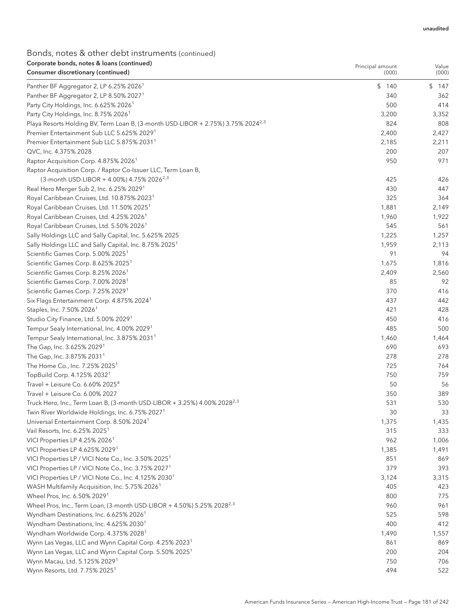| Corporate bonds, notes & Ioans (continued)                                                   | Principal amount | Value     |
|----------------------------------------------------------------------------------------------|------------------|-----------|
| Consumer discretionary (continued)                                                           | (000)            | (000)     |
| Panther BF Aggregator 2, LP 6.25% 2026 <sup>1</sup>                                          | \$140            | \$<br>147 |
| Panther BF Aggregator 2, LP 8.50% 2027 <sup>1</sup>                                          | 340              | 362       |
| Party City Holdings, Inc. 6.625% 2026 <sup>1</sup>                                           | 500              | 414       |
| Party City Holdings, Inc. 8.75% 2026 <sup>1</sup>                                            | 3,200            | 3,352     |
| Playa Resorts Holding BV, Term Loan B, (3-month USD-LIBOR + 2.75%) 3.75% 2024 <sup>2,3</sup> | 824              | 808       |
| Premier Entertainment Sub LLC 5.625% 2029 <sup>1</sup>                                       | 2,400            | 2,427     |
| Premier Entertainment Sub LLC 5.875% 2031 <sup>1</sup>                                       | 2,185            | 2,211     |
| QVC, Inc. 4.375% 2028                                                                        | 200              | 207       |
| Raptor Acquisition Corp. 4.875% 2026 <sup>1</sup>                                            | 950              | 971       |
| Raptor Acquisition Corp. / Raptor Co-Issuer LLC, Term Loan B,                                |                  |           |
| (3-month USD-LIBOR + 4.00%) 4.75% 2026 <sup>2,3</sup>                                        | 425              | 426       |
| Real Hero Merger Sub 2, Inc. 6.25% 2029 <sup>1</sup>                                         | 430              | 447       |
| Royal Caribbean Cruises, Ltd. 10.875% 2023 <sup>1</sup>                                      | 325              | 364       |
| Royal Caribbean Cruises, Ltd. 11.50% 2025 <sup>1</sup>                                       | 1,881            | 2,149     |
| Royal Caribbean Cruises, Ltd. 4.25% 2026 <sup>1</sup>                                        | 1,960            | 1,922     |
| Royal Caribbean Cruises, Ltd. 5.50% 2026 <sup>1</sup>                                        | 545              | 561       |
| Sally Holdings LLC and Sally Capital, Inc. 5.625% 2025                                       | 1,225            | 1,257     |
| Sally Holdings LLC and Sally Capital, Inc. 8.75% 2025 <sup>1</sup>                           | 1,959            | 2,113     |
| Scientific Games Corp. 5.00% 2025 <sup>1</sup>                                               | 91               | 94        |
| Scientific Games Corp. 8.625% 2025 <sup>1</sup>                                              | 1,675            | 1,816     |
| Scientific Games Corp. 8.25% 2026 <sup>1</sup>                                               | 2,409            | 2,560     |
| Scientific Games Corp. 7.00% 2028 <sup>1</sup>                                               | 85               | 92        |
| Scientific Games Corp. 7.25% 2029 <sup>1</sup>                                               | 370              | 416       |
| Six Flags Entertainment Corp. 4.875% 2024 <sup>1</sup>                                       | 437              | 442       |
| Staples, Inc. 7.50% 2026 <sup>1</sup>                                                        | 421              | 428       |
| Studio City Finance, Ltd. 5.00% 2029 <sup>1</sup>                                            | 450              | 416       |
| Tempur Sealy International, Inc. 4.00% 2029 <sup>1</sup>                                     | 485              | 500       |
| Tempur Sealy International, Inc. 3.875% 2031 <sup>1</sup>                                    | 1,460            | 1,464     |
| The Gap, Inc. 3.625% 2029 <sup>1</sup>                                                       | 690              | 693       |
| The Gap, Inc. 3.875% 2031 <sup>1</sup>                                                       | 278              | 278       |
| The Home Co., Inc. 7.25% 2025 <sup>1</sup>                                                   | 725              | 764       |
| TopBuild Corp. 4.125% 2032 <sup>1</sup>                                                      | 750              | 759       |
| Travel + Leisure Co. 6.60% 2025 <sup>4</sup>                                                 | 50               | 56        |
| Travel + Leisure Co. 6.00% 2027                                                              | 350              | 389       |
| Truck Hero, Inc., Term Loan B, (3-month USD-LIBOR + 3.25%) 4.00% 2028 <sup>2,3</sup>         | 531              | 530       |
| Twin River Worldwide Holdings, Inc. 6.75% 2027 <sup>1</sup>                                  | 30               | 33        |
| Universal Entertainment Corp. 8.50% 2024 <sup>1</sup>                                        | 1,375            | 1,435     |
| Vail Resorts, Inc. 6.25% 2025 <sup>1</sup>                                                   | 315              | 333       |
| VICI Properties LP 4.25% 2026 <sup>1</sup>                                                   | 962              | 1,006     |
| VICI Properties LP 4.625% 2029 <sup>1</sup>                                                  | 1,385            | 1,491     |
| VICI Properties LP / VICI Note Co., Inc. 3.50% 2025 <sup>1</sup>                             | 851              | 869       |
| VICI Properties LP / VICI Note Co., Inc. 3.75% 2027 <sup>1</sup>                             | 379              | 393       |
| VICI Properties LP / VICI Note Co., Inc. 4.125% 2030 <sup>1</sup>                            | 3,124            | 3,315     |
| WASH Multifamily Acquisition, Inc. 5.75% 2026 <sup>1</sup>                                   | 405              | 423       |
| Wheel Pros, Inc. 6.50% 2029 <sup>1</sup>                                                     | 800              | 775       |
| Wheel Pros, Inc., Term Loan, (3-month USD-LIBOR + 4.50%) 5.25% 2028 <sup>2,3</sup>           | 960              | 961       |
| Wyndham Destinations, Inc. 6.625% 2026 <sup>1</sup>                                          | 525              | 598       |
| Wyndham Destinations, Inc. 4.625% 2030 <sup>1</sup>                                          | 400              | 412       |
| Wyndham Worldwide Corp. 4.375% 2028 <sup>1</sup>                                             | 1,490            | 1,557     |
| Wynn Las Vegas, LLC and Wynn Capital Corp. 4.25% 2023 <sup>1</sup>                           | 861              | 869       |
| Wynn Las Vegas, LLC and Wynn Capital Corp. 5.50% 2025 <sup>1</sup>                           | 200              | 204       |
| Wynn Macau, Ltd. 5.125% 2029 <sup>1</sup>                                                    | 750              | 706       |
| Wynn Resorts, Ltd. 7.75% 2025 <sup>1</sup>                                                   | 494              | 522       |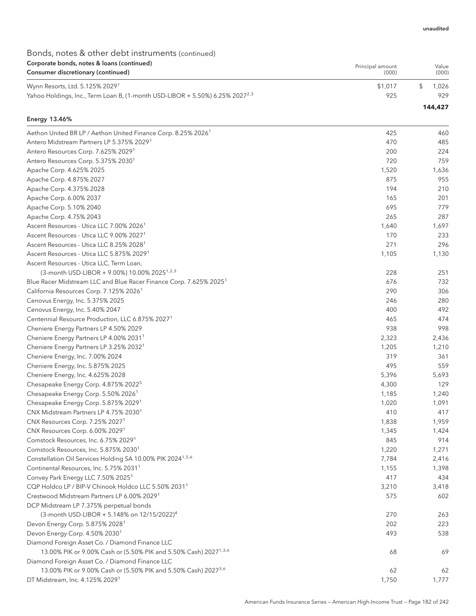### Bonds, notes & other debt instruments (continued) Corporate bonds, notes & loans (continued) Consumer discretionary (continued)

| corporate borids, notes a loans (commaca)<br>Consumer discretionary (continued)          | Principal amount<br>(000) | Value<br>(000) |
|------------------------------------------------------------------------------------------|---------------------------|----------------|
| Wynn Resorts, Ltd. 5.125% 2029 <sup>1</sup>                                              | \$1.017                   | 1.026          |
| Yahoo Holdings, Inc., Term Loan B, (1-month USD-LIBOR + 5.50%) 6.25% 2027 <sup>2,3</sup> | 925                       | 929            |
|                                                                                          |                           | 144,427        |

#### Energy 13.46%

| Aethon United BR LP / Aethon United Finance Corp. 8.25% 2026 <sup>1</sup>      | 425   | 460   |
|--------------------------------------------------------------------------------|-------|-------|
| Antero Midstream Partners LP 5.375% 2029 <sup>1</sup>                          | 470   | 485   |
| Antero Resources Corp. 7.625% 2029 <sup>1</sup>                                | 200   | 224   |
| Antero Resources Corp. 5.375% 2030 <sup>1</sup>                                | 720   | 759   |
| Apache Corp. 4.625% 2025                                                       | 1,520 | 1,636 |
| Apache Corp. 4.875% 2027                                                       | 875   | 955   |
| Apache Corp. 4.375% 2028                                                       | 194   | 210   |
| Apache Corp. 6.00% 2037                                                        | 165   | 201   |
| Apache Corp. 5.10% 2040                                                        | 695   | 779   |
| Apache Corp. 4.75% 2043                                                        | 265   | 287   |
| Ascent Resources - Utica LLC 7.00% 2026 <sup>1</sup>                           | 1,640 | 1,697 |
| Ascent Resources - Utica LLC 9.00% 2027 <sup>1</sup>                           | 170   | 233   |
| Ascent Resources - Utica LLC 8.25% 2028 <sup>1</sup>                           | 271   | 296   |
| Ascent Resources - Utica LLC 5.875% 2029 <sup>1</sup>                          | 1,105 | 1,130 |
| Ascent Resources - Utica LLC, Term Loan,                                       |       |       |
| (3-month USD-LIBOR + 9.00%) 10.00% 2025 <sup>1,2,3</sup>                       | 228   | 251   |
| Blue Racer Midstream LLC and Blue Racer Finance Corp. 7.625% 2025 <sup>1</sup> | 676   | 732   |
| California Resources Corp. 7.125% 2026 <sup>1</sup>                            | 290   | 306   |
| Cenovus Energy, Inc. 5.375% 2025                                               | 246   | 280   |
| Cenovus Energy, Inc. 5.40% 2047                                                | 400   | 492   |
| Centennial Resource Production, LLC 6.875% 2027 <sup>1</sup>                   | 465   | 474   |
| Cheniere Energy Partners LP 4.50% 2029                                         | 938   | 998   |
| Cheniere Energy Partners LP 4.00% 2031 <sup>1</sup>                            | 2,323 | 2,436 |
| Cheniere Energy Partners LP 3.25% 2032 <sup>1</sup>                            | 1,205 | 1,210 |
| Cheniere Energy, Inc. 7.00% 2024                                               | 319   | 361   |
| Cheniere Energy, Inc. 5.875% 2025                                              | 495   | 559   |
| Cheniere Energy, Inc. 4.625% 2028                                              | 5,396 | 5,693 |
| Chesapeake Energy Corp. 4.875% 2022 <sup>5</sup>                               | 4,300 | 129   |
| Chesapeake Energy Corp. 5.50% 2026 <sup>1</sup>                                | 1,185 | 1,240 |
| Chesapeake Energy Corp. 5.875% 2029 <sup>1</sup>                               | 1,020 | 1,091 |
| CNX Midstream Partners LP 4.75% 2030 <sup>1</sup>                              | 410   | 417   |
| CNX Resources Corp. 7.25% 2027 <sup>1</sup>                                    | 1,838 | 1,959 |
| CNX Resources Corp. 6.00% 2029 <sup>1</sup>                                    | 1,345 | 1,424 |
| Comstock Resources, Inc. 6.75% 2029 <sup>1</sup>                               | 845   | 914   |
| Comstock Resources, Inc. 5.875% 2030 <sup>1</sup>                              | 1,220 | 1,271 |
| Constellation Oil Services Holding SA 10.00% PIK 2024 <sup>1,5,6</sup>         | 7,784 | 2,416 |
| Continental Resources, Inc. 5.75% 2031 <sup>1</sup>                            | 1,155 | 1,398 |
| Convey Park Energy LLC 7.50% 2025 <sup>1</sup>                                 | 417   | 434   |
| CQP Holdco LP / BIP-V Chinook Holdco LLC 5.50% 2031 <sup>1</sup>               | 3,210 | 3,418 |
| Crestwood Midstream Partners LP 6.00% 2029 <sup>1</sup>                        | 575   | 602   |
| DCP Midstream LP 7.375% perpetual bonds                                        |       |       |
| (3-month USD-LIBOR + 5.148% on 12/15/2022) <sup>4</sup>                        | 270   | 263   |
| Devon Energy Corp. 5.875% 2028 <sup>1</sup>                                    | 202   | 223   |
| Devon Energy Corp. 4.50% 2030 <sup>1</sup>                                     | 493   | 538   |
| Diamond Foreign Asset Co. / Diamond Finance LLC                                |       |       |
| 13.00% PIK or 9.00% Cash or (5.50% PIK and 5.50% Cash) 2027 <sup>1,3,6</sup>   | 68    | 69    |
| Diamond Foreign Asset Co. / Diamond Finance LLC                                |       |       |
| 13.00% PIK or 9.00% Cash or (5.50% PIK and 5.50% Cash) 2027 <sup>3,6</sup>     | 62    | 62    |
| DT Midstream, Inc. 4.125% 2029 <sup>1</sup>                                    | 1,750 | 1,777 |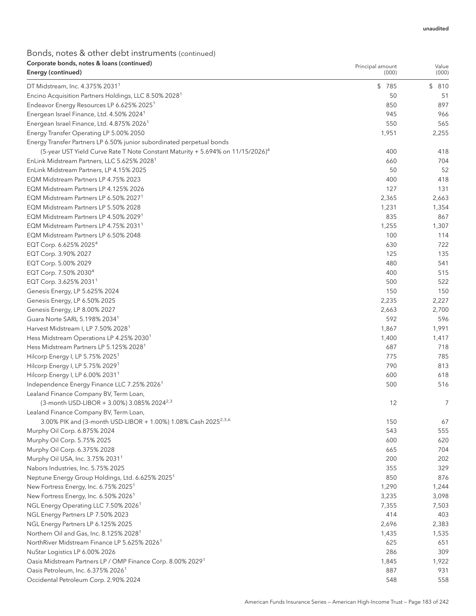| Corporate bonds, notes & Ioans (continued)<br>Energy (continued)                                                | Principal amount<br>(000) | Value<br>(000) |
|-----------------------------------------------------------------------------------------------------------------|---------------------------|----------------|
|                                                                                                                 |                           |                |
| DT Midstream, Inc. 4.375% 2031 <sup>1</sup>                                                                     | \$785                     | \$810          |
| Encino Acquisition Partners Holdings, LLC 8.50% 2028 <sup>1</sup>                                               | 50<br>850                 | 51<br>897      |
| Endeavor Energy Resources LP 6.625% 2025 <sup>1</sup>                                                           | 945                       | 966            |
| Energean Israel Finance, Ltd. 4.50% 2024 <sup>1</sup><br>Energean Israel Finance, Ltd. 4.875% 2026 <sup>1</sup> | 550                       | 565            |
| Energy Transfer Operating LP 5.00% 2050                                                                         | 1,951                     | 2,255          |
| Energy Transfer Partners LP 6.50% junior subordinated perpetual bonds                                           |                           |                |
| (5-year UST Yield Curve Rate T Note Constant Maturity + 5.694% on 11/15/2026) <sup>4</sup>                      | 400                       | 418            |
| EnLink Midstream Partners, LLC 5.625% 2028 <sup>1</sup>                                                         | 660                       | 704            |
| EnLink Midstream Partners, LP 4.15% 2025                                                                        | 50                        | 52             |
| EQM Midstream Partners LP 4.75% 2023                                                                            | 400                       | 418            |
| EQM Midstream Partners LP 4.125% 2026                                                                           | 127                       | 131            |
| EQM Midstream Partners LP 6.50% 2027 <sup>1</sup>                                                               | 2,365                     | 2,663          |
| EQM Midstream Partners LP 5.50% 2028                                                                            | 1,231                     | 1,354          |
| EQM Midstream Partners LP 4.50% 2029 <sup>1</sup>                                                               | 835                       | 867            |
| EQM Midstream Partners LP 4.75% 2031 <sup>1</sup>                                                               | 1,255                     | 1,307          |
| EQM Midstream Partners LP 6.50% 2048                                                                            | 100                       | 114            |
| EQT Corp. 6.625% 2025 <sup>4</sup>                                                                              | 630                       | 722            |
| EQT Corp. 3.90% 2027                                                                                            | 125                       | 135            |
| EQT Corp. 5.00% 2029                                                                                            | 480                       | 541            |
| EQT Corp. 7.50% 2030 <sup>4</sup>                                                                               | 400                       | 515            |
| EQT Corp. 3.625% 2031 <sup>1</sup>                                                                              | 500                       | 522            |
| Genesis Energy, LP 5.625% 2024                                                                                  | 150                       | 150            |
| Genesis Energy, LP 6.50% 2025                                                                                   | 2,235                     | 2,227          |
| Genesis Energy, LP 8.00% 2027                                                                                   | 2,663                     | 2,700          |
| Guara Norte SARL 5.198% 2034 <sup>1</sup>                                                                       | 592                       | 596            |
| Harvest Midstream I, LP 7.50% 2028 <sup>1</sup>                                                                 | 1,867                     | 1,991          |
| Hess Midstream Operations LP 4.25% 2030 <sup>1</sup>                                                            | 1,400                     | 1,417          |
| Hess Midstream Partners LP 5.125% 2028 <sup>1</sup>                                                             | 687                       | 718            |
| Hilcorp Energy I, LP 5.75% 2025 <sup>1</sup>                                                                    | 775                       | 785            |
| Hilcorp Energy I, LP 5.75% 2029 <sup>1</sup>                                                                    | 790                       | 813            |
| Hilcorp Energy I, LP 6.00% 2031 <sup>1</sup>                                                                    | 600                       | 618            |
| Independence Energy Finance LLC 7.25% 2026 <sup>1</sup>                                                         | 500                       | 516            |
| Lealand Finance Company BV, Term Loan,                                                                          |                           |                |
| (3-month USD-LIBOR + 3.00%) 3.085% 2024 <sup>2,3</sup>                                                          | 12                        | 7              |
| Lealand Finance Company BV, Term Loan,                                                                          |                           |                |
| 3.00% PIK and (3-month USD-LIBOR + 1.00%) 1.08% Cash 2025 <sup>2,3,6</sup>                                      | 150                       | 67             |
| Murphy Oil Corp. 6.875% 2024                                                                                    | 543                       | 555            |
| Murphy Oil Corp. 5.75% 2025                                                                                     | 600                       | 620            |
| Murphy Oil Corp. 6.375% 2028                                                                                    | 665                       | 704            |
| Murphy Oil USA, Inc. 3.75% 2031 <sup>1</sup>                                                                    | 200                       | 202            |
| Nabors Industries, Inc. 5.75% 2025                                                                              | 355                       | 329            |
| Neptune Energy Group Holdings, Ltd. 6.625% 2025 <sup>1</sup>                                                    | 850                       | 876            |
| New Fortress Energy, Inc. 6.75% 2025 <sup>1</sup>                                                               | 1,290                     | 1,244          |
| New Fortress Energy, Inc. 6.50% 2026 <sup>1</sup>                                                               | 3,235                     | 3,098          |
| NGL Energy Operating LLC 7.50% 2026 <sup>1</sup>                                                                | 7,355                     | 7,503          |
| NGL Energy Partners LP 7.50% 2023                                                                               | 414                       | 403            |
| NGL Energy Partners LP 6.125% 2025                                                                              | 2,696                     | 2,383          |
| Northern Oil and Gas, Inc. 8.125% 2028 <sup>1</sup>                                                             | 1,435                     | 1,535          |
| NorthRiver Midstream Finance LP 5.625% 2026 <sup>1</sup>                                                        | 625                       | 651            |
| NuStar Logistics LP 6.00% 2026                                                                                  | 286                       | 309            |
| Oasis Midstream Partners LP / OMP Finance Corp. 8.00% 2029 <sup>1</sup>                                         | 1,845                     | 1,922          |
| Oasis Petroleum, Inc. 6.375% 2026 <sup>1</sup>                                                                  | 887                       | 931            |
| Occidental Petroleum Corp. 2.90% 2024                                                                           | 548                       | 558            |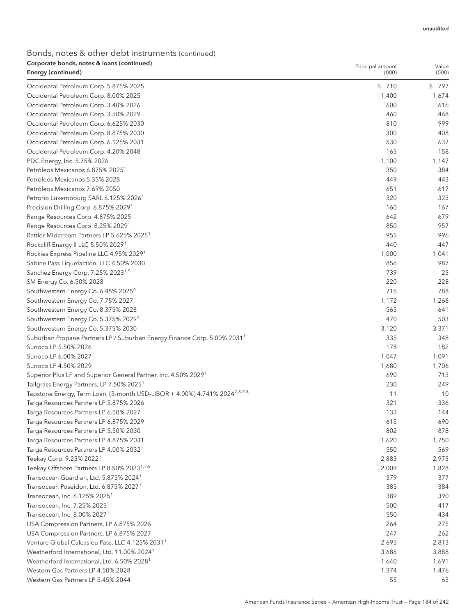| Corporate bonds, notes & Ioans (continued)<br>Energy (continued)                                                                                | Principal amount<br>(000) | Value<br>(000) |
|-------------------------------------------------------------------------------------------------------------------------------------------------|---------------------------|----------------|
|                                                                                                                                                 |                           |                |
| Occidental Petroleum Corp. 5.875% 2025                                                                                                          | \$710                     | \$797          |
| Occidental Petroleum Corp. 8.00% 2025                                                                                                           | 1,400                     | 1,674          |
| Occidental Petroleum Corp. 3.40% 2026                                                                                                           | 600                       | 616            |
| Occidental Petroleum Corp. 3.50% 2029                                                                                                           | 460                       | 468            |
| Occidental Petroleum Corp. 6.625% 2030                                                                                                          | 810                       | 999            |
| Occidental Petroleum Corp. 8.875% 2030                                                                                                          | 300                       | 408            |
| Occidental Petroleum Corp. 6.125% 2031                                                                                                          | 530                       | 637            |
| Occidental Petroleum Corp. 4.20% 2048                                                                                                           | 165                       | 158            |
| PDC Energy, Inc. 5.75% 2026                                                                                                                     | 1,100                     | 1,147          |
| Petróleos Mexicanos 6.875% 2025 <sup>1</sup>                                                                                                    | 350                       | 384            |
| Petróleos Mexicanos 5.35% 2028                                                                                                                  | 449                       | 443            |
| Petróleos Mexicanos 7.69% 2050                                                                                                                  | 651                       | 617            |
| Petrorio Luxembourg SARL 6.125% 2026 <sup>1</sup>                                                                                               | 320                       | 323            |
| Precision Drilling Corp. 6.875% 2029 <sup>1</sup>                                                                                               | 160                       | 167<br>679     |
| Range Resources Corp. 4.875% 2025                                                                                                               | 642                       |                |
| Range Resources Corp. 8.25% 2029 <sup>1</sup>                                                                                                   | 850                       | 957            |
| Rattler Midstream Partners LP 5.625% 2025 <sup>1</sup>                                                                                          | 955                       | 996            |
| Rockcliff Energy II LLC 5.50% 2029 <sup>1</sup>                                                                                                 | 440                       | 447            |
| Rockies Express Pipeline LLC 4.95% 2029 <sup>1</sup>                                                                                            | 1,000                     | 1,041          |
| Sabine Pass Liquefaction, LLC 4.50% 2030                                                                                                        | 856                       | 987            |
| Sanchez Energy Corp. 7.25% 2023 <sup>1,5</sup>                                                                                                  | 739                       | 25             |
| SM Energy Co. 6.50% 2028                                                                                                                        | 220<br>715                | 228<br>788     |
| Southwestern Energy Co. 6.45% 2025 <sup>4</sup>                                                                                                 |                           |                |
| Southwestern Energy Co. 7.75% 2027                                                                                                              | 1,172                     | 1,268          |
| Southwestern Energy Co. 8.375% 2028                                                                                                             | 565<br>470                | 641            |
| Southwestern Energy Co. 5.375% 2029 <sup>1</sup>                                                                                                |                           | 503            |
| Southwestern Energy Co. 5.375% 2030                                                                                                             | 3,120                     | 3,371          |
| Suburban Propane Partners LP / Suburban Energy Finance Corp. 5.00% 2031 <sup>1</sup>                                                            | 335<br>178                | 348            |
| Sunoco LP 5.50% 2026<br>Sunoco LP 6.00% 2027                                                                                                    | 1,047                     | 182            |
| Sunoco LP 4.50% 2029                                                                                                                            |                           | 1,091          |
|                                                                                                                                                 | 1,680<br>690              | 1,706<br>713   |
| Superior Plus LP and Superior General Partner, Inc. 4.50% 2029 <sup>1</sup>                                                                     | 230                       | 249            |
| Tallgrass Energy Partners, LP 7.50% 2025 <sup>1</sup><br>Tapstone Energy, Term Loan, (3-month USD-LIBOR + 4.00%) 4.741% 2024 <sup>2,3,7,8</sup> | 11                        | 10             |
| Targa Resources Partners LP 5.875% 2026                                                                                                         | 321                       | 336            |
| Targa Resources Partners LP 6.50% 2027                                                                                                          | 133                       | 144            |
| Targa Resources Partners LP 6.875% 2029                                                                                                         | 615                       | 690            |
| Targa Resources Partners LP 5.50% 2030                                                                                                          | 802                       | 878            |
| Targa Resources Partners LP 4.875% 2031                                                                                                         | 1,620                     | 1,750          |
| Targa Resources Partners LP 4.00% 2032 <sup>1</sup>                                                                                             | 550                       | 569            |
| Teekay Corp. 9.25% 2022 <sup>1</sup>                                                                                                            | 2,883                     | 2,973          |
| Teekay Offshore Partners LP 8.50% 2023 <sup>1,7,8</sup>                                                                                         | 2,009                     | 1,828          |
| Transocean Guardian, Ltd. 5.875% 2024 <sup>1</sup>                                                                                              | 379                       | 377            |
| Transocean Poseidon, Ltd. 6.875% 2027 <sup>1</sup>                                                                                              | 385                       | 384            |
| Transocean, Inc. 6.125% 2025 <sup>1</sup>                                                                                                       | 389                       | 390            |
| Transocean, Inc. 7.25% 2025 <sup>1</sup>                                                                                                        | 500                       | 417            |
| Transocean, Inc. 8.00% 2027 <sup>1</sup>                                                                                                        | 550                       | 434            |
| USA Compression Partners, LP 6.875% 2026                                                                                                        | 264                       | 275            |
| USA Compression Partners, LP 6.875% 2027                                                                                                        | 247                       | 262            |
| Venture Global Calcasieu Pass, LLC 4.125% 2031 <sup>1</sup>                                                                                     | 2,695                     | 2,813          |
| Weatherford International, Ltd. 11.00% 2024 <sup>1</sup>                                                                                        | 3,686                     | 3,888          |
| Weatherford International, Ltd. 6.50% 2028 <sup>1</sup>                                                                                         | 1,640                     | 1,691          |
| Western Gas Partners LP 4.50% 2028                                                                                                              | 1,374                     | 1,476          |
| Western Gas Partners LP 5.45% 2044                                                                                                              | 55                        | 63             |
|                                                                                                                                                 |                           |                |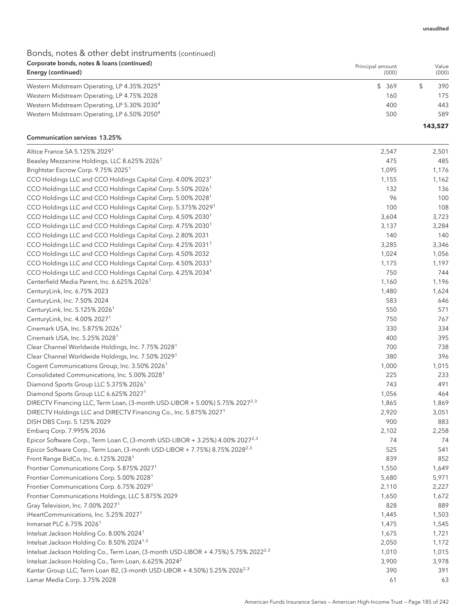Principal amount

# Bonds, notes & other debt instruments (continued) Corporate bonds, notes & loans (continued)

| Energy (continued)                                      | (000) | (000)   |
|---------------------------------------------------------|-------|---------|
| Western Midstream Operating, LP 4.35% 2025 <sup>4</sup> | \$369 | 390     |
| Western Midstream Operating, LP 4.75% 2028              | 160   | 175     |
| Western Midstream Operating, LP 5.30% 2030 <sup>4</sup> | 400   | 443     |
| Western Midstream Operating, LP 6.50% 2050 <sup>4</sup> | 500   | 589     |
|                                                         |       | 143,527 |

### Communication services 13.25%

| Altice France SA 5.125% 2029 <sup>1</sup>                                                      | 2,547 | 2,501 |
|------------------------------------------------------------------------------------------------|-------|-------|
| Beasley Mezzanine Holdings, LLC 8.625% 2026 <sup>1</sup>                                       | 475   | 485   |
| Brightstar Escrow Corp. 9.75% 2025 <sup>1</sup>                                                | 1,095 | 1,176 |
| CCO Holdings LLC and CCO Holdings Capital Corp. 4.00% 2023 <sup>1</sup>                        | 1,155 | 1,162 |
| CCO Holdings LLC and CCO Holdings Capital Corp. 5.50% 2026 <sup>1</sup>                        | 132   | 136   |
| CCO Holdings LLC and CCO Holdings Capital Corp. 5.00% 2028 <sup>1</sup>                        | 96    | 100   |
| CCO Holdings LLC and CCO Holdings Capital Corp. 5.375% 2029 <sup>1</sup>                       | 100   | 108   |
| CCO Holdings LLC and CCO Holdings Capital Corp. 4.50% 2030 <sup>1</sup>                        | 3,604 | 3,723 |
| CCO Holdings LLC and CCO Holdings Capital Corp. 4.75% 2030 <sup>1</sup>                        | 3,137 | 3,284 |
| CCO Holdings LLC and CCO Holdings Capital Corp. 2.80% 2031                                     | 140   | 140   |
| CCO Holdings LLC and CCO Holdings Capital Corp. 4.25% 2031 <sup>1</sup>                        | 3,285 | 3,346 |
| CCO Holdings LLC and CCO Holdings Capital Corp. 4.50% 2032                                     | 1,024 | 1,056 |
| CCO Holdings LLC and CCO Holdings Capital Corp. 4.50% 2033 <sup>1</sup>                        | 1,175 | 1,197 |
| CCO Holdings LLC and CCO Holdings Capital Corp. 4.25% 2034 <sup>1</sup>                        | 750   | 744   |
| Centerfield Media Parent, Inc. 6.625% 2026 <sup>1</sup>                                        | 1,160 | 1,196 |
| CenturyLink, Inc. 6.75% 2023                                                                   | 1,480 | 1,624 |
| CenturyLink, Inc. 7.50% 2024                                                                   | 583   | 646   |
| CenturyLink, Inc. 5.125% 2026 <sup>1</sup>                                                     | 550   | 571   |
| CenturyLink, Inc. 4.00% 2027 <sup>1</sup>                                                      | 750   | 767   |
| Cinemark USA, Inc. 5.875% 2026 <sup>1</sup>                                                    | 330   | 334   |
| Cinemark USA, Inc. 5.25% 2028 <sup>1</sup>                                                     | 400   | 395   |
| Clear Channel Worldwide Holdings, Inc. 7.75% 2028 <sup>1</sup>                                 | 700   | 738   |
| Clear Channel Worldwide Holdings, Inc. 7.50% 2029 <sup>1</sup>                                 | 380   | 396   |
| Cogent Communications Group, Inc. 3.50% 2026 <sup>1</sup>                                      | 1,000 | 1,015 |
| Consolidated Communications, Inc. 5.00% 2028 <sup>1</sup>                                      | 225   | 233   |
| Diamond Sports Group LLC 5.375% 2026 <sup>1</sup>                                              | 743   | 491   |
| Diamond Sports Group LLC 6.625% 2027 <sup>1</sup>                                              | 1,056 | 464   |
| DIRECTV Financing LLC, Term Loan, (3-month USD-LIBOR + 5.00%) 5.75% 2027 <sup>2,3</sup>        | 1,865 | 1,869 |
| DIRECTV Holdings LLC and DIRECTV Financing Co., Inc. 5.875% 2027 <sup>1</sup>                  | 2,920 | 3,051 |
| DISH DBS Corp. 5.125% 2029                                                                     | 900   | 883   |
| Embarq Corp. 7.995% 2036                                                                       | 2,102 | 2,258 |
| Epicor Software Corp., Term Loan C, (3-month USD-LIBOR + 3.25%) 4.00% 2027 <sup>2,3</sup>      | 74    | 74    |
| Epicor Software Corp., Term Loan, (3-month USD-LIBOR + 7.75%) 8.75% 2028 <sup>2,3</sup>        | 525   | 541   |
| Front Range BidCo, Inc. 6.125% 2028 <sup>1</sup>                                               | 839   | 852   |
| Frontier Communications Corp. 5.875% 2027 <sup>1</sup>                                         | 1,550 | 1,649 |
| Frontier Communications Corp. 5.00% 2028 <sup>1</sup>                                          | 5,680 | 5,971 |
| Frontier Communications Corp. 6.75% 2029 <sup>1</sup>                                          | 2,110 | 2,227 |
| Frontier Communications Holdings, LLC 5.875% 2029                                              | 1,650 | 1,672 |
| Gray Television, Inc. 7.00% 2027 <sup>1</sup>                                                  | 828   | 889   |
| iHeartCommunications, Inc. 5.25% 2027 <sup>1</sup>                                             | 1,445 | 1,503 |
| Inmarsat PLC 6.75% 2026 <sup>1</sup>                                                           | 1,475 | 1,545 |
| Intelsat Jackson Holding Co. 8.00% 2024 <sup>1</sup>                                           | 1,675 | 1,721 |
| Intelsat Jackson Holding Co. 8.50% 2024 <sup>1,5</sup>                                         | 2,050 | 1,172 |
| Intelsat Jackson Holding Co., Term Loan, (3-month USD-LIBOR + 4.75%) 5.75% 2022 <sup>2,3</sup> | 1,010 | 1,015 |
| Intelsat Jackson Holding Co., Term Loan, 6.625% 2024 <sup>2</sup>                              | 3,900 | 3,978 |
| Kantar Group LLC, Term Loan B2, (3-month USD-LIBOR + 4.50%) 5.25% 2026 <sup>2,3</sup>          | 390   | 391   |
| Lamar Media Corp. 3.75% 2028                                                                   | 61    | 63    |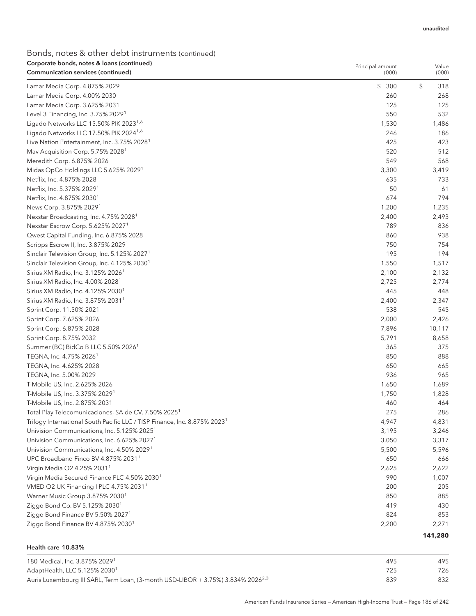| Corporate bonds, notes & Ioans (continued)<br>Communication services (continued)      | Principal amount<br>(000) | Value<br>(000) |
|---------------------------------------------------------------------------------------|---------------------------|----------------|
|                                                                                       |                           |                |
| Lamar Media Corp. 4.875% 2029                                                         | \$300                     | \$<br>318      |
| Lamar Media Corp. 4.00% 2030                                                          | 260                       | 268            |
| Lamar Media Corp. 3.625% 2031                                                         | 125                       | 125            |
| Level 3 Financing, Inc. 3.75% 2029 <sup>1</sup>                                       | 550                       | 532            |
| Ligado Networks LLC 15.50% PIK 2023 <sup>1,6</sup>                                    | 1,530                     | 1,486          |
| Ligado Networks LLC 17.50% PIK 2024 <sup>1,6</sup>                                    | 246                       | 186            |
| Live Nation Entertainment, Inc. 3.75% 2028 <sup>1</sup>                               | 425                       | 423            |
| Mav Acquisition Corp. 5.75% 2028 <sup>1</sup>                                         | 520                       | 512            |
| Meredith Corp. 6.875% 2026                                                            | 549                       | 568            |
| Midas OpCo Holdings LLC 5.625% 2029 <sup>1</sup>                                      | 3,300                     | 3,419          |
| Netflix, Inc. 4.875% 2028                                                             | 635                       | 733            |
| Netflix, Inc. 5.375% 2029 <sup>1</sup>                                                | 50                        | 61             |
| Netflix, Inc. 4.875% 2030 <sup>1</sup>                                                | 674                       | 794            |
| News Corp. 3.875% 2029 <sup>1</sup>                                                   | 1,200                     | 1,235          |
| Nexstar Broadcasting, Inc. 4.75% 2028 <sup>1</sup>                                    | 2,400                     | 2,493          |
| Nexstar Escrow Corp. 5.625% 2027 <sup>1</sup>                                         | 789                       | 836            |
| Qwest Capital Funding, Inc. 6.875% 2028                                               | 860                       | 938            |
| Scripps Escrow II, Inc. 3.875% 2029 <sup>1</sup>                                      | 750                       | 754            |
| Sinclair Television Group, Inc. 5.125% 2027 <sup>1</sup>                              | 195                       | 194            |
| Sinclair Television Group, Inc. 4.125% 2030 <sup>1</sup>                              | 1,550                     | 1,517          |
| Sirius XM Radio, Inc. 3.125% 2026 <sup>1</sup>                                        | 2,100                     | 2,132          |
| Sirius XM Radio, Inc. 4.00% 2028 <sup>1</sup>                                         | 2,725                     | 2,774          |
| Sirius XM Radio, Inc. 4.125% 2030 <sup>1</sup>                                        | 445                       | 448            |
| Sirius XM Radio, Inc. 3.875% 2031 <sup>1</sup>                                        | 2,400                     | 2,347          |
| Sprint Corp. 11.50% 2021                                                              | 538                       | 545            |
| Sprint Corp. 7.625% 2026                                                              | 2,000                     | 2,426          |
| Sprint Corp. 6.875% 2028                                                              | 7,896                     | 10,117         |
| Sprint Corp. 8.75% 2032                                                               | 5,791                     | 8,658          |
| Summer (BC) BidCo B LLC 5.50% 2026 <sup>1</sup>                                       | 365                       | 375            |
| TEGNA, Inc. 4.75% 2026 <sup>1</sup>                                                   | 850                       | 888            |
| TEGNA, Inc. 4.625% 2028                                                               | 650                       | 665            |
| TEGNA, Inc. 5.00% 2029                                                                | 936                       | 965            |
| T-Mobile US, Inc. 2.625% 2026                                                         | 1,650                     | 1,689          |
| T-Mobile US, Inc. 3.375% 2029 <sup>1</sup>                                            | 1,750                     | 1,828          |
| T-Mobile US, Inc. 2.875% 2031                                                         | 460                       | 464            |
| Total Play Telecomunicaciones, SA de CV, 7.50% 2025 <sup>1</sup>                      | 275                       | 286            |
| Trilogy International South Pacific LLC / TISP Finance, Inc. 8.875% 2023 <sup>1</sup> | 4,947                     | 4,831          |
| Univision Communications, Inc. 5.125% 2025 <sup>1</sup>                               | 3,195                     | 3,246          |
| Univision Communications, Inc. 6.625% 2027 <sup>1</sup>                               | 3,050                     | 3,317          |
| Univision Communications, Inc. 4.50% 2029 <sup>1</sup>                                | 5,500                     | 5,596          |
| UPC Broadband Finco BV 4.875% 2031 <sup>1</sup>                                       | 650                       | 666            |
| Virgin Media O2 4.25% 2031 <sup>1</sup>                                               | 2,625                     | 2,622          |
| Virgin Media Secured Finance PLC 4.50% 2030 <sup>1</sup>                              | 990                       | 1,007          |
| VMED O2 UK Financing I PLC 4.75% 2031 <sup>1</sup>                                    | 200                       | 205            |
| Warner Music Group 3.875% 2030 <sup>1</sup>                                           | 850                       | 885            |
| Ziggo Bond Co. BV 5.125% 2030 <sup>1</sup>                                            | 419                       | 430            |
| Ziggo Bond Finance BV 5.50% 2027 <sup>1</sup>                                         | 824                       | 853            |
| Ziggo Bond Finance BV 4.875% 2030 <sup>1</sup>                                        | 2,200                     | 2,271          |
|                                                                                       |                           |                |
|                                                                                       |                           | 141,280        |

### Health care 10.83%

| 180 Medical, Inc. 3.875% 20291                                                               | 495 | 495 |
|----------------------------------------------------------------------------------------------|-----|-----|
| AdaptHealth, LLC 5.125% 2030 $^{\rm 1}$                                                      | 725 | 726 |
| Auris Luxembourg III SARL, Term Loan, (3-month USD-LIBOR + 3.75%) 3.834% 2026 <sup>2,3</sup> | 839 | 832 |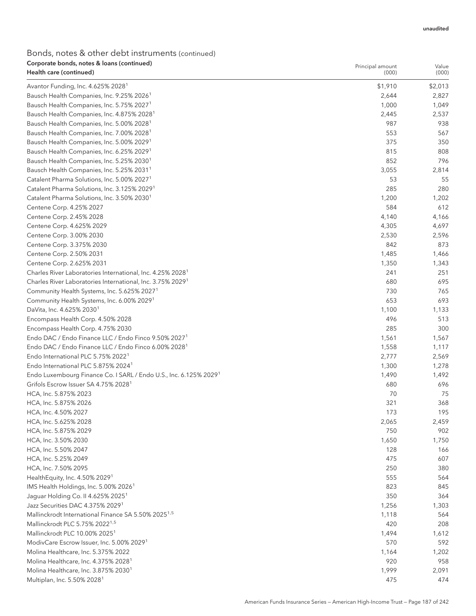| Corporate bonds, notes & Ioans (continued)<br>Health care (continued)         | Principal amount<br>(000) | Value<br>(000) |
|-------------------------------------------------------------------------------|---------------------------|----------------|
| Avantor Funding, Inc. 4.625% 2028 <sup>1</sup>                                | \$1,910                   | \$2,013        |
| Bausch Health Companies, Inc. 9.25% 2026 <sup>1</sup>                         | 2,644                     | 2,827          |
| Bausch Health Companies, Inc. 5.75% 2027 <sup>1</sup>                         | 1,000                     | 1,049          |
| Bausch Health Companies, Inc. 4.875% 2028 <sup>1</sup>                        | 2,445                     | 2,537          |
| Bausch Health Companies, Inc. 5.00% 2028 <sup>1</sup>                         | 987                       | 938            |
| Bausch Health Companies, Inc. 7.00% 2028 <sup>1</sup>                         | 553                       | 567            |
| Bausch Health Companies, Inc. 5.00% 2029 <sup>1</sup>                         | 375                       | 350            |
| Bausch Health Companies, Inc. 6.25% 2029 <sup>1</sup>                         | 815                       | 808            |
| Bausch Health Companies, Inc. 5.25% 2030 <sup>1</sup>                         | 852                       | 796            |
| Bausch Health Companies, Inc. 5.25% 2031 <sup>1</sup>                         | 3,055                     | 2,814          |
| Catalent Pharma Solutions, Inc. 5.00% 2027 <sup>1</sup>                       | 53                        | 55             |
| Catalent Pharma Solutions, Inc. 3.125% 2029 <sup>1</sup>                      | 285                       | 280            |
| Catalent Pharma Solutions, Inc. 3.50% 2030 <sup>1</sup>                       | 1,200                     | 1,202          |
| Centene Corp. 4.25% 2027                                                      | 584                       | 612            |
| Centene Corp. 2.45% 2028                                                      | 4,140                     | 4,166          |
| Centene Corp. 4.625% 2029                                                     | 4,305                     | 4,697          |
| Centene Corp. 3.00% 2030                                                      | 2,530                     | 2,596          |
| Centene Corp. 3.375% 2030                                                     | 842                       | 873            |
| Centene Corp. 2.50% 2031                                                      | 1,485                     | 1,466          |
| Centene Corp. 2.625% 2031                                                     | 1,350                     | 1,343          |
| Charles River Laboratories International, Inc. 4.25% 2028 <sup>1</sup>        | 241                       | 251            |
| Charles River Laboratories International, Inc. 3.75% 2029 <sup>1</sup>        | 680                       | 695            |
| Community Health Systems, Inc. 5.625% 2027 <sup>1</sup>                       | 730                       | 765            |
| Community Health Systems, Inc. 6.00% 2029 <sup>1</sup>                        | 653                       | 693            |
| DaVita, Inc. 4.625% 2030 <sup>1</sup>                                         | 1,100                     | 1,133          |
| Encompass Health Corp. 4.50% 2028                                             | 496                       | 513            |
| Encompass Health Corp. 4.75% 2030                                             | 285                       | 300            |
| Endo DAC / Endo Finance LLC / Endo Finco 9.50% 2027 <sup>1</sup>              | 1,561                     | 1,567          |
| Endo DAC / Endo Finance LLC / Endo Finco 6.00% 2028 <sup>1</sup>              | 1,558                     | 1,117          |
| Endo International PLC 5.75% 2022 <sup>1</sup>                                | 2,777                     | 2,569          |
| Endo International PLC 5.875% 2024 <sup>1</sup>                               | 1,300                     | 1,278          |
| Endo Luxembourg Finance Co. I SARL / Endo U.S., Inc. 6.125% 2029 <sup>1</sup> | 1,490                     | 1,492          |
| Grifols Escrow Issuer SA 4.75% 2028 <sup>1</sup>                              | 680                       | 696            |
| HCA, Inc. 5.875% 2023                                                         | 70                        | 75             |
| HCA, Inc. 5.875% 2026                                                         | 321                       | 368            |
| HCA, Inc. 4.50% 2027                                                          | 173                       | 195            |
| HCA, Inc. 5.625% 2028                                                         | 2,065                     | 2,459          |
| HCA, Inc. 5.875% 2029                                                         | 750                       | 902            |
| HCA, Inc. 3.50% 2030                                                          | 1,650                     | 1,750          |
| HCA, Inc. 5.50% 2047                                                          | 128                       | 166            |
| HCA, Inc. 5.25% 2049                                                          | 475                       | 607            |
| HCA, Inc. 7.50% 2095                                                          | 250                       | 380            |
| HealthEquity, Inc. 4.50% 2029 <sup>1</sup>                                    | 555                       | 564            |
| IMS Health Holdings, Inc. 5.00% 2026 <sup>1</sup>                             | 823                       | 845            |
| Jaguar Holding Co. II 4.625% 2025 <sup>1</sup>                                | 350                       | 364            |
| Jazz Securities DAC 4.375% 2029 <sup>1</sup>                                  | 1,256                     | 1,303          |
| Mallinckrodt International Finance SA 5.50% 2025 <sup>1,5</sup>               | 1,118                     | 564            |
| Mallinckrodt PLC 5.75% 2022 <sup>1,5</sup>                                    | 420                       | 208            |
| Mallinckrodt PLC 10.00% 2025 <sup>1</sup>                                     | 1,494                     | 1,612          |
| ModivCare Escrow Issuer, Inc. 5.00% 2029 <sup>1</sup>                         | 570                       | 592            |
| Molina Healthcare, Inc. 5.375% 2022                                           | 1,164                     | 1,202          |
| Molina Healthcare, Inc. 4.375% 2028 <sup>1</sup>                              | 920                       | 958            |
| Molina Healthcare, Inc. 3.875% 2030 <sup>1</sup>                              | 1,999                     | 2,091          |
| Multiplan, Inc. 5.50% 2028 <sup>1</sup>                                       | 475                       | 474            |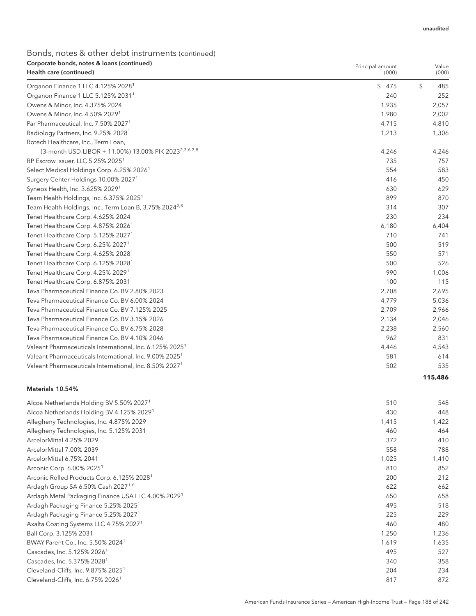# Bonds, notes & other debt instruments (continued) Corporate bonds, notes & loans (continued)

| Corporate bonds, notes & Ioans (continued)<br>Health care (continued) | Principal amount<br>(000) | Value<br>(000) |
|-----------------------------------------------------------------------|---------------------------|----------------|
| Organon Finance 1 LLC 4.125% 2028 <sup>1</sup>                        | \$475                     | \$<br>485      |
| Organon Finance 1 LLC 5.125% 2031 <sup>1</sup>                        | 240                       | 252            |
| Owens & Minor, Inc. 4.375% 2024                                       | 1,935                     | 2,057          |
| Owens & Minor, Inc. 4.50% 2029 <sup>1</sup>                           | 1,980                     | 2,002          |
| Par Pharmaceutical, Inc. 7.50% 2027 <sup>1</sup>                      | 4,715                     | 4,810          |
| Radiology Partners, Inc. 9.25% 2028 <sup>1</sup>                      | 1,213                     | 1,306          |
| Rotech Healthcare, Inc., Term Loan,                                   |                           |                |
| (3-month USD-LIBOR + 11.00%) 13.00% PIK 2023 <sup>2,3,6,7,8</sup>     | 4,246                     | 4,246          |
| RP Escrow Issuer, LLC 5.25% 2025 <sup>1</sup>                         | 735                       | 757            |
| Select Medical Holdings Corp. 6.25% 2026 <sup>1</sup>                 | 554                       | 583            |
| Surgery Center Holdings 10.00% 2027 <sup>1</sup>                      | 416                       | 450            |
| Syneos Health, Inc. 3.625% 2029 <sup>1</sup>                          | 630                       | 629            |
| Team Health Holdings, Inc. 6.375% 2025 <sup>1</sup>                   | 899                       | 870            |
| Team Health Holdings, Inc., Term Loan B, 3.75% 2024 <sup>2,3</sup>    | 314                       | 307            |
| Tenet Healthcare Corp. 4.625% 2024                                    | 230                       | 234            |
| Tenet Healthcare Corp. 4.875% 2026 <sup>1</sup>                       | 6,180                     | 6,404          |
| Tenet Healthcare Corp. 5.125% 2027 <sup>1</sup>                       | 710                       | 741            |
| Tenet Healthcare Corp. 6.25% 2027 <sup>1</sup>                        | 500                       | 519            |
| Tenet Healthcare Corp. 4.625% 2028 <sup>1</sup>                       | 550                       | 571            |
| Tenet Healthcare Corp. 6.125% 2028 <sup>1</sup>                       | 500                       | 526            |
| Tenet Healthcare Corp. 4.25% 2029 <sup>1</sup>                        | 990                       | 1,006          |
| Tenet Healthcare Corp. 6.875% 2031                                    | 100                       | 115            |
| Teva Pharmaceutical Finance Co. BV 2.80% 2023                         | 2,708                     | 2,695          |
| Teva Pharmaceutical Finance Co. BV 6.00% 2024                         | 4,779                     | 5,036          |
| Teva Pharmaceutical Finance Co. BV 7.125% 2025                        | 2,709                     | 2,966          |
| Teva Pharmaceutical Finance Co. BV 3.15% 2026                         | 2,134                     | 2,046          |
| Teva Pharmaceutical Finance Co. BV 6.75% 2028                         | 2,238                     | 2,560          |
| Teva Pharmaceutical Finance Co. BV 4.10% 2046                         | 962                       | 831            |
| Valeant Pharmaceuticals International, Inc. 6.125% 2025 <sup>1</sup>  | 4,446                     | 4,543          |
| Valeant Pharmaceuticals International, Inc. 9.00% 2025 <sup>1</sup>   | 581                       | 614            |
| Valeant Pharmaceuticals International, Inc. 8.50% 2027 <sup>1</sup>   | 502                       | 535            |
|                                                                       |                           | 115,486        |

#### Materials 10.54%

| Alcoa Netherlands Holding BV 5.50% 2027 <sup>1</sup>           | 510   | 548   |
|----------------------------------------------------------------|-------|-------|
| Alcoa Netherlands Holding BV 4.125% 2029 <sup>1</sup>          | 430   | 448   |
| Allegheny Technologies, Inc. 4.875% 2029                       | 1,415 | 1,422 |
| Allegheny Technologies, Inc. 5.125% 2031                       | 460   | 464   |
| ArcelorMittal 4.25% 2029                                       | 372   | 410   |
| ArcelorMittal 7.00% 2039                                       | 558   | 788   |
| ArcelorMittal 6.75% 2041                                       | 1,025 | 1,410 |
| Arconic Corp. 6.00% 2025 <sup>1</sup>                          | 810   | 852   |
| Arconic Rolled Products Corp. 6.125% 2028 <sup>1</sup>         | 200   | 212   |
| Ardagh Group SA 6.50% Cash 2027 <sup>1,6</sup>                 | 622   | 662   |
| Ardagh Metal Packaging Finance USA LLC 4.00% 2029 <sup>1</sup> | 650   | 658   |
| Ardagh Packaging Finance 5.25% 2025 <sup>1</sup>               | 495   | 518   |
| Ardagh Packaging Finance 5.25% 2027 <sup>1</sup>               | 225   | 229   |
| Axalta Coating Systems LLC 4.75% 2027 <sup>1</sup>             | 460   | 480   |
| Ball Corp. 3.125% 2031                                         | 1,250 | 1,236 |
| BWAY Parent Co., Inc. 5.50% 2024 <sup>1</sup>                  | 1,619 | 1,635 |
| Cascades, Inc. 5.125% 2026 <sup>1</sup>                        | 495   | 527   |
| Cascades, Inc. 5.375% 2028 <sup>1</sup>                        | 340   | 358   |
| Cleveland-Cliffs, Inc. 9.875% 2025 <sup>1</sup>                | 204   | 234   |
| Cleveland-Cliffs, Inc. 6.75% 2026 <sup>1</sup>                 | 817   | 872   |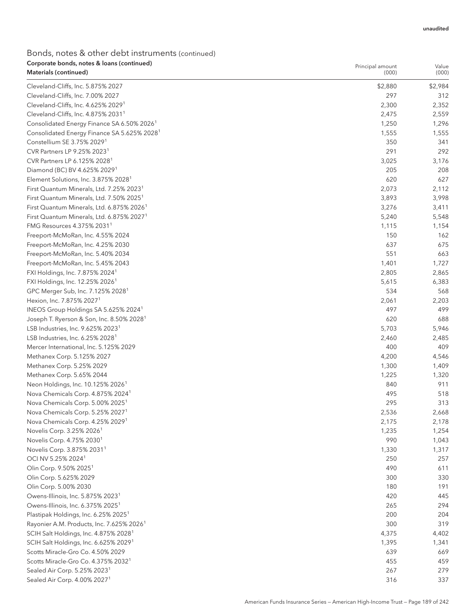| Corporate bonds, notes & Ioans (continued)<br>Materials (continued) | Principal amount<br>(000) | Value<br>(000) |
|---------------------------------------------------------------------|---------------------------|----------------|
| Cleveland-Cliffs, Inc. 5.875% 2027                                  | \$2,880                   | \$2,984        |
| Cleveland-Cliffs, Inc. 7.00% 2027                                   | 297                       | 312            |
| Cleveland-Cliffs, Inc. 4.625% 2029 <sup>1</sup>                     | 2,300                     | 2,352          |
| Cleveland-Cliffs, Inc. 4.875% 2031 <sup>1</sup>                     | 2,475                     | 2,559          |
| Consolidated Energy Finance SA 6.50% 2026 <sup>1</sup>              | 1,250                     | 1,296          |
| Consolidated Energy Finance SA 5.625% 2028 <sup>1</sup>             | 1,555                     | 1,555          |
| Constellium SE 3.75% 20291                                          | 350                       | 341            |
| CVR Partners LP 9.25% 2023 <sup>1</sup>                             | 291                       | 292            |
| CVR Partners LP 6.125% 2028 <sup>1</sup>                            |                           |                |
| Diamond (BC) BV 4.625% 2029 <sup>1</sup>                            | 3,025<br>205              | 3,176<br>208   |
|                                                                     |                           |                |
| Element Solutions, Inc. 3.875% 2028 <sup>1</sup>                    | 620                       | 627            |
| First Quantum Minerals, Ltd. 7.25% 2023 <sup>1</sup>                | 2,073                     | 2,112          |
| First Quantum Minerals, Ltd. 7.50% 2025 <sup>1</sup>                | 3,893                     | 3,998          |
| First Quantum Minerals, Ltd. 6.875% 2026 <sup>1</sup>               | 3,276                     | 3,411          |
| First Quantum Minerals, Ltd. 6.875% 2027 <sup>1</sup>               | 5,240                     | 5,548          |
| FMG Resources 4.375% 2031 <sup>1</sup>                              | 1,115                     | 1,154          |
| Freeport-McMoRan, Inc. 4.55% 2024                                   | 150                       | 162            |
| Freeport-McMoRan, Inc. 4.25% 2030                                   | 637                       | 675            |
| Freeport-McMoRan, Inc. 5.40% 2034                                   | 551                       | 663            |
| Freeport-McMoRan, Inc. 5.45% 2043                                   | 1,401                     | 1,727          |
| FXI Holdings, Inc. 7.875% 2024 <sup>1</sup>                         | 2,805                     | 2,865          |
| FXI Holdings, Inc. 12.25% 2026 <sup>1</sup>                         | 5,615                     | 6,383          |
| GPC Merger Sub, Inc. 7.125% 2028 <sup>1</sup>                       | 534                       | 568            |
| Hexion, Inc. 7.875% 2027 <sup>1</sup>                               | 2,061                     | 2,203          |
| INEOS Group Holdings SA 5.625% 2024 <sup>1</sup>                    | 497                       | 499            |
| Joseph T. Ryerson & Son, Inc. 8.50% 2028 <sup>1</sup>               | 620                       | 688            |
| LSB Industries, Inc. 9.625% 2023 <sup>1</sup>                       | 5,703                     | 5,946          |
| LSB Industries, Inc. 6.25% 2028 <sup>1</sup>                        | 2,460                     | 2,485          |
| Mercer International, Inc. 5.125% 2029                              | 400                       | 409            |
| Methanex Corp. 5.125% 2027                                          | 4,200                     | 4,546          |
| Methanex Corp. 5.25% 2029                                           | 1,300                     | 1,409          |
| Methanex Corp. 5.65% 2044                                           | 1,225                     | 1,320          |
| Neon Holdings, Inc. 10.125% 2026 <sup>1</sup>                       | 840                       | 911            |
| Nova Chemicals Corp. 4.875% 2024 <sup>1</sup>                       | 495                       | 518            |
| Nova Chemicals Corp. 5.00% 2025 <sup>1</sup>                        | 295                       | 313            |
| Nova Chemicals Corp. 5.25% 2027 <sup>1</sup>                        | 2,536                     | 2,668          |
| Nova Chemicals Corp. 4.25% 2029 <sup>1</sup>                        | 2,175                     | 2,178          |
| Novelis Corp. 3.25% 2026 <sup>1</sup>                               | 1,235                     | 1,254          |
| Novelis Corp. 4.75% 2030 <sup>1</sup>                               | 990                       | 1,043          |
| Novelis Corp. 3.875% 2031 <sup>1</sup>                              | 1,330                     | 1,317          |
| OCI NV 5.25% 2024 <sup>1</sup>                                      | 250                       | 257            |
| Olin Corp. 9.50% 2025 <sup>1</sup>                                  | 490                       | 611            |
| Olin Corp. 5.625% 2029                                              | 300                       | 330            |
| Olin Corp. 5.00% 2030                                               | 180                       | 191            |
| Owens-Illinois, Inc. 5.875% 2023 <sup>1</sup>                       | 420                       | 445            |
| Owens-Illinois, Inc. 6.375% 2025 <sup>1</sup>                       | 265                       | 294            |
| Plastipak Holdings, Inc. 6.25% 2025 <sup>1</sup>                    | 200                       | 204            |
| Rayonier A.M. Products, Inc. 7.625% 2026 <sup>1</sup>               | 300                       | 319            |
| SCIH Salt Holdings, Inc. 4.875% 2028 <sup>1</sup>                   | 4,375                     | 4,402          |
| SCIH Salt Holdings, Inc. 6.625% 2029 <sup>1</sup>                   | 1,395                     | 1,341          |
| Scotts Miracle-Gro Co. 4.50% 2029                                   | 639                       | 669            |
| Scotts Miracle-Gro Co. 4.375% 2032 <sup>1</sup>                     | 455                       | 459            |
| Sealed Air Corp. 5.25% 2023 <sup>1</sup>                            | 267                       | 279            |
| Sealed Air Corp. 4.00% 2027 <sup>1</sup>                            | 316                       | 337            |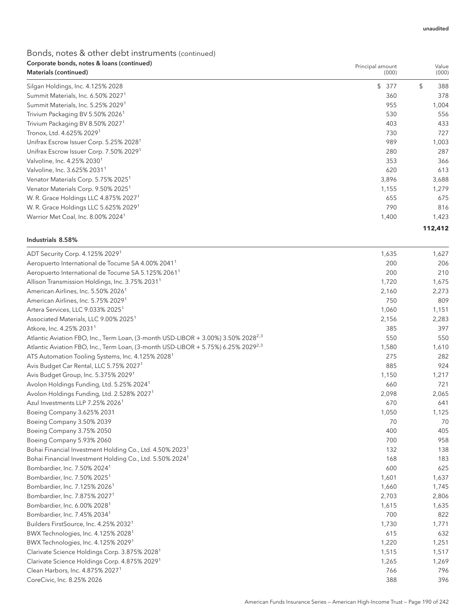| Corporate bonds, notes & Ioans (continued)<br>Materials (continued) | Principal amount<br>(000) | Value<br>(000) |
|---------------------------------------------------------------------|---------------------------|----------------|
| Silgan Holdings, Inc. 4.125% 2028                                   | $\mathfrak{L}$<br>377     | \$<br>388      |
| Summit Materials, Inc. 6.50% 2027 <sup>1</sup>                      | 360                       | 378            |
| Summit Materials, Inc. 5.25% 2029 <sup>1</sup>                      | 955                       | 1,004          |
| Trivium Packaging BV 5.50% 2026 <sup>1</sup>                        | 530                       | 556            |
| Trivium Packaging BV 8.50% 2027 <sup>1</sup>                        | 403                       | 433            |
| Tronox, Ltd. 4.625% 2029 <sup>1</sup>                               | 730                       | 727            |
| Unifrax Escrow Issuer Corp. 5.25% 2028 <sup>1</sup>                 | 989                       | 1,003          |
| Unifrax Escrow Issuer Corp. 7.50% 2029 <sup>1</sup>                 | 280                       | 287            |
| Valvoline, Inc. 4.25% 2030 <sup>1</sup>                             | 353                       | 366            |
| Valvoline, Inc. 3.625% 2031 <sup>1</sup>                            | 620                       | 613            |
| Venator Materials Corp. 5.75% 2025 <sup>1</sup>                     | 3,896                     | 3,688          |
| Venator Materials Corp. 9.50% 2025 <sup>1</sup>                     | 1,155                     | 1,279          |
| W. R. Grace Holdings LLC 4.875% 2027 <sup>1</sup>                   | 655                       | 675            |
| W. R. Grace Holdings LLC 5.625% 2029 <sup>1</sup>                   | 790                       | 816            |
| Warrior Met Coal, Inc. 8.00% 2024 <sup>1</sup>                      | 1,400                     | 1,423          |
|                                                                     |                           | 112,412        |

#### Industrials 8.58%

| ADT Security Corp. 4.125% 2029 <sup>1</sup>                                                   | 1,635 | 1,627 |
|-----------------------------------------------------------------------------------------------|-------|-------|
| Aeropuerto International de Tocume SA 4.00% 2041 <sup>1</sup>                                 | 200   | 206   |
| Aeropuerto International de Tocume SA 5.125% 2061 <sup>1</sup>                                | 200   | 210   |
| Allison Transmission Holdings, Inc. 3.75% 2031 <sup>1</sup>                                   | 1,720 | 1,675 |
| American Airlines, Inc. 5.50% 2026 <sup>1</sup>                                               | 2,160 | 2,273 |
| American Airlines, Inc. 5.75% 2029 <sup>1</sup>                                               | 750   | 809   |
| Artera Services, LLC 9.033% 2025 <sup>1</sup>                                                 | 1,060 | 1,151 |
| Associated Materials, LLC 9.00% 2025 <sup>1</sup>                                             | 2,156 | 2,283 |
| Atkore, Inc. 4.25% 2031 <sup>1</sup>                                                          | 385   | 397   |
| Atlantic Aviation FBO, Inc., Term Loan, (3-month USD-LIBOR + 3.00%) 3.50% 2028 <sup>2,3</sup> | 550   | 550   |
| Atlantic Aviation FBO, Inc., Term Loan, (3-month USD-LIBOR + 5.75%) 6.25% 2029 <sup>2,3</sup> | 1,580 | 1,610 |
| ATS Automation Tooling Systems, Inc. 4.125% 2028 <sup>1</sup>                                 | 275   | 282   |
| Avis Budget Car Rental, LLC 5.75% 2027 <sup>1</sup>                                           | 885   | 924   |
| Avis Budget Group, Inc. 5.375% 2029 <sup>1</sup>                                              | 1,150 | 1,217 |
| Avolon Holdings Funding, Ltd. 5.25% 2024 <sup>1</sup>                                         | 660   | 721   |
| Avolon Holdings Funding, Ltd. 2.528% 2027 <sup>1</sup>                                        | 2,098 | 2,065 |
| Azul Investments LLP 7.25% 2026 <sup>1</sup>                                                  | 670   | 641   |
| Boeing Company 3.625% 2031                                                                    | 1,050 | 1,125 |
| Boeing Company 3.50% 2039                                                                     | 70    | 70    |
| Boeing Company 3.75% 2050                                                                     | 400   | 405   |
| Boeing Company 5.93% 2060                                                                     | 700   | 958   |
| Bohai Financial Investment Holding Co., Ltd. 4.50% 2023 <sup>1</sup>                          | 132   | 138   |
| Bohai Financial Investment Holding Co., Ltd. 5.50% 2024 <sup>1</sup>                          | 168   | 183   |
| Bombardier, Inc. 7.50% 2024 <sup>1</sup>                                                      | 600   | 625   |
| Bombardier, Inc. 7.50% 2025 <sup>1</sup>                                                      | 1,601 | 1,637 |
| Bombardier, Inc. 7.125% 2026 <sup>1</sup>                                                     | 1,660 | 1,745 |
| Bombardier, Inc. 7.875% 2027 <sup>1</sup>                                                     | 2,703 | 2,806 |
| Bombardier, Inc. 6.00% 2028 <sup>1</sup>                                                      | 1,615 | 1,635 |
| Bombardier, Inc. 7.45% 2034 <sup>1</sup>                                                      | 700   | 822   |
| Builders FirstSource, Inc. 4.25% 2032 <sup>1</sup>                                            | 1,730 | 1,771 |
| BWX Technologies, Inc. 4.125% 2028 <sup>1</sup>                                               | 615   | 632   |
| BWX Technologies, Inc. 4.125% 2029 <sup>1</sup>                                               | 1,220 | 1,251 |
| Clarivate Science Holdings Corp. 3.875% 2028 <sup>1</sup>                                     | 1,515 | 1,517 |
| Clarivate Science Holdings Corp. 4.875% 2029 <sup>1</sup>                                     | 1,265 | 1,269 |
| Clean Harbors, Inc. 4.875% 2027 <sup>1</sup>                                                  | 766   | 796   |
| CoreCivic, Inc. 8.25% 2026                                                                    | 388   | 396   |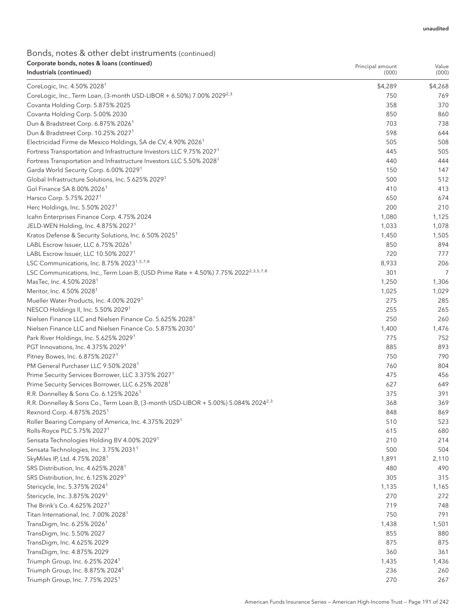Principal amount

| Industrials (continued)                                                                                             | (000)   | (000)   |
|---------------------------------------------------------------------------------------------------------------------|---------|---------|
| CoreLogic, Inc. 4.50% 2028 <sup>1</sup>                                                                             | \$4,289 | \$4,268 |
| CoreLogic, Inc., Term Loan, (3-month USD-LIBOR + 6.50%) 7.00% 2029 <sup>2,3</sup>                                   | 750     | 769     |
| Covanta Holding Corp. 5.875% 2025                                                                                   | 358     | 370     |
| Covanta Holding Corp. 5.00% 2030                                                                                    | 850     | 860     |
| Dun & Bradstreet Corp. 6.875% 2026 <sup>1</sup>                                                                     | 703     | 738     |
| Dun & Bradstreet Corp. 10.25% 2027 <sup>1</sup>                                                                     | 598     | 644     |
| Electricidad Firme de Mexico Holdings, SA de CV, 4.90% 2026 <sup>1</sup>                                            | 505     | 508     |
| Fortress Transportation and Infrastructure Investors LLC 9.75% 2027 <sup>1</sup>                                    | 445     | 505     |
| Fortress Transportation and Infrastructure Investors LLC 5.50% 2028 <sup>1</sup>                                    | 440     | 444     |
| Garda World Security Corp. 6.00% 2029 <sup>1</sup>                                                                  | 150     | 147     |
| Global Infrastructure Solutions, Inc. 5.625% 2029 <sup>1</sup>                                                      | 500     | 512     |
| Gol Finance SA 8.00% 2026 <sup>1</sup>                                                                              | 410     | 413     |
| Harsco Corp. 5.75% 2027 <sup>1</sup>                                                                                | 650     | 674     |
| Herc Holdings, Inc. 5.50% 2027 <sup>1</sup>                                                                         | 200     | 210     |
| Icahn Enterprises Finance Corp. 4.75% 2024                                                                          | 1,080   | 1,125   |
| JELD-WEN Holding, Inc. 4.875% 2027 <sup>1</sup>                                                                     | 1,033   | 1,078   |
| Kratos Defense & Security Solutions, Inc. 6.50% 2025 <sup>1</sup>                                                   | 1,450   | 1,505   |
| LABL Escrow Issuer, LLC 6.75% 2026 <sup>1</sup>                                                                     | 850     | 894     |
| LABL Escrow Issuer, LLC 10.50% 2027 <sup>1</sup>                                                                    | 720     | 777     |
| LSC Communications, Inc. 8.75% 2023 <sup>1,5,7,8</sup>                                                              | 8,933   | 206     |
| LSC Communications, Inc., Term Loan B, (USD Prime Rate + 4.50%) 7.75% 2022 <sup>2,3,5,7,8</sup>                     | 301     | 7       |
| MasTec, Inc. 4.50% 2028 <sup>1</sup>                                                                                | 1,250   | 1,306   |
| Meritor, Inc. 4.50% 2028 <sup>1</sup>                                                                               | 1,025   | 1,029   |
| Mueller Water Products, Inc. 4.00% 2029 <sup>1</sup>                                                                | 275     | 285     |
| NESCO Holdings II, Inc. 5.50% 2029 <sup>1</sup>                                                                     | 255     | 265     |
| Nielsen Finance LLC and Nielsen Finance Co. 5.625% 2028 <sup>1</sup>                                                | 250     | 260     |
| Nielsen Finance LLC and Nielsen Finance Co. 5.875% 2030 <sup>1</sup>                                                | 1,400   | 1,476   |
| Park River Holdings, Inc. 5.625% 2029 <sup>1</sup>                                                                  | 775     | 752     |
| PGT Innovations, Inc. 4.375% 2029 <sup>1</sup>                                                                      | 885     | 893     |
| Pitney Bowes, Inc. 6.875% 2027 <sup>1</sup>                                                                         | 750     | 790     |
| PM General Purchaser LLC 9.50% 2028 <sup>1</sup>                                                                    | 760     | 804     |
| Prime Security Services Borrower, LLC 3.375% 2027 <sup>1</sup>                                                      | 475     | 456     |
|                                                                                                                     | 627     | 649     |
| Prime Security Services Borrower, LLC 6.25% 2028 <sup>1</sup><br>R.R. Donnelley & Sons Co. 6.125% 2026 <sup>1</sup> | 375     | 391     |
| R.R. Donnelley & Sons Co., Term Loan B, (3-month USD-LIBOR + 5.00%) 5.084% 2024 <sup>2,3</sup>                      | 368     | 369     |
| Rexnord Corp. 4.875% 2025 <sup>1</sup>                                                                              | 848     | 869     |
|                                                                                                                     | 510     | 523     |
| Roller Bearing Company of America, Inc. 4.375% 2029 <sup>1</sup>                                                    | 615     | 680     |
| Rolls-Royce PLC 5.75% 2027 <sup>1</sup><br>Sensata Technologies Holding BV 4.00% 2029 <sup>1</sup>                  | 210     | 214     |
| Sensata Technologies, Inc. 3.75% 2031 <sup>1</sup>                                                                  | 500     | 504     |
| SkyMiles IP, Ltd. 4.75% 2028 <sup>1</sup>                                                                           |         |         |
|                                                                                                                     | 1,891   | 2,110   |
| SRS Distribution, Inc. 4.625% 2028 <sup>1</sup>                                                                     | 480     | 490     |
| SRS Distribution, Inc. 6.125% 2029 <sup>1</sup>                                                                     | 305     | 315     |
| Stericycle, Inc. 5.375% 2024 <sup>1</sup>                                                                           | 1,135   | 1,165   |
| Stericycle, Inc. 3.875% 2029 <sup>1</sup>                                                                           | 270     | 272     |
| The Brink's Co. 4.625% 2027 <sup>1</sup>                                                                            | 719     | 748     |
| Titan International, Inc. 7.00% 2028 <sup>1</sup>                                                                   | 750     | 791     |
| TransDigm, Inc. 6.25% 2026 <sup>1</sup>                                                                             | 1,438   | 1,501   |
| TransDigm, Inc. 5.50% 2027                                                                                          | 855     | 880     |
| TransDigm, Inc. 4.625% 2029                                                                                         | 875     | 875     |
| TransDigm, Inc. 4.875% 2029                                                                                         | 360     | 361     |
| Triumph Group, Inc. 6.25% 2024 <sup>1</sup>                                                                         | 1,435   | 1,436   |
| Triumph Group, Inc. 8.875% 2024 <sup>1</sup>                                                                        | 236     | 260     |
| Triumph Group, Inc. 7.75% 2025 <sup>1</sup>                                                                         | 270     | 267     |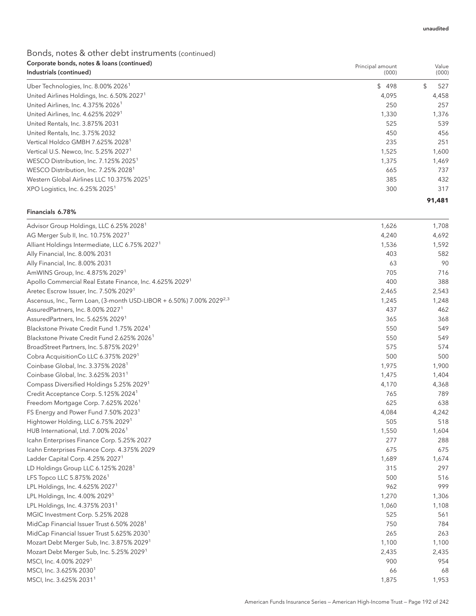Principal amount

# Bonds, notes & other debt instruments (continued) Corporate bonds, notes & loans (continued)

| Industrials (continued)                                | (000) | (000)     |
|--------------------------------------------------------|-------|-----------|
| Uber Technologies, Inc. 8.00% 2026 <sup>1</sup>        | \$498 | 527<br>\$ |
| United Airlines Holdings, Inc. 6.50% 2027 <sup>1</sup> | 4.095 | 4,458     |
| United Airlines, Inc. 4.375% 2026 <sup>1</sup>         | 250   | 257       |
| United Airlines, Inc. 4.625% 2029 <sup>1</sup>         | 1,330 | 1,376     |
| United Rentals, Inc. 3.875% 2031                       | 525   | 539       |
| United Rentals, Inc. 3.75% 2032                        | 450   | 456       |
| Vertical Holdco GMBH 7.625% 2028 <sup>1</sup>          | 235   | 251       |
| Vertical U.S. Newco, Inc. 5.25% 2027 <sup>1</sup>      | 1,525 | 1,600     |
| WESCO Distribution, Inc. 7.125% 2025 <sup>1</sup>      | 1,375 | 1,469     |
| WESCO Distribution, Inc. 7.25% 2028 <sup>1</sup>       | 665   | 737       |
| Western Global Airlines LLC 10.375% 2025 <sup>1</sup>  | 385   | 432       |
| XPO Logistics, Inc. 6.25% 2025 <sup>1</sup>            | 300   | 317       |
|                                                        |       | 91,481    |

#### Financials 6.78%

| Advisor Group Holdings, LLC 6.25% 2028 <sup>1</sup>                              | 1,626 | 1,708 |
|----------------------------------------------------------------------------------|-------|-------|
| AG Merger Sub II, Inc. 10.75% 2027 <sup>1</sup>                                  | 4,240 | 4,692 |
| Alliant Holdings Intermediate, LLC 6.75% 2027 <sup>1</sup>                       | 1,536 | 1,592 |
| Ally Financial, Inc. 8.00% 2031                                                  | 403   | 582   |
| Ally Financial, Inc. 8.00% 2031                                                  | 63    | 90    |
| AmWINS Group, Inc. 4.875% 2029 <sup>1</sup>                                      | 705   | 716   |
| Apollo Commercial Real Estate Finance, Inc. 4.625% 2029 <sup>1</sup>             | 400   | 388   |
| Aretec Escrow Issuer, Inc. 7.50% 2029 <sup>1</sup>                               | 2,465 | 2,543 |
| Ascensus, Inc., Term Loan, (3-month USD-LIBOR + 6.50%) 7.00% 2029 <sup>2,3</sup> | 1,245 | 1,248 |
| AssuredPartners, Inc. 8.00% 2027 <sup>1</sup>                                    | 437   | 462   |
| AssuredPartners, Inc. 5.625% 2029 <sup>1</sup>                                   | 365   | 368   |
| Blackstone Private Credit Fund 1.75% 2024 <sup>1</sup>                           | 550   | 549   |
| Blackstone Private Credit Fund 2.625% 2026 <sup>1</sup>                          | 550   | 549   |
| BroadStreet Partners, Inc. 5.875% 2029 <sup>1</sup>                              | 575   | 574   |
| Cobra AcquisitionCo LLC 6.375% 2029 <sup>1</sup>                                 | 500   | 500   |
| Coinbase Global, Inc. 3.375% 2028 <sup>1</sup>                                   | 1,975 | 1,900 |
| Coinbase Global, Inc. 3.625% 2031 <sup>1</sup>                                   | 1,475 | 1,404 |
| Compass Diversified Holdings 5.25% 2029 <sup>1</sup>                             | 4,170 | 4,368 |
| Credit Acceptance Corp. 5.125% 2024 <sup>1</sup>                                 | 765   | 789   |
| Freedom Mortgage Corp. 7.625% 2026 <sup>1</sup>                                  | 625   | 638   |
| FS Energy and Power Fund 7.50% 2023 <sup>1</sup>                                 | 4,084 | 4,242 |
| Hightower Holding, LLC 6.75% 2029 <sup>1</sup>                                   | 505   | 518   |
| HUB International, Ltd. 7.00% 2026 <sup>1</sup>                                  | 1,550 | 1,604 |
| Icahn Enterprises Finance Corp. 5.25% 2027                                       | 277   | 288   |
| Icahn Enterprises Finance Corp. 4.375% 2029                                      | 675   | 675   |
| Ladder Capital Corp. 4.25% 2027 <sup>1</sup>                                     | 1,689 | 1,674 |
| LD Holdings Group LLC 6.125% 2028 <sup>1</sup>                                   | 315   | 297   |
| LFS Topco LLC 5.875% 2026 <sup>1</sup>                                           | 500   | 516   |
| LPL Holdings, Inc. 4.625% 2027 <sup>1</sup>                                      | 962   | 999   |
| LPL Holdings, Inc. 4.00% 2029 <sup>1</sup>                                       | 1,270 | 1,306 |
| LPL Holdings, Inc. 4.375% 2031 <sup>1</sup>                                      | 1,060 | 1,108 |
| MGIC Investment Corp. 5.25% 2028                                                 | 525   | 561   |
| MidCap Financial Issuer Trust 6.50% 2028 <sup>1</sup>                            | 750   | 784   |
| MidCap Financial Issuer Trust 5.625% 2030 <sup>1</sup>                           | 265   | 263   |
| Mozart Debt Merger Sub, Inc. 3.875% 2029 <sup>1</sup>                            | 1,100 | 1,100 |
| Mozart Debt Merger Sub, Inc. 5.25% 2029 <sup>1</sup>                             | 2,435 | 2,435 |
| MSCI, Inc. 4.00% 2029 <sup>1</sup>                                               | 900   | 954   |
| MSCI, Inc. 3.625% 2030 <sup>1</sup>                                              | 66    | 68    |
| MSCI, Inc. 3.625% 2031 <sup>1</sup>                                              | 1,875 | 1,953 |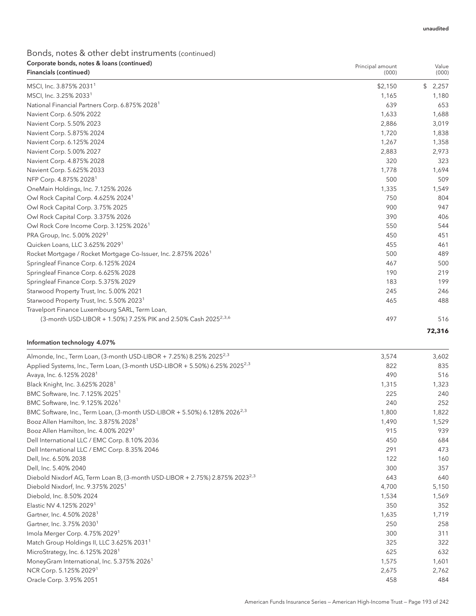| Corporate bonds, notes & Ioans (continued)<br>Financials (continued)       | Principal amount<br>(000) | Value<br>(000) |
|----------------------------------------------------------------------------|---------------------------|----------------|
| MSCI, Inc. 3.875% 2031 <sup>1</sup>                                        | \$2,150                   | 2,257<br>\$    |
| MSCI, Inc. 3.25% 2033 <sup>1</sup>                                         | 1,165                     | 1,180          |
| National Financial Partners Corp. 6.875% 2028 <sup>1</sup>                 | 639                       | 653            |
| Navient Corp. 6.50% 2022                                                   | 1,633                     | 1,688          |
| Navient Corp. 5.50% 2023                                                   | 2,886                     | 3,019          |
| Navient Corp. 5.875% 2024                                                  | 1,720                     | 1,838          |
| Navient Corp. 6.125% 2024                                                  | 1,267                     | 1,358          |
| Navient Corp. 5.00% 2027                                                   | 2,883                     | 2,973          |
| Navient Corp. 4.875% 2028                                                  | 320                       | 323            |
| Navient Corp. 5.625% 2033                                                  | 1,778                     | 1,694          |
| NFP Corp. 4.875% 2028 <sup>1</sup>                                         | 500                       | 509            |
| OneMain Holdings, Inc. 7.125% 2026                                         | 1,335                     | 1,549          |
| Owl Rock Capital Corp. 4.625% 2024 <sup>1</sup>                            | 750                       | 804            |
| Owl Rock Capital Corp. 3.75% 2025                                          | 900                       | 947            |
| Owl Rock Capital Corp. 3.375% 2026                                         | 390                       | 406            |
| Owl Rock Core Income Corp. 3.125% 2026 <sup>1</sup>                        | 550                       | 544            |
| PRA Group, Inc. 5.00% 2029 <sup>1</sup>                                    | 450                       | 451            |
| Quicken Loans, LLC 3.625% 2029 <sup>1</sup>                                | 455                       | 461            |
| Rocket Mortgage / Rocket Mortgage Co-Issuer, Inc. 2.875% 2026 <sup>1</sup> | 500                       | 489            |
| Springleaf Finance Corp. 6.125% 2024                                       | 467                       | 500            |
| Springleaf Finance Corp. 6.625% 2028                                       | 190                       | 219            |
| Springleaf Finance Corp. 5.375% 2029                                       | 183                       | 199            |
| Starwood Property Trust, Inc. 5.00% 2021                                   | 245                       | 246            |
| Starwood Property Trust, Inc. 5.50% 2023 <sup>1</sup>                      | 465                       | 488            |
| Travelport Finance Luxembourg SARL, Term Loan,                             |                           |                |
| (3-month USD-LIBOR + 1.50%) 7.25% PIK and 2.50% Cash 2025 <sup>2,3,6</sup> | 497                       | 516            |
|                                                                            |                           | 72,316         |

### Information technology 4.07%

| Almonde, Inc., Term Loan, (3-month USD-LIBOR + 7.25%) 8.25% 2025 <sup>2,3</sup>         | 3,574 | 3,602 |
|-----------------------------------------------------------------------------------------|-------|-------|
| Applied Systems, Inc., Term Loan, (3-month USD-LIBOR + 5.50%) 6.25% 2025 <sup>2,3</sup> | 822   | 835   |
| Avaya, Inc. 6.125% 2028 <sup>1</sup>                                                    | 490   | 516   |
| Black Knight, Inc. 3.625% 2028 <sup>1</sup>                                             | 1,315 | 1,323 |
| BMC Software, Inc. 7.125% 2025 <sup>1</sup>                                             | 225   | 240   |
| BMC Software, Inc. 9.125% 2026 <sup>1</sup>                                             | 240   | 252   |
| BMC Software, Inc., Term Loan, (3-month USD-LIBOR + 5.50%) 6.128% 2026 <sup>2,3</sup>   | 1,800 | 1,822 |
| Booz Allen Hamilton, Inc. 3.875% 2028 <sup>1</sup>                                      | 1,490 | 1,529 |
| Booz Allen Hamilton, Inc. 4.00% 2029 <sup>1</sup>                                       | 915   | 939   |
| Dell International LLC / EMC Corp. 8.10% 2036                                           | 450   | 684   |
| Dell International LLC / EMC Corp. 8.35% 2046                                           | 291   | 473   |
| Dell, Inc. 6.50% 2038                                                                   | 122   | 160   |
| Dell, Inc. 5.40% 2040                                                                   | 300   | 357   |
| Diebold Nixdorf AG, Term Loan B, (3-month USD-LIBOR + 2.75%) 2.875% 2023 <sup>2,3</sup> | 643   | 640   |
| Diebold Nixdorf, Inc. 9.375% 2025 <sup>1</sup>                                          | 4,700 | 5,150 |
| Diebold, Inc. 8.50% 2024                                                                | 1,534 | 1,569 |
| Elastic NV 4.125% 2029 <sup>1</sup>                                                     | 350   | 352   |
| Gartner, Inc. 4.50% 2028 <sup>1</sup>                                                   | 1,635 | 1,719 |
| Gartner, Inc. 3.75% 2030 <sup>1</sup>                                                   | 250   | 258   |
| Imola Merger Corp. 4.75% 2029 <sup>1</sup>                                              | 300   | 311   |
| Match Group Holdings II, LLC 3.625% 2031 <sup>1</sup>                                   | 325   | 322   |
| MicroStrategy, Inc. 6.125% 2028 <sup>1</sup>                                            | 625   | 632   |
| MoneyGram International, Inc. 5.375% 2026 <sup>1</sup>                                  | 1,575 | 1,601 |
| NCR Corp. 5.125% 2029 <sup>1</sup>                                                      | 2,675 | 2,762 |
| Oracle Corp. 3.95% 2051                                                                 | 458   | 484   |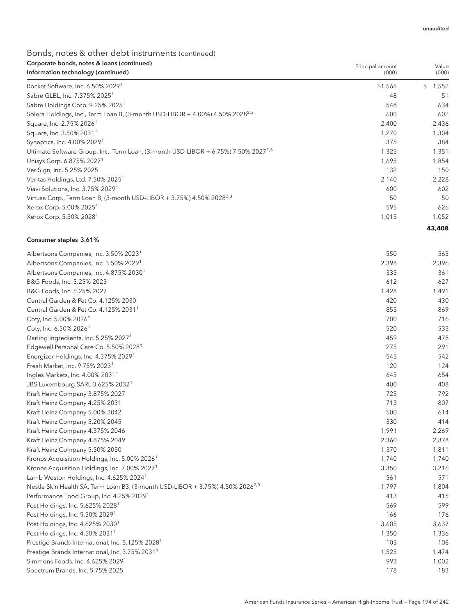| Corporate bonds, notes & loans (continued)<br>Information technology (continued)                | Principal amount<br>(000) | Value<br>(000) |
|-------------------------------------------------------------------------------------------------|---------------------------|----------------|
| Rocket Software, Inc. 6.50% 2029 <sup>1</sup>                                                   | \$1,565                   | 1,552<br>\$    |
| Sabre GLBL, Inc. 7.375% 2025 <sup>1</sup>                                                       | 48                        | -51            |
| Sabre Holdings Corp. 9.25% 2025 <sup>1</sup>                                                    | 548                       | 634            |
| Solera Holdings, Inc., Term Loan B, (3-month USD-LIBOR + 4.00%) 4.50% 2028 <sup>2,3</sup>       | 600                       | 602            |
| Square, Inc. 2.75% 2026 <sup>1</sup>                                                            | 2,400                     | 2,436          |
| Square, Inc. 3.50% 2031 <sup>1</sup>                                                            | 1,270                     | 1,304          |
| Synaptics, Inc. 4.00% 2029 <sup>1</sup>                                                         | 375                       | 384            |
| Ultimate Software Group, Inc., Term Loan, (3-month USD-LIBOR + 6.75%) 7.50% 2027 <sup>2,3</sup> | 1,325                     | 1,351          |
| Unisys Corp. 6.875% 2027 <sup>1</sup>                                                           | 1,695                     | 1,854          |
| VeriSign, Inc. 5.25% 2025                                                                       | 132                       | 150            |
| Veritas Holdings, Ltd. 7.50% 2025 <sup>1</sup>                                                  | 2,140                     | 2,228          |
| Viavi Solutions, Inc. 3.75% 2029 <sup>1</sup>                                                   | 600                       | 602            |
| Virtusa Corp., Term Loan B, (3-month USD-LIBOR + 3.75%) 4.50% 2028 <sup>2,3</sup>               | 50                        | 50             |
| Xerox Corp. 5.00% 2025 <sup>1</sup>                                                             | 595                       | 626            |
| Xerox Corp. 5.50% 2028 <sup>1</sup>                                                             | 1,015                     | 1,052          |
|                                                                                                 |                           | 43,408         |

### Consumer staples 3.61%

| Albertsons Companies, Inc. 3.50% 2023 <sup>1</sup>                                         | 550   | 563   |
|--------------------------------------------------------------------------------------------|-------|-------|
| Albertsons Companies, Inc. 3.50% 2029 <sup>1</sup>                                         | 2,398 | 2,396 |
| Albertsons Companies, Inc. 4.875% 2030 <sup>1</sup>                                        | 335   | 361   |
| B&G Foods, Inc. 5.25% 2025                                                                 | 612   | 627   |
| B&G Foods, Inc. 5.25% 2027                                                                 | 1,428 | 1,491 |
| Central Garden & Pet Co. 4.125% 2030                                                       | 420   | 430   |
| Central Garden & Pet Co. 4.125% 2031 <sup>1</sup>                                          | 855   | 869   |
| Coty, Inc. 5.00% 2026 <sup>1</sup>                                                         | 700   | 716   |
| Coty, Inc. 6.50% 2026 <sup>1</sup>                                                         | 520   | 533   |
| Darling Ingredients, Inc. 5.25% 2027 <sup>1</sup>                                          | 459   | 478   |
| Edgewell Personal Care Co. 5.50% 2028 <sup>1</sup>                                         | 275   | 291   |
| Energizer Holdings, Inc. 4.375% 2029 <sup>1</sup>                                          | 545   | 542   |
| Fresh Market, Inc. 9.75% 2023 <sup>1</sup>                                                 | 120   | 124   |
| Ingles Markets, Inc. 4.00% 2031 <sup>1</sup>                                               | 645   | 654   |
| JBS Luxembourg SARL 3.625% 2032 <sup>1</sup>                                               | 400   | 408   |
| Kraft Heinz Company 3.875% 2027                                                            | 725   | 792   |
| Kraft Heinz Company 4.25% 2031                                                             | 713   | 807   |
| Kraft Heinz Company 5.00% 2042                                                             | 500   | 614   |
| Kraft Heinz Company 5.20% 2045                                                             | 330   | 414   |
| Kraft Heinz Company 4.375% 2046                                                            | 1,991 | 2,269 |
| Kraft Heinz Company 4.875% 2049                                                            | 2,360 | 2,878 |
| Kraft Heinz Company 5.50% 2050                                                             | 1,370 | 1,811 |
| Kronos Acquisition Holdings, Inc. 5.00% 2026 <sup>1</sup>                                  | 1,740 | 1,740 |
| Kronos Acquisition Holdings, Inc. 7.00% 2027 <sup>1</sup>                                  | 3,350 | 3,216 |
| Lamb Weston Holdings, Inc. 4.625% 2024 <sup>1</sup>                                        | 561   | 571   |
| Nestle Skin Health SA, Term Loan B3, (3-month USD-LIBOR + 3.75%) 4.50% 2026 <sup>2,3</sup> | 1,797 | 1,804 |
| Performance Food Group, Inc. 4.25% 2029 <sup>1</sup>                                       | 413   | 415   |
| Post Holdings, Inc. 5.625% 2028 <sup>1</sup>                                               | 569   | 599   |
| Post Holdings, Inc. 5.50% 2029 <sup>1</sup>                                                | 166   | 176   |
| Post Holdings, Inc. 4.625% 2030 <sup>1</sup>                                               | 3,605 | 3,637 |
| Post Holdings, Inc. 4.50% 2031 <sup>1</sup>                                                | 1,350 | 1,336 |
| Prestige Brands International, Inc. 5.125% 2028 <sup>1</sup>                               | 103   | 108   |
| Prestige Brands International, Inc. 3.75% 2031 <sup>1</sup>                                | 1,525 | 1,474 |
| Simmons Foods, Inc. 4.625% 2029 <sup>1</sup>                                               | 993   | 1,002 |
| Spectrum Brands, Inc. 5.75% 2025                                                           | 178   | 183   |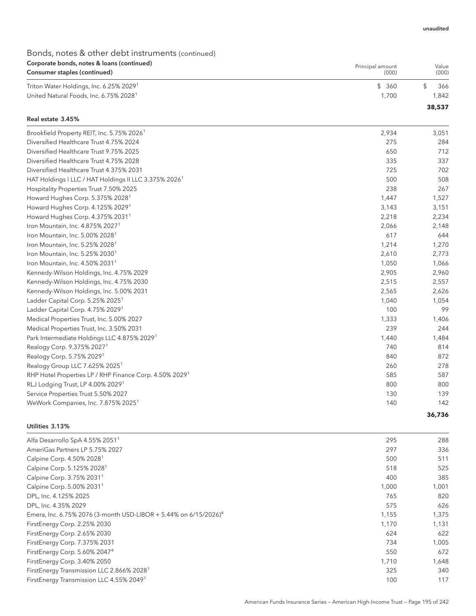### Bonds, notes & other debt instruments (continued) Corporate bonds, notes & loans (continued) Consumer staples (continued)

| corporate borids, notes a loans (commaca)<br>Consumer staples (continued) | Principal amount<br>(000) | Value<br>(000) |
|---------------------------------------------------------------------------|---------------------------|----------------|
| Triton Water Holdings, Inc. 6.25% 2029 <sup>1</sup>                       | \$360                     | 366            |
| United Natural Foods, Inc. 6.75% 2028 <sup>1</sup>                        | .700                      | 1.842          |
|                                                                           |                           | 38,537         |

#### Real estate 3.45%

| Brookfield Property REIT, Inc. 5.75% 2026 <sup>1</sup>              | 2,934 | 3,051  |
|---------------------------------------------------------------------|-------|--------|
| Diversified Healthcare Trust 4.75% 2024                             | 275   | 284    |
| Diversified Healthcare Trust 9.75% 2025                             | 650   | 712    |
| Diversified Healthcare Trust 4.75% 2028                             | 335   | 337    |
| Diversified Healthcare Trust 4.375% 2031                            | 725   | 702    |
| HAT Holdings I LLC / HAT Holdings II LLC 3.375% 2026 <sup>1</sup>   | 500   | 508    |
| Hospitality Properties Trust 7.50% 2025                             | 238   | 267    |
| Howard Hughes Corp. 5.375% 2028 <sup>1</sup>                        | 1.447 | 1,527  |
| Howard Hughes Corp. 4.125% 2029 <sup>1</sup>                        | 3,143 | 3,151  |
| Howard Hughes Corp. 4.375% 2031 <sup>1</sup>                        | 2,218 | 2,234  |
| Iron Mountain, Inc. 4.875% 2027 <sup>1</sup>                        | 2,066 | 2,148  |
| Iron Mountain, Inc. 5.00% 2028 <sup>1</sup>                         | 617   | 644    |
| Iron Mountain, Inc. 5.25% 2028 <sup>1</sup>                         | 1,214 | 1,270  |
| Iron Mountain, Inc. 5.25% 2030 <sup>1</sup>                         | 2,610 | 2,773  |
| Iron Mountain, Inc. 4.50% 2031 <sup>1</sup>                         | 1,050 | 1,066  |
| Kennedy-Wilson Holdings, Inc. 4.75% 2029                            | 2,905 | 2,960  |
| Kennedy-Wilson Holdings, Inc. 4.75% 2030                            | 2,515 | 2,557  |
| Kennedy-Wilson Holdings, Inc. 5.00% 2031                            | 2,565 | 2,626  |
| Ladder Capital Corp. 5.25% 2025 <sup>1</sup>                        | 1,040 | 1,054  |
| Ladder Capital Corp. 4.75% 2029 <sup>1</sup>                        | 100   | 99     |
| Medical Properties Trust, Inc. 5.00% 2027                           | 1,333 | 1,406  |
| Medical Properties Trust, Inc. 3.50% 2031                           | 239   | 244    |
| Park Intermediate Holdings LLC 4.875% 2029 <sup>1</sup>             | 1,440 | 1,484  |
| Realogy Corp. 9.375% 2027 <sup>1</sup>                              | 740   | 814    |
| Realogy Corp. 5.75% 2029 <sup>1</sup>                               | 840   | 872    |
| Realogy Group LLC 7.625% 2025 <sup>1</sup>                          | 260   | 278    |
| RHP Hotel Properties LP / RHP Finance Corp. 4.50% 2029 <sup>1</sup> | 585   | 587    |
| RLJ Lodging Trust, LP 4.00% 2029 <sup>1</sup>                       | 800   | 800    |
| Service Properties Trust 5.50% 2027                                 | 130   | 139    |
| WeWork Companies, Inc. 7.875% 2025 <sup>1</sup>                     | 140   | 142    |
|                                                                     |       | 36.736 |

#### Utilities 3.13%

| Alfa Desarrollo SpA 4.55% 2051 <sup>1</sup>                                  | 295   | 288   |
|------------------------------------------------------------------------------|-------|-------|
| AmeriGas Partners LP 5.75% 2027                                              | 297   | 336   |
| Calpine Corp. 4.50% 2028 <sup>1</sup>                                        | 500   | 511   |
| Calpine Corp. 5.125% 2028 <sup>1</sup>                                       | 518   | 525   |
| Calpine Corp. 3.75% 2031 <sup>1</sup>                                        | 400   | 385   |
| Calpine Corp. 5.00% 2031 <sup>1</sup>                                        | 1,000 | 1,001 |
| DPL, Inc. 4.125% 2025                                                        | 765   | 820   |
| DPL, Inc. 4.35% 2029                                                         | 575   | 626   |
| Emera, Inc. 6.75% 2076 (3-month USD-LIBOR + 5.44% on 6/15/2026) <sup>4</sup> | 1,155 | 1,375 |
| FirstEnergy Corp. 2.25% 2030                                                 | 1,170 | 1,131 |
| FirstEnergy Corp. 2.65% 2030                                                 | 624   | 622   |
| FirstEnergy Corp. 7.375% 2031                                                | 734   | 1,005 |
| FirstEnergy Corp. 5.60% 2047 <sup>4</sup>                                    | 550   | 672   |
| FirstEnergy Corp. 3.40% 2050                                                 | 1,710 | 1,648 |
| FirstEnergy Transmission LLC 2.866% 2028 <sup>1</sup>                        | 325   | 340   |
| FirstEnergy Transmission LLC 4.55% 2049 <sup>1</sup>                         | 100   | 117   |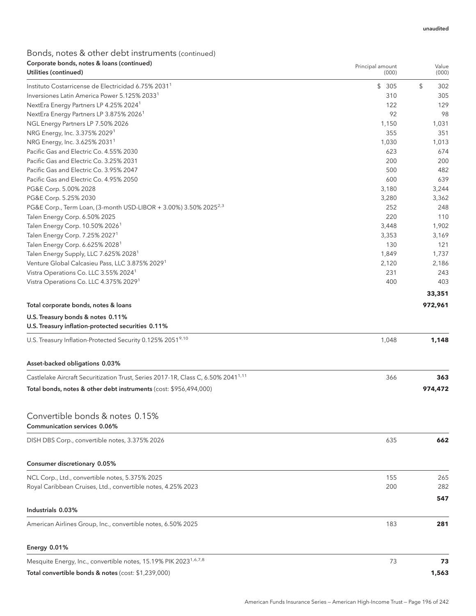| Corporate bonds, notes & loans (continued)<br>Utilities (continued)                           | Principal amount<br>(000) | Value<br>(000) |
|-----------------------------------------------------------------------------------------------|---------------------------|----------------|
| Instituto Costarricense de Electricidad 6.75% 2031 <sup>1</sup>                               | \$305                     | \$<br>302      |
| Inversiones Latin America Power 5.125% 2033 <sup>1</sup>                                      | 310                       | 305            |
| NextEra Energy Partners LP 4.25% 2024 <sup>1</sup>                                            | 122                       | 129            |
| NextEra Energy Partners LP 3.875% 2026 <sup>1</sup>                                           | 92                        | 98             |
| NGL Energy Partners LP 7.50% 2026                                                             | 1,150                     | 1,031          |
| NRG Energy, Inc. 3.375% 2029 <sup>1</sup>                                                     | 355                       | 351            |
| NRG Energy, Inc. 3.625% 2031 <sup>1</sup>                                                     | 1,030                     | 1,013          |
| Pacific Gas and Electric Co. 4.55% 2030                                                       | 623                       | 674            |
| Pacific Gas and Electric Co. 3.25% 2031                                                       | 200                       | 200            |
| Pacific Gas and Electric Co. 3.95% 2047                                                       | 500                       | 482            |
| Pacific Gas and Electric Co. 4.95% 2050                                                       | 600                       | 639            |
| PG&E Corp. 5.00% 2028                                                                         | 3,180                     | 3,244          |
| PG&E Corp. 5.25% 2030                                                                         | 3,280                     | 3,362          |
| PG&E Corp., Term Loan, (3-month USD-LIBOR + 3.00%) 3.50% 2025 <sup>2,3</sup>                  | 252                       | 248            |
| Talen Energy Corp. 6.50% 2025                                                                 | 220                       | 110            |
| Talen Energy Corp. 10.50% 2026 <sup>1</sup>                                                   | 3,448                     | 1,902          |
| Talen Energy Corp. 7.25% 2027 <sup>1</sup>                                                    | 3,353                     | 3,169          |
| Talen Energy Corp. 6.625% 2028 <sup>1</sup>                                                   | 130                       | 121            |
| Talen Energy Supply, LLC 7.625% 2028 <sup>1</sup>                                             | 1,849                     | 1,737          |
| Venture Global Calcasieu Pass, LLC 3.875% 2029 <sup>1</sup>                                   | 2,120                     | 2,186          |
| Vistra Operations Co. LLC 3.55% 2024 <sup>1</sup>                                             | 231                       | 243            |
| Vistra Operations Co. LLC 4.375% 2029 <sup>1</sup>                                            | 400                       | 403            |
|                                                                                               |                           | 33,351         |
| Total corporate bonds, notes & loans                                                          |                           | 972,961        |
| U.S. Treasury bonds & notes 0.11%                                                             |                           |                |
| U.S. Treasury inflation-protected securities 0.11%                                            |                           |                |
| U.S. Treasury Inflation-Protected Security 0.125% 20519,10                                    | 1,048                     | 1,148          |
| Asset-backed obligations 0.03%                                                                |                           |                |
| Castlelake Aircraft Securitization Trust, Series 2017-1R, Class C, 6.50% 2041 <sup>1,11</sup> | 366                       | 363            |
| Total bonds, notes & other debt instruments (cost: \$956,494,000)                             |                           | 974,472        |
|                                                                                               |                           |                |
| Convertible bonds & notes 0.15%                                                               |                           |                |
| <b>Communication services 0.06%</b>                                                           |                           |                |
| DISH DBS Corp., convertible notes, 3.375% 2026                                                | 635                       | 662            |
| Consumer discretionary 0.05%                                                                  |                           |                |
| NCL Corp., Ltd., convertible notes, 5.375% 2025                                               | 155                       | 265            |
|                                                                                               | 200                       | 282            |
| Royal Caribbean Cruises, Ltd., convertible notes, 4.25% 2023                                  |                           |                |
|                                                                                               |                           | 547            |
| Industrials 0.03%                                                                             |                           |                |
| American Airlines Group, Inc., convertible notes, 6.50% 2025                                  | 183                       | 281            |
| Energy 0.01%                                                                                  |                           |                |
| Mesquite Energy, Inc., convertible notes, 15.19% PIK 2023 <sup>1,6,7,8</sup>                  | 73                        | 73             |
| Total convertible bonds & notes (cost: \$1,239,000)                                           |                           | 1,563          |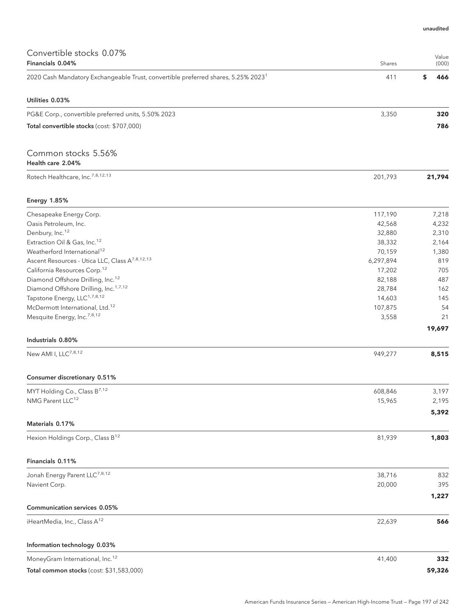| Convertible stocks 0.07%<br>Financials 0.04%                                                  | Shares    | Value<br>(000) |
|-----------------------------------------------------------------------------------------------|-----------|----------------|
| 2020 Cash Mandatory Exchangeable Trust, convertible preferred shares, 5.25% 2023 <sup>1</sup> | 411       | \$<br>466      |
| Utilities 0.03%                                                                               |           |                |
| PG&E Corp., convertible preferred units, 5.50% 2023                                           | 3,350     | 320            |
| Total convertible stocks (cost: \$707,000)                                                    |           | 786            |
| Common stocks 5.56%<br>Health care 2.04%                                                      |           |                |
| Rotech Healthcare, Inc. <sup>7,8,12,13</sup>                                                  | 201,793   | 21,794         |
| <b>Energy 1.85%</b>                                                                           |           |                |
| Chesapeake Energy Corp.                                                                       | 117,190   | 7,218          |
| Oasis Petroleum, Inc.                                                                         | 42,568    | 4,232          |
| Denbury, Inc. <sup>12</sup>                                                                   | 32,880    | 2,310          |
| Extraction Oil & Gas, Inc. <sup>12</sup>                                                      | 38,332    | 2,164          |
| Weatherford International <sup>12</sup>                                                       | 70,159    | 1,380          |
| Ascent Resources - Utica LLC, Class A <sup>7,8,12,13</sup>                                    | 6,297,894 | 819            |
| California Resources Corp. <sup>12</sup>                                                      | 17,202    | 705            |
| Diamond Offshore Drilling, Inc. <sup>12</sup>                                                 | 82,188    | 487            |
| Diamond Offshore Drilling, Inc. <sup>1,7,12</sup>                                             | 28,784    | 162            |
| Tapstone Energy, LLC <sup>1,7,8,12</sup>                                                      | 14,603    | 145            |
| McDermott International, Ltd. <sup>12</sup>                                                   | 107,875   | 54             |
| Mesquite Energy, Inc. <sup>7,8,12</sup>                                                       | 3,558     | 21             |
| Industrials 0.80%                                                                             |           | 19,697         |
| New AMI I, LLC <sup>7,8,12</sup>                                                              | 949,277   | 8,515          |
|                                                                                               |           |                |
| Consumer discretionary 0.51%                                                                  |           |                |
| MYT Holding Co., Class B7,12                                                                  | 608,846   | 3,197          |
| NMG Parent LLC <sup>12</sup>                                                                  | 15,965    | 2,195          |
| Materials 0.17%                                                                               |           | 5,392          |
|                                                                                               |           |                |
| Hexion Holdings Corp., Class B <sup>12</sup>                                                  | 81,939    | 1,803          |
| Financials 0.11%                                                                              |           |                |
| Jonah Energy Parent LLC <sup>7,8,12</sup>                                                     | 38,716    | 832            |
| Navient Corp.                                                                                 | 20,000    | 395            |
|                                                                                               |           | 1,227          |
| Communication services 0.05%                                                                  |           |                |
| iHeartMedia, Inc., Class A <sup>12</sup>                                                      | 22,639    | 566            |
| Information technology 0.03%                                                                  |           |                |
| MoneyGram International, Inc. <sup>12</sup>                                                   | 41,400    | 332            |
| Total common stocks (cost: \$31,583,000)                                                      |           | 59,326         |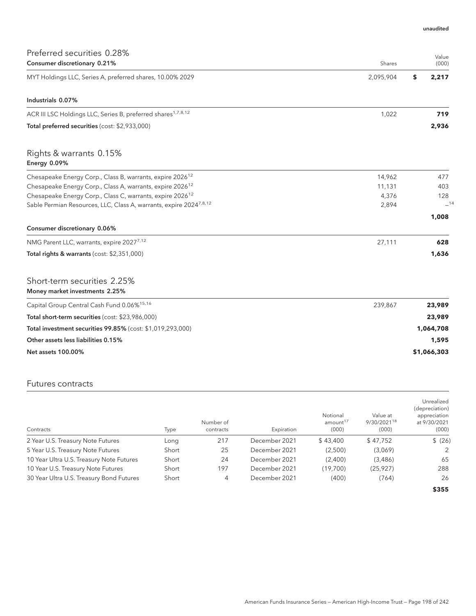|  | unaudited |
|--|-----------|
|  |           |

| Preferred securities 0.28%                                                     |           | Value       |
|--------------------------------------------------------------------------------|-----------|-------------|
| Consumer discretionary 0.21%                                                   | Shares    | (000)       |
| MYT Holdings LLC, Series A, preferred shares, 10.00% 2029                      | 2,095,904 | \$<br>2,217 |
| Industrials 0.07%                                                              |           |             |
| ACR III LSC Holdings LLC, Series B, preferred shares <sup>1,7,8,12</sup>       | 1,022     | 719         |
| Total preferred securities (cost: \$2,933,000)                                 |           | 2,936       |
| Rights & warrants 0.15%<br>Energy 0.09%                                        |           |             |
| Chesapeake Energy Corp., Class B, warrants, expire 2026 <sup>12</sup>          | 14,962    | 477         |
| Chesapeake Energy Corp., Class A, warrants, expire 2026 <sup>12</sup>          | 11,131    | 403         |
| Chesapeake Energy Corp., Class C, warrants, expire 2026 <sup>12</sup>          | 4,376     | 128         |
| Sable Permian Resources, LLC, Class A, warrants, expire 2024 <sup>7,8,12</sup> | 2,894     | $-14$       |
|                                                                                |           | 1,008       |
| Consumer discretionary 0.06%                                                   |           |             |
| NMG Parent LLC, warrants, expire 20277,12                                      | 27,111    | 628         |
| Total rights & warrants (cost: \$2,351,000)                                    |           | 1,636       |
| Short-term securities 2.25%<br>Money market investments 2.25%                  |           |             |
| Capital Group Central Cash Fund 0.06% <sup>15,16</sup>                         | 239,867   | 23,989      |
| Total short-term securities (cost: \$23,986,000)                               |           | 23,989      |
| Total investment securities 99.85% (cost: \$1,019,293,000)                     |           | 1,064,708   |
| Other assets less liabilities 0.15%                                            |           | 1,595       |
| <b>Net assets 100.00%</b>                                                      |           | \$1,066,303 |

### Futures contracts

| Contracts                                | Type  | Number of<br>contracts | Expiration    | Notional<br>amount <sup>17</sup><br>(000) | Value at<br>9/30/2021 <sup>18</sup><br>(000) | Unrealized<br>(depreciation)<br>appreciation<br>at 9/30/2021<br>(000) |
|------------------------------------------|-------|------------------------|---------------|-------------------------------------------|----------------------------------------------|-----------------------------------------------------------------------|
| 2 Year U.S. Treasury Note Futures        | Long  | 217                    | December 2021 | \$43.400                                  | \$47,752                                     | \$ (26)                                                               |
| 5 Year U.S. Treasury Note Futures        | Short | 25                     | December 2021 | (2,500)                                   | (3,069)                                      | 2                                                                     |
| 10 Year Ultra U.S. Treasury Note Futures | Short | 24                     | December 2021 | (2,400)                                   | (3,486)                                      | 65                                                                    |
| 10 Year U.S. Treasury Note Futures       | Short | 197                    | December 2021 | (19,700)                                  | (25, 927)                                    | 288                                                                   |
| 30 Year Ultra U.S. Treasury Bond Futures | Short | 4                      | December 2021 | (400)                                     | (764)                                        | 26                                                                    |
|                                          |       |                        |               |                                           |                                              | \$355                                                                 |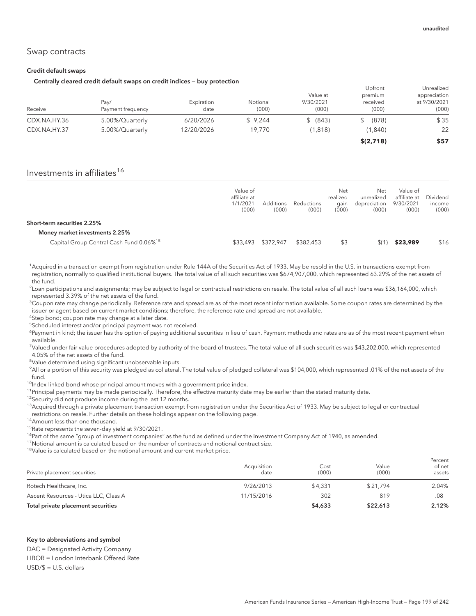#### Credit default swaps

#### Centrally cleared credit default swaps on credit indices — buy protection

|              |                   | .          |          |           | Upfront   | Unrealized   |
|--------------|-------------------|------------|----------|-----------|-----------|--------------|
|              |                   |            |          | Value at  | premium   | appreciation |
|              | Pay/              | Expiration | Notional | 9/30/2021 | received  | at 9/30/2021 |
| Receive      | Payment frequency | date       | (000)    | (000)     | (000)     | (000)        |
| CDX.NA.HY.36 | 5.00%/Quarterly   | 6/20/2026  | \$9.244  | \$ (843)  | (878)     | \$35         |
| CDX.NA.HY.37 | 5.00%/Quarterly   | 12/20/2026 | 19,770   | (1,818)   | (1,840)   | 22           |
|              |                   |            |          |           | \$(2,718) | \$57         |

### Investments in affiliates<sup>16</sup>

|                                                     | Value of<br>affiliate at<br>1/1/2021<br>(000) | <b>Additions</b><br>(000) | Reductions<br>(000) | Net<br>realized<br>qain<br>(000) | Net<br>unrealized<br>depreciation<br>(000) | Value of<br>affiliate at<br>9/30/2021<br>(000) | Dividend<br>income<br>(000) |
|-----------------------------------------------------|-----------------------------------------------|---------------------------|---------------------|----------------------------------|--------------------------------------------|------------------------------------------------|-----------------------------|
| Short-term securities 2.25%                         |                                               |                           |                     |                                  |                                            |                                                |                             |
| Money market investments 2.25%                      |                                               |                           |                     |                                  |                                            |                                                |                             |
| Capital Group Central Cash Fund 0.06% <sup>15</sup> | \$33,493                                      | \$372,947                 | \$382,453           | \$3                              | \$(1                                       | \$23,989                                       | \$16                        |

<sup>1</sup>Acquired in a transaction exempt from registration under Rule 144A of the Securities Act of 1933. May be resold in the U.S. in transactions exempt from registration, normally to qualified institutional buyers. The total value of all such securities was \$674,907,000, which represented 63.29% of the net assets of the fund.

 $^2$ Loan participations and assignments; may be subject to legal or contractual restrictions on resale. The total value of all such loans was \$36,164,000, which represented 3.39% of the net assets of the fund.

 $^3$ Coupon rate may change periodically. Reference rate and spread are as of the most recent information available. Some coupon rates are determined by the issuer or agent based on current market conditions; therefore, the reference rate and spread are not available.

<sup>4</sup>Step bond; coupon rate may change at a later date.

5 Scheduled interest and/or principal payment was not received.

<sup>6</sup>Payment in kind; the issuer has the option of paying additional securities in lieu of cash. Payment methods and rates are as of the most recent payment when available.

7 Valued under fair value procedures adopted by authority of the board of trustees. The total value of all such securities was \$43,202,000, which represented 4.05% of the net assets of the fund.

<sup>8</sup>Value determined using significant unobservable inputs.

9 All or a portion of this security was pledged as collateral. The total value of pledged collateral was \$104,000, which represented .01% of the net assets of the fund.

<sup>10</sup>Index-linked bond whose principal amount moves with a government price index.

<sup>11</sup>Principal payments may be made periodically. Therefore, the effective maturity date may be earlier than the stated maturity date.

<sup>12</sup> Security did not produce income during the last 12 months.

<sup>13</sup>Acquired through a private placement transaction exempt from registration under the Securities Act of 1933. May be subject to legal or contractual restrictions on resale. Further details on these holdings appear on the following page.

<sup>14</sup> Amount less than one thousand.

<sup>15</sup>Rate represents the seven-day yield at 9/30/2021.

<sup>16</sup>Part of the same "group of investment companies" as the fund as defined under the Investment Company Act of 1940, as amended.

 $17$ Notional amount is calculated based on the number of contracts and notional contract size.

<sup>18</sup>Value is calculated based on the notional amount and current market price.

| Private placement securities          | Acquisition<br>date | Cost<br>(000) | Value<br>(000) | Percent<br>of net<br>assets |
|---------------------------------------|---------------------|---------------|----------------|-----------------------------|
| Rotech Healthcare, Inc.               | 9/26/2013           | \$4.331       | \$21.794       | 2.04%                       |
| Ascent Resources - Utica LLC, Class A | 11/15/2016          | 302           | 819            | .08                         |
| Total private placement securities    |                     | \$4,633       | \$22,613       | 2.12%                       |

#### Key to abbreviations and symbol

DAC = Designated Activity Company LIBOR = London Interbank Offered Rate USD/\$ = U.S. dollars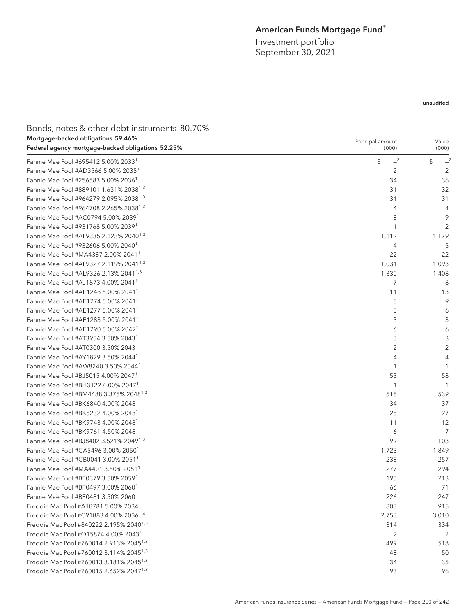## American Funds Mortgage Fund®

Investment portfolio September 30, 2021

### unaudited

| Bonds, notes & other debt instruments 80.70%        |                  |                |
|-----------------------------------------------------|------------------|----------------|
| Mortgage-backed obligations 59.46%                  | Principal amount | Value          |
| Federal agency mortgage-backed obligations 52.25%   | (000)            | (000)          |
| Fannie Mae Pool #695412 5.00% 2033 <sup>1</sup>     | $-2$<br>\$       | \$             |
| Fannie Mae Pool #AD3566 5.00% 2035 <sup>1</sup>     | 2                | 2              |
| Fannie Mae Pool #256583 5.00% 2036 <sup>1</sup>     | 34               | 36             |
| Fannie Mae Pool #889101 1.631% 2038 <sup>1,3</sup>  | 31               | 32             |
| Fannie Mae Pool #964279 2.095% 2038 <sup>1,3</sup>  | 31               | 31             |
| Fannie Mae Pool #964708 2.265% 2038 <sup>1,3</sup>  | 4                | $\overline{4}$ |
| Fannie Mae Pool #AC0794 5.00% 20391                 | 8                | 9              |
| Fannie Mae Pool #931768 5.00% 20391                 | 1                | 2              |
| Fannie Mae Pool #AL9335 2.123% 2040 <sup>1,3</sup>  | 1,112            | 1,179          |
| Fannie Mae Pool #932606 5.00% 2040 <sup>1</sup>     | 4                | 5              |
| Fannie Mae Pool #MA4387 2.00% 2041 <sup>1</sup>     | 22               | 22             |
| Fannie Mae Pool #AL9327 2.119% 2041 <sup>1,3</sup>  | 1,031            | 1,093          |
| Fannie Mae Pool #AL9326 2.13% 2041 <sup>1,3</sup>   | 1,330            | 1,408          |
| Fannie Mae Pool #AJ1873 4.00% 2041 <sup>1</sup>     | 7                | 8              |
| Fannie Mae Pool #AE1248 5.00% 2041 <sup>1</sup>     | 11               | 13             |
| Fannie Mae Pool #AE1274 5.00% 2041 <sup>1</sup>     | 8                | 9              |
| Fannie Mae Pool #AE1277 5.00% 2041 <sup>1</sup>     | 5                | 6              |
| Fannie Mae Pool #AE1283 5.00% 2041 <sup>1</sup>     | 3                | 3              |
| Fannie Mae Pool #AE1290 5.00% 2042 <sup>1</sup>     | 6                | 6              |
| Fannie Mae Pool #AT3954 3.50% 2043 <sup>1</sup>     | 3                | 3              |
| Fannie Mae Pool #AT0300 3.50% 2043 <sup>1</sup>     | 2                | $\sqrt{2}$     |
| Fannie Mae Pool #AY1829 3.50% 2044 <sup>1</sup>     | 4                | $\overline{4}$ |
| Fannie Mae Pool #AW8240 3.50% 2044 <sup>1</sup>     |                  | 1              |
| Fannie Mae Pool #BJ5015 4.00% 2047 <sup>1</sup>     | 53               | 58             |
| Fannie Mae Pool #BH3122 4.00% 20471                 | 1                | 1              |
| Fannie Mae Pool #BM4488 3.375% 2048 <sup>1,3</sup>  | 518              | 539            |
| Fannie Mae Pool #BK6840 4.00% 2048 <sup>1</sup>     | 34               | 37             |
| Fannie Mae Pool #BK5232 4.00% 2048 <sup>1</sup>     | 25               | 27             |
| Fannie Mae Pool #BK9743 4.00% 2048 <sup>1</sup>     | 11               | 12             |
| Fannie Mae Pool #BK9761 4.50% 2048 <sup>1</sup>     | 6                | $\overline{7}$ |
| Fannie Mae Pool #BJ8402 3.521% 2049 <sup>1,3</sup>  | 99               | 103            |
| Fannie Mae Pool #CA5496 3.00% 2050 <sup>1</sup>     | 1,723            | 1,849          |
| Fannie Mae Pool #CB0041 3.00% 2051 <sup>1</sup>     | 238              | 257            |
| Fannie Mae Pool #MA4401 3.50% 2051 <sup>1</sup>     | 277              | 294            |
| Fannie Mae Pool #BF0379 3.50% 20591                 | 195              | 213            |
| Fannie Mae Pool #BF0497 3.00% 2060 <sup>1</sup>     | 66               | 71             |
| Fannie Mae Pool #BF0481 3.50% 2060 <sup>1</sup>     | 226              | 247            |
| Freddie Mac Pool #A18781 5.00% 2034 <sup>1</sup>    | 803              | 915            |
| Freddie Mac Pool #C91883 4.00% 2036 <sup>1,4</sup>  | 2,753            | 3,010          |
| Freddie Mac Pool #840222 2.195% 2040 <sup>1,3</sup> | 314              | 334            |
| Freddie Mac Pool #Q15874 4.00% 2043 <sup>1</sup>    | 2                | $\overline{2}$ |
| Freddie Mac Pool #760014 2.913% 2045 <sup>1,3</sup> | 499              | 518            |
| Freddie Mac Pool #760012 3.114% 2045 <sup>1,3</sup> | 48               | 50             |
| Freddie Mac Pool #760013 3.181% 2045 <sup>1,3</sup> | 34               | 35             |
| Freddie Mac Pool #760015 2.652% 2047 <sup>1,3</sup> | 93               | 96             |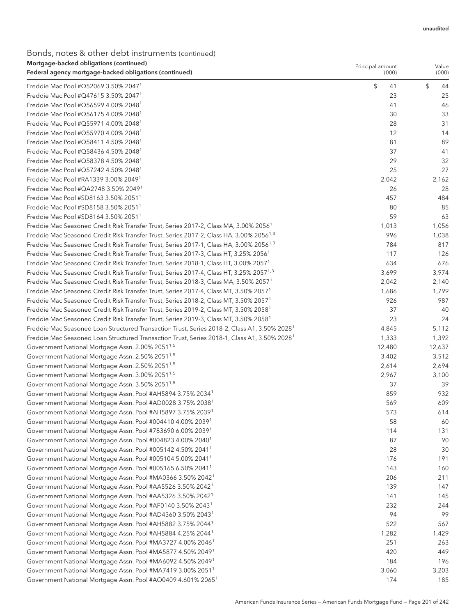### Bonds, notes & other debt instruments (continued) Mortgage-backed obligations (continued)

| Mortgage-backed obligations (continued)<br>Federal agency mortgage-backed obligations (continued)        | Principal amount<br>(000) | Value<br>(000) |
|----------------------------------------------------------------------------------------------------------|---------------------------|----------------|
| Freddie Mac Pool #Q52069 3.50% 2047 <sup>1</sup>                                                         | \$<br>41                  | \$<br>44       |
| Freddie Mac Pool #Q47615 3.50% 2047 <sup>1</sup>                                                         | 23                        | 25             |
| Freddie Mac Pool #Q56599 4.00% 2048 <sup>1</sup>                                                         | 41                        | 46             |
| Freddie Mac Pool #Q56175 4.00% 2048 <sup>1</sup>                                                         | 30                        | 33             |
| Freddie Mac Pool #Q55971 4.00% 2048 <sup>1</sup>                                                         | 28                        | 31             |
| Freddie Mac Pool #Q55970 4.00% 2048 <sup>1</sup>                                                         | 12                        | 14             |
| Freddie Mac Pool #Q58411 4.50% 2048 <sup>1</sup>                                                         | 81                        | 89             |
| Freddie Mac Pool #Q58436 4.50% 2048 <sup>1</sup>                                                         | 37                        | 41             |
| Freddie Mac Pool #Q58378 4.50% 2048 <sup>1</sup>                                                         | 29                        | 32             |
| Freddie Mac Pool #Q57242 4.50% 2048 <sup>1</sup>                                                         | 25                        | 27             |
| Freddie Mac Pool #RA1339 3.00% 2049 <sup>1</sup>                                                         | 2,042                     | 2,162          |
| Freddie Mac Pool #QA2748 3.50% 2049 <sup>1</sup>                                                         | 26                        | 28             |
| Freddie Mac Pool #SD8163 3.50% 2051 <sup>1</sup>                                                         | 457                       | 484            |
| Freddie Mac Pool #SD8158 3.50% 2051 <sup>1</sup>                                                         | 80                        | 85             |
| Freddie Mac Pool #SD8164 3.50% 2051 <sup>1</sup>                                                         | 59                        | 63             |
| Freddie Mac Seasoned Credit Risk Transfer Trust, Series 2017-2, Class MA, 3.00% 2056 <sup>1</sup>        | 1,013                     | 1,056          |
| Freddie Mac Seasoned Credit Risk Transfer Trust, Series 2017-2, Class HA, 3.00% 2056 <sup>1,3</sup>      | 996                       | 1,038          |
| Freddie Mac Seasoned Credit Risk Transfer Trust, Series 2017-1, Class HA, 3.00% 2056 <sup>1,3</sup>      | 784                       | 817            |
| Freddie Mac Seasoned Credit Risk Transfer Trust, Series 2017-3, Class HT, 3.25% 2056 <sup>1</sup>        | 117                       | 126            |
| Freddie Mac Seasoned Credit Risk Transfer Trust, Series 2018-1, Class HT, 3.00% 2057 <sup>1</sup>        | 634                       | 676            |
| Freddie Mac Seasoned Credit Risk Transfer Trust, Series 2017-4, Class HT, 3.25% 2057 <sup>1,3</sup>      | 3,699                     | 3,974          |
| Freddie Mac Seasoned Credit Risk Transfer Trust, Series 2018-3, Class MA, 3.50% 2057 <sup>1</sup>        | 2,042                     | 2,140          |
| Freddie Mac Seasoned Credit Risk Transfer Trust, Series 2017-4, Class MT, 3.50% 2057 <sup>1</sup>        | 1,686                     | 1,799          |
| Freddie Mac Seasoned Credit Risk Transfer Trust, Series 2018-2, Class MT, 3.50% 2057 <sup>1</sup>        | 926                       | 987            |
| Freddie Mac Seasoned Credit Risk Transfer Trust, Series 2019-2, Class MT, 3.50% 2058 <sup>1</sup>        | 37                        | 40             |
| Freddie Mac Seasoned Credit Risk Transfer Trust, Series 2019-3, Class MT, 3.50% 2058 <sup>1</sup>        | 23                        | 24             |
| Freddie Mac Seasoned Loan Structured Transaction Trust, Series 2018-2, Class A1, 3.50% 2028 <sup>1</sup> | 4,845                     | 5,112          |
| Freddie Mac Seasoned Loan Structured Transaction Trust, Series 2018-1, Class A1, 3.50% 2028 <sup>1</sup> | 1,333                     | 1,392          |
| Government National Mortgage Assn. 2.00% 2051 <sup>1,5</sup>                                             | 12,480                    | 12,637         |
| Government National Mortgage Assn. 2.50% 2051 <sup>1,5</sup>                                             | 3,402                     | 3,512          |
| Government National Mortgage Assn. 2.50% 2051 <sup>1,5</sup>                                             | 2,614                     | 2,694          |
| Government National Mortgage Assn. 3.00% 2051 <sup>1,5</sup>                                             | 2,967                     | 3,100          |
| Government National Mortgage Assn. 3.50% 2051 <sup>1,5</sup>                                             | 37                        | 39             |
| Government National Mortgage Assn. Pool #AH5894 3.75% 2034 <sup>1</sup>                                  | 859                       | 932            |
| Government National Mortgage Assn. Pool #AD0028 3.75% 2038 <sup>1</sup>                                  | 569                       | 609            |
| Government National Mortgage Assn. Pool #AH5897 3.75% 2039 <sup>1</sup>                                  | 573                       | 614            |
| Government National Mortgage Assn. Pool #004410 4.00% 2039 <sup>1</sup>                                  | 58                        | 60             |
| Government National Mortgage Assn. Pool #783690 6.00% 2039 <sup>1</sup>                                  | 114                       | 131            |
| Government National Mortgage Assn. Pool #004823 4.00% 2040 <sup>1</sup>                                  | 87                        | 90             |
| Government National Mortgage Assn. Pool #005142 4.50% 2041 <sup>1</sup>                                  | 28                        | 30             |
| Government National Mortgage Assn. Pool #005104 5.00% 2041 <sup>1</sup>                                  | 176                       | 191            |
| Government National Mortgage Assn. Pool #005165 6.50% 2041 <sup>1</sup>                                  | 143                       | 160            |
| Government National Mortgage Assn. Pool #MA0366 3.50% 2042 <sup>1</sup>                                  | 206                       | 211            |
| Government National Mortgage Assn. Pool #AA5526 3.50% 2042 <sup>1</sup>                                  | 139                       | 147            |
| Government National Mortgage Assn. Pool #AA5326 3.50% 2042 <sup>1</sup>                                  | 141                       | 145            |
| Government National Mortgage Assn. Pool #AF0140 3.50% 2043 <sup>1</sup>                                  | 232                       | 244            |
| Government National Mortgage Assn. Pool #AD4360 3.50% 2043 <sup>1</sup>                                  | 94                        | 99             |
| Government National Mortgage Assn. Pool #AH5882 3.75% 2044 <sup>1</sup>                                  | 522                       | 567            |
| Government National Mortgage Assn. Pool #AH5884 4.25% 2044 <sup>1</sup>                                  | 1,282                     | 1,429          |
| Government National Mortgage Assn. Pool #MA3727 4.00% 2046 <sup>1</sup>                                  | 251                       | 263            |
| Government National Mortgage Assn. Pool #MA5877 4.50% 2049 <sup>1</sup>                                  | 420                       | 449            |
| Government National Mortgage Assn. Pool #MA6092 4.50% 2049 <sup>1</sup>                                  | 184                       | 196            |
| Government National Mortgage Assn. Pool #MA7419 3.00% 2051 <sup>1</sup>                                  | 3,060                     | 3,203          |
| Government National Mortgage Assn. Pool #AO0409 4.601% 2065 <sup>1</sup>                                 | 174                       | 185            |
|                                                                                                          |                           |                |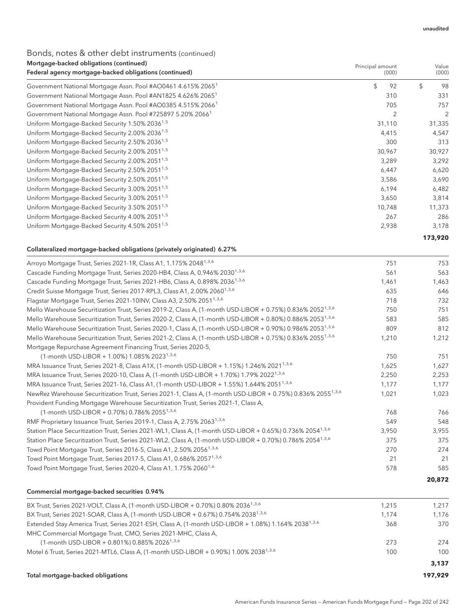### Bonds, notes & other debt instruments (continued) Mortgage-backed obligations (continued)

| <u>Mongage-backed obligations (continued)</u><br>Federal agency mortgage-backed obligations (continued) | Principal amount<br>(000) | Value<br>(000) |  |
|---------------------------------------------------------------------------------------------------------|---------------------------|----------------|--|
| Government National Mortgage Assn. Pool #AO0461 4.615% 2065 <sup>1</sup>                                | \$<br>92                  | \$<br>98       |  |
| Government National Mortgage Assn. Pool #AN1825 4.626% 2065 <sup>1</sup>                                | 310                       | 331            |  |
| Government National Mortgage Assn. Pool #AO0385 4.515% 2066 <sup>1</sup>                                | 705                       | 757            |  |
| Government National Mortgage Assn. Pool #725897 5.20% 2066 <sup>1</sup>                                 | 2                         | $\overline{2}$ |  |
| Uniform Mortgage-Backed Security 1.50% 2036 <sup>1,5</sup>                                              | 31,110                    | 31,335         |  |
| Uniform Mortgage-Backed Security 2.00% 2036 <sup>1,5</sup>                                              | 4,415                     | 4,547          |  |
| Uniform Mortgage-Backed Security 2.50% 2036 <sup>1,5</sup>                                              | 300                       | 313            |  |
| Uniform Mortgage-Backed Security 2.00% 2051 <sup>1,5</sup>                                              | 30,967                    | 30,927         |  |
| Uniform Mortgage-Backed Security 2.00% 2051 <sup>1,5</sup>                                              | 3,289                     | 3,292          |  |
| Uniform Mortgage-Backed Security 2.50% 2051 <sup>1,5</sup>                                              | 6,447                     | 6,620          |  |
| Uniform Mortgage-Backed Security 2.50% 2051 <sup>1,5</sup>                                              | 3,586                     | 3,690          |  |
| Uniform Mortgage-Backed Security 3.00% 2051 <sup>1,5</sup>                                              | 6,194                     | 6,482          |  |
| Uniform Mortgage-Backed Security 3.00% 2051 <sup>1,5</sup>                                              | 3,650                     | 3,814          |  |
| Uniform Mortgage-Backed Security 3.50% 2051 <sup>1,5</sup>                                              | 10,748                    | 11,373         |  |
| Uniform Mortgage-Backed Security 4.00% 2051 <sup>1,5</sup>                                              | 267                       | 286            |  |
| Uniform Mortgage-Backed Security 4.50% 2051 <sup>1,5</sup>                                              | 2,938                     | 3,178          |  |
|                                                                                                         |                           | 173,920        |  |

### Collateralized mortgage-backed obligations (privately originated) 6.27%

| Arroyo Mortgage Trust, Series 2021-1R, Class A1, 1.175% 2048 <sup>1,3,6</sup>                                           | 751   | 753    |
|-------------------------------------------------------------------------------------------------------------------------|-------|--------|
| Cascade Funding Mortgage Trust, Series 2020-HB4, Class A, 0.946% 2030 <sup>1,3,6</sup>                                  | 561   | 563    |
| Cascade Funding Mortgage Trust, Series 2021-HB6, Class A, 0.898% 2036 <sup>1,3,6</sup>                                  | 1,461 | 1,463  |
| Credit Suisse Mortgage Trust, Series 2017-RPL3, Class A1, 2.00% 2060 <sup>1,3,6</sup>                                   | 635   | 646    |
| Flagstar Mortgage Trust, Series 2021-10INV, Class A3, 2.50% 2051 <sup>1,3,6</sup>                                       | 718   | 732    |
| Mello Warehouse Securitization Trust, Series 2019-2, Class A, (1-month USD-LIBOR + 0.75%) 0.836% 2052 <sup>1,3,6</sup>  | 750   | 751    |
| Mello Warehouse Securitization Trust, Series 2020-2, Class A, (1-month USD-LIBOR + 0.80%) 0.886% 2053 <sup>1,3,6</sup>  | 583   | 585    |
| Mello Warehouse Securitization Trust, Series 2020-1, Class A, (1-month USD-LIBOR + 0.90%) 0.986% 2053 <sup>1,3,6</sup>  | 809   | 812    |
| Mello Warehouse Securitization Trust, Series 2021-2, Class A, (1-month USD-LIBOR + 0.75%) 0.836% 2055 <sup>1,3,6</sup>  | 1,210 | 1,212  |
| Mortgage Repurchase Agreement Financing Trust, Series 2020-5,                                                           |       |        |
| (1-month USD-LIBOR + 1.00%) 1.085% 2023 <sup>1,3,6</sup>                                                                | 750   | 751    |
| MRA Issuance Trust, Series 2021-8, Class A1X, (1-month USD-LIBOR + 1.15%) 1.246% 2021 <sup>1,3,6</sup>                  | 1,625 | 1,627  |
| MRA Issuance Trust, Series 2020-10, Class A, (1-month USD-LIBOR + 1.70%) 1.79% 2022 <sup>1,3,6</sup>                    | 2,250 | 2,253  |
| MRA Issuance Trust, Series 2021-16, Class A1, (1-month USD-LIBOR + 1.55%) 1.644% 2051 <sup>1,3,6</sup>                  | 1.177 | 1,177  |
| NewRez Warehouse Securitization Trust, Series 2021-1, Class A, (1-month USD-LIBOR + 0.75%) 0.836% 2055 <sup>1,3,6</sup> | 1,021 | 1,023  |
| Provident Funding Mortgage Warehouse Securitization Trust, Series 2021-1, Class A,                                      |       |        |
| (1-month USD-LIBOR + 0.70%) 0.786% 2055 <sup>1,3,6</sup>                                                                | 768   | 766    |
| RMF Proprietary Issuance Trust, Series 2019-1, Class A, 2.75% 2063 <sup>1,3,6</sup>                                     | 549   | 548    |
| Station Place Securitization Trust, Series 2021-WL1, Class A, (1-month USD-LIBOR + 0.65%) 0.736% 2054 <sup>1,3,6</sup>  | 3,950 | 3,955  |
| Station Place Securitization Trust, Series 2021-WL2, Class A, (1-month USD-LIBOR + 0.70%) 0.786% 2054 <sup>1,3,6</sup>  | 375   | 375    |
| Towd Point Mortgage Trust, Series 2016-5, Class A1, 2.50% 2056 <sup>1,3,6</sup>                                         | 270   | 274    |
| Towd Point Mortgage Trust, Series 2017-5, Class A1, 0.686% 2057 <sup>1,3,6</sup>                                        | 21    | 21     |
| Towd Point Mortgage Trust, Series 2020-4, Class A1, 1.75% 2060 <sup>1,6</sup>                                           | 578   | 585    |
|                                                                                                                         |       | 20,872 |

#### Commercial mortgage-backed securities 0.94%

|                                                                                                                 |       | 3.137 |
|-----------------------------------------------------------------------------------------------------------------|-------|-------|
|                                                                                                                 |       |       |
| Motel 6 Trust, Series 2021-MTL6, Class A, (1-month USD-LIBOR + 0.90%) 1.00% 2038 <sup>1,3,6</sup>               | 100   | 100   |
| (1-month USD-LIBOR + 0.801%) 0.885% 2026 <sup>1,3,6</sup>                                                       | 273   | 274   |
| MHC Commercial Mortgage Trust, CMO, Series 2021-MHC, Class A,                                                   |       |       |
| Extended Stay America Trust, Series 2021-ESH, Class A, (1-month USD-LIBOR + 1.08%) 1.164% 2038 <sup>1,3,6</sup> | 368   | 370   |
| BX Trust, Series 2021-SOAR, Class A, (1-month USD-LIBOR + 0.67%) 0.754% 2038 <sup>1,3,6</sup>                   | 1.174 | 1.176 |
| BX Trust, Series 2021-VOLT, Class A, (1-month USD-LIBOR + 0.70%) 0.80% 2036 <sup>1,3,6</sup>                    | 1.215 | 1.217 |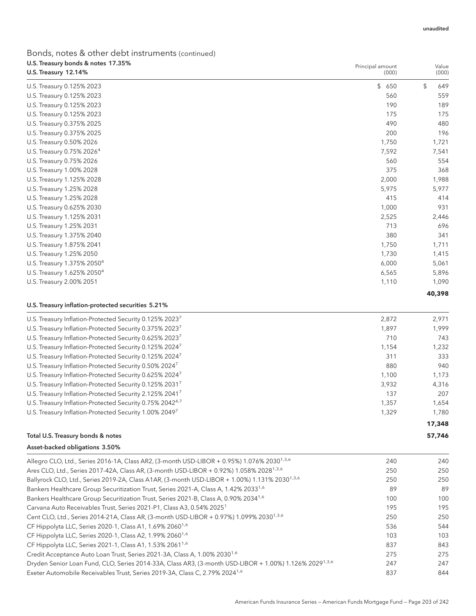Principal amount

## Bonds, notes & other debt instruments (continued) U.S. Treasury bonds & notes 17.35%

| U.S. Treasury 12.14%                                                                                      | (000) | (000)     |
|-----------------------------------------------------------------------------------------------------------|-------|-----------|
| U.S. Treasury 0.125% 2023                                                                                 | \$650 | \$<br>649 |
| U.S. Treasury 0.125% 2023                                                                                 | 560   | 559       |
| U.S. Treasury 0.125% 2023                                                                                 | 190   | 189       |
| U.S. Treasury 0.125% 2023                                                                                 | 175   | 175       |
| U.S. Treasury 0.375% 2025                                                                                 | 490   | 480       |
| U.S. Treasury 0.375% 2025                                                                                 | 200   | 196       |
| U.S. Treasury 0.50% 2026                                                                                  | 1,750 | 1,721     |
| U.S. Treasury 0.75% 2026 <sup>4</sup>                                                                     | 7,592 | 7,541     |
| U.S. Treasury 0.75% 2026                                                                                  | 560   | 554       |
| U.S. Treasury 1.00% 2028                                                                                  | 375   | 368       |
| U.S. Treasury 1.125% 2028                                                                                 | 2,000 | 1,988     |
| U.S. Treasury 1.25% 2028                                                                                  | 5,975 | 5,977     |
| U.S. Treasury 1.25% 2028                                                                                  | 415   | 414       |
| U.S. Treasury 0.625% 2030                                                                                 | 1,000 | 931       |
| U.S. Treasury 1.125% 2031                                                                                 | 2,525 | 2,446     |
| U.S. Treasury 1.25% 2031                                                                                  | 713   | 696       |
| U.S. Treasury 1.375% 2040                                                                                 | 380   | 341       |
| U.S. Treasury 1.875% 2041                                                                                 | 1,750 | 1,711     |
| U.S. Treasury 1.25% 2050                                                                                  | 1,730 | 1,415     |
| U.S. Treasury 1.375% 2050 <sup>4</sup>                                                                    | 6,000 | 5,061     |
| U.S. Treasury 1.625% 2050 <sup>4</sup>                                                                    | 6,565 | 5,896     |
| U.S. Treasury 2.00% 2051                                                                                  | 1,110 | 1,090     |
|                                                                                                           |       | 40,398    |
| U.S. Treasury inflation-protected securities 5.21%                                                        |       |           |
| U.S. Treasury Inflation-Protected Security 0.125% 2023 <sup>7</sup>                                       | 2,872 | 2,971     |
| U.S. Treasury Inflation-Protected Security 0.375% 2023 <sup>7</sup>                                       | 1,897 | 1,999     |
| U.S. Treasury Inflation-Protected Security 0.625% 2023 <sup>7</sup>                                       | 710   | 743       |
| U.S. Treasury Inflation-Protected Security 0.125% 2024 <sup>7</sup>                                       | 1,154 | 1,232     |
| U.S. Treasury Inflation-Protected Security 0.125% 2024 <sup>7</sup>                                       | 311   | 333       |
| U.S. Treasury Inflation-Protected Security 0.50% 2024 <sup>7</sup>                                        | 880   | 940       |
| U.S. Treasury Inflation-Protected Security 0.625% 2024 <sup>7</sup>                                       | 1,100 | 1,173     |
| U.S. Treasury Inflation-Protected Security 0.125% 2031 <sup>7</sup>                                       | 3,932 | 4,316     |
| U.S. Treasury Inflation-Protected Security 2.125% 20417                                                   | 137   | 207       |
| U.S. Treasury Inflation-Protected Security 0.75% 2042 <sup>4,7</sup>                                      | 1,357 | 1,654     |
| U.S. Treasury Inflation-Protected Security 1.00% 20497                                                    | 1,329 | 1,780     |
|                                                                                                           |       | 17,348    |
| Total U.S. Treasury bonds & notes                                                                         |       | 57,746    |
| Asset-backed obligations 3.50%                                                                            |       |           |
| Allegro CLO, Ltd., Series 2016-1A, Class AR2, (3-month USD-LIBOR + 0.95%) 1.076% 2030 <sup>1,3,6</sup>    | 240   | 240       |
| Ares CLO, Ltd., Series 2017-42A, Class AR, (3-month USD-LIBOR + 0.92%) 1.058% 2028 <sup>1,3,6</sup>       | 250   | 250       |
| Ballyrock CLO, Ltd., Series 2019-2A, Class A1AR, (3-month USD-LIBOR + 1.00%) 1.131% 2030 <sup>1,3,6</sup> | 250   | 250       |
| Bankers Healthcare Group Securitization Trust, Series 2021-A, Class A, 1.42% 2033 <sup>1,6</sup>          | 89    | 89        |
| Bankers Healthcare Group Securitization Trust, Series 2021-B, Class A, 0.90% 2034 <sup>1,6</sup>          | 100   | 100       |
| Carvana Auto Receivables Trust, Series 2021-P1, Class A3, 0.54% 2025 <sup>1</sup>                         | 195   | 195       |
| Cent CLO, Ltd., Series 2014-21A, Class AR, (3-month USD-LIBOR + 0.97%) 1.099% 2030 <sup>1,3,6</sup>       | 250   | 250       |
| CF Hippolyta LLC, Series 2020-1, Class A1, 1.69% 2060 <sup>1,6</sup>                                      | 536   | 544       |
| CF Hippolyta LLC, Series 2020-1, Class A2, 1.99% 2060 <sup>1,6</sup>                                      | 103   | 103       |
| CF Hippolyta LLC, Series 2021-1, Class A1, 1.53% 2061 <sup>1,6</sup>                                      | 837   | 843       |
| Credit Acceptance Auto Loan Trust, Series 2021-3A, Class A, 1.00% 2030 <sup>1,6</sup>                     | 275   | 275       |

Dryden Senior Loan Fund, CLO, Series 2014-33A, Class AR3, (3-month USD-LIBOR + 1.00%) 1.126% 20291,3,6 247 247 Exeter Automobile Receivables Trust, Series 2019-3A, Class C, 2.79% 2024<sup>1,6</sup> 837 844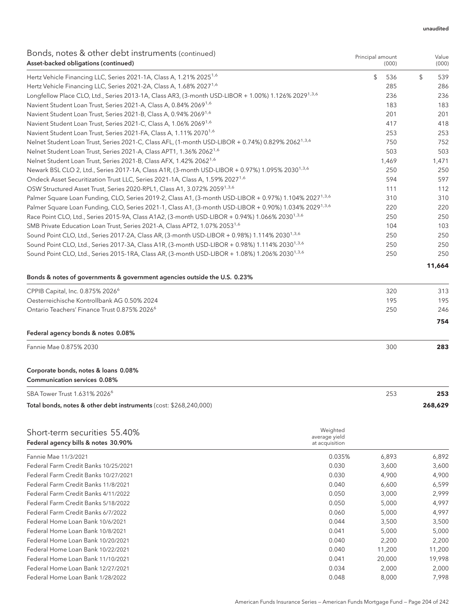Principal amount

### Bonds, notes & other debt instruments (continued) Asset-backed obligations (continued)

| <u>Under noted &amp; Other activities annones</u> (continued)<br>Asset-backed obligations (continued)              |                           | Principal amount<br>(000) | Value<br>(000) |
|--------------------------------------------------------------------------------------------------------------------|---------------------------|---------------------------|----------------|
| Hertz Vehicle Financing LLC, Series 2021-1A, Class A, 1.21% 2025 <sup>1,6</sup>                                    |                           | \$<br>536                 | \$<br>539      |
| Hertz Vehicle Financing LLC, Series 2021-2A, Class A, 1.68% 2027 <sup>1,6</sup>                                    |                           | 285                       | 286            |
| Longfellow Place CLO, Ltd., Series 2013-1A, Class AR3, (3-month USD-LIBOR + 1.00%) 1.126% 2029 <sup>1,3,6</sup>    |                           | 236                       | 236            |
| Navient Student Loan Trust, Series 2021-A, Class A, 0.84% 2069 <sup>1,6</sup>                                      |                           | 183                       | 183            |
| Navient Student Loan Trust, Series 2021-B, Class A, 0.94% 2069 <sup>1,6</sup>                                      |                           | 201                       | 201            |
| Navient Student Loan Trust, Series 2021-C, Class A, 1.06% 2069 <sup>1,6</sup>                                      |                           | 417                       | 418            |
| Navient Student Loan Trust, Series 2021-FA, Class A, 1.11% 2070 <sup>1,6</sup>                                     |                           | 253                       | 253            |
| Nelnet Student Loan Trust, Series 2021-C, Class AFL, (1-month USD-LIBOR + 0.74%) 0.829% 2062 <sup>1,3,6</sup>      |                           | 750                       | 752            |
| Nelnet Student Loan Trust, Series 2021-A, Class APT1, 1.36% 2062 <sup>1,6</sup>                                    |                           | 503                       | 503            |
| Nelnet Student Loan Trust, Series 2021-B, Class AFX, 1.42% 2062 <sup>1,6</sup>                                     |                           | 1,469                     | 1,471          |
| Newark BSL CLO 2, Ltd., Series 2017-1A, Class A1R, (3-month USD-LIBOR + 0.97%) 1.095% 2030 <sup>1,3,6</sup>        |                           | 250                       | 250            |
| Ondeck Asset Securitization Trust LLC, Series 2021-1A, Class A, 1.59% 2027 <sup>1,6</sup>                          |                           | 594                       | 597            |
| OSW Structured Asset Trust, Series 2020-RPL1, Class A1, 3.072% 2059 <sup>1,3,6</sup>                               |                           | 111                       | 112            |
| Palmer Square Loan Funding, CLO, Series 2019-2, Class A1, (3-month USD-LIBOR + 0.97%) 1.104% 2027 <sup>1,3,6</sup> |                           | 310                       | 310            |
| Palmer Square Loan Funding, CLO, Series 2021-1, Class A1, (3-month USD-LIBOR + 0.90%) 1.034% 2029 <sup>1.3.6</sup> |                           | 220                       | 220            |
| Race Point CLO, Ltd., Series 2015-9A, Class A1A2, (3-month USD-LIBOR + 0.94%) 1.066% 2030 <sup>1,3,6</sup>         |                           | 250                       | 250            |
| SMB Private Education Loan Trust, Series 2021-A, Class APT2, 1.07% 2053 <sup>1,6</sup>                             |                           | 104                       | 103            |
| Sound Point CLO, Ltd., Series 2017-2A, Class AR, (3-month USD-LIBOR + 0.98%) 1.114% 2030 <sup>1,3,6</sup>          |                           | 250                       | 250            |
| Sound Point CLO, Ltd., Series 2017-3A, Class A1R, (3-month USD-LIBOR + 0.98%) 1.114% 2030 <sup>1,3,6</sup>         |                           | 250                       | 250            |
| Sound Point CLO, Ltd., Series 2015-1RA, Class AR, (3-month USD-LIBOR + 1.08%) 1.206% 2030 <sup>1,3,6</sup>         |                           | 250                       | 250            |
|                                                                                                                    |                           |                           | 11,664         |
| Bonds & notes of governments & government agencies outside the U.S. 0.23%                                          |                           |                           |                |
| CPPIB Capital, Inc. 0.875% 2026 <sup>6</sup>                                                                       |                           | 320                       | 313            |
| Oesterreichische Kontrollbank AG 0.50% 2024                                                                        |                           | 195                       | 195            |
| Ontario Teachers' Finance Trust 0.875% 2026 <sup>6</sup>                                                           |                           | 250                       | 246            |
|                                                                                                                    |                           |                           | 754            |
| Federal agency bonds & notes 0.08%                                                                                 |                           |                           |                |
| Fannie Mae 0.875% 2030                                                                                             |                           | 300                       | 283            |
| Corporate bonds, notes & loans 0.08%                                                                               |                           |                           |                |
| <b>Communication services 0.08%</b>                                                                                |                           |                           |                |
| SBA Tower Trust 1.631% 2026 <sup>6</sup>                                                                           |                           | 253                       | 253            |
| Total bonds, notes & other debt instruments (cost: \$268,240,000)                                                  |                           |                           | 268,629        |
|                                                                                                                    |                           |                           |                |
| Short-term securities 55.40%                                                                                       | Weighted<br>average yield |                           |                |
| Federal agency bills & notes 30.90%                                                                                | at acquisition            |                           |                |
| Fannie Mae 11/3/2021                                                                                               | 0.035%                    | 6,893                     | 6,892          |
| Federal Farm Credit Banks 10/25/2021                                                                               | 0.030                     | 3,600                     | 3,600          |
| Federal Farm Credit Banks 10/27/2021                                                                               | 0.030                     | 4,900                     | 4,900          |
| Federal Farm Credit Banks 11/8/2021                                                                                | 0.040                     | 6,600                     | 6,599          |
| Federal Farm Credit Banks 4/11/2022                                                                                | 0.050                     | 3,000                     | 2,999          |
| Federal Farm Credit Banks 5/18/2022                                                                                | 0.050                     | 5,000                     | 4,997          |
| Federal Farm Credit Banks 6/7/2022                                                                                 | 0.060                     | 5,000                     | 4,997          |
| Federal Home Loan Bank 10/6/2021                                                                                   | 0.044                     | 3,500                     | 3,500          |
| Federal Home Loan Bank 10/8/2021                                                                                   | 0.041                     | 5,000                     | 5,000          |
| Federal Home Loan Bank 10/20/2021                                                                                  | 0.040                     | 2,200                     | 2,200          |
| Federal Home Loan Bank 10/22/2021                                                                                  | 0.040                     | 11,200                    | 11,200         |
| Federal Home Loan Bank 11/10/2021                                                                                  | 0.041                     | 20,000                    | 19,998         |
| Federal Home Loan Bank 12/27/2021                                                                                  | 0.034                     | 2,000                     | 2,000          |

Federal Home Loan Bank 1/28/2022 **0.048** 8,000 7,998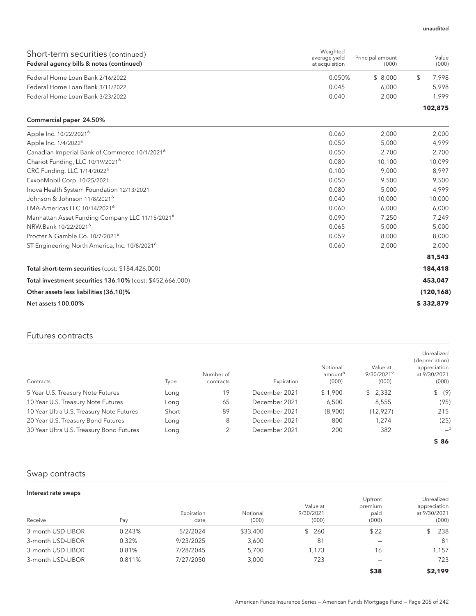| Short-term securities (continued)<br>Federal agency bills & notes (continued) | Weighted<br>average yield<br>at acquisition | Principal amount<br>(000) | Value<br>(000) |
|-------------------------------------------------------------------------------|---------------------------------------------|---------------------------|----------------|
| Federal Home Loan Bank 2/16/2022                                              | 0.050%                                      | \$ 8.000                  | 7.998          |
| Federal Home Loan Bank 3/11/2022                                              | 0.045                                       | 6.000                     | 5.998          |
| Federal Home Loan Bank 3/23/2022                                              | 0.040                                       | 2.000                     | 1.999          |
|                                                                               |                                             |                           | 102,875        |

#### Commercial paper 24.50%

| Apple Inc. 10/22/2021 <sup>6</sup>                          | 0.060 | 2,000  | 2,000      |
|-------------------------------------------------------------|-------|--------|------------|
| Apple Inc. 1/4/2022 <sup>6</sup>                            | 0.050 | 5,000  | 4,999      |
| Canadian Imperial Bank of Commerce 10/1/2021 <sup>6</sup>   | 0.050 | 2.700  | 2,700      |
| Chariot Funding, LLC 10/19/2021 <sup>6</sup>                | 0.080 | 10,100 | 10,099     |
| CRC Funding, LLC 1/14/2022 <sup>6</sup>                     | 0.100 | 9,000  | 8,997      |
| ExxonMobil Corp. 10/25/2021                                 | 0.050 | 9,500  | 9,500      |
| Inova Health System Foundation 12/13/2021                   | 0.080 | 5,000  | 4,999      |
| Johnson & Johnson 11/8/2021 <sup>6</sup>                    | 0.040 | 10,000 | 10,000     |
| LMA-Americas LLC 10/14/2021 <sup>6</sup>                    | 0.060 | 6,000  | 6,000      |
| Manhattan Asset Funding Company LLC 11/15/2021 <sup>6</sup> | 0.090 | 7,250  | 7,249      |
| NRW.Bank 10/22/2021 <sup>6</sup>                            | 0.065 | 5,000  | 5,000      |
| Procter & Gamble Co. 10/7/2021 <sup>6</sup>                 | 0.059 | 8,000  | 8,000      |
| ST Engineering North America, Inc. 10/8/2021 <sup>6</sup>   | 0.060 | 2,000  | 2,000      |
|                                                             |       |        | 81,543     |
| Total short-term securities (cost: \$184,426,000)           |       |        | 184,418    |
| Total investment securities 136.10% (cost: \$452,666,000)   |       |        | 453,047    |
| Other assets less liabilities (36.10)%                      |       |        | (120, 168) |
| <b>Net assets 100.00%</b>                                   |       |        | \$332,879  |
|                                                             |       |        |            |

### Futures contracts

| Contracts                                | Type  | Number of<br>contracts | Expiration    | Notional<br>amount <sup>8</sup><br>(000) | Value at<br>$9/30/2021^9$<br>(000) | Unrealized<br>(depreciation)<br>appreciation<br>at 9/30/2021<br>(000) |
|------------------------------------------|-------|------------------------|---------------|------------------------------------------|------------------------------------|-----------------------------------------------------------------------|
| 5 Year U.S. Treasury Note Futures        | Long  | 19                     | December 2021 | \$1,900                                  | \$2,332                            | \$ (9)                                                                |
| 10 Year U.S. Treasury Note Futures       | Long  | 65                     | December 2021 | 6,500                                    | 8,555                              | (95)                                                                  |
| 10 Year Ultra U.S. Treasury Note Futures | Short | 89                     | December 2021 | (8,900)                                  | (12, 927)                          | 215                                                                   |
| 20 Year U.S. Treasury Bond Futures       | Long  | 8                      | December 2021 | 800                                      | 1.274                              | (25)                                                                  |
| 30 Year Ultra U.S. Treasury Bond Futures | Long  | 2                      | December 2021 | 200                                      | 382                                | $-2$                                                                  |
|                                          |       |                        |               |                                          |                                    | \$86                                                                  |

### Swap contracts

| Interest rate swaps |        |                    |                   |                                |                                     |                                                     |
|---------------------|--------|--------------------|-------------------|--------------------------------|-------------------------------------|-----------------------------------------------------|
| Receive             | Pay    | Expiration<br>date | Notional<br>(000) | Value at<br>9/30/2021<br>(000) | Upfront<br>premium<br>paid<br>(000) | Unrealized<br>appreciation<br>at 9/30/2021<br>(000) |
| 3-month USD-LIBOR   | 0.243% | 5/2/2024           | \$33,400          | - 260<br>\$.                   | \$22                                | 238                                                 |
| 3-month USD-LIBOR   | 0.32%  | 9/23/2025          | 3,600             | 81                             | -                                   | 81                                                  |
| 3-month USD-LIBOR   | 0.81%  | 7/28/2045          | 5.700             | 1,173                          | 16                                  | 1,157                                               |
| 3-month USD-LIBOR   | 0.811% | 7/27/2050          | 3,000             | 723                            | -                                   | 723                                                 |
|                     |        |                    |                   |                                | \$38                                | \$2,199                                             |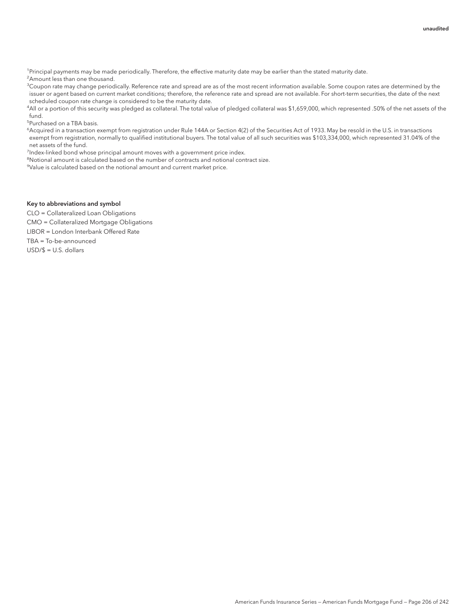<sup>1</sup>Principal payments may be made periodically. Therefore, the effective maturity date may be earlier than the stated maturity date. <sup>2</sup> Amount less than one thousand.

 $^3$ Coupon rate may change periodically. Reference rate and spread are as of the most recent information available. Some coupon rates are determined by the issuer or agent based on current market conditions; therefore, the reference rate and spread are not available. For short-term securities, the date of the next scheduled coupon rate change is considered to be the maturity date.

4 All or a portion of this security was pledged as collateral. The total value of pledged collateral was \$1,659,000, which represented .50% of the net assets of the fund.

5 Purchased on a TBA basis.

6 Acquired in a transaction exempt from registration under Rule 144A or Section 4(2) of the Securities Act of 1933. May be resold in the U.S. in transactions exempt from registration, normally to qualified institutional buyers. The total value of all such securities was \$103,334,000, which represented 31.04% of the net assets of the fund.

<sup>7</sup>Index-linked bond whose principal amount moves with a government price index.

<sup>8</sup>Notional amount is calculated based on the number of contracts and notional contract size.

9 Value is calculated based on the notional amount and current market price.

#### Key to abbreviations and symbol

CLO = Collateralized Loan Obligations CMO = Collateralized Mortgage Obligations LIBOR = London Interbank Offered Rate TBA = To-be-announced USD/\$ = U.S. dollars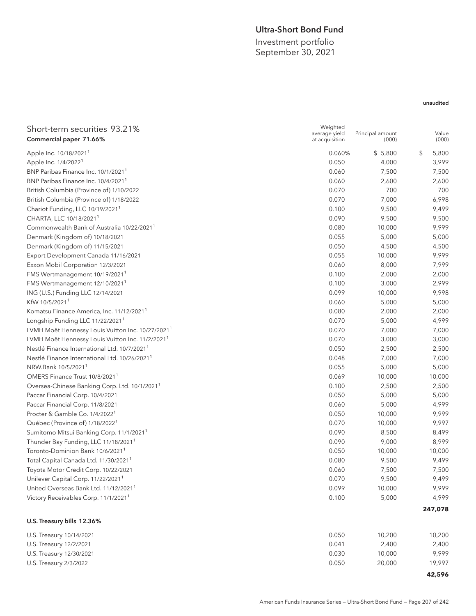### Ultra-Short Bond Fund

Investment portfolio September 30, 2021

### unaudited

| Short-term securities 93.21%<br>Commercial paper 71.66%       | Weighted<br>average yield<br>at acquisition | Principal amount<br>(000) | Value<br>(000) |
|---------------------------------------------------------------|---------------------------------------------|---------------------------|----------------|
| Apple Inc. 10/18/2021 <sup>1</sup>                            | 0.060%                                      | \$5,800                   | \$<br>5,800    |
| Apple Inc. 1/4/2022 <sup>1</sup>                              | 0.050                                       | 4,000                     | 3,999          |
| BNP Paribas Finance Inc. 10/1/2021 <sup>1</sup>               | 0.060                                       | 7,500                     | 7,500          |
| BNP Paribas Finance Inc. 10/4/2021 <sup>1</sup>               | 0.060                                       | 2,600                     | 2,600          |
| British Columbia (Province of) 1/10/2022                      | 0.070                                       | 700                       | 700            |
| British Columbia (Province of) 1/18/2022                      | 0.070                                       | 7,000                     | 6,998          |
| Chariot Funding, LLC 10/19/2021 <sup>1</sup>                  | 0.100                                       | 9,500                     | 9,499          |
| CHARTA, LLC 10/18/2021 <sup>1</sup>                           | 0.090                                       | 9,500                     | 9,500          |
| Commonwealth Bank of Australia 10/22/2021 <sup>1</sup>        | 0.080                                       | 10,000                    | 9,999          |
| Denmark (Kingdom of) 10/18/2021                               | 0.055                                       | 5,000                     | 5,000          |
| Denmark (Kingdom of) 11/15/2021                               | 0.050                                       | 4,500                     | 4,500          |
| Export Development Canada 11/16/2021                          | 0.055                                       | 10,000                    | 9,999          |
| Exxon Mobil Corporation 12/3/2021                             | 0.060                                       | 8,000                     | 7,999          |
| FMS Wertmanagement 10/19/2021                                 | 0.100                                       | 2,000                     | 2,000          |
| FMS Wertmanagement 12/10/2021 <sup>1</sup>                    | 0.100                                       | 3,000                     | 2,999          |
| ING (U.S.) Funding LLC 12/14/2021                             | 0.099                                       | 10,000                    | 9,998          |
| KfW 10/5/2021 <sup>1</sup>                                    | 0.060                                       | 5,000                     | 5,000          |
| Komatsu Finance America, Inc. 11/12/2021 <sup>1</sup>         | 0.080                                       | 2,000                     | 2,000          |
| Longship Funding LLC 11/22/2021 <sup>1</sup>                  | 0.070                                       | 5,000                     | 4,999          |
| LVMH Moët Hennessy Louis Vuitton Inc. 10/27/2021 <sup>1</sup> | 0.070                                       | 7,000                     | 7,000          |
| LVMH Moët Hennessy Louis Vuitton Inc. 11/2/2021 <sup>1</sup>  | 0.070                                       | 3,000                     | 3,000          |
| Nestlé Finance International Ltd. 10/7/2021 <sup>1</sup>      | 0.050                                       | 2,500                     | 2,500          |
| Nestlé Finance International Ltd. 10/26/2021 <sup>1</sup>     | 0.048                                       | 7,000                     | 7,000          |
| NRW.Bank 10/5/2021 <sup>1</sup>                               | 0.055                                       | 5,000                     | 5,000          |
| OMERS Finance Trust 10/8/2021 <sup>1</sup>                    | 0.069                                       | 10,000                    | 10,000         |
| Oversea-Chinese Banking Corp. Ltd. 10/1/2021 <sup>1</sup>     | 0.100                                       | 2,500                     | 2,500          |
| Paccar Financial Corp. 10/4/2021                              | 0.050                                       | 5,000                     | 5,000          |
| Paccar Financial Corp. 11/8/2021                              | 0.060                                       | 5,000                     | 4,999          |
| Procter & Gamble Co. 1/4/2022 <sup>1</sup>                    | 0.050                                       | 10,000                    | 9,999          |
| Québec (Province of) 1/18/2022 <sup>1</sup>                   | 0.070                                       | 10,000                    | 9,997          |
| Sumitomo Mitsui Banking Corp. 11/1/2021 <sup>1</sup>          | 0.090                                       | 8,500                     | 8,499          |
| Thunder Bay Funding, LLC 11/18/2021 <sup>1</sup>              | 0.090                                       | 9,000                     | 8,999          |
| Toronto-Dominion Bank 10/6/2021 <sup>1</sup>                  | 0.050                                       | 10,000                    | 10,000         |
| Total Capital Canada Ltd. 11/30/2021 <sup>1</sup>             | 0.080                                       | 9,500                     | 9,499          |
| Toyota Motor Credit Corp. 10/22/2021                          | 0.060                                       | 7,500                     | 7,500          |
| Unilever Capital Corp. 11/22/2021 <sup>1</sup>                | 0.070                                       | 9,500                     | 9,499          |
| United Overseas Bank Ltd. 11/12/2021 <sup>1</sup>             | 0.099                                       | 10,000                    | 9,999          |
| Victory Receivables Corp. 11/1/2021 <sup>1</sup>              | 0.100                                       | 5,000                     | 4,999          |
|                                                               |                                             |                           | 247,078        |
| U.S. Treasury bills 12.36%                                    |                                             |                           |                |

| U.S. Treasury 10/14/2021 | 0.050 | 10.200 | 10,200 |
|--------------------------|-------|--------|--------|
| U.S. Treasury 12/2/2021  | 0.041 | 2.400  | 2,400  |
| U.S. Treasury 12/30/2021 | 0.030 | 10,000 | 9.999  |
| U.S. Treasury 2/3/2022   | 0.050 | 20,000 | 19.997 |
|                          |       |        | 42,596 |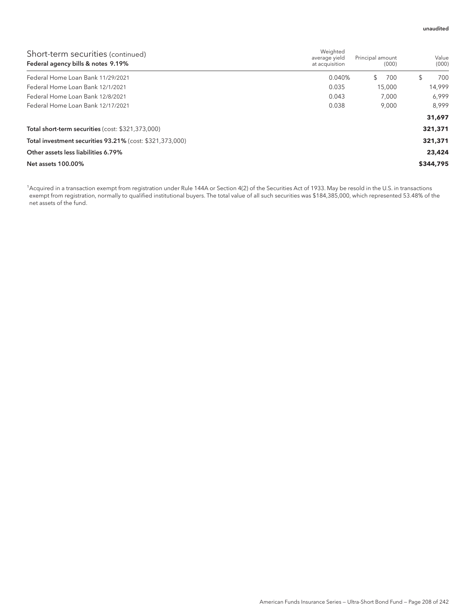| Short-term securities (continued)<br>Federal agency bills & notes 9.19% | Weighted<br>average yield<br>at acquisition | Principal amount<br>(000) | Value<br>(000) |
|-------------------------------------------------------------------------|---------------------------------------------|---------------------------|----------------|
| Federal Home Loan Bank 11/29/2021                                       | 0.040%                                      | \$<br>700                 | 700<br>S       |
| Federal Home Loan Bank 12/1/2021                                        | 0.035                                       | 15,000                    | 14.999         |
| Federal Home Loan Bank 12/8/2021                                        | 0.043                                       | 7.000                     | 6.999          |
| Federal Home Loan Bank 12/17/2021                                       | 0.038                                       | 9.000                     | 8.999          |
|                                                                         |                                             |                           | 31,697         |
| Total short-term securities (cost: \$321,373,000)                       |                                             |                           | 321,371        |
| Total investment securities 93.21% (cost: \$321,373,000)                |                                             |                           | 321,371        |
| Other assets less liabilities 6.79%                                     |                                             |                           | 23,424         |
| Net assets 100.00%                                                      |                                             |                           | \$344,795      |

1 Acquired in a transaction exempt from registration under Rule 144A or Section 4(2) of the Securities Act of 1933. May be resold in the U.S. in transactions exempt from registration, normally to qualified institutional buyers. The total value of all such securities was \$184,385,000, which represented 53.48% of the net assets of the fund.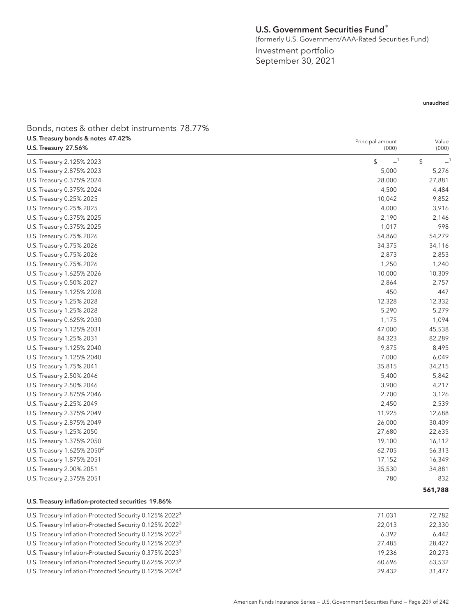### U.S. Government Securities Fund®

(formerly U.S. Government/AAA-Rated Securities Fund)

Principal amount

Investment portfolio September 30, 2021

#### unaudited

Value

Bonds, notes & other debt instruments 78.77% U.S. Treasury bonds & notes 47.42% U.S. Treasury 27.56%

| U.S. Treasury 27.56%                                | (000)      | (000)      |
|-----------------------------------------------------|------------|------------|
| U.S. Treasury 2.125% 2023                           | $-1$<br>\$ | \$<br>$-1$ |
| U.S. Treasury 2.875% 2023                           | 5,000      | 5,276      |
| U.S. Treasury 0.375% 2024                           | 28,000     | 27,881     |
| U.S. Treasury 0.375% 2024                           | 4,500      | 4,484      |
| U.S. Treasury 0.25% 2025                            | 10,042     | 9,852      |
| U.S. Treasury 0.25% 2025                            | 4,000      | 3,916      |
| U.S. Treasury 0.375% 2025                           | 2,190      | 2,146      |
| U.S. Treasury 0.375% 2025                           | 1,017      | 998        |
| U.S. Treasury 0.75% 2026                            | 54,860     | 54,279     |
| U.S. Treasury 0.75% 2026                            | 34,375     | 34,116     |
| U.S. Treasury 0.75% 2026                            | 2,873      | 2,853      |
| U.S. Treasury 0.75% 2026                            | 1,250      | 1,240      |
| U.S. Treasury 1.625% 2026                           | 10,000     | 10,309     |
| U.S. Treasury 0.50% 2027                            | 2,864      | 2,757      |
| U.S. Treasury 1.125% 2028                           | 450        | 447        |
| U.S. Treasury 1.25% 2028                            | 12,328     | 12,332     |
| U.S. Treasury 1.25% 2028                            | 5,290      | 5,279      |
| U.S. Treasury 0.625% 2030                           | 1,175      | 1,094      |
| U.S. Treasury 1.125% 2031                           | 47,000     | 45,538     |
| U.S. Treasury 1.25% 2031                            | 84,323     | 82,289     |
| U.S. Treasury 1.125% 2040                           | 9,875      | 8,495      |
| U.S. Treasury 1.125% 2040                           | 7,000      | 6,049      |
| U.S. Treasury 1.75% 2041                            | 35,815     | 34,215     |
| U.S. Treasury 2.50% 2046                            | 5,400      | 5,842      |
| U.S. Treasury 2.50% 2046                            | 3,900      | 4,217      |
| U.S. Treasury 2.875% 2046                           | 2,700      | 3,126      |
| U.S. Treasury 2.25% 2049                            | 2,450      | 2,539      |
| U.S. Treasury 2.375% 2049                           | 11,925     | 12,688     |
| U.S. Treasury 2.875% 2049                           | 26,000     | 30,409     |
| U.S. Treasury 1.25% 2050                            | 27,680     | 22,635     |
| U.S. Treasury 1.375% 2050                           | 19,100     | 16,112     |
| U.S. Treasury 1.625% 2050 <sup>2</sup>              | 62,705     | 56,313     |
| U.S. Treasury 1.875% 2051                           | 17,152     | 16,349     |
| U.S. Treasury 2.00% 2051                            | 35,530     | 34,881     |
| U.S. Treasury 2.375% 2051                           | 780        | 832        |
|                                                     |            | 561,788    |
| U.S. Treasury inflation-protected securities 19.86% |            |            |

### U.S. Treasury Inflation-Protected Security 0.125% 2022<sup>3</sup> 2021 72,782 71,031 72,782 U.S. Treasury Inflation-Protected Security 0.125% 2022<sup>3</sup> 22,330 22,330 22,330 22,330 22,330 22,330 22,330 22,330 U.S. Treasury Inflation-Protected Security 0.125% 2022<sup>3</sup> 6,442 6,392 6,442 U.S. Treasury Inflation-Protected Security 0.125% 2023<sup>3</sup> 27,485 27,485 U.S. Treasury Inflation-Protected Security 0.375% 2023<sup>3</sup> 2002/236 19,236 20,273 U.S. Treasury Inflation-Protected Security 0.625% 2023<sup>3</sup> 63,532 U.S. Treasury Inflation-Protected Security 0.125% 2024<sup>3</sup> 29,432 31,477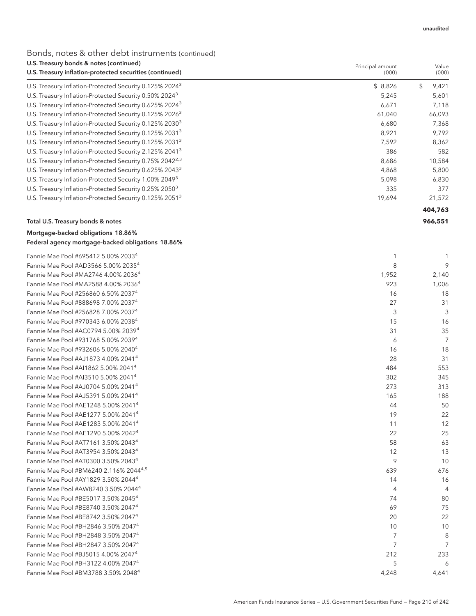### Bonds, notes & other debt instruments (continued)

| U.S. Treasury bonds & notes (continued)                              | Principal amount | Value       |  |
|----------------------------------------------------------------------|------------------|-------------|--|
| U.S. Treasury inflation-protected securities (continued)             | (000)            | (000)       |  |
| U.S. Treasury Inflation-Protected Security 0.125% 2024 <sup>3</sup>  | \$8,826          | \$<br>9,421 |  |
| U.S. Treasury Inflation-Protected Security 0.50% 2024 <sup>3</sup>   | 5,245            | 5,601       |  |
| U.S. Treasury Inflation-Protected Security 0.625% 2024 <sup>3</sup>  | 6,671            | 7,118       |  |
| U.S. Treasury Inflation-Protected Security 0.125% 2026 <sup>3</sup>  | 61,040           | 66,093      |  |
| U.S. Treasury Inflation-Protected Security 0.125% 2030 <sup>3</sup>  | 6,680            | 7,368       |  |
| U.S. Treasury Inflation-Protected Security 0.125% 2031 <sup>3</sup>  | 8,921            | 9,792       |  |
| U.S. Treasury Inflation-Protected Security 0.125% 2031 <sup>3</sup>  | 7,592            | 8,362       |  |
| U.S. Treasury Inflation-Protected Security 2.125% 2041 <sup>3</sup>  | 386              | 582         |  |
| U.S. Treasury Inflation-Protected Security 0.75% 2042 <sup>2,3</sup> | 8,686            | 10,584      |  |
| U.S. Treasury Inflation-Protected Security 0.625% 2043 <sup>3</sup>  | 4,868            | 5,800       |  |
| U.S. Treasury Inflation-Protected Security 1.00% 2049 <sup>3</sup>   | 5,098            | 6,830       |  |
| U.S. Treasury Inflation-Protected Security 0.25% 2050 <sup>3</sup>   | 335              | 377         |  |
| U.S. Treasury Inflation-Protected Security 0.125% 2051 <sup>3</sup>  | 19,694           | 21,572      |  |
|                                                                      |                  | 404,763     |  |
| Total U.S. Treasury bonds & notes                                    |                  | 966,551     |  |

## Mortgage-backed obligations 18.86%

| Federal agency mortgage-backed obligations 18.86% |  |
|---------------------------------------------------|--|

| Fannie Mae Pool #695412 5.00% 2033 <sup>4</sup>    |                |                |
|----------------------------------------------------|----------------|----------------|
| Fannie Mae Pool #AD3566 5.00% 2035 <sup>4</sup>    | 8              | 9              |
| Fannie Mae Pool #MA2746 4.00% 2036 <sup>4</sup>    | 1,952          | 2,140          |
| Fannie Mae Pool #MA2588 4.00% 2036 <sup>4</sup>    | 923            | 1,006          |
| Fannie Mae Pool #256860 6.50% 20374                | 16             | 18             |
| Fannie Mae Pool #888698 7.00% 20374                | 27             | 31             |
| Fannie Mae Pool #256828 7.00% 2037 <sup>4</sup>    | 3              | 3              |
| Fannie Mae Pool #970343 6.00% 2038 <sup>4</sup>    | 15             | 16             |
| Fannie Mae Pool #AC0794 5.00% 2039 <sup>4</sup>    | 31             | 35             |
| Fannie Mae Pool #931768 5.00% 2039 <sup>4</sup>    | 6              | $\overline{7}$ |
| Fannie Mae Pool #932606 5.00% 2040 <sup>4</sup>    | 16             | 18             |
| Fannie Mae Pool #AJ1873 4.00% 2041 <sup>4</sup>    | 28             | 31             |
| Fannie Mae Pool #AI1862 5.00% 2041 <sup>4</sup>    | 484            | 553            |
| Fannie Mae Pool #AI3510 5.00% 2041 <sup>4</sup>    | 302            | 345            |
| Fannie Mae Pool #AJ0704 5.00% 2041 <sup>4</sup>    | 273            | 313            |
| Fannie Mae Pool #AJ5391 5.00% 2041 <sup>4</sup>    | 165            | 188            |
| Fannie Mae Pool #AE1248 5.00% 2041 <sup>4</sup>    | 44             | 50             |
| Fannie Mae Pool #AE1277 5.00% 2041 <sup>4</sup>    | 19             | 22             |
| Fannie Mae Pool #AE1283 5.00% 2041 <sup>4</sup>    | 11             | 12             |
| Fannie Mae Pool #AE1290 5.00% 2042 <sup>4</sup>    | 22             | 25             |
| Fannie Mae Pool #AT7161 3.50% 2043 <sup>4</sup>    | 58             | 63             |
| Fannie Mae Pool #AT3954 3.50% 2043 <sup>4</sup>    | 12             | 13             |
| Fannie Mae Pool #AT0300 3.50% 2043 <sup>4</sup>    | 9              | 10             |
| Fannie Mae Pool #BM6240 2.116% 2044 <sup>4,5</sup> | 639            | 676            |
| Fannie Mae Pool #AY1829 3.50% 2044 <sup>4</sup>    | 14             | 16             |
| Fannie Mae Pool #AW8240 3.50% 2044 <sup>4</sup>    | 4              | $\overline{4}$ |
| Fannie Mae Pool #BE5017 3.50% 2045 <sup>4</sup>    | 74             | 80             |
| Fannie Mae Pool #BE8740 3.50% 2047 <sup>4</sup>    | 69             | 75             |
| Fannie Mae Pool #BE8742 3.50% 2047 <sup>4</sup>    | 20             | 22             |
| Fannie Mae Pool #BH2846 3.50% 2047 <sup>4</sup>    | 10             | 10             |
| Fannie Mae Pool #BH2848 3.50% 2047 <sup>4</sup>    | $\overline{7}$ | 8              |
| Fannie Mae Pool #BH2847 3.50% 2047 <sup>4</sup>    | 7              | $\overline{7}$ |
| Fannie Mae Pool #BJ5015 4.00% 2047 <sup>4</sup>    | 212            | 233            |
| Fannie Mae Pool #BH3122 4.00% 2047 <sup>4</sup>    | 5              | 6              |
| Fannie Mae Pool #BM3788 3.50% 2048 <sup>4</sup>    | 4,248          | 4,641          |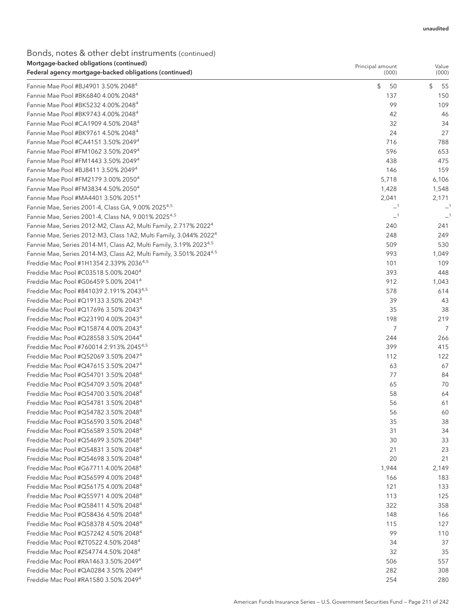### Bonds, notes & other debt instruments (continued) Mortgage-backed obligations (continued)

| Mortgage-backed obligations (continued)                                        | Principal amount | Value    |
|--------------------------------------------------------------------------------|------------------|----------|
| Federal agency mortgage-backed obligations (continued)                         | (000)            | (000)    |
| Fannie Mae Pool #BJ4901 3.50% 2048 <sup>4</sup>                                | \$<br>50         | \$<br>55 |
| Fannie Mae Pool #BK6840 4.00% 2048 <sup>4</sup>                                | 137              | 150      |
| Fannie Mae Pool #BK5232 4.00% 2048 <sup>4</sup>                                | 99               | 109      |
| Fannie Mae Pool #BK9743 4.00% 2048 <sup>4</sup>                                | 42               | 46       |
| Fannie Mae Pool #CA1909 4.50% 2048 <sup>4</sup>                                | 32               | 34       |
| Fannie Mae Pool #BK9761 4.50% 2048 <sup>4</sup>                                | 24               | 27       |
| Fannie Mae Pool #CA4151 3.50% 2049 <sup>4</sup>                                | 716              | 788      |
| Fannie Mae Pool #FM1062 3.50% 2049 <sup>4</sup>                                | 596              | 653      |
| Fannie Mae Pool #FM1443 3.50% 2049 <sup>4</sup>                                | 438              | 475      |
| Fannie Mae Pool #BJ8411 3.50% 2049 <sup>4</sup>                                | 146              | 159      |
| Fannie Mae Pool #FM2179 3.00% 2050 <sup>4</sup>                                | 5,718            | 6,106    |
| Fannie Mae Pool #FM3834 4.50% 2050 <sup>4</sup>                                | 1,428            | 1,548    |
| Fannie Mae Pool #MA4401 3.50% 2051 <sup>4</sup>                                | 2,041            | 2,171    |
| Fannie Mae, Series 2001-4, Class GA, 9.00% 2025 <sup>4,5</sup>                 | $-1$             | $-1$     |
| Fannie Mae, Series 2001-4, Class NA, 9.001% 2025 <sup>4,5</sup>                | $-1$             |          |
| Fannie Mae, Series 2012-M2, Class A2, Multi Family, 2.717% 2022 <sup>4</sup>   | 240              | 241      |
| Fannie Mae, Series 2012-M3, Class 1A2, Multi Family, 3.044% 2022 <sup>4</sup>  | 248              | 249      |
| Fannie Mae, Series 2014-M1, Class A2, Multi Family, 3.19% 20234,5              | 509              | 530      |
| Fannie Mae, Series 2014-M3, Class A2, Multi Family, 3.501% 2024 <sup>4,5</sup> | 993              | 1,049    |
| Freddie Mac Pool #1H1354 2.339% 20364,5                                        | 101              | 109      |
| Freddie Mac Pool #C03518 5.00% 2040 <sup>4</sup>                               | 393              | 448      |
| Freddie Mac Pool #G06459 5.00% 2041 <sup>4</sup>                               | 912              | 1,043    |
| Freddie Mac Pool #841039 2.191% 2043 <sup>4,5</sup>                            | 578              | 614      |
| Freddie Mac Pool #Q19133 3.50% 2043 <sup>4</sup>                               | 39               | 43       |
| Freddie Mac Pool #Q17696 3.50% 2043 <sup>4</sup>                               | 35               | 38       |
| Freddie Mac Pool #Q23190 4.00% 2043 <sup>4</sup>                               | 198              | 219      |
| Freddie Mac Pool #Q15874 4.00% 2043 <sup>4</sup>                               | 7                | 7        |
| Freddie Mac Pool #Q28558 3.50% 2044 <sup>4</sup>                               | 244              | 266      |
| Freddie Mac Pool #760014 2.913% 2045 <sup>4,5</sup>                            | 399              | 415      |
| Freddie Mac Pool #Q52069 3.50% 2047 <sup>4</sup>                               | 112              | 122      |
| Freddie Mac Pool #Q47615 3.50% 2047 <sup>4</sup>                               | 63               | 67       |
| Freddie Mac Pool #Q54701 3.50% 2048 <sup>4</sup>                               | 77               | 84       |
| Freddie Mac Pool #Q54709 3.50% 2048 <sup>4</sup>                               | 65               | 70       |
| Freddie Mac Pool #Q54700 3.50% 2048 <sup>4</sup>                               | 58               | 64       |
| Freddie Mac Pool #Q54781 3.50% 2048 <sup>4</sup>                               | 56               | 61       |
| Freddie Mac Pool #Q54782 3.50% 2048 <sup>4</sup>                               | 56               | 60       |
| Freddie Mac Pool #Q56590 3.50% 2048 <sup>4</sup>                               | 35               | 38       |
| Freddie Mac Pool #Q56589 3.50% 2048 <sup>4</sup>                               | 31               | 34       |
| Freddie Mac Pool #Q54699 3.50% 2048 <sup>4</sup>                               | 30               | 33       |
| Freddie Mac Pool #Q54831 3.50% 2048 <sup>4</sup>                               | 21               | 23       |
| Freddie Mac Pool #Q54698 3.50% 2048 <sup>4</sup>                               | 20               | 21       |
| Freddie Mac Pool #G67711 4.00% 2048 <sup>4</sup>                               | 1,944            | 2,149    |
| Freddie Mac Pool #Q56599 4.00% 2048 <sup>4</sup>                               | 166              | 183      |
| Freddie Mac Pool #Q56175 4.00% 2048 <sup>4</sup>                               | 121              | 133      |
| Freddie Mac Pool #Q55971 4.00% 2048 <sup>4</sup>                               | 113              | 125      |
| Freddie Mac Pool #Q58411 4.50% 2048 <sup>4</sup>                               | 322              | 358      |
| Freddie Mac Pool #Q58436 4.50% 2048 <sup>4</sup>                               | 148              | 166      |
| Freddie Mac Pool #Q58378 4.50% 2048 <sup>4</sup>                               | 115              | 127      |
| Freddie Mac Pool #Q57242 4.50% 2048 <sup>4</sup>                               | 99               | 110      |
| Freddie Mac Pool #ZT0522 4.50% 2048 <sup>4</sup>                               | 34               | 37       |
| Freddie Mac Pool #ZS4774 4.50% 2048 <sup>4</sup>                               | 32               | 35       |
| Freddie Mac Pool #RA1463 3.50% 2049 <sup>4</sup>                               | 506              | 557      |
| Freddie Mac Pool #QA0284 3.50% 2049 <sup>4</sup>                               | 282              | 308      |
| Freddie Mac Pool #RA1580 3.50% 2049 <sup>4</sup>                               | 254              | 280      |
|                                                                                |                  |          |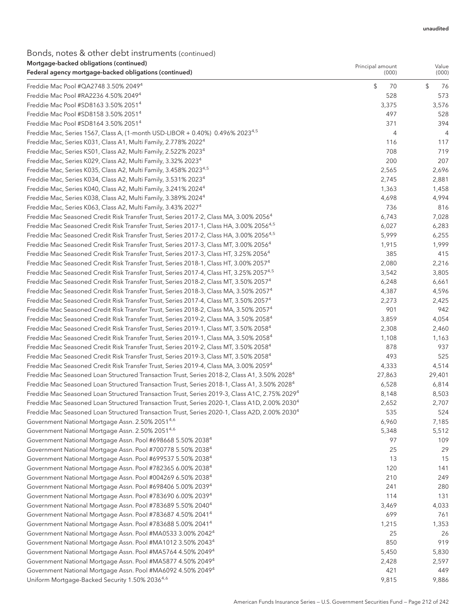#### Bonds, notes & other debt instruments (continued) Mortgage-backed obligations (continued)

| <u>Mongage-Dacked Obligations</u> (continued)<br>Federal agency mortgage-backed obligations (continued)   | Principal amount<br>(000) | Value<br>(000) |
|-----------------------------------------------------------------------------------------------------------|---------------------------|----------------|
| Freddie Mac Pool #QA2748 3.50% 2049 <sup>4</sup>                                                          | \$<br>70                  | \$<br>76       |
| Freddie Mac Pool #RA2236 4.50% 2049 <sup>4</sup>                                                          | 528                       | 573            |
| Freddie Mac Pool #SD8163 3.50% 2051 <sup>4</sup>                                                          | 3,375                     | 3,576          |
| Freddie Mac Pool #SD8158 3.50% 2051 <sup>4</sup>                                                          | 497                       | 528            |
| Freddie Mac Pool #SD8164 3.50% 2051 <sup>4</sup>                                                          | 371                       | 394            |
| Freddie Mac, Series 1567, Class A, (1-month USD-LIBOR + 0.40%) 0.496% 2023 <sup>4,5</sup>                 | 4                         | 4              |
| Freddie Mac, Series K031, Class A1, Multi Family, 2.778% 2022 <sup>4</sup>                                | 116                       | 117            |
| Freddie Mac, Series KS01, Class A2, Multi Family, 2.522% 2023 <sup>4</sup>                                | 708                       | 719            |
| Freddie Mac, Series K029, Class A2, Multi Family, 3.32% 2023 <sup>4</sup>                                 | 200                       | 207            |
| Freddie Mac, Series K035, Class A2, Multi Family, 3.458% 2023 <sup>4,5</sup>                              | 2,565                     | 2,696          |
| Freddie Mac, Series K034, Class A2, Multi Family, 3.531% 2023 <sup>4</sup>                                | 2,745                     | 2,881          |
| Freddie Mac, Series K040, Class A2, Multi Family, 3.241% 2024 <sup>4</sup>                                | 1,363                     | 1,458          |
| Freddie Mac, Series K038, Class A2, Multi Family, 3.389% 2024 <sup>4</sup>                                | 4,698                     | 4,994          |
| Freddie Mac, Series K063, Class A2, Multi Family, 3.43% 2027 <sup>4</sup>                                 | 736                       | 816            |
| Freddie Mac Seasoned Credit Risk Transfer Trust, Series 2017-2, Class MA, 3.00% 2056 <sup>4</sup>         | 6,743                     | 7,028          |
| Freddie Mac Seasoned Credit Risk Transfer Trust, Series 2017-1, Class HA, 3.00% 2056 <sup>4,5</sup>       | 6,027                     | 6,283          |
| Freddie Mac Seasoned Credit Risk Transfer Trust, Series 2017-2, Class HA, 3.00% 2056 <sup>4,5</sup>       | 5,999                     | 6,255          |
| Freddie Mac Seasoned Credit Risk Transfer Trust, Series 2017-3, Class MT, 3.00% 2056 <sup>4</sup>         | 1,915                     | 1,999          |
| Freddie Mac Seasoned Credit Risk Transfer Trust, Series 2017-3, Class HT, 3.25% 2056 <sup>4</sup>         | 385                       | 415            |
| Freddie Mac Seasoned Credit Risk Transfer Trust, Series 2018-1, Class HT, 3.00% 2057 <sup>4</sup>         | 2,080                     | 2,216          |
| Freddie Mac Seasoned Credit Risk Transfer Trust, Series 2017-4, Class HT, 3.25% 2057 <sup>4,5</sup>       | 3,542                     | 3,805          |
| Freddie Mac Seasoned Credit Risk Transfer Trust, Series 2018-2, Class MT, 3.50% 2057 <sup>4</sup>         | 6,248                     | 6,661          |
| Freddie Mac Seasoned Credit Risk Transfer Trust, Series 2018-3, Class MA, 3.50% 2057 <sup>4</sup>         | 4,387                     | 4,596          |
| Freddie Mac Seasoned Credit Risk Transfer Trust, Series 2017-4, Class MT, 3.50% 2057 <sup>4</sup>         | 2,273                     | 2,425          |
| Freddie Mac Seasoned Credit Risk Transfer Trust, Series 2018-2, Class MA, 3.50% 2057 <sup>4</sup>         | 901                       | 942            |
| Freddie Mac Seasoned Credit Risk Transfer Trust, Series 2019-2, Class MA, 3.50% 2058 <sup>4</sup>         | 3,859                     | 4,054          |
| Freddie Mac Seasoned Credit Risk Transfer Trust, Series 2019-1, Class MT, 3.50% 2058 <sup>4</sup>         | 2,308                     | 2,460          |
| Freddie Mac Seasoned Credit Risk Transfer Trust, Series 2019-1, Class MA, 3.50% 2058 <sup>4</sup>         | 1,108                     | 1,163          |
| Freddie Mac Seasoned Credit Risk Transfer Trust, Series 2019-2, Class MT, 3.50% 2058 <sup>4</sup>         | 878                       | 937            |
| Freddie Mac Seasoned Credit Risk Transfer Trust, Series 2019-3, Class MT, 3.50% 2058 <sup>4</sup>         | 493                       | 525            |
| Freddie Mac Seasoned Credit Risk Transfer Trust, Series 2019-4, Class MA, 3.00% 2059 <sup>4</sup>         | 4,333                     | 4,514          |
| Freddie Mac Seasoned Loan Structured Transaction Trust, Series 2018-2, Class A1, 3.50% 2028 <sup>4</sup>  | 27,863                    | 29,401         |
| Freddie Mac Seasoned Loan Structured Transaction Trust, Series 2018-1, Class A1, 3.50% 2028 <sup>4</sup>  | 6,528                     | 6,814          |
| Freddie Mac Seasoned Loan Structured Transaction Trust, Series 2019-3, Class A1C, 2.75% 2029 <sup>4</sup> | 8,148                     | 8,503          |
| Freddie Mac Seasoned Loan Structured Transaction Trust, Series 2020-1, Class A1D, 2.00% 2030 <sup>4</sup> | 2,652                     | 2,707          |
| Freddie Mac Seasoned Loan Structured Transaction Trust, Series 2020-1, Class A2D, 2.00% 2030 <sup>4</sup> | 535                       | 524            |
| Government National Mortgage Assn. 2.50% 20514,6                                                          | 6,960                     | 7,185          |
| Government National Mortgage Assn. 2.50% 20514,6                                                          | 5,348                     | 5,512          |
| Government National Mortgage Assn. Pool #698668 5.50% 2038 <sup>4</sup>                                   | 97                        | 109            |
| Government National Mortgage Assn. Pool #700778 5.50% 2038 <sup>4</sup>                                   | 25                        | 29             |
| Government National Mortgage Assn. Pool #699537 5.50% 2038 <sup>4</sup>                                   | 13                        | 15             |
| Government National Mortgage Assn. Pool #782365 6.00% 2038 <sup>4</sup>                                   | 120                       | 141            |
| Government National Mortgage Assn. Pool #004269 6.50% 2038 <sup>4</sup>                                   | 210                       | 249            |
| Government National Mortgage Assn. Pool #698406 5.00% 2039 <sup>4</sup>                                   | 241                       | 280            |
| Government National Mortgage Assn. Pool #783690 6.00% 2039 <sup>4</sup>                                   | 114                       | 131            |
| Government National Mortgage Assn. Pool #783689 5.50% 2040 <sup>4</sup>                                   | 3,469                     | 4,033          |
| Government National Mortgage Assn. Pool #783687 4.50% 2041 <sup>4</sup>                                   | 699                       | 761            |
| Government National Mortgage Assn. Pool #783688 5.00% 2041 <sup>4</sup>                                   | 1,215                     | 1,353          |
| Government National Mortgage Assn. Pool #MA0533 3.00% 2042 <sup>4</sup>                                   | 25                        | 26             |
| Government National Mortgage Assn. Pool #MA1012 3.50% 2043 <sup>4</sup>                                   | 850                       | 919            |
| Government National Mortgage Assn. Pool #MA5764 4.50% 2049 <sup>4</sup>                                   | 5,450                     | 5,830          |
| Government National Mortgage Assn. Pool #MA5877 4.50% 2049 <sup>4</sup>                                   | 2,428                     | 2,597          |
| Government National Mortgage Assn. Pool #MA6092 4.50% 2049 <sup>4</sup>                                   | 421                       | 449            |
| Uniform Mortgage-Backed Security 1.50% 20364,6                                                            | 9,815                     | 9,886          |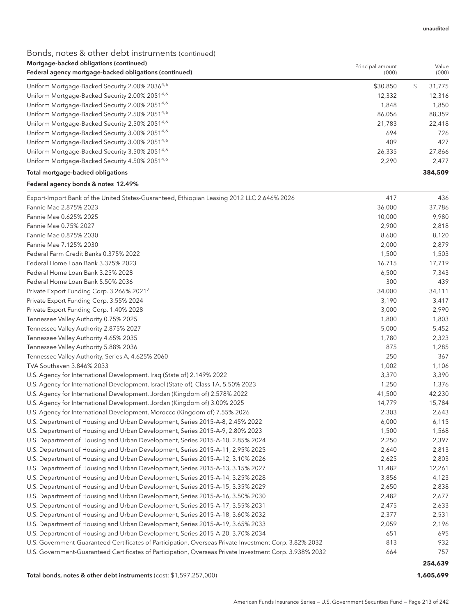## Bonds, notes & other debt instruments (continued)

| Mortgage-backed obligations (continued)<br>Federal agency mortgage-backed obligations (continued)       | Principal amount<br>(000) | Value<br>(000) |
|---------------------------------------------------------------------------------------------------------|---------------------------|----------------|
| Uniform Mortgage-Backed Security 2.00% 20364,6                                                          | \$30,850                  | \$<br>31,775   |
| Uniform Mortgage-Backed Security 2.00% 2051 <sup>4,6</sup>                                              | 12,332                    | 12,316         |
| Uniform Mortgage-Backed Security 2.00% 20514,6                                                          | 1,848                     | 1,850          |
| Uniform Mortgage-Backed Security 2.50% 20514,6                                                          | 86,056                    | 88,359         |
| Uniform Mortgage-Backed Security 2.50% 20514,6                                                          | 21,783                    | 22,418         |
| Uniform Mortgage-Backed Security 3.00% 20514,6                                                          | 694                       | 726            |
| Uniform Mortgage-Backed Security 3.00% 20514,6                                                          | 409                       | 427            |
| Uniform Mortgage-Backed Security 3.50% 20514,6                                                          | 26,335                    | 27,866         |
| Uniform Mortgage-Backed Security 4.50% 20514,6                                                          | 2,290                     | 2,477          |
| Total mortgage-backed obligations                                                                       |                           | 384,509        |
| Federal agency bonds & notes 12.49%                                                                     |                           |                |
| Export-Import Bank of the United States-Guaranteed, Ethiopian Leasing 2012 LLC 2.646% 2026              | 417                       | 436            |
| Fannie Mae 2.875% 2023                                                                                  | 36,000                    | 37,786         |
| Fannie Mae 0.625% 2025                                                                                  | 10,000                    | 9,980          |
| Fannie Mae 0.75% 2027                                                                                   | 2,900                     | 2,818          |
| Fannie Mae 0.875% 2030                                                                                  | 8,600                     | 8,120          |
| Fannie Mae 7.125% 2030                                                                                  | 2,000                     | 2,879          |
| Federal Farm Credit Banks 0.375% 2022                                                                   | 1,500                     | 1,503          |
| Federal Home Loan Bank 3.375% 2023                                                                      | 16,715                    | 17,719         |
| Federal Home Loan Bank 3.25% 2028                                                                       | 6,500                     | 7,343          |
| Federal Home Loan Bank 5.50% 2036                                                                       | 300                       | 439            |
| Private Export Funding Corp. 3.266% 20217                                                               | 34,000                    | 34,111         |
| Private Export Funding Corp. 3.55% 2024                                                                 | 3,190                     | 3,417          |
| Private Export Funding Corp. 1.40% 2028                                                                 | 3,000                     | 2,990          |
| Tennessee Valley Authority 0.75% 2025                                                                   | 1,800                     | 1,803          |
| Tennessee Valley Authority 2.875% 2027                                                                  | 5,000                     | 5,452          |
| Tennessee Valley Authority 4.65% 2035                                                                   | 1,780                     | 2,323          |
| Tennessee Valley Authority 5.88% 2036                                                                   | 875                       | 1,285          |
| Tennessee Valley Authority, Series A, 4.625% 2060                                                       | 250                       | 367            |
| TVA Southaven 3.846% 2033                                                                               | 1,002                     | 1,106          |
| U.S. Agency for International Development, Iraq (State of) 2.149% 2022                                  | 3,370                     | 3,390          |
| U.S. Agency for International Development, Israel (State of), Class 1A, 5.50% 2023                      | 1,250                     | 1,376          |
| U.S. Agency for International Development, Jordan (Kingdom of) 2.578% 2022                              | 41,500                    | 42,230         |
| U.S. Agency for International Development, Jordan (Kingdom of) 3.00% 2025                               | 14,779                    | 15,784         |
| U.S. Agency for International Development, Morocco (Kingdom of) 7.55% 2026                              | 2,303                     | 2,643          |
| U.S. Department of Housing and Urban Development, Series 2015-A-8, 2.45% 2022                           | 6,000                     | 6,115          |
| U.S. Department of Housing and Urban Development, Series 2015-A-9, 2.80% 2023                           | 1,500                     | 1,568          |
| U.S. Department of Housing and Urban Development, Series 2015-A-10, 2.85% 2024                          | 2,250                     | 2,397          |
| U.S. Department of Housing and Urban Development, Series 2015-A-11, 2.95% 2025                          | 2,640                     | 2,813          |
| U.S. Department of Housing and Urban Development, Series 2015-A-12, 3.10% 2026                          | 2,625                     | 2,803          |
| U.S. Department of Housing and Urban Development, Series 2015-A-13, 3.15% 2027                          | 11,482                    | 12,261         |
| U.S. Department of Housing and Urban Development, Series 2015-A-14, 3.25% 2028                          | 3,856                     | 4,123          |
| U.S. Department of Housing and Urban Development, Series 2015-A-15, 3.35% 2029                          | 2,650                     | 2,838          |
| U.S. Department of Housing and Urban Development, Series 2015-A-16, 3.50% 2030                          | 2,482                     | 2,677          |
| U.S. Department of Housing and Urban Development, Series 2015-A-17, 3.55% 2031                          | 2,475                     | 2,633          |
| U.S. Department of Housing and Urban Development, Series 2015-A-18, 3.60% 2032                          | 2,377                     | 2,531          |
| U.S. Department of Housing and Urban Development, Series 2015-A-19, 3.65% 2033                          | 2,059                     | 2,196          |
| U.S. Department of Housing and Urban Development, Series 2015-A-20, 3.70% 2034                          | 651                       | 695            |
| U.S. Government-Guaranteed Certificates of Participation, Overseas Private Investment Corp. 3.82% 2032  | 813                       | 932            |
| U.S. Government-Guaranteed Certificates of Participation, Overseas Private Investment Corp. 3.938% 2032 | 664                       | 757            |
|                                                                                                         |                           | 254,639        |

Total bonds, notes & other debt instruments (cost: \$1,597,257,000) **1,605,699**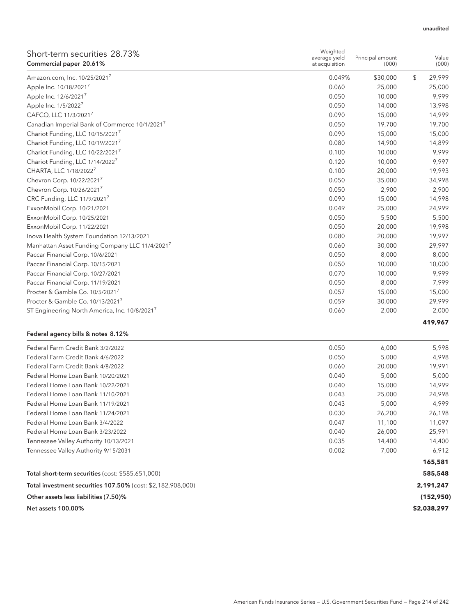| Short-term securities 28.73%<br>Commercial paper 20.61%   | Weighted<br>average yield<br>at acquisition | Principal amount<br>(000) | Value<br>(000) |
|-----------------------------------------------------------|---------------------------------------------|---------------------------|----------------|
| Amazon.com, Inc. 10/25/20217                              | 0.049%                                      | \$30,000                  | \$<br>29,999   |
| Apple Inc. 10/18/2021 <sup>7</sup>                        | 0.060                                       | 25,000                    | 25,000         |
| Apple Inc. 12/6/20217                                     | 0.050                                       | 10,000                    | 9,999          |
| Apple Inc. 1/5/20227                                      | 0.050                                       | 14,000                    | 13,998         |
| CAFCO, LLC 11/3/2021 <sup>7</sup>                         | 0.090                                       | 15,000                    | 14,999         |
| Canadian Imperial Bank of Commerce 10/1/2021 <sup>7</sup> | 0.050                                       | 19,700                    | 19,700         |
| Chariot Funding, LLC 10/15/2021 <sup>7</sup>              | 0.090                                       | 15,000                    | 15,000         |
| Chariot Funding, LLC 10/19/20217                          | 0.080                                       | 14,900                    | 14,899         |
| Chariot Funding, LLC 10/22/20217                          | 0.100                                       | 10,000                    | 9,999          |
| Chariot Funding, LLC 1/14/2022 <sup>7</sup>               | 0.120                                       | 10,000                    | 9,997          |
| CHARTA, LLC 1/18/2022 <sup>7</sup>                        | 0.100                                       | 20,000                    | 19,993         |
| Chevron Corp. 10/22/2021 <sup>7</sup>                     | 0.050                                       | 35,000                    | 34,998         |
| Chevron Corp. 10/26/2021 <sup>7</sup>                     | 0.050                                       | 2,900                     | 2,900          |
| CRC Funding, LLC 11/9/2021 <sup>7</sup>                   | 0.090                                       | 15,000                    | 14,998         |
| ExxonMobil Corp. 10/21/2021                               | 0.049                                       | 25,000                    | 24,999         |
| ExxonMobil Corp. 10/25/2021                               | 0.050                                       | 5,500                     | 5,500          |
| ExxonMobil Corp. 11/22/2021                               | 0.050                                       | 20,000                    | 19,998         |
| Inova Health System Foundation 12/13/2021                 | 0.080                                       | 20,000                    | 19,997         |
| Manhattan Asset Funding Company LLC 11/4/20217            | 0.060                                       | 30,000                    | 29,997         |
| Paccar Financial Corp. 10/6/2021                          | 0.050                                       | 8,000                     | 8,000          |
| Paccar Financial Corp. 10/15/2021                         | 0.050                                       | 10,000                    | 10,000         |
| Paccar Financial Corp. 10/27/2021                         | 0.070                                       | 10,000                    | 9,999          |
| Paccar Financial Corp. 11/19/2021                         | 0.050                                       | 8,000                     | 7,999          |
| Procter & Gamble Co. 10/5/2021 <sup>7</sup>               | 0.057                                       | 15,000                    | 15,000         |
| Procter & Gamble Co. 10/13/2021 <sup>7</sup>              | 0.059                                       | 30,000                    | 29,999         |
| ST Engineering North America, Inc. 10/8/2021              | 0.060                                       | 2,000                     | 2,000          |
|                                                           |                                             |                           | 419,967        |

### Federal agency bills & notes 8.12%

| Federal Farm Credit Bank 3/2/2022                           | 0.050 | 6,000  | 5,998       |
|-------------------------------------------------------------|-------|--------|-------------|
| Federal Farm Credit Bank 4/6/2022                           | 0.050 | 5,000  | 4,998       |
|                                                             |       |        |             |
| Federal Farm Credit Bank 4/8/2022                           | 0.060 | 20,000 | 19,991      |
| Federal Home Loan Bank 10/20/2021                           | 0.040 | 5,000  | 5,000       |
| Federal Home Loan Bank 10/22/2021                           | 0.040 | 15,000 | 14,999      |
| Federal Home Loan Bank 11/10/2021                           | 0.043 | 25,000 | 24,998      |
| Federal Home Loan Bank 11/19/2021                           | 0.043 | 5,000  | 4,999       |
| Federal Home Loan Bank 11/24/2021                           | 0.030 | 26,200 | 26,198      |
| Federal Home Loan Bank 3/4/2022                             | 0.047 | 11,100 | 11,097      |
| Federal Home Loan Bank 3/23/2022                            | 0.040 | 26,000 | 25,991      |
| Tennessee Valley Authority 10/13/2021                       | 0.035 | 14,400 | 14,400      |
| Tennessee Valley Authority 9/15/2031                        | 0.002 | 7.000  | 6,912       |
|                                                             |       |        | 165,581     |
| Total short-term securities (cost: \$585,651,000)           |       |        | 585,548     |
| Total investment securities 107.50% (cost: \$2,182,908,000) |       |        | 2,191,247   |
| Other assets less liabilities (7.50)%                       |       |        | (152, 950)  |
| Net assets 100.00%                                          |       |        | \$2,038,297 |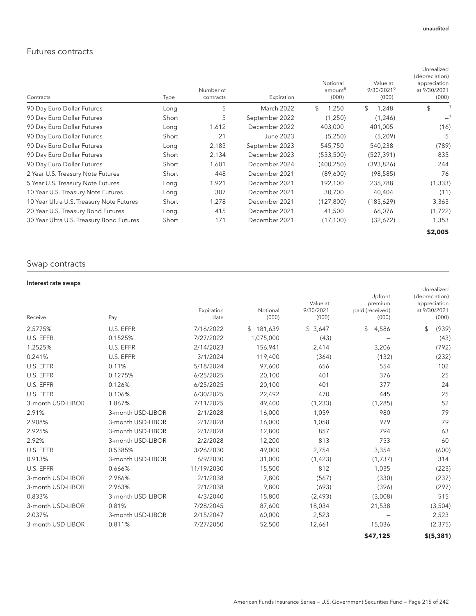### Futures contracts

| Contracts                                | Type  | Number of<br>contracts | Expiration     | Notional<br>amount <sup>8</sup><br>(000) | Value at<br>9/30/2021 <sup>9</sup><br>(000) | Unrealized<br>(depreciation)<br>appreciation<br>at 9/30/2021<br>(000) |
|------------------------------------------|-------|------------------------|----------------|------------------------------------------|---------------------------------------------|-----------------------------------------------------------------------|
| 90 Day Euro Dollar Futures               | Long  | 5                      | March 2022     | \$<br>1.250                              | \$<br>1,248                                 | \$                                                                    |
| 90 Day Euro Dollar Futures               | Short | 5                      | September 2022 | (1,250)                                  | (1,246)                                     |                                                                       |
| 90 Day Euro Dollar Futures               | Long  | 1,612                  | December 2022  | 403,000                                  | 401,005                                     | (16)                                                                  |
| 90 Day Euro Dollar Futures               | Short | 21                     | June 2023      | (5,250)                                  | (5,209)                                     | 5                                                                     |
| 90 Day Euro Dollar Futures               | Long  | 2,183                  | September 2023 | 545,750                                  | 540,238                                     | (789)                                                                 |
| 90 Day Euro Dollar Futures               | Short | 2,134                  | December 2023  | (533,500)                                | (527, 391)                                  | 835                                                                   |
| 90 Day Euro Dollar Futures               | Short | 1,601                  | December 2024  | (400, 250)                               | (393, 826)                                  | 244                                                                   |
| 2 Year U.S. Treasury Note Futures        | Short | 448                    | December 2021  | (89,600)                                 | (98, 585)                                   | 76                                                                    |
| 5 Year U.S. Treasury Note Futures        | Long  | 1,921                  | December 2021  | 192,100                                  | 235,788                                     | (1, 333)                                                              |
| 10 Year U.S. Treasury Note Futures       | Long  | 307                    | December 2021  | 30,700                                   | 40,404                                      | (11)                                                                  |
| 10 Year Ultra U.S. Treasury Note Futures | Short | 1,278                  | December 2021  | (127, 800)                               | (185,629)                                   | 3,363                                                                 |
| 20 Year U.S. Treasury Bond Futures       | Long  | 415                    | December 2021  | 41,500                                   | 66,076                                      | (1, 722)                                                              |
| 30 Year Ultra U.S. Treasury Bond Futures | Short | 171                    | December 2021  | (17, 100)                                | (32,672)                                    | 1,353                                                                 |
|                                          |       |                        |                |                                          |                                             | \$2,005                                                               |

### Swap contracts

#### Interest rate swaps

| Receive           | Pay               | Expiration<br>date | Notional<br>(000) | Value at<br>9/30/2021<br>(000) | Upfront<br>premium<br>paid (received)<br>(000) | Unrealized<br>(depreciation)<br>appreciation<br>at 9/30/2021<br>(000) |
|-------------------|-------------------|--------------------|-------------------|--------------------------------|------------------------------------------------|-----------------------------------------------------------------------|
| 2.5775%           | U.S. EFFR         | 7/16/2022          | \$181,639         | \$3,647                        | \$<br>4,586                                    | \$<br>(939)                                                           |
| U.S. EFFR         | 0.1525%           | 7/27/2022          | 1,075,000         | (43)                           |                                                | (43)                                                                  |
| 1.2525%           | U.S. EFFR         | 2/14/2023          | 156,941           | 2,414                          | 3,206                                          | (792)                                                                 |
| 0.241%            | U.S. EFFR         | 3/1/2024           | 119,400           | (364)                          | (132)                                          | (232)                                                                 |
| U.S. EFFR         | 0.11%             | 5/18/2024          | 97,600            | 656                            | 554                                            | 102                                                                   |
| U.S. EFFR         | 0.1275%           | 6/25/2025          | 20,100            | 401                            | 376                                            | 25                                                                    |
| U.S. EFFR         | 0.126%            | 6/25/2025          | 20,100            | 401                            | 377                                            | 24                                                                    |
| U.S. EFFR         | 0.106%            | 6/30/2025          | 22,492            | 470                            | 445                                            | 25                                                                    |
| 3-month USD-LIBOR | 1.867%            | 7/11/2025          | 49,400            | (1, 233)                       | (1, 285)                                       | 52                                                                    |
| 2.91%             | 3-month USD-LIBOR | 2/1/2028           | 16,000            | 1,059                          | 980                                            | 79                                                                    |
| 2.908%            | 3-month USD-LIBOR | 2/1/2028           | 16,000            | 1,058                          | 979                                            | 79                                                                    |
| 2.925%            | 3-month USD-LIBOR | 2/1/2028           | 12,800            | 857                            | 794                                            | 63                                                                    |
| 2.92%             | 3-month USD-LIBOR | 2/2/2028           | 12,200            | 813                            | 753                                            | 60                                                                    |
| U.S. EFFR         | 0.5385%           | 3/26/2030          | 49,000            | 2,754                          | 3,354                                          | (600)                                                                 |
| 0.913%            | 3-month USD-LIBOR | 6/9/2030           | 31,000            | (1, 423)                       | (1,737)                                        | 314                                                                   |
| U.S. EFFR         | 0.666%            | 11/19/2030         | 15,500            | 812                            | 1,035                                          | (223)                                                                 |
| 3-month USD-LIBOR | 2.986%            | 2/1/2038           | 7,800             | (567)                          | (330)                                          | (237)                                                                 |
| 3-month USD-LIBOR | 2.963%            | 2/1/2038           | 9,800             | (693)                          | (396)                                          | (297)                                                                 |
| 0.833%            | 3-month USD-LIBOR | 4/3/2040           | 15,800            | (2, 493)                       | (3,008)                                        | 515                                                                   |
| 3-month USD-LIBOR | 0.81%             | 7/28/2045          | 87,600            | 18,034                         | 21,538                                         | (3,504)                                                               |
| 2.037%            | 3-month USD-LIBOR | 2/15/2047          | 60,000            | 2,523                          |                                                | 2,523                                                                 |
| 3-month USD-LIBOR | 0.811%            | 7/27/2050          | 52,500            | 12,661                         | 15,036                                         | (2, 375)                                                              |
|                   |                   |                    |                   |                                | \$47,125                                       | \$(5, 381)                                                            |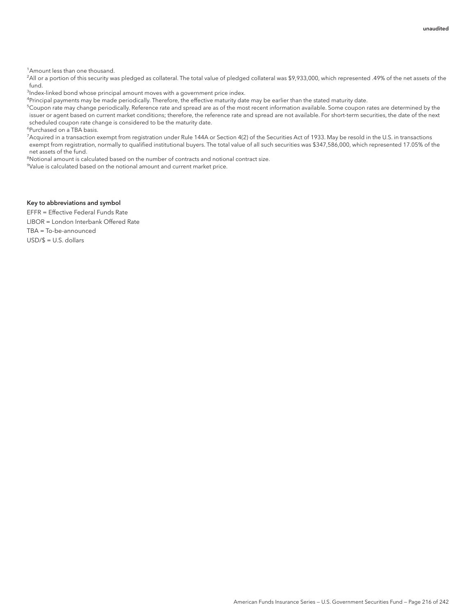<sup>1</sup> Amount less than one thousand.

2 All or a portion of this security was pledged as collateral. The total value of pledged collateral was \$9,933,000, which represented .49% of the net assets of the fund.

<sup>3</sup>Index-linked bond whose principal amount moves with a government price index.

<sup>4</sup>Principal payments may be made periodically. Therefore, the effective maturity date may be earlier than the stated maturity date.

 $^5$ Coupon rate may change periodically. Reference rate and spread are as of the most recent information available. Some coupon rates are determined by the issuer or agent based on current market conditions; therefore, the reference rate and spread are not available. For short-term securities, the date of the next scheduled coupon rate change is considered to be the maturity date.

6 Purchased on a TBA basis.

7 Acquired in a transaction exempt from registration under Rule 144A or Section 4(2) of the Securities Act of 1933. May be resold in the U.S. in transactions exempt from registration, normally to qualified institutional buyers. The total value of all such securities was \$347,586,000, which represented 17.05% of the net assets of the fund.

<sup>8</sup>Notional amount is calculated based on the number of contracts and notional contract size.

9 Value is calculated based on the notional amount and current market price.

#### Key to abbreviations and symbol

EFFR = Effective Federal Funds Rate LIBOR = London Interbank Offered Rate TBA = To-be-announced USD/\$ = U.S. dollars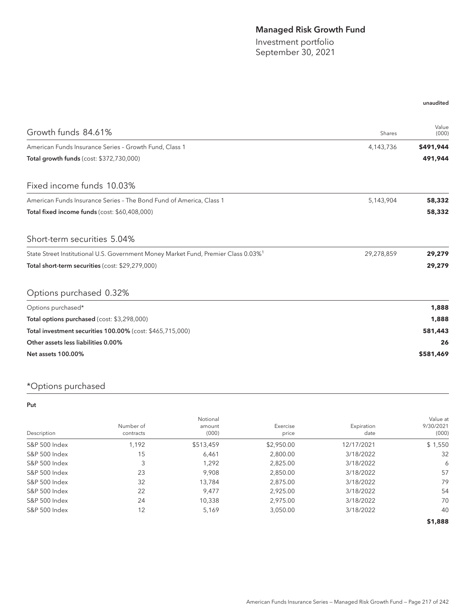## Managed Risk Growth Fund

Investment portfolio September 30, 2021

#### unaudited

| Growth funds 84.61%                                                                            | Shares     | Value<br>(000) |
|------------------------------------------------------------------------------------------------|------------|----------------|
| American Funds Insurance Series - Growth Fund, Class 1                                         | 4,143,736  | \$491,944      |
| Total growth funds (cost: \$372,730,000)                                                       |            | 491,944        |
| Fixed income funds 10.03%                                                                      |            |                |
| American Funds Insurance Series - The Bond Fund of America, Class 1                            | 5,143,904  | 58,332         |
| Total fixed income funds (cost: \$60,408,000)                                                  |            | 58,332         |
| Short-term securities 5.04%                                                                    |            |                |
| State Street Institutional U.S. Government Money Market Fund, Premier Class 0.03% <sup>1</sup> | 29,278,859 | 29,279         |
| Total short-term securities (cost: \$29,279,000)                                               |            | 29,279         |
| Options purchased 0.32%                                                                        |            |                |
| Options purchased*                                                                             |            | 1,888          |
| Total options purchased (cost: \$3,298,000)                                                    |            | 1,888          |
| Total investment securities 100.00% (cost: \$465,715,000)                                      |            | 581,443        |
| Other assets less liabilities 0.00%                                                            |            | 26             |
| <b>Net assets 100.00%</b>                                                                      |            | \$581,469      |

# \*Options purchased

#### Put

| Description   | Number of<br>contracts | Notional<br>amount<br>(000) | Exercise<br>price | Expiration<br>date | Value at<br>9/30/2021<br>(000) |
|---------------|------------------------|-----------------------------|-------------------|--------------------|--------------------------------|
| S&P 500 Index | 1,192                  | \$513,459                   | \$2,950.00        | 12/17/2021         | \$1,550                        |
| S&P 500 Index | 15                     | 6,461                       | 2,800.00          | 3/18/2022          | 32                             |
| S&P 500 Index | 3                      | 1,292                       | 2,825.00          | 3/18/2022          | 6                              |
| S&P 500 Index | 23                     | 9.908                       | 2,850.00          | 3/18/2022          | 57                             |
| S&P 500 Index | 32                     | 13.784                      | 2.875.00          | 3/18/2022          | 79                             |
| S&P 500 Index | 22                     | 9.477                       | 2,925.00          | 3/18/2022          | 54                             |
| S&P 500 Index | 24                     | 10,338                      | 2,975.00          | 3/18/2022          | 70                             |
| S&P 500 Index | 12                     | 5,169                       | 3,050.00          | 3/18/2022          | 40                             |
|               |                        |                             |                   |                    | \$1,888                        |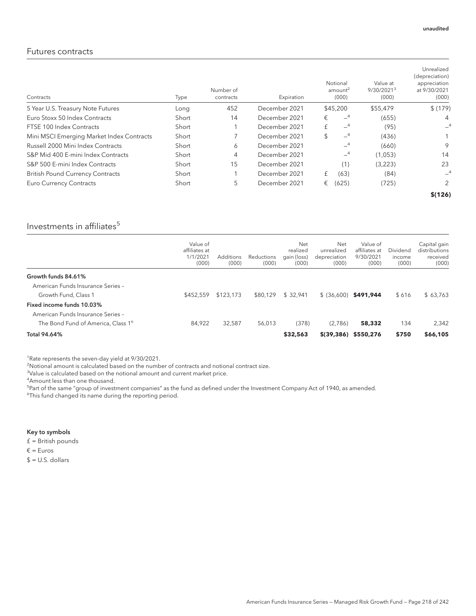#### Futures contracts

| Contracts                                 | Type  | Number of<br>contracts | Expiration    | Notional<br>amount <sup>2</sup><br>(000) | Value at<br>9/30/2021 <sup>3</sup><br>(000) | Unrealized<br>(depreciation)<br>appreciation<br>at 9/30/2021<br>(000) |
|-------------------------------------------|-------|------------------------|---------------|------------------------------------------|---------------------------------------------|-----------------------------------------------------------------------|
| 5 Year U.S. Treasury Note Futures         | Long  | 452                    | December 2021 | \$45,200                                 | \$55,479                                    | \$(179)                                                               |
| Euro Stoxx 50 Index Contracts             | Short | 14                     | December 2021 | $-4$<br>€                                | (655)                                       | 4                                                                     |
| FTSE 100 Index Contracts                  | Short |                        | December 2021 | $-4$<br>£                                | (95)                                        | $-4$                                                                  |
| Mini MSCI Emerging Market Index Contracts | Short |                        | December 2021 | $-4$<br>\$                               | (436)                                       |                                                                       |
| Russell 2000 Mini Index Contracts         | Short | 6                      | December 2021 | $-4$                                     | (660)                                       | 9                                                                     |
| S&P Mid 400 E-mini Index Contracts        | Short | 4                      | December 2021 | $-4$                                     | (1,053)                                     | 14                                                                    |
| S&P 500 E-mini Index Contracts            | Short | 15                     | December 2021 | (1)                                      | (3,223)                                     | 23                                                                    |
| <b>British Pound Currency Contracts</b>   | Short |                        | December 2021 | (63)<br>£                                | (84)                                        | $-4$                                                                  |
| <b>Euro Currency Contracts</b>            | Short | 5                      | December 2021 | (625)<br>€                               | (725)                                       | 2                                                                     |
|                                           |       |                        |               |                                          |                                             | \$(126)                                                               |

### Investments in affiliates $5$

|                                                | Value of<br>affiliates at<br>1/1/202<br>(000) | Additions<br>(000) | Reductions<br>(000) | Net<br>realized<br>gain (loss)<br>(000) | Net<br>unrealized<br>depreciation<br>(000) | Value of<br>affiliates at<br>9/30/2021<br>(000) | Dividend<br>income<br>(000) | Capital gain<br>distributions<br>received<br>(000) |
|------------------------------------------------|-----------------------------------------------|--------------------|---------------------|-----------------------------------------|--------------------------------------------|-------------------------------------------------|-----------------------------|----------------------------------------------------|
| Growth funds 84.61%                            |                                               |                    |                     |                                         |                                            |                                                 |                             |                                                    |
| American Funds Insurance Series -              |                                               |                    |                     |                                         |                                            |                                                 |                             |                                                    |
| Growth Fund, Class 1                           | \$452,559                                     | \$123.173          | \$80.129            | \$32.941                                | $$ (36.600)$ \$491.944                     |                                                 | \$616                       | \$63.763                                           |
| Fixed income funds 10.03%                      |                                               |                    |                     |                                         |                                            |                                                 |                             |                                                    |
| American Funds Insurance Series -              |                                               |                    |                     |                                         |                                            |                                                 |                             |                                                    |
| The Bond Fund of America, Class 1 <sup>6</sup> | 84.922                                        | 32.587             | 56,013              | (378)                                   | (2,786)                                    | 58,332                                          | 134                         | 2,342                                              |
| Total 94.64%                                   |                                               |                    |                     | \$32,563                                | $$(39, 386)$ \$550,276                     |                                                 | \$750                       | \$66,105                                           |

<sup>1</sup>Rate represents the seven-day yield at 9/30/2021.

<sup>2</sup>Notional amount is calculated based on the number of contracts and notional contract size.

<sup>3</sup>Value is calculated based on the notional amount and current market price.

4 Amount less than one thousand.

<sup>5</sup>Part of the same "group of investment companies" as the fund as defined under the Investment Company Act of 1940, as amended.

<sup>6</sup>This fund changed its name during the reporting period.

#### Key to symbols

£ = British pounds

€ = Euros

 $$ = U.S.$  dollars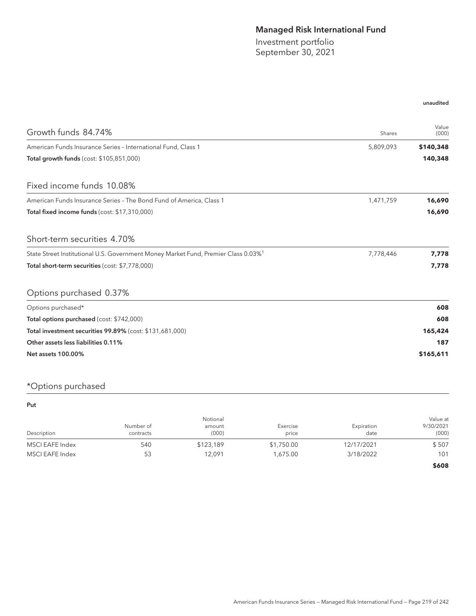## Managed Risk International Fund

Investment portfolio September 30, 2021

#### unaudited

| Growth funds 84.74%                                                                            | Shares    | Value<br>(000) |
|------------------------------------------------------------------------------------------------|-----------|----------------|
| American Funds Insurance Series - International Fund, Class 1                                  | 5,809,093 | \$140,348      |
| Total growth funds (cost: \$105,851,000)                                                       |           | 140,348        |
| Fixed income funds 10.08%                                                                      |           |                |
| American Funds Insurance Series - The Bond Fund of America, Class 1                            | 1,471,759 | 16,690         |
| Total fixed income funds (cost: \$17,310,000)                                                  |           | 16,690         |
| Short-term securities 4.70%                                                                    |           |                |
| State Street Institutional U.S. Government Money Market Fund, Premier Class 0.03% <sup>1</sup> | 7,778,446 | 7,778          |
| Total short-term securities (cost: \$7,778,000)                                                |           | 7,778          |
| Options purchased 0.37%                                                                        |           |                |
| Options purchased*                                                                             |           | 608            |
| Total options purchased (cost: \$742,000)                                                      |           | 608            |
| Total investment securities 99.89% (cost: \$131,681,000)                                       |           | 165,424        |
| Other assets less liabilities 0.11%                                                            |           | 187            |
| <b>Net assets 100.00%</b>                                                                      |           | \$165,611      |

# \*Options purchased

Put

| Description     | Number of<br>contracts | Notional<br>amount<br>(000) | Exercise<br>price | Expiration<br>date | Value at<br>9/30/2021<br>(000) |
|-----------------|------------------------|-----------------------------|-------------------|--------------------|--------------------------------|
| MSCI EAFE Index | 540                    | \$123,189                   | \$1,750.00        | 12/17/2021         | \$507                          |
| MSCI EAFE Index | 53                     | 12.091                      | 1.675.00          | 3/18/2022          | 101                            |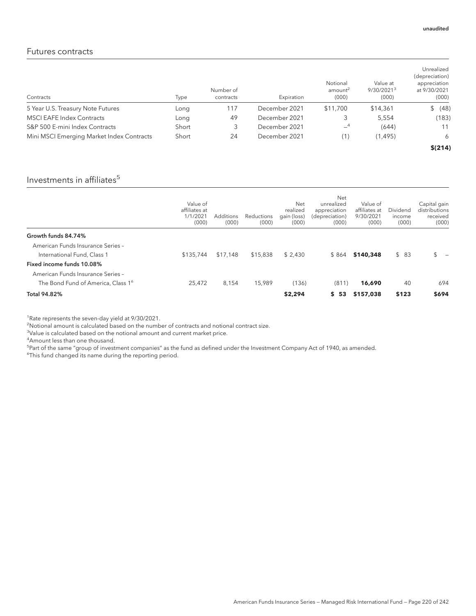#### Futures contracts

| Contracts                                 | Type  | Number of<br>contracts | Expiration    | Notional<br>amount <sup>2</sup><br>(000) | Value at<br>9/30/2021 <sup>3</sup><br>(000) | Unrealized<br>(depreciation)<br>appreciation<br>at 9/30/2021<br>(000) |
|-------------------------------------------|-------|------------------------|---------------|------------------------------------------|---------------------------------------------|-----------------------------------------------------------------------|
| 5 Year U.S. Treasury Note Futures         | Long  | 117                    | December 2021 | \$11,700                                 | \$14,361                                    | (48)                                                                  |
| <b>MSCI EAFE Index Contracts</b>          | Long  | 49                     | December 2021 | 3                                        | 5.554                                       | (183)                                                                 |
| S&P 500 E-mini Index Contracts            | Short |                        | December 2021 | $-4$                                     | (644)                                       | 11                                                                    |
| Mini MSCI Emerging Market Index Contracts | Short | 24                     | December 2021 | (1)                                      | (1, 495)                                    | 6                                                                     |
|                                           |       |                        |               |                                          |                                             | \$(214)                                                               |

# Investments in affiliates $5$

|                                                | Value of<br>affiliates at<br>1/1/2021<br>(000) | Additions<br>(000) | Reductions<br>(000) | Net<br>realized<br>gain (loss)<br>(000) | Net<br>unrealized<br>appreciation<br>(depreciation)<br>(000) | Value of<br>affiliates at<br>9/30/2021<br>(000) | Dividend<br>income<br>(000) | Capital gain<br>distributions<br>received<br>(000) |
|------------------------------------------------|------------------------------------------------|--------------------|---------------------|-----------------------------------------|--------------------------------------------------------------|-------------------------------------------------|-----------------------------|----------------------------------------------------|
| Growth funds 84.74%                            |                                                |                    |                     |                                         |                                                              |                                                 |                             |                                                    |
| American Funds Insurance Series -              |                                                |                    |                     |                                         |                                                              |                                                 |                             |                                                    |
| International Fund, Class 1                    | \$135,744                                      | \$17,148           | \$15,838            | \$2.430                                 | \$864                                                        | \$140,348                                       | \$83                        | $\mathbb{S}$                                       |
| Fixed income funds 10.08%                      |                                                |                    |                     |                                         |                                                              |                                                 |                             |                                                    |
| American Funds Insurance Series -              |                                                |                    |                     |                                         |                                                              |                                                 |                             |                                                    |
| The Bond Fund of America, Class 1 <sup>6</sup> | 25,472                                         | 8.154              | 15,989              | (136)                                   | (811)                                                        | 16,690                                          | 40                          | 694                                                |
| <b>Total 94.82%</b>                            |                                                |                    |                     | \$2,294                                 | \$53                                                         | \$157,038                                       | \$123                       | \$694                                              |

<sup>1</sup>Rate represents the seven-day yield at 9/30/2021.

<sup>2</sup>Notional amount is calculated based on the number of contracts and notional contract size.

<sup>3</sup>Value is calculated based on the notional amount and current market price.

4 Amount less than one thousand.

<sup>5</sup>Part of the same "group of investment companies" as the fund as defined under the Investment Company Act of 1940, as amended.

<sup>6</sup>This fund changed its name during the reporting period.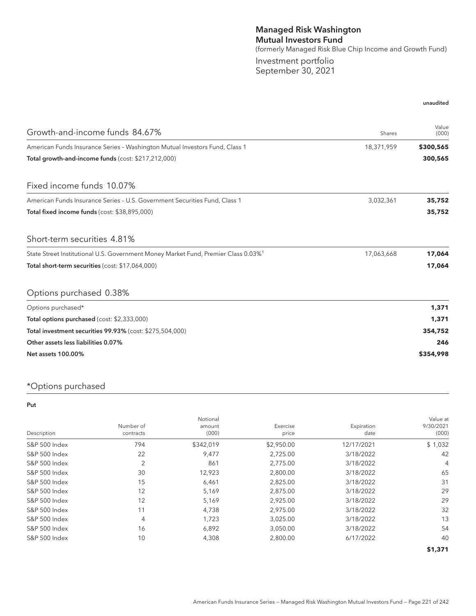### Managed Risk Washington Mutual Investors Fund (formerly Managed Risk Blue Chip Income and Growth Fund) Investment portfolio September 30, 2021

| Growth-and-income funds 84.67%                                                                 | Shares     | Value<br>(000) |
|------------------------------------------------------------------------------------------------|------------|----------------|
| American Funds Insurance Series - Washington Mutual Investors Fund, Class 1                    | 18,371,959 | \$300,565      |
| Total growth-and-income funds (cost: \$217,212,000)                                            |            | 300,565        |
| Fixed income funds 10.07%                                                                      |            |                |
| American Funds Insurance Series - U.S. Government Securities Fund, Class 1                     | 3,032,361  | 35,752         |
| Total fixed income funds (cost: \$38,895,000)                                                  |            | 35,752         |
| Short-term securities 4.81%                                                                    |            |                |
| State Street Institutional U.S. Government Money Market Fund, Premier Class 0.03% <sup>1</sup> | 17,063,668 | 17,064         |
| Total short-term securities (cost: \$17,064,000)                                               |            | 17,064         |
| Options purchased 0.38%                                                                        |            |                |
| Options purchased*                                                                             |            | 1,371          |
| Total options purchased (cost: \$2,333,000)                                                    |            | 1,371          |
| Total investment securities 99.93% (cost: \$275,504,000)                                       |            | 354,752        |
| Other assets less liabilities 0.07%                                                            |            | 246            |
| <b>Net assets 100.00%</b>                                                                      |            | \$354,998      |

### \*Options purchased

#### Put

| Description              | Number of<br>contracts | Notional<br>amount<br>(000) | Exercise<br>price | Expiration<br>date | Value at<br>9/30/2021<br>(000) |
|--------------------------|------------------------|-----------------------------|-------------------|--------------------|--------------------------------|
| S&P 500 Index            | 794                    | \$342,019                   | \$2,950.00        | 12/17/2021         | \$1,032                        |
| S&P 500 Index            | 22                     | 9,477                       | 2,725.00          | 3/18/2022          | 42                             |
| S&P 500 Index            | $\overline{2}$         | 861                         | 2,775.00          | 3/18/2022          | 4                              |
| S&P 500 Index            | 30                     | 12,923                      | 2,800.00          | 3/18/2022          | 65                             |
| S&P 500 Index            | 15                     | 6,461                       | 2,825.00          | 3/18/2022          | 31                             |
| S&P 500 Index            | 12                     | 5,169                       | 2,875.00          | 3/18/2022          | 29                             |
| S&P 500 Index            | 12                     | 5,169                       | 2,925.00          | 3/18/2022          | 29                             |
| S&P 500 Index            | 11                     | 4,738                       | 2,975.00          | 3/18/2022          | 32                             |
| S&P 500 Index            | 4                      | 1,723                       | 3,025.00          | 3/18/2022          | 13                             |
| S&P 500 Index            | 16                     | 6,892                       | 3,050.00          | 3/18/2022          | 54                             |
| <b>S&amp;P 500 Index</b> | 10                     | 4,308                       | 2,800.00          | 6/17/2022          | 40                             |
|                          |                        |                             |                   |                    | \$1,371                        |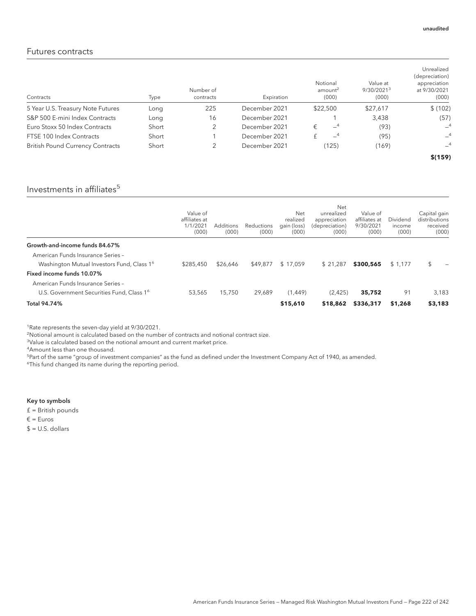#### Futures contracts

| Contracts                               | Type  | Number of<br>contracts | Expiration    | Notional<br>amount <sup>2</sup><br>(000) | Value at<br>9/30/2021 <sup>3</sup><br>(000) | Unrealized<br>(depreciation)<br>appreciation<br>at 9/30/2021<br>(000) |
|-----------------------------------------|-------|------------------------|---------------|------------------------------------------|---------------------------------------------|-----------------------------------------------------------------------|
| 5 Year U.S. Treasury Note Futures       | Long  | 225                    | December 2021 | \$22,500                                 | \$27,617                                    | \$(102)                                                               |
| S&P 500 E-mini Index Contracts          | Long  | 16                     | December 2021 |                                          | 3,438                                       | (57)                                                                  |
| Euro Stoxx 50 Index Contracts           | Short |                        | December 2021 | $-4$<br>€                                | (93)                                        | $-4$                                                                  |
| FTSE 100 Index Contracts                | Short |                        | December 2021 | $-4$                                     | (95)                                        | $-4$                                                                  |
| <b>British Pound Currency Contracts</b> | Short |                        | December 2021 | (125)                                    | (169)                                       | $-4$                                                                  |
|                                         |       |                        |               |                                          |                                             | \$(159)                                                               |

### Investments in affiliates $5$

|                                                        | Value of<br>affiliates at<br>1/1/2021<br>(000) | <b>Additions</b><br>(000) | <b>Reductions</b><br>(000) | Net<br>realized<br>qain (loss)<br>(000) | Net<br>unrealized<br>appreciation<br>(depreciation)<br>(000) | Value of<br>affiliates at<br>9/30/2021<br>(000) | Dividend<br>income<br>(000) | Capital gain<br>distributions<br>received<br>(000) |
|--------------------------------------------------------|------------------------------------------------|---------------------------|----------------------------|-----------------------------------------|--------------------------------------------------------------|-------------------------------------------------|-----------------------------|----------------------------------------------------|
| Growth-and-income funds 84.67%                         |                                                |                           |                            |                                         |                                                              |                                                 |                             |                                                    |
| American Funds Insurance Series -                      |                                                |                           |                            |                                         |                                                              |                                                 |                             |                                                    |
| Washington Mutual Investors Fund, Class 1 <sup>6</sup> | \$285,450                                      | \$26,646                  | \$49,877                   | \$17.059                                | \$21.287                                                     | \$300,565                                       | \$1,177                     | \$.                                                |
| Fixed income funds 10.07%                              |                                                |                           |                            |                                         |                                                              |                                                 |                             |                                                    |
| American Funds Insurance Series -                      |                                                |                           |                            |                                         |                                                              |                                                 |                             |                                                    |
| U.S. Government Securities Fund, Class 1 <sup>6</sup>  | 53,565                                         | 15,750                    | 29.689                     | (1.449)                                 | (2,425)                                                      | 35,752                                          | 91                          | 3,183                                              |
| Total 94.74%                                           |                                                |                           |                            | \$15,610                                | \$18,862                                                     | \$336,317                                       | \$1,268                     | \$3,183                                            |

<sup>1</sup>Rate represents the seven-day yield at 9/30/2021.

 $\overline{a}$ Notional amount is calculated based on the number of contracts and notional contract size.

<sup>3</sup>Value is calculated based on the notional amount and current market price.

4 Amount less than one thousand.

<sup>5</sup>Part of the same "group of investment companies" as the fund as defined under the Investment Company Act of 1940, as amended. <sup>6</sup>This fund changed its name during the reporting period.

#### Key to symbols

£ = British pounds

€ = Euros

 $$ = U.S.$  dollars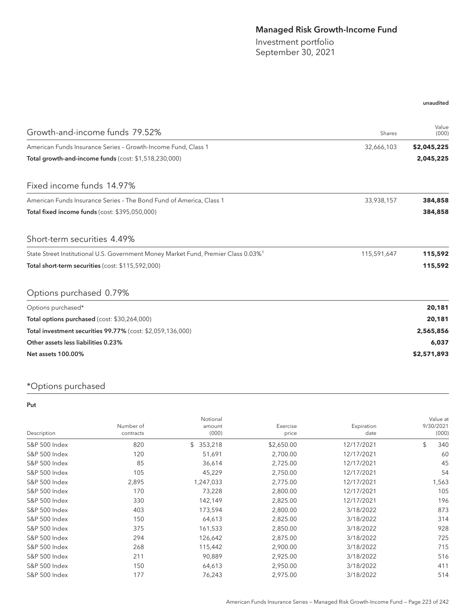## Managed Risk Growth-Income Fund

Investment portfolio September 30, 2021

#### unaudited

| Growth-and-income funds 79.52%                                                                 | Shares      | Value<br>(000) |
|------------------------------------------------------------------------------------------------|-------------|----------------|
| American Funds Insurance Series - Growth-Income Fund, Class 1                                  | 32,666,103  | \$2,045,225    |
| Total growth-and-income funds (cost: \$1,518,230,000)                                          |             | 2,045,225      |
| Fixed income funds 14.97%                                                                      |             |                |
| American Funds Insurance Series - The Bond Fund of America, Class 1                            | 33,938,157  | 384,858        |
| Total fixed income funds (cost: \$395,050,000)                                                 |             | 384,858        |
| Short-term securities 4.49%                                                                    |             |                |
| State Street Institutional U.S. Government Money Market Fund, Premier Class 0.03% <sup>1</sup> | 115,591,647 | 115,592        |
| Total short-term securities (cost: \$115,592,000)                                              |             | 115,592        |
| Options purchased 0.79%                                                                        |             |                |
| Options purchased*                                                                             |             | 20,181         |
| Total options purchased (cost: \$30,264,000)                                                   |             | 20,181         |
| Total investment securities 99.77% (cost: \$2,059,136,000)                                     |             | 2,565,856      |
| Other assets less liabilities 0.23%                                                            |             | 6,037          |
| <b>Net assets 100.00%</b>                                                                      |             | \$2,571,893    |

# \*Options purchased

#### Put

|                          |                        | Notional        |                   |                    | Value at           |
|--------------------------|------------------------|-----------------|-------------------|--------------------|--------------------|
| Description              | Number of<br>contracts | amount<br>(000) | Exercise<br>price | Expiration<br>date | 9/30/2021<br>(000) |
|                          |                        |                 |                   |                    |                    |
| S&P 500 Index            | 820                    | 353,218<br>\$   | \$2,650.00        | 12/17/2021         | \$<br>340          |
| S&P 500 Index            | 120                    | 51,691          | 2,700.00          | 12/17/2021         | 60                 |
| <b>S&amp;P 500 Index</b> | 85                     | 36,614          | 2,725.00          | 12/17/2021         | 45                 |
| <b>S&amp;P 500 Index</b> | 105                    | 45,229          | 2,750.00          | 12/17/2021         | 54                 |
| <b>S&amp;P 500 Index</b> | 2,895                  | 1,247,033       | 2,775.00          | 12/17/2021         | 1,563              |
| <b>S&amp;P 500 Index</b> | 170                    | 73,228          | 2,800.00          | 12/17/2021         | 105                |
| S&P 500 Index            | 330                    | 142,149         | 2,825.00          | 12/17/2021         | 196                |
| <b>S&amp;P 500 Index</b> | 403                    | 173,594         | 2,800.00          | 3/18/2022          | 873                |
| <b>S&amp;P 500 Index</b> | 150                    | 64,613          | 2,825.00          | 3/18/2022          | 314                |
| S&P 500 Index            | 375                    | 161,533         | 2,850.00          | 3/18/2022          | 928                |
| S&P 500 Index            | 294                    | 126,642         | 2,875.00          | 3/18/2022          | 725                |
| S&P 500 Index            | 268                    | 115,442         | 2,900.00          | 3/18/2022          | 715                |
| <b>S&amp;P 500 Index</b> | 211                    | 90,889          | 2,925.00          | 3/18/2022          | 516                |
| <b>S&amp;P 500 Index</b> | 150                    | 64,613          | 2,950.00          | 3/18/2022          | 411                |
| <b>S&amp;P 500 Index</b> | 177                    | 76,243          | 2,975.00          | 3/18/2022          | 514                |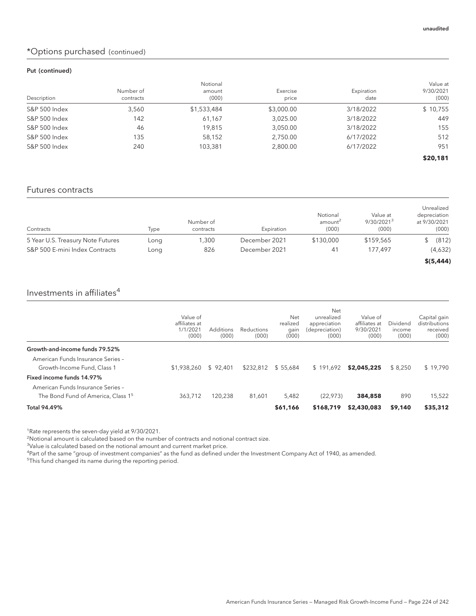### \*Options purchased (continued)

#### Put (continued)

| Description   | Number of<br>contracts | Notional<br>amount<br>(000) | Exercise<br>price | Expiration<br>date | Value at<br>9/30/2021<br>(000) |
|---------------|------------------------|-----------------------------|-------------------|--------------------|--------------------------------|
| S&P 500 Index | 3,560                  | \$1,533,484                 | \$3,000.00        | 3/18/2022          | \$10,755                       |
| S&P 500 Index | 142                    | 61,167                      | 3,025.00          | 3/18/2022          | 449                            |
| S&P 500 Index | 46                     | 19.815                      | 3,050.00          | 3/18/2022          | 155                            |
| S&P 500 Index | 135                    | 58,152                      | 2,750.00          | 6/17/2022          | 512                            |
| S&P 500 Index | 240                    | 103,381                     | 2,800.00          | 6/17/2022          | 951                            |
|               |                        |                             |                   |                    | \$20,181                       |

#### Futures contracts

| Contracts                         | Type | Number of<br>contracts | Expiration    | Notional<br>amount <sup>2</sup><br>(000) | Value at<br>9/30/2021 <sup>3</sup><br>(000) | Unrealized<br>depreciation<br>at 9/30/2021<br>(000) |
|-----------------------------------|------|------------------------|---------------|------------------------------------------|---------------------------------------------|-----------------------------------------------------|
| 5 Year U.S. Treasury Note Futures | Long | .300                   | December 2021 | \$130,000                                | \$159,565                                   | (812)                                               |
| S&P 500 E-mini Index Contracts    | Long | 826                    | December 2021 | 41                                       | 177.497                                     | (4,632)                                             |
|                                   |      |                        |               |                                          |                                             | \$ (5,444)                                          |

### Investments in affiliates $4$

|                                                | Value of<br>affiliates at<br>1/1/2021<br>(000) | Additions<br>(000) | Reductions<br>(000) | Net<br>realized<br>gain<br>(000) | Net<br>unrealized<br>appreciation<br>(depreciation)<br>(000) | Value of<br>affiliates at<br>9/30/2021<br>(000) | Dividend<br>income<br>(000) | Capital gain<br>distributions<br>received<br>(000) |
|------------------------------------------------|------------------------------------------------|--------------------|---------------------|----------------------------------|--------------------------------------------------------------|-------------------------------------------------|-----------------------------|----------------------------------------------------|
| Growth-and-income funds 79.52%                 |                                                |                    |                     |                                  |                                                              |                                                 |                             |                                                    |
| American Funds Insurance Series -              |                                                |                    |                     |                                  |                                                              |                                                 |                             |                                                    |
| Growth-Income Fund, Class 1                    | \$1,938,260                                    | \$92.401           | \$232,812           | \$55.684                         | \$191.692                                                    | \$2,045,225                                     | \$8.250                     | \$19.790                                           |
| Fixed income funds 14.97%                      |                                                |                    |                     |                                  |                                                              |                                                 |                             |                                                    |
| American Funds Insurance Series -              |                                                |                    |                     |                                  |                                                              |                                                 |                             |                                                    |
| The Bond Fund of America. Class 1 <sup>5</sup> | 363.712                                        | 120.238            | 81.601              | 5.482                            | (22.973)                                                     | 384,858                                         | 890                         | 15,522                                             |
| Total 94.49%                                   |                                                |                    |                     | \$61,166                         | \$168,719                                                    | \$2,430,083                                     | \$9,140                     | \$35,312                                           |

<sup>1</sup>Rate represents the seven-day yield at 9/30/2021.

 $\overline{a}$ Notional amount is calculated based on the number of contracts and notional contract size.

<sup>3</sup>Value is calculated based on the notional amount and current market price.

4 Part of the same "group of investment companies" as the fund as defined under the Investment Company Act of 1940, as amended.

<sup>5</sup>This fund changed its name during the reporting period.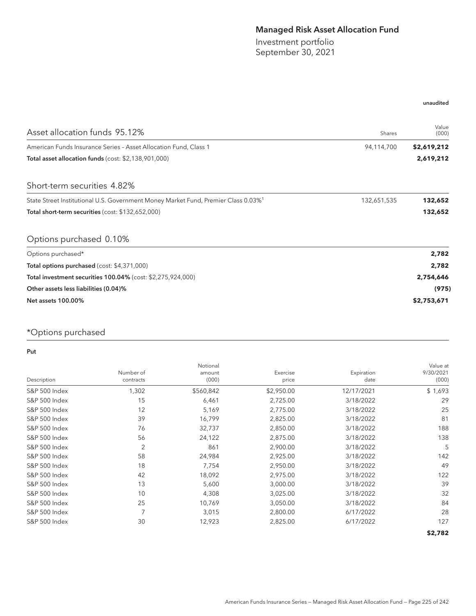## Managed Risk Asset Allocation Fund

Investment portfolio September 30, 2021

#### unaudited

| Asset allocation funds 95.12%                                                                  | Shares      | Value<br>(000) |
|------------------------------------------------------------------------------------------------|-------------|----------------|
| American Funds Insurance Series - Asset Allocation Fund, Class 1                               | 94,114,700  | \$2,619,212    |
| Total asset allocation funds (cost: \$2,138,901,000)                                           |             | 2,619,212      |
| Short-term securities 4.82%                                                                    |             |                |
| State Street Institutional U.S. Government Money Market Fund, Premier Class 0.03% <sup>1</sup> | 132,651,535 | 132,652        |
| Total short-term securities (cost: \$132,652,000)                                              |             | 132,652        |
| Options purchased 0.10%                                                                        |             |                |
| Options purchased*                                                                             |             | 2,782          |
| Total options purchased (cost: \$4,371,000)                                                    |             | 2,782          |
| Total investment securities 100.04% (cost: \$2,275,924,000)                                    |             | 2,754,646      |
| Other assets less liabilities (0.04)%                                                          |             | (975)          |
| <b>Net assets 100.00%</b>                                                                      |             | \$2,753,671    |

# \*Options purchased

Put

| Description              | Number of<br>contracts | Notional<br>amount<br>(000) | Exercise<br>price | Expiration<br>date | Value at<br>9/30/2021<br>(000) |
|--------------------------|------------------------|-----------------------------|-------------------|--------------------|--------------------------------|
| S&P 500 Index            | 1,302                  | \$560,842                   | \$2,950.00        | 12/17/2021         | \$1,693                        |
| S&P 500 Index            | 15                     | 6,461                       | 2,725.00          | 3/18/2022          | 29                             |
| S&P 500 Index            | 12                     | 5,169                       | 2,775.00          | 3/18/2022          | 25                             |
| <b>S&amp;P 500 Index</b> | 39                     | 16,799                      | 2,825.00          | 3/18/2022          | 81                             |
| <b>S&amp;P 500 Index</b> | 76                     | 32,737                      | 2,850.00          | 3/18/2022          | 188                            |
| S&P 500 Index            | 56                     | 24,122                      | 2,875.00          | 3/18/2022          | 138                            |
| S&P 500 Index            | 2                      | 861                         | 2,900.00          | 3/18/2022          | 5                              |
| S&P 500 Index            | 58                     | 24,984                      | 2,925.00          | 3/18/2022          | 142                            |
| S&P 500 Index            | 18                     | 7,754                       | 2,950.00          | 3/18/2022          | 49                             |
| S&P 500 Index            | 42                     | 18,092                      | 2,975.00          | 3/18/2022          | 122                            |
| S&P 500 Index            | 13                     | 5,600                       | 3,000.00          | 3/18/2022          | 39                             |
| <b>S&amp;P 500 Index</b> | 10                     | 4,308                       | 3,025.00          | 3/18/2022          | 32                             |
| <b>S&amp;P 500 Index</b> | 25                     | 10,769                      | 3,050.00          | 3/18/2022          | 84                             |
| S&P 500 Index            | 7                      | 3,015                       | 2,800.00          | 6/17/2022          | 28                             |
| <b>S&amp;P 500 Index</b> | 30                     | 12,923                      | 2,825.00          | 6/17/2022          | 127                            |
|                          |                        |                             |                   |                    | \$2,782                        |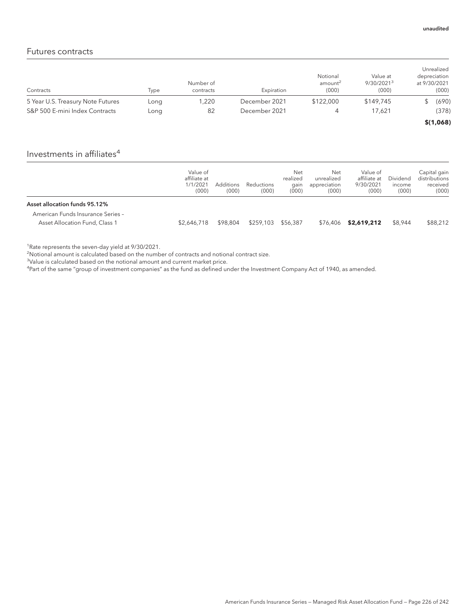### Futures contracts

| Contracts                         | Type | Number of<br>contracts | Expiration    | Notional<br>amount <sup>2</sup><br>(000) | Value at<br>9/30/2021 <sup>3</sup><br>(000) | Unrealized<br>depreciation<br>at 9/30/2021<br>(000) |
|-----------------------------------|------|------------------------|---------------|------------------------------------------|---------------------------------------------|-----------------------------------------------------|
| 5 Year U.S. Treasury Note Futures | Long | 1,220                  | December 2021 | \$122,000                                | \$149,745                                   | (690)                                               |
| S&P 500 E-mini Index Contracts    | Long | 82                     | December 2021 |                                          | 17.621                                      | (378)                                               |
|                                   |      |                        |               |                                          |                                             | \$(1,068)                                           |

## Investments in affiliates $4$

|                                                                                                      | Value of<br>affiliate at<br>1/1/2021<br>(000) | Additions<br>(000) | Reductions<br>(000) | Net<br>realized<br>gain<br>(000) | Net<br>unrealized<br>appreciation<br>(000) | Value of<br>affiliate at<br>9/30/2021<br>(000) | <b>Dividend</b><br>income<br>(000) | Capital gain<br>distributions<br>received<br>(000) |
|------------------------------------------------------------------------------------------------------|-----------------------------------------------|--------------------|---------------------|----------------------------------|--------------------------------------------|------------------------------------------------|------------------------------------|----------------------------------------------------|
| Asset allocation funds 95.12%<br>American Funds Insurance Series -<br>Asset Allocation Fund, Class 1 | \$2,646,718                                   | \$98,804           | \$259,103           | \$56.387                         | \$76,406                                   | \$2,619,212                                    | \$8,944                            | \$88,212                                           |

<sup>1</sup>Rate represents the seven-day yield at 9/30/2021.

<sup>2</sup>Notional amount is calculated based on the number of contracts and notional contract size.

<sup>3</sup>Value is calculated based on the notional amount and current market price.

4 Part of the same "group of investment companies" as the fund as defined under the Investment Company Act of 1940, as amended.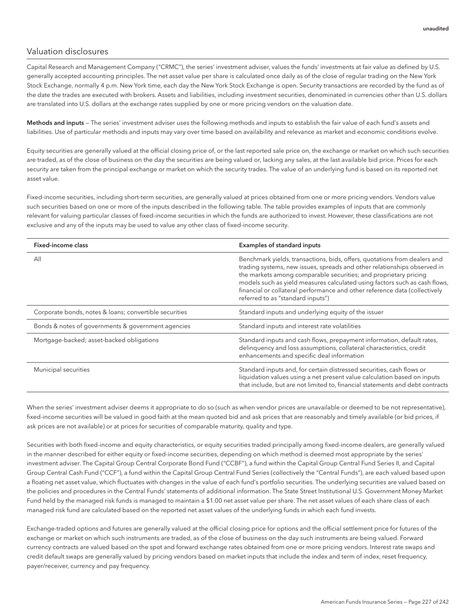#### Valuation disclosures

Capital Research and Management Company ("CRMC"), the series' investment adviser, values the funds' investments at fair value as defined by U.S. generally accepted accounting principles. The net asset value per share is calculated once daily as of the close of regular trading on the New York Stock Exchange, normally 4 p.m. New York time, each day the New York Stock Exchange is open. Security transactions are recorded by the fund as of the date the trades are executed with brokers. Assets and liabilities, including investment securities, denominated in currencies other than U.S. dollars are translated into U.S. dollars at the exchange rates supplied by one or more pricing vendors on the valuation date.

Methods and inputs - The series' investment adviser uses the following methods and inputs to establish the fair value of each fund's assets and liabilities. Use of particular methods and inputs may vary over time based on availability and relevance as market and economic conditions evolve.

Equity securities are generally valued at the official closing price of, or the last reported sale price on, the exchange or market on which such securities are traded, as of the close of business on the day the securities are being valued or, lacking any sales, at the last available bid price. Prices for each security are taken from the principal exchange or market on which the security trades. The value of an underlying fund is based on its reported net asset value.

Fixed-income securities, including short-term securities, are generally valued at prices obtained from one or more pricing vendors. Vendors value such securities based on one or more of the inputs described in the following table. The table provides examples of inputs that are commonly relevant for valuing particular classes of fixed-income securities in which the funds are authorized to invest. However, these classifications are not exclusive and any of the inputs may be used to value any other class of fixed-income security.

| Fixed-income class                                     | <b>Examples of standard inputs</b>                                                                                                                                                                                                                                                                                                                                                                                         |
|--------------------------------------------------------|----------------------------------------------------------------------------------------------------------------------------------------------------------------------------------------------------------------------------------------------------------------------------------------------------------------------------------------------------------------------------------------------------------------------------|
| All                                                    | Benchmark yields, transactions, bids, offers, quotations from dealers and<br>trading systems, new issues, spreads and other relationships observed in<br>the markets among comparable securities; and proprietary pricing<br>models such as yield measures calculated using factors such as cash flows,<br>financial or collateral performance and other reference data (collectively<br>referred to as "standard inputs") |
| Corporate bonds, notes & loans; convertible securities | Standard inputs and underlying equity of the issuer                                                                                                                                                                                                                                                                                                                                                                        |
| Bonds & notes of governments & government agencies     | Standard inputs and interest rate volatilities                                                                                                                                                                                                                                                                                                                                                                             |
| Mortgage-backed; asset-backed obligations              | Standard inputs and cash flows, prepayment information, default rates,<br>delinquency and loss assumptions, collateral characteristics, credit<br>enhancements and specific deal information                                                                                                                                                                                                                               |
| Municipal securities                                   | Standard inputs and, for certain distressed securities, cash flows or<br>liquidation values using a net present value calculation based on inputs<br>that include, but are not limited to, financial statements and debt contracts                                                                                                                                                                                         |

When the series' investment adviser deems it appropriate to do so (such as when vendor prices are unavailable or deemed to be not representative), fixed-income securities will be valued in good faith at the mean quoted bid and ask prices that are reasonably and timely available (or bid prices, if ask prices are not available) or at prices for securities of comparable maturity, quality and type.

Securities with both fixed-income and equity characteristics, or equity securities traded principally among fixed-income dealers, are generally valued in the manner described for either equity or fixed-income securities, depending on which method is deemed most appropriate by the series' investment adviser. The Capital Group Central Corporate Bond Fund ("CCBF"), a fund within the Capital Group Central Fund Series II, and Capital Group Central Cash Fund ("CCF"), a fund within the Capital Group Central Fund Series (collectively the "Central Funds"), are each valued based upon a floating net asset value, which fluctuates with changes in the value of each fund's portfolio securities. The underlying securities are valued based on the policies and procedures in the Central Funds' statements of additional information. The State Street Institutional U.S. Government Money Market Fund held by the managed risk funds is managed to maintain a \$1.00 net asset value per share. The net asset values of each share class of each managed risk fund are calculated based on the reported net asset values of the underlying funds in which each fund invests.

Exchange-traded options and futures are generally valued at the official closing price for options and the official settlement price for futures of the exchange or market on which such instruments are traded, as of the close of business on the day such instruments are being valued. Forward currency contracts are valued based on the spot and forward exchange rates obtained from one or more pricing vendors. Interest rate swaps and credit default swaps are generally valued by pricing vendors based on market inputs that include the index and term of index, reset frequency, payer/receiver, currency and pay frequency.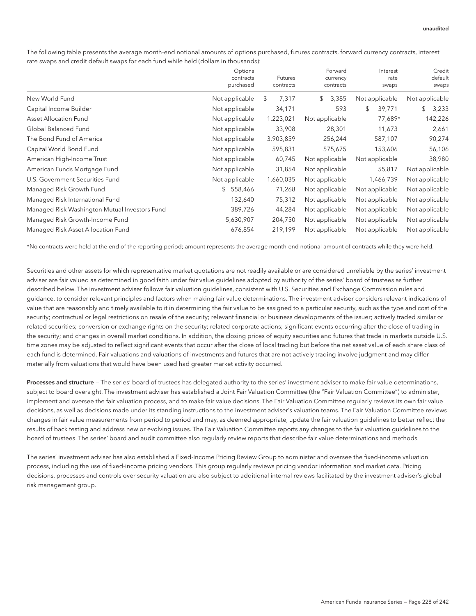The following table presents the average month-end notional amounts of options purchased, futures contracts, forward currency contracts, interest rate swaps and credit default swaps for each fund while held (dollars in thousands):

|                                               | Options<br>contracts<br>purchased | Futures<br>contracts | Forward<br>currency<br>contracts | Interest<br>rate<br>swaps | Credit<br>default<br>swaps |
|-----------------------------------------------|-----------------------------------|----------------------|----------------------------------|---------------------------|----------------------------|
| New World Fund                                | Not applicable                    | 7,317<br>\$          | 3,385<br>\$                      | Not applicable            | Not applicable             |
| Capital Income Builder                        | Not applicable                    | 34,171               | 593                              | \$<br>39,771              | 3,233<br>\$                |
| Asset Allocation Fund                         | Not applicable                    | 1,223,021            | Not applicable                   | 77,689*                   | 142,226                    |
| Global Balanced Fund                          | Not applicable                    | 33,908               | 28,301                           | 11,673                    | 2,661                      |
| The Bond Fund of America                      | Not applicable                    | 3,903,859            | 256,244                          | 587,107                   | 90,274                     |
| Capital World Bond Fund                       | Not applicable                    | 595,831              | 575,675                          | 153,606                   | 56,106                     |
| American High-Income Trust                    | Not applicable                    | 60,745               | Not applicable                   | Not applicable            | 38,980                     |
| American Funds Mortgage Fund                  | Not applicable                    | 31,854               | Not applicable                   | 55,817                    | Not applicable             |
| U.S. Government Securities Fund               | Not applicable                    | 1,660,035            | Not applicable                   | 1,466,739                 | Not applicable             |
| Managed Risk Growth Fund                      | \$558,466                         | 71,268               | Not applicable                   | Not applicable            | Not applicable             |
| Managed Risk International Fund               | 132,640                           | 75,312               | Not applicable                   | Not applicable            | Not applicable             |
| Managed Risk Washington Mutual Investors Fund | 389,726                           | 44,284               | Not applicable                   | Not applicable            | Not applicable             |
| Managed Risk Growth-Income Fund               | 5,630,907                         | 204,750              | Not applicable                   | Not applicable            | Not applicable             |
| Managed Risk Asset Allocation Fund            | 676,854                           | 219,199              | Not applicable                   | Not applicable            | Not applicable             |

\*No contracts were held at the end of the reporting period; amount represents the average month-end notional amount of contracts while they were held.

Securities and other assets for which representative market quotations are not readily available or are considered unreliable by the series' investment adviser are fair valued as determined in good faith under fair value guidelines adopted by authority of the series' board of trustees as further described below. The investment adviser follows fair valuation guidelines, consistent with U.S. Securities and Exchange Commission rules and guidance, to consider relevant principles and factors when making fair value determinations. The investment adviser considers relevant indications of value that are reasonably and timely available to it in determining the fair value to be assigned to a particular security, such as the type and cost of the security; contractual or legal restrictions on resale of the security; relevant financial or business developments of the issuer; actively traded similar or related securities; conversion or exchange rights on the security; related corporate actions; significant events occurring after the close of trading in the security; and changes in overall market conditions. In addition, the closing prices of equity securities and futures that trade in markets outside U.S. time zones may be adjusted to reflect significant events that occur after the close of local trading but before the net asset value of each share class of each fund is determined. Fair valuations and valuations of investments and futures that are not actively trading involve judgment and may differ materially from valuations that would have been used had greater market activity occurred.

Processes and structure – The series' board of trustees has delegated authority to the series' investment adviser to make fair value determinations, subject to board oversight. The investment adviser has established a Joint Fair Valuation Committee (the "Fair Valuation Committee") to administer, implement and oversee the fair valuation process, and to make fair value decisions. The Fair Valuation Committee regularly reviews its own fair value decisions, as well as decisions made under its standing instructions to the investment adviser's valuation teams. The Fair Valuation Committee reviews changes in fair value measurements from period to period and may, as deemed appropriate, update the fair valuation guidelines to better reflect the results of back testing and address new or evolving issues. The Fair Valuation Committee reports any changes to the fair valuation guidelines to the board of trustees. The series' board and audit committee also regularly review reports that describe fair value determinations and methods.

The series' investment adviser has also established a Fixed-Income Pricing Review Group to administer and oversee the fixed-income valuation process, including the use of fixed-income pricing vendors. This group regularly reviews pricing vendor information and market data. Pricing decisions, processes and controls over security valuation are also subject to additional internal reviews facilitated by the investment adviser's global risk management group.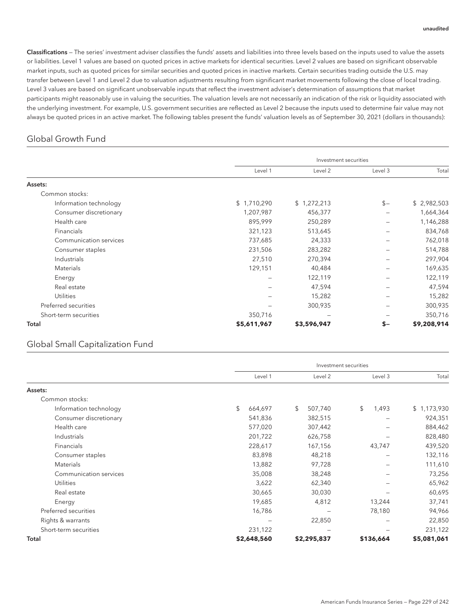Classifications — The series' investment adviser classifies the funds' assets and liabilities into three levels based on the inputs used to value the assets or liabilities. Level 1 values are based on quoted prices in active markets for identical securities. Level 2 values are based on significant observable market inputs, such as quoted prices for similar securities and quoted prices in inactive markets. Certain securities trading outside the U.S. may transfer between Level 1 and Level 2 due to valuation adjustments resulting from significant market movements following the close of local trading. Level 3 values are based on significant unobservable inputs that reflect the investment adviser's determination of assumptions that market participants might reasonably use in valuing the securities. The valuation levels are not necessarily an indication of the risk or liquidity associated with the underlying investment. For example, U.S. government securities are reflected as Level 2 because the inputs used to determine fair value may not always be quoted prices in an active market. The following tables present the funds' valuation levels as of September 30, 2021 (dollars in thousands):

### Global Growth Fund

|                        | Investment securities |             |         |             |  |  |
|------------------------|-----------------------|-------------|---------|-------------|--|--|
|                        | Level 1               | Level 2     | Level 3 | Total       |  |  |
| Assets:                |                       |             |         |             |  |  |
| Common stocks:         |                       |             |         |             |  |  |
| Information technology | \$1,710,290           | \$1,272,213 | $S -$   | \$2,982,503 |  |  |
| Consumer discretionary | 1,207,987             | 456,377     |         | 1,664,364   |  |  |
| Health care            | 895,999               | 250,289     |         | 1,146,288   |  |  |
| <b>Financials</b>      | 321,123               | 513,645     |         | 834,768     |  |  |
| Communication services | 737,685               | 24,333      |         | 762,018     |  |  |
| Consumer staples       | 231,506               | 283,282     |         | 514,788     |  |  |
| Industrials            | 27,510                | 270,394     |         | 297,904     |  |  |
| Materials              | 129,151               | 40,484      |         | 169,635     |  |  |
| Energy                 |                       | 122,119     |         | 122,119     |  |  |
| Real estate            |                       | 47,594      |         | 47,594      |  |  |
| <b>Utilities</b>       |                       | 15,282      |         | 15,282      |  |  |
| Preferred securities   |                       | 300,935     |         | 300,935     |  |  |
| Short-term securities  | 350,716               |             |         | 350,716     |  |  |
| Total                  | \$5,611,967           | \$3,596,947 | \$-     | \$9,208,914 |  |  |

#### Global Small Capitalization Fund

|                        |               | Investment securities |             |             |  |  |  |  |
|------------------------|---------------|-----------------------|-------------|-------------|--|--|--|--|
|                        | Level 1       | Level 2               | Level 3     | Total       |  |  |  |  |
| Assets:                |               |                       |             |             |  |  |  |  |
| Common stocks:         |               |                       |             |             |  |  |  |  |
| Information technology | \$<br>664,697 | \$<br>507,740         | \$<br>1,493 | \$1,173,930 |  |  |  |  |
| Consumer discretionary | 541,836       | 382,515               |             | 924,351     |  |  |  |  |
| Health care            | 577,020       | 307,442               |             | 884,462     |  |  |  |  |
| Industrials            | 201,722       | 626,758               |             | 828,480     |  |  |  |  |
| Financials             | 228,617       | 167,156               | 43,747      | 439,520     |  |  |  |  |
| Consumer staples       | 83,898        | 48,218                |             | 132,116     |  |  |  |  |
| Materials              | 13,882        | 97,728                |             | 111,610     |  |  |  |  |
| Communication services | 35,008        | 38,248                |             | 73,256      |  |  |  |  |
| <b>Utilities</b>       | 3,622         | 62,340                |             | 65,962      |  |  |  |  |
| Real estate            | 30,665        | 30,030                |             | 60,695      |  |  |  |  |
| Energy                 | 19,685        | 4,812                 | 13,244      | 37,741      |  |  |  |  |
| Preferred securities   | 16,786        |                       | 78,180      | 94,966      |  |  |  |  |
| Rights & warrants      |               | 22,850                |             | 22,850      |  |  |  |  |
| Short-term securities  | 231,122       | -                     |             | 231,122     |  |  |  |  |
| Total                  | \$2,648,560   | \$2,295,837           | \$136,664   | \$5,081,061 |  |  |  |  |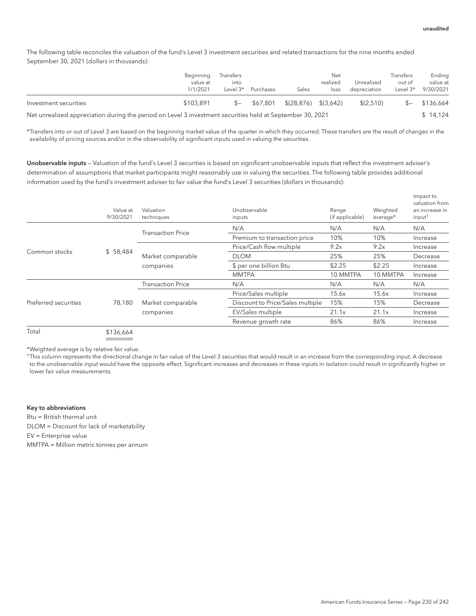The following table reconciles the valuation of the fund's Level 3 investment securities and related transactions for the nine months ended September 30, 2021 (dollars in thousands):

|                                                                                                           | Beginning<br>value at<br>1/1/2021 | Transfers<br>into<br>Level $3^*$ | Purchases | Sales                            | Net<br>realized<br>loss | Unrealized<br>depreciation | Transfers<br>out of<br>Level $3^*$ | Ending<br>value at<br>9/30/2021 |
|-----------------------------------------------------------------------------------------------------------|-----------------------------------|----------------------------------|-----------|----------------------------------|-------------------------|----------------------------|------------------------------------|---------------------------------|
| Investment securities                                                                                     | \$103.891                         | $S-$                             | \$67.801  | $\{(28, 876) \quad \{(3, 642)\}$ |                         | \$(2.510)                  | $S-$                               | \$136,664                       |
| Net unrealized appreciation during the period on Level 3 investment securities held at September 30, 2021 |                                   |                                  |           |                                  |                         |                            | \$14.124                           |                                 |

\*Transfers into or out of Level 3 are based on the beginning market value of the quarter in which they occurred. These transfers are the result of changes in the availability of pricing sources and/or in the observability of significant inputs used in valuing the securities.

Unobservable inputs — Valuation of the fund's Level 3 securities is based on significant unobservable inputs that reflect the investment adviser's determination of assumptions that market participants might reasonably use in valuing the securities. The following table provides additional information used by the fund's investment adviser to fair value the fund's Level 3 securities (dollars in thousands):

|                      | Value at<br>9/30/2021 | Valuation<br>techniques  | Unobservable<br>inputs           | Range<br>(if applicable) | Weighted<br>average* | Impact to<br>valuation from<br>an increase in<br>$input^{\dagger}$ |
|----------------------|-----------------------|--------------------------|----------------------------------|--------------------------|----------------------|--------------------------------------------------------------------|
|                      |                       |                          | N/A                              | N/A                      | N/A                  | N/A                                                                |
|                      |                       | <b>Transaction Price</b> | Premium to transaction price     | 10%                      | 10%                  | Increase                                                           |
|                      |                       |                          | Price/Cash flow multiple         | 9.2x                     | 9.2x                 | Increase                                                           |
| Common stocks        | \$58,484              | Market comparable        | <b>DLOM</b>                      | 25%                      | 25%                  | Decrease                                                           |
|                      |                       | companies                | \$ per one billion Btu           | \$2.25                   | \$2.25               | Increase                                                           |
|                      |                       |                          | <b>MMTPA</b>                     | 10 MMTPA                 | 10 MMTPA             | Increase                                                           |
|                      |                       | <b>Transaction Price</b> | N/A                              | N/A                      | N/A                  | N/A                                                                |
|                      |                       |                          | Price/Sales multiple             | 15.6x                    | 15.6x                | Increase                                                           |
| Preferred securities | 78,180                | Market comparable        | Discount to Price/Sales multiple | 15%                      | 15%                  | Decrease                                                           |
|                      |                       | companies                | EV/Sales multiple                | 21.1x                    | 21.1x                | Increase                                                           |
|                      |                       |                          | Revenue growth rate              | 86%                      | 86%                  | Increase                                                           |
| Total                | \$136.664             |                          |                                  |                          |                      |                                                                    |

\*Weighted average is by relative fair value.

† This column represents the directional change in fair value of the Level 3 securities that would result in an increase from the corresponding input. A decrease to the unobservable input would have the opposite effect. Significant increases and decreases in these inputs in isolation could result in significantly higher or lower fair value measurements.

Key to abbreviations

Btu = British thermal unit DLOM = Discount for lack of marketability EV = Enterprise value MMTPA = Million metric tonnes per annum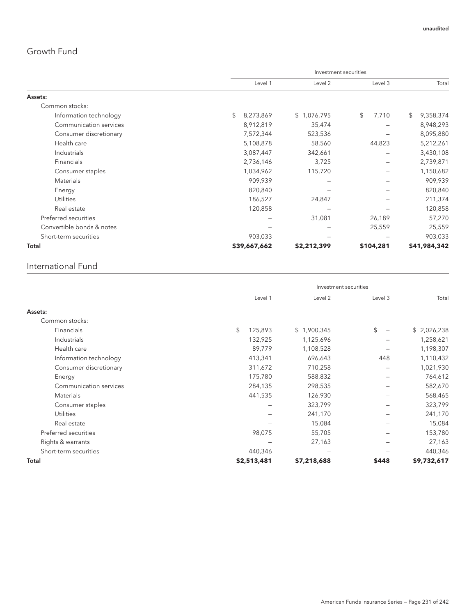## Growth Fund

|                           |                 | Investment securities |             |                 |  |  |  |
|---------------------------|-----------------|-----------------------|-------------|-----------------|--|--|--|
|                           | Level 1         | Level 2               | Level 3     | Total           |  |  |  |
| Assets:                   |                 |                       |             |                 |  |  |  |
| Common stocks:            |                 |                       |             |                 |  |  |  |
| Information technology    | \$<br>8,273,869 | \$1,076,795           | \$<br>7,710 | \$<br>9,358,374 |  |  |  |
| Communication services    | 8,912,819       | 35,474                |             | 8,948,293       |  |  |  |
| Consumer discretionary    | 7,572,344       | 523,536               |             | 8,095,880       |  |  |  |
| Health care               | 5,108,878       | 58,560                | 44,823      | 5,212,261       |  |  |  |
| Industrials               | 3,087,447       | 342,661               |             | 3,430,108       |  |  |  |
| Financials                | 2,736,146       | 3,725                 |             | 2,739,871       |  |  |  |
| Consumer staples          | 1,034,962       | 115,720               |             | 1,150,682       |  |  |  |
| <b>Materials</b>          | 909,939         |                       |             | 909,939         |  |  |  |
| Energy                    | 820,840         | -                     |             | 820,840         |  |  |  |
| Utilities                 | 186,527         | 24,847                |             | 211,374         |  |  |  |
| Real estate               | 120,858         |                       |             | 120,858         |  |  |  |
| Preferred securities      |                 | 31,081                | 26,189      | 57,270          |  |  |  |
| Convertible bonds & notes |                 |                       | 25,559      | 25,559          |  |  |  |
| Short-term securities     | 903,033         |                       |             | 903,033         |  |  |  |
| Total                     | \$39,667,662    | \$2,212,399           | \$104,281   | \$41,984,342    |  |  |  |

### International Fund

|                        |               | Investment securities |         |             |
|------------------------|---------------|-----------------------|---------|-------------|
|                        | Level 1       | Level 2               | Level 3 | Total       |
| Assets:                |               |                       |         |             |
| Common stocks:         |               |                       |         |             |
| Financials             | \$<br>125,893 | \$1,900,345           | \$      | \$2,026,238 |
| Industrials            | 132,925       | 1,125,696             |         | 1,258,621   |
| Health care            | 89,779        | 1,108,528             |         | 1,198,307   |
| Information technology | 413,341       | 696,643               | 448     | 1,110,432   |
| Consumer discretionary | 311,672       | 710,258               |         | 1,021,930   |
| Energy                 | 175,780       | 588,832               |         | 764,612     |
| Communication services | 284,135       | 298,535               |         | 582,670     |
| Materials              | 441,535       | 126,930               |         | 568,465     |
| Consumer staples       |               | 323,799               |         | 323,799     |
| <b>Utilities</b>       |               | 241,170               |         | 241,170     |
| Real estate            |               | 15,084                |         | 15,084      |
| Preferred securities   | 98,075        | 55,705                |         | 153,780     |
| Rights & warrants      |               | 27,163                |         | 27,163      |
| Short-term securities  | 440,346       |                       |         | 440,346     |
| Total                  | \$2,513,481   | \$7,218,688           | \$448   | \$9,732,617 |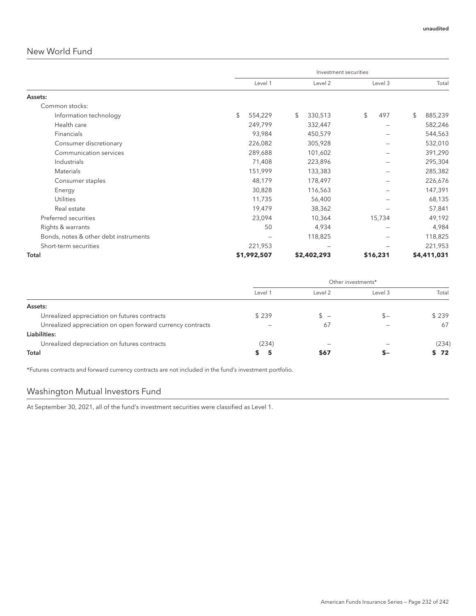### New World Fund

|                                       | Investment securities |             |    |             |    |          |    |             |
|---------------------------------------|-----------------------|-------------|----|-------------|----|----------|----|-------------|
|                                       |                       | Level 1     |    | Level 2     |    | Level 3  |    | Total       |
| Assets:                               |                       |             |    |             |    |          |    |             |
| Common stocks:                        |                       |             |    |             |    |          |    |             |
| Information technology                | \$                    | 554,229     | \$ | 330,513     | \$ | 497      | \$ | 885,239     |
| Health care                           |                       | 249,799     |    | 332,447     |    |          |    | 582,246     |
| Financials                            |                       | 93,984      |    | 450,579     |    |          |    | 544,563     |
| Consumer discretionary                |                       | 226,082     |    | 305,928     |    |          |    | 532,010     |
| Communication services                |                       | 289,688     |    | 101,602     |    |          |    | 391,290     |
| Industrials                           |                       | 71,408      |    | 223,896     |    |          |    | 295,304     |
| Materials                             |                       | 151,999     |    | 133,383     |    |          |    | 285,382     |
| Consumer staples                      |                       | 48,179      |    | 178,497     |    |          |    | 226,676     |
| Energy                                |                       | 30,828      |    | 116,563     |    |          |    | 147,391     |
| Utilities                             |                       | 11,735      |    | 56,400      |    |          |    | 68,135      |
| Real estate                           |                       | 19,479      |    | 38,362      |    |          |    | 57,841      |
| Preferred securities                  |                       | 23,094      |    | 10,364      |    | 15,734   |    | 49,192      |
| Rights & warrants                     |                       | 50          |    | 4,934       |    |          |    | 4,984       |
| Bonds, notes & other debt instruments |                       |             |    | 118,825     |    |          |    | 118,825     |
| Short-term securities                 |                       | 221,953     |    |             |    |          |    | 221,953     |
| Total                                 |                       | \$1,992,507 |    | \$2,402,293 |    | \$16,231 |    | \$4,411,031 |

|                                                            | Other investments* |         |         |       |  |  |
|------------------------------------------------------------|--------------------|---------|---------|-------|--|--|
|                                                            | Level 1            | Level 2 | Level 3 | Total |  |  |
| Assets:                                                    |                    |         |         |       |  |  |
| Unrealized appreciation on futures contracts               | \$239              | $s -$   | \$–     | \$239 |  |  |
| Unrealized appreciation on open forward currency contracts |                    | 67      |         | 67    |  |  |
| Liabilities:                                               |                    |         |         |       |  |  |
| Unrealized depreciation on futures contracts               | (234)              |         |         | (234) |  |  |
| Total                                                      | S <sub>5</sub>     | \$67    |         | \$72  |  |  |

\*Futures contracts and forward currency contracts are not included in the fund's investment portfolio.

## Washington Mutual Investors Fund

At September 30, 2021, all of the fund's investment securities were classified as Level 1.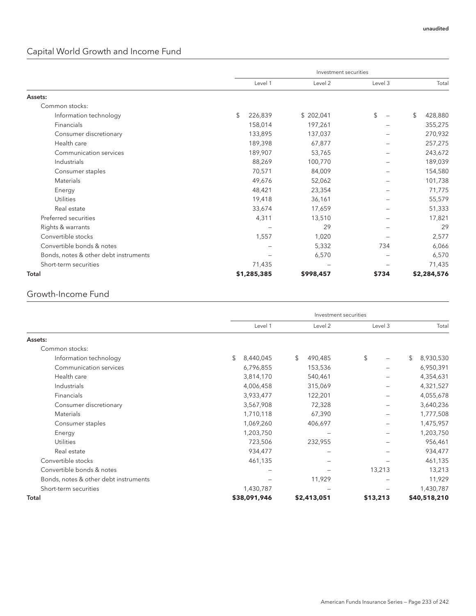# Capital World Growth and Income Fund

|                                       |    |                 |           | Investment securities |         |    |             |
|---------------------------------------|----|-----------------|-----------|-----------------------|---------|----|-------------|
|                                       |    | Level 1         | Level 2   |                       | Level 3 |    | Total       |
| Assets:                               |    |                 |           |                       |         |    |             |
| Common stocks:                        |    |                 |           |                       |         |    |             |
| Information technology                | \$ | 226,839         | \$202,041 |                       | \$      | \$ | 428,880     |
| Financials                            |    | 158,014         | 197,261   |                       |         |    | 355,275     |
| Consumer discretionary                |    | 133,895         | 137,037   |                       |         |    | 270,932     |
| Health care                           |    | 189.398         | 67,877    |                       |         |    | 257,275     |
| Communication services                |    | 189,907         | 53,765    |                       |         |    | 243,672     |
| Industrials                           |    | 88,269          | 100,770   |                       |         |    | 189,039     |
| Consumer staples                      |    | 70,571          | 84,009    |                       |         |    | 154,580     |
| <b>Materials</b>                      |    | 49,676          | 52,062    |                       |         |    | 101,738     |
| Energy                                |    | 48,421          | 23,354    |                       |         |    | 71,775      |
| <b>Utilities</b>                      |    | 19,418          | 36,161    |                       |         |    | 55,579      |
| Real estate                           |    | 33,674          | 17,659    |                       |         |    | 51,333      |
| Preferred securities                  |    | 4,311           | 13,510    |                       |         |    | 17,821      |
| Rights & warrants                     |    | $\qquad \qquad$ | 29        |                       |         |    | 29          |
| Convertible stocks                    |    | 1,557           | 1,020     |                       |         |    | 2,577       |
| Convertible bonds & notes             |    |                 | 5,332     |                       | 734     |    | 6,066       |
| Bonds, notes & other debt instruments |    |                 | 6,570     |                       |         |    | 6,570       |
| Short-term securities                 |    | 71,435          |           |                       |         |    | 71,435      |
| Total                                 |    | \$1,285,385     | \$998,457 |                       | \$734   |    | \$2,284,576 |

### Growth-Income Fund

|                                       |                 | Investment securities |          |         |                 |
|---------------------------------------|-----------------|-----------------------|----------|---------|-----------------|
|                                       | Level 1         | Level 2               |          | Level 3 | Total           |
| Assets:                               |                 |                       |          |         |                 |
| Common stocks:                        |                 |                       |          |         |                 |
| Information technology                | \$<br>8,440,045 | \$<br>490,485         | \$       |         | \$<br>8,930,530 |
| Communication services                | 6,796,855       | 153,536               |          |         | 6,950,391       |
| Health care                           | 3,814,170       | 540,461               |          |         | 4,354,631       |
| Industrials                           | 4,006,458       | 315,069               |          |         | 4,321,527       |
| Financials                            | 3,933,477       | 122,201               |          |         | 4,055,678       |
| Consumer discretionary                | 3,567,908       | 72,328                |          |         | 3,640,236       |
| <b>Materials</b>                      | 1,710,118       | 67,390                |          |         | 1,777,508       |
| Consumer staples                      | 1,069,260       | 406,697               |          |         | 1,475,957       |
| Energy                                | 1,203,750       |                       |          |         | 1,203,750       |
| <b>Utilities</b>                      | 723,506         | 232,955               |          |         | 956,461         |
| Real estate                           | 934,477         |                       |          |         | 934,477         |
| Convertible stocks                    | 461,135         |                       |          |         | 461,135         |
| Convertible bonds & notes             | -               |                       |          | 13,213  | 13,213          |
| Bonds, notes & other debt instruments |                 | 11,929                |          |         | 11,929          |
| Short-term securities                 | 1,430,787       |                       |          |         | 1,430,787       |
| Total                                 | \$38,091,946    | \$2,413,051           | \$13,213 |         | \$40,518,210    |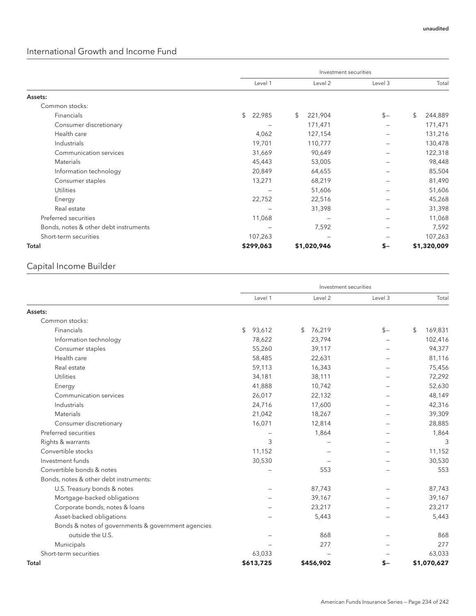## International Growth and Income Fund

|                                       | Investment securities |               |         |               |  |  |  |
|---------------------------------------|-----------------------|---------------|---------|---------------|--|--|--|
|                                       | Level 1               | Level 2       | Level 3 | Total         |  |  |  |
| Assets:                               |                       |               |         |               |  |  |  |
| Common stocks:                        |                       |               |         |               |  |  |  |
| Financials                            | \$<br>22,985          | \$<br>221,904 | $$-$    | \$<br>244,889 |  |  |  |
| Consumer discretionary                |                       | 171,471       |         | 171,471       |  |  |  |
| Health care                           | 4,062                 | 127,154       |         | 131,216       |  |  |  |
| Industrials                           | 19,701                | 110,777       |         | 130,478       |  |  |  |
| Communication services                | 31,669                | 90,649        |         | 122,318       |  |  |  |
| Materials                             | 45,443                | 53,005        |         | 98,448        |  |  |  |
| Information technology                | 20,849                | 64,655        |         | 85,504        |  |  |  |
| Consumer staples                      | 13,271                | 68,219        |         | 81,490        |  |  |  |
| <b>Utilities</b>                      |                       | 51,606        |         | 51,606        |  |  |  |
| Energy                                | 22,752                | 22,516        |         | 45,268        |  |  |  |
| Real estate                           | -                     | 31,398        |         | 31,398        |  |  |  |
| Preferred securities                  | 11,068                |               |         | 11,068        |  |  |  |
| Bonds, notes & other debt instruments |                       | 7,592         |         | 7,592         |  |  |  |
| Short-term securities                 | 107,263               |               |         | 107,263       |  |  |  |
| Total                                 | \$299,063             | \$1,020,946   | $S-$    | \$1,320,009   |  |  |  |

## Capital Income Builder

|                                                    |              | Investment securities |         |               |
|----------------------------------------------------|--------------|-----------------------|---------|---------------|
|                                                    | Level 1      | Level 2               | Level 3 | Total         |
| Assets:                                            |              |                       |         |               |
| Common stocks:                                     |              |                       |         |               |
| Financials                                         | 93,612<br>\$ | 76,219<br>S.          | $S -$   | 169,831<br>\$ |
| Information technology                             | 78,622       | 23,794                |         | 102,416       |
| Consumer staples                                   | 55,260       | 39,117                |         | 94,377        |
| Health care                                        | 58,485       | 22,631                |         | 81,116        |
| Real estate                                        | 59,113       | 16,343                |         | 75,456        |
| <b>Utilities</b>                                   | 34,181       | 38,111                |         | 72,292        |
| Energy                                             | 41,888       | 10,742                |         | 52,630        |
| Communication services                             | 26,017       | 22,132                |         | 48,149        |
| Industrials                                        | 24,716       | 17,600                |         | 42,316        |
| Materials                                          | 21,042       | 18,267                |         | 39,309        |
| Consumer discretionary                             | 16,071       | 12,814                |         | 28,885        |
| Preferred securities                               |              | 1,864                 |         | 1,864         |
| Rights & warrants                                  | 3            |                       |         | 3             |
| Convertible stocks                                 | 11,152       |                       |         | 11,152        |
| Investment funds                                   | 30,530       |                       |         | 30,530        |
| Convertible bonds & notes                          |              | 553                   |         | 553           |
| Bonds, notes & other debt instruments:             |              |                       |         |               |
| U.S. Treasury bonds & notes                        |              | 87,743                |         | 87,743        |
| Mortgage-backed obligations                        |              | 39,167                |         | 39,167        |
| Corporate bonds, notes & loans                     |              | 23,217                |         | 23,217        |
| Asset-backed obligations                           |              | 5,443                 |         | 5,443         |
| Bonds & notes of governments & government agencies |              |                       |         |               |
| outside the U.S.                                   |              | 868                   |         | 868           |
| Municipals                                         |              | 277                   |         | 277           |
| Short-term securities                              | 63,033       |                       |         | 63,033        |
| Total                                              | \$613,725    | \$456,902             | S-      | \$1,070,627   |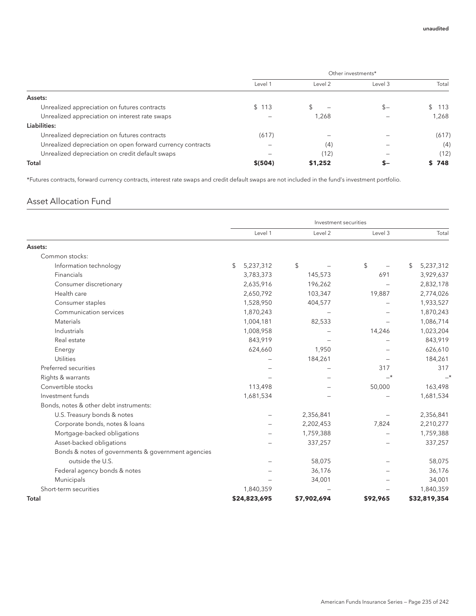|                                                            | Other investments* |         |         |       |  |  |
|------------------------------------------------------------|--------------------|---------|---------|-------|--|--|
|                                                            | Level 1            | Level 2 | Level 3 | Total |  |  |
| Assets:                                                    |                    |         |         |       |  |  |
| Unrealized appreciation on futures contracts               | 113<br>\$          |         | $S -$   | 113   |  |  |
| Unrealized appreciation on interest rate swaps             |                    | 1,268   |         | 1,268 |  |  |
| Liabilities:                                               |                    |         |         |       |  |  |
| Unrealized depreciation on futures contracts               | (617)              |         |         | (617) |  |  |
| Unrealized depreciation on open forward currency contracts |                    | (4)     |         | (4)   |  |  |
| Unrealized depreciation on credit default swaps            |                    | (12)    |         | (12)  |  |  |
| Total                                                      | \$ (504)           | \$1,252 | s-      | \$748 |  |  |

\*Futures contracts, forward currency contracts, interest rate swaps and credit default swaps are not included in the fund's investment portfolio.

### Asset Allocation Fund

|                                                    |                 | Investment securities |          |                 |
|----------------------------------------------------|-----------------|-----------------------|----------|-----------------|
|                                                    | Level 1         | Level 2               | Level 3  | Total           |
| Assets:                                            |                 |                       |          |                 |
| Common stocks:                                     |                 |                       |          |                 |
| Information technology                             | \$<br>5,237,312 | \$                    | \$       | \$<br>5,237,312 |
| Financials                                         | 3,783,373       | 145,573               | 691      | 3,929,637       |
| Consumer discretionary                             | 2,635,916       | 196,262               |          | 2,832,178       |
| Health care                                        | 2,650,792       | 103,347               | 19,887   | 2,774,026       |
| Consumer staples                                   | 1,528,950       | 404,577               |          | 1,933,527       |
| Communication services                             | 1,870,243       |                       |          | 1,870,243       |
| Materials                                          | 1,004,181       | 82,533                |          | 1,086,714       |
| Industrials                                        | 1,008,958       |                       | 14,246   | 1,023,204       |
| Real estate                                        | 843,919         |                       |          | 843,919         |
| Energy                                             | 624,660         | 1,950                 |          | 626,610         |
| <b>Utilities</b>                                   |                 | 184,261               |          | 184,261         |
| Preferred securities                               |                 |                       | 317      | 317             |
| Rights & warrants                                  |                 |                       | $-*$     |                 |
| Convertible stocks                                 | 113,498         |                       | 50,000   | 163,498         |
| Investment funds                                   | 1,681,534       |                       |          | 1,681,534       |
| Bonds, notes & other debt instruments:             |                 |                       |          |                 |
| U.S. Treasury bonds & notes                        |                 | 2,356,841             |          | 2,356,841       |
| Corporate bonds, notes & loans                     |                 | 2,202,453             | 7,824    | 2,210,277       |
| Mortgage-backed obligations                        |                 | 1,759,388             |          | 1,759,388       |
| Asset-backed obligations                           |                 | 337,257               |          | 337,257         |
| Bonds & notes of governments & government agencies |                 |                       |          |                 |
| outside the U.S.                                   |                 | 58,075                |          | 58,075          |
| Federal agency bonds & notes                       |                 | 36,176                |          | 36,176          |
| Municipals                                         |                 | 34,001                |          | 34,001          |
| Short-term securities                              | 1,840,359       |                       |          | 1,840,359       |
| Total                                              | \$24,823,695    | \$7,902,694           | \$92,965 | \$32,819,354    |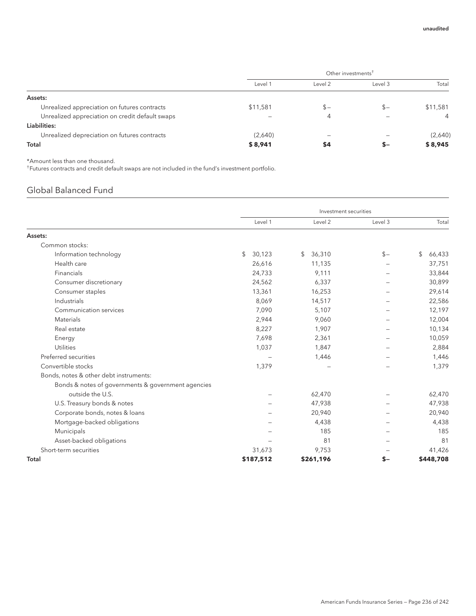|                                                 | Other investments <sup>†</sup> |         |         |                |  |  |
|-------------------------------------------------|--------------------------------|---------|---------|----------------|--|--|
|                                                 | Level 1                        | Level 2 | Level 3 | Total          |  |  |
| Assets:                                         |                                |         |         |                |  |  |
| Unrealized appreciation on futures contracts    | \$11,581                       | $s-$    | $S-$    | \$11,581       |  |  |
| Unrealized appreciation on credit default swaps |                                | 4       |         | $\overline{4}$ |  |  |
| Liabilities:                                    |                                |         |         |                |  |  |
| Unrealized depreciation on futures contracts    | (2,640)                        |         |         | (2,640)        |  |  |
| Total                                           | \$8,941                        | \$4     | s-      | \$8,945        |  |  |

\*Amount less than one thousand.

† Futures contracts and credit default swaps are not included in the fund's investment portfolio.

# Global Balanced Fund

|                                                    | Investment securities |              |         |              |  |
|----------------------------------------------------|-----------------------|--------------|---------|--------------|--|
|                                                    | Level 1               | Level 2      | Level 3 | Total        |  |
| Assets:                                            |                       |              |         |              |  |
| Common stocks:                                     |                       |              |         |              |  |
| Information technology                             | \$<br>30,123          | 36,310<br>\$ | $S -$   | \$<br>66,433 |  |
| Health care                                        | 26,616                | 11,135       |         | 37,751       |  |
| Financials                                         | 24,733                | 9,111        |         | 33,844       |  |
| Consumer discretionary                             | 24,562                | 6,337        |         | 30,899       |  |
| Consumer staples                                   | 13,361                | 16,253       |         | 29,614       |  |
| Industrials                                        | 8,069                 | 14,517       |         | 22,586       |  |
| Communication services                             | 7,090                 | 5,107        |         | 12,197       |  |
| Materials                                          | 2,944                 | 9,060        |         | 12,004       |  |
| Real estate                                        | 8,227                 | 1,907        |         | 10,134       |  |
| Energy                                             | 7,698                 | 2,361        |         | 10,059       |  |
| <b>Utilities</b>                                   | 1,037                 | 1,847        |         | 2,884        |  |
| Preferred securities                               |                       | 1,446        |         | 1,446        |  |
| Convertible stocks                                 | 1,379                 |              |         | 1,379        |  |
| Bonds, notes & other debt instruments:             |                       |              |         |              |  |
| Bonds & notes of governments & government agencies |                       |              |         |              |  |
| outside the U.S.                                   |                       | 62,470       |         | 62,470       |  |
| U.S. Treasury bonds & notes                        |                       | 47,938       |         | 47,938       |  |
| Corporate bonds, notes & loans                     |                       | 20,940       |         | 20,940       |  |
| Mortgage-backed obligations                        |                       | 4,438        |         | 4,438        |  |
| Municipals                                         |                       | 185          |         | 185          |  |
| Asset-backed obligations                           |                       | 81           |         | 81           |  |
| Short-term securities                              | 31,673                | 9,753        |         | 41,426       |  |
| Total                                              | \$187,512             | \$261,196    | \$-     | \$448,708    |  |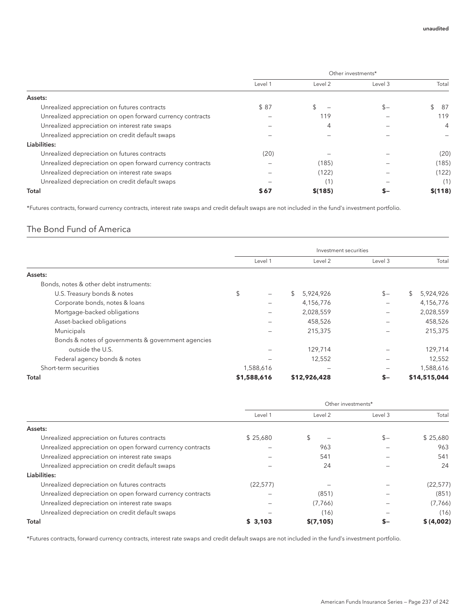|                                                            | Other investments* |         |         |           |  |  |
|------------------------------------------------------------|--------------------|---------|---------|-----------|--|--|
|                                                            | Level 1            | Level 2 | Level 3 | Total     |  |  |
| Assets:                                                    |                    |         |         |           |  |  |
| Unrealized appreciation on futures contracts               | \$87               |         | $S-$    | \$<br>-87 |  |  |
| Unrealized appreciation on open forward currency contracts |                    | 119     |         | 119       |  |  |
| Unrealized appreciation on interest rate swaps             |                    | 4       |         | 4         |  |  |
| Unrealized appreciation on credit default swaps            |                    |         |         |           |  |  |
| Liabilities:                                               |                    |         |         |           |  |  |
| Unrealized depreciation on futures contracts               | (20)               |         |         | (20)      |  |  |
| Unrealized depreciation on open forward currency contracts |                    | (185)   |         | (185)     |  |  |
| Unrealized depreciation on interest rate swaps             |                    | (122)   |         | (122)     |  |  |
| Unrealized depreciation on credit default swaps            |                    | (1)     |         | (1)       |  |  |
| Total                                                      | \$67               | \$(185) |         | \$(118)   |  |  |

\*Futures contracts, forward currency contracts, interest rate swaps and credit default swaps are not included in the fund's investment portfolio.

### The Bond Fund of America

|                                                    | Investment securities |                             |         |                 |  |  |  |
|----------------------------------------------------|-----------------------|-----------------------------|---------|-----------------|--|--|--|
|                                                    |                       |                             |         |                 |  |  |  |
|                                                    | Level 1               | Level 2                     | Level 3 | Total           |  |  |  |
| Assets:                                            |                       |                             |         |                 |  |  |  |
| Bonds, notes & other debt instruments:             |                       |                             |         |                 |  |  |  |
| U.S. Treasury bonds & notes                        | \$                    | $\mathbb{S}^-$<br>5,924,926 | $$-$    | \$<br>5,924,926 |  |  |  |
| Corporate bonds, notes & loans                     |                       | 4,156,776                   |         | 4,156,776       |  |  |  |
| Mortgage-backed obligations                        |                       | 2,028,559                   |         | 2,028,559       |  |  |  |
| Asset-backed obligations                           |                       | 458,526                     |         | 458,526         |  |  |  |
| Municipals                                         |                       | 215,375                     |         | 215,375         |  |  |  |
| Bonds & notes of governments & government agencies |                       |                             |         |                 |  |  |  |
| outside the U.S.                                   |                       | 129,714                     |         | 129,714         |  |  |  |
| Federal agency bonds & notes                       |                       | 12,552                      |         | 12,552          |  |  |  |
| Short-term securities                              | 1,588,616             |                             |         | 1,588,616       |  |  |  |
| Total                                              | \$1,588,616           | \$12,926,428                | S-      | \$14,515,044    |  |  |  |

|                                                            | Other investments* |           |         |           |  |
|------------------------------------------------------------|--------------------|-----------|---------|-----------|--|
|                                                            | Level 1            | Level 2   | Level 3 | Total     |  |
| Assets:                                                    |                    |           |         |           |  |
| Unrealized appreciation on futures contracts               | \$25.680           |           | $$-$    | \$25,680  |  |
| Unrealized appreciation on open forward currency contracts |                    | 963       |         | 963       |  |
| Unrealized appreciation on interest rate swaps             |                    | 541       |         | 541       |  |
| Unrealized appreciation on credit default swaps            |                    | 24        |         | 24        |  |
| Liabilities:                                               |                    |           |         |           |  |
| Unrealized depreciation on futures contracts               | (22, 577)          |           |         | (22, 577) |  |
| Unrealized depreciation on open forward currency contracts |                    | (851)     |         | (851)     |  |
| Unrealized depreciation on interest rate swaps             |                    | (7,766)   |         | (7, 766)  |  |
| Unrealized depreciation on credit default swaps            |                    | (16)      |         | (16)      |  |
| Total                                                      | \$3,103            | \$(7,105) | s–      | \$(4,002) |  |

\*Futures contracts, forward currency contracts, interest rate swaps and credit default swaps are not included in the fund's investment portfolio.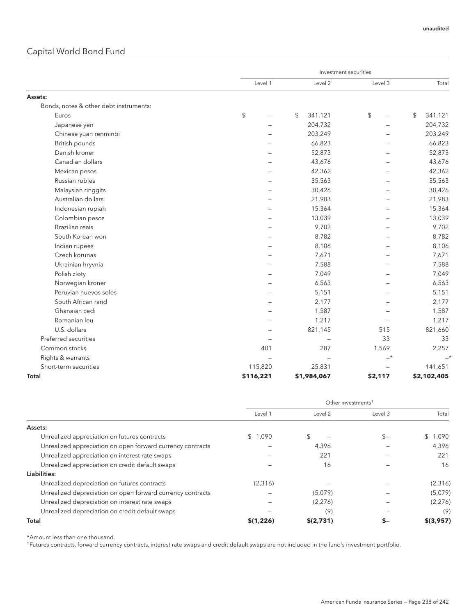## Capital World Bond Fund

|                                        |           | Investment securities |         |               |  |  |
|----------------------------------------|-----------|-----------------------|---------|---------------|--|--|
|                                        | Level 1   | Level 2               | Level 3 | Total         |  |  |
| Assets:                                |           |                       |         |               |  |  |
| Bonds, notes & other debt instruments: |           |                       |         |               |  |  |
| Euros                                  | \$        | \$<br>341,121         | \$      | \$<br>341,121 |  |  |
| Japanese yen                           |           | 204,732               |         | 204,732       |  |  |
| Chinese yuan renminbi                  |           | 203,249               |         | 203,249       |  |  |
| British pounds                         |           | 66,823                |         | 66,823        |  |  |
| Danish kroner                          |           | 52,873                |         | 52,873        |  |  |
| Canadian dollars                       |           | 43,676                |         | 43,676        |  |  |
| Mexican pesos                          |           | 42,362                |         | 42,362        |  |  |
| Russian rubles                         |           | 35,563                |         | 35,563        |  |  |
| Malaysian ringgits                     |           | 30,426                |         | 30,426        |  |  |
| Australian dollars                     |           | 21,983                |         | 21,983        |  |  |
| Indonesian rupiah                      |           | 15,364                |         | 15,364        |  |  |
| Colombian pesos                        |           | 13,039                |         | 13,039        |  |  |
| Brazilian reais                        |           | 9,702                 |         | 9,702         |  |  |
| South Korean won                       |           | 8,782                 |         | 8,782         |  |  |
| Indian rupees                          |           | 8,106                 |         | 8,106         |  |  |
| Czech korunas                          |           | 7,671                 |         | 7,671         |  |  |
| Ukrainian hryvnia                      |           | 7,588                 |         | 7,588         |  |  |
| Polish zloty                           |           | 7,049                 |         | 7,049         |  |  |
| Norwegian kroner                       |           | 6,563                 |         | 6,563         |  |  |
| Peruvian nuevos soles                  |           | 5,151                 |         | 5,151         |  |  |
| South African rand                     |           | 2,177                 |         | 2,177         |  |  |
| Ghanaian cedi                          |           | 1,587                 |         | 1,587         |  |  |
| Romanian leu                           |           | 1,217                 |         | 1,217         |  |  |
| U.S. dollars                           |           | 821,145               | 515     | 821,660       |  |  |
| Preferred securities                   |           |                       | 33      | 33            |  |  |
| Common stocks                          | 401       | 287                   | 1,569   | 2,257         |  |  |
| Rights & warrants                      | $\sim$    | $\equiv$              | $-*$    | $\rightarrow$ |  |  |
| Short-term securities                  | 115,820   | 25,831                |         | 141,651       |  |  |
| Total                                  | \$116,221 | \$1,984,067           | \$2,117 | \$2,102,405   |  |  |

|                                                            | Other investments <sup>+</sup> |           |         |                       |  |
|------------------------------------------------------------|--------------------------------|-----------|---------|-----------------------|--|
|                                                            | Level 1                        | Level 2   | Level 3 | Total                 |  |
| Assets:                                                    |                                |           |         |                       |  |
| Unrealized appreciation on futures contracts               | \$1.090                        |           | $S-$    | 1,090<br>$\mathbb{S}$ |  |
| Unrealized appreciation on open forward currency contracts |                                | 4,396     |         | 4.396                 |  |
| Unrealized appreciation on interest rate swaps             |                                | 221       |         | 221                   |  |
| Unrealized appreciation on credit default swaps            |                                | 16        |         | 16                    |  |
| Liabilities:                                               |                                |           |         |                       |  |
| Unrealized depreciation on futures contracts               | (2,316)                        |           |         | (2,316)               |  |
| Unrealized depreciation on open forward currency contracts |                                | (5,079)   |         | (5,079)               |  |
| Unrealized depreciation on interest rate swaps             |                                | (2,276)   |         | (2,276)               |  |
| Unrealized depreciation on credit default swaps            |                                | (9)       |         | (9)                   |  |
| Total                                                      | \$(1,226)                      | \$(2,731) |         | \$(3,957)             |  |

\*Amount less than one thousand.

† Futures contracts, forward currency contracts, interest rate swaps and credit default swaps are not included in the fund's investment portfolio.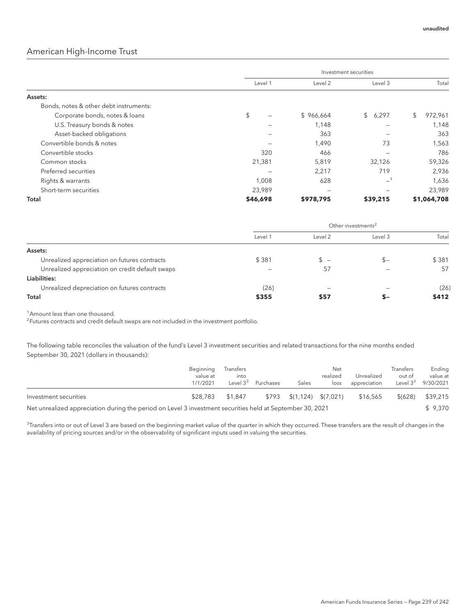#### American High-Income Trust

|                                        | Investment securities |           |          |               |  |  |
|----------------------------------------|-----------------------|-----------|----------|---------------|--|--|
|                                        | Level 1               | Level 2   | Level 3  | Total         |  |  |
| Assets:                                |                       |           |          |               |  |  |
| Bonds, notes & other debt instruments: |                       |           |          |               |  |  |
| Corporate bonds, notes & loans         | \$                    | \$966,664 | \$6,297  | \$<br>972,961 |  |  |
| U.S. Treasury bonds & notes            |                       | 1,148     |          | 1,148         |  |  |
| Asset-backed obligations               |                       | 363       |          | 363           |  |  |
| Convertible bonds & notes              |                       | 1,490     | 73       | 1,563         |  |  |
| Convertible stocks                     | 320                   | 466       |          | 786           |  |  |
| Common stocks                          | 21,381                | 5,819     | 32,126   | 59,326        |  |  |
| Preferred securities                   |                       | 2,217     | 719      | 2,936         |  |  |
| Rights & warrants                      | 1,008                 | 628       | $-1$     | 1,636         |  |  |
| Short-term securities                  | 23,989                | -         |          | 23,989        |  |  |
| Total                                  | \$46,698              | \$978,795 | \$39,215 | \$1,064,708   |  |  |

|                                                 | Other investments <sup>2</sup> |         |         |       |  |  |
|-------------------------------------------------|--------------------------------|---------|---------|-------|--|--|
|                                                 | Level 1                        | Level 2 | Level 3 | Total |  |  |
| Assets:                                         |                                |         |         |       |  |  |
| Unrealized appreciation on futures contracts    | \$381                          | $S =$   | \$–     | \$381 |  |  |
| Unrealized appreciation on credit default swaps |                                | 57      |         | 57    |  |  |
| Liabilities:                                    |                                |         |         |       |  |  |
| Unrealized depreciation on futures contracts    | (26)                           | -       |         | (26)  |  |  |
| Total                                           | \$355                          | \$57    | ъ-      | \$412 |  |  |

<sup>1</sup> Amount less than one thousand.

<sup>2</sup> Futures contracts and credit default swaps are not included in the investment portfolio.

The following table reconciles the valuation of the fund's Level 3 investment securities and related transactions for the nine months ended September 30, 2021 (dollars in thousands):

|                                                                                                           | Beginning<br>value at<br>1/1/2021 | Transfers<br>into<br>Level $3^3$ | Purchases | Sales                                       | Net<br>realized<br>loss | Unrealized<br>appreciation | Transfers<br>out of<br>Level $3^3$ | Ending<br>value at<br>9/30/2021 |
|-----------------------------------------------------------------------------------------------------------|-----------------------------------|----------------------------------|-----------|---------------------------------------------|-------------------------|----------------------------|------------------------------------|---------------------------------|
| Investment securities                                                                                     | \$28,783                          | \$1.847                          | \$793     | $\frac{1}{2}(1,124)$ \ $\frac{1}{2}(7,021)$ |                         | \$16,565                   | \$ (628)                           | \$39,215                        |
| Net unrealized appreciation during the period on Level 3 investment securities held at September 30, 2021 |                                   |                                  |           |                                             |                         |                            |                                    | \$9.370                         |

 $^3$ Transfers into or out of Level 3 are based on the beginning market value of the quarter in which they occurred. These transfers are the result of changes in the availability of pricing sources and/or in the observability of significant inputs used in valuing the securities.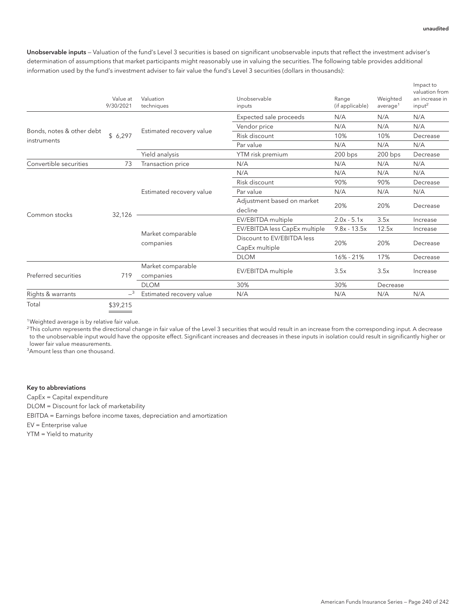Unobservable inputs — Valuation of the fund's Level 3 securities is based on significant unobservable inputs that reflect the investment adviser's determination of assumptions that market participants might reasonably use in valuing the securities. The following table provides additional information used by the fund's investment adviser to fair value the fund's Level 3 securities (dollars in thousands):

|                           | Value at<br>9/30/2021 | Valuation<br>techniques  | Unobservable<br>inputs        | Range<br>(if applicable) | Weighted<br>average <sup>1</sup> | Impact to<br>valuation from<br>an increase in<br>input <sup>2</sup> |
|---------------------------|-----------------------|--------------------------|-------------------------------|--------------------------|----------------------------------|---------------------------------------------------------------------|
|                           |                       |                          | Expected sale proceeds        | N/A                      | N/A                              | N/A                                                                 |
|                           |                       |                          | Vendor price                  | N/A                      | N/A                              | N/A                                                                 |
| Bonds, notes & other debt | \$6,297               | Estimated recovery value | Risk discount                 | 10%                      | 10%                              | Decrease                                                            |
| instruments               |                       |                          | Par value                     | N/A                      | N/A                              | N/A                                                                 |
|                           |                       | Yield analysis           | YTM risk premium              | $200$ bps                | 200 bps                          | Decrease                                                            |
| Convertible securities    | 73                    | Transaction price        | N/A                           | N/A                      | N/A                              | N/A                                                                 |
|                           |                       |                          | N/A                           | N/A                      | N/A                              | N/A                                                                 |
|                           |                       |                          | Risk discount                 | 90%                      | 90%                              | Decrease                                                            |
|                           |                       | Estimated recovery value | Par value                     | N/A                      | N/A                              | N/A                                                                 |
|                           | 32,126                |                          | Adjustment based on market    | 20%                      |                                  |                                                                     |
|                           |                       |                          | decline                       |                          | 20%                              | Decrease                                                            |
| Common stocks             |                       |                          | EV/EBITDA multiple            | $2.0x - 5.1x$            | 3.5x                             | Increase                                                            |
|                           |                       |                          | EV/EBITDA less CapEx multiple | $9.8x - 13.5x$           | 12.5x                            | Increase                                                            |
|                           |                       | Market comparable        | Discount to EV/EBITDA less    |                          |                                  |                                                                     |
|                           |                       | companies                | CapEx multiple                | 20%                      | 20%                              | Decrease                                                            |
|                           |                       |                          | <b>DLOM</b>                   | 16% - 21%                | 17%                              | Decrease                                                            |
|                           |                       | Market comparable        |                               | 3.5x                     | 3.5x                             |                                                                     |
| Preferred securities      | 719                   | companies                | EV/EBITDA multiple            |                          |                                  | Increase                                                            |
|                           |                       | <b>DLOM</b>              | 30%                           | 30%                      | Decrease                         |                                                                     |
| Rights & warrants         | $-3$                  | Estimated recovery value | N/A                           | N/A                      | N/A                              | N/A                                                                 |
| Total                     | \$39,215              |                          |                               |                          |                                  |                                                                     |

<sup>1</sup>Weighted average is by relative fair value.

 $^2$ This column represents the directional change in fair value of the Level 3 securities that would result in an increase from the corresponding input. A decrease to the unobservable input would have the opposite effect. Significant increases and decreases in these inputs in isolation could result in significantly higher or lower fair value measurements.

<sup>3</sup> Amount less than one thousand.

#### Key to abbreviations

CapEx = Capital expenditure

DLOM = Discount for lack of marketability

EBITDA = Earnings before income taxes, depreciation and amortization

EV = Enterprise value

YTM = Yield to maturity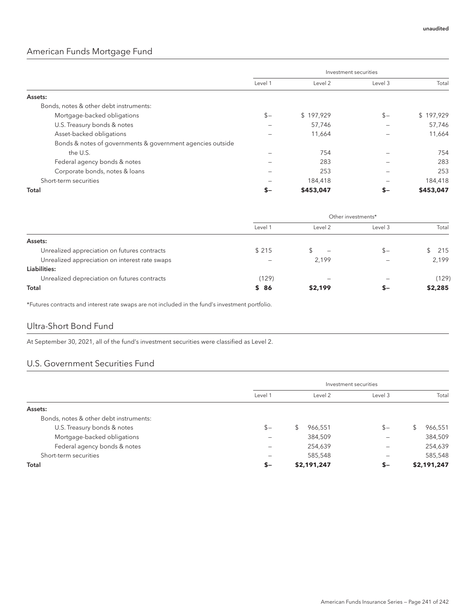### American Funds Mortgage Fund

|                                                            | Investment securities |           |         |           |
|------------------------------------------------------------|-----------------------|-----------|---------|-----------|
|                                                            | Level 1               | Level 2   | Level 3 | Total     |
| Assets:                                                    |                       |           |         |           |
| Bonds, notes & other debt instruments:                     |                       |           |         |           |
| Mortgage-backed obligations                                | $$-$                  | \$197.929 | $$-$    | \$197,929 |
| U.S. Treasury bonds & notes                                |                       | 57,746    |         | 57,746    |
| Asset-backed obligations                                   |                       | 11,664    |         | 11,664    |
| Bonds & notes of governments & government agencies outside |                       |           |         |           |
| the U.S.                                                   |                       | 754       |         | 754       |
| Federal agency bonds & notes                               |                       | 283       |         | 283       |
| Corporate bonds, notes & loans                             |                       | 253       |         | 253       |
| Short-term securities                                      |                       | 184,418   |         | 184,418   |
| <b>Total</b>                                               | $S-$                  | \$453,047 | s–      | \$453,047 |

|                                                | Other investments* |                          |         |         |
|------------------------------------------------|--------------------|--------------------------|---------|---------|
|                                                | Level 1            | Level 2                  | Level 3 | Total   |
| Assets:                                        |                    |                          |         |         |
| Unrealized appreciation on futures contracts   | \$215              | $\overline{\phantom{0}}$ | $S-$    | 215     |
| Unrealized appreciation on interest rate swaps |                    | 2,199                    |         | 2.199   |
| Liabilities:                                   |                    |                          |         |         |
| Unrealized depreciation on futures contracts   | (129)              |                          |         | (129)   |
| Total                                          | \$86               | \$2,199                  | $-$     | \$2,285 |

\*Futures contracts and interest rate swaps are not included in the fund's investment portfolio.

#### Ultra-Short Bond Fund

At September 30, 2021, all of the fund's investment securities were classified as Level 2.

#### U.S. Government Securities Fund

|                                        | Investment securities |             |         |               |
|----------------------------------------|-----------------------|-------------|---------|---------------|
|                                        | Level 1               | Level 2     | Level 3 | Total         |
| Assets:                                |                       |             |         |               |
| Bonds, notes & other debt instruments: |                       |             |         |               |
| U.S. Treasury bonds & notes            | $$-$                  | 966,551     | $S -$   | 966,551<br>\$ |
| Mortgage-backed obligations            |                       | 384,509     |         | 384,509       |
| Federal agency bonds & notes           | -                     | 254,639     | -       | 254,639       |
| Short-term securities                  |                       | 585,548     |         | 585,548       |
| Total                                  | $S-$                  | \$2,191,247 | $S-$    | \$2,191,247   |